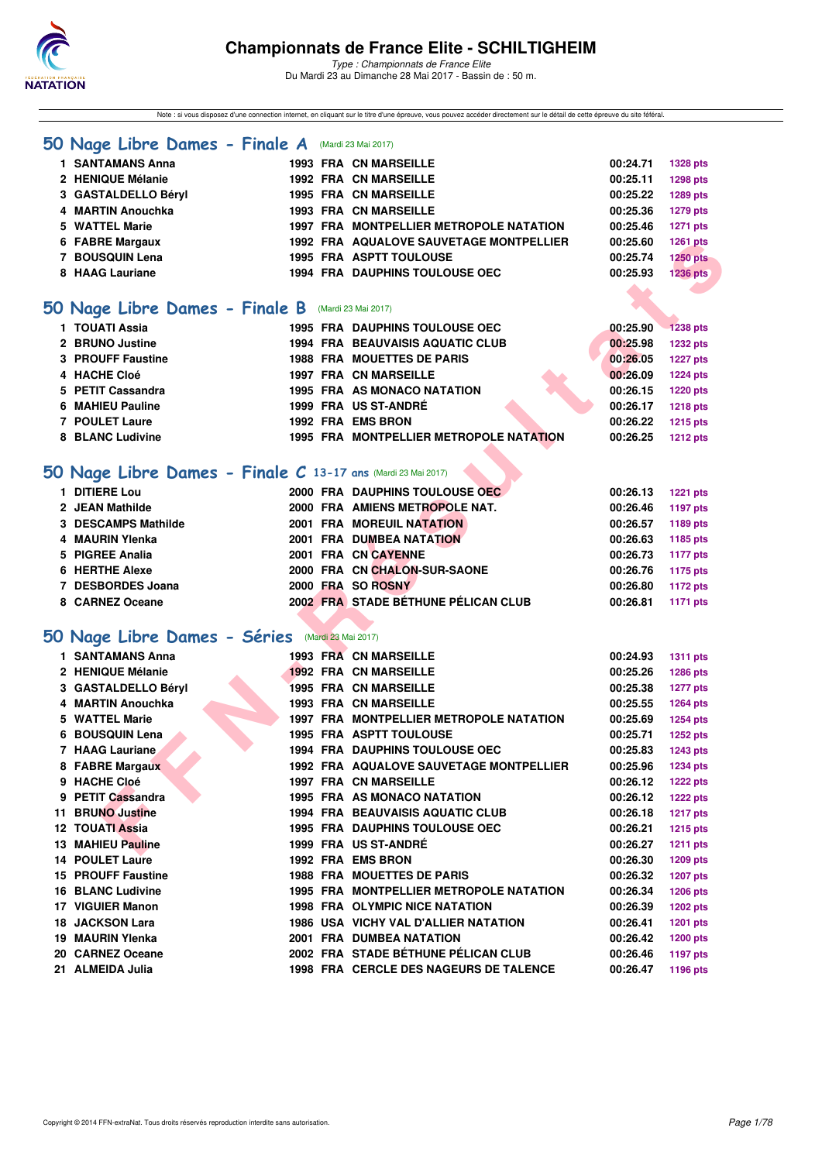

Note : si vous disposez d'une connection internet, en cliquant sur le titre d'une épreuve, vous pouvez accéder directement sur le détail de cette épreuve du site féféral.

#### **50 Nage Libre Dames - Finale A** (Mardi 23 Mai 2017)

| 1 SANTAMANS Anna    |  | <b>1993 FRA CN MARSEILLE</b>                   | 00:24.71 | <b>1328 pts</b> |
|---------------------|--|------------------------------------------------|----------|-----------------|
| 2 HENIQUE Mélanie   |  | <b>1992 FRA CN MARSEILLE</b>                   | 00:25.11 | <b>1298 pts</b> |
| 3 GASTALDELLO Béryl |  | <b>1995 FRA CN MARSEILLE</b>                   | 00:25.22 | 1289 pts        |
| 4 MARTIN Anouchka   |  | <b>1993 FRA CN MARSEILLE</b>                   | 00:25.36 | <b>1279 pts</b> |
| 5 WATTEL Marie      |  | 1997 FRA MONTPELLIER METROPOLE NATATION        | 00:25.46 | <b>1271 pts</b> |
| 6 FABRE Margaux     |  | <b>1992 FRA AQUALOVE SAUVETAGE MONTPELLIER</b> | 00:25.60 | 1261 pts        |
| 7 BOUSQUIN Lena     |  | <b>1995 FRA ASPTT TOULOUSE</b>                 | 00:25.74 | <b>1250 pts</b> |
| 8 HAAG Lauriane     |  | <b>1994 FRA DAUPHINS TOULOUSE OEC</b>          | 00:25.93 | <b>1236 pts</b> |
|                     |  |                                                |          |                 |

### **[50 Nage Libre Dames - Finale B](http://www.ffnatation.fr/webffn/resultats.php?idact=nat&go=epr&idcpt=45075&idepr=1)** (Mardi 23 Mai 2017)

| 1 TOUATI Assia    |  | 1995 FRA DAUPHINS TOULOUSE OEC                 | 00:25.90 | 1238 pts        |
|-------------------|--|------------------------------------------------|----------|-----------------|
| 2 BRUNO Justine   |  | 1994 FRA BEAUVAISIS AQUATIC CLUB               | 00:25.98 | 1232 pts        |
| 3 PROUFF Faustine |  | <b>1988 FRA MOUETTES DE PARIS</b>              | 00:26.05 | 1227 pts        |
| 4 HACHE Cloé      |  | <b>1997 FRA CN MARSEILLE</b>                   | 00:26.09 | 1224 pts        |
| 5 PETIT Cassandra |  | 1995 FRA AS MONACO NATATION                    | 00:26.15 | 1220 pts        |
| 6 MAHIEU Pauline  |  | 1999 FRA US ST-ANDRÉ                           | 00:26.17 | 1218 pts        |
| 7 POULET Laure    |  | 1992 FRA EMS BRON                              | 00:26.22 | 1215 pts        |
| 8 BLANC Ludivine  |  | <b>1995 FRA MONTPELLIER METROPOLE NATATION</b> | 00:26.25 | <b>1212 pts</b> |
|                   |  |                                                |          |                 |

## **[50 Nage Libre Dames - Finale C](http://www.ffnatation.fr/webffn/resultats.php?idact=nat&go=epr&idcpt=45075&idepr=1) 13-17 ans** (Mardi 23 Mai 2017)

| 1 DITIERE Lou       |  | 2000 FRA DAUPHINS TOULOUSE OEC.     | 00:26.13 | <b>1221 pts</b> |
|---------------------|--|-------------------------------------|----------|-----------------|
| 2 JEAN Mathilde     |  | 2000 FRA AMIENS METROPOLE NAT.      | 00:26.46 | 1197 pts        |
| 3 DESCAMPS Mathilde |  | <b>2001 FRA MOREUIL NATATION</b>    | 00:26.57 | 1189 pts        |
| 4 MAURIN Ylenka     |  | 2001 FRA DUMBEA NATATION            | 00:26.63 | 1185 pts        |
| 5 PIGREE Analia     |  | 2001 FRA CN CAYENNE                 | 00:26.73 | <b>1177 pts</b> |
| 6 HERTHE Alexe      |  | 2000 FRA CN CHALON-SUR-SAONE        | 00:26.76 | 1175 pts        |
| 7 DESBORDES Joana   |  | 2000 FRA SO ROSNY                   | 00:26.80 | <b>1172 pts</b> |
| 8 CARNEZ Oceane     |  | 2002 FRA STADE BÉTHUNE PÉLICAN CLUB | 00:26.81 | 1171 pts        |

## **[50 Nage Libre Dames - Séries](http://www.ffnatation.fr/webffn/resultats.php?idact=nat&go=epr&idcpt=45075&idepr=1)** (Mardi 23 Mai 2017)

| 6 FABRE Margaux                                             |  | 1992 FRA AQUALOVE SAUVETAGE MONTPELLIER        | 00:25.60 | <b>1261 pts</b> |
|-------------------------------------------------------------|--|------------------------------------------------|----------|-----------------|
| 7 BOUSQUIN Lena                                             |  | <b>1995 FRA ASPTT TOULOUSE</b>                 | 00:25.74 | <b>1250 pts</b> |
| 8 HAAG Lauriane                                             |  | 1994 FRA DAUPHINS TOULOUSE OEC                 | 00:25.93 | <b>1236 pts</b> |
|                                                             |  |                                                |          |                 |
| O Nage Libre Dames - Finale B (Mardi 23 Mai 2017)           |  |                                                |          |                 |
| 1 TOUATI Assia                                              |  | <b>1995 FRA DAUPHINS TOULOUSE OEC</b>          | 00:25.90 | $-1238$ pts     |
| 2 BRUNO Justine                                             |  | 1994 FRA BEAUVAISIS AQUATIC CLUB               | 00:25.98 | <b>1232 pts</b> |
| 3 PROUFF Faustine                                           |  | <b>1988 FRA MOUETTES DE PARIS</b>              | 00:26.05 | <b>1227 pts</b> |
| 4 HACHE Cloé                                                |  | <b>1997 FRA CN MARSEILLE</b>                   | 00:26.09 | <b>1224 pts</b> |
| 5 PETIT Cassandra                                           |  | <b>1995 FRA AS MONACO NATATION</b>             | 00:26.15 | 1220 pts        |
| 6 MAHIEU Pauline                                            |  | 1999 FRA US ST-ANDRÉ                           | 00:26.17 | 1218 pts        |
| 7 POULET Laure                                              |  | 1992 FRA EMS BRON                              | 00:26.22 | 1215 pts        |
| 8 BLANC Ludivine                                            |  | 1995 FRA MONTPELLIER METROPOLE NATATION        | 00:26.25 | <b>1212 pts</b> |
|                                                             |  |                                                |          |                 |
| O Nage Libre Dames - Finale C 13-17 ans (Mardi 23 Mai 2017) |  |                                                |          |                 |
| 1 DITIERE Lou                                               |  | 2000 FRA DAUPHINS TOULOUSE OEC                 | 00:26.13 | 1221 pts        |
| 2 JEAN Mathilde                                             |  | 2000 FRA AMIENS METROPOLE NAT.                 | 00:26.46 | 1197 pts        |
| 3 DESCAMPS Mathilde                                         |  | 2001 FRA MOREUIL NATATION                      | 00:26.57 | 1189 pts        |
| 4 MAURIN Ylenka                                             |  | 2001 FRA DUMBEA NATATION                       | 00:26.63 | 1185 pts        |
| 5 PIGREE Analia                                             |  | 2001 FRA CN CAYENNE                            | 00:26.73 | <b>1177 pts</b> |
| <b>6 HERTHE Alexe</b>                                       |  | 2000 FRA CN CHALON-SUR-SAONE                   | 00:26.76 | 1175 pts        |
| 7 DESBORDES Joana                                           |  | 2000 FRA SO ROSNY                              | 00:26.80 | 1172 pts        |
| 8 CARNEZ Oceane                                             |  | 2002 FRA STADE BÉTHUNE PÉLICAN CLUB            | 00:26.81 | 1171 pts        |
|                                                             |  |                                                |          |                 |
| O Nage Libre Dames - Séries (Mardi 23 Mai 2017)             |  |                                                |          |                 |
| 1 SANTAMANS Anna                                            |  | <b>1993 FRA CN MARSEILLE</b>                   | 00:24.93 | <b>1311 pts</b> |
| 2 HENIQUE Mélanie                                           |  | <b>1992 FRA CN MARSEILLE</b>                   | 00:25.26 | <b>1286 pts</b> |
| 3 GASTALDELLO Béryl                                         |  | <b>1995 FRA CN MARSEILLE</b>                   | 00:25.38 | <b>1277 pts</b> |
| 4 MARTIN Anouchka                                           |  | <b>1993 FRA CN MARSEILLE</b>                   | 00:25.55 | <b>1264 pts</b> |
| 5 WATTEL Marie                                              |  | 1997 FRA MONTPELLIER METROPOLE NATATION        | 00:25.69 | <b>1254 pts</b> |
| 6 BOUSQUIN Lena                                             |  | <b>1995 FRA ASPTT TOULOUSE</b>                 | 00:25.71 | <b>1252 pts</b> |
| 7 HAAG Lauriane                                             |  | <b>1994 FRA DAUPHINS TOULOUSE OEC</b>          | 00:25.83 | 1243 pts        |
| 8 FABRE Margaux                                             |  | 1992 FRA AQUALOVE SAUVETAGE MONTPELLIER        | 00:25.96 | 1234 pts        |
| 9 HACHE Cloé                                                |  | <b>1997 FRA CN MARSEILLE</b>                   | 00:26.12 | <b>1222 pts</b> |
| 9 PETIT Cassandra                                           |  | 1995 FRA AS MONACO NATATION                    | 00:26.12 | <b>1222 pts</b> |
| 11 BRUNO Justine                                            |  | <b>1994 FRA BEAUVAISIS AQUATIC CLUB</b>        | 00:26.18 | <b>1217 pts</b> |
| <b>12 TOUATI Assia</b>                                      |  | <b>1995 FRA DAUPHINS TOULOUSE OEC</b>          | 00:26.21 | 1215 pts        |
| 13 MAHIEU Pauline                                           |  | 1999 FRA US ST-ANDRÉ                           | 00:26.27 | <b>1211 pts</b> |
| 14 POULET Laure                                             |  | 1992 FRA EMS BRON                              | 00:26.30 | 1209 pts        |
| <b>15 PROUFF Faustine</b>                                   |  | <b>1988 FRA MOUETTES DE PARIS</b>              | 00:26.32 | <b>1207 pts</b> |
| <b>16 BLANC Ludivine</b>                                    |  | <b>1995 FRA MONTPELLIER METROPOLE NATATION</b> | 00:26.34 | 1206 pts        |
| 17 VIGUIER Manon                                            |  | <b>1998 FRA OLYMPIC NICE NATATION</b>          | 00:26.39 | <b>1202 pts</b> |
| 18 JACKSON Lara                                             |  | 1986 USA VICHY VAL D'ALLIER NATATION           | 00:26.41 | <b>1201 pts</b> |
| 19 MAURIN Ylenka                                            |  | 2001 FRA DUMBEA NATATION                       | 00:26.42 | <b>1200 pts</b> |
| 20 CARNEZ Oceane                                            |  | 2002 FRA STADE BÉTHUNE PÉLICAN CLUB            | 00:26.46 | <b>1197 pts</b> |
| 21 ALMEIDA Julia                                            |  | 1998 FRA CERCLE DES NAGEURS DE TALENCE         | 00:26.47 | 1196 pts        |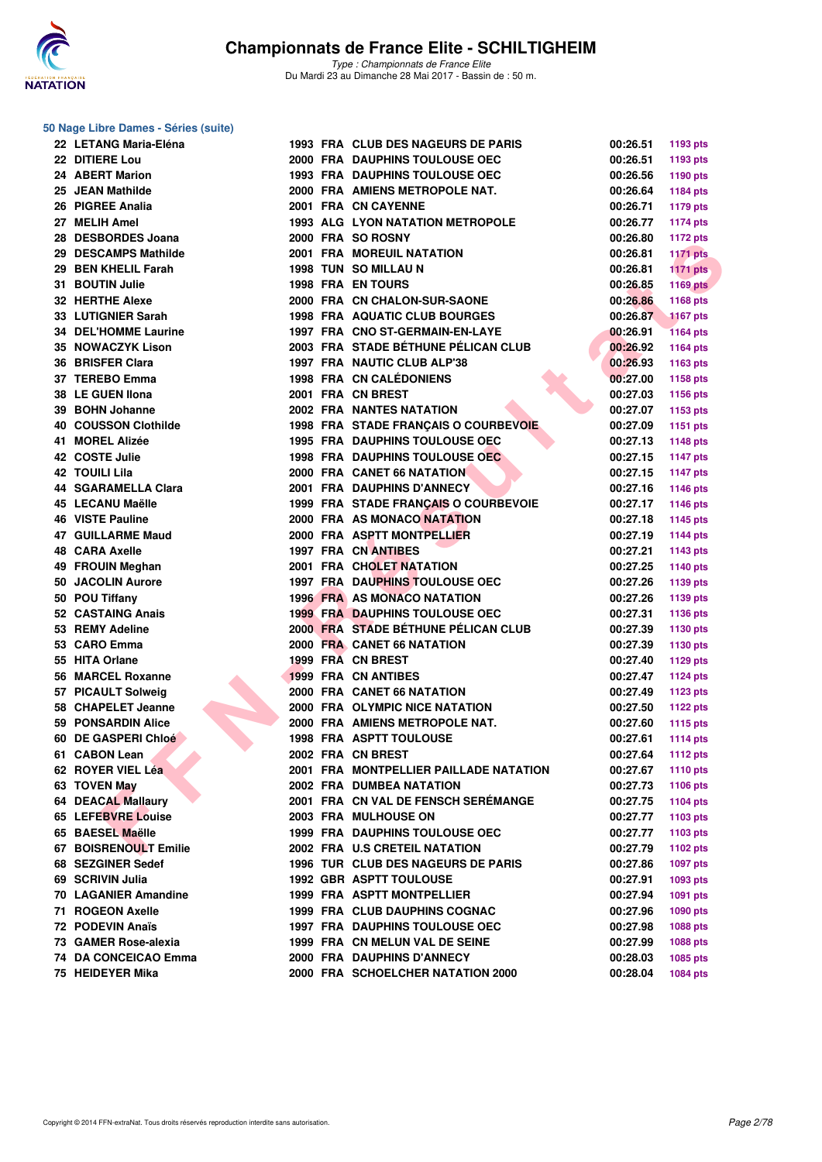

**50 Nage Libre Dames - Séries (suite)**

| 22 LETANG Maria-Eléna       |  | <b>1993 FRA CLUB DES NAGEURS DE PARIS</b> | 00:26.51 | 1193 pts        |
|-----------------------------|--|-------------------------------------------|----------|-----------------|
| 22 DITIERE Lou              |  | 2000 FRA DAUPHINS TOULOUSE OEC            | 00:26.51 | 1193 pts        |
| 24 ABERT Marion             |  | <b>1993 FRA DAUPHINS TOULOUSE OEC</b>     | 00:26.56 | 1190 pts        |
| 25 JEAN Mathilde            |  | 2000 FRA AMIENS METROPOLE NAT.            | 00:26.64 | 1184 pts        |
| 26 PIGREE Analia            |  | 2001 FRA CN CAYENNE                       | 00:26.71 | <b>1179 pts</b> |
| 27 MELIH Amel               |  | <b>1993 ALG LYON NATATION METROPOLE</b>   | 00:26.77 | <b>1174 pts</b> |
| 28 DESBORDES Joana          |  | 2000 FRA SO ROSNY                         | 00:26.80 | <b>1172 pts</b> |
| 29 DESCAMPS Mathilde        |  | <b>2001 FRA MOREUIL NATATION</b>          | 00:26.81 | <b>1171 pts</b> |
| 29 BEN KHELIL Farah         |  | 1998 TUN SO MILLAU N                      | 00:26.81 | <b>1171 pts</b> |
| 31 BOUTIN Julie             |  | <b>1998 FRA EN TOURS</b>                  | 00:26.85 | <b>1169 pts</b> |
| 32 HERTHE Alexe             |  | 2000 FRA CN CHALON-SUR-SAONE              | 00:26.86 | 1168 pts        |
| 33 LUTIGNIER Sarah          |  | <b>1998 FRA AQUATIC CLUB BOURGES</b>      | 00:26.87 | <b>1167 pts</b> |
| <b>34 DEL'HOMME Laurine</b> |  | 1997 FRA CNO ST-GERMAIN-EN-LAYE           | 00:26.91 | <b>1164 pts</b> |
| 35 NOWACZYK Lison           |  | 2003 FRA STADE BÉTHUNE PÉLICAN CLUB       | 00:26.92 | 1164 pts        |
| 36 BRISFER Clara            |  | 1997 FRA NAUTIC CLUB ALP'38               | 00:26.93 | 1163 pts        |
| 37 TEREBO Emma              |  | <b>1998 FRA CN CALÉDONIENS</b>            | 00:27.00 | 1158 pts        |
| 38 LE GUEN Ilona            |  | 2001 FRA CN BREST                         | 00:27.03 | 1156 pts        |
| 39 BOHN Johanne             |  | <b>2002 FRA NANTES NATATION</b>           | 00:27.07 | 1153 pts        |
| 40 COUSSON Clothilde        |  | 1998 FRA STADE FRANÇAIS O COURBEVOIE      | 00:27.09 | 1151 pts        |
| 41 MOREL Alizée             |  | 1995 FRA DAUPHINS TOULOUSE OEC            | 00:27.13 | <b>1148 pts</b> |
| 42 COSTE Julie              |  | <b>1998 FRA DAUPHINS TOULOUSE OEC</b>     | 00:27.15 | <b>1147 pts</b> |
| 42 TOUILI Lila              |  | 2000 FRA CANET 66 NATATION                | 00:27.15 | <b>1147 pts</b> |
| <b>44 SGARAMELLA Clara</b>  |  | 2001 FRA DAUPHINS D'ANNECY                | 00:27.16 |                 |
| 45 LECANU Maëlle            |  | 1999 FRA STADE FRANÇAIS O COURBEVOIE      | 00:27.17 | 1146 pts        |
| <b>46 VISTE Pauline</b>     |  | 2000 FRA AS MONACO NATATION               |          | 1146 pts        |
|                             |  |                                           | 00:27.18 | <b>1145 pts</b> |
| <b>47 GUILLARME Maud</b>    |  | 2000 FRA ASPTT MONTPELLIER                | 00:27.19 | 1144 pts        |
| <b>48 CARA Axelle</b>       |  | 1997 FRA CN ANTIBES                       | 00:27.21 | <b>1143 pts</b> |
| 49 FROUIN Meghan            |  | 2001 FRA CHOLET NATATION                  | 00:27.25 | 1140 pts        |
| 50 JACOLIN Aurore           |  | <b>1997 FRA DAUPHINS TOULOUSE OEC</b>     | 00:27.26 | 1139 pts        |
| 50 POU Tiffany              |  | <b>1996 FRA AS MONACO NATATION</b>        | 00:27.26 | 1139 pts        |
| 52 CASTAING Anais           |  | <b>1999 FRA DAUPHINS TOULOUSE OEC</b>     | 00:27.31 | 1136 pts        |
| 53 REMY Adeline             |  | 2000 FRA STADE BÉTHUNE PÉLICAN CLUB       | 00:27.39 | 1130 pts        |
| 53 CARO Emma                |  | 2000 FRA CANET 66 NATATION                | 00:27.39 | 1130 pts        |
| 55 HITA Orlane              |  | 1999 FRA CN BREST                         | 00:27.40 | 1129 pts        |
| 56 MARCEL Roxanne           |  | <b>1999 FRA CN ANTIBES</b>                | 00:27.47 | <b>1124 pts</b> |
| 57 PICAULT Solweig          |  | 2000 FRA CANET 66 NATATION                | 00:27.49 | 1123 pts        |
| 58 CHAPELET Jeanne          |  | 2000 FRA OLYMPIC NICE NATATION            | 00:27.50 | <b>1122 pts</b> |
| 59 PONSARDIN Alice          |  | 2000 FRA AMIENS METROPOLE NAT.            | 00:27.60 | <b>1115 pts</b> |
| 60 DE GASPERI Chloé         |  | <b>1998 FRA ASPTT TOULOUSE</b>            | 00:27.61 | <b>1114 pts</b> |
| 61 CABON Lean               |  | 2002 FRA CN BREST                         | 00:27.64 | <b>1112 pts</b> |
| 62 ROYER VIEL Léa           |  | 2001 FRA MONTPELLIER PAILLADE NATATION    | 00:27.67 | <b>1110 pts</b> |
| 63 TOVEN May                |  | <b>2002 FRA DUMBEA NATATION</b>           | 00:27.73 | 1106 pts        |
| <b>64 DEACAL Mallaury</b>   |  | 2001 FRA CN VAL DE FENSCH SERÉMANGE       | 00:27.75 | <b>1104 pts</b> |
| 65 LEFEBVRE Louise          |  | 2003 FRA MULHOUSE ON                      | 00:27.77 | 1103 pts        |
| 65 BAESEL Maëlle            |  | <b>1999 FRA DAUPHINS TOULOUSE OEC</b>     | 00:27.77 | 1103 pts        |
| 67 BOISRENOULT Emilie       |  | 2002 FRA U.S CRETEIL NATATION             | 00:27.79 | 1102 pts        |
| 68 SEZGINER Sedef           |  | 1996 TUR CLUB DES NAGEURS DE PARIS        | 00:27.86 | <b>1097 pts</b> |
| 69 SCRIVIN Julia            |  | <b>1992 GBR ASPTT TOULOUSE</b>            | 00:27.91 | 1093 pts        |
| 70 LAGANIER Amandine        |  | 1999 FRA ASPTT MONTPELLIER                | 00:27.94 | 1091 pts        |
| 71 ROGEON Axelle            |  | 1999 FRA CLUB DAUPHINS COGNAC             | 00:27.96 | <b>1090 pts</b> |
| 72 PODEVIN Anaïs            |  | <b>1997 FRA DAUPHINS TOULOUSE OEC</b>     | 00:27.98 | 1088 pts        |
| 73 GAMER Rose-alexia        |  | 1999 FRA CN MELUN VAL DE SEINE            | 00:27.99 | 1088 pts        |
| 74 DA CONCEICAO Emma        |  | 2000 FRA DAUPHINS D'ANNECY                | 00:28.03 | 1085 pts        |
| 75 HEIDEYER Mika            |  | 2000 FRA SCHOELCHER NATATION 2000         | 00:28.04 | <b>1084 pts</b> |
|                             |  |                                           |          |                 |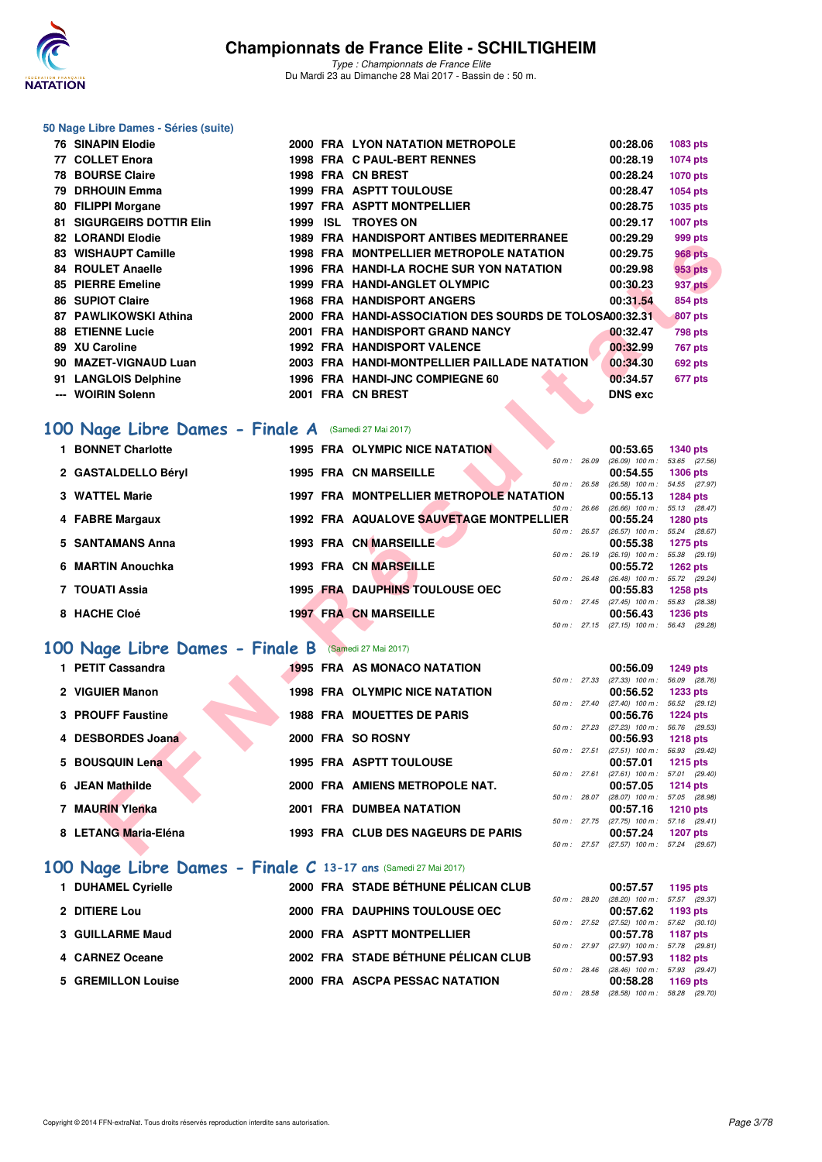

*Type : Championnats de France Elite* Du Mardi 23 au Dimanche 28 Mai 2017 - Bassin de : 50 m.

# **50 Nage Libre Dames - Séries (suite)**

|       | <b>76 SINAPIN Elodie</b>  |      |          | <b>2000 FRA LYON NATATION METROPOLE</b>            | 00:28.06       | 1083 pts        |
|-------|---------------------------|------|----------|----------------------------------------------------|----------------|-----------------|
|       | 77 COLLET Enora           |      |          | 1998 FRA C PAUL-BERT RENNES                        | 00:28.19       | 1074 pts        |
|       | <b>78 BOURSE Claire</b>   |      |          | 1998 FRA CN BREST                                  | 00:28.24       | <b>1070 pts</b> |
|       | 79 DRHOUIN Emma           |      |          | <b>1999 FRA ASPTT TOULOUSE</b>                     | 00:28.47       | 1054 pts        |
|       | 80 FILIPPI Morgane        |      |          | <b>1997 FRA ASPTT MONTPELLIER</b>                  | 00:28.75       | 1035 pts        |
|       | 81 SIGURGEIRS DOTTIR Elin | 1999 | ISL.     | <b>TROYES ON</b>                                   | 00:29.17       | 1007 pts        |
|       | <b>82 LORANDI Elodie</b>  |      |          | <b>1989 FRA HANDISPORT ANTIBES MEDITERRANEE</b>    | 00:29.29       | 999 pts         |
|       | 83 WISHAUPT Camille       |      |          | 1998 FRA MONTPELLIER METROPOLE NATATION            | 00:29.75       | <b>968 pts</b>  |
|       | 84 ROULET Anaelle         |      |          | 1996 FRA HANDI-LA ROCHE SUR YON NATATION           | 00:29.98       | 953 pts         |
|       | 85 PIERRE Emeline         |      |          | 1999 FRA HANDI-ANGLET OLYMPIC                      | 00:30.23       | 937 pts         |
|       | 86 SUPIOT Claire          |      | 1968 FRA | <b>HANDISPORT ANGERS</b>                           | 00:31.54       | 854 pts         |
|       | 87 PAWLIKOWSKI Athina     | 2000 |          | FRA HANDI-ASSOCIATION DES SOURDS DE TOLOSA00:32.31 |                | 807 pts         |
|       | <b>88 ETIENNE Lucie</b>   |      |          | 2001 FRA HANDISPORT GRAND NANCY                    | 00:32.47       | 798 pts         |
|       | 89 XU Caroline            |      |          | <b>1992 FRA HANDISPORT VALENCE</b>                 | 00:32.99       | <b>767 pts</b>  |
|       | 90 MAZET-VIGNAUD Luan     |      |          | 2003 FRA HANDI-MONTPELLIER PAILLADE NATATION       | 00:34.30       | <b>692 pts</b>  |
|       | 91 LANGLOIS Delphine      |      |          | 1996 FRA HANDI-JNC COMPIEGNE 60                    | 00:34.57       | 677 pts         |
| $---$ | <b>WOIRIN Solenn</b>      |      |          | 2001 FRA CN BREST                                  | <b>DNS</b> exc |                 |
|       |                           |      |          |                                                    |                |                 |

## [100 Nage Libre Dames - Finale A](http://www.ffnatation.fr/webffn/resultats.php?idact=nat&go=epr&idcpt=45075&idepr=2) (Samedi 27 Mai 2017)

| 1 BONNET Charlotte  |                 | <b>1995 FRA OLYMPIC NICE NATATION</b>          |                        | 00:53.65                      | <b>1340 pts</b>                  |  |
|---------------------|-----------------|------------------------------------------------|------------------------|-------------------------------|----------------------------------|--|
| 2 GASTALDELLO Béryl |                 | <b>1995 FRA CN MARSEILLE</b>                   | 50 m: 26.09            | $(26.09)$ 100 m :<br>00:54.55 | 53.65 (27.56)<br><b>1306 pts</b> |  |
| 3 WATTEL Marie      |                 | <b>1997 FRA MONTPELLIER METROPOLE NATATION</b> | 50 m: 26.58            | $(26.58)$ 100 m :<br>00:55.13 | 54.55 (27.97)<br><b>1284 pts</b> |  |
| 4 FABRE Margaux     |                 | 1992 FRA AQUALOVE SAUVETAGE MONTPELLIER        | $50 m$ : 26.66         | $(26.66)$ 100 m :<br>00:55.24 | 55.13 (28.47)<br><b>1280 pts</b> |  |
| 5 SANTAMANS Anna    |                 | 1993 FRA CN MARSEILLE                          | $50 m$ : 26.57         | $(26.57)$ 100 m :<br>00:55.38 | 55.24 (28.67)<br><b>1275 pts</b> |  |
| 6 MARTIN Anouchka   |                 | 1993 FRA CN MARSEILLE                          | 50 m: 26.19            | $(26.19)$ 100 m :<br>00:55.72 | 55.38 (29.19)<br>$1262$ pts      |  |
| 7 TOUATI Assia      |                 | <b>1995 FRA DAUPHINS TOULOUSE OEC</b>          | $50 \text{ m}$ : 26.48 | $(26.48)$ 100 m :<br>00:55.83 | 55.72 (29.24)<br><b>1258 pts</b> |  |
| 8 HACHE Cloé        | <b>1997 FRA</b> | <b>CN MARSEILLE</b>                            | $50 m$ : 27.45         | $(27.45)$ 100 m :<br>00:56.43 | 55.83 (28.38)<br><b>1236 pts</b> |  |
|                     |                 |                                                | 50 m: 27.15            | $(27.15)$ 100 m :             | 56.43 (29.28)                    |  |

## **[100 Nage Libre Dames - Finale B](http://www.ffnatation.fr/webffn/resultats.php?idact=nat&go=epr&idcpt=45075&idepr=2)** (Samedi 27 Mai 2017)

| 04 LUNANUI EIUUIG                                   |  | 1909 FRA HANDISFORI ANTIBES MEDITERRANEE                |                | UU.ZJ.ZJ                                                      | ວວວ µເວ         |         |
|-----------------------------------------------------|--|---------------------------------------------------------|----------------|---------------------------------------------------------------|-----------------|---------|
| 83 WISHAUPT Camille                                 |  | <b>1998 FRA MONTPELLIER METROPOLE NATATION</b>          |                | 00:29.75                                                      | <b>968 pts</b>  |         |
| 84 ROULET Anaelle                                   |  | 1996 FRA HANDI-LA ROCHE SUR YON NATATION                |                | 00:29.98                                                      | 953 pts         |         |
| 85 PIERRE Emeline                                   |  | 1999 FRA HANDI-ANGLET OLYMPIC                           |                | 00:30.23                                                      | <b>937 pts</b>  |         |
| <b>86 SUPIOT Claire</b>                             |  | <b>1968 FRA HANDISPORT ANGERS</b>                       |                | 00:31.54                                                      | 854 pts         |         |
| 87 PAWLIKOWSKI Athina                               |  | 2000 FRA HANDI-ASSOCIATION DES SOURDS DE TOLOSA00:32.31 |                |                                                               |                 | 807 pts |
| <b>88 ETIENNE Lucie</b>                             |  | 2001 FRA HANDISPORT GRAND NANCY                         |                | 00:32.47                                                      |                 | 798 pts |
| 89 XU Caroline                                      |  | <b>1992 FRA HANDISPORT VALENCE</b>                      |                | 00:32.99                                                      |                 | 767 pts |
| 90 MAZET-VIGNAUD Luan                               |  | 2003 FRA HANDI-MONTPELLIER PAILLADE NATATION            |                | 00:34.30                                                      | 692 pts         |         |
| 91 LANGLOIS Delphine                                |  | 1996 FRA HANDI-JNC COMPIEGNE 60                         |                | 00:34.57                                                      | 677 pts         |         |
| --- WOIRIN Solenn                                   |  | 2001 FRA CN BREST                                       |                | <b>DNS exc</b>                                                |                 |         |
|                                                     |  |                                                         |                |                                                               |                 |         |
| 00 Nage Libre Dames - Finale A (Samedi 27 Mai 2017) |  |                                                         |                |                                                               |                 |         |
| 1 BONNET Charlotte                                  |  | 1995 FRA OLYMPIC NICE NATATION                          |                | 00:53.65                                                      | <b>1340 pts</b> |         |
|                                                     |  |                                                         | $50 m$ : 26.09 | $(26.09)$ 100 m : 53.65 $(27.56)$                             |                 |         |
| 2 GASTALDELLO Béryl                                 |  | <b>1995 FRA CN MARSEILLE</b>                            |                | 00:54.55                                                      | <b>1306 pts</b> |         |
| 3 WATTEL Marie                                      |  | 1997 FRA MONTPELLIER METROPOLE NATATION                 | 50 m: 26.58    | $(26.58)$ 100 m : 54.55 $(27.97)$                             |                 |         |
|                                                     |  |                                                         | 50 m : 26.66   | 00:55.13<br>$(26.66)$ 100 m : 55.13 $(28.47)$                 | <b>1284 pts</b> |         |
| 4 FABRE Margaux                                     |  | 1992 FRA AQUALOVE SAUVETAGE MONTPELLIER                 |                | 00:55.24                                                      | <b>1280 pts</b> |         |
|                                                     |  |                                                         | 50 m: 26.57    | $(26.57)$ 100 m : 55.24 $(28.67)$                             |                 |         |
| 5 SANTAMANS Anna                                    |  | 1993 FRA CN MARSEILLE                                   |                | 00:55.38                                                      | 1275 pts        |         |
| 6 MARTIN Anouchka                                   |  | 1993 FRA CN MARSEILLE                                   |                | 50 m: 26.19 (26.19) 100 m: 55.38 (29.19)<br>00:55.72 1262 pts |                 |         |
|                                                     |  |                                                         |                | 50 m: 26.48 (26.48) 100 m: 55.72 (29.24)                      |                 |         |
| 7 TOUATI Assia                                      |  | <b>1995 FRA DAUPHINS TOULOUSE OEC</b>                   |                | 00:55.83                                                      | <b>1258 pts</b> |         |
|                                                     |  |                                                         |                | 50 m: 27.45 (27.45) 100 m: 55.83 (28.38)                      |                 |         |
| 8 HACHE Cloé                                        |  | <b>1997 FRA CN MARSEILLE</b>                            |                | 00:56.43<br>50 m: 27.15 (27.15) 100 m: 56.43 (29.28)          | <b>1236 pts</b> |         |
|                                                     |  |                                                         |                |                                                               |                 |         |
| 00 Nage Libre Dames - Finale B (Samedi 27 Mai 2017) |  |                                                         |                |                                                               |                 |         |
| 1 PETIT Cassandra                                   |  | <b>1995 FRA AS MONACO NATATION</b>                      |                | 00:56.09                                                      | 1249 pts        |         |
|                                                     |  |                                                         |                | 50 m: 27.33 (27.33) 100 m: 56.09 (28.76)                      |                 |         |
| 2 VIGUIER Manon                                     |  | <b>1998 FRA OLYMPIC NICE NATATION</b>                   |                | 00:56.52                                                      | <b>1233 pts</b> |         |
| 3 PROUFF Faustine                                   |  | <b>1988 FRA MOUETTES DE PARIS</b>                       |                | 50 m: 27.40 (27.40) 100 m: 56.52 (29.12)<br>00:56.76          | <b>1224 pts</b> |         |
|                                                     |  |                                                         |                | 50 m: 27.23 (27.23) 100 m: 56.76 (29.53)                      |                 |         |
| 4 DESBORDES Joana                                   |  | 2000 FRA SO ROSNY                                       |                | 00:56.93                                                      | <b>1218 pts</b> |         |
| 5 BOUSQUIN Lena                                     |  | <b>1995 FRA ASPTT TOULOUSE</b>                          | 50 m: 27.51    | $(27.51)$ 100 m : 56.93 $(29.42)$                             |                 |         |
|                                                     |  |                                                         | 50 m: 27.61    | 00:57.01<br>$(27.61)$ 100 m : 57.01 $(29.40)$                 | $1215$ pts      |         |
| 6 JEAN Mathilde                                     |  | 2000 FRA AMIENS METROPOLE NAT.                          |                | 00:57.05                                                      | $1214$ pts      |         |
|                                                     |  |                                                         | 50 m : 28.07   | $(28.07)$ 100 m : 57.05 $(28.98)$                             |                 |         |
| 7 MAURIN Ylenka                                     |  | <b>2001 FRA DUMBEA NATATION</b>                         |                | 00:57.16                                                      | <b>1210 pts</b> |         |
| 8 LETANG Maria-Eléna                                |  | 1993 FRA CLUB DES NAGEURS DE PARIS                      |                | 50 m: 27.75 (27.75) 100 m: 57.16 (29.41)<br>00:57.24          | <b>1207 pts</b> |         |
|                                                     |  |                                                         |                | 50 m: 27.57 (27.57) 100 m: 57.24 (29.67)                      |                 |         |
|                                                     |  |                                                         |                |                                                               |                 |         |

## **[100 Nage Libre Dames - Finale C](http://www.ffnatation.fr/webffn/resultats.php?idact=nat&go=epr&idcpt=45075&idepr=2) 13-17 ans** (Samedi 27 Mai 2017)

| 1 DUHAMEL Cyrielle | 2000 FRA STADE BÉTHUNE PÉLICAN CLUB |                        | 00:57.57                                                                                     | 1195 pts |
|--------------------|-------------------------------------|------------------------|----------------------------------------------------------------------------------------------|----------|
| 2 DITIERE Lou      | 2000 FRA DAUPHINS TOULOUSE OEC      | $50 m$ : 28.20         | (28.20) 100 m : 57.57 (29.37)<br>$00:57.62$ 1193 pts                                         |          |
| 3 GUILLARME Maud   | 2000 FRA ASPTT MONTPELLIER          |                        | 50 m: 27.52 (27.52) 100 m: 57.62 (30.10)<br>00:57.78 1187 pts                                |          |
| 4 CARNEZ Oceane    | 2002 FRA STADE BÉTHUNE PÉLICAN CLUB | 50 m: 27.97            | (27.97) 100 m : 57.78 (29.81)<br>00:57.93 1182 pts                                           |          |
| 5 GREMILLON Louise | 2000 FRA ASCPA PESSAC NATATION      | $50 \text{ m}$ : 28.46 | (28.46) 100 m : 57.93 (29.47<br>00:58.28 1169 pts<br>50 m: 28.58 (28.58) 100 m: 58.28 (29.70 |          |

|              | 00:57.57                                 | 1195 pts        |
|--------------|------------------------------------------|-----------------|
|              | 50 m : 28.20 (28.20) 100 m :             | 57.57 (29.37)   |
|              | 00:57.62                                 | 1193 pts        |
| 50 m : 27.52 | $(27.52)$ 100 m :                        | 57.62 (30.10)   |
|              | 00:57.78                                 | 1187 pts        |
| 50 m : 27.97 | $(27.97)$ 100 m :                        | 57.78 (29.81)   |
|              | 00:57.93                                 | 1182 pts        |
|              | 50 m: 28.46 (28.46) 100 m: 57.93 (29.47) |                 |
|              | <b>00.50.00</b>                          | <b>1100 nto</b> |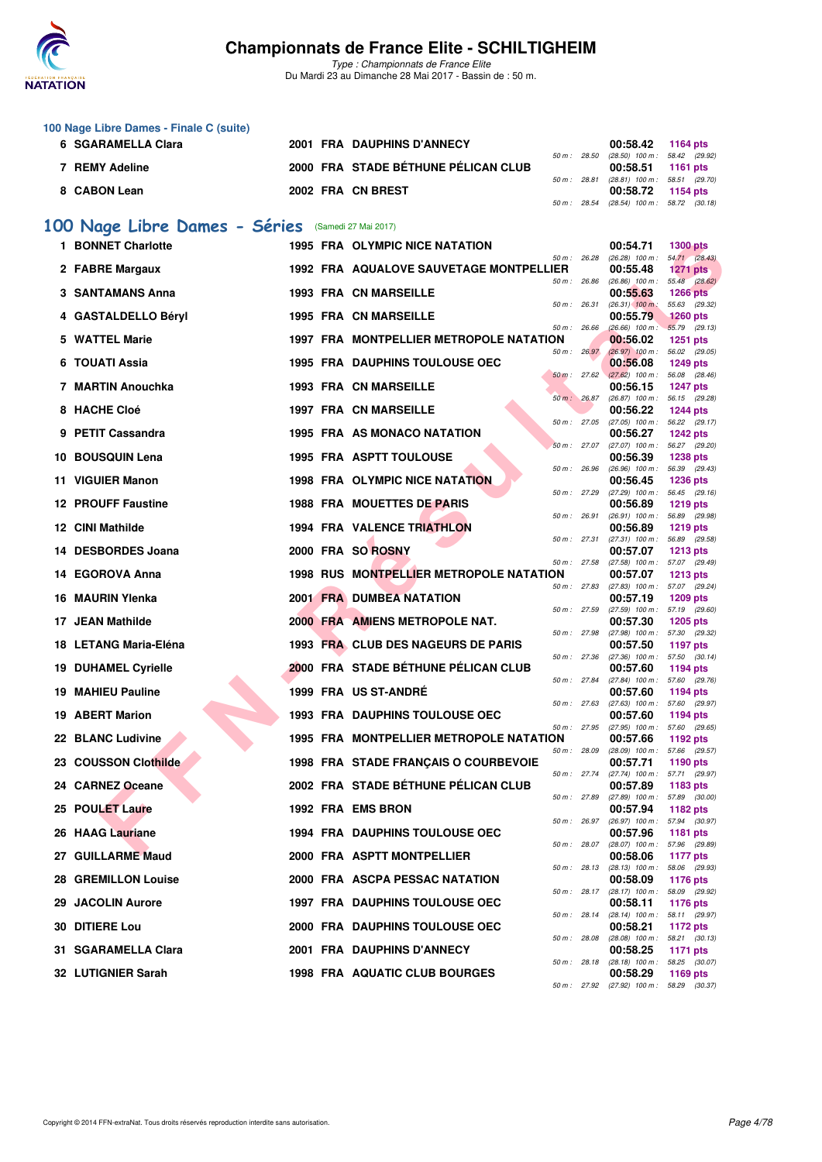

| 100 Nage Libre Dames - Finale C (suite)            |                                                |                  |                   |                 |
|----------------------------------------------------|------------------------------------------------|------------------|-------------------|-----------------|
| 6 SGARAMELLA Clara                                 | <b>2001 FRA DAUPHINS D'ANNECY</b>              |                  | 00:58.42          | 1164 pts        |
|                                                    |                                                | 50 m: 28.50      | $(28.50)$ 100 m : | 58.42 (29.92)   |
| 7 REMY Adeline                                     | 2000 FRA STADE BÉTHUNE PÉLICAN CLUB            |                  | 00:58.51          | 1161 $pts$      |
|                                                    |                                                | 50 m: 28.81      | $(28.81)$ 100 m : | 58.51 (29.70)   |
| 8 CABON Lean                                       | 2002 FRA CN BREST                              |                  | 00:58.72          | 1154 pts        |
|                                                    |                                                | $50 m$ : 28.54   | $(28.54)$ 100 m : | 58.72 (30.18)   |
| 100 Nage Libre Dames - Séries (Samedi 27 Mai 2017) |                                                |                  |                   |                 |
| <b>BONNET Charlotte</b>                            | <b>1995 FRA OLYMPIC NICE NATATION</b>          |                  | 00:54.71          | <b>1300 pts</b> |
|                                                    |                                                | 50 m: 26.28      | $(26.28)$ 100 m : | 54.71 (28.43)   |
| 2 FABRE Margaux                                    | <b>1992 FRA AQUALOVE SAUVETAGE MONTPELLIER</b> |                  | 00:55.48          | 1271 pts        |
|                                                    |                                                | $50 m$ : 26.86   | $(26.86)$ 100 m : | 55.48 (28.62)   |
| <b>3 SANTAMANS Anna</b>                            | <b>1993 FRA CN MARSEILLE</b>                   |                  | 00:55.63          | <b>1266 pts</b> |
|                                                    |                                                | 50 m: 26.31      | $(26.31)$ 100 m:  | 55.63 (29.32)   |
| 4 GASTALDELLO Béryl                                | <b>1995 FRA CN MARSEILLE</b>                   |                  | 00:55.79          | <b>1260 pts</b> |
|                                                    |                                                | $50 m$ : 26.66   | $(26.66)$ 100 m : | 55.79 (29.13)   |
| 5 WATTEL Marie                                     | 1997 FRA MONTPELLIER METROPOLE NATATION        |                  | 00:56.02          | <b>1251 pts</b> |
|                                                    |                                                | $50 m$ : $26.97$ | $(26.97)$ 100 m : | 56.02 (29.05)   |
| 6 TOILATI Assia                                    | 1995 FRA DAUPHINS TOULOUSE OFC.                |                  | 00.5608           | 1249 nts        |

| 1 BONNET Charlotte                           |  | 1995 FRA OLYMPIC NICE NATATION                               |                | 00:54.71                                                                                  | <b>1300 pts</b>                  |
|----------------------------------------------|--|--------------------------------------------------------------|----------------|-------------------------------------------------------------------------------------------|----------------------------------|
| 2 FABRE Margaux                              |  | 1992 FRA AQUALOVE SAUVETAGE MONTPELLIER                      | 50 m : 26.28   | $(26.28)$ 100 m : 54.71 $(28.43)$<br>00:55.48                                             | 1271 $pts$                       |
| 3 SANTAMANS Anna                             |  | <b>1993 FRA CN MARSEILLE</b>                                 | $50 m$ : 26.86 | $(26.86)$ 100 m :<br>00:55.63                                                             | 55.48 (28.62)<br><b>1266 pts</b> |
| 4 GASTALDELLO Béryl                          |  | <b>1995 FRA CN MARSEILLE</b>                                 | 50 m: 26.31    | $(26.31)$ 100 m:<br>00:55.79                                                              | 55.63 (29.32)<br><b>1260 pts</b> |
| 5 WATTEL Marie                               |  | 1997 FRA MONTPELLIER METROPOLE NATATION                      | 50 m: 26.66    | $(26.66)$ 100 m :<br>00:56.02                                                             | 55.79 (29.13)<br><b>1251 pts</b> |
| 6 TOUATI Assia                               |  | <b>1995 FRA DAUPHINS TOULOUSE OEC</b>                        | 50 m: 26.97    | $(26.97)$ 100 m :<br>00:56.08                                                             | 56.02 (29.05)<br><b>1249 pts</b> |
| 7 MARTIN Anouchka                            |  | <b>1993 FRA CN MARSEILLE</b>                                 | 50 m: 26.87    | 50 m: 27.62 (27.62) 100 m: 56.08 (28.46)<br>00:56.15<br>$(26.87)$ 100 m : 56.15 $(29.28)$ | <b>1247 pts</b>                  |
| 8 HACHE Cloé                                 |  | <b>1997 FRA CN MARSEILLE</b>                                 | 50 m: 27.05    | 00:56.22<br>$(27.05)$ 100 m : 56.22 $(29.17)$                                             | <b>1244 pts</b>                  |
| 9 PETIT Cassandra                            |  | 1995 FRA AS MONACO NATATION                                  | 50 m: 27.07    | 00:56.27<br>$(27.07)$ 100 m : 56.27 $(29.20)$                                             | <b>1242 pts</b>                  |
| 10 BOUSQUIN Lena                             |  | <b>1995 FRA ASPTT TOULOUSE</b>                               | 50 m : 26.96   | 00:56.39<br>$(26.96)$ 100 m : 56.39 $(29.43)$                                             | <b>1238 pts</b>                  |
| 11 VIGUIER Manon                             |  | <b>1998 FRA OLYMPIC NICE NATATION</b>                        | 50 m : 27.29   | 00:56.45<br>$(27.29)$ 100 m : 56.45 $(29.16)$                                             | <b>1236 pts</b>                  |
| <b>12 PROUFF Faustine</b>                    |  | 1988 FRA MOUETTES DE PARIS                                   | 50 m : 26.91   | 00:56.89<br>$(26.91)$ 100 m : 56.89 $(29.98)$                                             | <b>1219 pts</b>                  |
| 12 CINI Mathilde                             |  | <b>1994 FRA VALENCE TRIATHLON</b>                            | 50 m: 27.31    | 00:56.89<br>$(27.31)$ 100 m : 56.89 $(29.58)$                                             | <b>1219 pts</b>                  |
| 14 DESBORDES Joana                           |  | 2000 FRA SO ROSNY                                            | 50 m: 27.58    | 00:57.07<br>$(27.58)$ 100 m : 57.07 $(29.49)$                                             | 1213 $pts$                       |
| 14 EGOROVA Anna                              |  | <b>1998 RUS MONTPELLIER METROPOLE NATATION</b>               | 50 m: 27.83    | 00:57.07<br>(27.83) 100 m: 57.07 (29.24)                                                  | <b>1213 pts</b>                  |
| 16 MAURIN Ylenka                             |  | <b>2001 FRA DUMBEA NATATION</b>                              | 50 m : 27.59   | 00:57.19<br>$(27.59)$ 100 m : 57.19 $(29.60)$                                             | <b>1209 pts</b>                  |
| 17 JEAN Mathilde                             |  | 2000 FRA AMIENS METROPOLE NAT.                               | 50 m : 27.98   | 00:57.30<br>(27.98) 100 m : 57.30 (29.32)                                                 | <b>1205 pts</b>                  |
| 18 LETANG Maria-Eléna                        |  | 1993 FRA CLUB DES NAGEURS DE PARIS                           | 50 m : 27.36   | 00:57.50<br>$(27.36)$ 100 m : 57.50 $(30.14)$                                             | 1197 pts                         |
| <b>19 DUHAMEL Cyrielle</b>                   |  | 2000 FRA STADE BÉTHUNE PÉLICAN CLUB                          |                | 00:57.60<br>50 m: 27.84 (27.84) 100 m: 57.60 (29.76)                                      | 1194 pts                         |
| 19 MAHIEU Pauline                            |  | 1999 FRA US ST-ANDRE                                         | 50 m : 27.63   | 00:57.60<br>$(27.63)$ 100 m :                                                             | 1194 pts<br>57.60 (29.97)        |
| 19 ABERT Marion                              |  | <b>1993 FRA DAUPHINS TOULOUSE OEC</b>                        | 50 m : 27.95   | 00:57.60<br>$(27.95)$ 100 m : 57.60 $(29.65)$                                             | 1194 pts                         |
| 22 BLANC Ludivine                            |  | 1995 FRA MONTPELLIER METROPOLE NATATION                      | 50 m: 28.09    | 00:57.66<br>$(28.09)$ 100 m : 57.66 $(29.57)$                                             | 1192 $pts$                       |
| 23 COUSSON Clothilde                         |  | 1998 FRA STADE FRANÇAIS O COURBEVOIE                         | 50 m : 27.74   | 00:57.71<br>(27.74) 100 m: 57.71 (29.97)                                                  | 1190 pts                         |
| 24 CARNEZ Oceane                             |  | 2002 FRA STADE BÉTHUNE PÉLICAN CLUB                          |                | 00:57.89<br>50 m: 27.89 (27.89) 100 m: 57.89 (30.00)                                      | 1183 pts                         |
| 25 POULET Laure                              |  | 1992 FRA EMS BRON                                            | 50 m : 26.97   | 00:57.94<br>$(26.97)$ 100 m : 57.94 $(30.97)$                                             | 1182 $pts$                       |
| 26 HAAG Lauriane                             |  | <b>1994 FRA DAUPHINS TOULOUSE OEC</b>                        | 50 m : 28.07   | 00:57.96<br>$(28.07)$ 100 m : 57.96 $(29.89)$                                             | 1181 $pts$                       |
| 27 GUILLARME Maud                            |  | 2000 FRA ASPTT MONTPELLIER                                   |                | 00:58.06<br>50 m: 28.13 (28.13) 100 m: 58.06 (29.93)                                      | 1177 pts                         |
| 28 GREMILLON Louise                          |  | 2000 FRA ASCPA PESSAC NATATION                               |                | 00:58.09<br>50 m: 28.17 (28.17) 100 m: 58.09 (29.92)                                      | 1176 pts                         |
| 29 JACOLIN Aurore                            |  | <b>1997 FRA DAUPHINS TOULOUSE OEC</b>                        |                | 00:58.11<br>50 m: 28.14 (28.14) 100 m: 58.11 (29.97)                                      | 1176 pts                         |
| <b>30 DITIERE Lou</b><br>31 SGARAMELLA Clara |  | 2000 FRA DAUPHINS TOULOUSE OEC<br>2001 FRA DAUPHINS D'ANNECY |                | 00:58.21<br>50 m: 28.08 (28.08) 100 m: 58.21 (30.13)                                      | 1172 pts                         |
| 32 LUTIGNIER Sarah                           |  | <b>1998 FRA AQUATIC CLUB BOURGES</b>                         |                | 00:58.25<br>50 m: 28.18 (28.18) 100 m: 58.25 (30.07)<br>00:58.29                          | 1171 pts<br>1169 $pts$           |
|                                              |  |                                                              |                | 50 m: 27.92 (27.92) 100 m: 58.29 (30.37)                                                  |                                  |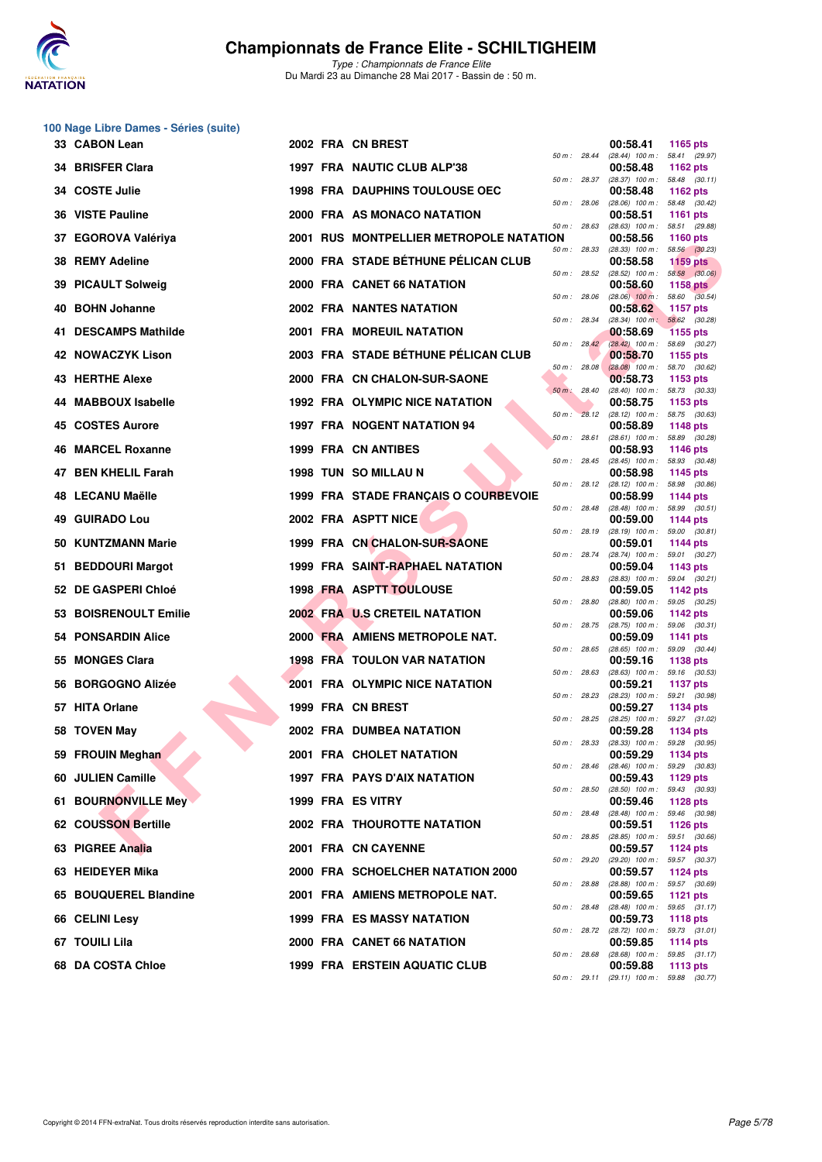

**100 Nage Libre Dames - Séries (suite)**

## **Championnats de France Elite - SCHILTIGHEIM**

|     | 33 CABON Lean             |  | 2002 FRA CN BREST                              |              |              | 00:58.41                                               | 1165 pts                         |
|-----|---------------------------|--|------------------------------------------------|--------------|--------------|--------------------------------------------------------|----------------------------------|
|     | 34 BRISFER Clara          |  | 1997 FRA NAUTIC CLUB ALP'38                    |              | 50 m : 28.44 | (28.44) 100 m: 58.41 (29.97)<br>00:58.48               | 1162 pts                         |
| 34  | <b>COSTE Julie</b>        |  | <b>1998 FRA DAUPHINS TOULOUSE OEC</b>          |              | 50 m : 28.37 | $(28.37)$ 100 m : 58.48 $(30.11)$<br>00:58.48          | 1162 pts                         |
| 36  | <b>VISTE Pauline</b>      |  | 2000 FRA AS MONACO NATATION                    | 50 m : 28.06 |              | $(28.06)$ 100 m : 58.48 $(30.42)$<br>00:58.51          | <b>1161 pts</b>                  |
| 37  | <b>EGOROVA Valériya</b>   |  | <b>2001 RUS MONTPELLIER METROPOLE NATATION</b> | 50 m: 28.63  |              | $(28.63)$ 100 m : 58.51 $(29.88)$<br>00:58.56          | <b>1160 pts</b>                  |
|     | 38 REMY Adeline           |  | 2000 FRA STADE BÉTHUNE PÉLICAN CLUB            | 50 m : 28.33 |              | $(28.33)$ 100 m :<br>00:58.58                          | 58.56 (30.23)<br><b>1159 pts</b> |
| 39  | <b>PICAULT Solweig</b>    |  | 2000 FRA CANET 66 NATATION                     | 50 m : 28.52 |              | $(28.52)$ 100 m : 58.58 $(30.06)$<br>00:58.60          | <b>1158 pts</b>                  |
| 40  | <b>BOHN Johanne</b>       |  | 2002 FRA NANTES NATATION                       | 50 m: 28.06  |              | $(28.06)$ 100 m : 58.60 $(30.54)$<br>00:58.62          | <b>1157 pts</b>                  |
|     | 41 DESCAMPS Mathilde      |  | 2001 FRA MOREUIL NATATION                      | 50 m: 28.34  |              | (28.34) 100 m: 58.62 (30.28)<br>00:58.69               | <b>1155 pts</b>                  |
|     | <b>42 NOWACZYK Lison</b>  |  | 2003 FRA STADE BÉTHUNE PÉLICAN CLUB            |              | 50 m: 28.42  | $(28.42)$ 100 m : 58.69 $(30.27)$<br>00:58.70          | 1155 pts                         |
|     | 43 HERTHE Alexe           |  | 2000 FRA CN CHALON-SUR-SAONE                   | 50 m: 28.08  |              | $(28.08)$ 100 m : 58.70 $(30.62)$<br>00:58.73          | 1153 pts                         |
|     | <b>MABBOUX Isabelle</b>   |  | <b>1992 FRA OLYMPIC NICE NATATION</b>          | 50 m : 28.40 |              | (28.40) 100 m: 58.73 (30.33)<br>00:58.75               | 1153 pts                         |
| 45  | <b>COSTES Aurore</b>      |  | <b>1997 FRA NOGENT NATATION 94</b>             | 50 m: 28.12  |              | $(28.12)$ 100 m : 58.75 $(30.63)$<br>00:58.89          | 1148 pts                         |
| 46  | <b>MARCEL Roxanne</b>     |  | <b>1999 FRA CN ANTIBES</b>                     | 50 m: 28.61  |              | $(28.61)$ 100 m : 58.89 $(30.28)$<br>00:58.93          | 1146 pts                         |
|     | 47 BEN KHELIL Farah       |  | 1998 TUN SO MILLAU N                           |              | 50 m : 28.45 | $(28.45)$ 100 m : 58.93 $(30.48)$<br>00:58.98          | 1145 pts                         |
|     | 48 LECANU Maëlle          |  | 1999 FRA STADE FRANÇAIS O COURBEVOIE           |              | 50 m : 28.12 | $(28.12)$ 100 m :<br>00:58.99                          | 58.98 (30.86)<br>1144 pts        |
| 49  | <b>GUIRADO Lou</b>        |  | 2002 FRA ASPTT NICE                            | 50 m: 28.48  |              | $(28.48)$ 100 m : 58.99 $(30.51)$<br>00:59.00          | <b>1144 pts</b>                  |
|     | 50 KUNTZMANN Marie        |  | 1999 FRA CN CHALON-SUR-SAONE                   | 50 m: 28.19  |              | $(28.19)$ 100 m : 59.00 $(30.81)$<br>00:59.01          | <b>1144 pts</b>                  |
| 51  | <b>BEDDOURI Margot</b>    |  | 1999 FRA SAINT-RAPHAEL NATATION                | 50 m: 28.74  |              | (28.74) 100 m: 59.01 (30.27)<br>00:59.04               | 1143 pts                         |
|     | 52 DE GASPERI Chloé       |  | <b>1998 FRA ASPTT TOULOUSE</b>                 | 50 m: 28.83  |              | $(28.83)$ 100 m : 59.04 $(30.21)$<br>00:59.05          | 1142 pts                         |
| 53. | <b>BOISRENOULT Emilie</b> |  | <b>2002 FRA U.S CRETEIL NATATION</b>           | 50 m : 28.80 |              | $(28.80)$ 100 m : 59.05 $(30.25)$<br>00:59.06          | 1142 pts                         |
|     | 54 PONSARDIN Alice        |  | 2000 FRA AMIENS METROPOLE NAT.                 | 50 m : 28.75 |              | (28.75) 100 m: 59.06 (30.31)<br>00:59.09               | 1141 pts                         |
| 55  | <b>MONGES Clara</b>       |  | <b>1998 FRA TOULON VAR NATATION</b>            | 50 m: 28.65  |              | $(28.65)$ 100 m : 59.09 $(30.44)$<br>00:59.16          | 1138 pts                         |
| 56  | <b>BORGOGNO Alizée</b>    |  | 2001 FRA OLYMPIC NICE NATATION                 | 50 m: 28.63  |              | $(28.63)$ 100 m : 59.16 $(30.53)$<br>00:59.21          | <b>1137 pts</b>                  |
|     | 57 HITA Orlane            |  | 1999 FRA CN BREST                              | 50 m: 28.23  |              | (28.23) 100 m: 59.21 (30.98)<br>00:59.27               | 1134 pts                         |
|     | 58 TOVEN May              |  | 2002 FRA DUMBEA NATATION                       | 50 m: 28.25  |              | (28.25) 100 m: 59.27 (31.02)<br>00:59.28               | 1134 pts                         |
|     | 59 FROUIN Meghan          |  | 2001 FRA CHOLET NATATION                       | 50 m : 28.33 |              | $(28.33)$ 100 m : 59.28 $(30.95)$<br>00:59.29          | 1134 pts                         |
|     | 60 JULIEN Camille         |  | <b>1997 FRA PAYS D'AIX NATATION</b>            |              |              | 50 m : 28.46 (28.46) 100 m : 59.29 (30.83)<br>00:59.43 | <b>1129 pts</b>                  |
|     | 61 BOURNONVILLE Mey       |  | 1999 FRA ES VITRY                              |              | 50 m : 28.50 | $(28.50)$ 100 m : 59.43 $(30.93)$<br>00:59.46          | <b>1128 pts</b>                  |
|     | 62 COUSSON Bertille       |  | <b>2002 FRA THOUROTTE NATATION</b>             |              | 50 m : 28.48 | (28.48) 100 m: 59.46 (30.98)<br>00:59.51               | 1126 $pts$                       |
|     | 63 PIGREE Analia          |  | 2001 FRA CN CAYENNE                            |              | 50 m : 28.85 | (28.85) 100 m: 59.51 (30.66)<br>00:59.57               | <b>1124 pts</b>                  |
|     | 63 HEIDEYER Mika          |  | 2000 FRA SCHOELCHER NATATION 2000              |              | 50 m : 29.20 | (29.20) 100 m: 59.57 (30.37)<br>00:59.57               | 1124 pts                         |
|     | 65 BOUQUEREL Blandine     |  | 2001 FRA AMIENS METROPOLE NAT.                 |              | 50 m : 28.88 | (28.88) 100 m: 59.57 (30.69)<br>00:59.65               | <b>1121 pts</b>                  |
|     | 66 CELINI Lesy            |  | <b>1999 FRA ES MASSY NATATION</b>              |              | 50 m : 28.48 | $(28.48)$ 100 m : 59.65 $(31.17)$<br>00:59.73          | 1118 pts                         |
|     | 67 TOUILI Lila            |  | <b>2000 FRA CANET 66 NATATION</b>              |              |              | 50 m: 28.72 (28.72) 100 m: 59.73 (31.01)<br>00:59.85   | <b>1114 pts</b>                  |
|     | 68 DA COSTA Chloe         |  | <b>1999 FRA ERSTEIN AQUATIC CLUB</b>           |              | 50 m : 28.68 | $(28.68)$ 100 m : 59.85 $(31.17)$<br>00:59.88          | 1113 pts                         |
|     |                           |  |                                                |              |              | 50 m: 29.11 (29.11) 100 m: 59.88 (30.77)               |                                  |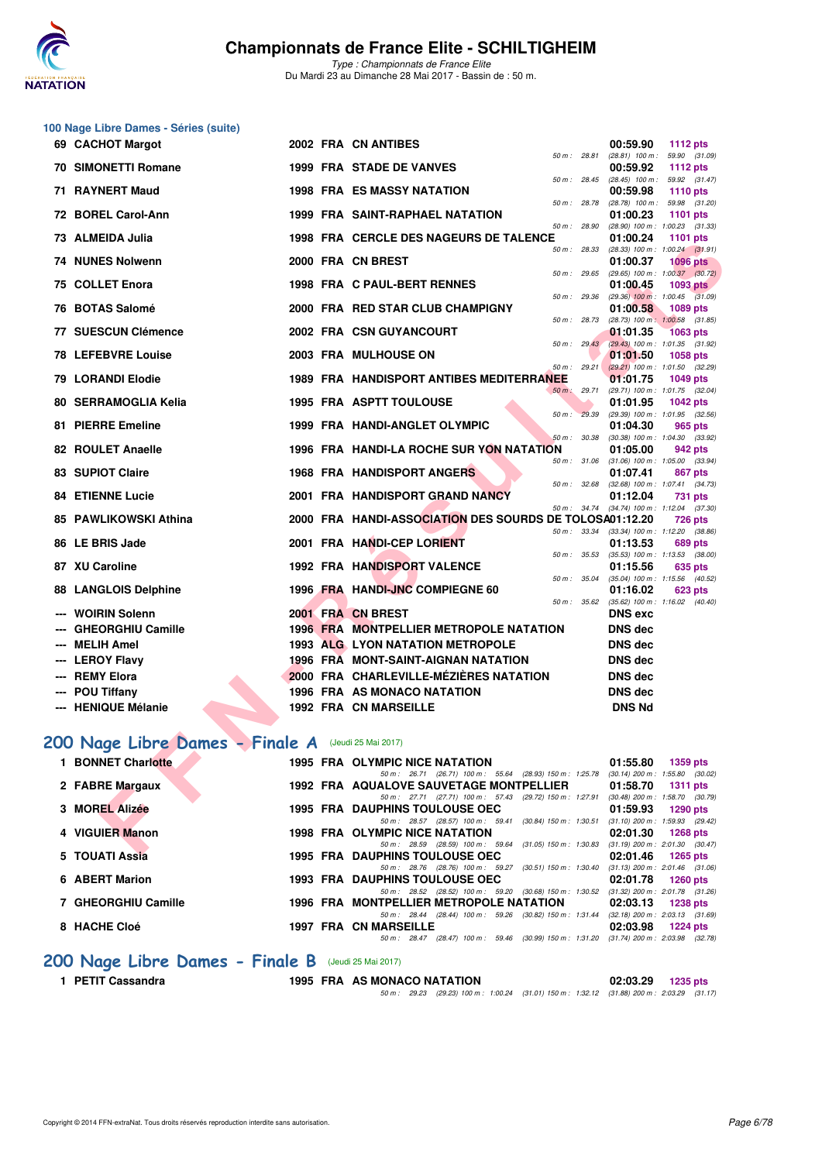

*Type : Championnats de France Elite* Du Mardi 23 au Dimanche 28 Mai 2017 - Bassin de : 50 m.

|      | 100 Nage Libre Dames - Séries (suite)               |            |                                                                                                    |                                                                    |
|------|-----------------------------------------------------|------------|----------------------------------------------------------------------------------------------------|--------------------------------------------------------------------|
|      | 69 CACHOT Margot                                    |            | 2002 FRA CN ANTIBES                                                                                | 00:59.90<br><b>1112 pts</b>                                        |
|      | 70 SIMONETTI Romane                                 |            | 50 m : 28.81<br><b>1999 FRA STADE DE VANVES</b>                                                    | $(28.81)$ 100 m : 59.90 $(31.09)$<br>00:59.92<br><b>1112 pts</b>   |
|      | 71 RAYNERT Maud                                     |            | 50 m : 28.45<br><b>1998 FRA ES MASSY NATATION</b>                                                  | $(28.45)$ 100 m : 59.92 $(31.47)$<br>00:59.98<br><b>1110 pts</b>   |
|      | 72 BOREL Carol-Ann                                  |            | 50 m : 28.78<br><b>1999 FRA SAINT-RAPHAEL NATATION</b>                                             | (28.78) 100 m: 59.98 (31.20)<br>01:00.23<br><b>1101 pts</b>        |
|      | 73 ALMEIDA Julia                                    |            | 50 m : 28.90<br>1998 FRA CERCLE DES NAGEURS DE TALENCE                                             | (28.90) 100 m: 1:00.23 (31.33)<br>01:00.24<br><b>1101 pts</b>      |
|      | <b>74 NUNES Nolwenn</b>                             |            | 50 m: 28.33<br>2000 FRA CN BREST                                                                   | $(28.33)$ 100 m : 1:00.24 $(31.91)$<br>01:00.37<br><b>1096 pts</b> |
|      | 75 COLLET Enora                                     |            | 50 m : 29.65<br>1998 FRA C PAUL-BERT RENNES                                                        | $(29.65)$ 100 m : 1:00.37 $(30.72)$<br>01:00.45<br>1093 pts        |
| 76.  | <b>BOTAS Salomé</b>                                 |            | 50 m : 29.36<br>2000 FRA RED STAR CLUB CHAMPIGNY                                                   | $(29.36)$ 100 m : 1:00.45 $(31.09)$<br>01:00.58<br>1089 pts        |
|      | 77 SUESCUN Clémence                                 |            | 50 m: 28.73<br>2002 FRA CSN GUYANCOURT                                                             | (28.73) 100 m: 1:00.58 (31.85)<br>01:01.35<br><b>1063 pts</b>      |
|      | <b>78 LEFEBVRE Louise</b>                           |            | $50 \text{ m}$ : 29.43<br>2003 FRA MULHOUSE ON                                                     | $(29.43)$ 100 m : 1:01.35 $(31.92)$<br>01:01.50<br>1058 pts        |
|      |                                                     |            | 50 m: 29.21                                                                                        | $(29.21)$ 100 m : 1:01.50 $(32.29)$                                |
|      | <b>79 LORANDI Elodie</b>                            |            | <b>1989 FRA HANDISPORT ANTIBES MEDITERRANEE</b><br>50 m : 29.71                                    | 01:01.75<br><b>1049 pts</b><br>(29.71) 100 m: 1:01.75 (32.04)      |
|      | 80 SERRAMOGLIA Kelia                                |            | <b>1995 FRA ASPTT TOULOUSE</b>                                                                     | 01:01.95<br><b>1042 pts</b>                                        |
|      |                                                     |            | 50 m: 29.39                                                                                        | (29.39) 100 m: 1:01.95 (32.56)                                     |
|      | 81 PIERRE Emeline                                   |            | 1999 FRA HANDI-ANGLET OLYMPIC<br>50 m : 30.38                                                      | 01:04.30<br>965 pts<br>(30.38) 100 m: 1:04.30 (33.92)              |
|      | 82 ROULET Anaelle                                   |            | 1996 FRA HANDI-LA ROCHE SUR YON NATATION                                                           | 01:05.00<br>942 pts                                                |
|      |                                                     |            |                                                                                                    | 50 m: 31.06 (31.06) 100 m: 1:05.00 (33.94)                         |
|      | 83 SUPIOT Claire                                    |            | <b>1968 FRA HANDISPORT ANGERS</b>                                                                  | 01:07.41<br>867 pts                                                |
|      | <b>84 ETIENNE Lucie</b>                             |            | 50 m : 32.68<br>2001 FRA HANDISPORT GRAND NANCY                                                    | $(32.68)$ 100 m : 1:07.41 $(34.73)$<br>01:12.04<br>731 pts         |
|      | <b>85 PAWLIKOWSKI Athina</b>                        |            | 2000 FRA HANDI-ASSOCIATION DES SOURDS DE TOLOSA01:12.20                                            | 50 m: 34.74 (34.74) 100 m: 1:12.04 (37.30)<br><b>726 pts</b>       |
|      |                                                     |            | 50 m : 33.34                                                                                       | $(33.34)$ 100 m : 1:12.20 $(38.86)$                                |
|      | 86 LE BRIS Jade                                     |            | 2001 FRA HANDI-CEP LORIENT                                                                         | 01:13.53<br>689 pts                                                |
|      | 87 XU Caroline                                      |            | 50 m : 35.53<br>1992 FRA HANDISPORT VALENCE                                                        | $(35.53)$ 100 m : 1:13.53 $(38.00)$<br>01:15.56<br>635 pts         |
|      | 88 LANGLOIS Delphine                                |            | 50 m : 35.04<br>1996 FRA HANDI-JNC COMPIEGNE 60                                                    | (35.04) 100 m: 1:15.56 (40.52)<br>01:16.02<br>623 pts              |
|      | <b>WOIRIN Solenn</b>                                |            | 50 m : 35.62<br>2001 FRA CN BREST                                                                  | $(35.62)$ 100 m : 1:16.02 $(40.40)$<br><b>DNS</b> exc              |
| $--$ | <b>GHEORGHIU Camille</b>                            |            | <b>1996 FRA MONTPELLIER METROPOLE NATATION</b>                                                     | <b>DNS</b> dec                                                     |
|      | <b>MELIH Amel</b>                                   |            | <b>1993 ALG LYON NATATION METROPOLE</b>                                                            | <b>DNS dec</b>                                                     |
|      |                                                     |            | 1996 FRA MONT-SAINT-AIGNAN NATATION                                                                | <b>DNS dec</b>                                                     |
| ---  | <b>LEROY Flavy</b><br><b>REMY Elora</b>             |            | 2000 FRA CHARLEVILLE-MÉZIÈRES NATATION                                                             | DNS dec                                                            |
|      | <b>POU Tiffany</b>                                  |            | 1996 FRA AS MONACO NATATION                                                                        | DNS dec                                                            |
|      | --- HENIQUE Mélanie                                 |            | <b>1992 FRA CN MARSEILLE</b>                                                                       | <b>DNS Nd</b>                                                      |
|      |                                                     |            |                                                                                                    |                                                                    |
|      | 200 Nage Libre Dames - Finale A (Jeudi 25 Mai 2017) |            |                                                                                                    |                                                                    |
|      | <b>1 BONNET Charlotte</b>                           |            | 1995 FRA OLYMPIC NICE NATATION<br>50 m: 26.71 (26.71) 100 m: 55.64 (28.93) 150 m: 1:25.78          | 01:55.80<br><b>1359 pts</b><br>$(30.14)$ 200 m : 1:55.80 $(30.02)$ |
|      | 2 FABRE Margaux                                     |            | 1992 FRA AQUALOVE SAUVETAGE MONTPELLIER<br>50 m: 27.71 (27.71) 100 m: 57.43 (29.72) 150 m: 1:27.91 | 01:58.70<br><b>1311 pts</b><br>$(30.48)$ 200 m : 1:58.70 $(30.79)$ |
|      | 3 MOREL Alizée                                      |            | 1995 FRA DAUPHINS TOULOUSE OEC<br>50 m: 28.57 (28.57) 100 m: 59.41 (30.84) 150 m: 1:30.51          | 01:59.93<br><b>1290 pts</b><br>$(31.10)$ 200 m : 1:59.93 $(29.42)$ |
|      | 4 VIGUIER Manon                                     |            | 1998 FRA OLYMPIC NICE NATATION<br>50 m: 28.59 (28.59) 100 m: 59.64 (31.05) 150 m: 1:30.83          | 02:01.30<br><b>1268 pts</b><br>$(31.19)$ 200 m : 2:01.30 $(30.47)$ |
|      | $E$ TOUATLA- $\ddot{a}$                             | 100E ED.A. | <b>DAUDUBLE TOUL OUGH OFO</b>                                                                      | <b>00.01.10</b>                                                    |

## **[200 Nage Libre Dames - Finale A](http://www.ffnatation.fr/webffn/resultats.php?idact=nat&go=epr&idcpt=45075&idepr=3)** (Jeudi 25 Mai 2017)

| 1 BONNET Charlotte  |  | 1995 FRA OLYMPIC NICE NATATION<br>1359 pts<br>01:55.80                                                                                                                 |
|---------------------|--|------------------------------------------------------------------------------------------------------------------------------------------------------------------------|
| 2 FABRE Margaux     |  | $(30.14)$ 200 m : 1:55.80 $(30.02)$<br>50 m: 26.71 (26.71) 100 m: 55.64 (28.93) 150 m: 1:25.78<br>1992 FRA AQUALOVE SAUVETAGE MONTPELLIER<br>01:58.70<br>1311 $pts$    |
| 3 MOREL Alizée      |  | (30.48) 200 m : 1:58.70 (30.79<br>50 m : 27.71 (27.71) 100 m : 57.43 (29.72) 150 m : 1.27.91<br><b>1995 FRA DAUPHINS TOULOUSE OEC</b><br>01:59.93<br>1290 pts          |
| 4 VIGUIER Manon     |  | (31.10) 200 m: 1:59.93 (29.42)<br>$(30.84)$ 150 m : 1:30.51<br>50 m: 28.57 (28.57) 100 m: 59.41<br><b>1998 FRA OLYMPIC NICE NATATION</b><br>02:01.30<br>1268 pts       |
| 5 TOUATI Assia      |  | $(31.19)$ 200 m : 2:01.30 $(30.47)$<br>$(31.05)$ 150 m : 1:30.83<br>50 m: 28.59 (28.59) 100 m: 59.64<br><b>1995 FRA DAUPHINS TOULOUSE OEC</b><br>02:01.46<br>1265 pts  |
|                     |  | (31.13) 200 m : 2:01.46 (31.06<br>$(30.51)$ 150 m : 1:30.40<br>50 m : 28.76 (28.76) 100 m : 59.27                                                                      |
| 6 ABERT Marion      |  | <b>1993 FRA DAUPHINS TOULOUSE OEC</b><br>02:01.78<br>1260 pts<br>$(31.32)$ 200 m : 2:01.78 $(31.26)$<br>50 m: 28.52 (28.52) 100 m: 59.20 (30.68) 150 m: 1:30.52        |
| 7 GHEORGHIU Camille |  | 1996 FRA MONTPELLIER METROPOLE NATATION<br>02:03.13<br>$1238$ pts<br>$(32.18)$ 200 m : 2:03.13 $(31.69)$<br>50 m : 28.44 (28.44) 100 m : 59.26 (30.82) 150 m : 1:31.44 |
| 8 HACHE Cloé        |  | <b>1997 FRA CN MARSEILLE</b><br>02:03.98<br>1224 pts<br>(28.47) 100 m : 59.46 (30.99) 150 m : 1:31.20<br>$(31.74)$ 200 m : 2:03.98 $(32.78)$<br>$50 \text{ m}$ : 28.47 |
|                     |  |                                                                                                                                                                        |

# **200 Nage Libre Dames - Finale B** (Jeudi 25 Mai 2017)<br>1 PETIT Cassandra 1995 FRA AS MONA

**1 PETIT Cassandra 1995 FRA AS MONACO NATATION 02:03.29 1235 pts** *50 m : 29.23 (29.23) 100 m : 1:00.24 (31.01) 150 m : 1:32.12 (31.88) 200 m : 2:03.29 (31.17)*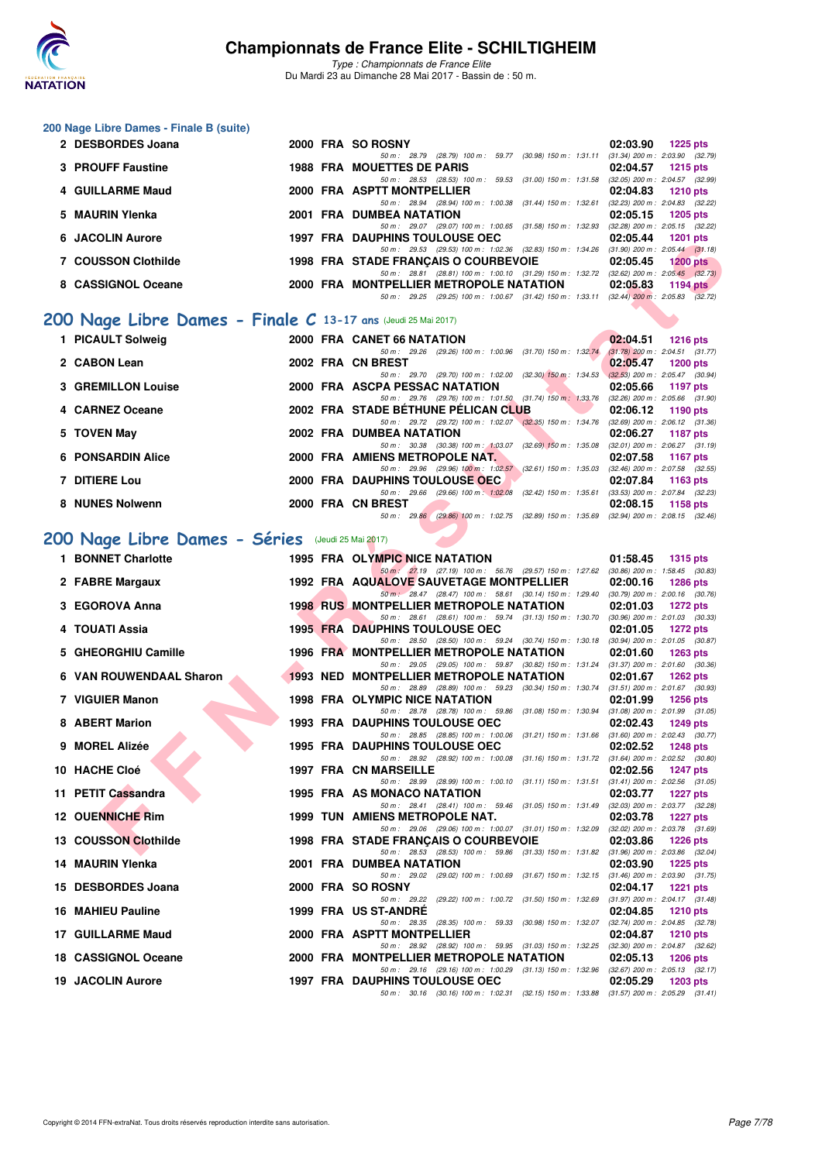

*Type : Championnats de France Elite* Du Mardi 23 au Dimanche 28 Mai 2017 - Bassin de : 50 m.

#### **200 Nage Libre Dames - Finale B (suite)**

| 2 DESBORDES Joana   |  | 2000 FRA SO ROSNY<br>02:03.90<br>1225 pts                                                          |
|---------------------|--|----------------------------------------------------------------------------------------------------|
|                     |  | $(31.34)$ 200 m : 2:03.90 $(32.79)$<br>50 m: 28.79 (28.79) 100 m: 59.77 (30.98) 150 m: 1:31.11     |
| 3 PROUFF Faustine   |  | 1988 FRA MOUETTES DE PARIS<br>02:04.57<br>$1215$ pts                                               |
|                     |  | $(32.05)$ 200 m : 2:04.57 $(32.99)$<br>50 m: 28.53 (28.53) 100 m: 59.53 (31.00) 150 m: 1:31.58     |
| 4 GUILLARME Maud    |  | 2000 FRA ASPTT MONTPELLIER<br>02:04.83<br>1210 pts                                                 |
|                     |  | $(32.23)$ 200 m : $2.04.83$ $(32.22)$<br>50 m: 28.94 (28.94) 100 m: 1:00.38 (31.44) 150 m: 1:32.61 |
| 5 MAURIN Ylenka     |  | 2001 FRA DUMBEA NATATION<br>02:05.15<br>1205 pts                                                   |
|                     |  | $(32.28)$ 200 m : $2.05.15$ $(32.22)$<br>50 m: 29.07 (29.07) 100 m: 1:00.65 (31.58) 150 m: 1:32.93 |
| 6 JACOLIN Aurore    |  | <b>1997 FRA DAUPHINS TOULOUSE OEC</b><br>02:05.44<br>$1201$ pts                                    |
|                     |  | $(31.90)$ 200 m : 2:05.44 $(31.18)$<br>50 m: 29.53 (29.53) 100 m: 1:02.36 (32.83) 150 m: 1:34.26   |
| 7 COUSSON Clothilde |  | <b>1998 FRA STADE FRANCAIS O COURBEVOIE</b><br>02:05.45<br>$1200$ pts                              |
|                     |  | 50 m: 28.81 (28.81) 100 m: 1:00.10 (31.29) 150 m: 1:32.72 (32.62) 200 m: 2:05.45 (32.73)           |
| 8 CASSIGNOL Oceane  |  | 2000 FRA MONTPELLIER METROPOLE NATATION<br>02:05.83<br>$1194$ pts                                  |
|                     |  | 50 m: 29.25 (29.25) 100 m: 1:00.67 (31.42) 150 m: 1:33.11 (32.44) 200 m: 2:05.83 (32.72)           |
|                     |  |                                                                                                    |

## **[200 Nage Libre Dames - Finale C](http://www.ffnatation.fr/webffn/resultats.php?idact=nat&go=epr&idcpt=45075&idepr=3) 13-17 ans** (Jeudi 25 Mai 2017)

| 1 PICAULT Solweig         |  | 2000 FRA CANET 66 NATATION                                                                       |                           | 02:04.51                                      | 1216 pts                                                 |
|---------------------------|--|--------------------------------------------------------------------------------------------------|---------------------------|-----------------------------------------------|----------------------------------------------------------|
| 2 CABON Lean              |  | 50 m: 29.26 (29.26) 100 m: 1:00.96 (31.70) 150 m: 1:32.74<br>2002 FRA CN BREST                   |                           | 02:05.47                                      | $(31.78)$ 200 m : 2:04.51 $(31.77)$<br>1200 pts          |
| <b>3 GREMILLON Louise</b> |  | 50 m: 29.70 (29.70) 100 m: 1:02.00 (32.30) 150 m: 1:34.53<br>2000 FRA ASCPA PESSAC NATATION      |                           | $(32.53)$ 200 m : 2:05.47 (30.94)<br>02:05.66 | 1197 pts                                                 |
| 4 CARNEZ Oceane           |  | 50 m: 29.76 (29.76) 100 m: 1:01.50 (31.74) 150 m: 1:33.76<br>2002 FRA STADE BÉTHUNE PÉLICAN CLUB |                           |                                               | $(32.26)$ 200 m : 2:05.66 $(31.90)$<br>02:06.12 1190 pts |
| 5 TOVEN May               |  | 50 m : 29.72 (29.72) 100 m : 1:02.07 (32.35) 150 m : 1:34.76<br>2002 FRA DUMBEA NATATION         |                           | 02:06.27                                      | $(32.69)$ 200 m : 2:06.12 $(31.36)$<br>1187 pts          |
| <b>6 PONSARDIN Alice</b>  |  | 50 m: 30.38 (30.38) 100 m: 1:03.07 (32.69) 150 m: 1:35.08<br>2000 FRA AMIENS METROPOLE NAT.      |                           | 02:07.58                                      | $(32.01)$ 200 m : 2:06.27 $(31.19)$<br>1167 pts          |
| 7 DITIERE Lou             |  | 50 m: 29.96 (29.96) 100 m: 1:02.57 (32.61) 150 m: 1:35.03<br>2000 FRA DAUPHINS TOULOUSE OEC      |                           | 02:07.84                                      | $(32.46)$ 200 m : 2:07.58 $(32.55)$<br>1163 $pts$        |
| 8 NUNES Nolwenn           |  | 50 m : 29.66 (29.66) 100 m : 1:02.08<br>2000 FRA CN BREST                                        | $(32.42)$ 150 m : 1:35.61 | 02:08.15                                      | $(33.53)$ 200 m : 2:07.84 $(32.23)$<br>1158 $pts$        |
|                           |  | 50 m : 29.86 (29.86) 100 m : 1:02.75 (32.89) 150 m : 1:35.69                                     |                           |                                               | $(32.94)$ 200 m : 2:08.15 $(32.46)$                      |

## **[200 Nage Libre Dames - Séries](http://www.ffnatation.fr/webffn/resultats.php?idact=nat&go=epr&idcpt=45075&idepr=3)** (Jeudi 25 Mai 2017)

| <b>UACOLIN AUTOR</b>                                         |  | <b>1997 FRA DAUFILING IOULOUSE OLD</b><br><b>04.03.44</b><br><b>EXECUTER</b>                                                                                                |
|--------------------------------------------------------------|--|-----------------------------------------------------------------------------------------------------------------------------------------------------------------------------|
| 7 COUSSON Clothilde                                          |  | 50 m: 29.53 (29.53) 100 m: 1:02.36 (32.83) 150 m: 1:34.26 (31.90) 200 m: 2:05.44 (31.18)<br><b>1998 FRA STADE FRANCAIS O COURBEVOIE</b><br>02:05.45<br><b>1200 pts</b>      |
|                                                              |  | 50 m: 28.81 (28.81) 100 m: 1:00.10 (31.29) 150 m: 1:32.72 (32.62) 200 m: 2:05.45 (32.73)                                                                                    |
| 8 CASSIGNOL Oceane                                           |  | 2000 FRA MONTPELLIER METROPOLE NATATION<br>02:05.83<br>1194 pts<br>50 m: 29.25 (29.25) 100 m: 1:00.67 (31.42) 150 m: 1:33.11 (32.44) 200 m: 2:05.83 (32.72)                 |
|                                                              |  |                                                                                                                                                                             |
| 00 Nage Libre Dames - Finale C 13-17 ans (Jeudi 25 Mai 2017) |  |                                                                                                                                                                             |
| 1 PICAULT Solweig                                            |  | 2000 FRA CANET 66 NATATION<br>02:04.51<br>1216 $pts$<br>50 m: 29.26 (29.26) 100 m: 1:00.96 (31.70) 150 m: 1:32.74 (31.78) 200 m: 2:04.51 (31.77)                            |
| 2 CABON Lean                                                 |  | 2002 FRA CN BREST<br>02:05.47<br><b>1200 pts</b>                                                                                                                            |
| <b>3 GREMILLON Louise</b>                                    |  | 50 m: 29.70 (29.70) 100 m: 1:02.00 (32.30) 150 m: 1:34.53 (32.53) 200 m: 2:05.47 (30.94)                                                                                    |
|                                                              |  | 2000 FRA ASCPA PESSAC NATATION<br>02:05.66<br>1197 pts<br>50 m: 29.76 (29.76) 100 m: 1:01.50 (31.74) 150 m: 1:33.76 (32.26) 200 m: 2:05.66 (31.90)                          |
| 4 CARNEZ Oceane                                              |  | 2002 FRA STADE BÉTHUNE PÉLICAN CLUB<br>02:06.12<br>1190 pts                                                                                                                 |
| 5 TOVEN May                                                  |  | 50 m: 29.72 (29.72) 100 m: 1:02.07 (32.35) 150 m: 1:34.76 (32.69) 200 m: 2:06.12 (31.36)<br>2002 FRA DUMBEA NATATION<br>02:06.27<br>1187 pts                                |
|                                                              |  | 50 m: 30.38 (30.38) 100 m: 1:03.07 (32.69) 150 m: 1:35.08 (32.01) 200 m: 2:06.27 (31.19)                                                                                    |
| <b>6 PONSARDIN Alice</b>                                     |  | 2000 FRA AMIENS METROPOLE NAT.<br>02:07.58<br><b>1167 pts</b><br>50 m: 29.96 (29.96) 100 m: 1:02.57 (32.61) 150 m: 1:35.03 (32.46) 200 m: 2:07.58 (32.55)                   |
| 7 DITIERE Lou                                                |  | 2000 FRA DAUPHINS TOULOUSE OEC<br>02:07.84<br>1163 $pts$                                                                                                                    |
| 8 NUNES Nolwenn                                              |  | 50 m: 29.66 (29.66) 100 m: 1:02.08 (32.42) 150 m: 1:35.61 (33.53) 200 m: 2:07.84 (32.23)<br>2000 FRA CN BREST<br>02:08.15<br>1158 pts                                       |
|                                                              |  | 50 m: 29.86 (29.86) 100 m: 1:02.75 (32.89) 150 m: 1:35.69 (32.94) 200 m: 2:08.15 (32.46)                                                                                    |
| 00 Nage Libre Dames - Séries (Jeudi 25 Mai 2017)             |  |                                                                                                                                                                             |
| 1 BONNET Charlotte                                           |  | 1995 FRA OLYMPIC NICE NATATION<br>$01:58.45$ 1315 pts                                                                                                                       |
|                                                              |  | 50 m: 27.19 (27.19) 100 m: 56.76 (29.57) 150 m: 1:27.62 (30.86) 200 m: 1:58.45 (30.83)                                                                                      |
| 2 FABRE Margaux                                              |  | 1992 FRA AQUALOVE SAUVETAGE MONTPELLIER<br>02:00.16<br>1286 pts                                                                                                             |
| 3 EGOROVA Anna                                               |  | 50 m : 28.47 (28.47) 100 m : 58.61 (30.14) 150 m : 1:29.40 (30.79) 200 m : 2:00.16 (30.76)<br><b>1998 RUS MONTPELLIER METROPOLE NATATION</b><br>02:01.03<br><b>1272 pts</b> |
|                                                              |  | 50 m: 28.61 (28.61) 100 m: 59.74 (31.13) 150 m: 1:30.70 (30.96) 200 m: 2:01.03 (30.33)                                                                                      |
| 4 TOUATI Assia                                               |  | <b>1995 FRA DAUPHINS TOULOUSE OEC</b><br>02:01.05<br><b>1272 pts</b><br>50 m: 28.50 (28.50) 100 m: 59.24 (30.74) 150 m: 1:30.18 (30.94) 200 m: 2:01.05 (30.87)              |
| 5 GHEORGHIU Camille                                          |  | 1996 FRA MONTPELLIER METROPOLE NATATION<br>02:01.60<br>1263 pts                                                                                                             |
| 6 VAN ROUWENDAAL Sharon                                      |  | 50 m: 29.05 (29.05) 100 m: 59.87 (30.82) 150 m: 1:31.24 (31.37) 200 m: 2:01.60 (30.36)<br><b>1993 NED MONTPELLIER METROPOLE NATATION</b><br>02:01.67<br>1262 pts            |
|                                                              |  | 50 m: 28.89 (28.89) 100 m: 59.23 (30.34) 150 m: 1:30.74 (31.51) 200 m: 2:01.67 (30.93)                                                                                      |
| 7 VIGUIER Manon                                              |  | <b>1998 FRA OLYMPIC NICE NATATION</b><br>02:01.99<br>1256 pts<br>50 m: 28.78 (28.78) 100 m: 59.86 (31.08) 150 m: 1:30.94 (31.08) 200 m: 2:01.99 (31.05)                     |
| 8 ABERT Marion                                               |  | <b>1993 FRA DAUPHINS TOULOUSE OEC</b><br>02:02.43<br>1249 pts                                                                                                               |
| 9 MOREL Alizée                                               |  | 50 m: 28.85 (28.85) 100 m: 1:00.06 (31.21) 150 m: 1:31.66 (31.60) 200 m: 2:02.43 (30.77)<br><b>1995 FRA DAUPHINS TOULOUSE OEC</b><br>02:02.52<br><b>1248 pts</b>            |
|                                                              |  | 50 m: 28.92 (28.92) 100 m: 1:00.08 (31.16) 150 m: 1:31.72 (31.64) 200 m: 2:02.52 (30.80)                                                                                    |
| 10 HACHE Cloé                                                |  | <b>1997 FRA CN MARSEILLE</b><br>02:02.56<br>1247 pts<br>50 m: 28.99 (28.99) 100 m: 1:00.10 (31.11) 150 m: 1:31.51 (31.41) 200 m: 2:02.56 (31.05)                            |
| 11 PETIT Cassandra                                           |  | 1995 FRA AS MONACO NATATION<br>02:03.77<br><b>1227 pts</b>                                                                                                                  |
| 12 OUENNICHE Rim                                             |  | 50 m: 28.41 (28.41) 100 m: 59.46 (31.05) 150 m: 1:31.49 (32.03) 200 m: 2:03.77 (32.28)<br><b>1999 TUN AMIENS METROPOLE NAT.</b><br>02:03.78<br>1227 pts                     |
|                                                              |  | 50 m: 29.06 (29.06) 100 m: 1:00.07 (31.01) 150 m: 1:32.09 (32.02) 200 m: 2:03.78 (31.69)                                                                                    |
| 13 COUSSON Clothilde                                         |  | 1998 FRA STADE FRANCAIS O COURBEVOIE<br>02:03.86<br>1226 pts<br>50 m: 28.53 (28.53) 100 m: 59.86 (31.33) 150 m: 1:31.82 (31.96) 200 m: 2:03.86 (32.04)                      |
| 14 MAURIN Ylenka                                             |  | 2001 FRA DUMBEA NATATION<br>02:03.90<br>1225 pts                                                                                                                            |
| 15 DESBORDES Joana                                           |  | 50 m : 29.02 (29.02) 100 m : 1:00.69 (31.67) 150 m : 1:32.15<br>$(31.46)$ 200 m : 2:03.90 $(31.75)$<br>2000 FRA SO ROSNY                                                    |
|                                                              |  | 02:04.17<br><b>1221 pts</b><br>50 m: 29.22 (29.22) 100 m: 1:00.72 (31.50) 150 m: 1:32.69 (31.97) 200 m: 2:04.17 (31.48)                                                     |
| 16 MAHIEU Pauline                                            |  | 1999 FRA US ST-ANDRE<br>02:04.85<br><b>1210 pts</b>                                                                                                                         |
| 17 GUILLARME Maud                                            |  | 50 m: 28.35 (28.35) 100 m: 59.33<br>$(32.74)$ 200 m : 2:04.85 $(32.78)$<br>(30.98) 150 m : 1:32.07<br>2000 FRA ASPTT MONTPELLIER<br>02:04.87<br><b>1210 pts</b>             |
|                                                              |  | 50 m: 28.92 (28.92) 100 m: 59.95 (31.03) 150 m: 1:32.25 (32.30) 200 m: 2:04.87 (32.62)                                                                                      |
| <b>18 CASSIGNOL Oceane</b>                                   |  | 2000 FRA MONTPELLIER METROPOLE NATATION<br>02:05.13<br><b>1206 pts</b><br>50 m: 29.16 (29.16) 100 m: 1:00.29 (31.13) 150 m: 1:32.96 (32.67) 200 m: 2:05.13 (32.17)          |
| <b>19 JACOLIN Aurore</b>                                     |  | <b>1997 FRA DAUPHINS TOULOUSE OEC</b><br>02:05.29<br><b>1203 pts</b>                                                                                                        |
|                                                              |  | 50 m: 30.16 (30.16) 100 m: 1:02.31 (32.15) 150 m: 1:33.88 (31.57) 200 m: 2:05.29 (31.41)                                                                                    |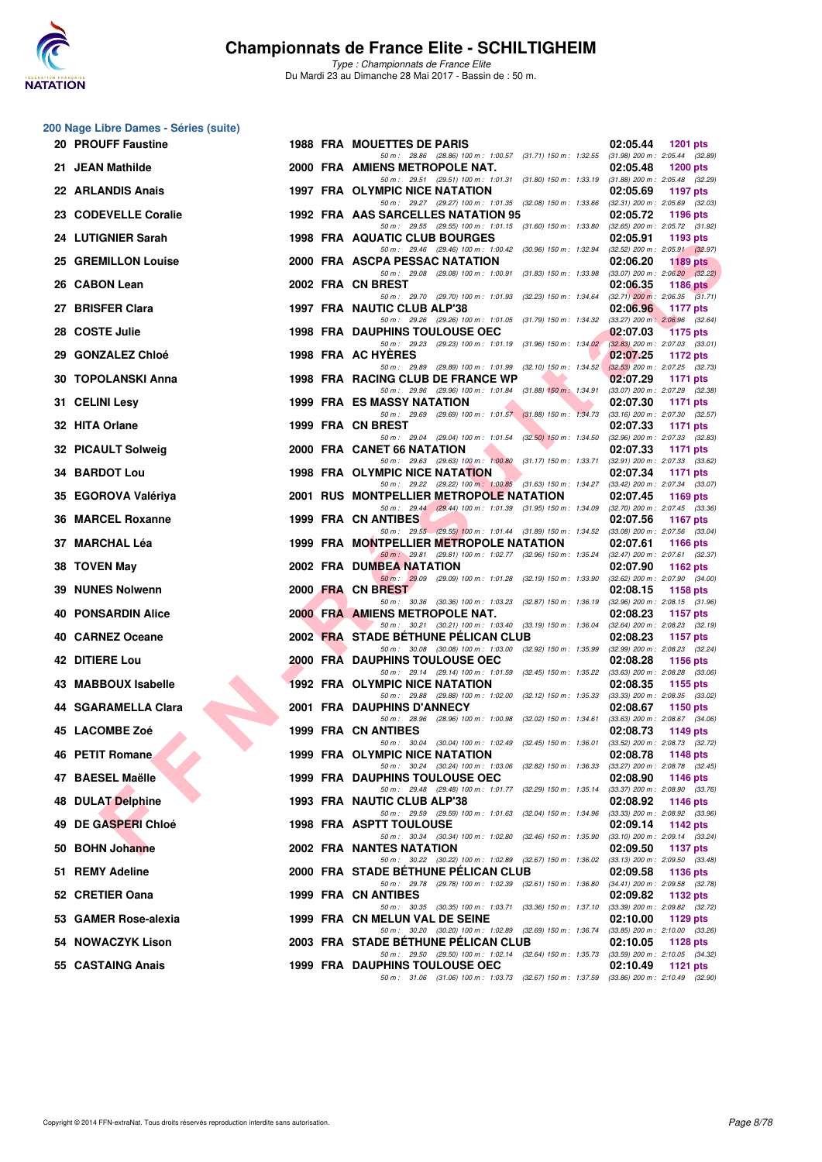

| 200 Nage Libre Dames - Séries (suite) |  |                                                                                                                                     |                                                                    |
|---------------------------------------|--|-------------------------------------------------------------------------------------------------------------------------------------|--------------------------------------------------------------------|
| 20 PROUFF Faustine                    |  | <b>1988 FRA MOUETTES DE PARIS</b>                                                                                                   | 02:05.44<br><b>1201 pts</b>                                        |
| 21 JEAN Mathilde                      |  | 50 m: 28.86 (28.86) 100 m: 1:00.57 (31.71) 150 m: 1:32.55 (31.98) 200 m: 2:05.44 (32.89)<br>2000 FRA AMIENS METROPOLE NAT.          | 02:05.48<br><b>1200 pts</b>                                        |
| 22 ARLANDIS Anais                     |  | 50 m: 29.51 (29.51) 100 m: 1:01.31 (31.80) 150 m: 1:33.19 (31.88) 200 m: 2:05.48 (32.29)<br>1997 FRA OLYMPIC NICE NATATION          | 02:05.69<br>1197 pts                                               |
| 23 CODEVELLE Coralie                  |  | 50 m: 29.27 (29.27) 100 m: 1:01.35 (32.08) 150 m: 1:33.66 (32.31) 200 m: 2:05.69 (32.03)<br>1992 FRA AAS SARCELLES NATATION 95      | 02:05.72<br>1196 pts                                               |
| 24 LUTIGNIER Sarah                    |  | 50 m: 29.55 (29.55) 100 m: 1:01.15 (31.60) 150 m: 1:33.80 (32.65) 200 m: 2:05.72 (31.92)<br>1998 FRA AQUATIC CLUB BOURGES           | 02:05.91<br>1193 pts                                               |
| 25 GREMILLON Louise                   |  | 50 m: 29.46 (29.46) 100 m: 1:00.42 (30.96) 150 m: 1:32.94 (32.52) 200 m: 2:05.91 (32.97)<br>2000 FRA ASCPA PESSAC NATATION          | 02:06.20<br>1189 pts                                               |
| 26 CABON Lean                         |  | 50 m : 29.08 (29.08) 100 m : 1:00.91 (31.83) 150 m : 1:33.98<br>2002 FRA CN BREST                                                   | $(33.07)$ 200 m : 2:06.20 $(32.22)$<br>02:06.35<br>1186 $pts$      |
| 27 BRISFER Clara                      |  | 50 m: 29.70 (29.70) 100 m: 1:01.93 (32.23) 150 m: 1:34.64<br>1997 FRA NAUTIC CLUB ALP'38                                            | $(32.71)$ 200 m : 2:06.35 $(31.71)$<br>02:06.96<br><b>1177 pts</b> |
| 28 COSTE Julie                        |  | 50 m: 29.26 (29.26) 100 m: 1:01.05 (31.79) 150 m: 1:34.32 (33.27) 200 m: 2:06.96 (32.64)<br><b>1998 FRA DAUPHINS TOULOUSE OEC</b>   | 02:07.03                                                           |
|                                       |  | 50 m: 29.23 (29.23) 100 m: 1:01.19 (31.96) 150 m: 1:34.02 (32.83) 200 m: 2:07.03 (33.01)                                            | <b>1175 pts</b>                                                    |
| 29 GONZALEZ Chloé                     |  | 1998 FRA AC HYERES<br>50 m: 29.89 (29.89) 100 m: 1:01.99 (32.10) 150 m: 1:34.52                                                     | 02:07.25<br>1172 pts<br>$(32.53)$ 200 m : 2:07.25 $(32.73)$        |
| 30 TOPOLANSKI Anna                    |  | 1998 FRA RACING CLUB DE FRANCE WP<br>50 m: 29.96 (29.96) 100 m: 1:01.84 (31.88) 150 m: 1:34.91                                      | 02:07.29<br>1171 pts<br>(33.07) 200 m : 2:07.29 (32.38)            |
| 31 CELINI Lesy                        |  | 1999 FRA ES MASSY NATATION<br>50 m: 29.69 (29.69) 100 m: 1:01.57 (31.88) 150 m: 1:34.73 (33.16) 200 m: 2:07.30 (32.57)              | 02:07.30<br><b>1171 pts</b>                                        |
| 32 HITA Orlane                        |  | 1999 FRA CN BREST<br>50 m: 29.04 (29.04) 100 m: 1:01.54 (32.50) 150 m: 1:34.50                                                      | 02:07.33<br>1171 pts<br>(32.96) 200 m : 2:07.33 (32.83)            |
| 32 PICAULT Solweig                    |  | 2000 FRA CANET 66 NATATION                                                                                                          | 02:07.33<br>1171 pts                                               |
| <b>34 BARDOT Lou</b>                  |  | 50 m: 29.63 (29.63) 100 m: 1:00.80 (31.17) 150 m: 1:33.71 (32.91) 200 m: 2:07.33 (33.62)<br><b>1998 FRA OLYMPIC NICE NATATION</b>   | 02:07.34<br>1171 pts                                               |
| 35 EGOROVA Valériya                   |  | 50 m: 29.22 (29.22) 100 m: 1:00.85 (31.63) 150 m: 1:34.27 (33.42) 200 m: 2:07.34 (33.07)<br>2001 RUS MONTPELLIER METROPOLE NATATION | 02:07.45<br>1169 pts                                               |
| 36 MARCEL Roxanne                     |  | 50 m: 29.44 (29.44) 100 m: 1:01.39 (31.95) 150 m: 1:34.09 (32.70) 200 m: 2:07.45 (33.36)<br>1999 FRA CN ANTIBES                     | 02:07.56<br>1167 pts                                               |
| 37 MARCHAL Léa                        |  | 50 m: 29.55 (29.55) 100 m: 1:01.44 (31.89) 150 m: 1:34.52 (33.08) 200 m: 2:07.56 (33.04)<br>1999 FRA MONTPELLIER METROPOLE NATATION | 02:07.61<br>1166 pts                                               |
| 38 TOVEN May                          |  | 50 m: 29.81 (29.81) 100 m: 1:02.77 (32.96) 150 m: 1:35.24 (32.47) 200 m: 2:07.61 (32.37)<br>2002 FRA DUMBEA NATATION                | 02:07.90<br>1162 pts                                               |
| 39 NUNES Nolwenn                      |  | 50 m: 29.09 (29.09) 100 m: 1:01.28 (32.19) 150 m: 1:33.90 (32.62) 200 m: 2:07.90 (34.00)<br>2000 FRA CN BREST                       | 02:08.15<br>1158 pts                                               |
| <b>40 PONSARDIN Alice</b>             |  | 50 m : 30.36 (30.36) 100 m : 1:03.23 (32.87) 150 m : 1:36.19<br>2000 FRA AMIENS METROPOLE NAT.                                      | $(32.96)$ 200 m : 2:08.15 $(31.96)$<br>02:08.23<br>1157 pts        |
| 40 CARNEZ Oceane                      |  | 50 m: 30.21 (30.21) 100 m: 1:03.40 (33.19) 150 m: 1:36.04 (32.64) 200 m: 2:08.23 (32.19)<br>2002 FRA STADE BETHUNE PELICAN CLUB     | 02:08.23<br><b>1157 pts</b>                                        |
| 42 DITIERE Lou                        |  | 50 m: 30.08 (30.08) 100 m: 1:03.00 (32.92) 150 m: 1:35.99<br>2000 FRA DAUPHINS TOULOUSE OEC                                         | (32.99) 200 m : 2:08.23 (32.24)<br>02:08.28<br>1156 pts            |
| 43 MABBOUX Isabelle                   |  | 50 m: 29.14 (29.14) 100 m: 1:01.59 (32.45) 150 m: 1:35.22<br><b>1992 FRA OLYMPIC NICE NATATION</b>                                  | $(33.63)$ 200 m : 2:08.28 $(33.06)$<br>02:08.35<br>1155 pts        |
| 44 SGARAMELLA Clara                   |  | 50 m : 29.88 (29.88) 100 m : 1:02.00 (32.12) 150 m : 1:35.33<br>2001 FRA DAUPHINS D'ANNECY                                          | $(33.33)$ 200 m : 2:08.35 $(33.02)$<br>02:08.67<br>1150 pts        |
|                                       |  | 50 m: 28.96 (28.96) 100 m: 1:00.98 (32.02) 150 m: 1:34.61                                                                           | $(33.63)$ 200 m : 2:08.67 $(34.06)$                                |
| 45 LACOMBE Zoé                        |  | 1999 FRA CN ANTIBES<br>50 m: 30.04 (30.04) 100 m: 1:02.49 (32.45) 150 m: 1:36.01                                                    | 02:08.73<br>1149 pts<br>$(33.52)$ 200 m : 2:08.73 $(32.72)$        |
| 46 PETIT Romane                       |  | 1999 FRA OLYMPIC NICE NATATION<br>50 m: 30.24 (30.24) 100 m: 1:03.06 (32.82) 150 m: 1:36.33 (33.27) 200 m: 2:08.78 (32.45)          | 02:08.78<br>1148 pts                                               |
| 47 BAESEL Maëlle                      |  | 1999 FRA DAUPHINS TOULOUSE OEC<br>50 m: 29.48 (29.48) 100 m: 1:01.77 (32.29) 150 m: 1:35.14                                         | 02:08.90<br>1146 pts<br>$(33.37)$ 200 m : 2:08.90 $(33.76)$        |
| 48 DULAT Delphine                     |  | 1993 FRA NAUTIC CLUB ALP'38<br>50 m: 29.59 (29.59) 100 m: 1:01.63 (32.04) 150 m: 1:34.96                                            | 02:08.92<br>1146 pts<br>(33.33) 200 m : 2:08.92 (33.96)            |
| 49 DE GASPERI Chloé                   |  | <b>1998 FRA ASPTT TOULOUSE</b><br>50 m: 30.34 (30.34) 100 m: 1:02.80 (32.46) 150 m: 1:35.90                                         | 02:09.14<br>1142 pts<br>$(33.10)$ 200 m : 2:09.14 $(33.24)$        |
| 50 BOHN Johanne                       |  | 2002 FRA NANTES NATATION<br>50 m: 30.22 (30.22) 100 m: 1:02.89 (32.67) 150 m: 1:36.02                                               | 02:09.50<br>1137 pts                                               |
| 51 REMY Adeline                       |  | 2000 FRA STADE BETHUNE PELICAN CLUB                                                                                                 | $(33.13)$ 200 m : 2:09.50 $(33.48)$<br>02:09.58<br>1136 pts        |
| 52 CRETIER Oana                       |  | 50 m: 29.78 (29.78) 100 m: 1:02.39 (32.61) 150 m: 1:36.80<br>1999 FRA CN ANTIBES                                                    | $(34.41)$ 200 m : 2:09.58 $(32.78)$<br>02:09.82<br>1132 pts        |
| 53 GAMER Rose-alexia                  |  | 50 m : 30.35 (30.35) 100 m : 1:03.71 (33.36) 150 m : 1:37.10<br>1999 FRA CN MELUN VAL DE SEINE                                      | $(33.39)$ 200 m : 2:09.82 $(32.72)$<br>02:10.00<br>1129 pts        |
| 54 NOWACZYK Lison                     |  | 50 m: 30.20 (30.20) 100 m: 1:02.89 (32.69) 150 m: 1:36.74<br>2003 FRA STADE BETHUNE PELICAN CLUB                                    | $(33.85)$ 200 m : 2:10.00 $(33.26)$<br>02:10.05<br>1128 pts        |
| 55 CASTAING Anais                     |  | 50 m: 29.50 (29.50) 100 m: 1:02.14 (32.64) 150 m: 1:35.73<br>1999 FRA DAUPHINS TOULOUSE OEC                                         | $(33.59)$ 200 m : 2:10.05 $(34.32)$<br>02:10.49<br>1121 pts        |
|                                       |  | 50 m: 31.06 (31.06) 100 m: 1:03.73 (32.67) 150 m: 1:37.59 (33.86) 200 m: 2:10.49 (32.90)                                            |                                                                    |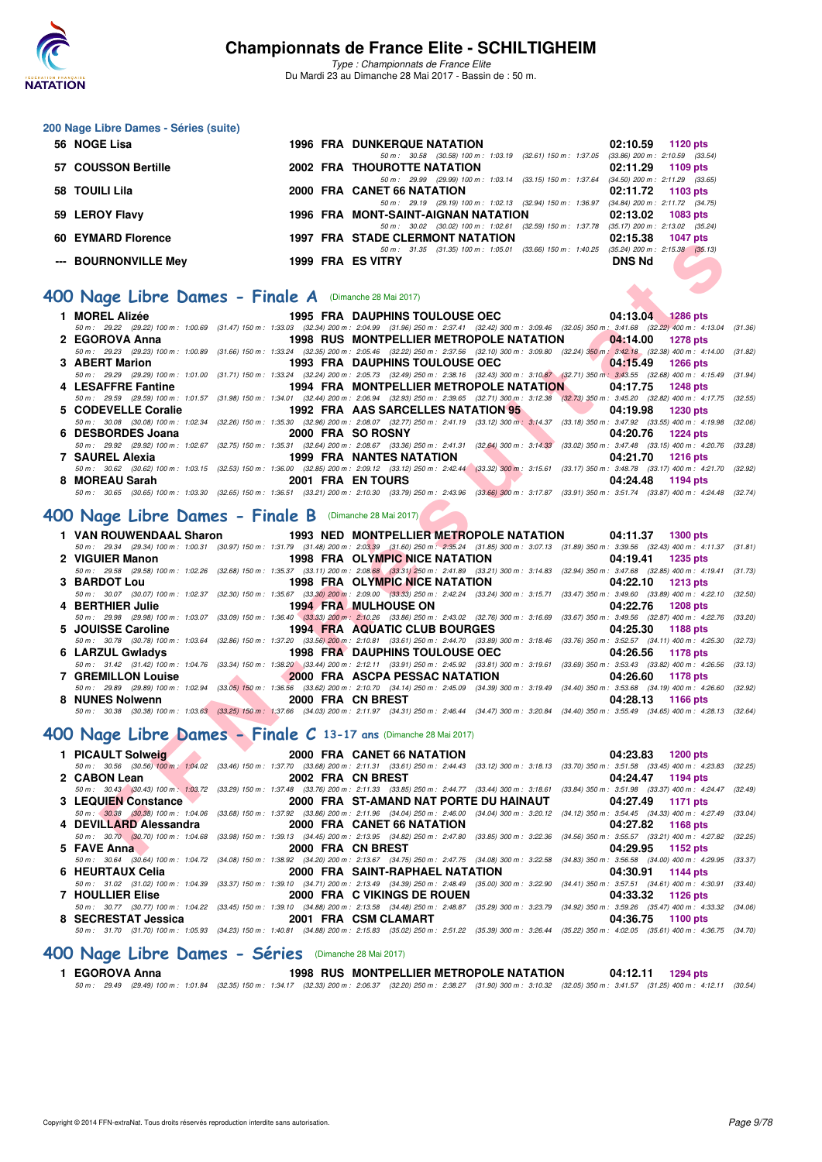

*Type : Championnats de France Elite* Du Mardi 23 au Dimanche 28 Mai 2017 - Bassin de : 50 m.

#### **200 Nage Libre Dames - Séries (suite)**

| 56 NOGE Lisa         |  | <b>1996 FRA DUNKERQUE NATATION</b>                                                       |               | $02:10.59$ 1120 pts                 |
|----------------------|--|------------------------------------------------------------------------------------------|---------------|-------------------------------------|
|                      |  | 50 m: 30.58 (30.58) 100 m: 1:03.19 (32.61) 150 m: 1:37.05 (33.86) 200 m: 2:10.59 (33.54) |               |                                     |
| 57 COUSSON Bertille  |  | <b>2002 FRA THOUROTTE NATATION</b>                                                       |               | 02:11.29 1109 pts                   |
|                      |  | 50 m: 29.99 (29.99) 100 m: 1:03.14 (33.15) 150 m: 1:37.64                                |               | $(34.50)$ 200 m : 2:11.29 $(33.65)$ |
| 58 TOUILI Lila       |  | 2000 FRA CANET 66 NATATION                                                               |               | 02:11.72 1103 pts                   |
|                      |  | 50 m: 29.19 (29.19) 100 m: 1:02.13 (32.94) 150 m: 1:36.97 (34.84) 200 m: 2:11.72 (34.75) |               |                                     |
| 59 LEROY Flavy       |  | 1996 FRA MONT-SAINT-AIGNAN NATATION                                                      |               | $02:13.02$ 1083 pts                 |
|                      |  | 50 m: 30.02 (30.02) 100 m: 1:02.61 (32.59) 150 m: 1:37.78 (35.17) 200 m: 2:13.02 (35.24) |               |                                     |
| 60 EYMARD Florence   |  | <b>1997 FRA STADE CLERMONT NATATION</b>                                                  |               | 02:15.38 1047 pts                   |
|                      |  | 50 m: 31.35 (31.35) 100 m: 1:05.01 (33.66) 150 m: 1:40.25 (35.24) 200 m: 2:15.38 (35.13) |               |                                     |
| --- BOURNONVILLE Mey |  | 1999 FRA ES VITRY                                                                        | <b>DNS Nd</b> |                                     |

### **[400 Nage Libre Dames - Finale A](http://www.ffnatation.fr/webffn/resultats.php?idact=nat&go=epr&idcpt=45075&idepr=4)** (Dimanche 28 Mai 2017)

| OU EIMAND FIUICIILE                                                                                                                                                                                            |                                                       | <b>STADE CLEANONT NATATION</b>                            |                               | <b>UZ.13.30</b> 1997 NS<br>50 m: 31.35 (31.35) 100 m: 1:05.01 (33.66) 150 m: 1:40.25 (35.24) 200 m: 2:15.38 (35.13) |                 |         |
|----------------------------------------------------------------------------------------------------------------------------------------------------------------------------------------------------------------|-------------------------------------------------------|-----------------------------------------------------------|-------------------------------|---------------------------------------------------------------------------------------------------------------------|-----------------|---------|
| --- BOURNONVILLE Mev                                                                                                                                                                                           | 1999 FRA ES VITRY                                     |                                                           |                               | <b>DNS Nd</b>                                                                                                       |                 |         |
| <b>00 Nage Libre Dames - Finale A</b> (Dimanche 28 Mai 2017)                                                                                                                                                   |                                                       |                                                           |                               |                                                                                                                     |                 |         |
|                                                                                                                                                                                                                |                                                       |                                                           |                               |                                                                                                                     |                 |         |
| 1 MOREL Alizée                                                                                                                                                                                                 |                                                       | 1995 FRA DAUPHINS TOULOUSE OEC                            |                               | 04:13.04 1286 pts                                                                                                   |                 |         |
| 50 m: 29.22 (29.22) 100 m: 1:00.69 (31.47) 150 m: 1:33.03 (32.34) 200 m: 2:04.99 (31.96) 250 m: 2:37.41 (32.42) 300 m: 3:09.46 (32.05) 350 m: 3:41.68 (32.22) 400 m: 4:13.04 (31.36)                           |                                                       |                                                           |                               |                                                                                                                     |                 |         |
| 2 EGOROVA Anna                                                                                                                                                                                                 |                                                       | <b>1998 RUS MONTPELLIER METROPOLE NATATION</b>            |                               | 04:14.00                                                                                                            | <b>1278 pts</b> |         |
| 50 m : 29.23 (29.23) 100 m : 1:00.89 (31.66) 150 m : 1:33.24 (32.35) 200 m : 2:05.46 (32.22) 250 m : 2:37.56 (32.10) 300 m : 3:09.80 (32.24) 350 m : 3:42.18 (32.38) 400 m : 4:14.00 (31.82)<br>3 ABERT Marion |                                                       | <b>1993 FRA DAUPHINS TOULOUSE OEC</b>                     |                               | 04:15.49                                                                                                            | <b>1266 pts</b> |         |
| 50 m: 29.29 (29.29) 100 m: 1:01.00 (31.71) 150 m: 1:33.24 (32.24) 200 m: 2:05.73 (32.49) 250 m: 2:38.16 (32.43) 300 m: 3:10.87 (32.71) 350 m: 3:43.55 (32.68) 400 m: 4:15.49 (31.94)                           |                                                       |                                                           |                               |                                                                                                                     |                 |         |
| 4 LESAFFRE Fantine                                                                                                                                                                                             |                                                       | 1994 FRA MONTPELLIER METROPOLE NATATION                   |                               | 04:17.75                                                                                                            | <b>1248 pts</b> |         |
| 50 m: 29.59 (29.59) 100 m: 1:01.57 (31.98) 150 m: 1:34.01 (32.44) 200 m: 2:06.94 (32.93) 250 m: 2:39.65 (32.71) 300 m: 3:12.38 (32.73) 350 m: 3:45.20 (32.82) 400 m: 4:17.75 (32.55)                           |                                                       |                                                           |                               |                                                                                                                     |                 |         |
| 5 CODEVELLE Coralie                                                                                                                                                                                            |                                                       | 1992 FRA AAS SARCELLES NATATION 95                        |                               | <b>Contract</b><br>04:19.98                                                                                         | <b>1230 pts</b> |         |
| 50 m : 30.08 (30.08) 100 m : 1:02.34 (32.26) 150 m : 1:35.30 (32.96) 200 m : 2:08.07 (32.77) 250 m : 2:41.19 (33.12) 300 m : 3:14.37 (33.18) 350 m : 3:47.92 (33.55) 400 m : 4:19.98 (32.06)                   |                                                       |                                                           |                               |                                                                                                                     |                 |         |
| 6 DESBORDES Joana                                                                                                                                                                                              |                                                       | 2000 FRA SO ROSNY                                         |                               | 04:20.76                                                                                                            | 1224 pts        |         |
| 50 m : 29.92 (29.92) 100 m : 1:02.67 (32.75) 150 m : 1:35.31 (32.64) 200 m : 2:08.67 (33.36) 250 m : 2:41.31 (32.64) 300 m : 3:14.33 (33.02) 350 m : 3:47.48 (33.15) 400 m : 4:20.76 (33.28)                   |                                                       |                                                           |                               |                                                                                                                     |                 |         |
| 7 SAUREL Alexia                                                                                                                                                                                                |                                                       | <b>1999 FRA NANTES NATATION</b>                           | <b>The Contract of Street</b> | 04:21.70                                                                                                            | <b>1216 pts</b> |         |
| 50 m : 30.62 (30.62) 100 m : 1:03.15 (32.53) 150 m : 1:36.00 (32.85) 200 m : 2:09.12 (33.12) 250 m : 2:42.44 (33.32) 300 m : 3:15.61 (33.17) 350 m : 3:48.78 (33.17) 400 m : 4:21.70 (32.92)                   |                                                       |                                                           |                               |                                                                                                                     |                 |         |
| 8 MOREAU Sarah                                                                                                                                                                                                 |                                                       | 2001 FRA EN TOURS                                         |                               | 04:24.48                                                                                                            | 1194 pts        |         |
| 50 m: 30.65 (30.65) 100 m: 1:03.30 (32.65) 150 m: 1:36.51 (33.21) 200 m: 2:10.30 (33.79) 250 m: 2:43.96 (33.66) 300 m: 3:17.87 (33.91) 350 m: 3:51.74 (33.87) 400 m: 4:24.48 (32.74)                           |                                                       |                                                           |                               |                                                                                                                     |                 |         |
|                                                                                                                                                                                                                |                                                       |                                                           |                               |                                                                                                                     |                 |         |
| <b>JO Nage Libre Dames - Finale B</b> (Dimanche 28 Mai 2017)                                                                                                                                                   |                                                       |                                                           |                               |                                                                                                                     |                 |         |
| 1 VAN ROUWENDAAL Sharon                                                                                                                                                                                        |                                                       | 1993 NED MONTPELLIER METROPOLE NATATION 04:11.37 1300 pts |                               |                                                                                                                     |                 |         |
| 50 m: 29.34 (29.34) 100 m: 1:00.31 (30.97) 150 m: 1:31.79 (31.48) 200 m: 2:03.39 (31.60) 250 m: 2:35.24 (31.85) 300 m: 3:07.13 (31.89) 350 m: 3:39.56 (32.43) 400 m: 4:11.37 (31.81)                           |                                                       |                                                           |                               |                                                                                                                     |                 |         |
| 2 VIGUIER Manon                                                                                                                                                                                                |                                                       | 1998 FRA OLYMPIC NICE NATATION                            |                               | 04:19.41                                                                                                            | 1235 pts        |         |
| 50 m: 29.58 (29.58) 100 m: 1:02.26 (32.68) 150 m: 1:35.37 (33.11) 200 m: 2:08.68 (33.31) 250 m: 2:41.89 (33.21) 300 m: 3:14.83 (32.94) 350 m: 3:47.68 (32.85) 400 m: 4:19.41 (31.73)                           |                                                       |                                                           |                               |                                                                                                                     |                 |         |
| 3 BARDOT Lou                                                                                                                                                                                                   |                                                       | 1998 FRA OLYMPIC NICE NATATION                            |                               | 04:22.10                                                                                                            | <b>1213 pts</b> |         |
| 50 m : 30.07 (30.07) 100 m : 1:02.37 (32.30) 150 m : 1:35.67 (33.30) 200 m : 2:09.00 (33.33) 250 m : 2:42.24 (33.24) 300 m : 3:15.71 (33.47) 350 m : 3:49.60 (33.89) 400 m : 4:22.10 (32.50)                   |                                                       |                                                           |                               |                                                                                                                     |                 |         |
| 4 BERTHIER Julie                                                                                                                                                                                               |                                                       | <b>1994 FRA MULHOUSE ON</b>                               |                               | 04:22.76                                                                                                            | <b>1208 pts</b> |         |
| 50 m: 29.98 (29.98) 100 m: 1:03.07 (33.09) 150 m: 1:36.40 (33.33) 200 m: 2:10.26 (33.86) 250 m: 2:43.02 (32.76) 300 m: 3:16.69 (33.67) 350 m: 3:49.56 (32.87) 400 m: 4:22.76                                   |                                                       |                                                           |                               |                                                                                                                     |                 | (33.20) |
| 5 JOUISSE Caroline                                                                                                                                                                                             |                                                       | 1994 FRA AQUATIC CLUB BOURGES                             |                               | 04:25.30                                                                                                            | 1188 pts        |         |
| 50 m: 30.78 (30.78) 100 m: 1:03.64 (32.86) 150 m: 1:37.20 (33.56) 200 m: 2:10.81 (33.61) 250 m: 2:44.70 (33.89) 300 m: 3:18.46 (33.76) 350 m: 3:52.57 (34.11) 400 m: 4:25.30 (32.73)                           |                                                       |                                                           |                               |                                                                                                                     |                 |         |
| 6 LARZUL Gwladys                                                                                                                                                                                               |                                                       | 1998 FRA DAUPHINS TOULOUSE OEC                            |                               | 04:26.56                                                                                                            | 1178 pts        |         |
| 50 m: 31.42 (31.42) 100 m: 1:04.76 (33.34) 150 m: 1:38.20 (33.44) 200 m: 2:12.11 (33.91) 250 m: 2:45.92 (33.81) 300 m: 3:19.61 (33.69) 350 m: 3:53.43 (33.82) 400 m: 4:26.56 (33.13)                           |                                                       |                                                           |                               |                                                                                                                     |                 |         |
| <b>7 GREMILLON Louise</b>                                                                                                                                                                                      |                                                       | 2000 FRA ASCPA PESSAC NATATION                            |                               | 04:26.60                                                                                                            | 1178 pts        |         |
| 50 m: 29.89 (29.89) 100 m: 1:02.94 (33.05) 150 m: 1:36.56 (33.62) 200 m: 2:10.70 (34.14) 250 m: 2:45.09 (34.39) 300 m: 3:19.49 (34.40) 350 m: 3:53.68 (34.19) 400 m: 4:26.60 (32.92)                           |                                                       |                                                           |                               |                                                                                                                     |                 |         |
| 8 NUNES Nolwenn                                                                                                                                                                                                | <u>and the second property of the second property</u> | 2000 FRA CN BREST                                         |                               | 04:28.13                                                                                                            | 1166 pts        |         |
| 50 m : 30.38 (30.38) 100 m : 1:03.63 (33.25) 150 m : 1:37.66 (34.03) 200 m : 2:11.97 (34.31) 250 m : 2:46.44 (34.47) 300 m : 3:20.84 (34.40) 350 m : 3:55.49 (34.65) 400 m : 4:28.13 (32.64)                   |                                                       |                                                           |                               |                                                                                                                     |                 |         |
|                                                                                                                                                                                                                |                                                       |                                                           |                               |                                                                                                                     |                 |         |
| 00 Nage Libre Dames - Finale C 13-17 ans (Dimanche 28 Mai 2017)                                                                                                                                                |                                                       |                                                           |                               |                                                                                                                     |                 |         |
| 1 PICAULT Solweig                                                                                                                                                                                              |                                                       | 2000 FRA CANET 66 NATATION                                |                               | 04:23.83                                                                                                            | <b>1200 pts</b> |         |
| 50 m: 30.56 (30.56) 100 m: 1:04.02 (33.46) 150 m: 1:37.70 (33.68) 200 m: 2:11.31 (33.61) 250 m: 2:44.43 (33.12) 300 m: 3:18.13 (33.70) 350 m: 3:51.58 (33.45) 400 m: 4:23.83 (32.25)                           |                                                       |                                                           |                               |                                                                                                                     |                 |         |
| 2 CABON Lean                                                                                                                                                                                                   |                                                       | 2002 FRA CN BREST                                         |                               | 04:24.47                                                                                                            | 1194 pts        |         |
| 50 m : 30.43 (30.43) 100 m : 1:03.72 (33.29) 150 m : 1:37.48 (33.76) 200 m : 2:11.33 (33.85) 250 m : 2:44.77 (33.44) 300 m : 3:18.61 (33.84) 350 m : 3:51.98 (33.37) 400 m : 4:24.47 (32.49)                   |                                                       |                                                           |                               |                                                                                                                     |                 |         |
| 3 LEQUIEN Constance                                                                                                                                                                                            |                                                       | 2000 FRA ST-AMAND NAT PORTE DU HAINAUT                    |                               | 04:27.49                                                                                                            | 1171 pts        |         |
| 50 m: 30.38 (30.38) 100 m: 1:04.06 (33.68) 150 m: 1:37.92 (33.86) 200 m: 2:11.96 (34.04) 250 m: 2:46.00 (34.04) 300 m: 3:20.12 (34.12) 350 m: 3:54.45 (34.33) 400 m: 4:27.49 (33.04)                           |                                                       |                                                           |                               |                                                                                                                     |                 |         |
| 4 DEVILLARD Alessandra                                                                                                                                                                                         |                                                       | 2000 FRA CANET 66 NATATION                                |                               | 04:27.82                                                                                                            | 1168 pts        |         |
| 50 m: 30.70 (30.70) 100 m: 1:04.68 (33.98) 150 m: 1:39.13 (34.45) 200 m: 2:13.95 (34.82) 250 m: 2:47.80 (33.85) 300 m: 3:22.36 (34.56) 350 m: 3:55.57 (33.21) 400 m: 4:27.82 (32.25)                           |                                                       |                                                           |                               |                                                                                                                     |                 |         |
| 5 FAVE Anna                                                                                                                                                                                                    |                                                       | 2000 FRA CN BREST                                         |                               | 04:29.95 1152 pts                                                                                                   |                 |         |
|                                                                                                                                                                                                                |                                                       |                                                           |                               |                                                                                                                     |                 |         |

## **[400 Nage Libre Dames - Finale B](http://www.ffnatation.fr/webffn/resultats.php?idact=nat&go=epr&idcpt=45075&idepr=4)** (Dimanche 28 Mai 2017)

|                           |                   | 1 VAN ROUWENDAAL Sharon 1993 NED MONTPELLIER METROPOLE NATATION 04:11.37 1300 pts |                                                                                                                                                                                              |
|---------------------------|-------------------|-----------------------------------------------------------------------------------|----------------------------------------------------------------------------------------------------------------------------------------------------------------------------------------------|
|                           |                   |                                                                                   | 50 m: 29.34 (29.34) 100 m: 1:00.31 (30.97) 150 m: 1:31.79 (31.48) 200 m: 2:03.39 (31.60) 250 m: 2:35.24 (31.85) 300 m: 3:07.13 (31.89) 350 m: 3:39.56 (32.43) 400 m: 4:11.37 (31.81)         |
|                           |                   | 2 VIGUIER Manon <b>1998 FRA OLYMPIC NICE NATATION</b>                             | 04:19.41 1235 pts                                                                                                                                                                            |
|                           |                   |                                                                                   | 50 m: 29.58 (29.58) 100 m: 1:02.26 (32.68) 150 m: 1:35.37 (33.11) 200 m: 2:08.68 (33.31) 250 m: 2:41.89 (33.21) 300 m: 3:14.83 (32.94) 350 m: 3:47.68 (32.85) 400 m: 4:19.41 (31.73)         |
| 3 BARDOT Lou              |                   | 1998 FRA OLYMPIC NICE NATATION                                                    | 04:22.10 1213 pts                                                                                                                                                                            |
|                           |                   |                                                                                   | 50 m : 30.07 (30.07) 100 m : 1:02.37 (32.30) 150 m : 1:35.67 (33.30) 200 m : 2:09.00 (33.33) 250 m : 2:42.24 (33.24) 300 m : 3:15.71 (33.47) 350 m : 3:49.60 (33.89) 400 m : 4:22.10 (32.50) |
| 4 BERTHIER Julie          |                   | <b>1994 FRA MULHOUSE ON</b>                                                       | 04:22.76 1208 pts                                                                                                                                                                            |
|                           |                   |                                                                                   | 50 m : 29.98 (29.98) 100 m : 1:03.07 (33.09) 150 m : 1:36.40 (33.33) 200 m : 2:10.26 (33.86) 250 m : 2:43.02 (32.76) 300 m : 3:16.69 (33.67) 350 m : 3:49.56 (32.87) 400 m : 4:22.76 (33.80) |
| 5 JOUISSE Caroline        |                   | 1994 FRA AQUATIC CLUB BOURGES                                                     | 04:25.30 1188 pts                                                                                                                                                                            |
|                           |                   |                                                                                   | 50 m: 30.78 (30.78) 100 m: 1:03.64 (32.86) 150 m: 1:37.20 (33.56) 200 m: 2:10.81 (33.61) 250 m: 2:44.70 (33.89) 300 m: 3:18.46 (33.76) 350 m: 3:52.57 (34.11) 400 m: 4:25.30 (32.73)         |
| 6 LARZUL Gwladys          |                   | 1998 FRA DAUPHINS TOULOUSE OEC 04:26.56 1178 pts                                  |                                                                                                                                                                                              |
|                           |                   |                                                                                   | 50 m: 31.42 (31.42) 100 m: 1:04.76 (33.34) 150 m: 1:38.20 (33.44) 200 m: 2:12.11 (33.91) 250 m: 2:45.92 (33.81) 300 m: 3:19.61 (33.69) 350 m: 3:53.43 (33.82) 400 m: 4:26.56 (33.13)         |
| <b>7 GREMILLON Louise</b> |                   | 2000 FRA ASCPA PESSAC NATATION                                                    | 04:26.60 1178 pts                                                                                                                                                                            |
|                           |                   |                                                                                   | 50 m : 29.89 (29.89) 100 m : 1:02.94 (33.05) 150 m : 1:36.56 (33.62) 200 m : 2:10.70 (34.14) 250 m : 2:45.09 (34.39) 300 m : 3:19.49 (34.40) 350 m : 3:53.68 (34.19) 400 m : 4:26.60 (32.92) |
| 8 NUNES Nolwenn           | 2000 FRA CN BREST |                                                                                   | 04:28.13 1166 pts                                                                                                                                                                            |
|                           |                   |                                                                                   | 50 m: 30.38 (30.38) 100 m: 1:03.63 (33.25) 150 m: 1:37.66 (34.03) 200 m: 2:11.97 (34.31) 250 m: 2:46.44 (34.47) 300 m: 3:20.84 (34.40) 350 m: 3:55.49 (34.65) 400 m: 4:28.13 (32.64)         |

## **[400 Nage Libre Dames - Finale C](http://www.ffnatation.fr/webffn/resultats.php?idact=nat&go=epr&idcpt=45075&idepr=4) 13-17 ans** (Dimanche 28 Mai 2017)

| 1 PICAULT Solweig      | 2000 FRA CANET 66 NATATION  | 04:23.83 1200 pts                                                                                                                                                                            |
|------------------------|-----------------------------|----------------------------------------------------------------------------------------------------------------------------------------------------------------------------------------------|
|                        |                             | 50 m: 30.56 (30.56) 100 m: 1:04.02 (33.46) 150 m: 1:37.70 (33.68) 200 m: 2:11.31 (33.61) 250 m: 2:44.43 (33.12) 300 m: 3:18.13 (33.70) 350 m: 3:51.58 (33.45) 400 m: 4:23.83 (32.25)         |
| 2 CABON Lean           | 2002 FRA CN BREST           | 04:24.47 1194 pts                                                                                                                                                                            |
|                        |                             | 50 m: 30.43 (30.43) 100 m: 1:03.72 (33.29) 150 m: 1:37.48 (33.76) 200 m: 2:11.33 (33.85) 250 m: 2:44.77 (33.44) 300 m: 3:18.61 (33.84) 350 m: 3:51.98 (33.37) 400 m: 4:24.47 (32.49)         |
| 3 LEQUIEN Constance    |                             | 2000 FRA ST-AMAND NAT PORTE DU HAINAUT 04:27.49 1171 pts                                                                                                                                     |
|                        |                             | 50 m : 30.38 (30.38) 100 m : 1:04.06 (33.68) 150 m : 1:37.92 (33.86) 200 m : 2:11.96 (34.04) 250 m : 2:46.00 (34.04) 300 m : 3:20.12 (34.12) 350 m : 3:54.45 (34.33) 400 m : 4:27.49 (33.04) |
| 4 DEVILLARD Alessandra | 2000 FRA CANET 66 NATATION  | 04:27.82 1168 pts                                                                                                                                                                            |
|                        |                             | 50 m: 30.70 (30.70) 100 m: 1:04.68 (33.98) 150 m: 1:39.13 (34.45) 200 m: 2:13.95 (34.82) 250 m: 2:47.80 (33.85) 300 m: 3:22.36 (34.56) 350 m: 3:55.57 (33.21) 400 m: 4:27.82 (32.25)         |
| 5 FAVE Anna            | 2000 FRA CN BREST           | 04:29.95 1152 pts                                                                                                                                                                            |
|                        |                             | 50 m: 30.64 (30.64) 100 m: 1:04.72 (34.08) 150 m: 1:38.92 (34.20) 200 m: 2:13.67 (34.75) 250 m: 2:47.75 (34.08) 300 m: 3:22.58 (34.83) 350 m: 3:56.58 (34.00) 400 m: 4:29.95 (33.37)         |
| 6 HEURTAUX Celia       |                             | 2000 FRA SAINT-RAPHAEL NATATION 04:30.91 1144 pts                                                                                                                                            |
|                        |                             | 50 m: 31.02 (31.02) 100 m: 1:04.39 (33.37) 150 m: 1:39.10 (34.71) 200 m: 2:13.49 (34.39) 250 m: 2:48.49 (35.00) 300 m: 3:22.90 (34.41) 350 m: 3:57.51 (34.61) 400 m: 4:30.91 (33.40)         |
| 7 HOULLIER Elise       | 2000 FRA C VIKINGS DE ROUEN | 04:33.32 1126 pts                                                                                                                                                                            |
|                        |                             | 50 m : 30.77 (30.77) 100 m : 1:04.22 (33.45) 150 m : 1:39.10 (34.88) 200 m : 2:13.58 (34.48) 250 m : 2:48.87 (35.89) 300 m : 3:23.79 (34.92) 350 m : 3:59.26 (35.47) 400 m : 4:33.32 (34.06) |
| 8 SECRESTAT Jessica    | 2001 FRA CSM CLAMART        | 04:36.75 1100 pts                                                                                                                                                                            |
|                        |                             | 50 m: 31.70 (31.70) 100 m: 1:05.93 (34.23) 150 m: 1:40.81 (34.88) 200 m: 2:15.83 (35.02) 250 m: 2:51.22 (35.39) 300 m: 3:26.44 (35.22) 350 m: 4:02.05 (35.61) 400 m: 4:36.75 (34.70)         |

### **[400 Nage Libre Dames - Séries](http://www.ffnatation.fr/webffn/resultats.php?idact=nat&go=epr&idcpt=45075&idepr=4)** (Dimanche 28 Mai 2017)

**1 EGOROVA Anna 1998 RUS MONTPELLIER METROPOLE NATATION 04:12.11 1294 pts**

*50 m : 29.49 (29.49) 100 m : 1:01.84 (32.35) 150 m : 1:34.17 (32.33) 200 m : 2:06.37 (32.20) 250 m : 2:38.27 (31.90) 300 m : 3:10.32 (32.05) 350 m : 3:41.57 (31.25) 400 m : 4:12.11 (30.54)*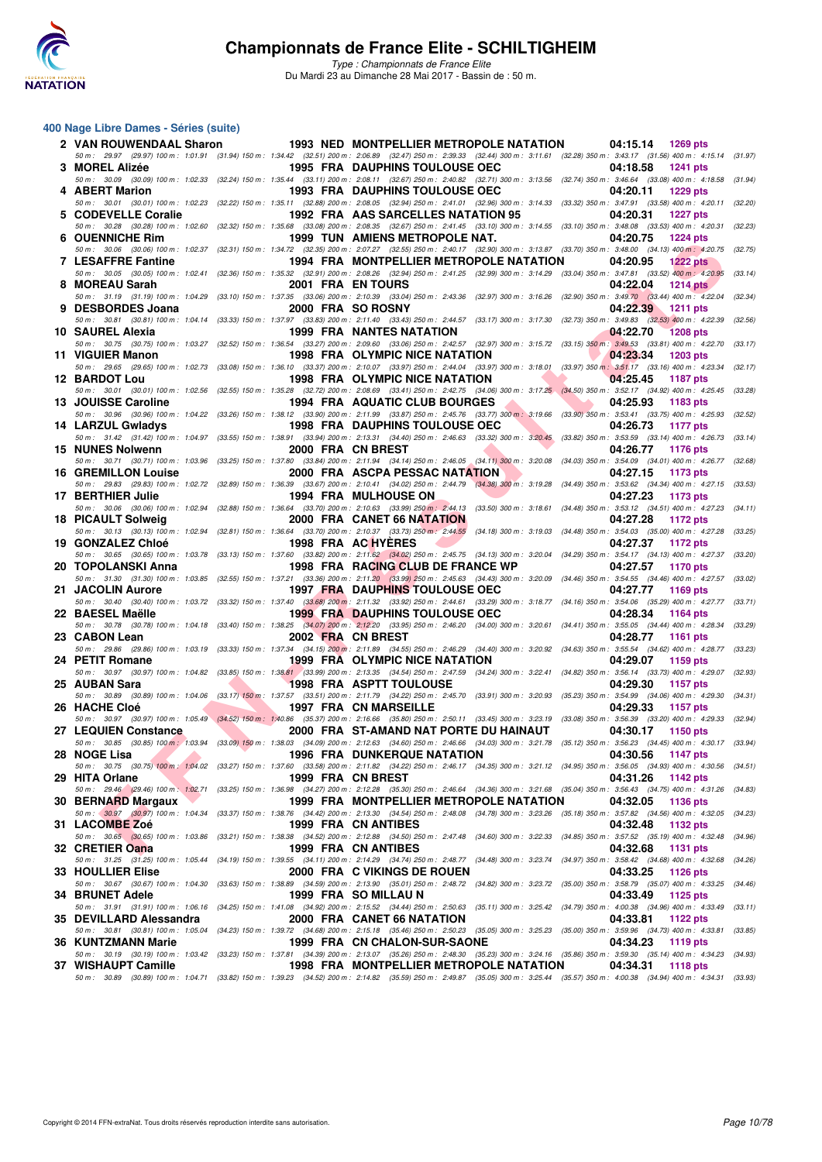

### **400 Nage Libre Dames - Séries (suite)**

| 2 VAN ROUWENDAAL Sharon    |  |  | <b>1993 NED MONTPELLIER METROPOLE NATATION</b><br>04:15.14 1269 pts                                                                                                                                                                                          |         |
|----------------------------|--|--|--------------------------------------------------------------------------------------------------------------------------------------------------------------------------------------------------------------------------------------------------------------|---------|
| 3 MOREL Alizée             |  |  | 50 m: 29.97 (29.97) 100 m: 1:01.91 (31.94) 150 m: 1:34.42 (32.51) 200 m: 2:06.89 (32.47) 250 m: 2:39.33 (32.44) 300 m: 3:11.61 (32.28) 350 m: 3:43.17 (31.56) 400 m: 4:15.14 (31.97)<br><b>1995 FRA DAUPHINS TOULOUSE OEC</b><br>04:18.58<br><b>1241 pts</b> |         |
| 4 ABERT Marion             |  |  | 50 m: 30.09 (30.09) 100 m: 1:02.33 (32.24) 150 m: 1:35.44 (33.11) 200 m: 2:08.11 (32.67) 250 m: 2:40.82 (32.71) 300 m: 3:13.56 (32.74) 350 m: 3:46.64 (33.08) 400 m: 4:18.58 (31.94)<br><b>1993 FRA DAUPHINS TOULOUSE OEC</b><br>04:20.11<br><b>1229 pts</b> |         |
| 5 CODEVELLE Coralie        |  |  | 50 m: 30.01 (30.01) 100 m: 1:02.23 (32.22) 150 m: 1:35.11 (32.88) 200 m: 2:08.05 (32.94) 250 m: 2:41.01 (32.96) 300 m: 3:14.33 (33.32) 350 m: 3:47.91 (33.58) 400 m: 4:20.11 (32.20)<br>1992 FRA AAS SARCELLES NATATION 95<br>04:20.31<br><b>1227 pts</b>    |         |
| 6 OUENNICHE Rim            |  |  | 50 m: 30.28 (30.28) 100 m: 1:02.60 (32.32) 150 m: 1:35.68 (33.08) 200 m: 2:08.35 (32.67) 250 m: 2:41.45 (33.10) 300 m: 3:14.55 (33.10) 350 m: 3:48.08 (33.53) 400 m: 4:20.31 (32.23)<br><b>1999 TUN AMIENS METROPOLE NAT.</b><br>04:20.75<br><b>1224 pts</b> |         |
|                            |  |  | 50 m: 30.06 (30.06) 100 m: 1:02.37 (32.31) 150 m: 1:34.72 (32.35) 200 m: 2:07.27 (32.55) 250 m: 2:40.17 (32.90) 300 m: 3:13.87 (33.70) 350 m: 3:48.00 (34.13) 400 m: 4:20.75                                                                                 | (32.75) |
| <b>7 LESAFFRE Fantine</b>  |  |  | 1994 FRA MONTPELLIER METROPOLE NATATION<br>04:20.95<br><b>1222 pts</b><br>50 m: 30.05 (30.05) 100 m: 1:02.41 (32.36) 150 m: 1:35.32 (32.91) 200 m: 2:08.26 (32.94) 250 m: 2:41.25 (32.99) 300 m: 3:14.29 (33.04) 350 m: 3:47.81 (33.52) 400 m; 4:20.95       | (33.14) |
| 8 MOREAU Sarah             |  |  | 2001 FRA EN TOURS<br>04:22.04<br><b>1214 pts</b><br>50 m: 31.19 (31.19) 100 m: 1:04.29 (33.10) 150 m: 1:37.35 (33.06) 200 m: 2:10.39 (33.04) 250 m: 2:43.36 (32.97) 300 m: 3:16.26 (32.90) 350 m: 3:49.70 (33.44) 400 m: 4:22.04 (32.34)                     |         |
| 9 DESBORDES Joana          |  |  | 2000 FRA SO ROSNY<br>04:22.39 1211 pts<br>50 m : 30.81 (30.81) 100 m : 1:04.14 (33.33) 150 m : 1:37.97 (33.83) 200 m : 2:11.40 (33.43) 250 m : 2:44.57 (33.17) 300 m : 3:17.30 (32.73) 350 m : 3:49.83 (32.53) 400 m : 4:22.39                               | (32.56) |
| 10 SAUREL Alexia           |  |  | <b>1999 FRA NANTES NATATION</b><br>04:22.70<br><b>1208 pts</b><br>50 m: 30.75 (30.75) 100 m: 1:03.27 (32.52) 150 m: 1:36.54 (33.27) 200 m: 2:09.60 (33.06) 250 m: 2:42.57 (32.97) 300 m: 3:15.72 (33.15) 350 m: 3:49.53 (33.81) 400 m: 4:22.70 (33.17)       |         |
| 11 VIGUIER Manon           |  |  | 1998 FRA OLYMPIC NICE NATATION<br>04:23.34<br>1203 pts                                                                                                                                                                                                       |         |
| 12 BARDOT Lou              |  |  | 50 m: 29.65 (29.65) 100 m: 1:02.73 (33.08) 150 m: 1:36.10 (33.37) 200 m: 2:10.07 (33.97) 250 m: 2:44.04 (33.97) 300 m: 3:18.01 (33.97) 350 m: 3:51.17 (33.16) 400 m: 4:23.34<br>1998 FRA OLYMPIC NICE NATATION<br>04:25.45<br>1187 pts                       | (32.17) |
| 13 JOUISSE Caroline        |  |  | 50 m: 30.01 (30.01) 100 m: 1:02.56 (32.55) 150 m: 1:35.28 (32.72) 200 m: 2:08.69 (33.41) 250 m: 2:42.75 (34.06) 300 m: 3:17.25 (34.50) 350 m: 3:52.17 (34.92) 400 m: 4:25.45<br>1994 FRA AQUATIC CLUB BOURGES<br>04:25.93<br>1183 pts                        | (33.28) |
| 14 LARZUL Gwladys          |  |  | 50 m: 30.96 (30.96) 100 m: 1:04.22 (33.26) 150 m: 1:38.12 (33.90) 200 m: 2:11.99 (33.87) 250 m: 2:45.76 (33.77) 300 m: 3:19.66 (33.90) 350 m: 3:53.41 (33.75) 400 m: 4:25.93 (32.52)<br><b>1998 FRA DAUPHINS TOULOUSE OEC</b><br>04:26.73<br>1177 pts        |         |
| 15 NUNES Nolwenn           |  |  | 50 m: 31.42 (31.42) 100 m: 1:04.97 (33.55) 150 m: 1:38.91 (33.94) 200 m: 2:13.31 (34.40) 250 m: 2:46.63 (33.32) 300 m: 3:20.45 (33.82) 350 m: 3:53.59 (33.14) 400 m: 4:26.73 (33.14)<br>2000 FRA CN BREST<br>04:26.77<br>1176 pts                            |         |
|                            |  |  | 50 m: 30.71 (30.71) 100 m: 1:03.96 (33.25) 150 m: 1:37.80 (33.84) 200 m: 2:11.94 (34.14) 250 m: 2:46.05 (34.11) 300 m: 3:20.08 (34.03) 350 m: 3:54.09 (34.01) 400 m: 4:26.77 (32.68)                                                                         |         |
| <b>16 GREMILLON Louise</b> |  |  | 2000 FRA ASCPA PESSAC NATATION<br>04:27.15<br>1173 pts<br>50 m: 29.83 (29.83) 100 m: 1:02.72 (32.89) 150 m: 1:36.39 (33.67) 200 m: 2:10.41 (34.02) 250 m: 2:44.79 (34.38) 300 m: 3:19.28 (34.49) 350 m: 3:53.62 (34.34) 400 m: 4:27.15 (33.53)               |         |
| 17 BERTHIER Julie          |  |  | <b>1994 FRA MULHOUSE ON</b><br>04:27.23<br>1173 pts<br>50 m: 30.06 (30.06) 100 m: 1:02.94 (32.88) 150 m: 1:36.64 (33.70) 200 m: 2:10.63 (33.99) 250 m; 2:44.13 (33.50) 300 m: 3:18.61 (34.48) 350 m: 3:53.12 (34.51) 400 m: 4:27.23 (34.11)                  |         |
| 18 PICAULT Solweig         |  |  | <b>2000 FRA CANET 66 NATATION</b><br>04:27.28<br>1172 pts<br>50 m: 30.13 (30.13) 100 m: 1:02.94 (32.81) 150 m: 1:36.64 (33.70) 200 m: 2:10.37 (33.73) 250 m: 2:44.55 (34.18) 300 m: 3:19.03 (34.48) 350 m: 3:54.03 (35.00) 400 m: 4:27.28 (33.25)            |         |
| 19 GONZALEZ Chloé          |  |  | 1998 FRA AC HYERES<br>04:27.37<br>1172 pts<br>50 m: 30.65 (30.65) 100 m: 1:03.78 (33.13) 150 m: 1:37.60 (33.82) 200 m: 2:11.62 (34.02) 250 m: 2:45.75 (34.13) 300 m: 3:20.04 (34.29) 350 m: 3:54.17 (34.13) 400 m: 4:27.37 (33.20)                           |         |
| 20 TOPOLANSKI Anna         |  |  | 1998 FRA RACING CLUB DE FRANCE WP<br>04:27.57<br>1170 pts                                                                                                                                                                                                    |         |
| 21 JACOLIN Aurore          |  |  | 50 m: 31.30 (31.30) 100 m: 1:03.85 (32.55) 150 m: 1:37.21 (33.36) 200 m: 2:11.20 (33.99) 250 m: 2:45.63 (34.43) 300 m: 3:20.09 (34.46) 350 m: 3:54.55 (34.46) 400 m: 4:27.57 (33.02)<br><b>1997 FRA DAUPHINS TOULOUSE OEC</b><br>04:27.77<br>1169 pts        |         |
| 22 BAESEL Maëlle           |  |  | 50 m: 30.40 (30.40) 100 m: 1:03.72 (33.32) 150 m: 1:37.40 (33.68) 200 m: 2:11.32 (33.92) 250 m: 2:44.61 (33.29) 300 m: 3:18.77 (34.16) 350 m: 3:54.06 (35.29) 400 m: 4:27.77 (33.71)<br>04:28.34<br><b>1999 FRA DAUPHINS TOULOUSE OEC</b><br>1164 pts        |         |
| 23 CABON Lean              |  |  | 50 m: 30.78 (30.78) 100 m: 1:04.18 (33.40) 150 m: 1:38.25 (34.07) 200 m: 2:12.20 (33.95) 250 m: 2:46.20 (34.00) 300 m: 3:20.61 (34.41) 350 m: 3:55.05 (34.44) 400 m: 4:28.34 (33.29)<br>2002 FRA CN BREST<br>04:28.77<br>1161 pts                            |         |
| 24 PETIT Romane            |  |  | 50 m: 29.86 (29.86) 100 m: 1:03.19 (33.33) 150 m: 1:37.34 (34.15) 200 m: 2:11.89 (34.55) 250 m: 2:46.29 (34.40) 300 m: 3:20.92 (34.63) 350 m: 3:55.54 (34.62) 400 m: 4:28.77 (33.23)<br>1999 FRA OLYMPIC NICE NATATION<br>04:29.07<br>1159 pts               |         |
|                            |  |  | 50 m : 30.97 (30.97) 100 m : 1:04.82 (33.85) 150 m : 1:38.81 (33.99) 200 m : 2:13.35 (34.54) 250 m : 2:47.59 (34.24) 300 m : 3:22.41 (34.82) 350 m : 3:56.14 (33.73) 400 m : 4:29.07 (32.93)                                                                 |         |
| 25 AUBAN Sara              |  |  | <b>1998 FRA ASPTT TOULOUSE</b><br>04:29.30<br>1157 pts<br>50 m: 30.89 (30.89) 100 m: 1:04.06 (33.17) 150 m: 1:37.57 (33.51) 200 m: 2:11.79 (34.22) 250 m: 2:45.70 (33.91) 300 m: 3:20.93 (35.23) 350 m: 3:54.99 (34.06) 400 m: 4:29.30 (34.31)               |         |
| 26 HACHE Cloé              |  |  | 1997 FRA CN MARSEILLE<br>04:29.33<br>1157 pts<br>50 m : 30.97 (30.97) 100 m : 1:05.49 (34.52) 150 m : 1:40.86 (35.37) 200 m : 2:16.66 (35.80) 250 m : 2:50.11 (33.45) 300 m : 3:23.19 (33.08) 350 m : 3:56.39 (33.20) 400 m : 4:29.33 (32.94)                |         |
| 27 LEQUIEN Constance       |  |  | 2000 FRA ST-AMAND NAT PORTE DU HAINAUT<br>04:30.17<br>1150 pts<br>50 m: 30.85 (30.85) 100 m: 1:03.94 (33.09) 150 m: 1:38.03 (34.09) 200 m: 2:12.63 (34.60) 250 m: 2:46.66 (34.03) 300 m: 3:21.78 (35.12) 350 m: 3:56.23 (34.45) 400 m: 4:30.17 (33.94)       |         |
| 28 NOGE Lisa               |  |  | <b>1996 FRA DUNKERQUE NATATION</b><br>04:30.56 1147 pts<br>50 m: 30.75 (30.75) 100 m: 1:04.02 (33.27) 150 m: 1:37.60 (33.58) 200 m: 2:11.82 (34.22) 250 m: 2:46.17 (34.35) 300 m: 3:21.12 (34.95) 350 m: 3:56.05 (34.93) 400 m: 4:30.56 (34.51)              |         |
| 29 HITA Orlane             |  |  | 1999 FRA CN BREST<br>04:31.26<br>1142 pts                                                                                                                                                                                                                    |         |
| 30 BERNARD Margaux         |  |  | 50 m: 29.46 (29.46) 100 m: 1:02.71 (33.25) 150 m: 1:36.98 (34.27) 200 m: 2:12.28 (35.30) 250 m: 2:46.64 (34.36) 300 m: 3:21.68 (35.04) 350 m: 3:56.43 (34.75) 400 m: 4:31.26<br>1999 FRA MONTPELLIER METROPOLE NATATION<br>04:32.05<br><b>1136 pts</b>       | (34.83) |
| 31 LACOMBE Zoé             |  |  | 50 m: 30.97 (30.97) 100 m: 1:04.34 (33.37) 150 m: 1:38.76 (34.42) 200 m: 2:13.30 (34.54) 250 m: 2:48.08 (34.78) 300 m: 3:23.26 (35.18) 350 m: 3:57.82 (34.56) 400 m: 4:32.05 (34.23)<br>1999 FRA CN ANTIBES<br>04:32.48<br>1132 pts                          |         |
| 32 CRETIER Oana            |  |  | 50 m : 30.65 (30.65) 100 m : 1:03.86 (33.21) 150 m : 1:38.38 (34.52) 200 m : 2:12.88 (34.50) 250 m : 2:47.48 (34.60) 300 m : 3:22.33 (34.85) 350 m : 3:57.52 (35.19) 400 m : 4:32.48 (34.96)<br>1999 FRA CN ANTIBES<br>04:32.68<br>1131 pts                  |         |
|                            |  |  | 50 m : 31.25 (31.25) 100 m : 1:05.44 (34.19) 150 m : 1:39.55 (34.11) 200 m : 2:14.29 (34.74) 250 m : 2:48.77 (34.48) 300 m : 3:23.74 (34.97) 350 m : 3:58.42 (34.68) 400 m : 4:32.68 (34.26)                                                                 |         |
| <b>33 HOULLIER Elise</b>   |  |  | 2000 FRA C VIKINGS DE ROUEN<br>04:33.25<br>1126 pts<br>50 m: 30.67 (30.67) 100 m: 1:04.30 (33.63) 150 m: 1:38.89 (34.59) 200 m: 2:13.90 (35.01) 250 m: 2:48.72 (34.82) 300 m: 3:23.72 (35.00) 350 m: 3:58.79 (35.07) 400 m: 4:33.25 (34.46)                  |         |
| 34 BRUNET Adele            |  |  | 1999 FRA SO MILLAU N<br>04:33.49<br>1125 pts<br>50 m: 31.91 (31.91) 100 m: 1:06.16 (34.25) 150 m: 1:41.08 (34.92) 200 m: 2:15.52 (34.44) 250 m: 2:50.63 (35.11) 300 m: 3:25.42 (34.79) 350 m: 4:00.38 (34.96) 400 m: 4:33.49                                 | (33.11) |
| 35 DEVILLARD Alessandra    |  |  | 2000 FRA CANET 66 NATATION<br>04:33.81<br>1122 pts<br>50 m : 30.81 (30.81) 100 m : 1:05.04 (34.23) 150 m : 1:39.72 (34.68) 200 m : 2:15.18 (35.46) 250 m : 2:50.23 (35.05) 300 m : 3:25.23 (35.00) 350 m : 3:59.96 (34.73) 400 m : 4:33.81 (33.85)           |         |
| 36 KUNTZMANN Marie         |  |  | 1999 FRA CN CHALON-SUR-SAONE<br>04:34.23<br>1119 pts<br>50 m : 30.19 (30.19) 100 m : 1:03.42 (33.23) 150 m : 1:37.81 (34.39) 200 m : 2:13.07 (35.26) 250 m : 2:48.30 (35.23) 300 m : 3:24.16 (35.86) 350 m : 3:59.30 (35.14) 400 m : 4:34.23 (34.93)         |         |
| 37 WISHAUPT Camille        |  |  | 1998 FRA MONTPELLIER METROPOLE NATATION<br>04:34.31<br><b>1118 pts</b>                                                                                                                                                                                       |         |
|                            |  |  | 50 m : 30.89 (30.89) 100 m : 1:04.71 (33.82) 150 m : 1:39.23 (34.52) 200 m : 2:14.82 (35.59) 250 m : 2:49.87 (35.05) 300 m : 3:25.44 (35.57) 350 m : 4:00.38 (34.94) 400 m : 4:34.31 (33.93)                                                                 |         |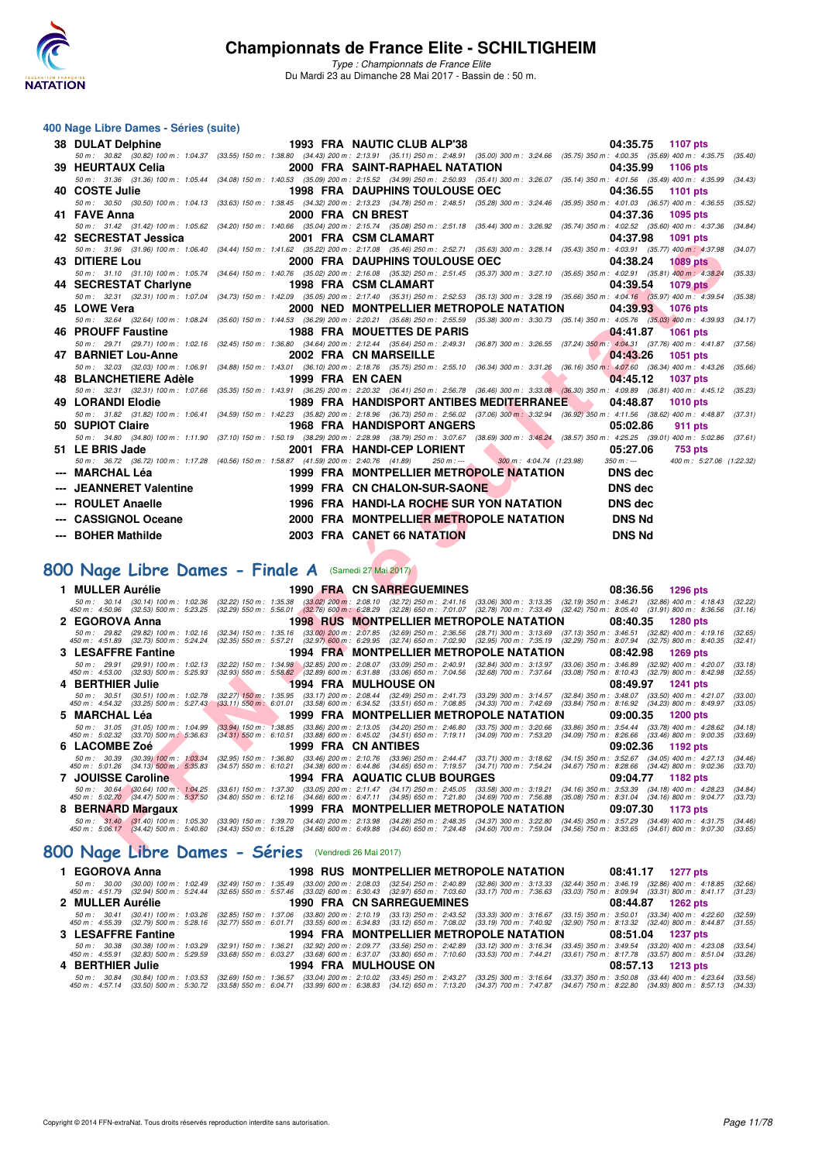

#### **400 Nage Libre Dames - Séries (suite)**

| <b>38 DULAT Delphine</b>                                                                                                                                                                                                          |  | 1993 FRA NAUTIC CLUB ALP'38                                                                                                                                                                                                         |                           | 04:35.75                                                                                                                                                                                         | 1107 pts                  |                    |
|-----------------------------------------------------------------------------------------------------------------------------------------------------------------------------------------------------------------------------------|--|-------------------------------------------------------------------------------------------------------------------------------------------------------------------------------------------------------------------------------------|---------------------------|--------------------------------------------------------------------------------------------------------------------------------------------------------------------------------------------------|---------------------------|--------------------|
| 50 m: 30.82 (30.82) 100 m: 1:04.37 (33.55) 150 m: 1:38.80 (34.43) 200 m: 2:13.91 (35.11) 250 m: 2:48.91 (35.00) 300 m: 3:24.66 (35.75) 350 m: 4:00.35 (35.69) 400 m: 4:35.75                                                      |  |                                                                                                                                                                                                                                     |                           |                                                                                                                                                                                                  |                           | (35.40)            |
| 39 HEURTAUX Celia                                                                                                                                                                                                                 |  | 2000 FRA SAINT-RAPHAEL NATATION                                                                                                                                                                                                     |                           | 04:35.99                                                                                                                                                                                         | <b>1106 pts</b>           |                    |
| 50 m : 31.36 (31.36) 100 m : 1:05.44 (34.08) 150 m : 1:40.53 (35.09) 200 m : 2:15.52 (34.99) 250 m : 2:50.93 (35.41) 300 m : 3:26.07 (35.14) 350 m : 4:01.56 (35.49) 400 m : 4:35.99<br>40 COSTE Julie                            |  | <b>1998 FRA DAUPHINS TOULOUSE OEC</b>                                                                                                                                                                                               |                           | 04:36.55                                                                                                                                                                                         | 1101 pts                  | (34.43)            |
| 50 m: 30.50 (30.50) 100 m: 1:04.13 (33.63) 150 m: 1:38.45 (34.32) 200 m: 2:13.23 (34.78) 250 m: 2:48.51 (35.28) 300 m: 3:24.46 (35.95) 350 m: 4:01.03 (36.57) 400 m: 4:36.55                                                      |  |                                                                                                                                                                                                                                     |                           |                                                                                                                                                                                                  |                           | (35.52)            |
| 41 FAVE Anna                                                                                                                                                                                                                      |  | 2000 FRA CN BREST                                                                                                                                                                                                                   |                           | 04:37.36                                                                                                                                                                                         | 1095 pts                  |                    |
| 50 m: 31.42 (31.42) 100 m: 1:05.62 (34.20) 150 m: 1:40.66 (35.04) 200 m: 2:15.74 (35.08) 250 m: 2:51.18 (35.44) 300 m: 3:26.92 (35.74) 350 m: 4:02.52 (35.60) 400 m: 4:37.36                                                      |  |                                                                                                                                                                                                                                     |                           |                                                                                                                                                                                                  |                           | (34.84)            |
| 42 SECRESTAT Jessica                                                                                                                                                                                                              |  | 2001 FRA CSM CLAMART                                                                                                                                                                                                                |                           | 04:37.98                                                                                                                                                                                         | 1091 pts                  |                    |
| 50 m : 31.96 (31.96) 100 m : 1:06.40 (34.44) 150 m : 1:41.62 (35.22) 200 m : 2:17.08 (35.46) 250 m : 2:52.71 (35.63) 300 m : 3:28.14 (35.43) 350 m : 4:03.91 (35.77) 400 m : 4:37.98                                              |  |                                                                                                                                                                                                                                     |                           |                                                                                                                                                                                                  |                           | (34.07)            |
| 43 DITIERE Lou                                                                                                                                                                                                                    |  | 2000 FRA DAUPHINS TOULOUSE OEC                                                                                                                                                                                                      |                           | 04:38.24                                                                                                                                                                                         | <b>1089 pts</b>           |                    |
| 50 m: 31.10 (31.10) 100 m: 1:05.74 (34.64) 150 m: 1:40.76 (35.02) 200 m: 2:16.08 (35.32) 250 m: 2:51.45 (35.37) 300 m: 3:27.10 (35.65) 350 m: 4:02.91 (35.81) 400 m: 4:38.24                                                      |  |                                                                                                                                                                                                                                     |                           |                                                                                                                                                                                                  |                           | (35.33)            |
| 44 SECRESTAT Charlyne<br>50 m: 32.31 (32.31) 100 m: 1:07.04 (34.73) 150 m: 1:42.09 (35.05) 200 m: 2:17.40 (35.31) 250 m: 2:52.53 (35.13) 300 m: 3:28.19 (35.66) 350 m: 4:04.16 (35.97) 400 m: 4:39.54                             |  | 1998 FRA CSM CLAMART                                                                                                                                                                                                                |                           | 04:39.54                                                                                                                                                                                         | <b>1079 pts</b>           | (35.38)            |
| 45 LOWE Vera                                                                                                                                                                                                                      |  | 2000 NED MONTPELLIER METROPOLE NATATION                                                                                                                                                                                             |                           | 04:39.93                                                                                                                                                                                         | 1076 pts                  |                    |
| 50 m: 32.64 (32.64) 100 m: 1:08.24                                                                                                                                                                                                |  | (35.60) 150 m : 1:44.53 (36.29) 200 m : 2:20.21 (35.68) 250 m : 2:55.59 (35.38) 300 m : 3:30.73 (35.14) 350 m : 4:05.76 (35.03) 400 m : 4:39.93                                                                                     |                           |                                                                                                                                                                                                  |                           | (34.17)            |
| 46 PROUFF Faustine                                                                                                                                                                                                                |  | <b>1988 FRA MOUETTES DE PARIS</b>                                                                                                                                                                                                   |                           | 04:41.87                                                                                                                                                                                         | <b>1061 pts</b>           |                    |
| 50 m: 29.71 (29.71) 100 m: 1:02.16 (32.45) 150 m: 1:36.80 (34.64) 200 m: 2:12.44 (35.64) 250 m: 2:49.31 (36.87) 300 m: 3:26.55 (37.24) 350 m: 4:04.31 (37.76) 400 m: 4:41.87 (37.56)                                              |  |                                                                                                                                                                                                                                     |                           |                                                                                                                                                                                                  |                           |                    |
| 47 BARNIET Lou-Anne                                                                                                                                                                                                               |  | 2002 FRA CN MARSEILLE                                                                                                                                                                                                               |                           | 04:43.26                                                                                                                                                                                         | <b>1051 pts</b>           |                    |
| 50 m : 32.03 (32.03) 100 m : 1:06.91                                                                                                                                                                                              |  | (34.88) 150 m : 1:43.01 (36.10) 200 m : 2:18.76 (35.75) 250 m : 2:55.10 (36.34) 300 m : 3:31.26 (36.16) 350 m : 4:07.60 (36.34) 400 m : 4:43.26                                                                                     |                           |                                                                                                                                                                                                  |                           | (35.66)            |
| 48 BLANCHETIERE Adèle                                                                                                                                                                                                             |  | 1999 FRA EN CAEN                                                                                                                                                                                                                    |                           | 04:45.12                                                                                                                                                                                         | <b>1037 pts</b>           |                    |
| 50 m: 32.31 (32.31) 100 m: 1:07.66 (35.35) 150 m: 1:43.91 (36.25) 200 m: 2:20.32 (36.41) 250 m: 2:56.78 (36.46) 300 m: 3:33.08 (36.30) 350 m: 4:09.89 (36.81) 400 m: 4:45.12 (35.23)<br>49 LORANDI Elodie                         |  | 1989 FRA HANDISPORT ANTIBES MEDITERRANEE                                                                                                                                                                                            |                           | 04:48.87                                                                                                                                                                                         | <b>1010 pts</b>           |                    |
| 50 m : 31.82 (31.82) 100 m : 1:06.41 (34.59) 150 m : 1:42.23 (35.82) 200 m : 2:18.96 (36.73) 250 m : 2:56.02 (37.06) 300 m : 3:32.94 (36.92) 350 m : 4:11.56 (38.62) 400 m : 4:48.87 (37.31)                                      |  |                                                                                                                                                                                                                                     |                           |                                                                                                                                                                                                  |                           |                    |
| 50 SUPIOT Claire                                                                                                                                                                                                                  |  | <b>1968 FRA HANDISPORT ANGERS</b>                                                                                                                                                                                                   |                           | 05:02.86                                                                                                                                                                                         | <b>911 pts</b>            |                    |
| 50 m: 34.80 (34.80) 100 m: 1:11.90 (37.10) 150 m: 1:50.19 (38.29) 200 m: 2:28.98 (38.79) 250 m: 3:07.67 (38.69) 300 m: 3:46.24 (38.57) 350 m: 4:25.25 (39.01) 400 m: 5:02.86 (37.61)                                              |  |                                                                                                                                                                                                                                     |                           |                                                                                                                                                                                                  |                           |                    |
| 51 LE BRIS Jade                                                                                                                                                                                                                   |  | 2001 FRA HANDI-CEP LORIENT                                                                                                                                                                                                          |                           | 05:27.06                                                                                                                                                                                         | 753 pts                   |                    |
| 50 m: 36.72 (36.72) 100 m: 1:17.28 (40.56) 150 m: 1:58.87 (41.59) 200 m: 2:40.76 (41.89)                                                                                                                                          |  | $250 m : -$                                                                                                                                                                                                                         | 300 m: 4:04.74 (1:23.98)  | $350 m : -$                                                                                                                                                                                      | 400 m: 5:27.06 (1:22.32)  |                    |
| MARCHAL Léa                                                                                                                                                                                                                       |  | 1999 FRA MONTPELLIER METROPOLE NATATION                                                                                                                                                                                             |                           | <b>DNS</b> dec                                                                                                                                                                                   |                           |                    |
| <b>JEANNERET Valentine</b>                                                                                                                                                                                                        |  | 1999 FRA CN CHALON-SUR-SAONE                                                                                                                                                                                                        |                           | <b>DNS dec</b>                                                                                                                                                                                   |                           |                    |
|                                                                                                                                                                                                                                   |  |                                                                                                                                                                                                                                     |                           |                                                                                                                                                                                                  |                           |                    |
| <b>ROULET Anaelle</b>                                                                                                                                                                                                             |  | 1996 FRA HANDI-LA ROCHE SUR YON NATATION                                                                                                                                                                                            |                           | <b>DNS</b> dec                                                                                                                                                                                   |                           |                    |
| <b>CASSIGNOL Oceane</b>                                                                                                                                                                                                           |  | 2000 FRA MONTPELLIER METROPOLE NATATION                                                                                                                                                                                             |                           | <b>DNS Nd</b>                                                                                                                                                                                    |                           |                    |
| --- BOHER Mathilde                                                                                                                                                                                                                |  |                                                                                                                                                                                                                                     |                           | <b>DNS Nd</b>                                                                                                                                                                                    |                           |                    |
|                                                                                                                                                                                                                                   |  | 2003 FRA CANET 66 NATATION                                                                                                                                                                                                          |                           |                                                                                                                                                                                                  |                           |                    |
|                                                                                                                                                                                                                                   |  |                                                                                                                                                                                                                                     |                           |                                                                                                                                                                                                  |                           |                    |
| <b>100 Nage Libre Dames - Finale A</b> (Samedi 27 Mai 2017)                                                                                                                                                                       |  |                                                                                                                                                                                                                                     |                           |                                                                                                                                                                                                  |                           |                    |
| 1 MULLER Aurélie                                                                                                                                                                                                                  |  | <b>1990 FRA CN SARREGUEMINES</b>                                                                                                                                                                                                    |                           | 08:36.56                                                                                                                                                                                         | <b>1296 pts</b>           |                    |
| 50 m: 30.14 (30.14) 100 m: 1:02.36                                                                                                                                                                                                |  |                                                                                                                                                                                                                                     |                           |                                                                                                                                                                                                  |                           | (32.22)            |
| 450 m : 4:50.96 (32.53) 500 m : 5:23.25                                                                                                                                                                                           |  | (32.22) 150 m : 1:35.38 (33.02) 200 m : 2:08.10 (32.72) 250 m : 2:41.16 (33.06) 300 m : 3:13.35 (32.19) 350 m : 3:46.21 (32.86) 400 m : 4:18.43<br>(32.29) 550 m : 5:56.01 (32.76) 600 m : 6:28.29 (32.28) 650 m : 7:01.07 (32.78   |                           |                                                                                                                                                                                                  |                           | (31.16)            |
| 2 EGOROVA Anna                                                                                                                                                                                                                    |  | <b>1998 RUS MONTPELLIER METROPOLE NATATION</b>                                                                                                                                                                                      |                           | 08:40.35                                                                                                                                                                                         | <b>1280 pts</b>           |                    |
| 50 m :   29.82   (29.82) 100 m : 1:02.16   (32.34) 150 m :  1:35.16   (33.00) 200 m :  2:07.85   (32.69) 250 m : 2:0566   (28.71) 300 m :  3:13.69   (37.13) 350 m :  3:46.51   (32.82) 400 m :  4:19.16<br>450 m :  4:51.89   (3 |  |                                                                                                                                                                                                                                     |                           |                                                                                                                                                                                                  |                           | (32.65)<br>(32.41) |
| 3 LESAFFRE Fantine                                                                                                                                                                                                                |  | 1994 FRA MONTPELLIER METROPOLE NATATION                                                                                                                                                                                             |                           | 08:42.98                                                                                                                                                                                         | 1269 pts                  |                    |
| 50 m: 29.91 (29.91) 100 m: 1:02.13                                                                                                                                                                                                |  | $(32.22)$ 150 m : 1:34.98 $(32.85)$ 200 m : 2:08.07 $(33.09)$ 250 m : 2:40.91                                                                                                                                                       | $(32.84)$ 300 m : 3:13.97 | $(33.06)$ 350 m : 3:46.89                                                                                                                                                                        | $(32.92)$ 400 m : 4:20.07 | (33.18)            |
| 450 m : 4:53.00 (32.93) 500 m : 5:25.93<br>4 BERTHIER Julie                                                                                                                                                                       |  | $(32.93)$ 550 m : 5:58.82 $(32.89)$ 600 m : 6:31.88 $(33.06)$ 650 m : 7:04.56<br>1994 FRA MULHOUSE ON                                                                                                                               | $(32.68)$ 700 m : 7:37.64 | $(33.08)$ 750 m : 8:10.43 $(32.79)$ 800 m : 8:42.98<br>08:49.97                                                                                                                                  | 1241 pts                  | (32.55)            |
|                                                                                                                                                                                                                                   |  |                                                                                                                                                                                                                                     | $(33.29)$ 300 m : 3:14.57 | (32.84) 350 m: 3:48.07 (33.50) 400 m: 4:21.07                                                                                                                                                    |                           | (33.00)            |
| $50\,m:~~30.51~~(30.51)~100\,m:~~1.02.78~~(32.27)~150\,m:~~1.35.95~~(33.17)~200\,m:~~2.08.44~~(32.49)~250\,m:~~2.41.73~~(33.19)~1.50~m:~~2.41.79$                                                                                 |  |                                                                                                                                                                                                                                     | $(34.33)$ 700 m : 7:42.69 | $(33.84)$ 750 m : 8:16.92 $(34.23)$ 800 m : 8:49.97                                                                                                                                              |                           | (33.05)            |
| 5 MARCHAL Léa                                                                                                                                                                                                                     |  | 1999 FRA MONTPELLIER METROPOLE NATATION                                                                                                                                                                                             |                           | 09:00.35                                                                                                                                                                                         | 1200 pts                  |                    |
| $50 \text{ m}: 31.05$ $(31.05) 100 \text{ m}: 1.04.99$<br>$450 \text{ m}: 5.02.32$ $(33.70) 500 \text{ m}: 5.36.63$                                                                                                               |  | (33.94) 150 m : 1:38.85 (33.86) 200 m : 2:13.05 (34.20) 250 m : 2:46.80 (33.75) 300 m : 3:20.66<br>(34.31) 550 m : 6:10.51 (33.88) 600 m : 6:45.02 (34.51) 650 m : 7:19.11 (34.09) 700 m : 7:53.20                                  |                           | $\begin{array}{cccc} (33.86) \ 350 \ m \ \colon \ 3.54.44 & \ (33.78) \ 400 \ m \ \colon \ 4.28.62 \\ (34.09) \ 750 \ m \ \colon \ 8.26.66 & \ (33.46) \ 800 \ m \ \colon \ 9.00.35 \end{array}$ |                           | (34.18)<br>(33.69) |
| 6 LACOMBE Zoé                                                                                                                                                                                                                     |  | 1999 FRA CN ANTIBES                                                                                                                                                                                                                 |                           | 09:02.36                                                                                                                                                                                         | 1192 pts                  |                    |
| 50 m: 30.39 (30.39) 100 m: 1:03.34                                                                                                                                                                                                |  |                                                                                                                                                                                                                                     |                           | (34.15) 350 m: 3:52.67 (34.05) 400 m: 4:27.13                                                                                                                                                    |                           | (34.46)            |
| 450 m : 5:01.26 (34.13) 500 m : 5:35.83<br>7 JOUISSE Caroline                                                                                                                                                                     |  | (32.95) 150 m : 1:36.80 (33.46) 200 m : 2:10.76 (33.96) 250 m : 2:44.47 (33.71) 300 m : 3:18.62<br>(34.57) 550 m : 6:10.21 (34.38) 600 m : 6:44.86 (34.65) 650 m : 7:19.57 (34.71) 700 m : 7:54.24<br>1994 FRA AQUATIC CLUB BOURGES |                           | $(34.67)$ 750 m : 8:28.66 $(34.42)$ 800 m : 9:02.36<br>09:04.77                                                                                                                                  | 1182 pts                  | (33.70)            |
| 50 m : 30.64 (30.64) 100 m : 1:04.25                                                                                                                                                                                              |  |                                                                                                                                                                                                                                     |                           |                                                                                                                                                                                                  |                           | (34.84)            |
| 450 m : 5:02.70 (34.47) 500 m : 5:37.50                                                                                                                                                                                           |  | (33.61) 150 m : 1:37.30 (33.05) 200 m : 2:11.47 (34.17) 250 m : 2:45.05 (33.58) 300 m : 3:19.21 (34.16) 350 m : 3:53.39 (34.18) 400 m : 4:28.23<br>(34.80) 550 m : 6:12.16 (34.66) 600 m : 6:47.11 (34.95) 650 m : 7:21.80 (34.69   |                           |                                                                                                                                                                                                  |                           | (33.73)            |
| 8 BERNARD Margaux                                                                                                                                                                                                                 |  | 1999 FRA MONTPELLIER METROPOLE NATATION                                                                                                                                                                                             |                           | 09:07.30                                                                                                                                                                                         | 1173 pts                  |                    |
| 50 m : 31.40 (31.40) 100 m : 1:05.30 (33.90) 150 m : 1:39.70 (34.40) 200 m : 2:13.98 (34.28) 250 m : 2:48.35 (34.37) 300 m : 3:22.80 (34.45) 350 m : 3:57.29 (34.49) 400 m : 4:31.75 (34.46) 450 m : 5:06.17 (34.42) 500 m : 5    |  |                                                                                                                                                                                                                                     |                           |                                                                                                                                                                                                  |                           |                    |
| $100$ Ngoe Libre Dames - Séries (Vendredi 26 Mai 2017)                                                                                                                                                                            |  |                                                                                                                                                                                                                                     |                           |                                                                                                                                                                                                  |                           |                    |

## **[800 Nage Libre Dames - Finale A](http://www.ffnatation.fr/webffn/resultats.php?idact=nat&go=epr&idcpt=45075&idepr=5)** (Samedi 27 Mai 2017)

| 1 MULLER Aurélie                                                                                                                                                                                                                                                                                                                                                        |                                                                                                                                                                         | 1990 FRA CN SARREGUEMINES               |                                         | 08:36.56<br>1296 pts        |
|-------------------------------------------------------------------------------------------------------------------------------------------------------------------------------------------------------------------------------------------------------------------------------------------------------------------------------------------------------------------------|-------------------------------------------------------------------------------------------------------------------------------------------------------------------------|-----------------------------------------|-----------------------------------------|-----------------------------|
| $50 \text{ m}$ : $30.14$<br>450 m : 4:50.96 (32.53) 500 m : 5:23.25 (32.29) 550 m : 5:56.01 (32.76) 600 m : 6:28.29 (32.28) 650 m : 7:01.07 (32.78) 700 m : 7:33.49 (32.42) 750 m : 8:05.40 (31.91) 800 m : 8:36.56                                                                                                                                                     | (30.14) 100 m : 1:02.36 (32.22) 150 m : 1:35.38 (33.02) 200 m : 2:08.10 (32.72) 250 m : 2:41.16 (33.06) 300 m : 3:13.35 (32.19) 350 m : 3:46.21 (32.86) 400 m : 4:18.43 |                                         |                                         | (32.22)<br>(31.16)          |
| 2 EGOROVA Anna                                                                                                                                                                                                                                                                                                                                                          |                                                                                                                                                                         |                                         | 1998 RUS MONTPELLIER METROPOLE NATATION | 08:40.35<br><b>1280 pts</b> |
| $50 \text{ m}$ : 29.82<br>450 m : 4:51.89 (32.73) 500 m : 5:24.24 (32.35) 550 m : 5:57.21 (32.97) 600 m : 6:29.95 (32.74) 650 m : 7:02.90 (32.95) 700 m : 7:35.19 (32.29) 750 m : 8:07.94 (32.75) 800 m : 8:40.35                                                                                                                                                       | (29.82) 100 m : 1:02.16 (32.84) 150 m : 1:35.16 (33.00) 200 m : 2:07.85 (32.69) 250 m : 2:36.56 (28.71) 300 m : 3:13.69 (37.13) 350 m : 3:46.51 (32.82) 400 m : 4:19.16 |                                         |                                         | (32.65)<br>(32.41)          |
| 3 LESAFFRE Fantine                                                                                                                                                                                                                                                                                                                                                      |                                                                                                                                                                         | 1994 FRA MONTPELLIER METROPOLE NATATION |                                         | 08:42.98<br><b>1269 pts</b> |
| $50 \text{ m}$ : 29.91<br>450 m : 4:53.00 (32.93) 500 m : 5:25.93 (32.93) 550 m : 5:58.82 (32.89) 600 m : 6:31.88 (33.06) 650 m : 7:04.56 (32.68) 700 m : 7:37.64 (33.08) 750 m : 8:10.43 (32.79) 800 m : 8:42.98                                                                                                                                                       | (29.91) 100 m : 1:02.13 (32.22) 150 m : 1:34.98 (32.85) 200 m : 2:08.07 (33.09) 250 m : 2:40.91 (32.84) 300 m : 3:13.97 (33.06) 350 m : 3:46.89 (32.92) 400 m : 4:20.07 |                                         |                                         | (33.18)<br>(32.55)          |
| 4 BERTHIER Julie                                                                                                                                                                                                                                                                                                                                                        |                                                                                                                                                                         | <b>1994 FRA MULHOUSE ON</b>             |                                         | 08:49.97 1241 pts           |
| $50 m$ : $30.51$<br>450 m: 4:54.32 (33.25) 500 m: 5:27.43 (33.11) 550 m: 6:01.01 (33.58) 600 m: 6:34.52 (33.51) 650 m: 7:08.85 (34.33) 700 m: 7:42.69 (33.84) 750 m: 8:16.92 (34.23) 800 m: 8:49.97                                                                                                                                                                     | (30.51) 100 m : 1:02.78 (32.27) 150 m : 1:35.95 (33.17) 200 m : 2:08.44 (32.49) 250 m : 2:41.73 (33.29) 300 m : 3:14.57 (32.84) 350 m : 3:48.07 (33.50) 400 m : 4:21.07 |                                         |                                         | (33.00)<br>(33.05)          |
|                                                                                                                                                                                                                                                                                                                                                                         |                                                                                                                                                                         |                                         |                                         |                             |
| 5 MARCHAL Léa                                                                                                                                                                                                                                                                                                                                                           |                                                                                                                                                                         |                                         | 1999 FRA MONTPELLIER METROPOLE NATATION | 09:00.35<br>1200 pts        |
| $50 \text{ m}$ : 31.05<br>450 m: 5:02.32 (33.70) 500 m: 5:36.63 (34.31) 550 m: 6:10.51 (33.88) 600 m: 6:45.02 (34.51) 650 m: 7:19.11 (34.09) 700 m: 7:53.20 (34.09) 750 m: 8:26.66 (33.46) 800 m: 9:00.35                                                                                                                                                               | (31.05) 100 m : 1:04.99 (33.94) 150 m : 1:38.85 (33.86) 200 m : 2:13.05 (34.20) 250 m : 2:46.80 (33.75) 300 m : 3:20.66 (33.86) 350 m : 3:54.44 (33.78) 400 m : 4:28.62 |                                         |                                         | (34.18)<br>(33.69)          |
| 6 LACOMBE Zoé                                                                                                                                                                                                                                                                                                                                                           |                                                                                                                                                                         | 1999 FRA CN ANTIBES                     |                                         | 09:02.36 1192 pts           |
| 50 m: 30.39 (30.39) 100 m: 1:03.34 (32.95) 150 m: 1:36.80 (33.46) 200 m: 2:10.76 (33.96) 250 m: 2:44.47 (33.71) 300 m: 3:18.62 (34.15) 350 m: 3:52.67 (34.05) 400 m: 4:27.13<br>450 m : 5:01.26 (34.13) 500 m : 5:35.83 (34.57) 550 m : 6:10.21 (34.38) 600 m : 6:44.86 (34.65) 650 m : 7:19.57 (34.71) 700 m : 7:54.24 (34.67) 750 m : 8:28.66 (34.42) 800 m : 9:02.36 |                                                                                                                                                                         |                                         |                                         | (34.46)<br>(33.70)          |
| <b>7 JOUISSE Caroline</b>                                                                                                                                                                                                                                                                                                                                               |                                                                                                                                                                         | 1994 FRA AQUATIC CLUB BOURGES           |                                         | 09:04.77 1182 pts           |
| 50 m: 30.64 (30.64) 100 m: 1:04.25 (33.61) 150 m: 1:37.30 (33.05) 200 m: 2:11.47 (34.17) 250 m: 2:45.05 (33.58) 300 m: 3:19.21 (34.16) 350 m: 3:53.39 (34.18) 400 m: 4:28.23<br>450 m : 5:02,70 (34.47) 500 m : 5:37.50 (34.80) 550 m : 6:12.16 (34.66) 600 m : 6:47.11 (34.95) 650 m : 7:21.80 (34.69) 700 m : 7:56.88 (35.08) 750 m : 8:31.04 (34.16) 800 m : 9:04.77 |                                                                                                                                                                         |                                         |                                         | (34.84)<br>(33.73)          |
| 8 BERNARD Margaux                                                                                                                                                                                                                                                                                                                                                       |                                                                                                                                                                         |                                         | 1999 FRA MONTPELLIER METROPOLE NATATION | 09:07.30<br>1173 pts        |

## **[800 Nage Libre Dames - Séries](http://www.ffnatation.fr/webffn/resultats.php?idact=nat&go=epr&idcpt=45075&idepr=5)** (Vendredi 26 Mai 2017)

| 1 EGOROVA Anna     | 1998 RUS MONTPELLIER METROPOLE NATATION | 08:41.17 1277 pts                                                                                                                                                                                                                                                                                                                                                                               |
|--------------------|-----------------------------------------|-------------------------------------------------------------------------------------------------------------------------------------------------------------------------------------------------------------------------------------------------------------------------------------------------------------------------------------------------------------------------------------------------|
|                    |                                         | 50 m : 30.00 (30.00) 100 m : 1:02.49 (32.49) 150 m : 1:35.49 (33.00) 200 m : 2:08.03 (32.54) 250 m : 2:40.89 (32.86) 300 m : 3:13.33 (32.44) 350 m : 3:46.19 (32.86) 400 m : 4:18.85 (32.66)<br>450 m : 4:51.79 (32.94) 500 m : 5:24.44 (32.65) 550 m : 5:57.46 (33.02) 600 m : 6:30.43 (32.97) 650 m : 7:03.60 (33.17) 700 m : 7:36.63 (33.03) 750 m : 8:09.94 (33.31) 800 m : 8:41.17 (31.23) |
| 2 MULLER Aurélie   | <b>1990 FRA CN SARREGUEMINES</b>        | 08:44.87 1262 pts                                                                                                                                                                                                                                                                                                                                                                               |
|                    |                                         | 50 m : 30.41 (30.41) 100 m : 1:03.26 (32.85) 150 m : 1:37.06 (33.80) 200 m : 2:10.19 (33.13) 250 m : 2:43.52 (33.33) 300 m : 3:16.67 (33.15) 350 m : 3:50.01 (33.34) 400 m : 4:22.60 (32.59)<br>450 m : 4:55.39 (32.79) 500 m : 5:28.16 (32.77) 550 m : 6:01.71 (33.55) 600 m : 6:34.83 (33.12) 650 m : 7:08.02 (33.19) 700 m : 7:40.92 (32.90) 750 m : 8:13.32 (32.40) 800 m : 8:44.87 (31.55) |
|                    |                                         |                                                                                                                                                                                                                                                                                                                                                                                                 |
| 3 LESAFFRE Fantine | 1994 FRA MONTPELLIER METROPOLE NATATION | 08:51.04 1237 pts                                                                                                                                                                                                                                                                                                                                                                               |
|                    |                                         | 50 m : 30.38 (30.38) 100 m : 1:03.29 (32.91) 150 m : 1:36.21 (32.92) 200 m : 2:09.77 (33.56) 250 m : 2:42.89 (33.12) 300 m : 3:16.34 (33.45) 350 m : 3:49.54 (33.20) 400 m : 4:23.08 (33.54)<br>450 m : 4:55.91 (32.83) 500 m : 5:29.59 (33.68) 550 m : 6:03.27 (33.68) 600 m : 6:37.07 (33.80) 650 m : 7:10.60 (33.53) 700 m : 7:44.21 (33.61) 750 m : 8:17.78 (33.57) 800 m : 8:51.04 (33.26) |
| 4 BERTHIER Julie   | <b>1994 FRA MULHOUSE ON</b>             | 08:57.13 1213 pts                                                                                                                                                                                                                                                                                                                                                                               |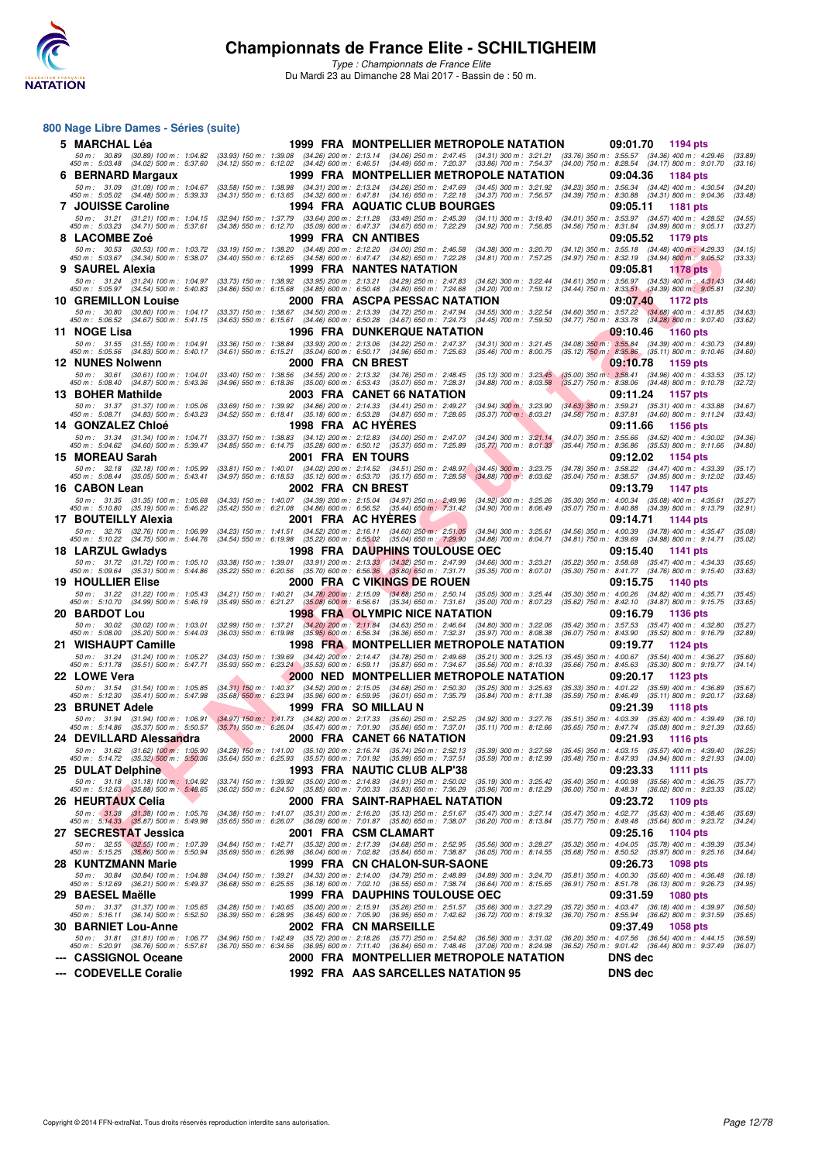

#### **800 Nage Libre Dames - Séries (suite)**

| 5 MARCHAL Léa                                                                                                   |                                                                                                                                                                | 1999 FRA MONTPELLIER METROPOLE NATATION                                                                                                                                                            | 09:01.70<br>1194 pts                                                                                                                   |
|-----------------------------------------------------------------------------------------------------------------|----------------------------------------------------------------------------------------------------------------------------------------------------------------|----------------------------------------------------------------------------------------------------------------------------------------------------------------------------------------------------|----------------------------------------------------------------------------------------------------------------------------------------|
| 50 m : 30.89<br>(30.89) 100 m : 1:04.82<br>450 m: 5:03.48 (34.02) 500 m: 5:37.60                                |                                                                                                                                                                | (33.93) 150 m : 1:39.08 (34.26) 200 m : 2:13.14 (34.06) 250 m : 2:47.45 (34.31) 300 m : 3:21.21<br>(34.12) 550 m : 6:12.02 (34.42) 600 m : 6:46.51 (34.49) 650 m : 7:20.37 (33.86) 700 m : 7:54.37 | $(33.76)$ 350 m : 3:55.57 $(34.36)$ 400 m : 4:29.46<br>(33.89)<br>$(34.00)$ 750 m : 8:28.54 $(34.17)$ 800 m : 9:01.70<br>(33.16)       |
| 6 BERNARD Margaux                                                                                               |                                                                                                                                                                | 1999 FRA MONTPELLIER METROPOLE NATATION                                                                                                                                                            | 09:04.36<br>1184 pts                                                                                                                   |
| 50 m: 31.09 (31.09) 100 m: 1:04.67                                                                              | $(33.58)$ 150 m : 1:38.98                                                                                                                                      | (34.31) 200 m : 2:13.24 (34.26) 250 m : 2:47.69 (34.45) 300 m : 3:21.92                                                                                                                            | (34.23) 350 m: 3:56.34 (34.42) 400 m: 4:30.54<br>(34.20)                                                                               |
| 450 m : 5:05.02 (34.48) 500 m : 5:39.33<br>7 JOUISSE Caroline                                                   |                                                                                                                                                                | (34.31) 550 m: 6:13.65 (34.32) 600 m: 6:47.81 (34.16) 650 m: 7:22.18 (34.37) 700 m: 7:56.57<br>1994 FRA AQUATIC CLUB BOURGES                                                                       | (34.39) 750 m : 8:30.88 (34.31) 800 m : 9:04.36<br>(33.48)<br>09:05.11<br><b>1181 pts</b>                                              |
| 50 m : 31.21 (31.21) 100 m : 1:04.15                                                                            |                                                                                                                                                                | (32.94) 150 m: 1:37.79 (33.64) 200 m: 2:11.28 (33.49) 250 m: 2:45.39 (34.11) 300 m: 3:19.40                                                                                                        | (34.01) 350 m: 3:53.97 (34.57) 400 m: 4:28.52<br>(34.55)                                                                               |
| 450 m : 5:03.23 (34.71) 500 m : 5:37.61                                                                         | (34.38) 550 m: 6:12.70 (35.09) 600 m: 6:47.37 (34.67) 650 m: 7:22.29                                                                                           | $(34.92)$ 700 m : 7:56.85                                                                                                                                                                          | (34.56) 750 m: 8:31.84 (34.99) 800 m: 9:05.11<br>(33.27)                                                                               |
| 8 LACOMBE Zoe                                                                                                   |                                                                                                                                                                | 1999 FRA CN ANTIBES                                                                                                                                                                                | 09:05.52<br>1179 pts                                                                                                                   |
| 50 m : 30.53 (30.53) 100 m : 1:03.72<br>450 m: 5:03.67 (34.34) 500 m: 5:38.07                                   | $(33.19)$ 150 m : 1:38.20 $(34.48)$ 200 m : 2:12.20 $(34.00)$ 250 m : 2:46.58<br>(34.40) 550 m: 6:12.65 (34.58) 600 m: 6:47.47 (34.82) 650 m: 7:22.28          | (34.38) 300 m : 3:20.70<br>$(34.81)$ 700 m : 7:57.25                                                                                                                                               | (34.12) 350 m: 3:55.18 (34.48) 400 m: 4:29.33<br>(34.15)<br>(34.97) 750 m : 8:32.19 (34.94) 800 m : 9:05.52<br>(33.33)                 |
| 9 SAUREL Alexia                                                                                                 |                                                                                                                                                                | 1999 FRA NANTES NATATION                                                                                                                                                                           | 09:05.81<br>1178 pts                                                                                                                   |
| 50 m: 31.24 (31.24) 100 m: 1:04.97<br>450 m : 5:05.97 (34.54) 500 m : 5:40.83                                   | (33.73) 150 m : 1:38.92 (33.95) 200 m : 2:13.21 (34.29) 250 m : 2:47.83<br>$(34.86)$ 550 m : 6.15.68 $(34.85)$ 600 m : 6.50.48 $(34.80)$ 650 m : 7.24.68       | (34.62) 300 m : 3:22.44<br>(34.20) 700 m : 7:59.12                                                                                                                                                 | (34.61) 350 m: 3:56.97 (34.53) 400 m: 4:31.43<br>(34.46)<br>$(34.44)$ 750 m : 8:33.51 $(34.39)$ 800 m : 9:05.81<br>(32.30)             |
| <b>10 GREMILLON Louise</b>                                                                                      |                                                                                                                                                                | 2000   FRA   ASCPA PESSAC NATATION                                                                                                                                                                 | 09:07.40<br>1172 pts                                                                                                                   |
| 50 m : 30.80<br>$(30.80)$ 100 m : 1:04.17                                                                       | (33.37) 150 m: 1:38.67 (34.50) 200 m: 2:13.39 (34.72) 250 m: 2:47.94                                                                                           | $(34.55)$ 300 m : 3:22.54                                                                                                                                                                          | $(34.60)$ 350 m : $3:57.22$<br>$(34.68)$ 400 m : 4:31.85<br>(34.63)                                                                    |
| 450 m : 5:06.52 (34.67) 500 m : 5:41.15                                                                         | (34.63) 550 m : 6:15.61 (34.46) 600 m : 6:50.28 (34.67) 650 m : 7:24.73                                                                                        | $(34.45)$ 700 m : 7:59.50                                                                                                                                                                          | (34.77) 750 m : 8:33.78 (34.28) 800 m : 9:07.40<br>(33.62)                                                                             |
| 11 NOGE Lisa<br>50 m: 31.55 (31.55) 100 m: 1:04.91                                                              | (33.36) 150 m: 1:38.84 (33.93) 200 m: 2:13.06 (34.22) 250 m: 2:47.37                                                                                           | <b>1996 FRA DUNKERQUE NATATION</b><br>$(34.31)$ 300 m : 3:21.45                                                                                                                                    | 09:10.46<br><b>1160 pts</b><br>$(34.08)$ 350 m : 3:55.84 $(34.39)$ 400 m : 4:30.73<br>(34.89)                                          |
| 450 m: 5:05.56 (34.83) 500 m: 5:40.17                                                                           | (34.61) 550 m: 6:15.21 (35.04) 600 m: 6:50.17 (34.96) 650 m: 7:25.63                                                                                           | $(35.46)$ 700 m : 8:00.75                                                                                                                                                                          | (35.12) 750 m: 8:35.86 (35.11) 800 m: 9:10.46<br>(34.60)                                                                               |
| <b>12 NUNES Nolwenn</b>                                                                                         | 2000 FRA CNBREST                                                                                                                                               |                                                                                                                                                                                                    | 09:10.78<br>1159 pts                                                                                                                   |
| 50 m : 30.61<br>$(30.61)$ 100 m : 1:04.01<br>450 m : 5:08.40 (34.87) 500 m : 5:43.36                            | $(33.40)$ 150 m : 1:38.56<br>$(35.00)$ 600 m : 6:53.43<br>$(34.96)$ 550 m : 6:18.36                                                                            | (34.55) 200 m : 2:13.32 (34.76) 250 m : 2:48.45<br>$(35.13)$ 300 m : 3:23.45<br>(35.07) 650 m : 7:28.31<br>$(34.88)$ 700 m : $8:03.58$                                                             | $(34.96)$ 400 m : 4:33.53<br>$(35.00)$ 350 m : 3:58.41<br>(35.12)<br>$(35.27)$ 750 m : 8:38.06<br>$(34.48)$ 800 m : 9:10.78<br>(32.72) |
| 13 BOHER Mathilde                                                                                               |                                                                                                                                                                | 2003 FRA CANET 66 NATATION                                                                                                                                                                         | 09:11.24<br><b>1157 pts</b>                                                                                                            |
| 50 m: 31.37 (31.37) 100 m: 1:05.06                                                                              | (33.69) 150 m: 1:39.92 (34.86) 200 m: 2:14.33 (34.41) 250 m: 2:49.27                                                                                           | $(34.94)$ 300 m : 3:23.90                                                                                                                                                                          | (34.63) 350 m: 3:59.21 (35.31) 400 m: 4:33.88<br>(34.67)                                                                               |
| 450 m : 5:08.71 (34.83) 500 m : 5:43.23<br><b>14 GONZALEZ Chloé</b>                                             | $(34.52)$ 550 m : 6:18.41 $(35.18)$ 600 m : 6:53.28                                                                                                            | (34.87) 650 m : 7:28.65<br>$(35.37)$ 700 m : 8:03.21<br>1998 FRA AC HYERES                                                                                                                         | (34.56) 750 m: 8:37.81 (34.60) 800 m: 9:11.24<br>(33.43)<br>09:11.66<br><b>1156 pts</b>                                                |
| 50 m : 31.34 (31.34) 100 m : 1:04.71                                                                            | $(33.37)$ 150 m : 1:38.83                                                                                                                                      | (34.12) 200 m : 2:12.83 (34.00) 250 m : 2:47.07<br>$(34.24)$ 300 m : 3:21.14                                                                                                                       | $(34.07)$ 350 m : 3:55.66<br>$(34.52)$ 400 m : 4:30.02<br>(34.36)                                                                      |
| 450 m : 5:04.62 (34.60) 500 m : 5:39.47                                                                         | (34.85) 550 m : 6:14.75 (35.28) 600 m : 6:50.12 (35.37) 650 m : 7:25.89                                                                                        | $(35.77)$ 700 m : $8:01.33$                                                                                                                                                                        | $(35.44)$ 750 m : $8.36.86$ $(35.53)$ 800 m : $9.11.66$<br>(34.80)                                                                     |
| 15 MOREAU Sarah<br>50 m: 32.18 (32.18) 100 m: 1:05.99                                                           | 2001 FRA ENTOURS                                                                                                                                               | (33.81) 150 m : 1:40.01 (34.02) 200 m : 2:14.52 (34.51) 250 m : 2:48.97 (34.45) 300 m : 3:23.75                                                                                                    | 09:12.02<br>1154 pts<br>(34.78) 350 m : 3:58.22 (34.47) 400 m : 4:33.39<br>(35.17)                                                     |
| 450 m : 5:08.44 (35.05) 500 m : 5:43.41                                                                         | (34.97) 550 m: 6:18.53 (35.12) 600 m: 6:53.70 (35.17) 650 m: 7:28.58                                                                                           | $(34.88)$ 700 m : 8.03.62                                                                                                                                                                          | (35.04) 750 m: 8:38.57 (34.95) 800 m: 9:12.02<br>(33.45)                                                                               |
| 16 CABON Lean                                                                                                   | 2002 FRA CN BREST                                                                                                                                              |                                                                                                                                                                                                    | 09:13.79<br>1147 pts                                                                                                                   |
| 50 m: 31.35 (31.35) 100 m: 1:05.68<br>450 m: 5:10.80 (35.19) 500 m: 5:46.22                                     | (34.33) 150 m : 1:40.07 (34.39) 200 m : 2:15.04 (34.97) 250 m : 2:49.96<br>(35.42) 550 m: 6:21.08 (34.86) 600 m: 6:56.52 (35.44) 650 m: 7:31.42                | $(34.92)$ 300 m : 3:25.26<br>$(34.90)$ 700 m : 8:06.49                                                                                                                                             | $(35.30)$ 350 m : 4:00.34 $(35.08)$ 400 m : 4:35.61<br>(35.27)<br>(35.07) 750 m: 8:40.88 (34.39) 800 m: 9:13.79<br>(32.91)             |
| 17 BOUTEILLY Alexia                                                                                             |                                                                                                                                                                | 2001 FRA AC HYERES                                                                                                                                                                                 | 09:14.71<br>1144 pts                                                                                                                   |
| 50 m: 32.76 (32.76) 100 m: 1:06.99                                                                              | $(34.23)$ 150 m : 1:41.51 $(34.52)$ 200 m : 2:16.11 $(34.60)$ 250 m : 2:51.05                                                                                  | (34.94) 300 m : 3:25.61                                                                                                                                                                            | (34.56) 350 m: 4:00.39 (34.78) 400 m: 4:35.47<br>(35.08)                                                                               |
| 450 m : 5:10.22 (34.75) 500 m : 5:44.76<br>18 LARZUL Gwladys                                                    | (34.54) 550 m : 6:19.98 (35.22) 600 m : 6:55.02 (35.04) 650 m : 7:29.90                                                                                        | $(34.88)$ 700 m : 8:04.71<br>1998 FRA DAUPHINS TOULOUSE OEC                                                                                                                                        | (34.81) 750 m : 8:39.69 (34.98) 800 m : 9:14.71<br>(35.02)<br>09:15.40<br>1141 pts                                                     |
| 50 m: 31.72 (31.72) 100 m: 1:05.10                                                                              |                                                                                                                                                                | $(34.66)$ 300 m : 3:23.21                                                                                                                                                                          | (35.22) 350 m: 3:58.68 (35.47) 400 m: 4:34.33<br>(35.65)                                                                               |
| 450 m : 5:09.64 (35.31) 500 m : 5:44.86                                                                         | $(33.38)$ 150 m : 1:39.01 $(33.91)$ 200 m : 2:13.33 $(34.32)$ 250 m : 2:47.99<br>$(35.22)$ 550 m : 6:20.56 $(35.70)$ 600 m : 6:56.36 $(35.80)$ 650 m : 7:31.71 | $(35.35)$ 700 m : 8:07.01                                                                                                                                                                          | (35.30) 750 m: 8:41.77 (34.76) 800 m: 9:15.40<br>(33.63)                                                                               |
| <b>19 HOULLIER Elise</b><br>50 m: 31.22 (31.22) 100 m: 1:05.43                                                  | (34.21) 150 m : 1:40.21 (34.78) 200 m : 2:15.09 (34.88) 250 m : 2:50.14                                                                                        | 2000 FRA C VIKINGS DE ROUEN<br>$(35.05)$ 300 m : 3:25.44                                                                                                                                           | 09:15.75<br><b>1140 pts</b><br>(35.30) 350 m : 4:00.26 (34.82) 400 m : 4:35.71<br>(35.45)                                              |
| 450 m : 5:10.70 (34.99) 500 m : 5:46.19                                                                         | $(35.49)$ 550 m : 6:21.27 $(35.08)$ 600 m : 6:56.61 $(35.34)$ 650 m : 7:31.61                                                                                  | $(35.00)$ 700 m : 8:07.23                                                                                                                                                                          | (35.62) 750 m : 8:42.10 (34.87) 800 m : 9:15.75<br>(33.65)                                                                             |
| 20 BARDOT Lou                                                                                                   |                                                                                                                                                                | <b>1998 FRA OLYMPIC NICE NATATION</b>                                                                                                                                                              | 09:16.79<br><b>1136 pts</b>                                                                                                            |
| 50 m: 30.02 (30.02) 100 m: 1:03.01<br>$(35.20)$ 500 m : 5:44.03<br>450 m : 5:08.00                              | (32.99) 150 m : 1:37.21<br>(36.03) 550 m : 6:19.98 (35.95) 600 m : 6:56.34 (36.36) 650 m : 7:32.31                                                             | (34.20) 200 m: 2:11.84 (34.63) 250 m: 2:46.64<br>$(34.80)$ 300 m : 3:22.06<br>(35.97) 700 m : 8:08.38                                                                                              | $(35.42)$ 350 m : 3:57.53<br>$(35.47)$ 400 m : 4:32.80<br>(35.27)<br>(36.07) 750 m : 8:43.90<br>$(35.52)$ 800 m : 9:16.79<br>(32.89)   |
| 21 WISHAUPT Camille                                                                                             |                                                                                                                                                                | 1998 FRA MONTPELLIER METROPOLE NATATION                                                                                                                                                            | 09:19.77<br>1124 pts                                                                                                                   |
| 50 m: 31.24 (31.24) 100 m: 1:05.27                                                                              |                                                                                                                                                                | (34.03) 150 m : 1:39.69 (34.42) 200 m : 2:14.47 (34.78) 250 m : 2:49.68 (35.21) 300 m : 3:25.13                                                                                                    | (35.45) 350 m : 4:00.67<br>$(35.54)$ 400 m : 4:36.27<br>(35.60)                                                                        |
| 450 m : 5:11.78<br>$(35.51)$ 500 m : 5:47.71<br>22 LOWE Vera                                                    | $(35.93)$ 550 m : 6:23.24 $(35.53)$ 600 m : 6:59.11                                                                                                            | (35.87) 650 m : 7:34.67<br>$(35.56)$ 700 m : 8:10.33<br>2000 NED MONTPELLIER METROPOLE NATATION                                                                                                    | $(35.66)$ 750 m : 8:45.63<br>$(35.30)$ 800 m : 9:19.77<br>(34.14)<br>09:20.17<br>1123 pts                                              |
| 50 m: 31.54 (31.54) 100 m: 1:05.85                                                                              | $(34.31)$ 150 m : 1:40.37 $(34.52)$ 200 m : 2:15.05 $(34.68)$ 250 m : 2:50.30                                                                                  | $(35.25)$ 300 m : 3:25.63                                                                                                                                                                          | $(35.33)$ 350 m : 4:01.22<br>$(35.59)$ 400 m : 4:36.89<br>(35.67)                                                                      |
| 450 m : 5:12.30<br>(35.41) 500 m : 5:47.98                                                                      | $(35.68)$ 550 m : 6:23.94<br>$(35.96)$ 600 m : 6:59.95                                                                                                         | (36.01) 650 m : 7:35.79<br>$(35.84)$ 700 m : $8:11.38$                                                                                                                                             | $(35.59)$ 750 m : 8:46.49<br>$(35.11)$ 800 m : 9:20.17<br>(33.68)                                                                      |
| 23   BRUNET Adele                                                                                               | 50 m: 31.94 (31.94) 100 m: 1:06.91 (34.97) 150 m: 1:41.73 (34.82) 200 m: 2:17.33 (35.60) 250 m: 2:52.25                                                        | 1999 FRA SOMILLAUN<br>$(34.92)$ 300 m : 3:27.76                                                                                                                                                    | 09:21.39<br>1118 pts<br>$(35.51)$ 350 m : 4:03.39<br>$(35.63)$ 400 m : 4:39.49<br>(36.10)                                              |
| 450 m : 5:14.86 (35.37) 500 m : 5:50.57 (35.71) 550 m : 6:26.04 (35.47) 600 m : 7:01.90 (35.86) 650 m : 7:37.01 |                                                                                                                                                                | $(35.11)$ 700 m : 8:12.66                                                                                                                                                                          | (35.65) 750 m : 8:47.74 (35.08) 800 m : 9:21.39<br>(33.65)                                                                             |
| 24 DEVILLARD Alessandra                                                                                         |                                                                                                                                                                | 2000 FRA CANET 66 NATATION                                                                                                                                                                         | 09:21.93<br><b>1116 pts</b>                                                                                                            |
| 450 m : 5:14.72 (35.32) 500 m : 5:50.36                                                                         | 50 m : 31.62 (31.62) 100 m : 1:05.90 (34.28) 150 m : 1:41.00 (35.10) 200 m : 2:16.74 (35.74) 250 m : 2:52.13                                                   | (35.39) 300 m : 3:27.58<br>(35.64) 550 m : 6:25.93 (35.57) 600 m : 7:01.92 (35.99) 650 m : 7:37.51 (35.59) 700 m : 8:12.99                                                                         | (35.45) 350 m : 4:03.15 (35.57) 400 m : 4:39.40<br>(36.25)<br>(35.48) 750 m : 8:47.93 (34.94) 800 m : 9:21.93<br>(34.00)               |
| 25 DULAT Delphine                                                                                               |                                                                                                                                                                | 1993 FRA NAUTIC CLUB ALP'38                                                                                                                                                                        | 09:23.33<br><b>1111 pts</b>                                                                                                            |
| 50 m: 31.18 (31.18) 100 m: 1:04.92<br>450 m : 5:12.63 (35.88) 500 m : 5:48.65                                   | (33.74) 150 m : 1:39.92 (35.00) 200 m : 2:14.83<br>(36.02) 550 m: 6:24.50 (35.85) 600 m: 7:00.33 (35.83) 650 m: 7:36.29                                        | $(34.91)$ 250 m : 2:50.02<br>$(35.19)$ 300 m : 3:25.42<br>$(35.96)$ 700 m : 8:12.29                                                                                                                | (35.40) 350 m : 4:00.98 (35.56) 400 m : 4:36.75<br>(35.77)<br>(36.00) 750 m : 8:48.31 (36.02) 800 m : 9:23.33<br>(35.02)               |
| 26   HEURTAUX Celia                                                                                             |                                                                                                                                                                | 2000 FRA  SAINT-RAPHAEL NATATION                                                                                                                                                                   | 09:23.72<br>1109 pts                                                                                                                   |
| 50 m : 31.38 (31.38) 100 m : 1:05.76                                                                            | (34.38) 150 m : 1:41.07 (35.31) 200 m : 2:16.20                                                                                                                | $(35.13)$ 250 m : 2:51.67<br>$(35.47)$ 300 m : 3:27.14                                                                                                                                             | (35.47) 350 m : 4:02.77<br>$(35.63)$ 400 m : 4:38.46<br>(35.69)                                                                        |
| 450 m : 5:14.33 (35.87) 500 m : 5:49.98                                                                         | (35.65) 550 m : 6:26.07 (36.09) 600 m : 7:01.87                                                                                                                | $(35.80)$ 650 m : 7:38.07<br>(36.20) 700 m : 8:13.84                                                                                                                                               | (35.77) 750 m : 8:49.48<br>$(35.64)$ 800 m : 9:23.72<br>(34.24)                                                                        |
| 27   SECRESTAT Jessica<br>50 m: 32.55 (32.55) 100 m: 1:07.39                                                    | (34.84) 150 m: 1:42.71 (35.32) 200 m: 2:17.39 (34.68) 250 m: 2:52.95                                                                                           | 2001 FRA CSMCLAMART<br>$(35.56)$ 300 m : 3:28.27                                                                                                                                                   | 09:25.16<br>1104 pts<br>(35.32) 350 m: 4:04.05 (35.78) 400 m: 4:39.39<br>(35.34)                                                       |
| 450 m: 5:15.25 (35.86) 500 m: 5:50.94                                                                           | (35.69) 550 m : 6:26.98 (36.04) 600 m : 7:02.82 (35.84) 650 m : 7:38.87                                                                                        | $(36.05)$ 700 m : 8:14.55                                                                                                                                                                          | (35.68) 750 m : 8:50.52 (35.97) 800 m : 9:25.16<br>(34.64)                                                                             |
| 28 KUNTZMANN Marie                                                                                              |                                                                                                                                                                | 1999 FRA CN CHALON-SUR-SAONE                                                                                                                                                                       | 09:26.73<br><b>1098 pts</b>                                                                                                            |
| 50 m: 30.84 (30.84) 100 m: 1:04.88<br>450 m : 5:12.69 (36.21) 500 m : 5:49.37                                   | $(36.68)$ 550 m : 6:25.55 $(36.18)$ 600 m : 7:02.10 $(36.55)$ 650 m : 7:38.74                                                                                  | (34.04) 150 m : 1:39.21 (34.33) 200 m : 2:14.00 (34.79) 250 m : 2:48.89 (34.89) 300 m : 3:24.70<br>$(36.64)$ 700 m : 8:15.65                                                                       | (35.81) 350 m : 4:00.30<br>$(35.60)$ 400 m : 4:36.48<br>(36.18)<br>(36.91) 750 m : 8:51.78 (36.13) 800 m : 9:26.73<br>(34.95)          |
| 29 BAESEL Maëlle                                                                                                |                                                                                                                                                                | <b>1999 FRA DAUPHINS TOULOUSE OEC</b>                                                                                                                                                              | 09:31.59<br><b>1080 pts</b>                                                                                                            |
| 50 m : 31.37 (31.37) 100 m : 1:05.65                                                                            |                                                                                                                                                                | (34.28) 150 m: 1:40.65 (35.00) 200 m: 2:15.91 (35.26) 250 m: 2:51.57 (35.66) 300 m: 3:27.29                                                                                                        | (35.72) 350 m : 4:03.47 (36.18) 400 m : 4:39.97<br>(36.50)                                                                             |
| 450 m : 5:16.11 (36.14) 500 m : 5:52.50<br><b>30 BARNIET Lou-Anne</b>                                           |                                                                                                                                                                | (36.39) 550 m : 6:28.95 (36.45) 600 m : 7:05.90 (36.95) 650 m : 7:42.62 (36.72) 700 m : 8:19.32<br>2002 FRA CN MARSEILLE                                                                           | (36.70) 750 m : 8:55.94 (36.62) 800 m : 9:31.59<br>(35.65)<br>09:37.49<br><b>1058 pts</b>                                              |
| 50 m: 31.81 (31.81) 100 m: 1:06.77                                                                              | (34.96) 150 m : 1:42.49 (35.72) 200 m : 2:18.26                                                                                                                | $(35.77)$ 250 m : 2:54.82<br>$(36.56)$ 300 m : 3:31.02                                                                                                                                             | (36.20) 350 m: 4:07.56 (36.54) 400 m: 4:44.15<br>(36.59)                                                                               |
| 450 m : 5:20.91 (36.76) 500 m : 5:57.61                                                                         | (36.70) 550 m : 6:34.56 (36.95) 600 m : 7:11.40                                                                                                                | $(36.84)$ 650 m : 7:48.46<br>$(37.06)$ 700 m : 8:24.98                                                                                                                                             | (36.52) 750 m : 9:01.42 (36.44) 800 m : 9:37.49<br>(36.07)                                                                             |
| --- CASSIGNOL Oceane                                                                                            |                                                                                                                                                                | 2000 FRA MONTPELLIER METROPOLE NATATION                                                                                                                                                            | <b>DNS dec</b>                                                                                                                         |
| --- CODEVELLE Coralie                                                                                           |                                                                                                                                                                | 1992 FRA AAS SARCELLES NATATION 95                                                                                                                                                                 | <b>DNS dec</b>                                                                                                                         |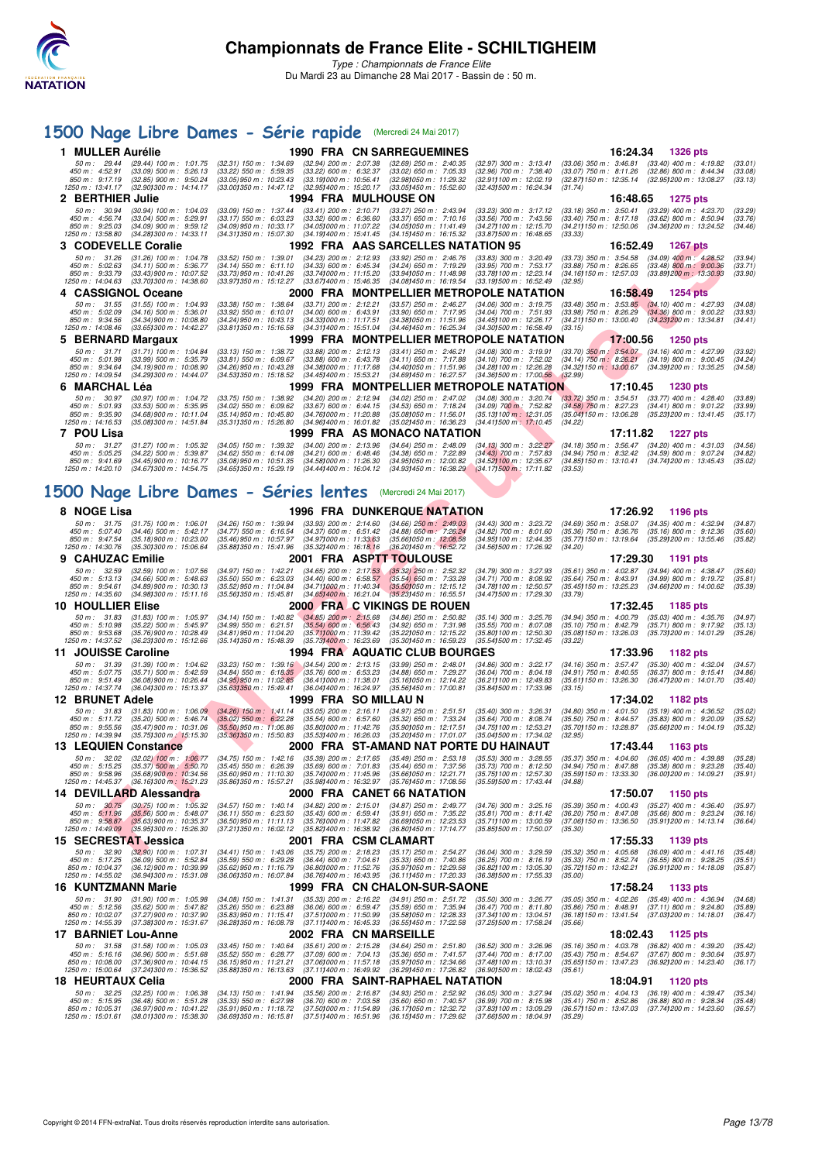

## **[1500 Nage Libre Dames - Série rapide](http://www.ffnatation.fr/webffn/resultats.php?idact=nat&go=epr&idcpt=45075&idepr=6)** (Mercredi 24 Mai 2017)

|   | 1 MULLER Aurélie                                                                                                                       |                                                                                                                                                                                                                                                | <b>1990 FRA CN SARREGUEMINES</b>                                                  |                                                                                              | 16:24.34                                                                                                 | 1326 pts                                               |                    |
|---|----------------------------------------------------------------------------------------------------------------------------------------|------------------------------------------------------------------------------------------------------------------------------------------------------------------------------------------------------------------------------------------------|-----------------------------------------------------------------------------------|----------------------------------------------------------------------------------------------|----------------------------------------------------------------------------------------------------------|--------------------------------------------------------|--------------------|
|   | 50 m : 29.44<br>(29.44) 100 m : 1:01.75<br>$(33.09)$ 500 m : 5:26.13<br>450 m : 4:52.91                                                | $(32.31)$ 150 m : 1:34.69<br>$(32.94)$ 200 m : 2:07.38<br>$(33.22)$ 550 m : 5:59.35<br>$(33.22)$ 600 m : 6:32.37                                                                                                                               | $(32.69)$ 250 m : 2:40.35<br>$(33.02)$ 650 m : 7:05.33                            | $(32.97)$ 300 m : 3:13.41<br>(32.96) 700 m : 7:38.40                                         | $(33.06)$ 350 m : 3:46.81<br>$(33.07)$ 750 m : 8:11.26                                                   | $(33.40)$ 400 m : 4:19.82<br>$(32.86)$ 800 m : 8:44.34 | (33.01)<br>(33.08) |
|   | $(32.85)$ 900 m : 9:50.24<br>850 m: 9:17.19<br>1250 m: 13:41.17<br>(32.90) 300 m : 14:14.17                                            | (33.19) 000 m : 10.56.41<br>$(33.05)$ 950 m : 10:23.43<br>$(33.001350 \text{ m} : 14.47.12)$<br>(32.95) 400 m : 15:20.17                                                                                                                       | (32.98) 050 m : 11:29.32<br>(33.05)450 m : 15.52.60                               | (32.91) 100 m : 12:02.19<br>(32.431500 m: 16:24.34)<br>(31.74)                               | (32.87) 150 m : 12:35.14 (32.95) 200 m : 13:08.27                                                        |                                                        | (33.13)            |
|   | 2 BERTHIER Julie                                                                                                                       |                                                                                                                                                                                                                                                | <b>1994 FRA MULHOUSE ON</b>                                                       |                                                                                              | 16:48.65                                                                                                 | <b>1275 pts</b>                                        |                    |
|   | 50 m: 30.94<br>$(30.94)$ 100 m : 1:04.03<br>450 m: 4:56.74<br>$(33.04)$ 500 m : 5:29.91                                                | $(33.09)$ 150 m : 1:37.44<br>$(33.41)$ 200 m : 2:10.71<br>$(33.17)$ 550 m : 6:03.23<br>$(33.32)$ 600 m : 6:36.60                                                                                                                               | $(33.27)$ 250 m : 2:43.94<br>$(33.37)$ 650 m : 7:10.16                            | $(33.23)$ 300 m : 3:17.12<br>$(33.56)$ 700 m : 7:43.56                                       | $(33.18)$ 350 m : 3:50.41<br>(33.40) 750 m : 8:17.18 (33.62) 800 m : 8:50.94                             | (33.29) 400 m : 4:23.70                                | (33.29)<br>(33.76) |
|   | 850 m: 9:25.03<br>$(34.09)$ 900 m : 9:59.12<br>1250 m: 13:58.80<br>(34.281300 m: 14:33.11                                              | (34.09) 950 m : 10:33.17<br>(34.05) 000 m: 11:07.22<br>(34.311350 m : 15:07.30<br>(34.191400 m : 15:41.45)                                                                                                                                     | (34.05) 050 m: 11:41.49<br>(34.15)450 m : 16:15.32                                | (34.27) 100 m : 12:15.70<br>(33.871500 m: 16:48.65<br>(33.33)                                | (34.21) 150 m: 12:50.06 (34.36) 200 m: 13:24.52                                                          |                                                        | (34.46)            |
| з | <b>CODEVELLE Coralie</b>                                                                                                               |                                                                                                                                                                                                                                                | 1992 FRA AAS SARCELLES NATATION 95                                                |                                                                                              | 16:52.49                                                                                                 | <b>1267 pts</b>                                        |                    |
|   | 50 m: 31.26<br>$(31.26)$ 100 m : 1:04.78<br>450 m : 5:02.63<br>$(34.11)$ 500 m : 5:36.77                                               | $(33.52)$ 150 m : 1:39.01<br>$(34.23)$ 200 m : 2:12.93<br>$(34.33)$ 600 m : 6:45.34<br>$(34.14)$ 550 m : 6:11.10                                                                                                                               | $(33.92)$ 250 m : 2:46.76<br>$(34.24)$ 650 m : 7:19.29                            | $(33.83)$ 300 m : 3:20.49<br>(33.95) 700 m : 7:53.17                                         | $(33.73)$ 350 m : 3:54.58<br>$(33.88)$ 750 m : 8:26.65                                                   | $(34.09)$ 400 m : 4:28.52<br>$(33.48)$ 800 m : 9:00.36 | (33.94)<br>(33.71) |
|   | 850 m : 9:33.79<br>$(33.43)$ 900 m : 10:07.52                                                                                          | $(33.73)$ 950 m : 10:41.26<br>(33.741000 m: 11:15.20                                                                                                                                                                                           | (33.94) 050 m: 11:48.98                                                           | (33.78) 100 m : 12:23.14                                                                     | $(34.16)$ 150 m : 12:57.03                                                                               | (33.89) 200 m : 13:30.93                               | (33.90)            |
|   | 1250 m: 14:04.63<br>$(33.70)300 \text{ m}$ : 14:38.60<br>4 CASSIGNOL Oceane                                                            | $(33.67)400 \text{ m}$ : 15:46.35<br>(33.97) 350 m : 15:12.27                                                                                                                                                                                  | (34.08) 450 m : 16:19.54<br>2000 FRA MONTPELLIER METROPOLE NATATION               | (33.191500 m : 16:52.49<br>(32.95)                                                           | 16:58.49                                                                                                 | <b>1254 pts</b>                                        |                    |
|   | 50 m: 31.55<br>$(31.55)$ 100 m : 1:04.93                                                                                               | (33.71) 200 m : 2:12.21<br>$(33.38)$ 150 m : 1:38.64                                                                                                                                                                                           | $(33.57)$ 250 m : 2:46.27                                                         | $(34.06)$ 300 m : 3:19.75                                                                    | $(33.48)$ 350 m : $3.53.85$                                                                              | $(34.10)$ 400 m : 4:27.93                              | (34.08)            |
|   | 450 m : 5:02.09<br>$(34.16)$ 500 m : 5:36.01<br>850 m: 9:34.56<br>$(34.34)$ 900 m : 10:08.80                                           | $(33.92)$ 550 m : 6:10.01<br>$(34.00)$ 600 m : 6:43.91<br>(34.24) 950 m : 10:43.13<br>(34.331000 m: 11:17.51                                                                                                                                   | $(33.90)$ 650 m : 7:17.95<br>(34.381050 m: 11:51.96)                              | $(34.04)$ 700 m : 7:51.93<br>(34.45) 100 m : 12:26.17                                        | $(33.98)$ 750 m : 8:26.29<br>(34.211150 m: 13:00.40 (34.231200 m: 13:34.81                               | $(34.36)$ 800 m : 9:00.22                              | (33.93)<br>(34.41) |
|   | 1250 m: 14:08.46<br>(33.65) 300 m : 14:42.27<br>5 BERNARD Margaux                                                                      | (33.81)350 m : 15:16.58<br>(34.311400 m: 15:51.04                                                                                                                                                                                              | (34.46) 450 m : 16:25.34<br>1999 FRA MONTPELLIER METROPOLE NATATION               | (34.30) 500 m : 16:58.49<br>(33.15)                                                          | 17:00.56                                                                                                 | <b>1250 pts</b>                                        |                    |
|   | $(31.71)$ 100 m : 1:04.84<br>50 m : 31.71                                                                                              | $(33.13)$ 150 m : 1:38.72<br>$(33.88)$ 200 m : 2:12.13                                                                                                                                                                                         | $(33.41)$ 250 m : 2:46.21                                                         | $(34.08)$ 300 m : 3:19.91                                                                    | (33.70) 350 m : 3:54.07 (34.16) 400 m : 4:27.99                                                          |                                                        | (33.92)            |
|   | (33.99) 500 m : 5:35.79<br>450 m : 5:01.98<br>850 m : 9:34.64<br>(34.19) 900 m : 10:08.90                                              | $(33.81)$ 550 m : 6:09.67<br>$(33.88)$ 600 m : 6:43.78<br>(34.26) 950 m : 10:43.28<br>(34.38) 000 m: 11:17.68                                                                                                                                  | $(34.11)$ 650 m : 7:17.88<br>(34.40) 050 m: 11:51.96                              | $(34.10)$ 700 m : 7:52.02<br>(34.28) 100 m : 12:26.28                                        | $(34.14)$ 750 m : 8:26.21 $(34.19)$ 800 m : 9:00.45<br>(34.32) 150 m : 13:00.67 (34.39) 200 m : 13:35.25 |                                                        | (34.24)<br>(34.58) |
|   | 1250 m: 14:09.54<br>(34.29) 300 m : 14:44.07<br>6 MARCHAL Léa                                                                          | (34.53) 350 m : 15:18.52<br>(34.45) 400 m : 15:53.21                                                                                                                                                                                           | (34.69) 450 m : 16:27.57<br>1999 FRA MONTPELLIER METROPOLE NATATION               | (34.361500 m : 17:00.56<br>(32.99)                                                           | 17:10.45                                                                                                 | 1230 pts                                               |                    |
|   | 50 m: 30.97<br>(30.97) 100 m : 1:04.72                                                                                                 | (33.75) 150 m : 1:38.92<br>(34.20) 200 m : 2:12.94                                                                                                                                                                                             | (34.02) 250 m : 2:47.02                                                           | $(34.08)$ 300 m : 3:20.74                                                                    | $(33.72)$ 350 m : 3:54.51                                                                                | $(33.77)$ 400 m : 4:28.40                              | (33.89)            |
|   | 450 m: 5:01.93<br>$(33.53)$ 500 m : 5:35.95<br>850 m : 9:35.90<br>$(34.68)$ 900 m : 10:11.04                                           | $(33.67)$ 600 m : 6:44.15<br>$(34.02)$ 550 m : 6:09.62<br>(34.76) 000 m: 11:20.88<br>(35.14) 950 m : 10:45.80                                                                                                                                  | $(34.53)$ 650 m : 7:18.24<br>(35.08) 050 m: 11:56.01                              | $(34.09)$ 700 m : 7:52.82<br>(35.13) 100 m : 12:31.05                                        | $(34.58)$ 750 m : 8:27.23<br>(35.04)150 m : 13.06.28                                                     | $(34.41)$ 800 m : 9:01.22<br>(35.23) 200 m : 13:41.45  | (33.99)<br>(35.17) |
|   | 1250 m: 14:16.53<br>(35.08) 300 m : 14:51.84                                                                                           | (35.311350 m: 15:26.80<br>(34.961400 m : 16:01.82)                                                                                                                                                                                             | (35.02) 450 m : 16:36.23                                                          | (34.411500 m: 17:10.45)<br>(34.22)                                                           |                                                                                                          |                                                        |                    |
|   | 7 POU Lisa<br>50 m: 31.27<br>$(31.27)$ 100 m : 1:05.32                                                                                 | $(34.05)$ 150 m : 1:39.32<br>$(34.00)$ 200 m : 2:13.96                                                                                                                                                                                         | 1999 FRA AS MONACO NATATION<br>$(34.64)$ 250 m : 2:48.09                          | $(34.13)$ 300 m : 3:22.27                                                                    | 17:11.82<br>$(34.18)$ 350 m : 3:56.47                                                                    | 1227 pts<br>$(34.20)$ 400 m : 4:31.03                  | (34.56)            |
|   | 450 m: 5:05.25<br>(34.22) 500 m : 5:39.87<br>850 m: 9:41.69<br>$(34.45)$ 900 m : 10:16.77                                              | $(34.62)$ 550 m : 6:14.08<br>$(34.21)$ 600 m : 6:48.46<br>(35.08) 950 m : 10:51.35<br>$(34.581000 \text{ m} : 11.26.30)$                                                                                                                       | $(34.38)$ 650 m : 7:22.89<br>(34.951050 m : 12:00.82                              | $(34.43)$ 700 m : 7:57.83<br>(34.52) 100 m : 12:35.67                                        | (34.94) 750 m : 8:32.42<br>(34.85) 150 m : 13:10.41                                                      | $(34.59)$ 800 m : 9:07.24<br>(34.74) 200 m : 13:45.43  | (34.82)<br>(35.02) |
|   | 1250 m: 14:20.10<br>(34.67) 300 m : 14:54.75                                                                                           | (34.65) 350 m : 15:29.19<br>$(34.441400 \text{ m} : 16.04.12)$                                                                                                                                                                                 | (34.93) 450 m : 16:38.29                                                          | (34.17) 500 m : 17:11.82<br>(33.53)                                                          |                                                                                                          |                                                        |                    |
|   | 1500 Nage Libre Dames - Séries lentes (Mercredi 24 Mai 2017)                                                                           |                                                                                                                                                                                                                                                |                                                                                   |                                                                                              |                                                                                                          |                                                        |                    |
|   |                                                                                                                                        |                                                                                                                                                                                                                                                |                                                                                   |                                                                                              |                                                                                                          |                                                        |                    |
|   | 8 NOGE Lisa<br>50 m: 31.75<br>$(31.75)$ 100 m : 1:06.01                                                                                | $(33.93)$ 200 m : 2:14.60<br>$(34.26)$ 150 m : 1:39.94                                                                                                                                                                                         | <b>1996 FRA DUNKERQUE NATATION</b><br>$(34.66)$ 250 m : 2:49.03                   | $(34.43)$ 300 m : 3:23.72                                                                    | 17:26.92<br>$(34.69)$ 350 m : 3:58.07                                                                    | 1196 pts<br>$(34.35)$ 400 m : 4:32.94                  | (34.87)            |
|   | $(34.46)$ 500 m : 5:42.17<br>450 m: 5:07.40<br>850 m: 9:47.54<br>(35.18) 900 m : 10:23.00                                              | $(34.37)$ 600 m : 6.51.42<br>(34.77) 550 m : 6:16.54<br>(34.97) 000 m: 11:33.63<br>(35.46) 950 m : 10:57.97                                                                                                                                    | $(34.88)$ 650 m : 7:26.24<br>(35.66) 050 m : 12:08.58                             | $(34.82)$ 700 m : $8:01.60$<br>(34.95) 100 m : 12:44.35                                      | $(35.36)$ 750 m : 8:36.76<br>(35.77) 150 m : 13:19.64                                                    | $(35.16)$ 800 m : 9:12.36<br>(35.29) 200 m : 13:55.46  | (35.60)<br>(35.82) |
|   | 1250 m: 14:30.76<br>(35.30) 300 m : 15:06.64                                                                                           | (35.88) 350 m : 15:41.96<br>(35.32) 400 m : 16:18.16                                                                                                                                                                                           | (36.20) 450 m : 16:52.72                                                          | (34.56) 500 m : 17:26.92<br>(34.20)                                                          |                                                                                                          |                                                        |                    |
| 9 | <b>CAHUZAC Emilie</b><br>50 m: 32.59<br>(32.59) 100 m : 1:07.56                                                                        | $(34.65)$ 200 m : 2:17.53<br>$(34.97)$ 150 m : 1:42.21                                                                                                                                                                                         | 2001 FRA ASPTTTOULOUSE<br>$(35.32)$ 250 m : 2:52.32                               | $(34.79)$ 300 m : 3:27.93                                                                    | 17:29.30<br>$(35.61)$ 350 m : 4:02.87                                                                    | 1191 pts<br>$(34.94)$ 400 m : 4:38.47                  | (35.60)            |
|   | 450 m: 5:13.13<br>$(34.66)$ 500 m : 5:48.63<br>850 m : 9:54.61<br>(34.89) 900 m : 10:30.13                                             | $(35.50)$ 550 m : 6:23.03<br>$(34.40)$ 600 m : 6:58.57<br>(35.52) 950 m : 11:04.84<br>(34.711000 m: 11:40.34)                                                                                                                                  | $(35.54)$ 650 m : 7:33.28<br>(35.50) 050 m: 12:15.12                              | $(34.71)$ 700 m : 8:08.92<br>(34.78) 100 m : 12:50.57                                        | (35.64) 750 m : 8:43.91<br>(35.45) 150 m: 13:25.23 (34.66) 200 m: 14:00.62                               | $(34.99)$ 800 m : 9:19.72                              | (35.81)<br>(35.39) |
|   | 1250 m: 14:35.60<br>$(34.98)300 \text{ m}$ : 15:11.16                                                                                  | (35.56)350 m : 15:45.81<br>$(34.65)400 \text{ m}$ : 16:21.04                                                                                                                                                                                   | $(35.23)1450 \text{ m}$ : 16:55.51                                                | (34.47) 500 m : 17:29.30<br>(33.79)                                                          |                                                                                                          |                                                        |                    |
|   | 10 HOULLIER Elise                                                                                                                      |                                                                                                                                                                                                                                                | 2000 FRAIC VIKINGS DE ROUEN                                                       |                                                                                              | 17:32.45                                                                                                 | 1185 pts                                               |                    |
|   | 50 m: 31.83<br>$(31.83)$ 100 m : 1:05.97<br>450 m: 5:10.98<br>$(35.22)$ 500 m : 5:45.97                                                | $(34.14)$ 150 m : 1:40.82<br>$(34.85)$ 200 m : 2:15.68<br>$(34.99)$ 550 m : 6:21.51<br>$(35.54)$ 600 m : 6:56.43                                                                                                                               | $(34.86)$ 250 m : 2:50.82<br>$(34.92)$ 650 m : 7:31.98                            | $(35.14)$ 300 m : 3:25.76<br>$(35.55)$ 700 m : $8:07.08$                                     | $(34.94)$ 350 m : 4:00.79<br>$(35.10)$ 750 m : 8:42.79                                                   | $(35.03)$ 400 m : 4:35.76<br>$(35.71)$ 800 m : 9:17.92 | (34.97)<br>(35.13) |
|   | 850 m : 9:53.68<br>$(35.76)$ 900 m : 10:28.49<br>(36.23) 300 m : 15:12.66<br>1250 m : 14:37.52                                         | $(34.81)$ 950 m : 11:04.20<br>(35.711000 m: 11:39.42)<br>(35.141350 m : 15:48.39<br>$(35.73)$ 400 m : 16:23.69                                                                                                                                 | (35.22) 050 m : 12:15.22<br>(35.30) 450 m : 16:59.23                              | (35.80) 100 m : 12:50.30<br>(35.54) 500 m : 17:32.45<br>(33.22)                              | (35.08) 150 m : 13:26.03                                                                                 | (35.73) 200 m : 14:01.29                               | (35.26)            |
|   | 11 JOUISSE Caroline                                                                                                                    |                                                                                                                                                                                                                                                | 1994 FRA AQUATIC CLUB BOURGES                                                     |                                                                                              | 17:33.96                                                                                                 | 1182 pts                                               |                    |
|   | 50 m: 31.39<br>$(31.39)$ 100 m : 1:04.62<br>450 m : 5:07.75<br>$(35.71)$ 500 m : 5:42.59                                               | $(33.23)$ 150 m : 1:39.16 $(34.54)$ 200 m : 2:13.15<br>$(34.84)$ 550 m : 6:18.35<br>$(35.76)$ 600 m : 6:53.23                                                                                                                                  | $(33.99)$ 250 m : 2:48.01<br>$(34.88)$ 650 m : 7:29.27                            | $(34.86)$ 300 m : 3:22.17<br>$(36.04)$ 700 m : 8:04.18                                       | $(34.16)$ 350 m : 3:57.47<br>$(34.91)$ 750 m : 8:40.55                                                   | $(35.30)$ 400 m : 4:32.04<br>$(36.37)$ 800 m : 9:15.41 | (34.57)<br>(34.86) |
|   | 850 m: 9:51.49<br>(36.08) 900 m : 10:26.44<br>1250 m: 14:37.74<br>(36.041300 m: 15:13.37)                                              | (34.95) 950 m : 11:02.85<br>(36.411000 m: 11:38.01<br>(35.631350 m : 15:49.41<br>(36.041400 m : 16:24.97                                                                                                                                       | (35.16) 050 m : 12:14.22<br>(35.56) 450 m : 17:00.81                              | (36.21) 100 m : 12:49.83<br>(35.841500 m: 17:33.96<br>(33.15)                                | (35.61) 150 m : 13:26.30                                                                                 | (36.47) 200 m: 14:01.70                                | (35.40)            |
|   | <b>12 BRUNET Adele</b>                                                                                                                 |                                                                                                                                                                                                                                                | 1999 FRA SOMILLAUN                                                                |                                                                                              | 17:34.02                                                                                                 | 1182 pts                                               |                    |
|   | 50 m: 31.83<br>$(31.83)$ 100 m : 1:06.09<br>450 m : 5:11.72<br>$(35.20)$ 500 m : 5:46.74                                               | $(35.05)$ 200 m : 2:16.11<br>$(34.26)$ 150 m : 1:41.14<br>$(35.02)$ 550 m : 6:22.28<br>$(35.54)$ 600 m : 6:57.60                                                                                                                               | $(34.97)$ 250 m : 2:51.51<br>$(35.32)$ 650 m : 7:33.24                            | $(35.40)$ 300 m : 3:26.31<br>$(35.64)$ 700 m : 8:08.74                                       | $(34.80)$ 350 m : $4:01.50$<br>$(35.50)$ 750 m : 8:44.57                                                 | $(35.19)$ 400 m : 4:36.52<br>$(35.83)$ 800 m : 9:20.09 | (35.02)<br>(35.52) |
|   | 850 m : 9:55.56<br>(35.47) 900 m : 10:31.06<br>1250 m: 14:39.94<br>(35.75) 300 m ; 15:15.30                                            | $(35.50)$ 950 m : 11:06.86<br>(35.80) 000 m: 11:42.76<br>(35.361350 m : 15:50.83<br>$(35.53)400 \text{ m}$ : 16:26.03                                                                                                                          | (35.90) 050 m: 12:17.51<br>(35.201450 m: 17:01.07                                 | (34.75) 100 m : 12:53.21<br>(35.041500 m: 17:34.02)<br>(32.95)                               | (35.70) 150 m : 13:28.87 (35.66) 200 m : 14:04.19                                                        |                                                        | (35.32)            |
|   | <b>13 LEQUIEN Constance</b>                                                                                                            |                                                                                                                                                                                                                                                | 2000 FRA  ST-AMAND NAT PORTE DU HAINAUT                                           |                                                                                              | 17:43.44                                                                                                 | 1163 pts                                               |                    |
|   | 450 m : 5:15.25<br>$(35.37)$ 500 m : 5:50.70                                                                                           | 50 m : 32.02 (32.02) 100 m : 1:06.77 (34.75) 150 m : 1:42.16 (35.39) 200 m : 2:17.65 (35.49) 250 m : 2:53.18 (35.53) 300 m : 3:28.55 (35.37) 350 m : 4:04.60 (36.05) 400 m : 4:39.88<br>$(35.45)$ 550 m : 6:26.39<br>$(35.69)$ 600 m : 7:01.83 | $(35.44)$ 650 m : 7:37.56                                                         | $(35.73)$ 700 m : 8:12.50                                                                    | $(34.94)$ 750 m : $8.47.88$                                                                              | $(35.38)$ 800 m : 9:23.28                              | (35.28)<br>(35.40) |
|   | 850 m : 9:58.96<br>$(35.68)$ 900 m : 10:34.56<br>(36.16) 300 m : 15:21.23<br>1250 m : 14:45.37                                         | $(35.60)$ 950 m : 11:10.30<br>(35.741000 m: 11:45.96<br>(35.981400 m: 16:32.97)<br>(35.861350 m : 15:57.21                                                                                                                                     | (35.661050 m : 12:21.71<br>(35.761450 m: 17:08.56                                 | (35.75) 100 m : 12:57.30<br>(35.59) 500 m : 17:43.44<br>(34.88)                              | (35.59) 150 m : 13:33.30                                                                                 | (36.001200 m : 14.09.21                                | (35.91)            |
|   | 14 DEVILLARD Alessandra                                                                                                                |                                                                                                                                                                                                                                                | 2000 FRA CANET 66 NATATION                                                        |                                                                                              | 17:50.07                                                                                                 | <b>1150 pts</b>                                        |                    |
|   | 50 m : 30.75<br>$(30.75)$ 100 m : 1:05.32<br>(35.56) 500 m : 5:48.07<br>450 m : 5:11.96                                                | $(34.57)$ 150 m : 1:40.14<br>$(34.82)$ 200 m : 2:15.01<br>$(35.43)$ 600 m : 6:59.41<br>$(36.11)$ 550 m : 6:23.50                                                                                                                               | (34.87) 250 m : 2:49.77<br>$(35.91)$ 650 m : 7:35.22                              | $(34.76)$ 300 m : 3:25.16<br>$(35.81)$ 700 m : 8:11.42                                       | $(35.39)$ 350 m : 4:00.43<br>$(36.20)$ 750 m : 8:47.08                                                   | $(35.27)$ 400 m : 4:36.40<br>$(35.66)$ 800 m : 9:23.24 | (35.97)<br>(36.16) |
|   | 850 m : 9:58.87<br>$(35.63)$ 900 m : 10:35.37<br>1250 m: 14:49.09<br>(35.95) 300 m : 15:26.30                                          | (36.50) 950 m : 11:11.13<br>(35.76) 000 m : 11:47.82<br>(37.211350 m: 16:02.12<br>(35.82) 400 m : 16:38.92                                                                                                                                     | (36.69) 050 m : 12:23.53<br>(36.80) 450 m : 17:14.77                              | (35.711100 m: 13:00.59)<br>(35.851500 m: 17:50.07<br>(35.30)                                 | (37.06) 150 m : 13:36.50                                                                                 | (35.911200 m : 14:13.14                                | (36.64)            |
|   | 15 SECRESTAT Jessica                                                                                                                   |                                                                                                                                                                                                                                                | 2001 FRA CSM CLAMART                                                              |                                                                                              | 17:55.33                                                                                                 | 1139 pts                                               |                    |
|   | 50 m : 32.90<br>$(32.90)$ 100 m : 1:07.31<br>450 m: 5:17.25<br>$(36.09)$ 500 m : 5:52.84                                               | $(34.41)$ 150 m : 1:43.06<br>$(35.75)$ 200 m : 2:18.23<br>$(35.59)$ 550 m : 6:29.28<br>$(36.44)$ 600 m : 7:04.61                                                                                                                               | $(35.17)$ 250 m : 2:54.27<br>$(35.33)$ 650 m : 7:40.86                            | $(36.04)$ 300 m : 3:29.59<br>$(36.25)$ 700 m : 8:16.19                                       | $(35.32)$ 350 m : 4:05.68<br>$(35.33)$ 750 m : 8:52.74                                                   | $(36.09)$ 400 m : 4:41.16<br>$(36.55)$ 800 m : 9:28.25 | (35.48)<br>(35.51) |
|   | 850 m: 10:04.37<br>$(36.12)$ 900 m : 10:39.99<br>1250 m : 14:55.02<br>(36.94) 300 m : 15:31.08                                         | (35.62) 950 m : 11:16.79<br>(36.80) 000 m: 11:52.76<br>(36.061350 m: 16:07.84<br>(36.761400 m : 16:43.95                                                                                                                                       | (35.97) 050 m : 12:29.58<br>(36.111450 m : 17:20.33                               | (36.82) 100 m : 13:05.30<br>(36.381500 m: 17:55.33)<br>(35.00)                               | (35.72) 150 m : 13:42.21 (36.91) 200 m : 14:18.08                                                        |                                                        | (35.87)            |
|   | 16 KUNTZMANN Marie                                                                                                                     |                                                                                                                                                                                                                                                | 1999 FRA CN CHALON-SUR-SAONE                                                      |                                                                                              | 17:58.24                                                                                                 | 1133 pts                                               |                    |
|   | 50 m: 31.90<br>$(31.90)$ 100 m : 1:05.98<br>450 m: 5:12.56<br>$(35.62)$ 500 m : 5:47.82                                                | $(34.08)$ 150 m : 1:41.31<br>$(35.33)$ 200 m : 2:16.22<br>$(35.26)$ 550 m : 6:23.88<br>$(36.06)$ 600 m : 6:59.47                                                                                                                               | $(34.91)$ 250 m : 2:51.72<br>$(35.59)$ 650 m : 7:35.94                            | $(35.50)$ 300 m : 3:26.77<br>$(36.47)$ 700 m : 8:11.80                                       | $(35.05)$ 350 m : 4:02.26<br>$(35.86)$ 750 m : $8.48.91$                                                 | $(35.49)$ 400 m : 4:36.94<br>$(37.11)$ 800 m : 9:24.80 | (34.68)<br>(35.89) |
|   | 850 m : 10:02.07<br>(37.27) 900 m : 10:37.90<br>1250 m : 14:55.39<br>(37.38) 300 m : 15:31.67                                          | $(35.83)$ 950 m : 11:15.41<br>(37.511000 m: 11:50.99<br>(36.281350 m : 16:08.78<br>(37.111400 m : 16:45.33                                                                                                                                     | (35.58) 050 m: 12:28.33<br>(36.55) 450 m : 17:22.58                               | (37.34) 100 m : 13:04.51<br>(37.251500 m: 17:58.24<br>(35.66)                                | (36.18) 150 m : 13:41.54 (37.03) 200 m : 14:18.01                                                        |                                                        | (36.47)            |
|   | <b>17 BARNIET Lou-Anne</b>                                                                                                             |                                                                                                                                                                                                                                                | 2002 FRA CN MARSEILLE                                                             |                                                                                              | 18:02.43                                                                                                 | 1125 pts                                               |                    |
|   | 50 m: 31.58<br>$(31.58)$ 100 m : 1:05.03                                                                                               | $(33.45)$ 150 m : 1:40.64<br>$(35.61)$ 200 m : 2:15.28                                                                                                                                                                                         | $(34.64)$ 250 m : 2:51.80                                                         | $(36.52)$ 300 m : 3:26.96                                                                    | $(35.16)$ 350 m : 4:03.78                                                                                | $(36.82)$ 400 m : 4:39.20                              | (35.42)            |
|   | 450 m : 5:16.16<br>$(36.96)$ 500 m : 5:51.68<br>850 m : 10:08.00<br>$(37.36)$ 900 m : 10:44.15                                         | $(35.52)$ 550 m : 6:28.77<br>$(37.09)$ 600 m : 7:04.13<br>$(36.15)$ 950 m : 11:21.21<br>$(37.06)000 \text{ m}$ : 11:57.18                                                                                                                      | $(35.36)$ 650 m : 7:41.57<br>(35.97) 050 m : 12:34.66                             | $(37.44)$ 700 m : 8:17.00<br>(37.48) 100 m : 13:10.31<br>(35.61)                             | $(35.43)$ 750 m : $8:54.67$<br>(35.65) 150 m : 13:47.23                                                  | $(37.67)$ 800 m : 9:30.64<br>(36.92) 200 m : 14:23.40  | (35.97)<br>(36.17) |
|   | 1250 m : 15:00.64<br>(37.241300 m: 15:36.52<br>18 HEURTAUX Celia                                                                       | (35.88) 350 m : 16:13.63<br>(37.111400 m: 16:49.92                                                                                                                                                                                             | (36.29) 450 m : 17:26.82<br>2000 FRA SAINT-RAPHAEL NATATION                       | (36.90) 500 m : 18:02.43                                                                     | 18:04.91                                                                                                 | 1120 pts                                               |                    |
|   | 50 m: 32.25<br>$(32.25)$ 100 m : 1:06.38                                                                                               | $(34.13)$ 150 m : 1:41.94<br>$(35.56)$ 200 m : 2:16.87                                                                                                                                                                                         | $(34.93)$ 250 m : 2:52.92                                                         | $(36.05)$ 300 m : 3:27.94                                                                    | $(35.02)$ 350 m : 4:04.13                                                                                | $(36.19)$ 400 m : 4:39.47                              | (35.34)            |
|   | 450 m: 5:15.95<br>(36.48) 500 m : 5.51.28<br>850 m: 10:05.31<br>(36.97) 900 m : 10:41.22<br>1250 m: 15:01.61<br>(38.011300 m: 15:38.30 | $(35.33)$ 550 m : 6:27.98<br>$(36.70)$ 600 m : 7:03.58<br>(35.91) 950 m : 11:18.72<br>(37.50) 000 m: 11:54.89<br>(36.691350 m: 16:15.81<br>$(37.51)400 \text{ m}$ : 16:51.96                                                                   | $(35.60)$ 650 m : 7:40.57<br>(36.17) 050 m : 12:32.72<br>(36.15) 450 m : 17:29.62 | $(36.99)$ 700 m : 8:15.98<br>(37.83) 100 m : 13:09.29<br>(37.66) 500 m : 18:04.91<br>(35.29) | $(35.41)$ 750 m : 8:52.86<br>(36.57) 150 m : 13:47.03 (37.74) 200 m : 14:23.60                           | $(36.88)$ 800 m : 9:28.34                              | (35.48)<br>(36.57) |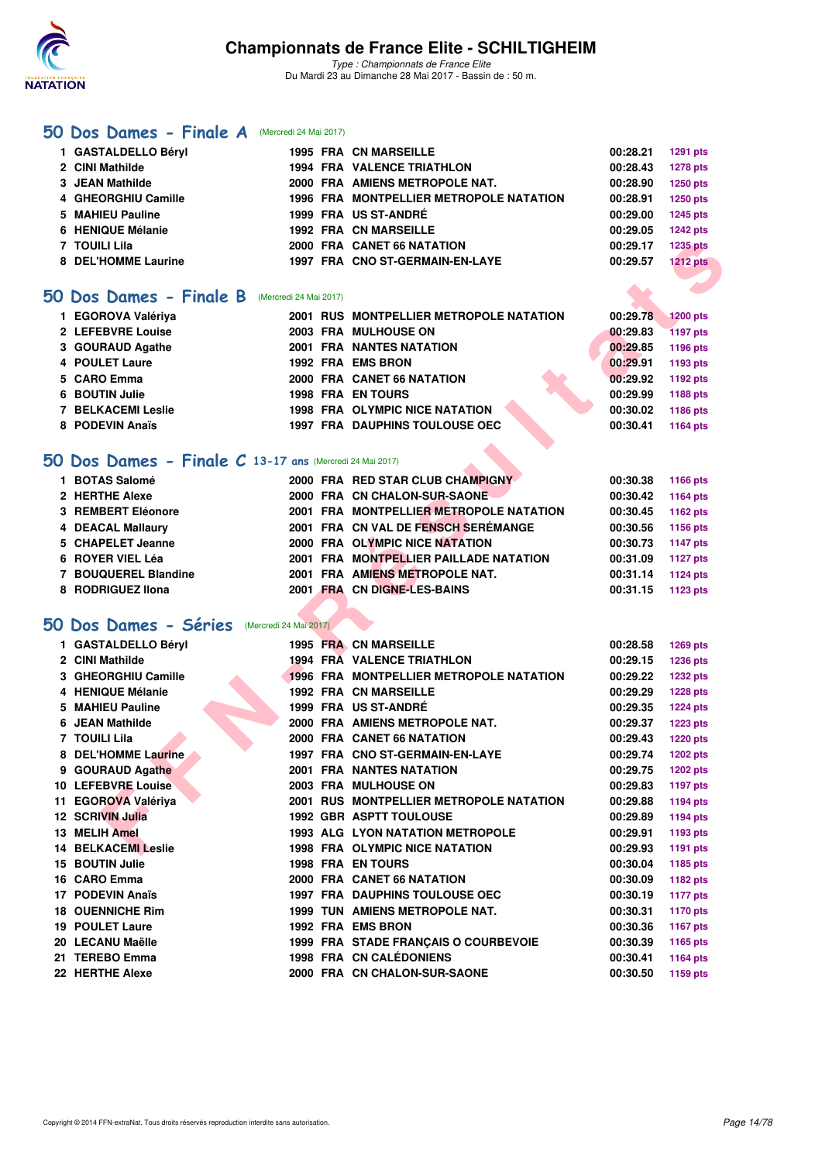

### **[50 Dos Dames - Finale A](http://www.ffnatation.fr/webffn/resultats.php?idact=nat&go=epr&idcpt=45075&idepr=11)** (Mercredi 24 Mai 2017)

| 1 GASTALDELLO Béryl |  | <b>1995 FRA CN MARSEILLE</b>            | 00:28.21 | 1291 pts        |
|---------------------|--|-----------------------------------------|----------|-----------------|
| 2 CINI Mathilde     |  | <b>1994 FRA VALENCE TRIATHLON</b>       | 00:28.43 | <b>1278 pts</b> |
| 3 JEAN Mathilde     |  | 2000 FRA AMIENS METROPOLE NAT.          | 00:28.90 | <b>1250 pts</b> |
| 4 GHEORGHIU Camille |  | 1996 FRA MONTPELLIER METROPOLE NATATION | 00:28.91 | <b>1250 pts</b> |
| 5 MAHIEU Pauline    |  | 1999 FRA US ST-ANDRÉ                    | 00:29.00 | <b>1245 pts</b> |
| 6 HENIQUE Mélanie   |  | <b>1992 FRA CN MARSEILLE</b>            | 00:29.05 | <b>1242 pts</b> |
| 7 TOUILI Lila       |  | 2000 FRA CANET 66 NATATION              | 00:29.17 | <b>1235 pts</b> |
| 8 DEL'HOMME Laurine |  | 1997 FRA CNO ST-GERMAIN-EN-LAYE         | 00:29.57 | <b>1212 pts</b> |
|                     |  |                                         |          |                 |

### **[50 Dos Dames - Finale B](http://www.ffnatation.fr/webffn/resultats.php?idact=nat&go=epr&idcpt=45075&idepr=11)** (Mercredi 24 Mai 2017)

| 1 EGOROVA Valériya        |  | 2001 RUS MONTPELLIER METROPOLE NATATION | 00:29.78 | 1200 pts |
|---------------------------|--|-----------------------------------------|----------|----------|
| 2 LEFEBVRE Louise         |  | 2003 FRA MULHOUSE ON                    | 00:29.83 | 1197 pts |
| 3 GOURAUD Agathe          |  | <b>2001 FRA NANTES NATATION</b>         | 00:29.85 | 1196 pts |
| 4 POULET Laure            |  | 1992 FRA EMS BRON                       | 00:29.91 | 1193 pts |
| 5 CARO Emma               |  | 2000 FRA CANET 66 NATATION              | 00:29.92 | 1192 pts |
| 6 BOUTIN Julie            |  | <b>1998 FRA EN TOURS</b>                | 00:29.99 | 1188 pts |
| <b>7 BELKACEMI Leslie</b> |  | 1998 FRA OLYMPIC NICE NATATION          | 00:30.02 | 1186 pts |
| 8 PODEVIN Anaïs           |  | <b>1997 FRA DAUPHINS TOULOUSE OEC</b>   | 00:30.41 | 1164 pts |

## **[50 Dos Dames - Finale C](http://www.ffnatation.fr/webffn/resultats.php?idact=nat&go=epr&idcpt=45075&idepr=11) 13-17 ans** (Mercredi 24 Mai 2017)

| 1 BOTAS Salomé       | 2000 FRA RED STAR CLUB CHAMPIGNY        | 00:30.38 | 1166 pts |
|----------------------|-----------------------------------------|----------|----------|
| 2 HERTHE Alexe       | 2000 FRA CN CHALON-SUR-SAONE            | 00:30.42 | 1164 pts |
| 3 REMBERT Eléonore   | 2001 FRA MONTPELLIER METROPOLE NATATION | 00:30.45 | 1162 pts |
| 4 DEACAL Mallaury    | 2001 FRA CN VAL DE FENSCH SERÉMANGE     | 00:30.56 | 1156 pts |
| 5 CHAPELET Jeanne    | 2000 FRA OLYMPIC NICE NATATION          | 00:30.73 | 1147 pts |
| 6 ROYER VIEL Léa     | 2001 FRA MONTPELLIER PAILLADE NATATION  | 00:31.09 | 1127 pts |
| 7 BOUQUEREL Blandine | 2001 FRA AMIENS METROPOLE NAT.          | 00:31.14 | 1124 pts |
| 8 RODRIGUEZ IIona    | 2001 FRA CN DIGNE-LES-BAINS             | 00:31.15 | 1123 pts |
|                      |                                         |          |          |

## **[50 Dos Dames - Séries](http://www.ffnatation.fr/webffn/resultats.php?idact=nat&go=epr&idcpt=45075&idepr=11)** (Mercredi 24 Mai 2017)

| 7 TOUILI Lila                                            |  | 2000 FRA CANET 66 NATATION                     | 00:29.17 | 1235 pts        |
|----------------------------------------------------------|--|------------------------------------------------|----------|-----------------|
| 8 DEL'HOMME Laurine                                      |  | 1997 FRA CNO ST-GERMAIN-EN-LAYE                | 00:29.57 | <b>1212 pts</b> |
|                                                          |  |                                                |          |                 |
| <b>O Dos Dames - Finale B</b><br>(Mercredi 24 Mai 2017)  |  |                                                |          |                 |
| 1 EGOROVA Valériya                                       |  | 2001 RUS MONTPELLIER METROPOLE NATATION        | 00:29.78 | <b>1200 pts</b> |
| 2 LEFEBVRE Louise                                        |  | 2003 FRA MULHOUSE ON                           | 00:29.83 | <b>1197 pts</b> |
| 3 GOURAUD Agathe                                         |  | <b>2001 FRA NANTES NATATION</b>                | 00:29.85 | 1196 pts        |
| 4 POULET Laure                                           |  | 1992 FRA EMS BRON                              | 00:29.91 | 1193 pts        |
| 5 CARO Emma                                              |  | 2000 FRA CANET 66 NATATION                     | 00:29.92 | 1192 pts        |
| 6 BOUTIN Julie                                           |  | <b>1998 FRA ENTOURS</b>                        | 00:29.99 | <b>1188 pts</b> |
| <b>7 BELKACEMI Leslie</b>                                |  | <b>1998 FRA OLYMPIC NICE NATATION</b>          | 00:30.02 | 1186 pts        |
| 8 PODEVIN Anaïs                                          |  | <b>1997 FRA DAUPHINS TOULOUSE OEC</b>          | 00:30.41 | <b>1164 pts</b> |
|                                                          |  |                                                |          |                 |
| iO Dos Dames - Finale C 13-17 ans (Mercredi 24 Mai 2017) |  |                                                |          |                 |
| 1 BOTAS Salomé                                           |  | 2000 FRA RED STAR CLUB CHAMPIGNY               | 00:30.38 | 1166 pts        |
| 2 HERTHE Alexe                                           |  | 2000 FRA CN CHALON-SUR-SAONE                   | 00:30.42 | 1164 pts        |
| 3 REMBERT Eléonore                                       |  | 2001 FRA MONTPELLIER METROPOLE NATATION        | 00:30.45 | 1162 pts        |
| <b>4 DEACAL Mallaury</b>                                 |  | 2001 FRA CN VAL DE FENSCH SEREMANGE            | 00:30.56 | 1156 pts        |
| 5 CHAPELET Jeanne                                        |  | 2000 FRA OLYMPIC NICE NATATION                 | 00:30.73 | <b>1147 pts</b> |
| 6 ROYER VIEL Léa                                         |  | 2001 FRA MONTPELLIER PAILLADE NATATION         | 00:31.09 | <b>1127 pts</b> |
| 7 BOUQUEREL Blandine                                     |  | 2001 FRA AMIENS METROPOLE NAT.                 | 00:31.14 | <b>1124 pts</b> |
| 8 RODRIGUEZ Ilona                                        |  | 2001 FRA CN DIGNE-LES-BAINS                    | 00:31.15 | 1123 pts        |
|                                                          |  |                                                |          |                 |
| iO Dos Dames - Séries<br>(Mercredi 24 Mai 2017)          |  |                                                |          |                 |
| 1 GASTALDELLO Béryl                                      |  | 1995 FRA CN MARSEILLE                          | 00:28.58 | <b>1269 pts</b> |
| 2 CINI Mathilde                                          |  | 1994 FRA VALENCE TRIATHLON                     | 00:29.15 | 1236 pts        |
| 3 GHEORGHIU Camille                                      |  | <b>1996 FRA MONTPELLIER METROPOLE NATATION</b> | 00:29.22 | <b>1232 pts</b> |
| 4 HENIQUE Mélanie                                        |  | <b>1992 FRA CN MARSEILLE</b>                   | 00:29.29 | <b>1228 pts</b> |
| 5 MAHIEU Pauline                                         |  | 1999 FRA US ST-ANDRÉ                           | 00:29.35 | <b>1224 pts</b> |
| 6 JEAN Mathilde                                          |  | 2000 FRA AMIENS METROPOLE NAT.                 | 00:29.37 | <b>1223 pts</b> |
| <b>7 TOUILI Lila</b>                                     |  | 2000 FRA CANET 66 NATATION                     | 00:29.43 | <b>1220 pts</b> |
| 8 DEL'HOMME Laurine                                      |  | 1997 FRA CNO ST-GERMAIN-EN-LAYE                | 00:29.74 | <b>1202 pts</b> |
| 9 GOURAUD Agathe                                         |  | <b>2001 FRA NANTES NATATION</b>                | 00:29.75 | <b>1202 pts</b> |
| 10 LEFEBVRE Louise                                       |  | 2003 FRA MULHOUSE ON                           | 00:29.83 | 1197 pts        |
| 11 EGOROVA Valériya                                      |  | 2001 RUS MONTPELLIER METROPOLE NATATION        | 00:29.88 | <b>1194 pts</b> |
| <b>12 SCRIVIN Julia</b>                                  |  | <b>1992 GBR ASPTT TOULOUSE</b>                 | 00:29.89 | <b>1194 pts</b> |
| 13 MELIH Amel                                            |  | 1993 ALG LYON NATATION METROPOLE               | 00:29.91 | 1193 pts        |
| <b>14 BELKACEMI Leslie</b>                               |  | <b>1998 FRA OLYMPIC NICE NATATION</b>          | 00:29.93 | 1191 pts        |
| 15 BOUTIN Julie                                          |  | 1998 FRA EN TOURS                              | 00:30.04 | 1185 pts        |
| 16 CARO Emma                                             |  | 2000 FRA CANET 66 NATATION                     | 00:30.09 | 1182 pts        |
| 17 PODEVIN Anaïs                                         |  | <b>1997 FRA DAUPHINS TOULOUSE OEC</b>          | 00:30.19 | <b>1177 pts</b> |
| <b>18 OUENNICHE Rim</b>                                  |  | 1999 TUN AMIENS METROPOLE NAT.                 | 00:30.31 | 1170 pts        |
| <b>19 POULET Laure</b>                                   |  | 1992 FRA EMS BRON                              | 00:30.36 |                 |
| 20 LECANU Maëlle                                         |  | 1999 FRA STADE FRANCAIS O COURBEVOIE           | 00:30.39 | <b>1167 pts</b> |
| 21 TEREBO Emma                                           |  | 1998 FRA CN CALÉDONIENS                        | 00:30.41 | 1165 pts        |
| 22 HERTHE Alexe                                          |  |                                                |          | <b>1164 pts</b> |
|                                                          |  | 2000 FRA CN CHALON-SUR-SAONE                   | 00:30.50 | 1159 pts        |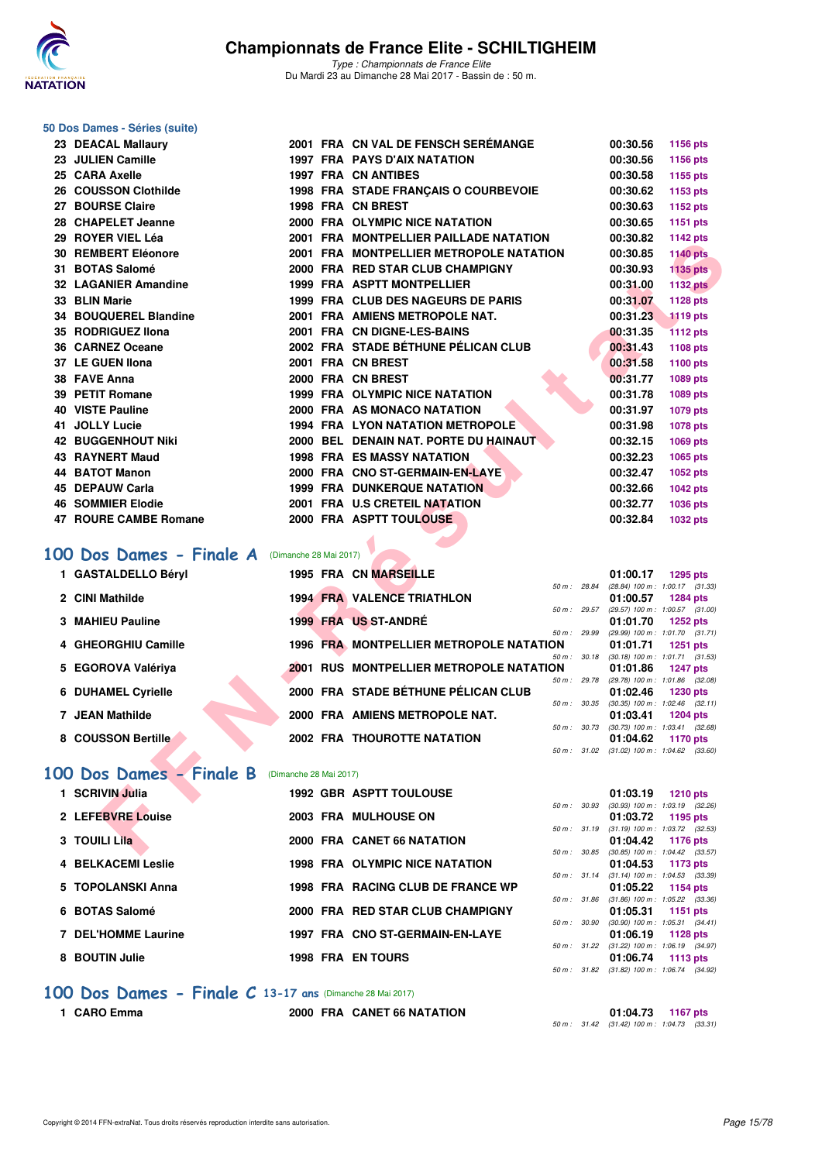

*Type : Championnats de France Elite* Du Mardi 23 au Dimanche 28 Mai 2017 - Bassin de : 50 m.

#### **50 Dos Dames - Séries (suite)**

| 23 DEACAL Mallaury                                    |                        | 2001 FRA CN VAL DE FENSCH SEREMANGE            |              | 00:30.56                             | <b>1156 pts</b>                                               |
|-------------------------------------------------------|------------------------|------------------------------------------------|--------------|--------------------------------------|---------------------------------------------------------------|
| 23 JULIEN Camille                                     |                        | <b>1997 FRA PAYS D'AIX NATATION</b>            |              | 00:30.56                             | 1156 pts                                                      |
| 25 CARA Axelle                                        |                        | <b>1997 FRA CN ANTIBES</b>                     |              | 00:30.58                             | 1155 pts                                                      |
| 26 COUSSON Clothilde                                  |                        | 1998 FRA STADE FRANÇAIS O COURBEVOIE           |              | 00:30.62                             | 1153 pts                                                      |
| 27 BOURSE Claire                                      |                        | 1998 FRA CN BREST                              |              | 00:30.63                             | 1152 pts                                                      |
| 28 CHAPELET Jeanne                                    |                        | 2000 FRA OLYMPIC NICE NATATION                 |              | 00:30.65                             | 1151 pts                                                      |
| 29 ROYER VIEL Léa                                     |                        | 2001 FRA MONTPELLIER PAILLADE NATATION         |              | 00:30.82                             | 1142 pts                                                      |
| <b>30 REMBERT Eléonore</b>                            |                        | 2001 FRA MONTPELLIER METROPOLE NATATION        |              | 00:30.85                             | <b>1140 pts</b>                                               |
| 31 BOTAS Salomé                                       |                        | 2000 FRA RED STAR CLUB CHAMPIGNY               |              | 00:30.93                             | <b>1135 pts</b>                                               |
| 32 LAGANIER Amandine                                  |                        | 1999 FRA ASPTT MONTPELLIER                     |              | 00:31.00                             | <b>1132 pts</b>                                               |
| 33 BLIN Marie                                         |                        | 1999 FRA CLUB DES NAGEURS DE PARIS             |              | 00:31.07                             | 1128 pts                                                      |
| 34 BOUQUEREL Blandine                                 |                        | 2001 FRA AMIENS METROPOLE NAT.                 |              | 00:31.23                             | <b>1119 pts</b>                                               |
| 35 RODRIGUEZ Ilona                                    |                        | 2001 FRA CN DIGNE-LES-BAINS                    |              | 00:31.35                             | <b>1112 pts</b>                                               |
| 36 CARNEZ Oceane                                      |                        | 2002 FRA STADE BÉTHUNE PÉLICAN CLUB            |              | 00:31.43                             | 1108 pts                                                      |
| 37 LE GUEN Ilona                                      |                        | 2001 FRA CN BREST                              |              | 00:31.58                             | 1100 pts                                                      |
| 38 FAVE Anna                                          |                        | 2000 FRA CN BREST                              |              | 00:31.77                             | 1089 pts                                                      |
| 39 PETIT Romane                                       |                        | <b>1999 FRA OLYMPIC NICE NATATION</b>          |              | 00:31.78                             | 1089 pts                                                      |
| 40 VISTE Pauline                                      |                        | 2000 FRA AS MONACO NATATION                    |              | 00:31.97                             | 1079 pts                                                      |
| 41 JOLLY Lucie                                        |                        | <b>1994 FRA LYON NATATION METROPOLE</b>        |              | 00:31.98                             | 1078 pts                                                      |
| <b>42 BUGGENHOUT Niki</b>                             |                        | 2000 BEL DENAIN NAT. PORTE DU HAINAUT          |              | 00:32.15                             | <b>1069 pts</b>                                               |
| 43 RAYNERT Maud                                       |                        | <b>1998 FRA ES MASSY NATATION</b>              |              | 00:32.23                             | 1065 pts                                                      |
| 44 BATOT Manon                                        |                        | 2000 FRA CNO ST-GERMAIN-EN-LAYE                |              | 00:32.47                             | 1052 pts                                                      |
| <b>45 DEPAUW Carla</b>                                |                        | <b>1999 FRA DUNKERQUE NATATION</b>             |              | 00:32.66                             | 1042 pts                                                      |
| <b>46 SOMMIER Elodie</b>                              |                        | 2001 FRA U.S CRETEIL NATATION                  |              | 00:32.77                             | <b>1036 pts</b>                                               |
| 47 ROURE CAMBE Romane                                 |                        | 2000 FRA ASPTT TOULOUSE                        |              | 00:32.84                             | 1032 pts                                                      |
|                                                       |                        |                                                |              |                                      |                                                               |
| <b>00 Dos Dames - Finale A</b> (Dimanche 28 Mai 2017) |                        |                                                |              |                                      |                                                               |
| 1 GASTALDELLO Béryl                                   |                        | 1995 FRA CN MARSEILLE                          |              | 01:00.17                             | 1295 pts                                                      |
|                                                       |                        | 50 m : 28.84                                   |              |                                      | $(28.84)$ 100 m : 1:00.17 $(31.33)$                           |
| 2 CINI Mathilde                                       |                        | <b>1994 FRA VALENCE TRIATHLON</b>              |              | 01:00.57                             | <b>1284 pts</b><br>50 m: 29.57 (29.57) 100 m: 1:00.57 (31.00) |
| 3 MAHIEU Pauline                                      |                        | 1999 FRA US ST-ANDRÉ                           |              | 01:01.70                             | 1252 pts                                                      |
|                                                       |                        |                                                | 50 m : 29.99 |                                      | (29.99) 100 m: 1:01.70 (31.71)                                |
| 4 GHEORGHIU Camille                                   |                        | 1996 FRA MONTPELLIER METROPOLE NATATION        |              | 01:01.71                             | <b>1251 pts</b><br>50 m: 30.18 (30.18) 100 m: 1:01.71 (31.53) |
| 5 EGOROVA Valériya                                    |                        | <b>2001 RUS MONTPELLIER METROPOLE NATATION</b> |              | 01:01.86                             | <b>1247 pts</b>                                               |
|                                                       |                        |                                                |              |                                      | 50 m : 29.78 (29.78) 100 m : 1:01.86 (32.08)                  |
| <b>6 DUHAMEL Cyrielle</b>                             |                        | 2000 FRA STADE BÉTHUNE PÉLICAN CLUB            |              | 01:02.46                             | <b>1230 pts</b><br>50 m: 30.35 (30.35) 100 m: 1:02.46 (32.11) |
| 7 JEAN Mathilde                                       |                        | 2000 FRA AMIENS METROPOLE NAT.                 |              | 01:03.41                             | <b>1204 pts</b>                                               |
|                                                       |                        |                                                |              | 50 m : 30.73 (30.73) 100 m : 1:03.41 | (32.68)                                                       |
| 8 COUSSON Bertille                                    |                        | <b>2002 FRA THOUROTTE NATATION</b>             |              | 01:04.62                             | 1170 pts<br>50 m: 31.02 (31.02) 100 m: 1:04.62 (33.60)        |
|                                                       |                        |                                                |              |                                      |                                                               |
| 00 Dos Dames - Finale B                               | (Dimanche 28 Mai 2017) |                                                |              |                                      |                                                               |
| 1 SCRIVIN Julia                                       |                        | <b>1992 GBR ASPTT TOULOUSE</b>                 |              | 01:03.19                             | <b>1210 pts</b>                                               |
|                                                       |                        |                                                |              |                                      | 50 m : 30.93 (30.93) 100 m : 1:03.19 (32.26)                  |
| 2 LEFEBVRE Louise                                     |                        | 2003 FRA MULHOUSE ON                           |              | 01:03.72                             | 1195 pts<br>50 m: 31.19 (31.19) 100 m: 1:03.72 (32.53)        |
| 3 TOUILI Lila                                         |                        | 2000 FRA CANET 66 NATATION                     |              |                                      | 01:04.42 1176 pts                                             |
|                                                       |                        |                                                |              |                                      | 50 m: 30.85 (30.85) 100 m: 1:04.42 (33.57)                    |

## **100 Dos Dames - Finale A** (Dimanche 28 Mai 2017)

| 1 GASTALDELLO Béryl       |  | <b>1995 FRA CN MARSEILLE</b>            |                | 01:00.17                            |          | 1295 pts |
|---------------------------|--|-----------------------------------------|----------------|-------------------------------------|----------|----------|
|                           |  |                                         | 50 m: 28.84    | (28.84) 100 m : 1:00.17 (31.33)     |          |          |
| 2 CINI Mathilde           |  | <b>1994 FRA VALENCE TRIATHLON</b>       |                | 01:00.57                            |          | 1284 pts |
|                           |  |                                         | $50 m$ : 29.57 | (29.57) 100 m : 1:00.57 (31.00)     |          |          |
| 3 MAHIEU Pauline          |  | 1999 FRA US ST-ANDRÉ                    |                | 01:01.70                            | 1252 pts |          |
|                           |  |                                         | 50 m: 29.99    | (29.99) 100 m: 1:01.70 (31.71)      |          |          |
| 4 GHEORGHIU Camille       |  | 1996 FRA MONTPELLIER METROPOLE NATATION |                | 01:01.71 1251 pts                   |          |          |
|                           |  |                                         | 50 m: 30.18    | $(30.18)$ 100 m : 1:01.71 $(31.53)$ |          |          |
| 5 EGOROVA Valériya        |  | 2001 RUS MONTPELLIER METROPOLE NATATION |                | 01:01.86 1247 pts                   |          |          |
|                           |  |                                         | 50 m: 29.78    | (29.78) 100 m : 1:01.86 (32.08)     |          |          |
| <b>6 DUHAMEL Cyrielle</b> |  | 2000 FRA STADE BÉTHUNE PÉLICAN CLUB     |                | 01:02.46                            |          | 1230 pts |
|                           |  |                                         | 50 m: 30.35    | $(30.35)$ 100 m : 1:02.46 $(32.11)$ |          |          |
| 7 JEAN Mathilde           |  | 2000 FRA AMIENS METROPOLE NAT.          |                | 01:03.41                            |          | 1204 pts |
|                           |  |                                         | 50 m: 30.73    | $(30.73)$ 100 m : 1:03.41 $(32.68)$ |          |          |
| 8 COUSSON Bertille        |  | <b>2002 FRA THOUROTTE NATATION</b>      |                | 01:04.62                            | 1170 pts |          |
|                           |  |                                         | 50 m: 31.02    | $(31.02)$ 100 m : 1:04.62 $(33.60)$ |          |          |

## **[100 Dos Dames - Finale B](http://www.ffnatation.fr/webffn/resultats.php?idact=nat&go=epr&idcpt=45075&idepr=12)** (Dimanche 28 Mai 2017)

|                                                                                                                                                 |                      |                                                                                                                                                                                                                                     |                                |                                                                                                                                       |                                                                      | 1210 pts                                                                                                                                                                                                                                                                                                                                                                                      |
|-------------------------------------------------------------------------------------------------------------------------------------------------|----------------------|-------------------------------------------------------------------------------------------------------------------------------------------------------------------------------------------------------------------------------------|--------------------------------|---------------------------------------------------------------------------------------------------------------------------------------|----------------------------------------------------------------------|-----------------------------------------------------------------------------------------------------------------------------------------------------------------------------------------------------------------------------------------------------------------------------------------------------------------------------------------------------------------------------------------------|
|                                                                                                                                                 |                      |                                                                                                                                                                                                                                     |                                |                                                                                                                                       |                                                                      |                                                                                                                                                                                                                                                                                                                                                                                               |
|                                                                                                                                                 |                      |                                                                                                                                                                                                                                     |                                |                                                                                                                                       |                                                                      |                                                                                                                                                                                                                                                                                                                                                                                               |
|                                                                                                                                                 |                      |                                                                                                                                                                                                                                     |                                |                                                                                                                                       |                                                                      |                                                                                                                                                                                                                                                                                                                                                                                               |
|                                                                                                                                                 |                      |                                                                                                                                                                                                                                     |                                |                                                                                                                                       |                                                                      |                                                                                                                                                                                                                                                                                                                                                                                               |
|                                                                                                                                                 |                      |                                                                                                                                                                                                                                     |                                |                                                                                                                                       |                                                                      |                                                                                                                                                                                                                                                                                                                                                                                               |
|                                                                                                                                                 |                      |                                                                                                                                                                                                                                     |                                |                                                                                                                                       |                                                                      |                                                                                                                                                                                                                                                                                                                                                                                               |
|                                                                                                                                                 |                      |                                                                                                                                                                                                                                     |                                |                                                                                                                                       |                                                                      |                                                                                                                                                                                                                                                                                                                                                                                               |
|                                                                                                                                                 |                      |                                                                                                                                                                                                                                     |                                |                                                                                                                                       |                                                                      |                                                                                                                                                                                                                                                                                                                                                                                               |
|                                                                                                                                                 |                      |                                                                                                                                                                                                                                     |                                |                                                                                                                                       |                                                                      |                                                                                                                                                                                                                                                                                                                                                                                               |
|                                                                                                                                                 |                      |                                                                                                                                                                                                                                     |                                |                                                                                                                                       |                                                                      |                                                                                                                                                                                                                                                                                                                                                                                               |
|                                                                                                                                                 |                      |                                                                                                                                                                                                                                     |                                |                                                                                                                                       |                                                                      |                                                                                                                                                                                                                                                                                                                                                                                               |
|                                                                                                                                                 |                      |                                                                                                                                                                                                                                     |                                |                                                                                                                                       |                                                                      |                                                                                                                                                                                                                                                                                                                                                                                               |
|                                                                                                                                                 |                      |                                                                                                                                                                                                                                     |                                |                                                                                                                                       |                                                                      |                                                                                                                                                                                                                                                                                                                                                                                               |
|                                                                                                                                                 |                      |                                                                                                                                                                                                                                     |                                |                                                                                                                                       |                                                                      |                                                                                                                                                                                                                                                                                                                                                                                               |
| 2 LEFEBVRE Louise<br>3 TOUILI Lila<br><b>4 BELKACEMI Leslie</b><br>5 TOPOLANSKI Anna<br>6 BOTAS Salomé<br>7 DEL'HOMME Laurine<br>8 BOUTIN Julie | <b>SCRIVIN Julia</b> | 2003 FRA MULHOUSE ON<br>2000 FRA CANET 66 NATATION<br><b>1998 FRA OLYMPIC NICE NATATION</b><br>1998 FRA RACING CLUB DE FRANCE WP<br>2000 FRA RED STAR CLUB CHAMPIGNY<br>1997 FRA CNO ST-GERMAIN-EN-LAYE<br><b>1998 FRA EN TOURS</b> | <b>1992 GBR ASPTT TOULOUSE</b> | 50 m: 30.93<br>50 m: 31.19<br>$50 m$ : $30.85$<br>$50 \text{ m}$ : 31.14<br>$50 \text{ m}$ : 31.86<br>50 m: 30.90<br>$50 m$ : $31.22$ | 01:03.19<br>01:04.53<br>01:05.22<br>01:05.31<br>01:06.19<br>01:06.74 | $(30.93)$ 100 m : 1:03.19 $(32.26)$<br>01:03.72 1195 pts<br>$(31.19)$ 100 m : 1:03.72 $(32.53)$<br>01:04.42<br>1176 pts<br>$(30.85)$ 100 m : 1:04.42 $(33.57)$<br>1173 pts<br>$(31.14)$ 100 m : 1:04.53 $(33.39)$<br>1154 pts<br>$(31.86)$ 100 m : 1:05.22 $(33.36)$<br>1151 $pts$<br>$(30.90)$ 100 m : 1.05.31 $(34.41)$<br>1128 $pts$<br>$(31.22)$ 100 m : 1.06.19 $(34.97)$<br>1113 $p$ ts |

### **[100 Dos Dames - Finale C](http://www.ffnatation.fr/webffn/resultats.php?idact=nat&go=epr&idcpt=45075&idepr=12) 13-17 ans** (Dimanche 28 Mai 2017)

**1 CARO Emma 2000 FRA CANET 66 NATATION 01:04.73 1167 pts** *50 m : 31.42 (31.42) 100 m : 1:04.73 (33.31)*

*50 m : 31.82 (31.82) 100 m : 1:06.74 (34.92)*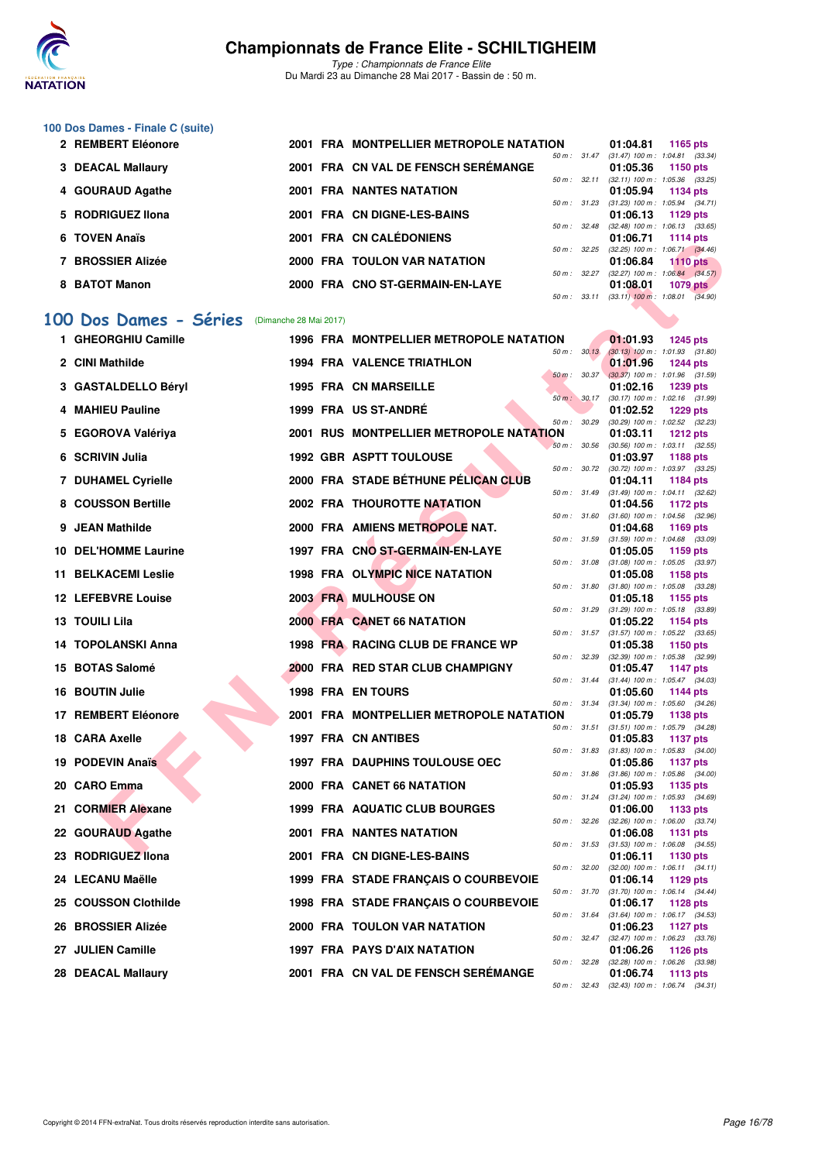

*Type : Championnats de France Elite* Du Mardi 23 au Dimanche 28 Mai 2017 - Bassin de : 50 m.

#### **100 Dos Dames - Finale C (suite)**

| 2 REMBERT Eléonore |  | 2001 FRA MONTPELLIER METROPOLE NATATION |                          | 01:04.81                                     | <b>1165 pts</b> |            |
|--------------------|--|-----------------------------------------|--------------------------|----------------------------------------------|-----------------|------------|
|                    |  |                                         | $50 \text{ m}$ : $31.47$ | $(31.47)$ 100 m : 1:04.81 $(33.34)$          |                 |            |
| 3 DEACAL Mallaury  |  | 2001 FRA CN VAL DE FENSCH SEREMANGE     |                          | $01:05.36$ 1150 pts                          |                 |            |
|                    |  |                                         | 50 m: 32.11              | $(32.11)$ 100 m : 1:05.36 $(33.25)$          |                 |            |
| 4 GOURAUD Agathe   |  | <b>2001 FRA NANTES NATATION</b>         |                          | $01:05.94$ 1134 pts                          |                 |            |
|                    |  |                                         | 50 m: 31.23              | $(31.23)$ 100 m : 1:05.94 $(34.71)$          |                 |            |
| 5 RODRIGUEZ IIona  |  | 2001 FRA CN DIGNE-LES-BAINS             |                          | $01:06.13$ 1129 pts                          |                 |            |
|                    |  |                                         |                          | 50 m: 32.48 (32.48) 100 m: 1:06.13 (33.65)   |                 |            |
| 6 TOVEN Anaïs      |  | 2001 FRA CN CALÉDONIENS                 |                          | 01:06.71 1114 pts                            |                 |            |
|                    |  |                                         |                          | 50 m : 32.25 (32.25) 100 m : 1:06.71 (34.46) |                 |            |
| 7 BROSSIER Alizée  |  | 2000 FRA TOULON VAR NATATION            |                          | 01:06.84                                     |                 | $1110$ pts |
|                    |  |                                         | $50 \text{ m}$ : $32.27$ | $(32.27)$ 100 m : 1:06.84 $(34.57)$          |                 |            |
| 8 BATOT Manon      |  | 2000 FRA CNO ST-GERMAIN-EN-LAYE         |                          | 01:08.01                                     | <b>1079 pts</b> |            |
|                    |  |                                         | $50 m$ : $33.11$         | $(33.11)$ 100 m : 1.08.01 $(34.90)$          |                 |            |

## **[100 Dos Dames - Séries](http://www.ffnatation.fr/webffn/resultats.php?idact=nat&go=epr&idcpt=45075&idepr=12)** (Dimanche 28 Mai 2017)

| <b>UVEN ANAIS</b>                            |  | ZUVI FRA CN CALLDONILNJ                        |              | 01.00.7T                                                 | <b>βα</b> βασιαστική μια στ |  |
|----------------------------------------------|--|------------------------------------------------|--------------|----------------------------------------------------------|-----------------------------|--|
| 7 BROSSIER Alizée                            |  | 2000 FRA TOULON VAR NATATION                   |              | 50 m : 32.25 (32.25) 100 m : 1:06.71 (34.46)<br>01:06.84 | 1110 $pts$                  |  |
| 8 BATOT Manon                                |  | 2000 FRA CNO ST-GERMAIN-EN-LAYE                |              | 50 m: 32.27 (32.27) 100 m: 1:06.84 (34.57)<br>01:08.01   | 1079 $p$ ts                 |  |
|                                              |  |                                                |              | 50 m: 33.11 (33.11) 100 m: 1:08.01 (34.90)               |                             |  |
| 00 Dos Dames - Séries (Dimanche 28 Mai 2017) |  |                                                |              |                                                          |                             |  |
| 1 GHEORGHIU Camille                          |  | 1996 FRA MONTPELLIER METROPOLE NATATION        |              | 01:01.93                                                 | <b>1245 pts</b>             |  |
|                                              |  |                                                | 50 m: 30.13  | $(30.13)$ 100 m : 1:01.93 $(31.80)$                      |                             |  |
| 2 CINI Mathilde                              |  | 1994 FRA VALENCE TRIATHLON                     | 50 m: 30.37  | 01:01.96<br>$(30.37)$ 100 m : 1:01.96 $(31.59)$          | <b>1244 pts</b>             |  |
| 3 GASTALDELLO Béryl                          |  | <b>1995 FRA CN MARSEILLE</b>                   |              | 01:02.16                                                 | 1239 pts                    |  |
| 4 MAHIEU Pauline                             |  | 1999 FRA US ST-ANDRE                           |              | 50 m : 30.17 (30.17) 100 m : 1:02.16 (31.99)<br>01:02.52 | 1229 pts                    |  |
| 5 EGOROVA Valériya                           |  | <b>2001 RUS MONTPELLIER METROPOLE NATATION</b> | 50 m : 30.29 | $(30.29)$ 100 m : 1:02.52 $(32.23)$                      | <b>1212 pts</b>             |  |
|                                              |  |                                                | 50 m: 30.56  | 01:03.11<br>$(30.56)$ 100 m : 1:03.11 $(32.55)$          |                             |  |
| 6 SCRIVIN Julia                              |  | <b>1992 GBR ASPTT TOULOUSE</b>                 |              | 01:03.97<br>50 m: 30.72 (30.72) 100 m: 1:03.97 (33.25)   | <b>1188 pts</b>             |  |
| <b>7 DUHAMEL Cyrielle</b>                    |  | 2000 FRA STADE BÉTHUNE PÉLICAN CLUB            |              | 01:04.11                                                 | 1184 pts                    |  |
|                                              |  |                                                | 50 m : 31.49 | $(31.49)$ 100 m : 1:04.11 $(32.62)$                      |                             |  |
| 8 COUSSON Bertille                           |  | <b>2002 FRA THOUROTTE NATATION</b>             | 50 m : 31.60 | 01:04.56<br>$(31.60)$ 100 m : 1:04.56 $(32.96)$          | 1172 pts                    |  |
| 9 JEAN Mathilde                              |  | 2000 FRA AMIENS METROPOLE NAT.                 |              | 01:04.68                                                 | 1169 pts                    |  |
| <b>10 DEL'HOMME Laurine</b>                  |  | 1997 FRA CNO ST-GERMAIN-EN-LAYE                | 50 m : 31.59 | $(31.59)$ 100 m : 1:04.68 $(33.09)$<br>01:05.05          | 1159 pts                    |  |
|                                              |  |                                                |              | 50 m: 31.08 (31.08) 100 m: 1:05.05 (33.97)               |                             |  |
| <b>11 BELKACEMI Leslie</b>                   |  | 1998 FRA OLYMPIC NICE NATATION                 | 50 m : 31.80 | 01:05.08<br>$(31.80)$ 100 m : 1:05.08 $(33.28)$          | 1158 pts                    |  |
| <b>12 LEFEBVRE Louise</b>                    |  | 2003 FRA MULHOUSE ON                           |              | 01:05.18                                                 | 1155 pts                    |  |
| 13 TOUILI Lila                               |  | 2000 FRA CANET 66 NATATION                     | 50 m : 31.29 | $(31.29)$ 100 m : 1:05.18 $(33.89)$<br>01:05.22          | 1154 pts                    |  |
|                                              |  |                                                |              | 50 m: 31.57 (31.57) 100 m: 1:05.22 (33.65)               |                             |  |
| 14 TOPOLANSKI Anna                           |  | 1998 FRA RACING CLUB DE FRANCE WP              | 50 m : 32.39 | 01:05.38<br>$(32.39)$ 100 m : 1:05.38 $(32.99)$          | 1150 pts                    |  |
| 15 BOTAS Salomé                              |  | <b>2000 FRA RED STAR CLUB CHAMPIGNY</b>        |              | 01:05.47                                                 | <b>1147 pts</b>             |  |
| 16 BOUTIN Julie                              |  | 1998 FRA EN TOURS                              |              | 50 m: 31.44 (31.44) 100 m: 1:05.47 (34.03)<br>01:05.60   | 1144 pts                    |  |
|                                              |  |                                                |              | 50 m: 31.34 (31.34) 100 m: 1:05.60 (34.26)               |                             |  |
| 17 REMBERT Eléonore                          |  | 2001 FRA MONTPELLIER METROPOLE NATATION        |              | 01:05.79<br>50 m: 31.51 (31.51) 100 m: 1:05.79 (34.28)   | 1138 pts                    |  |
| 18 CARA Axelle                               |  | <b>1997 FRA CN ANTIBES</b>                     |              | 01:05.83                                                 | <b>1137 pts</b>             |  |
| 19 PODEVIN Anaïs                             |  | <b>1997 FRA DAUPHINS TOULOUSE OEC</b>          | 50 m : 31.83 | $(31.83)$ 100 m : 1:05.83 $(34.00)$<br>01:05.86          | 1137 pts                    |  |
|                                              |  |                                                |              | 50 m: 31.86 (31.86) 100 m: 1:05.86 (34.00)               |                             |  |
| 20 CARO Emma                                 |  | 2000 FRA CANET 66 NATATION                     |              | 01:05.93<br>50 m: 31.24 (31.24) 100 m: 1:05.93 (34.69)   | 1135 pts                    |  |
| 21 CORMIER Alexane                           |  | <b>1999 FRA AQUATIC CLUB BOURGES</b>           |              | 01:06.00                                                 | 1133 pts                    |  |
| 22 GOURAUD Agathe                            |  | <b>2001 FRA NANTES NATATION</b>                |              | 50 m : 32.26 (32.26) 100 m : 1:06.00 (33.74)<br>01:06.08 | <b>1131 pts</b>             |  |
|                                              |  |                                                |              | 50 m: 31.53 (31.53) 100 m: 1:06.08 (34.55)               |                             |  |
| 23 RODRIGUEZ Ilona                           |  | 2001 FRA CN DIGNE-LES-BAINS                    |              | 01:06.11<br>50 m: 32.00 (32.00) 100 m: 1:06.11 (34.11)   | 1130 pts                    |  |
| 24 LECANU Maëlle                             |  | 1999 FRA STADE FRANÇAIS O COURBEVOIE           |              | 01:06.14                                                 | 1129 pts                    |  |
| 25 COUSSON Clothilde                         |  | 1998 FRA STADE FRANÇAIS O COURBEVOIE           |              | 50 m: 31.70 (31.70) 100 m: 1:06.14 (34.44)<br>01:06.17   | <b>1128 pts</b>             |  |
|                                              |  |                                                |              | 50 m: 31.64 (31.64) 100 m: 1:06.17 (34.53)               |                             |  |
| 26 BROSSIER Alizée                           |  | 2000 FRA TOULON VAR NATATION                   |              | 01:06.23<br>50 m: 32.47 (32.47) 100 m: 1:06.23 (33.76)   | 1127 pts                    |  |
| 27 JULIEN Camille                            |  | 1997 FRA PAYS D'AIX NATATION                   |              | 01:06.26                                                 | 1126 pts                    |  |
| 28 DEACAL Mallaury                           |  | 2001 FRA CN VAL DE FENSCH SERÉMANGE            |              | 50 m : 32.28 (32.28) 100 m : 1:06.26 (33.98)<br>01:06.74 | 1113 pts                    |  |
|                                              |  |                                                |              | 50 m: 32.43 (32.43) 100 m: 1:06.74 (34.31)               |                             |  |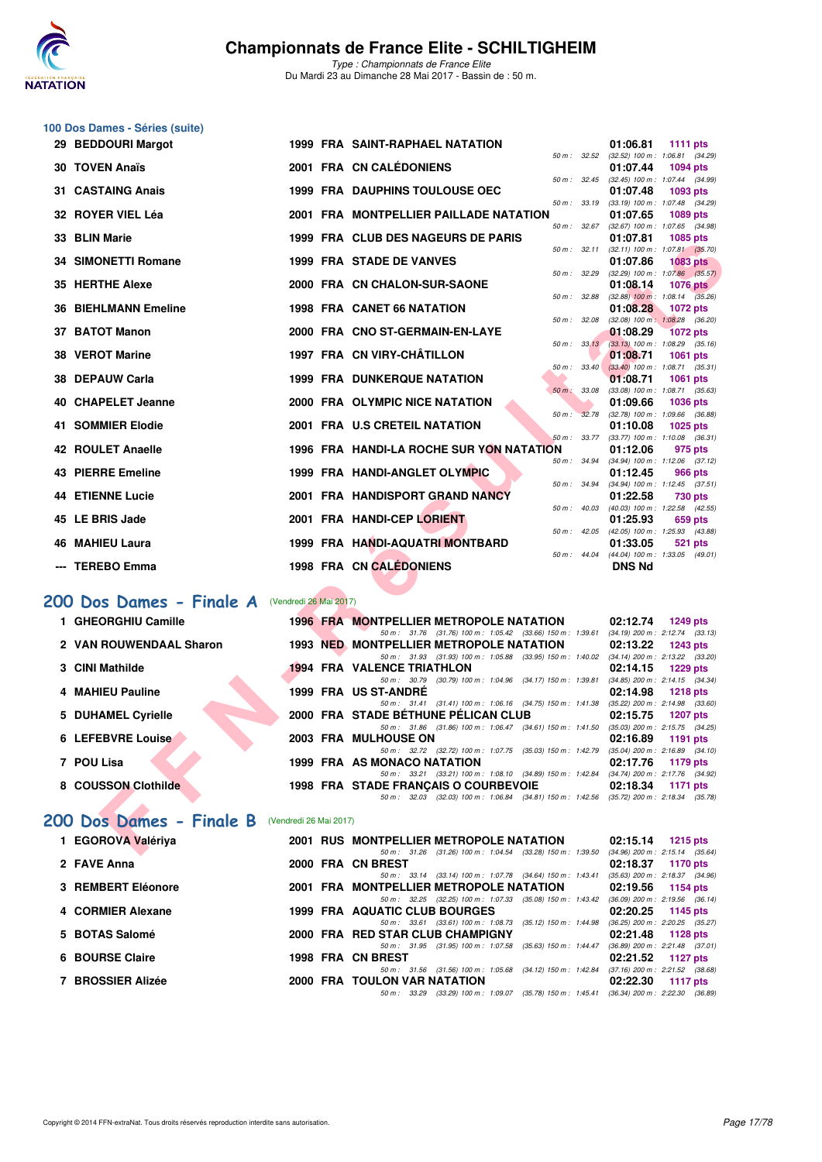

**100 Dos Dames - Séries (suite)**

## **Championnats de France Elite - SCHILTIGHEIM**

*Type : Championnats de France Elite* Du Mardi 23 au Dimanche 28 Mai 2017 - Bassin de : 50 m.

| 29 BEDDOURI Margot          |                        | <b>1999 FRA SAINT-RAPHAEL NATATION</b>                                                                                                     | 01:06.81<br><b>1111 pts</b>                                        |
|-----------------------------|------------------------|--------------------------------------------------------------------------------------------------------------------------------------------|--------------------------------------------------------------------|
| <b>30 TOVEN Anaïs</b>       |                        | 50 m: 32.52<br>2001 FRA CN CALÉDONIENS                                                                                                     | (32.52) 100 m: 1:06.81 (34.29)<br>01:07.44<br>1094 pts             |
| 31 CASTAING Anais           |                        | 50 m : 32.45<br><b>1999 FRA DAUPHINS TOULOUSE OEC</b>                                                                                      | (32.45) 100 m: 1:07.44 (34.99)<br>01:07.48<br>1093 pts             |
| 32 ROYER VIEL Léa           |                        | 50 m: 33.19<br>2001 FRA MONTPELLIER PAILLADE NATATION                                                                                      | (33.19) 100 m: 1:07.48 (34.29)<br>01:07.65<br>1089 pts             |
| 33 BLIN Marie               |                        | 50 m: 32.67<br>1999 FRA CLUB DES NAGEURS DE PARIS                                                                                          | $(32.67)$ 100 m : 1:07.65 $(34.98)$<br>01:07.81<br>1085 pts        |
| <b>34 SIMONETTI Romane</b>  |                        | $50 m$ : $32.11$<br><b>1999 FRA STADE DE VANVES</b>                                                                                        | $(32.11)$ 100 m : 1:07.81 $(35.70)$<br>01:07.86<br><b>1083 pts</b> |
| 35 HERTHE Alexe             |                        | 50 m: 32.29<br>2000 FRA CN CHALON-SUR-SAONE                                                                                                | $(32.29)$ 100 m : 1:07.86 $(35.57)$<br>01:08.14<br><b>1076 pts</b> |
|                             |                        | 50 m: 32.88<br><b>1998 FRA CANET 66 NATATION</b>                                                                                           | $(32.88)$ 100 m : 1:08.14 $(35.26)$                                |
| <b>36 BIEHLMANN Emeline</b> |                        | 50 m: 32.08                                                                                                                                | 01:08.28<br>1072 pts<br>$(32.08)$ 100 m : 1:08.28 $(36.20)$        |
| 37 BATOT Manon              |                        | 2000 FRA CNO ST-GERMAIN-EN-LAYE<br>50 m: 33.13                                                                                             | 01:08.29<br><b>1072 pts</b><br>$(33.13)$ 100 m : 1:08.29 $(35.16)$ |
| 38 VEROT Marine             |                        | 1997 FRA CN VIRY-CHÂTILLON                                                                                                                 | 01:08.71<br>1061 pts                                               |
| 38 DEPAUW Carla             |                        | 50 m: 33.40<br><b>1999 FRA DUNKERQUE NATATION</b>                                                                                          | $(33.40)$ 100 m : 1:08.71 $(35.31)$<br>01:08.71<br><b>1061 pts</b> |
|                             |                        | 50 m : 33.08                                                                                                                               | $(33.08)$ 100 m : 1:08.71 $(35.63)$                                |
| 40 CHAPELET Jeanne          |                        | 2000 FRA OLYMPIC NICE NATATION<br>$50 m$ :<br>32.78                                                                                        | 01:09.66<br>1036 pts<br>$(32.78)$ 100 m : 1:09.66 $(36.88)$        |
| <b>41 SOMMIER Elodie</b>    |                        | 2001 FRA U.S CRETEIL NATATION                                                                                                              | 01:10.08<br>1025 pts                                               |
| <b>42 ROULET Anaelle</b>    |                        | 50 m : 33.77<br>1996 FRA HANDI-LA ROCHE SUR YON NATATION                                                                                   | $(33.77)$ 100 m : 1:10.08 $(36.31)$<br>01:12.06<br>975 pts         |
|                             |                        | $50 m$ : 34.94                                                                                                                             | (34.94) 100 m: 1:12.06 (37.12)                                     |
| 43 PIERRE Emeline           |                        | 1999 FRA HANDI-ANGLET OLYMPIC                                                                                                              | 01:12.45<br>966 pts                                                |
| <b>44 ETIENNE Lucie</b>     |                        | 50 m : 34.94<br>2001 FRA HANDISPORT GRAND NANCY                                                                                            | $(34.94)$ 100 m : 1:12.45 $(37.51)$<br>01:22.58<br>730 pts         |
|                             |                        | 50 m: 40.03                                                                                                                                | (40.03) 100 m: 1:22.58 (42.55)                                     |
| 45 LE BRIS Jade             |                        | 2001 FRA HANDI-CEP LORIENT                                                                                                                 | 01:25.93<br>659 pts<br>50 m: 42.05 (42.05) 100 m: 1:25.93 (43.88)  |
| <b>46 MAHIEU Laura</b>      |                        | 1999 FRA HANDI-AQUATRI MONTBARD                                                                                                            | 01:33.05<br>521 pts                                                |
| --- TEREBO Emma             |                        | $50 m$ : 44.04<br>1998 FRA CN CALÉDONIENS                                                                                                  | (44.04) 100 m: 1:33.05 (49.01)<br><b>DNS Nd</b>                    |
|                             |                        |                                                                                                                                            |                                                                    |
| 200 Dos Dames - Finale A    | (Vendredi 26 Mai 2017) |                                                                                                                                            |                                                                    |
| 1 GHEORGHIU Camille         |                        | <b>1996 FRA MONTPELLIER METROPOLE NATATION</b>                                                                                             | 02:12.74<br><b>1249 pts</b>                                        |
| 2 VAN ROUWENDAAL Sharon     |                        | 50 m: 31.76 (31.76) 100 m: 1.05.42 (33.66) 150 m: 1.39.61 (34.19) 200 m: 2.12.74 (33.13)<br><b>1993 NED MONTPELLIER METROPOLE NATATION</b> | 02:13.22<br>1243 pts                                               |
|                             |                        | 50 m: 31.93 (31.93) 100 m: 1:05.88 (33.95) 150 m: 1:40.02 (34.14) 200 m: 2:13.22 (33.20)                                                   |                                                                    |
| 3 CINI Mathilde             |                        | <b>1994 FRA VALENCE TRIATHLON</b>                                                                                                          | 02:14.15<br><b>1229 pts</b>                                        |
| <b>MAHIEU Pauline</b><br>4  |                        | 50 m: 30.79 (30.79) 100 m: 1:04.96 (34.17) 150 m: 1:39.81<br>1999 FRA US ST-ANDRE                                                          | $(34.85)$ 200 m : 2:14.15 $(34.34)$<br>02:14.98<br><b>1218 pts</b> |
|                             |                        | 50 m: 31.41 (31.41) 100 m: 1:06.16 (34.75) 150 m: 1:41.38 (35.22) 200 m: 2:14.98 (33.60)                                                   |                                                                    |
| 5 DUHAMEL Cyrielle          |                        | 2000 FRA STADE BETHUNE PELICAN CLUB                                                                                                        | 02:15.75<br><b>1207 pts</b>                                        |
| 6 LEFEBVRE Louise           |                        | 50 m: 31.86 (31.86) 100 m: 1:06.47 (34.61) 150 m: 1:41.50 (35.03) 200 m: 2:15.75 (34.25)<br>2003 FRA MULHOUSE ON                           |                                                                    |
|                             |                        | 50 m : 32.72 (32.72) 100 m : 1:07.75 (35.03) 150 m : 1:42.79                                                                               | 02:16.89<br>1191 pts<br>$(35.04)$ 200 m : 2:16.89 $(34.10)$        |
| 7 POU Lisa                  |                        | 1999 FRA AS MONACO NATATION                                                                                                                | 02:17.76<br><b>1179 pts</b>                                        |
| 8 COUSSON Clothilde         |                        | 50 m: 33.21 (33.21) 100 m: 1:08.10 (34.89) 150 m: 1:42.84 (34.74) 200 m: 2:17.76 (34.92)<br>1998 FRA STADE FRANCAIS O COURBEVOIE           | 02:18.34<br><b>1171 pts</b>                                        |
|                             |                        | 50 m: 32.03 (32.03) 100 m: 1:06.84 (34.81) 150 m: 1:42.56 (35.72) 200 m: 2:18.34 (35.78)                                                   |                                                                    |
|                             |                        |                                                                                                                                            |                                                                    |
| 200 Dos Dames - Finale B    | (Vendredi 26 Mai 2017) |                                                                                                                                            |                                                                    |
| 1 EGOROVA Valériya          |                        | 2001 RUS MONTPELLIER METROPOLE NATATION                                                                                                    | 02:15.14 1215 pts                                                  |
|                             |                        | 50 m: 31.26 (31.26) 100 m: 1:04.54 (33.28) 150 m: 1:39.50 (34.96) 200 m: 2:15.14 (35.64)                                                   |                                                                    |

## [200 Dos Dames - Finale A](http://www.ffnatation.fr/webffn/resultats.php?idact=nat&go=epr&idcpt=45075&idepr=13) **(Vendredi 26 Mai 2017**)

| 1 GHEORGHIU Camille     |  |                                                              |                                                                                                                                                                                                                                                                                                                                                                                                                                                                                                                                                                                                                                                                                      | 1249 pts                                                                                                                                                                                                                                                                                                                                                              |
|-------------------------|--|--------------------------------------------------------------|--------------------------------------------------------------------------------------------------------------------------------------------------------------------------------------------------------------------------------------------------------------------------------------------------------------------------------------------------------------------------------------------------------------------------------------------------------------------------------------------------------------------------------------------------------------------------------------------------------------------------------------------------------------------------------------|-----------------------------------------------------------------------------------------------------------------------------------------------------------------------------------------------------------------------------------------------------------------------------------------------------------------------------------------------------------------------|
| 2 VAN ROUWENDAAL Sharon |  | 50 m: 31.76 (31.76) 100 m: 1:05.42 (33.66) 150 m: 1:39.61    |                                                                                                                                                                                                                                                                                                                                                                                                                                                                                                                                                                                                                                                                                      | (34.19) 200 m : 2:12.74 (33.13)<br>1243 pts                                                                                                                                                                                                                                                                                                                           |
| 3 CINI Mathilde         |  |                                                              |                                                                                                                                                                                                                                                                                                                                                                                                                                                                                                                                                                                                                                                                                      | 1229 pts                                                                                                                                                                                                                                                                                                                                                              |
| 4 MAHIEU Pauline        |  |                                                              |                                                                                                                                                                                                                                                                                                                                                                                                                                                                                                                                                                                                                                                                                      | 1218 pts                                                                                                                                                                                                                                                                                                                                                              |
| 5 DUHAMEL Cyrielle      |  |                                                              |                                                                                                                                                                                                                                                                                                                                                                                                                                                                                                                                                                                                                                                                                      | <b>1207 pts</b>                                                                                                                                                                                                                                                                                                                                                       |
| 6 LEFEBVRE Louise       |  |                                                              |                                                                                                                                                                                                                                                                                                                                                                                                                                                                                                                                                                                                                                                                                      | 1191 $pts$                                                                                                                                                                                                                                                                                                                                                            |
| 7 POU Lisa              |  |                                                              |                                                                                                                                                                                                                                                                                                                                                                                                                                                                                                                                                                                                                                                                                      | 1179 pts                                                                                                                                                                                                                                                                                                                                                              |
| 8 COUSSON Clothilde     |  | 50 m : 32.03 (32.03) 100 m : 1:06.84 (34.81) 150 m : 1:42.56 |                                                                                                                                                                                                                                                                                                                                                                                                                                                                                                                                                                                                                                                                                      | 1171 pts                                                                                                                                                                                                                                                                                                                                                              |
|                         |  |                                                              | <b>1996 FRA MONTPELLIER METROPOLE NATATION</b><br><b>1993 NED MONTPELLIER METROPOLE NATATION</b><br>50 m: 31.93 (31.93) 100 m: 1:05.88 (33.95) 150 m: 1:40.02<br><b>1994 FRA VALENCE TRIATHLON</b><br>50 m : 30.79 (30.79) 100 m : 1:04.96 (34.17) 150 m : 1:39.81<br>1999 FRA US ST-ANDRE<br>50 m: 31.41 (31.41) 100 m: 1:06.16 (34.75) 150 m: 1:41.38<br>2000 FRA STADE BETHUNE PELICAN CLUB<br>50 m: 31.86 (31.86) 100 m: 1:06.47 (34.61) 150 m: 1:41.50<br>2003 FRA MULHOUSE ON<br>50 m: 32.72 (32.72) 100 m: 1:07.75 (35.03) 150 m: 1:42.79<br>1999 FRA AS MONACO NATATION<br>50 m: 33.21 (33.21) 100 m: 1:08.10 (34.89) 150 m: 1:42.84<br>1998 FRA STADE FRANCAIS O COURBEVOIE | 02:12.74<br>02:13.22<br>$(34.14)$ 200 m : 2:13.22 $(33.20)$<br>02:14.15<br>$(34.85)$ 200 m : 2:14.15 $(34.34)$<br>02:14.98<br>$(35.22)$ 200 m : 2:14.98 $(33.60)$<br>02:15.75<br>$(35.03)$ 200 m : 2:15.75 $(34.25)$<br>02:16.89<br>$(35.04)$ 200 m : 2:16.89 $(34.10)$<br>02:17.76<br>(34.74) 200 m : 2:17.76 (34.92)<br>02:18.34<br>(35.72) 200 m : 2:18.34 (35.78) |

## [200 Dos Dames - Finale B](http://www.ffnatation.fr/webffn/resultats.php?idact=nat&go=epr&idcpt=45075&idepr=13) (Vendredi 26 Mai 2017)

| 1 EGOROVA Valériya |  | 2001 RUS MONTPELLIER METROPOLE NATATION<br>02:15.14<br>1215 pts                                                                                                   |
|--------------------|--|-------------------------------------------------------------------------------------------------------------------------------------------------------------------|
| 2 FAVE Anna        |  | $(34.96)$ 200 m : 2:15.14 $(35.64)$<br>(31.26) 100 m : 1:04.54 (33.28) 150 m : 1:39.50<br>$50 \, \text{m}$ : $31.26$<br>2000 FRA CN BREST<br>02:18.37<br>1170 pts |
|                    |  | $(35.63)$ 200 m : 2:18.37 $(34.96)$<br>50 m: 33.14 (33.14) 100 m: 1:07.78 (34.64) 150 m: 1:43.41                                                                  |
| 3 REMBERT Eléonore |  | 2001 FRA MONTPELLIER METROPOLE NATATION<br>02:19.56<br>1154 pts                                                                                                   |
| 4 CORMIER Alexane  |  | $(36.09)$ 200 m : 2:19.56 $(36.14)$<br>50 m: 32.25 (32.25) 100 m: 1:07.33 (35.08) 150 m: 1:43.42<br><b>1999 FRA AQUATIC CLUB BOURGES</b>                          |
|                    |  | $02:20.25$ 1145 pts<br>$(36.25)$ 200 m : 2:20.25 $(35.27)$<br>$(35.12)$ 150 m : 1:44.98<br>50 m: 33.61 (33.61) 100 m: 1:08.73                                     |
| 5 BOTAS Salomé     |  | 2000 FRA RED STAR CLUB CHAMPIGNY<br>02:21.48<br>1128 pts                                                                                                          |
|                    |  | $(36.89)$ 200 m : 2:21.48 $(37.01)$<br>50 m: 31.95 (31.95) 100 m: 1:07.58 (35.63) 150 m: 1:44.47                                                                  |
| 6 BOURSE Claire    |  | 1998 FRA CN BREST<br>$02:21.52$ 1127 pts<br>$(37.16)$ 200 m : 2:21.52 $(38.68)$<br>50 m: 31.56 (31.56) 100 m: 1:05.68 (34.12) 150 m: 1:42.84                      |
| 7 BROSSIER Alizée  |  | <b>2000 FRA TOULON VAR NATATION</b><br>02:22.30<br>1117 $p$ ts                                                                                                    |
|                    |  | $(35.78)$ 150 m : 1:45.41<br>$(36.34)$ 200 m : 2:22.30 $(36.89)$<br>(33.29) 100 m : 1:09.07<br>50 m : 33.29                                                       |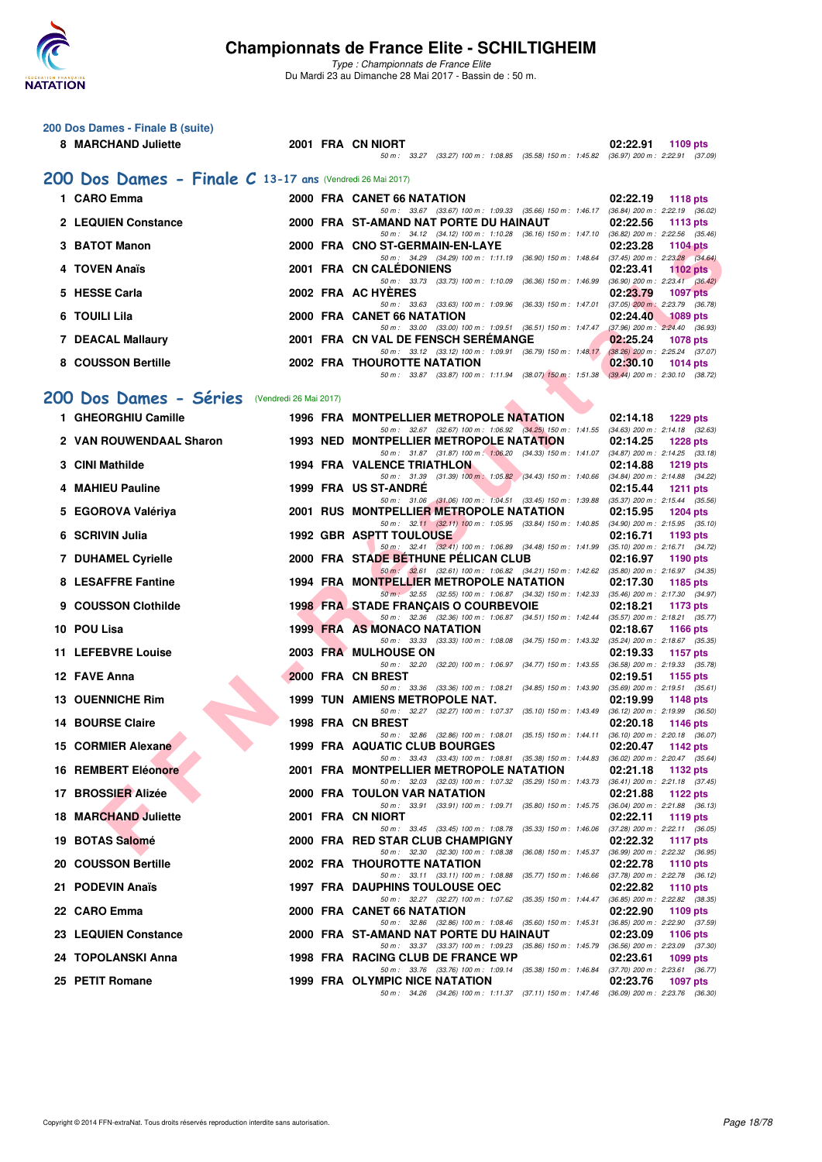

|   | 200 Dos Dames - Finale B (suite)                          |  |                                                                                                                                              |                                                                                                           |
|---|-----------------------------------------------------------|--|----------------------------------------------------------------------------------------------------------------------------------------------|-----------------------------------------------------------------------------------------------------------|
|   | 8 MARCHAND Juliette                                       |  | 2001 FRA CN NIORT<br>50 m: 33.27 (33.27) 100 m: 1:08.85 (35.58) 150 m: 1:45.82 (36.97) 200 m: 2:22.91 (37.09)                                | 02:22.91<br>1109 pts                                                                                      |
|   | 200 Dos Dames - Finale C 13-17 ans (Vendredi 26 Mai 2017) |  |                                                                                                                                              |                                                                                                           |
|   | 1 CARO Emma                                               |  | 2000 FRA CANET 66 NATATION                                                                                                                   | 02:22.19<br><b>1118 pts</b>                                                                               |
|   | 2 LEQUIEN Constance                                       |  | 50 m: 33.67 (33.67) 100 m: 1:09.33 (35.66) 150 m: 1:46.17 (36.84) 200 m: 2:22.19 (36.02)<br>2000 FRA ST-AMAND NAT PORTE DU HAINAUT           | 02:22.56<br><b>1113 pts</b>                                                                               |
|   |                                                           |  | 50 m: 34.12 (34.12) 100 m: 1:10.28 (36.16) 150 m: 1:47.10 (36.82) 200 m: 2:22.56 (35.46)                                                     |                                                                                                           |
|   | 3 BATOT Manon                                             |  | 2000 FRA CNO ST-GERMAIN-EN-LAYE<br>50 m: 34.29 (34.29) 100 m: 1:11.19 (36.90) 150 m: 1:48.64 (37.45) 200 m: 2:23.28 (34.64)                  | 02:23.28<br><b>1104 pts</b>                                                                               |
|   | 4 TOVEN Anaïs                                             |  | <b>2001 FRA CN CALEDONIENS</b>                                                                                                               | 02:23.41<br>1102 $pts$                                                                                    |
|   | 5 HESSE Carla                                             |  | 50 m: 33.73 (33.73) 100 m: 1:10.09 (36.36) 150 m: 1:46.99<br>2002 FRA AC HYERES<br>50 m: 33.63 (33.63) 100 m: 1:09.96 (36.33) 150 m: 1:47.01 | $(36.90)$ 200 m : 2:23.41 $(36.42)$<br>02:23.79<br><b>1097 pts</b><br>$(37.05)$ 200 m : 2:23.79 $(36.78)$ |
|   | 6 TOUILI Lila                                             |  | 2000 FRA CANET 66 NATATION                                                                                                                   | 02:24.40<br><b>1089 pts</b>                                                                               |
|   | 7 DEACAL Mallaury                                         |  | 50 m: 33.00 (33.00) 100 m: 1:09.51 (36.51) 150 m: 1:47.47 (37.96) 200 m: 2:24.40 (36.93)<br>2001 FRA CN VAL DE FENSCH SEREMANGE              | 02:25.24<br><b>1078 pts</b>                                                                               |
|   | 8 COUSSON Bertille                                        |  | 50 m: 33.12 (33.12) 100 m: 1:09.91 (36.79) 150 m: 1:48.17 (38.26) 200 m: 2:25.24 (37.07)<br><b>2002 FRA THOUROTTE NATATION</b>               | 02:30.10<br>$1014$ pts                                                                                    |
|   |                                                           |  | 50 m: 33.87 (33.87) 100 m: 1:11.94 (38.07) 150 m: 1:51.38 (39.44) 200 m: 2:30.10 (38.72)                                                     |                                                                                                           |
|   | 200 Dos Dames - Séries (Vendredi 26 Mai 2017)             |  |                                                                                                                                              |                                                                                                           |
|   | 1 GHEORGHIU Camille                                       |  | 1996 FRA MONTPELLIER METROPOLE NATATION                                                                                                      | 02:14.18<br><b>1229 pts</b>                                                                               |
|   | 2 VAN ROUWENDAAL Sharon                                   |  | 50 m: 32.67 (32.67) 100 m: 1:06.92 (34.25) 150 m: 1:41.55 (34.63) 200 m: 2:14.18 (32.63)<br><b>1993 NED MONTPELLIER METROPOLE NATATION</b>   | 02:14.25<br><b>1228 pts</b>                                                                               |
|   | 3 CINI Mathilde                                           |  | 50 m: 31.87 (31.87) 100 m: 1:06.20 (34.33) 150 m: 1:41.07 (34.87) 200 m: 2:14.25 (33.18)<br><b>1994 FRA VALENCE TRIATHLON</b>                | 02:14.88<br><b>1219 pts</b>                                                                               |
|   |                                                           |  | 50 m: 31.39 (31.39) 100 m: 1:05.82 (34.43) 150 m: 1:40.66                                                                                    | $(34.84)$ 200 m : 2:14.88 $(34.22)$                                                                       |
|   | 4 MAHIEU Pauline                                          |  | 1999 FRA US ST-ANDRE<br>50 m: 31.06 (31.06) 100 m: 1:04.51 (33.45) 150 m: 1:39.88                                                            | 02:15.44<br><b>1211 pts</b><br>$(35.37)$ 200 m : 2:15.44 $(35.56)$                                        |
|   | 5 EGOROVA Valériya                                        |  | 2001 RUS MONTPELLIER METROPOLE NATATION<br>50 m: 32.11 (32.11) 100 m: 1:05.95 (33.84) 150 m: 1:40.85 (34.90) 200 m: 2:15.95 (35.10)          | 02:15.95<br><b>1204 pts</b>                                                                               |
| 6 | <b>SCRIVIN Julia</b>                                      |  | <b>1992 GBR ASPTT TOULOUSE</b>                                                                                                               | 02:16.71<br>1193 pts                                                                                      |
|   | <b>7 DUHAMEL Cyrielle</b>                                 |  | 50 m: 32.41 (32.41) 100 m: 1:06.89 (34.48) 150 m: 1:41.99 (35.10) 200 m: 2:16.71 (34.72)<br>2000 FRA STADE BETHUNE PELICAN CLUB              | 02:16.97<br>1190 pts                                                                                      |
|   | 8 LESAFFRE Fantine                                        |  | 50 m : 32.61 (32.61) 100 m : 1:06.82 (34.21) 150 m : 1:42.62 (35.80) 200 m : 2:16.97 (34.35)<br>1994 FRA MONTPELLIER METROPOLE NATATION      | 02:17.30<br>1185 pts                                                                                      |
| 9 | <b>COUSSON Clothilde</b>                                  |  | 50 m · 32.55 (32.55) 100 m · 1:06.87 (34.32) 150 m · 1:42.33 (35.46) 200 m · 2:17.30 (34.97)<br><b>1998 FRA STADE FRANÇAIS O COURBEVOIE</b>  | 02:18.21<br>1173 pts                                                                                      |
|   | 10 POU Lisa                                               |  | 50 m: 32.36 (32.36) 100 m: 1:06.87 (34.51) 150 m: 1:42.44 (35.57) 200 m: 2:18.21 (35.77)<br><b>1999 FRA AS MONACO NATATION</b>               | 02:18.67<br><b>1166 pts</b>                                                                               |
|   |                                                           |  | 50 m: 33.33 (33.33) 100 m: 1:08.08 (34.75) 150 m: 1:43.32 (35.24) 200 m: 2:18.67 (35.35)                                                     |                                                                                                           |
|   | 11 LEFEBVRE Louise                                        |  | 2003 FRA MULHOUSE ON<br>50 m: 32.20 (32.20) 100 m: 1:06.97 (34.77) 150 m: 1:43.55 (36.58) 200 m: 2:19.33 (35.78)                             | 02:19.33<br>1157 pts                                                                                      |
|   | 12 FAVE Anna                                              |  | 2000 FRA CN BREST<br>50 m: 33.36 (33.36) 100 m: 1:08.21 (34.85) 150 m: 1:43.90 (35.69) 200 m: 2:19.51 (35.61)                                | 02:19.51<br>1155 pts                                                                                      |
|   | 13 OUENNICHE Rim                                          |  | <b>1999 TUN AMIENS METROPOLE NAT.</b>                                                                                                        | 02:19.99<br>1148 pts                                                                                      |
|   | <b>14 BOURSE Claire</b>                                   |  | 50 m: 32.27 (32.27) 100 m: 1:07.37 (35.10) 150 m: 1:43.49 (36.12) 200 m: 2:19.99 (36.50)<br>1998 FRA CN BREST                                | 02:20.18<br>1146 pts                                                                                      |
|   | 15 CORMIER Alexane                                        |  | 50 m: 32.86 (32.86) 100 m: 1:08.01 (35.15) 150 m: 1:44.11 (36.10) 200 m: 2:20.18 (36.07)<br>1999 FRA AQUATIC CLUB BOURGES                    | 02:20.47<br>1142 pts                                                                                      |
|   | <b>16 REMBERT Eléonore</b>                                |  | 50 m : 33.43 (33.43) 100 m : 1:08.81 (35.38) 150 m : 1:44.83<br>2001 FRA MONTPELLIER METROPOLE NATATION                                      | $(36.02)$ 200 m : 2:20.47 $(35.64)$<br>02:21.18<br>1132 pts                                               |
|   |                                                           |  | 50 m : 32.03 (32.03) 100 m : 1:07.32 (35.29) 150 m : 1:43.73                                                                                 | $(36.41)$ 200 m : 2:21.18 $(37.45)$                                                                       |
|   | 17 BROSSIER Alizée                                        |  | 2000 FRA TOULON VAR NATATION<br>50 m: 33.91 (33.91) 100 m: 1:09.71 (35.80) 150 m: 1:45.75                                                    | 02:21.88<br>1122 pts<br>$(36.04)$ 200 m : 2:21.88 $(36.13)$                                               |
|   | <b>18 MARCHAND Juliette</b>                               |  | 2001 FRA CN NIORT<br>50 m : 33.45 (33.45) 100 m : 1:08.78 (35.33) 150 m : 1:46.06 (37.28) 200 m : 2:22.11 (36.05)                            | 02:22.11<br>1119 pts                                                                                      |
|   | 19 BOTAS Salomé                                           |  | 2000 FRA RED STAR CLUB CHAMPIGNY<br>50 m : 32.30 (32.30) 100 m : 1:08.38 (36.08) 150 m : 1:45.37                                             | 02:22.32<br><b>1117 pts</b><br>$(36.99)$ 200 m : 2:22.32 $(36.95)$                                        |
|   | 20 COUSSON Bertille                                       |  | 2002 FRA THOUROTTE NATATION                                                                                                                  | 02:22.78<br><b>1110 pts</b>                                                                               |
|   | 21 PODEVIN Anaïs                                          |  | 50 m: 33.11 (33.11) 100 m: 1:08.88 (35.77) 150 m: 1:46.66<br><b>1997 FRA DAUPHINS TOULOUSE OEC</b>                                           | (37.78) 200 m : 2:22.78 (36.12)<br>02:22.82<br><b>1110 pts</b>                                            |
|   | 22 CARO Emma                                              |  | 50 m : 32.27 (32.27) 100 m : 1:07.62 (35.35) 150 m : 1:44.47<br>2000 FRA CANET 66 NATATION                                                   | (36.85) 200 m : 2:22.82 (38.35)<br>02:22.90<br>1109 pts                                                   |
|   | 23 LEQUIEN Constance                                      |  | 50 m: 32.86 (32.86) 100 m: 1:08.46 (35.60) 150 m: 1:45.31 (36.85) 200 m: 2:22.90 (37.59)<br>2000 FRA ST-AMAND NAT PORTE DU HAINAUT           | 02:23.09<br>1106 pts                                                                                      |
|   |                                                           |  | 50 m: 33.37 (33.37) 100 m: 1:09.23 (35.86) 150 m: 1:45.79 (36.56) 200 m: 2:23.09 (37.30)                                                     |                                                                                                           |
|   | 24 TOPOLANSKI Anna                                        |  | 1998 FRA RACING CLUB DE FRANCE WP<br>50 m: 33.76 (33.76) 100 m: 1:09.14 (35.38) 150 m: 1:46.84 (37.70) 200 m: 2:23.61 (36.77)                | 02:23.61<br>1099 pts                                                                                      |
|   | 25 PETIT Romane                                           |  | 1999 FRA OLYMPIC NICE NATATION<br>50 m: 34.26 (34.26) 100 m: 1:11.37 (37.11) 150 m: 1:47.46 (36.09) 200 m: 2:23.76 (36.30)                   | 02:23.76<br>1097 pts                                                                                      |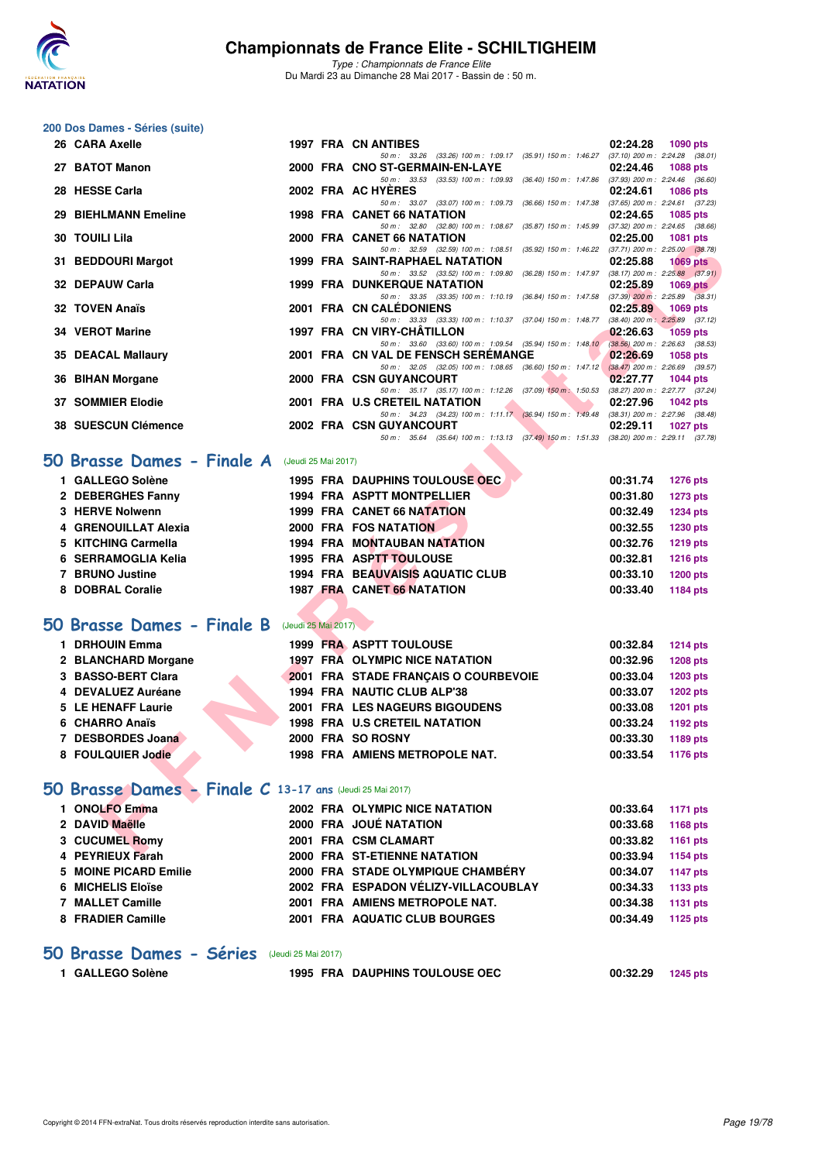

*Type : Championnats de France Elite* Du Mardi 23 au Dimanche 28 Mai 2017 - Bassin de : 50 m.

#### **200 Dos Dames - Séries (suite)**

| 26 CARA Axelle                                                  |                     | 1997 FRA CN ANTIBES                                                                                                                | 02:24.28              | 1090 pts        |
|-----------------------------------------------------------------|---------------------|------------------------------------------------------------------------------------------------------------------------------------|-----------------------|-----------------|
| 27 BATOT Manon                                                  |                     | 50 m: 33.26 (33.26) 100 m: 1:09.17 (35.91) 150 m: 1:46.27 (37.10) 200 m: 2:24.28 (38.01)<br>2000 FRA CNO ST-GERMAIN-EN-LAYE        | 02:24.46              | <b>1088 pts</b> |
| 28 HESSE Carla                                                  |                     | 50 m: 33.53 (33.53) 100 m: 1:09.93 (36.40) 150 m: 1:47.86 (37.93) 200 m: 2:24.46 (36.60)<br>2002 FRA AC HYERES                     |                       |                 |
|                                                                 |                     | 50 m: 33.07 (33.07) 100 m: 1:09.73 (36.66) 150 m: 1:47.38 (37.65) 200 m: 2:24.61 (37.23)                                           | 02:24.61              | <b>1086 pts</b> |
| 29 BIEHLMANN Emeline                                            |                     | <b>1998 FRA CANET 66 NATATION</b>                                                                                                  | 02:24.65              | 1085 pts        |
| <b>30 TOUILI Lila</b>                                           |                     | 50 m: 32.80 (32.80) 100 m: 1:08.67 (35.87) 150 m: 1:45.99 (37.32) 200 m: 2:24.65 (38.66)<br>2000 FRA CANET 66 NATATION             | 02:25.00              | 1081 pts        |
|                                                                 |                     | 50 m: 32.59 (32.59) 100 m: 1:08.51 (35.92) 150 m: 1:46.22 (37.71) 200 m: 2:25.00 (38.78)                                           |                       |                 |
| 31 BEDDOURI Margot                                              |                     | <b>1999 FRA SAINT-RAPHAEL NATATION</b><br>50 m: 33.52 (33.52) 100 m: 1:09.80 (36.28) 150 m: 1:47.97 (38.17) 200 m: 2:25.88 (37.91) | 02:25.88              | <b>1069 pts</b> |
| 32 DEPAUW Carla                                                 |                     | <b>1999 FRA DUNKERQUE NATATION</b>                                                                                                 | 02:25.89              | <b>1069 pts</b> |
| <b>32 TOVEN Anaïs</b>                                           |                     | 50 m: 33.35 (33.35) 100 m: 1:10.19 (36.84) 150 m: 1:47.58 (37.39) 200 m: 2:25.89 (38.31)<br>2001 FRA CN CALÉDONIENS                | 02:25.89              | 1069 pts        |
|                                                                 |                     | 50 m: 33.33 (33.33) 100 m: 1:10.37 (37.04) 150 m: 1:48.77 (38.40) 200 m: 2:25.89 (37.12)                                           |                       |                 |
| 34 VEROT Marine                                                 |                     | 1997 FRA CN VIRY-CHATILLON<br>50 m: 33.60 (33.60) 100 m: 1:09.54 (35.94) 150 m: 1:48.10 (38.56) 200 m: 2:26.63 (38.53)             | 02:26.63              | <b>1059 pts</b> |
| 35 DEACAL Mallaury                                              |                     | 2001 FRA CN VAL DE FENSCH SEREMANGE                                                                                                | 02:26.69              | <b>1058 pts</b> |
|                                                                 |                     | 50 m: 32.05 (32.05) 100 m: 1:08.65 (36.60) 150 m: 1:47.12 (38.47) 200 m: 2:26.69 (39.57)                                           |                       |                 |
| 36 BIHAN Morgane                                                |                     | 2000 FRA CSN GUYANCOURT<br>50 m: 35.17 (35.17) 100 m: 1:12.26 (37.09) 150 m: 1:50.53 (38.27) 200 m: 2:27.77 (37.24)                | 02:27.77              | <b>1044 pts</b> |
| <b>37 SOMMIER Elodie</b>                                        |                     | 2001 FRA U.S CRETEIL NATATION                                                                                                      | 02:27.96              | <b>1042 pts</b> |
| 38 SUESCUN Clémence                                             |                     | 50 m: 34.23 (34.23) 100 m: 1:11.17 (36.94) 150 m: 1:49.48 (38.31) 200 m: 2:27.96 (38.48)<br>2002 FRA CSN GUYANCOURT                | 02:29.11              | <b>1027 pts</b> |
|                                                                 |                     | 50 m: 35.64 (35.64) 100 m: 1:13.13 (37.49) 150 m: 1:51.33 (38.20) 200 m: 2:29.11 (37.78)                                           |                       |                 |
| <b>O Brasse Dames - Finale A</b>                                | (Jeudi 25 Mai 2017) |                                                                                                                                    |                       |                 |
| 1 GALLEGO Solène                                                |                     | 1995 FRA DAUPHINS TOULOUSE OEC.                                                                                                    | 00:31.74              | <b>1276 pts</b> |
| 2 DEBERGHES Fanny                                               |                     | <b>1994 FRA ASPTT MONTPELLIER</b>                                                                                                  | 00:31.80              | <b>1273 pts</b> |
| 3 HERVE Nolwenn                                                 |                     | 1999 FRA CANET 66 NATATION                                                                                                         | 00:32.49              | <b>1234 pts</b> |
| 4 GRENOUILLAT Alexia                                            |                     | 2000 FRA FOS NATATION                                                                                                              | 00:32.55              | 1230 pts        |
| 5 KITCHING Carmella                                             |                     | <b>1994 FRA MONTAUBAN NATATION</b>                                                                                                 | 00:32.76              | 1219 pts        |
| 6 SERRAMOGLIA Kelia                                             |                     | 1995 FRA ASPTT TOULOUSE                                                                                                            | 00:32.81              | <b>1216 pts</b> |
| 7 BRUNO Justine                                                 |                     | <b>1994 FRA BEAUVAISIS AQUATIC CLUB</b>                                                                                            | 00:33.10              | <b>1200 pts</b> |
| 8 DOBRAL Coralie                                                |                     | 1987 FRA CANET 66 NATATION                                                                                                         | 00:33.40              | <b>1184 pts</b> |
| <b>O Brasse Dames - Finale B</b>                                | (Jeudi 25 Mai 2017) |                                                                                                                                    |                       |                 |
| 1 DRHOUIN Emma                                                  |                     | 1999 FRA ASPTT TOULOUSE                                                                                                            | 00:32.84              | <b>1214 pts</b> |
| 2 BLANCHARD Morgane                                             |                     | 1997 FRA OLYMPIC NICE NATATION                                                                                                     | 00:32.96              | <b>1208 pts</b> |
| 3 BASSO-BERT Clara                                              |                     | 2001 FRA STADE FRANÇAIS O COURBEVOIE                                                                                               | 00:33.04              | <b>1203 pts</b> |
| 4 DEVALUEZ Auréane                                              |                     | 1994 FRA NAUTIC CLUB ALP'38                                                                                                        | 00:33.07              | <b>1202 pts</b> |
| 5 LE HENAFF Laurie                                              |                     | <b>2001 FRA LES NAGEURS BIGOUDENS</b>                                                                                              | 00:33.08              | <b>1201 pts</b> |
| 6 CHARRO Anaïs                                                  |                     | <b>1998 FRA U.S CRETEIL NATATION</b>                                                                                               | 00:33.24              | 1192 pts        |
| 7 DESBORDES Joana                                               |                     | 2000 FRA SO ROSNY                                                                                                                  | 00:33.30              | 1189 pts        |
| 8 FOULQUIER Jodie                                               |                     | 1998 FRA AMIENS METROPOLE NAT.                                                                                                     | 00:33.54              | 1176 pts        |
|                                                                 |                     |                                                                                                                                    |                       |                 |
| <b>iO Brasse Dames - Finale C 13-17 ans (Jeudi 25 Mai 2017)</b> |                     |                                                                                                                                    |                       |                 |
| 1 ONOLFO Emma                                                   |                     | 2002 FRA OLYMPIC NICE NATATION                                                                                                     | 00:33.64              | <b>1171 pts</b> |
| 2 DAVID Maëlle                                                  |                     | 2000 FRA JOUÉ NATATION                                                                                                             | 00:33.68              | <b>1168 pts</b> |
| 3 CUCUMEL Romy                                                  |                     | 2001 FRA CSM CLAMART                                                                                                               | 00:33.82              | 1161 pts        |
| <b>DEVELLY Exact</b>                                            |                     | <b>COOL FRA CT FTIEMME MATATION</b>                                                                                                | $0.000000$ $0.000000$ |                 |

### **50 Brasse Dames - Finale A** (Jeudi 25 Mai 2017)

| 1 GALLEGO Solène     |  | <b>1995 FRA DAUPHINS TOULOUSE OEC.</b>  | 00:31.74 | <b>1276 pts</b> |
|----------------------|--|-----------------------------------------|----------|-----------------|
| 2 DEBERGHES Fanny    |  | <b>1994 FRA ASPTT MONTPELLIER</b>       | 00:31.80 | <b>1273 pts</b> |
| 3 HERVE Nolwenn      |  | 1999 FRA CANET 66 NATATION              | 00:32.49 | <b>1234 pts</b> |
| 4 GRENOUILLAT Alexia |  | 2000 FRA FOS NATATION                   | 00:32.55 | 1230 pts        |
| 5 KITCHING Carmella  |  | <b>1994 FRA MONTAUBAN NATATION</b>      | 00:32.76 | <b>1219 pts</b> |
| 6 SERRAMOGLIA Kelia  |  | 1995 FRA ASPTT TOULOUSE                 | 00:32.81 | <b>1216 pts</b> |
| 7 BRUNO Justine      |  | <b>1994 FRA BEAUVAISIS AQUATIC CLUB</b> | 00:33.10 | <b>1200 pts</b> |
| 8 DOBRAL Coralie     |  | <b>1987 FRA CANET 66 NATATION</b>       | 00:33.40 | <b>1184 pts</b> |
|                      |  |                                         |          |                 |

## **[50 Brasse Dames - Finale B](http://www.ffnatation.fr/webffn/resultats.php?idact=nat&go=epr&idcpt=45075&idepr=21)** (Jeudi 25 Mai 2017)

| <b>DRHOUIN Emma</b> |  | <b>1999 FRA ASPTT TOULOUSE</b>        | 00:32.84 | <b>1214 pts</b> |
|---------------------|--|---------------------------------------|----------|-----------------|
| 2 BLANCHARD Morgane |  | 1997 FRA OLYMPIC NICE NATATION        | 00:32.96 | <b>1208 pts</b> |
| 3 BASSO-BERT Clara  |  | 2001 FRA STADE FRANCAIS O COURBEVOIE  | 00:33.04 | <b>1203 pts</b> |
| 4 DEVALUEZ Auréane  |  | 1994 FRA NAUTIC CLUB ALP'38           | 00:33.07 | <b>1202 pts</b> |
| 5 LE HENAFF Laurie  |  | 2001 FRA LES NAGEURS BIGOUDENS        | 00:33.08 | <b>1201 pts</b> |
| 6 CHARRO Anaïs      |  | <b>1998 FRA U.S CRETEIL NATATION</b>  | 00:33.24 | 1192 pts        |
| 7 DESBORDES Joana   |  | 2000 FRA SO ROSNY                     | 00:33.30 | 1189 pts        |
| 8 FOULQUIER Jodie   |  | <b>1998 FRA AMIENS METROPOLE NAT.</b> | 00:33.54 | 1176 pts        |

## **[50 Brasse Dames - Finale C](http://www.ffnatation.fr/webffn/resultats.php?idact=nat&go=epr&idcpt=45075&idepr=21) 13-17 ans** (Jeudi 25 Mai 2017)

| 1 ONOLFO Emma         |  | 2002 FRA OLYMPIC NICE NATATION       | 00:33.64 | <b>1171 pts</b> |
|-----------------------|--|--------------------------------------|----------|-----------------|
| 2 DAVID Maëlle        |  | 2000 FRA JOUÉ NATATION               | 00:33.68 | 1168 pts        |
| 3 CUCUMEL Romy        |  | 2001 FRA CSM CLAMART                 | 00:33.82 | 1161 pts        |
| 4 PEYRIEUX Farah      |  | 2000 FRA ST-ETIENNE NATATION         | 00:33.94 | 1154 pts        |
| 5 MOINE PICARD Emilie |  | 2000 FRA STADE OLYMPIQUE CHAMBERY    | 00:34.07 | 1147 pts        |
| 6 MICHELIS Eloïse     |  | 2002 FRA ESPADON VÉLIZY-VILLACOUBLAY | 00:34.33 | 1133 pts        |
| 7 MALLET Camille      |  | 2001 FRA AMIENS METROPOLE NAT.       | 00:34.38 | 1131 pts        |
| 8 FRADIER Camille     |  | 2001 FRA AQUATIC CLUB BOURGES        | 00:34.49 | 1125 pts        |
|                       |  |                                      |          |                 |

## **[50 Brasse Dames - Séries](http://www.ffnatation.fr/webffn/resultats.php?idact=nat&go=epr&idcpt=45075&idepr=21)** (Jeudi 25 Mai 2017)

| <b>1995 FRA DAUPHINS TOULOUSE OEC</b><br>1 GALLEGO Solène<br>00:32.29 1245 pts |
|--------------------------------------------------------------------------------|
|                                                                                |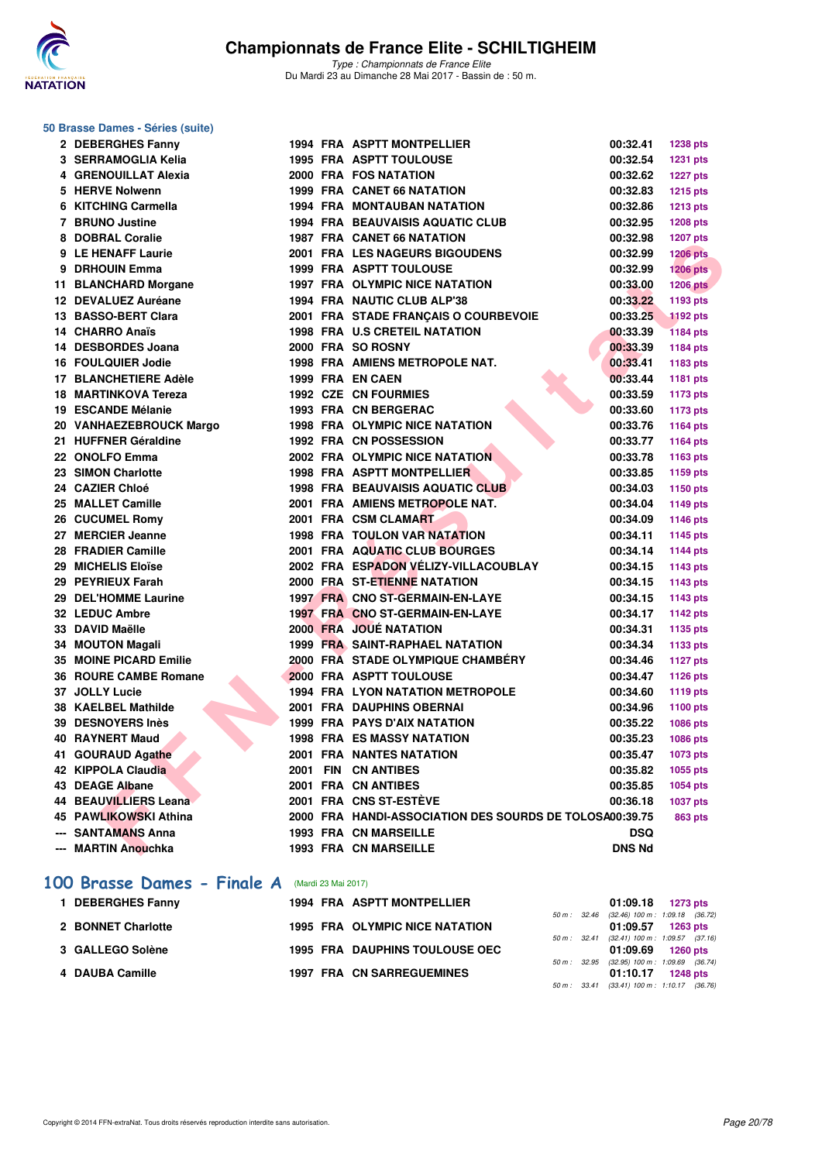

#### **50 Brasse Dames - Séries (suite)**

| 2 DEBERGHES Fanny             |  | 1994 FRA ASPTT MONTPELLIER                              | 00:32.41      | <b>1238 pts</b> |
|-------------------------------|--|---------------------------------------------------------|---------------|-----------------|
| 3 SERRAMOGLIA Kelia           |  | <b>1995 FRA ASPTT TOULOUSE</b>                          | 00:32.54      | <b>1231 pts</b> |
| 4 GRENOUILLAT Alexia          |  | 2000 FRA FOS NATATION                                   | 00:32.62      | <b>1227 pts</b> |
| 5 HERVE Nolwenn               |  | <b>1999 FRA CANET 66 NATATION</b>                       | 00:32.83      | 1215 pts        |
| 6 KITCHING Carmella           |  | <b>1994 FRA MONTAUBAN NATATION</b>                      | 00:32.86      | 1213 pts        |
| 7 BRUNO Justine               |  | <b>1994 FRA BEAUVAISIS AQUATIC CLUB</b>                 | 00:32.95      | <b>1208 pts</b> |
| 8 DOBRAL Coralie              |  | <b>1987 FRA CANET 66 NATATION</b>                       | 00:32.98      | 1207 pts        |
| 9 LE HENAFF Laurie            |  | 2001 FRA LES NAGEURS BIGOUDENS                          | 00:32.99      | <b>1206 pts</b> |
| 9 DRHOUIN Emma                |  | 1999 FRA ASPTT TOULOUSE                                 | 00:32.99      | <b>1206 pts</b> |
| 11 BLANCHARD Morgane          |  | 1997 FRA OLYMPIC NICE NATATION                          | 00:33.00      | <b>1206 pts</b> |
| 12 DEVALUEZ Auréane           |  | 1994 FRA NAUTIC CLUB ALP'38                             | 00:33.22      | 1193 pts        |
| 13 BASSO-BERT Clara           |  | 2001 FRA STADE FRANÇAIS O COURBEVOIE                    | 00:33.25      | <b>1192 pts</b> |
| 14 CHARRO Anaïs               |  | 1998 FRA U.S CRETEIL NATATION                           | 00:33.39      | <b>1184 pts</b> |
| 14 DESBORDES Joana            |  | 2000 FRA SO ROSNY                                       | 00:33.39      | 1184 pts        |
| <b>16 FOULQUIER Jodie</b>     |  | 1998 FRA AMIENS METROPOLE NAT.                          | 00:33.41      | 1183 pts        |
| 17 BLANCHETIERE Adèle         |  | 1999 FRA EN CAEN                                        | 00:33.44      | 1181 pts        |
| <b>18 MARTINKOVA Tereza</b>   |  | <b>1992 CZE CN FOURMIES</b>                             | 00:33.59      | 1173 pts        |
| 19 ESCANDE Mélanie            |  | 1993 FRA CN BERGERAC                                    | 00:33.60      | 1173 pts        |
| 20 VANHAEZEBROUCK Margo       |  | 1998 FRA OLYMPIC NICE NATATION                          | 00:33.76      | 1164 pts        |
| 21 HUFFNER Géraldine          |  | <b>1992 FRA CN POSSESSION</b>                           | 00:33.77      | 1164 pts        |
| 22 ONOLFO Emma                |  | 2002 FRA OLYMPIC NICE NATATION                          | 00:33.78      | 1163 pts        |
| 23 SIMON Charlotte            |  | 1998 FRA ASPTT MONTPELLIER                              | 00:33.85      | 1159 pts        |
| 24 CAZIER Chloé               |  | 1998 FRA BEAUVAISIS AQUATIC CLUB                        | 00:34.03      | 1150 pts        |
| 25 MALLET Camille             |  | 2001 FRA AMIENS METROPOLE NAT.                          | 00:34.04      | 1149 pts        |
| 26 CUCUMEL Romy               |  | 2001 FRA CSM CLAMART                                    | 00:34.09      | 1146 pts        |
| 27 MERCIER Jeanne             |  | <b>1998 FRA TOULON VAR NATATION</b>                     | 00:34.11      | 1145 pts        |
| 28 FRADIER Camille            |  | 2001 FRA AQUATIC CLUB BOURGES                           | 00:34.14      | 1144 pts        |
| 29 MICHELIS Eloïse            |  | 2002 FRA ESPADON VÉLIZY-VILLACOUBLAY                    | 00:34.15      | 1143 pts        |
| 29 PEYRIEUX Farah             |  | 2000 FRA ST-ETIENNE NATATION                            | 00:34.15      | 1143 pts        |
| 29 DEL'HOMME Laurine          |  | 1997 FRA CNO ST-GERMAIN-EN-LAYE                         | 00:34.15      | 1143 pts        |
| 32 LEDUC Ambre                |  | 1997 FRA CNO ST-GERMAIN-EN-LAYE                         | 00:34.17      | 1142 pts        |
| 33 DAVID Maëlle               |  | 2000 FRA JOUÉ NATATION                                  | 00:34.31      | 1135 pts        |
| 34 MOUTON Magali              |  | <b>1999 FRA SAINT-RAPHAEL NATATION</b>                  | 00:34.34      | 1133 pts        |
| <b>35 MOINE PICARD Emilie</b> |  | 2000 FRA STADE OLYMPIQUE CHAMBÉRY                       | 00:34.46      | <b>1127 pts</b> |
| <b>36 ROURE CAMBE Romane</b>  |  | 2000 FRA ASPTT TOULOUSE                                 | 00:34.47      | 1126 pts        |
| 37 JOLLY Lucie                |  | <b>1994 FRA LYON NATATION METROPOLE</b>                 | 00:34.60      | 1119 pts        |
| 38 KAELBEL Mathilde           |  | 2001 FRA DAUPHINS OBERNAI                               | 00:34.96      | 1100 pts        |
| 39 DESNOYERS Inès             |  | <b>1999 FRA PAYS D'AIX NATATION</b>                     | 00:35.22      | 1086 pts        |
| <b>40 RAYNERT Maud</b>        |  | <b>1998 FRA ES MASSY NATATION</b>                       | 00:35.23      | 1086 pts        |
| 41 GOURAUD Agathe             |  | 2001 FRA NANTES NATATION                                | 00:35.47      | 1073 pts        |
| 42 KIPPOLA Claudia            |  | 2001 FIN CN ANTIBES                                     | 00:35.82      | 1055 pts        |
| <b>43 DEAGE Albane</b>        |  | 2001 FRA CN ANTIBES                                     | 00:35.85      | 1054 pts        |
| <b>44 BEAUVILLIERS Leana</b>  |  | 2001 FRA CNS ST-ESTÈVE                                  | 00:36.18      | 1037 pts        |
| 45 PAWLIKOWSKI Athina         |  | 2000 FRA HANDI-ASSOCIATION DES SOURDS DE TOLOSA00:39.75 |               | <b>863 pts</b>  |
| --- SANTAMANS Anna            |  | <b>1993 FRA CN MARSEILLE</b>                            | <b>DSQ</b>    |                 |
| --- MARTIN Anouchka           |  | <b>1993 FRA CN MARSEILLE</b>                            | <b>DNS Nd</b> |                 |
|                               |  |                                                         |               |                 |

### **[100 Brasse Dames - Finale A](http://www.ffnatation.fr/webffn/resultats.php?idact=nat&go=epr&idcpt=45075&idepr=22)** (Mardi 23 Mai 2017)

| <b>DEBERGHES Fanny</b> |  | 1994 FRA ASPTT MONTPELLIER            |  | $01:09.18$ 1273 pts                                                 |  |
|------------------------|--|---------------------------------------|--|---------------------------------------------------------------------|--|
| 2 BONNET Charlotte     |  | 1995 FRA OLYMPIC NICE NATATION        |  | 50 m : 32.46 (32.46) 100 m : 1:09.18 (36.72)<br>$01:09.57$ 1263 pts |  |
| 3 GALLEGO Solène       |  | <b>1995 FRA DAUPHINS TOULOUSE OEC</b> |  | 50 m: 32.41 (32.41) 100 m: 1:09.57 (37.16)<br>$01:09.69$ 1260 pts   |  |
| 4 DAUBA Camille        |  | <b>1997 FRA CN SARREGUEMINES</b>      |  | 50 m : 32.95 (32.95) 100 m : 1:09.69 (36.74)<br>01:10.17 1248 pts   |  |
|                        |  |                                       |  | 50 m: 33.41 (33.41) 100 m: 1:10.17 (36.76)                          |  |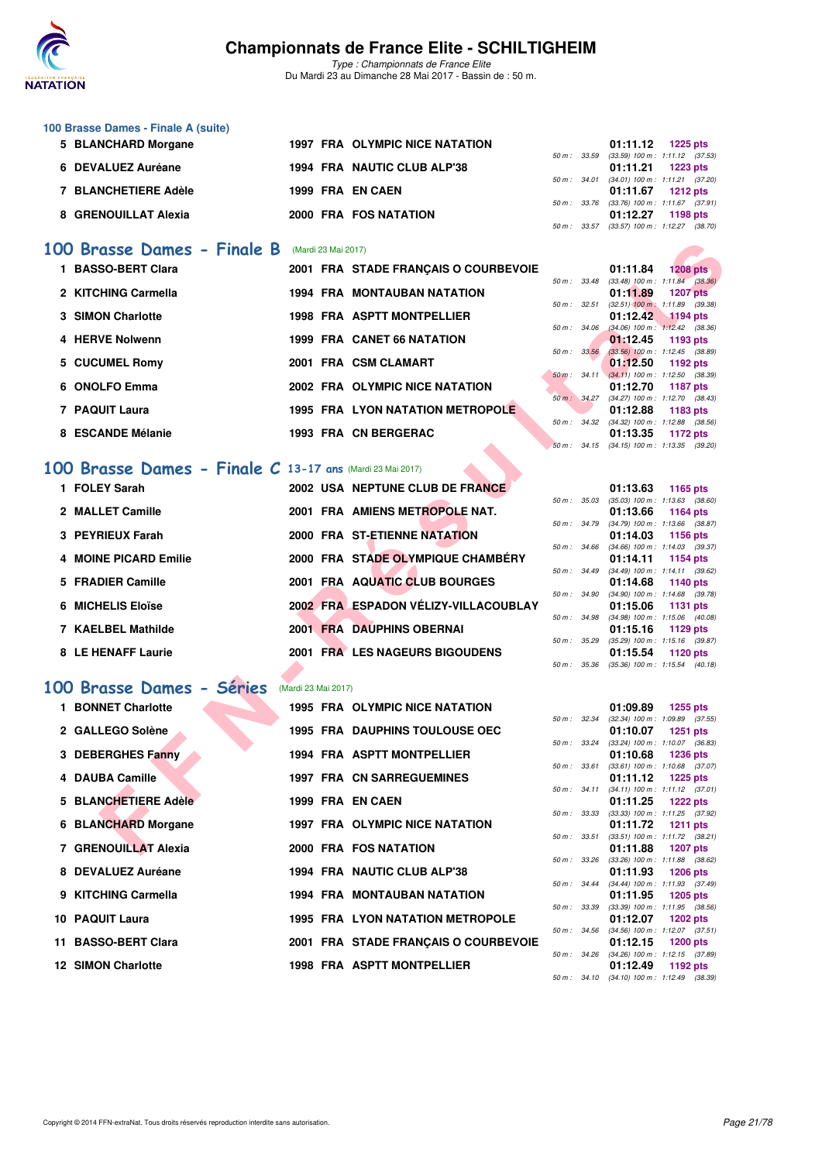

*Type : Championnats de France Elite* Du Mardi 23 au Dimanche 28 Mai 2017 - Bassin de : 50 m.

| 100 Brasse Dames - Finale A (suite) |                                |  |          |                                                                |
|-------------------------------------|--------------------------------|--|----------|----------------------------------------------------------------|
| 5 BLANCHARD Morgane                 | 1997 FRA OLYMPIC NICE NATATION |  | 01:11.12 | 1225 pts                                                       |
|                                     |                                |  |          | 50 m: 33.59 (33.59) 100 m: 1:11.12 (37.53)                     |
| 6 DEVALUEZ Auréane                  | 1994 FRA NAUTIC CLUB ALP'38    |  | 01:11.21 | 1223 pts                                                       |
|                                     |                                |  |          | 50 m: 34.01 (34.01) 100 m: 1:11.21 (37.20)                     |
| 7 BLANCHETIERE Adèle                | 1999 FRA EN CAEN               |  |          | $01:11.67$ 1212 pts                                            |
|                                     |                                |  |          | 50 m: 33.76 (33.76) 100 m: 1:11.67 (37.91)                     |
| 8 GRENOUILLAT Alexia                | 2000 FRA FOS NATATION          |  | 01:12.27 | 1198 pts                                                       |
|                                     |                                |  |          | $F0 \, m \cdot 99 F7$ (99 $F7$ ) $100 \, m \cdot 11997$ (99 70 |

### **[100 Brasse Dames - Finale B](http://www.ffnatation.fr/webffn/resultats.php?idact=nat&go=epr&idcpt=45075&idepr=22)** (Mardi 23 Mai 2017)

| 00 Brasse Dames - Finale B                               |                     | (Mardi 23 Mai 2017) |                                         |                  |              |                                                 |                 |  |
|----------------------------------------------------------|---------------------|---------------------|-----------------------------------------|------------------|--------------|-------------------------------------------------|-----------------|--|
| 1 BASSO-BERT Clara                                       |                     |                     | 2001 FRA STADE FRANÇAIS O COURBEVOIE    |                  |              | 01:11.84                                        | <b>1208 pts</b> |  |
| 2 KITCHING Carmella                                      |                     |                     | <b>1994 FRA MONTAUBAN NATATION</b>      |                  | 50 m : 33.48 | $(33.48)$ 100 m : 1:11.84 $(38.36)$<br>01:11.89 | <b>1207 pts</b> |  |
| 3 SIMON Charlotte                                        |                     |                     | <b>1998 FRA ASPTT MONTPELLIER</b>       | 50 m: 32.51      |              | $(32.51)$ 100 m : 1:11.89 $(39.38)$<br>01:12.42 |                 |  |
|                                                          |                     |                     |                                         | 50 m: 34.06      |              | $(34.06)$ 100 m : 1:12.42 $(38.36)$             | 1194 pts        |  |
| 4 HERVE Nolwenn                                          |                     |                     | <b>1999 FRA CANET 66 NATATION</b>       |                  |              | 01:12.45                                        | 1193 pts        |  |
|                                                          |                     |                     |                                         | $50 m$ : $33.56$ |              | $(33.56)$ 100 m : 1:12.45 $(38.89)$             |                 |  |
| 5 CUCUMEL Romy                                           |                     |                     | 2001 FRA CSM CLAMART                    |                  |              | 01:12.50                                        | 1192 pts        |  |
|                                                          |                     |                     |                                         |                  |              | 50 m: 34.11 (34.11) 100 m: 1:12.50 (38.39)      |                 |  |
| 6 ONOLFO Emma                                            |                     |                     | 2002 FRA OLYMPIC NICE NATATION          |                  | 50 m : 34.27 | 01:12.70<br>$(34.27)$ 100 m : 1:12.70 $(38.43)$ | <b>1187 pts</b> |  |
| 7 PAQUIT Laura                                           |                     |                     | <b>1995 FRA LYON NATATION METROPOLE</b> |                  |              | 01:12.88                                        | 1183 pts        |  |
|                                                          |                     |                     |                                         |                  |              | 50 m: 34.32 (34.32) 100 m: 1:12.88 (38.56)      |                 |  |
| 8 ESCANDE Mélanie                                        |                     |                     | 1993 FRA CN BERGERAC                    |                  |              | 01:13.35                                        | 1172 pts        |  |
|                                                          |                     |                     |                                         |                  |              | 50 m: 34.15 (34.15) 100 m: 1:13.35 (39.20)      |                 |  |
|                                                          |                     |                     |                                         |                  |              |                                                 |                 |  |
| OO Brasse Dames - Finale C 13-17 ans (Mardi 23 Mai 2017) |                     |                     |                                         |                  |              |                                                 |                 |  |
| 1 FOLEY Sarah                                            |                     |                     | 2002 USA NEPTUNE CLUB DE FRANCE         |                  |              | 01:13.63                                        | 1165 pts        |  |
|                                                          |                     |                     |                                         | 50 m: 35.03      |              | $(35.03)$ 100 m : 1:13.63 $(38.60)$             |                 |  |
| 2 MALLET Camille                                         |                     |                     | 2001 FRA AMIENS METROPOLE NAT.          |                  |              | 01:13.66                                        | 1164 pts        |  |
|                                                          |                     |                     |                                         |                  | 50 m : 34.79 | (34.79) 100 m: 1:13.66 (38.87)                  |                 |  |
| 3 PEYRIEUX Farah                                         |                     |                     | 2000 FRA ST-ETIENNE NATATION            |                  |              | 01:14.03                                        | 1156 pts        |  |
|                                                          |                     |                     |                                         |                  | 50 m : 34.66 | $(34.66)$ 100 m : 1:14.03 $(39.37)$             |                 |  |
| 4 MOINE PICARD Emilie                                    |                     |                     | 2000 FRA STADE OLYMPIQUE CHAMBERY       |                  |              | 01:14.11                                        | 1154 pts        |  |
|                                                          |                     |                     |                                         |                  | 50 m : 34.49 | $(34.49)$ 100 m : 1:14.11 $(39.62)$             |                 |  |
| 5 FRADIER Camille                                        |                     |                     | 2001 FRA AQUATIC CLUB BOURGES           |                  |              | 01:14.68                                        | 1140 pts        |  |
|                                                          |                     |                     | 2002 FRA ESPADON VÉLIZY-VILLACOUBLAY    | 50 m: 34.90      |              | $(34.90)$ 100 m : 1:14.68 $(39.78)$             |                 |  |
| 6 MICHELIS Eloïse                                        |                     |                     |                                         | 50 m : 34.98     |              | 01:15.06<br>$(34.98)$ 100 m : 1:15.06 $(40.08)$ | 1131 pts        |  |
| 7 KAELBEL Mathilde                                       |                     |                     | <b>2001 FRA DAUPHINS OBERNAI</b>        |                  |              | 01:15.16                                        | 1129 pts        |  |
|                                                          |                     |                     |                                         | 50 m : 35.29     |              | $(35.29)$ 100 m : 1:15.16 $(39.87)$             |                 |  |
| 8 LE HENAFF Laurie                                       |                     |                     | 2001 FRA LES NAGEURS BIGOUDENS          |                  |              | 01:15.54                                        | 1120 pts        |  |
|                                                          |                     |                     |                                         | 50 m : 35.36     |              | $(35.36)$ 100 m : 1:15.54 $(40.18)$             |                 |  |
|                                                          |                     |                     |                                         |                  |              |                                                 |                 |  |
| 00 Brasse Dames - Séries                                 | (Mardi 23 Mai 2017) |                     |                                         |                  |              |                                                 |                 |  |
| 1 BONNET Charlotte                                       |                     |                     | <b>1995 FRA OLYMPIC NICE NATATION</b>   |                  |              | 01:09.89                                        | <b>1255 pts</b> |  |
|                                                          |                     |                     |                                         |                  | 50 m : 32.34 | $(32.34)$ 100 m : 1:09.89 $(37.55)$             |                 |  |
| 2 GALLEGO Solène                                         |                     |                     | <b>1995 FRA DAUPHINS TOULOUSE OEC</b>   |                  |              | 01:10.07                                        | <b>1251 pts</b> |  |
|                                                          |                     |                     |                                         |                  | 50 m : 33.24 | $(33.24)$ 100 m : 1:10.07 $(36.83)$             |                 |  |
| 3 DEBERGHES Fanny                                        |                     |                     | <b>1994 FRA ASPTT MONTPELLIER</b>       |                  |              | 01:10.68                                        | <b>1236 pts</b> |  |
|                                                          |                     |                     |                                         | $50 m$ : $33.61$ |              | $(33.61)$ 100 m : 1:10.68 $(37.07)$             |                 |  |
| 4 DAUBA Camille                                          |                     |                     | 1997 FRA CN SARREGUEMINES               |                  |              | 01:11.12                                        | <b>1225 pts</b> |  |
|                                                          |                     |                     |                                         |                  | 50 m: 34.11  | $(34.11)$ 100 m : 1:11.12 $(37.01)$             |                 |  |
| 5 BLANCHETIERE Adèle                                     |                     |                     | 1999 FRA EN CAEN                        | 50 m: 33.33      |              | 01:11.25<br>$(33.33)$ 100 m : 1:11.25 $(37.92)$ | <b>1222 pts</b> |  |
| 6 BLANCHARD Morgane                                      |                     |                     | <b>1997 FRA OLYMPIC NICE NATATION</b>   |                  |              | 01:11.72                                        | <b>1211 pts</b> |  |
|                                                          |                     |                     |                                         |                  | 50 m : 33.51 | $(33.51)$ 100 m : 1:11.72 $(38.21)$             |                 |  |
| 7 GRENOUILLAT Alexia                                     |                     |                     | 2000 FRA FOS NATATION                   |                  |              | 01:11.88                                        | <b>1207 pts</b> |  |
|                                                          |                     |                     |                                         |                  |              |                                                 |                 |  |

## **[100 Brasse Dames - Finale C](http://www.ffnatation.fr/webffn/resultats.php?idact=nat&go=epr&idcpt=45075&idepr=22) 13-17 ans** (Mardi 23 Mai 2017)

| 1 FOLEY Sarah         |  | 2002 USA NEPTUNE CLUB DE FRANCE      |                  |                  | 01:13.63                                            | 1165 pts |  |
|-----------------------|--|--------------------------------------|------------------|------------------|-----------------------------------------------------|----------|--|
| 2 MALLET Camille      |  | 2001 FRA AMIENS METROPOLE NAT.       | 50 m: 35.03      |                  | $(35.03)$ 100 m : 1:13.63 (38.<br>01:13.66          | 1164 pts |  |
| 3 PEYRIEUX Farah      |  | 2000 FRA ST-ETIENNE NATATION         |                  | $50 m$ : $34.79$ | $(34.79)$ 100 m : 1:13.66 (38.<br>01:14.03          | 1156 pts |  |
| 4 MOINE PICARD Emilie |  | 2000 FRA STADE OLYMPIQUE CHAMBÉRY    | $50 m$ : $34.66$ |                  | $(34.66)$ 100 m : 1:14.03 (39.<br>01:14.11          | 1154 pts |  |
| 5 FRADIER Camille     |  | 2001 FRA AQUATIC CLUB BOURGES        |                  | 50 m: 34.49      | $(34.49)$ 100 m : 1:14.11 (39.<br>01:14.68 1140 pts |          |  |
| 6 MICHELIS Eloïse     |  | 2002 FRA ESPADON VÉLIZY-VILLACOUBLAY |                  | 50 m: 34.90      | $(34.90)$ 100 m : 1:14.68 (39.<br>01:15.06          | 1131 pts |  |
| 7 KAELBEL Mathilde    |  | 2001 FRA DAUPHINS OBERNAI            |                  | 50 m : 34.98     | $(34.98)$ 100 m : 1:15.06 $(40.$<br>01:15.16        | 1129 pts |  |
| 8 LE HENAFF Laurie    |  | 2001 FRA LES NAGEURS BIGOUDENS       | $50 m$ : $35.29$ |                  | $(35.29)$ 100 m : 1:15.16 (39.<br>01:15.54          | 1120 pts |  |
|                       |  |                                      |                  |                  |                                                     |          |  |

### **[100 Brasse Dames - Séries](http://www.ffnatation.fr/webffn/resultats.php?idact=nat&go=epr&idcpt=45075&idepr=22)** (Mardi 23 Mai 2017)

| 1 BONNET Charlotte        |                                                                                                                                                                                                    |  |                                                                                                                                                                                                                                                                                                                                                                                                                                     |                                                           |                                                           |                                                                                                                                                                                                                                                                                                                                                                                                                                                                                                                                                                                                                                                                        |
|---------------------------|----------------------------------------------------------------------------------------------------------------------------------------------------------------------------------------------------|--|-------------------------------------------------------------------------------------------------------------------------------------------------------------------------------------------------------------------------------------------------------------------------------------------------------------------------------------------------------------------------------------------------------------------------------------|-----------------------------------------------------------|-----------------------------------------------------------|------------------------------------------------------------------------------------------------------------------------------------------------------------------------------------------------------------------------------------------------------------------------------------------------------------------------------------------------------------------------------------------------------------------------------------------------------------------------------------------------------------------------------------------------------------------------------------------------------------------------------------------------------------------------|
|                           |                                                                                                                                                                                                    |  |                                                                                                                                                                                                                                                                                                                                                                                                                                     |                                                           |                                                           |                                                                                                                                                                                                                                                                                                                                                                                                                                                                                                                                                                                                                                                                        |
| 2 GALLEGO Solène          |                                                                                                                                                                                                    |  |                                                                                                                                                                                                                                                                                                                                                                                                                                     |                                                           |                                                           |                                                                                                                                                                                                                                                                                                                                                                                                                                                                                                                                                                                                                                                                        |
|                           |                                                                                                                                                                                                    |  |                                                                                                                                                                                                                                                                                                                                                                                                                                     |                                                           |                                                           |                                                                                                                                                                                                                                                                                                                                                                                                                                                                                                                                                                                                                                                                        |
|                           |                                                                                                                                                                                                    |  |                                                                                                                                                                                                                                                                                                                                                                                                                                     |                                                           |                                                           |                                                                                                                                                                                                                                                                                                                                                                                                                                                                                                                                                                                                                                                                        |
|                           |                                                                                                                                                                                                    |  |                                                                                                                                                                                                                                                                                                                                                                                                                                     |                                                           |                                                           |                                                                                                                                                                                                                                                                                                                                                                                                                                                                                                                                                                                                                                                                        |
|                           |                                                                                                                                                                                                    |  |                                                                                                                                                                                                                                                                                                                                                                                                                                     |                                                           |                                                           |                                                                                                                                                                                                                                                                                                                                                                                                                                                                                                                                                                                                                                                                        |
|                           |                                                                                                                                                                                                    |  |                                                                                                                                                                                                                                                                                                                                                                                                                                     |                                                           |                                                           |                                                                                                                                                                                                                                                                                                                                                                                                                                                                                                                                                                                                                                                                        |
|                           |                                                                                                                                                                                                    |  |                                                                                                                                                                                                                                                                                                                                                                                                                                     |                                                           |                                                           |                                                                                                                                                                                                                                                                                                                                                                                                                                                                                                                                                                                                                                                                        |
|                           |                                                                                                                                                                                                    |  |                                                                                                                                                                                                                                                                                                                                                                                                                                     |                                                           |                                                           |                                                                                                                                                                                                                                                                                                                                                                                                                                                                                                                                                                                                                                                                        |
|                           |                                                                                                                                                                                                    |  |                                                                                                                                                                                                                                                                                                                                                                                                                                     |                                                           |                                                           |                                                                                                                                                                                                                                                                                                                                                                                                                                                                                                                                                                                                                                                                        |
|                           |                                                                                                                                                                                                    |  |                                                                                                                                                                                                                                                                                                                                                                                                                                     |                                                           |                                                           |                                                                                                                                                                                                                                                                                                                                                                                                                                                                                                                                                                                                                                                                        |
|                           |                                                                                                                                                                                                    |  |                                                                                                                                                                                                                                                                                                                                                                                                                                     |                                                           |                                                           |                                                                                                                                                                                                                                                                                                                                                                                                                                                                                                                                                                                                                                                                        |
|                           |                                                                                                                                                                                                    |  |                                                                                                                                                                                                                                                                                                                                                                                                                                     |                                                           |                                                           |                                                                                                                                                                                                                                                                                                                                                                                                                                                                                                                                                                                                                                                                        |
|                           |                                                                                                                                                                                                    |  |                                                                                                                                                                                                                                                                                                                                                                                                                                     |                                                           |                                                           |                                                                                                                                                                                                                                                                                                                                                                                                                                                                                                                                                                                                                                                                        |
|                           |                                                                                                                                                                                                    |  |                                                                                                                                                                                                                                                                                                                                                                                                                                     |                                                           |                                                           |                                                                                                                                                                                                                                                                                                                                                                                                                                                                                                                                                                                                                                                                        |
|                           |                                                                                                                                                                                                    |  |                                                                                                                                                                                                                                                                                                                                                                                                                                     |                                                           |                                                           |                                                                                                                                                                                                                                                                                                                                                                                                                                                                                                                                                                                                                                                                        |
|                           |                                                                                                                                                                                                    |  |                                                                                                                                                                                                                                                                                                                                                                                                                                     |                                                           |                                                           |                                                                                                                                                                                                                                                                                                                                                                                                                                                                                                                                                                                                                                                                        |
|                           |                                                                                                                                                                                                    |  |                                                                                                                                                                                                                                                                                                                                                                                                                                     |                                                           |                                                           |                                                                                                                                                                                                                                                                                                                                                                                                                                                                                                                                                                                                                                                                        |
|                           |                                                                                                                                                                                                    |  |                                                                                                                                                                                                                                                                                                                                                                                                                                     |                                                           |                                                           |                                                                                                                                                                                                                                                                                                                                                                                                                                                                                                                                                                                                                                                                        |
|                           |                                                                                                                                                                                                    |  |                                                                                                                                                                                                                                                                                                                                                                                                                                     |                                                           |                                                           |                                                                                                                                                                                                                                                                                                                                                                                                                                                                                                                                                                                                                                                                        |
| <b>12 SIMON Charlotte</b> |                                                                                                                                                                                                    |  |                                                                                                                                                                                                                                                                                                                                                                                                                                     |                                                           |                                                           |                                                                                                                                                                                                                                                                                                                                                                                                                                                                                                                                                                                                                                                                        |
|                           | 3 DEBERGHES Fanny<br>4 DAUBA Camille<br>5 BLANCHETIERE Adèle<br>6 BLANCHARD Morgane<br>7 GRENOUILLAT Alexia<br>8 DEVALUEZ Auréane<br>9 KITCHING Carmella<br>10 PAQUIT Laura<br>11 BASSO-BERT Clara |  | <b>1995 FRA OLYMPIC NICE NATATION</b><br><b>1995 FRA DAUPHINS TOULOUSE OEC</b><br><b>1994 FRA ASPTT MONTPELLIER</b><br><b>1997 FRA CN SARREGUEMINES</b><br>1999 FRA EN CAEN<br>1997 FRA OLYMPIC NICE NATATION<br>2000 FRA FOS NATATION<br>1994 FRA NAUTIC CLUB ALP'38<br><b>1994 FRA MONTAUBAN NATATION</b><br><b>1995 FRA LYON NATATION METROPOLE</b><br>2001 FRA STADE FRANCAIS O COURBEVOIE<br><b>1998 FRA ASPTT MONTPELLIER</b> | 50 m: 32.34<br>50 m: 33.24<br>50 m: 33.39<br>50 m : 34.26 | 50 m: 33.61<br>50 m: 33.33<br>50 m: 33.51<br>50 m : 33.26 | 01:09.89 1255 pts<br>$(32.34)$ 100 m : 1:09.89 (37.<br>01:10.07 1251 pts<br>(33.24) 100 m: 1:10.07 (36.<br>01:10.68 1236 pts<br>$(33.61)$ 100 m : 1:10.68 (37.<br>01:11.12 1225 pts<br>50 m: 34.11 (34.11) 100 m: 1:11.12 (37.<br>01:11.25 1222 pts<br>$(33.33)$ 100 m : 1:11.25 (37.<br>01:11.72 1211 pts<br>$(33.51)$ 100 m : 1:11.72 (38.<br>01:11.88 1207 pts<br>$(33.26)$ 100 m : 1:11.88 (38.<br>01:11.93 1206 pts<br>50 m: 34.44 (34.44) 100 m: 1:11.93 (37.<br>01:11.95 1205 pts<br>$(33.39)$ 100 m : 1:11.95 (38.<br>01:12.07 1202 pts<br>50 m: 34.56 (34.56) 100 m: 1:12.07 (37.<br>01:12.15 1200 pts<br>$(34.26)$ 100 m : 1:12.15 (37.<br>01:12.49 1192 pts |

|  | 50 m: 33.59 (33.59) 100 m: 1:11.12 (37.53) |                     |  |
|--|--------------------------------------------|---------------------|--|
|  | 01:11.21 1223 pts                          |                     |  |
|  | 50 m: 34.01 (34.01) 100 m: 1:11.21 (37.20) |                     |  |
|  |                                            | $01:11.67$ 1212 pts |  |
|  | 50 m: 33.76 (33.76) 100 m: 1:11.67 (37.91) |                     |  |
|  |                                            | 01:12.27 1198 pts   |  |
|  | 50 m: 33.57 (33.57) 100 m: 1:12.27 (38.70) |                     |  |
|  |                                            |                     |  |

|                  |       | 01:11.84 |                   | $1208$ pts          |  |
|------------------|-------|----------|-------------------|---------------------|--|
| $50 m$ :         | 33.48 |          | $(33.48) 100 m$ : | $1:11.84$ (38.36)   |  |
|                  |       |          | 01:11.89          | <b>1207 pts</b>     |  |
| $50 m$ : $32.51$ |       |          | $(32.51)$ 100 m:  | 1:11.89 (39.38)     |  |
|                  |       |          | 01:12.42          | 1194 pts            |  |
| $50 m$ : 34.06   |       |          | $(34.06) 100 m$ : | $1:12.42$ (38.36)   |  |
|                  |       |          | 01:12.45          | 1193 pts            |  |
| $50 m$ :         | 33.56 |          | $(33.56)$ 100 m : | 1:12.45 (38.89)     |  |
|                  |       |          | 01:12.50          | 1192 pts            |  |
| $50m$ :          | 34.11 |          | $(34.11)$ 100 m : | 1:12.50 (38.39)     |  |
|                  |       |          | 01:12.70          | <b>1187 pts</b>     |  |
| $50 m$ :         | 34.27 |          | $(34.27)$ 100 m : | $1:12.70$ $(38.43)$ |  |
|                  |       |          | 01:12.88          | 1183 pts            |  |
| 50 m: 34.32      |       |          | $(34.32)$ 100 m : | $1:12.88$ $(38.56)$ |  |
|                  |       |          | 01:13.35          | 1172 pts            |  |
| $50 m$ :         | 34.15 |          | $(34.15)$ 100 m : | $1:13.35$ (39.20)   |  |

|                |       | 01:13.63          | 1165 pts            |  |
|----------------|-------|-------------------|---------------------|--|
| 50 m: 35.03    |       | $(35.03)$ 100 m : | $1:13.63$ $(38.60)$ |  |
|                |       | 01:13.66          | 1164 pts            |  |
| 50 m: 34.79    |       | $(34.79)$ 100 m : | 1:13.66 (38.87)     |  |
|                |       | 01:14.03          | 1156 pts            |  |
| $50 m$ : 34.66 |       | $(34.66)$ 100 m : | $1:14.03$ (39.37)   |  |
|                |       | 01:14.11          | 1154 pts            |  |
| 50 m: 34.49    |       | $(34.49)$ 100 m : | $1:14.11$ (39.62)   |  |
|                |       |                   |                     |  |
|                |       | 01:14.68          | 1140 pts            |  |
| $50 m$ : 34.90 |       | $(34.90)$ 100 m : | $1:14.68$ (39.78)   |  |
|                |       | 01:15.06          | 1131 pts            |  |
| $50 m$ :       | 34.98 | $(34.98) 100 m$ : | 1:15.06 (40.08)     |  |
|                |       | 01:15.16          | 1129 pts            |  |
| $50 m$ :       | 35.29 | $(35.29)$ 100 m : | $1:15.16$ (39.87)   |  |
|                |       | 01:15.54          | <b>1120 pts</b>     |  |

|                          |              | 01:09.89                                   | 1255 pts            |  |
|--------------------------|--------------|--------------------------------------------|---------------------|--|
|                          | 50 m : 32.34 | $(32.34)$ 100 m : 1:09.89 $(37.55)$        |                     |  |
|                          |              | 01:10.07 1251 pts                          |                     |  |
|                          | 50 m : 33.24 | $(33.24)$ 100 m : 1:10.07 $(36.83)$        |                     |  |
|                          |              | 01:10.68 1236 pts                          |                     |  |
| 50 m: 33.61              |              | $(33.61)$ 100 m :                          | 1:10.68 (37.07)     |  |
|                          |              | 01:11.12 1225 pts                          |                     |  |
| $50 m$ : 34.11           |              | $(34.11)$ 100 m :                          | $1:11.12$ $(37.01)$ |  |
|                          |              | 01:11.25 1222 pts                          |                     |  |
|                          | 50 m : 33.33 | $(33.33)$ 100 m : 1:11.25 $(37.92)$        |                     |  |
|                          |              | 01:11.72 1211 pts                          |                     |  |
|                          | 50 m : 33.51 | $(33.51)$ 100 m : 1:11.72 $(38.21)$        |                     |  |
|                          |              | 01:11.88 1207 pts                          |                     |  |
| 50 m : 33.26             |              | $(33.26)$ 100 m : 1:11.88 $(38.62)$        |                     |  |
|                          |              | 01:11.93 1206 pts                          |                     |  |
| 50 m: 34.44              |              | $(34.44)$ 100 m : 1:11.93 $(37.49)$        |                     |  |
|                          |              | 01:11.95 1205 pts                          |                     |  |
| $50 \text{ m}$ : $33.39$ |              | $(33.39)$ 100 m : 1:11.95 $(38.56)$        |                     |  |
|                          |              | 01:12.07 1202 pts                          |                     |  |
|                          | 50 m : 34.56 | $(34.56) 100 m$ :                          | $1:12.07$ $(37.51)$ |  |
|                          |              | 01:12.15 1200 pts                          |                     |  |
|                          |              | 50 m: 34.26 (34.26) 100 m: 1:12.15 (37.89) |                     |  |
|                          |              | 01:12.49 1192 pts                          |                     |  |
| $50 m$ : 34.10           |              | $(34.10) 100 m$ :                          | 1:12.49 (38.39)     |  |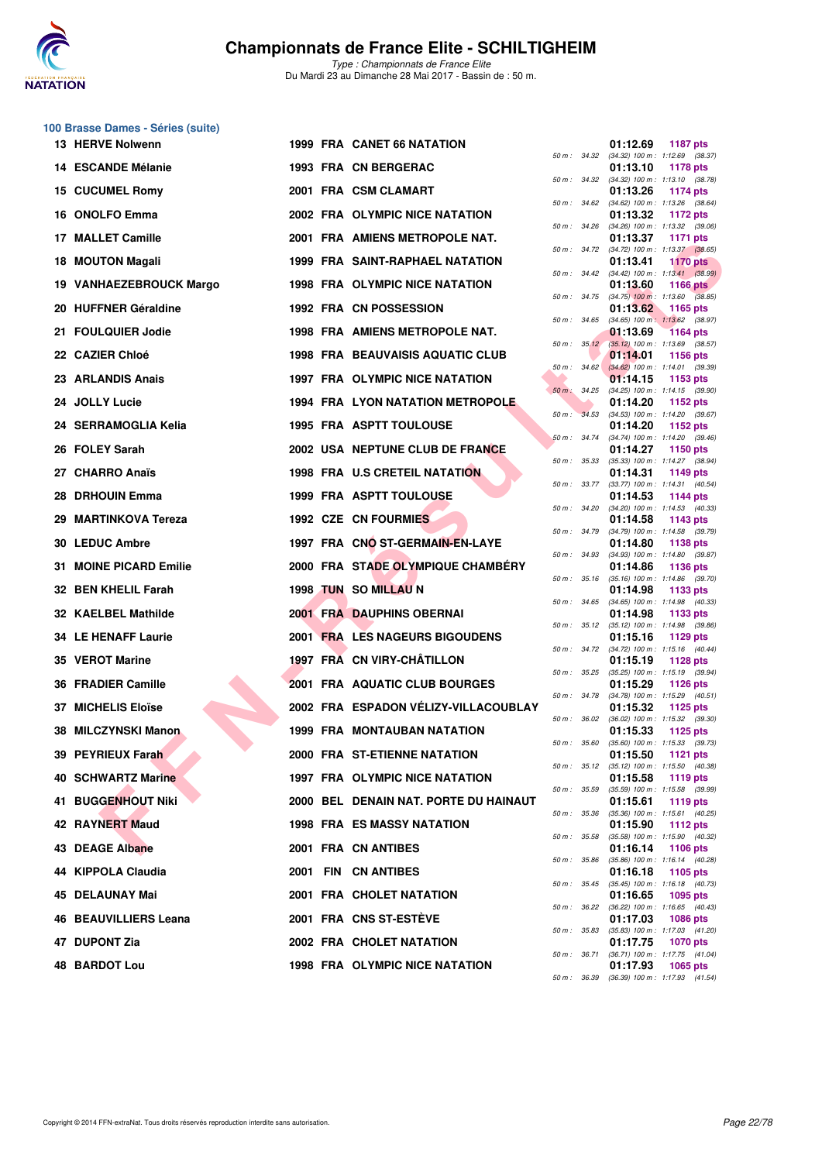

**100 Brasse Dames - Séries (suite)**

## **Championnats de France Elite - SCHILTIGHEIM**

| 13 HERVE Nolwenn              |  | <b>1999 FRA CANET 66 NATATION</b>       |              |                  | 01:12.69<br><b>1187 pts</b>                                                 |
|-------------------------------|--|-----------------------------------------|--------------|------------------|-----------------------------------------------------------------------------|
| 14 ESCANDE Mélanie            |  | 1993 FRA CN BERGERAC                    |              | 50 m : 34.32     | $(34.32)$ 100 m : 1:12.69 $(38.37)$<br>01:13.10<br>1178 pts                 |
| 15 CUCUMEL Romy               |  | 2001 FRA CSM CLAMART                    |              | $50 m$ : $34.32$ | $(34.32)$ 100 m : 1:13.10 $(38.78)$<br>01:13.26<br><b>1174 pts</b>          |
| 16 ONOLFO Emma                |  | 2002 FRA OLYMPIC NICE NATATION          | 50 m: 34.62  |                  | $(34.62)$ 100 m : 1:13.26 $(38.64)$<br>01:13.32<br>1172 pts                 |
| 17 MALLET Camille             |  | 2001 FRA AMIENS METROPOLE NAT.          | 50 m : 34.26 |                  | $(34.26)$ 100 m : 1:13.32 $(39.06)$<br>01:13.37<br>1171 pts                 |
|                               |  |                                         |              | 50 m : 34.72     | $(34.72)$ 100 m : 1:13.37 $(38.65)$                                         |
| 18 MOUTON Magali              |  | <b>1999 FRA SAINT-RAPHAEL NATATION</b>  |              | 50 m : 34.42     | 01:13.41<br><b>1170 pts</b><br>$(34.42)$ 100 m : 1:13.41 $(38.99)$          |
| 19 VANHAEZEBROUCK Margo       |  | <b>1998 FRA OLYMPIC NICE NATATION</b>   |              |                  | 01:13.60<br>1166 $pts$<br>50 m : 34.75 (34.75) 100 m : 1:13.60 (38.85)      |
| 20 HUFFNER Géraldine          |  | 1992 FRA CN POSSESSION                  | 50 m: 34.65  |                  | 01:13.62<br>1165 pts<br>$(34.65)$ 100 m : 1:13.62 $(38.97)$                 |
| 21 FOULQUIER Jodie            |  | 1998 FRA AMIENS METROPOLE NAT.          |              |                  | 01:13.69<br><b>1164 pts</b><br>50 m : 35.12 (35.12) 100 m : 1:13.69 (38.57) |
| 22 CAZIER Chloé               |  | <b>1998 FRA BEAUVAISIS AQUATIC CLUB</b> |              | $50 m$ : $34.62$ | 01:14.01<br><b>1156 pts</b><br>$(34.62)$ 100 m : 1:14.01 $(39.39)$          |
| 23 ARLANDIS Anais             |  | 1997 FRA OLYMPIC NICE NATATION          |              |                  | 01:14.15<br>1153 pts                                                        |
| 24 JOLLY Lucie                |  | 1994 FRA LYON NATATION METROPOLE        | 50 m : 34.25 |                  | $(34.25)$ 100 m : 1:14.15 $(39.90)$<br>01:14.20<br>1152 pts                 |
| 24 SERRAMOGLIA Kelia          |  | <b>1995 FRA ASPTT TOULOUSE</b>          |              | 50 m : 34.53     | $(34.53)$ 100 m : 1:14.20 $(39.67)$<br>01:14.20<br>1152 pts                 |
| 26 FOLEY Sarah                |  | 2002 USA NEPTUNE CLUB DE FRANCE         |              | 50 m: 34.74      | $(34.74)$ 100 m : 1:14.20 $(39.46)$<br>01:14.27<br>1150 pts                 |
| 27 CHARRO Anaïs               |  | 1998 FRA U.S CRETEIL NATATION           |              | 50 m : 35.33     | (35.33) 100 m: 1:14.27 (38.94)<br>01:14.31<br>1149 pts                      |
| 28 DRHOUIN Emma               |  | <b>1999 FRA ASPTT TOULOUSE</b>          |              | 50 m : 33.77     | $(33.77)$ 100 m : 1:14.31 $(40.54)$<br>01:14.53<br>1144 pts                 |
| 29 MARTINKOVA Tereza          |  | 1992 CZE CN FOURMIES                    | 50 m : 34.20 |                  | $(34.20)$ 100 m : 1:14.53 $(40.33)$<br>01:14.58<br>1143 pts                 |
|                               |  |                                         | 50 m : 34.79 |                  | $(34.79)$ 100 m : 1:14.58 $(39.79)$                                         |
| 30 LEDUC Ambre                |  | 1997 FRA CNO ST-GERMAIN-EN-LAYE         |              | 50 m : 34.93     | 01:14.80<br>1138 pts<br>(34.93) 100 m: 1:14.80 (39.87)                      |
| <b>31 MOINE PICARD Emilie</b> |  | 2000 FRA STADE OLYMPIQUE CHAMBÉRY       |              |                  | 01:14.86<br>1136 pts<br>50 m: 35.16 (35.16) 100 m: 1:14.86 (39.70)          |
| 32 BEN KHELIL Farah           |  | 1998 TUN SO MILLAU N                    |              | 50 m : 34.65     | 01:14.98<br>1133 pts<br>$(34.65)$ 100 m : 1:14.98 $(40.33)$                 |
| 32 KAELBEL Mathilde           |  | <b>2001 FRA DAUPHINS OBERNAI</b>        |              |                  | 01:14.98<br>1133 pts<br>50 m: 35.12 (35.12) 100 m: 1:14.98 (39.86)          |
| <b>34 LE HENAFF Laurie</b>    |  | <b>2001 FRA LES NAGEURS BIGOUDENS</b>   | 50 m : 34.72 |                  | 01:15.16<br>1129 $pts$<br>(34.72) 100 m: 1:15.16 (40.44)                    |
| 35 VEROT Marine               |  | 1997 FRA CN VIRY-CHÂTILLON              |              |                  | 01:15.19<br>1128 $pts$                                                      |
| <b>36 FRADIER Camille</b>     |  | <b>2001 FRA AQUATIC CLUB BOURGES</b>    | 50 m: 35.25  |                  | $(35.25)$ 100 m : 1:15.19 $(39.94)$<br>01:15.29<br>1126 pts                 |
| 37 MICHELIS Eloïse            |  | 2002 FRA ESPADON VÉLIZY-VILLACOUBLAY    |              | 50 m : 34.78     | $(34.78)$ 100 m : 1:15.29 $(40.51)$<br>01:15.32<br>1125 $pts$               |
| 38 MILCZYNSKI Manon           |  | <b>1999 FRA MONTAUBAN NATATION</b>      | 50 m: 36.02  |                  | $(36.02)$ 100 m : 1:15.32 $(39.30)$<br>01:15.33<br>1125 $pts$               |
| 39 PEYRIEUX Farah             |  | 2000 FRA ST-ETIENNE NATATION            | 50 m: 35.60  |                  | $(35.60)$ 100 m : 1:15.33 $(39.73)$<br>01:15.50<br>1121 pts                 |
| 40 SCHWARTZ Marine            |  | 1997 FRA OLYMPIC NICE NATATION          |              |                  | 50 m: 35.12 (35.12) 100 m: 1:15.50 (40.38)<br>01:15.58<br>1119 pts          |
| 41 BUGGENHOUT Niki            |  | 2000 BEL DENAIN NAT. PORTE DU HAINAUT   |              |                  | 50 m: 35.59 (35.59) 100 m: 1:15.58 (39.99)<br>01:15.61<br>1119 pts          |
| 42 RAYNERT Maud               |  | <b>1998 FRA ES MASSY NATATION</b>       |              |                  | 50 m: 35.36 (35.36) 100 m: 1:15.61 (40.25)<br>01:15.90<br>1112 pts          |
|                               |  |                                         |              |                  | 50 m: 35.58 (35.58) 100 m: 1:15.90 (40.32)                                  |
| 43 DEAGE Albane               |  | 2001 FRA CN ANTIBES                     |              |                  | 01:16.14<br>1106 pts<br>50 m: 35.86 (35.86) 100 m: 1:16.14 (40.28)          |
| 44 KIPPOLA Claudia            |  | 2001 FIN CN ANTIBES                     |              |                  | 01:16.18<br>1105 pts<br>50 m: 35.45 (35.45) 100 m: 1:16.18 (40.73)          |
| 45 DELAUNAY Mai               |  | 2001 FRA CHOLET NATATION                |              |                  | 01:16.65<br>1095 pts<br>50 m: 36.22 (36.22) 100 m: 1:16.65 (40.43)          |
| 46 BEAUVILLIERS Leana         |  | 2001 FRA CNS ST-ESTEVE                  |              |                  | 01:17.03<br>1086 pts<br>50 m: 35.83 (35.83) 100 m: 1:17.03 (41.20)          |
| 47 DUPONT Zia                 |  | 2002 FRA CHOLET NATATION                |              |                  | 01:17.75<br><b>1070 pts</b><br>50 m: 36.71 (36.71) 100 m: 1:17.75 (41.04)   |
| <b>48 BARDOT Lou</b>          |  | 1998 FRA OLYMPIC NICE NATATION          |              |                  | 01:17.93<br>1065 pts                                                        |

| $50 m$ : | 34.32 | 01:12.69<br>$(34.32) 100 m$ : | 1187 pts<br>1:12.69<br>(38.37)        |
|----------|-------|-------------------------------|---------------------------------------|
|          |       | 01:13.10                      | 1178 pts                              |
| $50 m$ : | 34.32 | $(34.32) 100 m$ :<br>01:13.26 | 1:13.10<br>(38.78)<br>1174 pts        |
| 50 m :   | 34.62 | $(34.62)$ 100 m :             | 1:13.26<br>(38.64)                    |
| $50 m$ : | 34.26 | 01:13.32<br>$(34.26)$ 100 m : | 1172 pts<br>1:13.32<br>(39.06)        |
|          |       | 01:13.37                      | 1171 pts                              |
| $50 m$ : | 34.72 | (34.72) 100 m :<br>01:13.41   | 1:13.37<br>(38.65)<br><b>1170 pts</b> |
| $50 m$ : | 34.42 | $(34.42)$ 100 m :<br>01:13.60 | 1:13.41 (38.99)                       |
| $50 m$ : | 34.75 | $(34.75)$ 100 m :             | 1166 pts<br>1:13.60<br>(38.85)        |
| 50 m :   | 34.65 | 01:13.62<br>$(34.65)$ 100 m : | 1165 pts<br>1:13.62<br>(38.97)        |
|          |       | 01:13.69                      | <b>1164 pts</b>                       |
| 50 m :   | 35.12 | $(35.12) 100 m$ :<br>01:14.01 | 1:13.69<br>(38.57)<br>1156 pts        |
| $50 m$ : | 34.62 | $(34.62)$ 100 m :             | 1:14.01<br>(39.39)                    |
| $50 m$ : | 34.25 | 01:14.15<br>$(34.25)$ 100 m : | 1153 pts<br>1:14.15<br>(39.90)        |
|          |       | 01:14.20                      | 1152 pts                              |
| $50 m$ : | 34.53 | $(34.53) 100 m$ :<br>01:14.20 | 1:14.20<br>(39.67)<br>1152 pts        |
| 50 m :   | 34.74 | $(34.74) 100 m$ :             | 1:14.20<br>(39.46)                    |
| $50 m$ : | 35.33 | 01:14.27<br>$(35.33) 100 m$ : | 1150 pts<br>1:14.27<br>(38.94)        |
|          |       | 01:14.31<br>$(33.77) 100 m$ : | 1149 pts                              |
| $50 m$ : | 33.77 | 01:14.53                      | 1:14.31<br>(40.54)<br><b>1144 pts</b> |
| $50 m$ : | 34.20 | $(34.20)$ 100 m :<br>01:14.58 | 1:14.53<br>(40.33)<br>1143 pts        |
| $50 m$ : | 34.79 | (34.79) 100 m :               | 1:14.58<br>(39.79)                    |
| $50 m$ : | 34.93 | 01:14.80<br>$(34.93) 100 m$ : | 1138 pts<br>1:14.80<br>(39.87)        |
|          |       | 01:14.86                      | 1136 pts                              |
| $50 m$ : | 35.16 | $(35.16) 100 m$ :<br>01:14.98 | 1:14.86<br>(39.70)<br>1133 pts        |
| 50 m :   | 34.65 | $(34.65) 100 m$ :             | 1:14.98<br>(40.33)                    |
| $50 m$ : | 35.12 | 01:14.98<br>$(35.12) 100 m$ : | 1133 pts<br>1:14.98<br>(39.86)        |
|          | 34.72 | 01:15.16                      | 1129 pts                              |
| $50 m$ : |       | (34.72) 100 m :<br>01:15.19   | 1:15.16<br>(40.44)<br>1128 pts        |
| 50 m :   | 35.25 | $(35.25)$ 100 m :<br>01:15.29 | 1:15.19<br>(39.94)<br><b>1126 pts</b> |
| $50 m$ : | 34.78 | $(34.78) 100 m$ :             | 1:15.29<br>(40.51)                    |
| 50 m :   | 36.02 | 01:15.32<br>$(36.02)$ 100 m : | 1125 pts<br>1:15.32<br>(39.30)        |
|          |       | 01:15.33                      | 1125 pts                              |
| $50 m$ : | 35.60 | $(35.60)$ 100 m :<br>01:15.50 | 1:15.33<br>(39.73)<br>1121 pts        |
| 50 m :   | 35.12 | (35.12) 100 m :               | 1:15.50<br>(40.38)                    |
| $50 m$ : | 35.59 | 01:15.58<br>$(35.59) 100 m$ : | 1119 pts<br>1:15.58<br>(39.99)        |
|          | 35.36 | 01:15.61                      | 1119 pts                              |
| $50 m$ : |       | (35.36) 100 m :<br>01:15.90   | 1:15.61<br>(40.25)<br>1112 pts        |
| $50 m$ : | 35.58 | $(35.58) 100 m$ :<br>01:16.14 | 1:15.90<br>(40.32)<br>1106 pts        |
| $50 m$ : | 35.86 | $(35.86) 100 m$ :             | 1:16.14<br>(40.28)                    |
| $50 m$ : | 35.45 | 01:16.18<br>$(35.45) 100 m$ : | 1105 pts<br>1:16.18<br>(40.73)        |
|          |       | 01:16.65                      | 1095 pts                              |
| $50 m$ : | 36.22 | $(36.22)$ 100 m :<br>01:17.03 | 1:16.65<br>(40.43)<br>1086 pts        |
| $50 m$ : | 35.83 | $(35.83) 100 m$ :             | 1:17.03<br>(41.20)                    |
| $50 m$ : | 36.71 | 01:17.75<br>(36.71) 100 m :   | <b>1070 pts</b><br>1:17.75<br>(41.04) |
|          | 36.39 | 01:17.93                      | 1065 pts                              |
| $50 m$ : |       | $(36.39) 100 m$ :             | 1:17.93<br>(41.54)                    |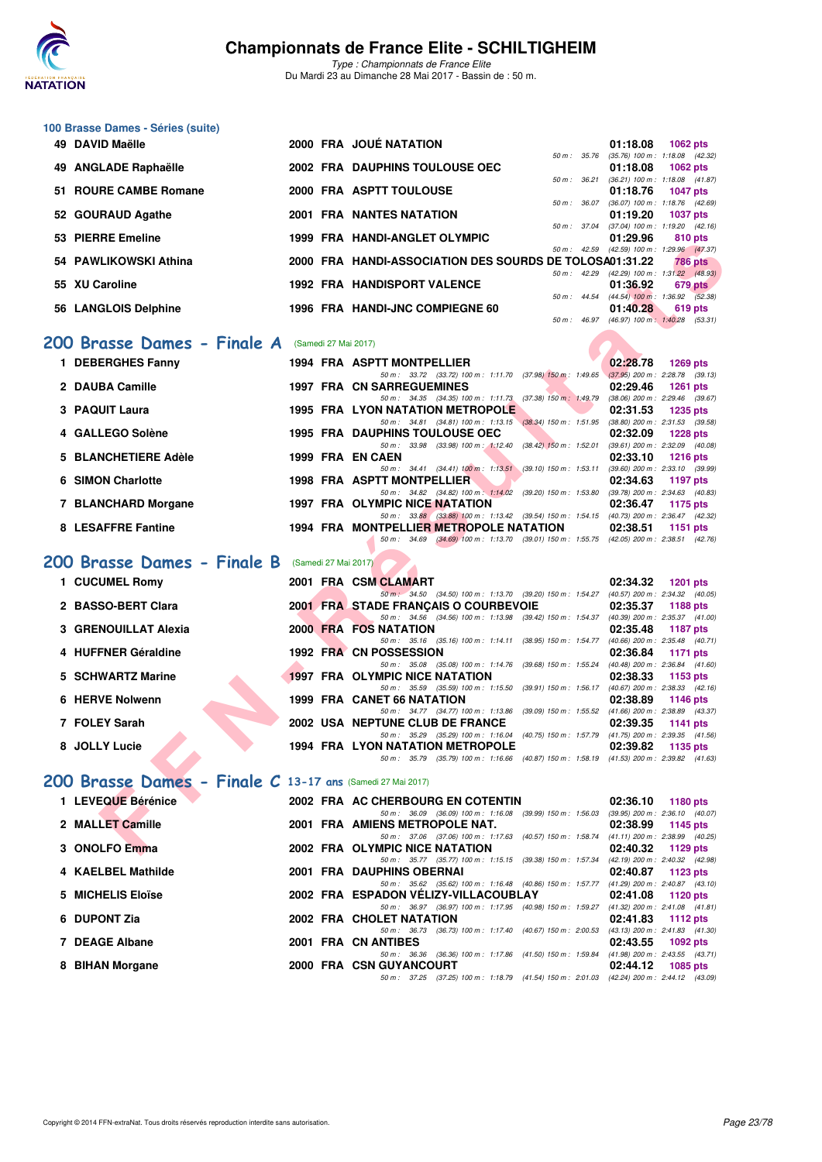

*Type : Championnats de France Elite* Du Mardi 23 au Dimanche 28 Mai 2017 - Bassin de : 50 m.

#### **100 Brasse Dames - Séries (suite)**

| 49 DAVID Maëlle       |  | 2000 FRA JOUÉ NATATION                                  |                  | 01:18.08                                     | $1062$ pts      |                |
|-----------------------|--|---------------------------------------------------------|------------------|----------------------------------------------|-----------------|----------------|
|                       |  |                                                         | $50 m$ : $35.76$ | $(35.76)$ 100 m : 1:18.08 $(42.32)$          |                 |                |
| 49 ANGLADE Raphaëlle  |  | 2002 FRA DAUPHINS TOULOUSE OEC                          |                  | 01:18.08                                     | 1062 pts        |                |
|                       |  |                                                         | 50 m: 36.21      | $(36.21)$ 100 m : 1:18.08 $(41.87)$          |                 |                |
| 51 ROURE CAMBE Romane |  | 2000 FRA ASPTT TOULOUSE                                 |                  | 01:18.76                                     | <b>1047 pts</b> |                |
|                       |  |                                                         | $50 m$ : $36.07$ | $(36.07)$ 100 m : 1:18.76 $(42.69)$          |                 |                |
| 52 GOURAUD Agathe     |  | <b>2001 FRA NANTES NATATION</b>                         |                  | 01:19.20                                     | <b>1037 pts</b> |                |
|                       |  |                                                         |                  | 50 m: 37.04 (37.04) 100 m: 1:19.20 (42.16)   |                 |                |
| 53 PIERRE Emeline     |  | 1999 FRA HANDI-ANGLET OLYMPIC                           |                  | 01:29.96                                     | 810 pts         |                |
|                       |  |                                                         |                  | 50 m: 42.59 (42.59) 100 m: 1:29.96 (47.37)   |                 |                |
| 54 PAWLIKOWSKI Athina |  | 2000 FRA HANDI-ASSOCIATION DES SOURDS DE TOLOSA01:31.22 |                  |                                              |                 | <b>786 pts</b> |
|                       |  |                                                         |                  | 50 m: 42.29 (42.29) 100 m: 1:31.22 (48.93)   |                 |                |
| 55 XU Caroline        |  | <b>1992 FRA HANDISPORT VALENCE</b>                      |                  | 01:36.92                                     |                 | 679 pts        |
|                       |  |                                                         |                  | 50 m : 44.54 (44.54) 100 m : 1:36.92 (52.38) |                 |                |
| 56 LANGLOIS Delphine  |  | 1996 FRA HANDI-JNC COMPIEGNE 60                         |                  | 01:40.28                                     |                 | 619 pts        |
|                       |  |                                                         | $50 m$ : $46.97$ | (46.97) 100 m: 1:40.28 (53.31)               |                 |                |

### [200 Brasse Dames - Finale A](http://www.ffnatation.fr/webffn/resultats.php?idact=nat&go=epr&idcpt=45075&idepr=23) (Samedi 27 Mai 2017)

| FILANE EINGING                                                    |  | 1999 FRA HANDFANGLEI OLIMPIC                                                                                                        | <u>UI. 49.90</u><br><b>OIU DIS</b>                                  |
|-------------------------------------------------------------------|--|-------------------------------------------------------------------------------------------------------------------------------------|---------------------------------------------------------------------|
| 54 PAWLIKOWSKI Athina                                             |  | 2000 FRA HANDI-ASSOCIATION DES SOURDS DE TOLOSA01:31.22                                                                             | 50 m: 42.59 (42.59) 100 m: 1:29.96 (47.37)<br><b>786 pts</b>        |
|                                                                   |  |                                                                                                                                     | 50 m: 42.29 (42.29) 100 m: 1:31.22 (48.93)                          |
| 55 XU Caroline                                                    |  | <b>1992 FRA HANDISPORT VALENCE</b>                                                                                                  | 01:36.92<br>679 pts                                                 |
| 56 LANGLOIS Delphine                                              |  | 1996 FRA HANDI-JNC COMPIEGNE 60                                                                                                     | 50 m : 44.54 (44.54) 100 m : 1:36.92 (52.38)<br>01:40.28<br>619 pts |
|                                                                   |  |                                                                                                                                     | 50 m: 46.97 (46.97) 100 m: 1:40.28 (53.31)                          |
|                                                                   |  |                                                                                                                                     |                                                                     |
| <b>100 Brasse Dames - Finale A</b> (Samedi 27 Mai 2017)           |  |                                                                                                                                     |                                                                     |
| 1 DEBERGHES Fanny                                                 |  | <b>1994 FRA ASPTT MONTPELLIER</b>                                                                                                   | 02:28.78<br><b>1269 pts</b>                                         |
|                                                                   |  | 50 m: 33.72 (33.72) 100 m: 1:11.70 (37.98) 150 m: 1:49.65 (37.95) 200 m: 2:28.78 (39.13)                                            |                                                                     |
| 2 DAUBA Camille                                                   |  | <b>1997 FRA CN SARREGUEMINES</b>                                                                                                    | 02:29.46<br><b>1261 pts</b>                                         |
| 3 PAQUIT Laura                                                    |  | 50 m: 34.35 (34.35) 100 m: 1:11.73 (37.38) 150 m: 1:49.79 (38.06) 200 m: 2:29.46 (39.67)<br><b>1995 FRA LYON NATATION METROPOLE</b> | 02:31.53<br>1235 pts                                                |
|                                                                   |  | 50 m: 34.81 (34.81) 100 m: 1:13.15 (38.34) 150 m: 1:51.95 (38.80) 200 m: 2:31.53 (39.58)                                            |                                                                     |
| 4 GALLEGO Solène                                                  |  | <b>1995 FRA DAUPHINS TOULOUSE OEC</b>                                                                                               | 02:32.09<br><b>1228 pts</b>                                         |
|                                                                   |  | 50 m: 33.98 (33.98) 100 m: 1:12.40 (38.42) 150 m: 1:52.01 (39.61) 200 m: 2:32.09 (40.08)                                            |                                                                     |
| 5 BLANCHETIERE Adèle                                              |  | 1999 FRA EN CAEN                                                                                                                    | 02:33.10<br><b>1216 pts</b>                                         |
| 6 SIMON Charlotte                                                 |  | 50 m: 34.41 (34.41) 100 m: 1:13.51 (39.10) 150 m: 1:53.11 (39.60) 200 m: 2:33.10 (39.99)<br><b>1998 FRA ASPTT MONTPELLIER</b>       | 02:34.63<br>1197 pts                                                |
|                                                                   |  | 50 m: 34.82 (34.82) 100 m: 1:14.02 (39.20) 150 m: 1:53.80 (39.78) 200 m: 2:34.63 (40.83)                                            |                                                                     |
| 7 BLANCHARD Morgane                                               |  | 1997 FRA OLYMPIC NICE NATATION                                                                                                      | 02:36.47<br>1175 pts                                                |
|                                                                   |  | 50 m: 33.88 (33.88) 100 m: 1:13.42 (39.54) 150 m: 1:54.15 (40.73) 200 m: 2:36.47 (42.32)                                            |                                                                     |
| 8 LESAFFRE Fantine                                                |  | 1994 FRA MONTPELLIER METROPOLE NATATION                                                                                             | 02:38.51<br>1151 pts                                                |
|                                                                   |  | 50 m: 34.69 (34.69) 100 m: 1:13.70 (39.01) 150 m: 1:55.75 (42.05) 200 m: 2:38.51 (42.76)                                            |                                                                     |
| :00 Brasse Dames - Finale B                                       |  | (Samedi 27 Mai 2017)                                                                                                                |                                                                     |
|                                                                   |  |                                                                                                                                     |                                                                     |
| 1 CUCUMEL Romy                                                    |  | 2001 FRA CSM CLAMART<br>50 m: 34.50 (34.50) 100 m: 1:13.70 (39.20) 150 m: 1:54.27 (40.57) 200 m: 2:34.32 (40.05)                    | 02:34.32<br><b>1201 pts</b>                                         |
| 2 BASSO-BERT Clara                                                |  | 2001 FRA STADE FRANCAIS O COURBEVOIE                                                                                                | 02:35.37<br>1188 pts                                                |
|                                                                   |  | 50 m: 34.56 (34.56) 100 m: 1:13.98 (39.42) 150 m: 1:54.37 (40.39) 200 m: 2:35.37 (41.00)                                            |                                                                     |
| 3 GRENOUILLAT Alexia                                              |  | 2000 FRA FOS NATATION                                                                                                               | 02:35.48<br><b>1187 pts</b>                                         |
|                                                                   |  | 50 m: 35.16 (35.16) 100 m: 1:14.11 (38.95) 150 m: 1:54.77 (40.66) 200 m: 2:35.48 (40.71)                                            |                                                                     |
| 4 HUFFNER Géraldine                                               |  | 1992 FRA CN POSSESSION<br>50 m: 35.08 (35.08) 100 m: 1:14.76 (39.68) 150 m: 1:55.24 (40.48) 200 m: 2:36.84 (41.60)                  | 02:36.84<br><b>1171 pts</b>                                         |
| 5 SCHWARTZ Marine                                                 |  | <b>1997 FRA OLYMPIC NICE NATATION</b>                                                                                               | 02:38.33<br>1153 pts                                                |
|                                                                   |  | 50 m: 35.59 (35.59) 100 m: 1:15.50 (39.91) 150 m: 1:56.17 (40.67) 200 m: 2:38.33 (42.16)                                            |                                                                     |
| 6 HERVE Nolwenn                                                   |  | <b>1999 FRA CANET 66 NATATION</b>                                                                                                   | 02:38.89<br>1146 pts                                                |
| 7 FOLEY Sarah                                                     |  | 50 m: 34.77 (34.77) 100 m: 1:13.86 (39.09) 150 m: 1:55.52 (41.66) 200 m: 2:38.89 (43.37)                                            |                                                                     |
|                                                                   |  | 2002 USA NEPTUNE CLUB DE FRANCE<br>50 m: 35.29 (35.29) 100 m: 1:16.04 (40.75) 150 m: 1:57.79 (41.75) 200 m: 2:39.35 (41.56)         | 02:39.35<br><b>1141 pts</b>                                         |
| 8 JOLLY Lucie                                                     |  | 1994 FRA LYON NATATION METROPOLE                                                                                                    | 02:39.82<br>1135 pts                                                |
|                                                                   |  | 50 m: 35.79 (35.79) 100 m: 1:16.66 (40.87) 150 m: 1:58.19 (41.53) 200 m: 2:39.82 (41.63)                                            |                                                                     |
|                                                                   |  |                                                                                                                                     |                                                                     |
| <b>100 Brasse Dames - Finale C 13-17 ans (Samedi 27 Mai 2017)</b> |  |                                                                                                                                     |                                                                     |
| 1 LEVEQUE Bérénice                                                |  | 2002 FRA AC CHERBOURG EN COTENTIN                                                                                                   | 02:36.10<br>1180 pts                                                |
|                                                                   |  | 50 m: 36.09 (36.09) 100 m: 1:16.08 (39.99) 150 m: 1:56.03 (39.95) 200 m: 2:36.10 (40.07)                                            |                                                                     |
| 2 MALLET Camille                                                  |  | 2001 FRA AMIENS METROPOLE NAT.                                                                                                      | 02:38.99<br>1145 pts                                                |
| 3 ONOLFO Emma                                                     |  | 50 m: 37.06 (37.06) 100 m: 1:17.63 (40.57) 150 m: 1:58.74 (41.11) 200 m: 2:38.99 (40.25)<br>2002 FRA OLYMPIC NICE NATATION          |                                                                     |
|                                                                   |  |                                                                                                                                     | 02:40.32<br>1129 pts                                                |

## **[200 Brasse Dames - Finale B](http://www.ffnatation.fr/webffn/resultats.php?idact=nat&go=epr&idcpt=45075&idepr=23)** (Samedi 27 Mai 2017)

| 50 m : 34.50 (34.50) 100 m : 1:13.70 (39.20) 150 m : 1:54.27<br>(40.57) 200 m : 2:34.32 (40.05)<br>2 BASSO-BERT Clara<br>2001 FRA STADE FRANCAIS O COURBEVOIE<br>02:35.37<br>$(40.39)$ 200 m : 2:35.37 $(41.00)$<br>50 m: 34.56 (34.56) 100 m: 1:13.98 (39.42) 150 m: 1:54.37<br>3 GRENOUILLAT Alexia<br>2000 FRA FOS NATATION<br>02:35.48<br>$(40.66)$ 200 m : 2:35.48 $(40.71)$<br>50 m: 35.16 (35.16) 100 m: 1:14.11 (38.95) 150 m: 1:54.77<br>4 HUFFNER Géraldine<br><b>1992 FRA CN POSSESSION</b><br>02:36.84<br>1171 pts<br>$(40.48)$ 200 m : 2:36.84 $(41.60)$<br>50 m: 35.08 (35.08) 100 m: 1:14.76 (39.68) 150 m: 1:55.24<br>5 SCHWARTZ Marine<br><b>1997 FRA OLYMPIC NICE NATATION</b><br>02:38.33<br>(40.67) 200 m : 2:38.33 (42.16)<br>$(39.91)$ 150 m : 1:56.17<br>50 m: 35.59 (35.59) 100 m: 1:15.50<br>6 HERVE Nolwenn<br>1999 FRA CANET 66 NATATION<br>02:38.89 1146 pts<br>$(41.66)$ 200 m : 2:38.89 $(43.37)$<br>50 m: 34.77 (34.77) 100 m: 1:13.86 (39.09) 150 m: 1:55.52<br>7 FOLEY Sarah<br>2002 USA NEPTUNE CLUB DE FRANCE<br>02:39.35<br>50 m: 35.29 (35.29) 100 m: 1:16.04 (40.75) 150 m: 1:57.79<br>$(41.75)$ 200 m : 2:39.35 $(41.56)$<br>8 JOLLY Lucie<br><b>1994 FRA LYON NATATION METROPOLE</b><br>02:39.82<br>50 m: 35.79 (35.79) 100 m: 1:16.66 (40.87) 150 m: 1:58.19 (41.53) 200 m: 2:39.82 (41.63) | 1 CUCUMEL Romy |  | 2001 FRA CSM CLAMART | 02:34.32 | 1201 pts   |
|--------------------------------------------------------------------------------------------------------------------------------------------------------------------------------------------------------------------------------------------------------------------------------------------------------------------------------------------------------------------------------------------------------------------------------------------------------------------------------------------------------------------------------------------------------------------------------------------------------------------------------------------------------------------------------------------------------------------------------------------------------------------------------------------------------------------------------------------------------------------------------------------------------------------------------------------------------------------------------------------------------------------------------------------------------------------------------------------------------------------------------------------------------------------------------------------------------------------------------------------------------------------------------------------------------------------------------------|----------------|--|----------------------|----------|------------|
|                                                                                                                                                                                                                                                                                                                                                                                                                                                                                                                                                                                                                                                                                                                                                                                                                                                                                                                                                                                                                                                                                                                                                                                                                                                                                                                                      |                |  |                      |          |            |
|                                                                                                                                                                                                                                                                                                                                                                                                                                                                                                                                                                                                                                                                                                                                                                                                                                                                                                                                                                                                                                                                                                                                                                                                                                                                                                                                      |                |  |                      |          | 1188 $pts$ |
|                                                                                                                                                                                                                                                                                                                                                                                                                                                                                                                                                                                                                                                                                                                                                                                                                                                                                                                                                                                                                                                                                                                                                                                                                                                                                                                                      |                |  |                      |          |            |
|                                                                                                                                                                                                                                                                                                                                                                                                                                                                                                                                                                                                                                                                                                                                                                                                                                                                                                                                                                                                                                                                                                                                                                                                                                                                                                                                      |                |  |                      |          | 1187 pts   |
|                                                                                                                                                                                                                                                                                                                                                                                                                                                                                                                                                                                                                                                                                                                                                                                                                                                                                                                                                                                                                                                                                                                                                                                                                                                                                                                                      |                |  |                      |          |            |
|                                                                                                                                                                                                                                                                                                                                                                                                                                                                                                                                                                                                                                                                                                                                                                                                                                                                                                                                                                                                                                                                                                                                                                                                                                                                                                                                      |                |  |                      |          |            |
|                                                                                                                                                                                                                                                                                                                                                                                                                                                                                                                                                                                                                                                                                                                                                                                                                                                                                                                                                                                                                                                                                                                                                                                                                                                                                                                                      |                |  |                      |          |            |
|                                                                                                                                                                                                                                                                                                                                                                                                                                                                                                                                                                                                                                                                                                                                                                                                                                                                                                                                                                                                                                                                                                                                                                                                                                                                                                                                      |                |  |                      |          | 1153 pts   |
|                                                                                                                                                                                                                                                                                                                                                                                                                                                                                                                                                                                                                                                                                                                                                                                                                                                                                                                                                                                                                                                                                                                                                                                                                                                                                                                                      |                |  |                      |          |            |
|                                                                                                                                                                                                                                                                                                                                                                                                                                                                                                                                                                                                                                                                                                                                                                                                                                                                                                                                                                                                                                                                                                                                                                                                                                                                                                                                      |                |  |                      |          |            |
|                                                                                                                                                                                                                                                                                                                                                                                                                                                                                                                                                                                                                                                                                                                                                                                                                                                                                                                                                                                                                                                                                                                                                                                                                                                                                                                                      |                |  |                      |          |            |
|                                                                                                                                                                                                                                                                                                                                                                                                                                                                                                                                                                                                                                                                                                                                                                                                                                                                                                                                                                                                                                                                                                                                                                                                                                                                                                                                      |                |  |                      |          | 1141 pts   |
|                                                                                                                                                                                                                                                                                                                                                                                                                                                                                                                                                                                                                                                                                                                                                                                                                                                                                                                                                                                                                                                                                                                                                                                                                                                                                                                                      |                |  |                      |          |            |
|                                                                                                                                                                                                                                                                                                                                                                                                                                                                                                                                                                                                                                                                                                                                                                                                                                                                                                                                                                                                                                                                                                                                                                                                                                                                                                                                      |                |  |                      |          | 1135 pts   |
|                                                                                                                                                                                                                                                                                                                                                                                                                                                                                                                                                                                                                                                                                                                                                                                                                                                                                                                                                                                                                                                                                                                                                                                                                                                                                                                                      |                |  |                      |          |            |

| 1 LEVEQUE Bérénice |  | 2002 FRA AC CHERBOURG EN COTENTIN                                                        | 02:36.10 | 1180 pts                            |
|--------------------|--|------------------------------------------------------------------------------------------|----------|-------------------------------------|
|                    |  | 50 m: 36.09 (36.09) 100 m: 1:16.08 (39.99) 150 m: 1:56.03 (39.95) 200 m: 2:36.10 (40.07  |          |                                     |
| 2 MALLET Camille   |  | 2001 FRA AMIENS METROPOLE NAT.                                                           | 02:38.99 | 1145 pts                            |
|                    |  | 50 m: 37.06 (37.06) 100 m: 1:17.63 (40.57) 150 m: 1:58.74                                |          | $(41.11)$ 200 m : 2:38.99 $(40.25)$ |
| 3   ONOLFO Emma    |  | 2002 FRA OLYMPIC NICE NATATION                                                           |          | $02:40.32$ 1129 pts                 |
|                    |  | 50 m: 35.77 (35.77) 100 m: 1:15.15 (39.38) 150 m: 1:57.34                                |          | (42.19) 200 m : 2:40.32 (42.98)     |
| 4 KAELBEL Mathilde |  | 2001 FRA DAUPHINS OBERNAI                                                                |          | 02:40.87 1123 pts                   |
|                    |  | 50 m: 35.62 (35.62) 100 m: 1:16.48 (40.86) 150 m: 1:57.77 (41.29) 200 m: 2:40.87 (43.10  |          |                                     |
| 5 MICHELIS Eloïse  |  | 2002 FRA ESPADON VELIZY-VILLACOUBLAY                                                     |          | 02:41.08 1120 pts                   |
|                    |  | 50 m: 36.97 (36.97) 100 m: 1:17.95 (40.98) 150 m: 1:59.27 (41.32) 200 m: 2:41.08 (41.81) |          |                                     |
| 6 DUPONT Zia       |  | 2002 FRA CHOLET NATATION                                                                 |          | $02:41.83$ 1112 pts                 |
|                    |  | 50 m : 36.73 (36.73) 100 m : 1:17.40 (40.67) 150 m : 2:00.53                             |          | (43.13) 200 m : 2:41.83 (41.30)     |
| 7 DEAGE Albane     |  | 2001 FRA CN ANTIBES                                                                      | 02:43.55 | 1092 pts                            |
|                    |  | 50 m: 36.36 (36.36) 100 m: 1:17.86 (41.50) 150 m: 1:59.84 (41.98) 200 m: 2:43.55 (43.71  |          |                                     |
| 8 BIHAN Morgane    |  | 2000 FRA CSN GUYANCOURT                                                                  |          | $02:44.12$ 1085 pts                 |
|                    |  | 50 m: 37.25 (37.25) 100 m: 1:18.79 (41.54) 150 m: 2:01.03 (42.24) 200 m: 2:44.12 (43.09, |          |                                     |
|                    |  |                                                                                          |          |                                     |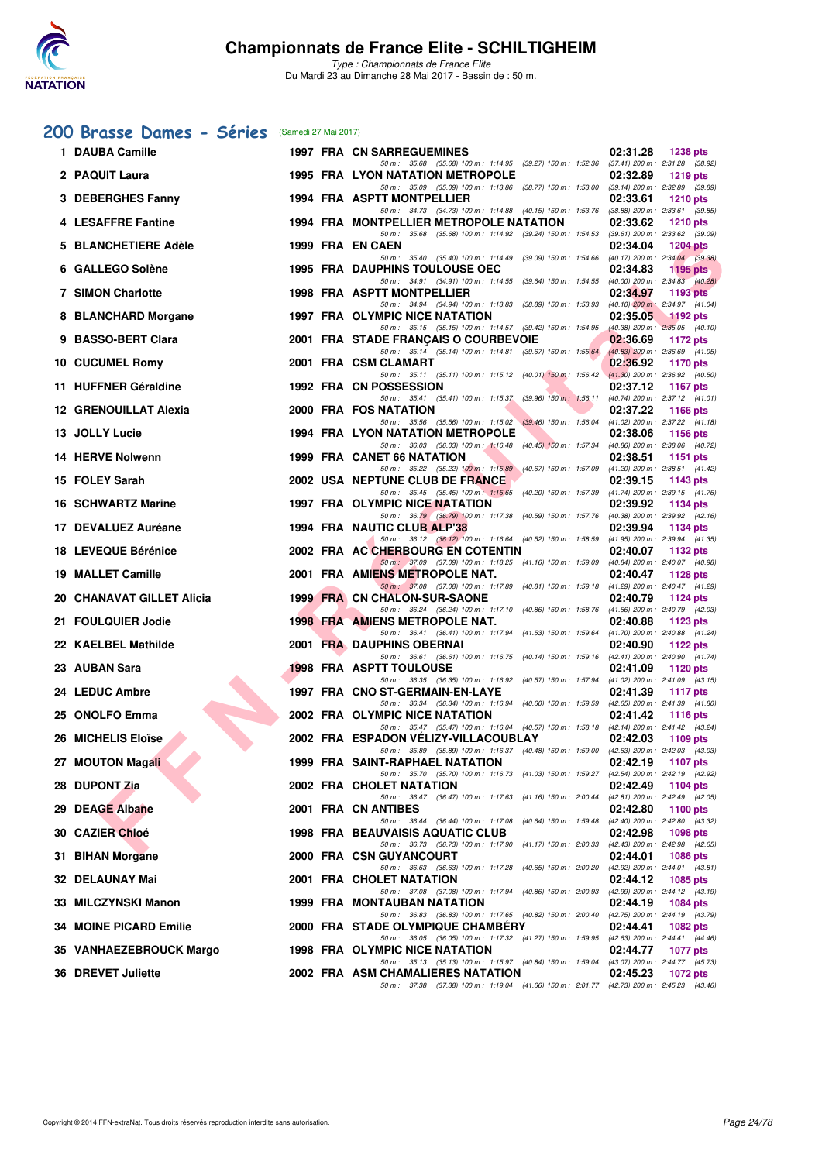

## **[200 Brasse Dames - Séries](http://www.ffnatation.fr/webffn/resultats.php?idact=nat&go=epr&idcpt=45075&idepr=23)** (Samedi 27 Mai 2017)

| 1 DAUBA Camille               |  | <b>1997 FRA CN SARREGUEMINES</b>                                                                                                                                                                                                | 02:31.28 | <b>1238 pts</b>                                        |
|-------------------------------|--|---------------------------------------------------------------------------------------------------------------------------------------------------------------------------------------------------------------------------------|----------|--------------------------------------------------------|
| 2 PAQUIT Laura                |  | 50 m: 35.68 (35.68) 100 m: 1:14.95 (39.27) 150 m: 1:52.36 (37.41) 200 m: 2:31.28 (38.92)<br><b>1995 FRA LYON NATATION METROPOLE</b><br>50 m: 35.09 (35.09) 100 m: 1:13.86 (38.77) 150 m: 1:53.00 (39.14) 200 m: 2:32.89 (39.89) | 02:32.89 | <b>1219 pts</b>                                        |
| 3 DEBERGHES Fanny             |  | 1994 FRA ASPTT MONTPELLIER                                                                                                                                                                                                      | 02:33.61 | <b>1210 pts</b>                                        |
| 4 LESAFFRE Fantine            |  | 50 m: 34.73 (34.73) 100 m: 1:14.88 (40.15) 150 m: 1:53.76 (38.88) 200 m: 2:33.61 (39.85)<br>1994 FRA MONTPELLIER METROPOLE NATATION                                                                                             | 02:33.62 | <b>1210 pts</b>                                        |
| 5 BLANCHETIERE Adèle          |  | 50 m: 35.68 (35.68) 100 m: 1:14.92 (39.24) 150 m: 1:54.53 (39.61) 200 m: 2:33.62 (39.09)<br>1999 FRA EN CAEN                                                                                                                    | 02:34.04 | <b>1204 pts</b>                                        |
| 6 GALLEGO Solène              |  | 50 m: 35.40 (35.40) 100 m: 1:14.49 (39.09) 150 m: 1:54.66 (40.17) 200 m: 2:34.04 (39.38)<br><b>1995 FRA DAUPHINS TOULOUSE OEC</b>                                                                                               | 02:34.83 | 1195 pts                                               |
| <b>7 SIMON Charlotte</b>      |  | 50 m: 34.91 (34.91) 100 m: 1:14.55 (39.64) 150 m: 1:54.55 (40.00) 200 m: 2:34.83 (40.28)<br>1998 FRA ASPTT MONTPELLIER                                                                                                          | 02:34.97 | 1193 pts                                               |
| 8 BLANCHARD Morgane           |  | 50 m: 34.94 (34.94) 100 m: 1:13.83 (38.89) 150 m: 1:53.93 (40.10) 200 m: 2:34.97 (41.04)<br>1997 FRA OLYMPIC NICE NATATION                                                                                                      | 02:35.05 | $1192$ pts                                             |
| 9 BASSO-BERT Clara            |  | 50 m: 35.15 (35.15) 100 m: 1:14.57 (39.42) 150 m: 1:54.95 (40.38) 200 m: 2:35.05 (40.10)<br>2001 FRA STADE FRANCAIS O COURBEVOIE                                                                                                | 02:36.69 | 1172 pts                                               |
| 10 CUCUMEL Romy               |  | 50 m: 35.14 (35.14) 100 m: 1:14.81 (39.67) 150 m: 1:55.64 (40.83) 200 m: 2:36.69 (41.05)<br>2001 FRA CSM CLAMART                                                                                                                | 02:36.92 | 1170 pts                                               |
| 11 HUFFNER Géraldine          |  | 50 m: 35.11 (35.11) 100 m: 1:15.12 (40.01) 150 m: 1:56.42 (41.30) 200 m: 2:36.92 (40.50)<br>1992 FRA CN POSSESSION                                                                                                              | 02:37.12 | <b>1167 pts</b>                                        |
| 12 GRENOUILLAT Alexia         |  | 50 m : 35.41 (35.41) 100 m : 1:15.37 (39.96) 150 m : 1:56.11<br>2000 FRA FOS NATATION<br>50 m: 35.56 (35.56) 100 m: 1:15.02 (39.46) 150 m: 1:56.04 (41.02) 200 m: 2:37.22 (41.18)                                               | 02:37.22 | $(40.74)$ 200 m : 2:37.12 $(41.01)$<br><b>1166 pts</b> |
| 13 JOLLY Lucie                |  | <b>1994 FRA LYON NATATION METROPOLE</b><br>50 m: 36.03 (36.03) 100 m: 1:16.48 (40.45) 150 m: 1:57.34 (40.86) 200 m: 2:38.06 (40.72)                                                                                             | 02:38.06 | 1156 pts                                               |
| 14 HERVE Nolwenn              |  | 1999 FRA CANET 66 NATATION<br>50 m: 35.22 (35.22) 100 m: 1:15.89 (40.67) 150 m: 1:57.09 (41.20) 200 m: 2:38.51 (41.42)                                                                                                          | 02:38.51 | 1151 $pts$                                             |
| 15 FOLEY Sarah                |  | 2002 USA NEPTUNE CLUB DE FRANCE<br>50 m: 35.45 (35.45) 100 m: 1:15.65 (40.20) 150 m: 1:57.39 (41.74) 200 m: 2:39.15 (41.76)                                                                                                     | 02:39.15 | 1143 pts                                               |
| 16 SCHWARTZ Marine            |  | 1997 FRA OLYMPIC NICE NATATION<br>50 m: 36.79 (36.79) 100 m: 1:17.38 (40.59) 150 m: 1:57.76 (40.38) 200 m: 2:39.92 (42.16)                                                                                                      | 02:39.92 | 1134 pts                                               |
| 17 DEVALUEZ Auréane           |  | 1994 FRA NAUTIC CLUB ALP'38<br>50 m: 36.12 (36.12) 100 m: 1:16.64 (40.52) 150 m: 1:58.59 (41.95) 200 m: 2:39.94 (41.35)                                                                                                         | 02:39.94 | 1134 pts                                               |
| 18 LEVEQUE Bérénice           |  | 2002 FRA AC CHERBOURG EN COTENTIN<br>50 m: 37.09 (37.09) 100 m: 1:18.25 (41.16) 150 m: 1:59.09 (40.84) 200 m: 2:40.07 (40.98)                                                                                                   | 02:40.07 | 1132 pts                                               |
| 19 MALLET Camille             |  | 2001 FRA AMIENS METROPOLE NAT.<br>50 m: 37.08 (37.08) 100 m: 1:17.89 (40.81) 150 m: 1:59.18 (41.29) 200 m: 2:40.47 (41.29)                                                                                                      | 02:40.47 | 1128 pts                                               |
| 20 CHANAVAT GILLET Alicia     |  | 1999 FRA CN CHALON-SUR-SAONE                                                                                                                                                                                                    | 02:40.79 | 1124 pts                                               |
| 21 FOULQUIER Jodie            |  | 50 m : 36.24 (36.24) 100 m : 1:17.10 (40.86) 150 m : 1:58.76 (41.66) 200 m : 2:40.79 (42.03)<br>1998 FRA AMIENS METROPOLE NAT.<br>50 m: 36.41 (36.41) 100 m: 1:17.94 (41.53) 150 m: 1:59.64 (41.70) 200 m: 2:40.88 (41.24)      | 02:40.88 | 1123 pts                                               |
| 22 KAELBEL Mathilde           |  | 2001 FRA DAUPHINS OBERNAI<br>50 m: 36.61 (36.61) 100 m: 1:16.75 (40.14) 150 m: 1:59.16 (42.41) 200 m: 2:40.90 (41.74)                                                                                                           | 02:40.90 | 1122 pts                                               |
| 23 AUBAN Sara                 |  | <b>1998 FRA ASPTT TOULOUSE</b>                                                                                                                                                                                                  | 02:41.09 | 1120 $pts$                                             |
| 24 LEDUC Ambre                |  | 50 m: 36.35 (36.35) 100 m: 1:16.92 (40.57) 150 m: 1:57.94 (41.02) 200 m: 2:41.09 (43.15)<br>1997 FRA CNO ST-GERMAIN-EN-LAYE<br>50 m: 36.34 (36.34) 100 m: 1:16.94 (40.60) 150 m: 1:59.59 (42.65) 200 m: 2:41.39 (41.80)         | 02:41.39 | 1117 $pts$                                             |
| 25 ONOLFO Emma                |  | 2002 FRA OLYMPIC NICE NATATION                                                                                                                                                                                                  | 02:41.42 | <b>1116 pts</b>                                        |
| 26 MICHELIS Eloïse            |  | 50 m: 35.47 (35.47) 100 m: 1:16.04 (40.57) 150 m: 1:58.18 (42.14) 200 m: 2:41.42 (43.24)<br>2002 FRA ESPADON VELIZY-VILLACOUBLAY<br>50 m: 35.89 (35.89) 100 m: 1:16.37 (40.48) 150 m: 1:59.00 (42.63) 200 m: 2:42.03 (43.03)    | 02:42.03 | 1109 $pts$                                             |
| 27 MOUTON Magali              |  | 1999 FRA SAINT-RAPHAEL NATATION<br>$02:42.19$ 1107 pts<br>50 m: 35.70 (35.70) 100 m: 1:16.73 (41.03) 150 m: 1:59.27 (42.54) 200 m: 2:42.19 (42.92)                                                                              |          |                                                        |
| 28 DUPONT Zia                 |  | 2002 FRA CHOLET NATATION<br>50 m: 36.47 (36.47) 100 m: 1:17.63 (41.16) 150 m: 2:00.44 (42.81) 200 m: 2:42.49 (42.05)                                                                                                            | 02:42.49 | 1104 pts                                               |
| 29 DEAGE Albane               |  | 2001 FRA CN ANTIBES                                                                                                                                                                                                             | 02:42.80 | 1100 pts                                               |
| 30 CAZIER Chloé               |  | 50 m : 36.44 (36.44) 100 m : 1:17.08 (40.64) 150 m : 1:59.48 (42.40) 200 m : 2:42.80 (43.32)<br>1998 FRA BEAUVAISIS AQUATIC CLUB                                                                                                | 02:42.98 | 1098 pts                                               |
| 31 BIHAN Morgane              |  | 50 m: 36.73 (36.73) 100 m: 1:17.90 (41.17) 150 m: 2:00.33 (42.43) 200 m: 2:42.98 (42.65)<br>2000 FRA CSN GUYANCOURT                                                                                                             | 02:44.01 | <b>1086 pts</b>                                        |
| 32 DELAUNAY Mai               |  | 50 m : 36.63 (36.63) 100 m : 1:17.28 (40.65) 150 m : 2:00.20 (42.92) 200 m : 2:44.01 (43.81)<br>2001 FRA CHOLET NATATION                                                                                                        | 02:44.12 | 1085 pts                                               |
| 33 MILCZYNSKI Manon           |  | 50 m : 37.08 (37.08) 100 m : 1:17.94 (40.86) 150 m : 2:00.93 (42.99) 200 m : 2:44.12 (43.19)<br>1999 FRA MONTAUBAN NATATION                                                                                                     | 02:44.19 | 1084 pts                                               |
| <b>34 MOINE PICARD Emilie</b> |  | 50 m: 36.83 (36.83) 100 m: 1:17.65 (40.82) 150 m: 2:00.40 (42.75) 200 m: 2:44.19 (43.79)<br>2000 FRA STADE OLYMPIQUE CHAMBERY                                                                                                   | 02:44.41 | 1082 pts                                               |
| 35 VANHAEZEBROUCK Margo       |  | 50 m: 36.05 (36.05) 100 m: 1:17.32 (41.27) 150 m: 1:59.95 (42.63) 200 m: 2:44.41 (44.46)<br>1998 FRA OLYMPIC NICE NATATION                                                                                                      | 02:44.77 | <b>1077 pts</b>                                        |
| <b>36 DREVET Juliette</b>     |  | 50 m : 35.13 (35.13) 100 m : 1:15.97 (40.84) 150 m : 1:59.04 (43.07) 200 m : 2:44.77 (45.73)<br>2002 FRA ASM CHAMALIERES NATATION                                                                                               | 02:45.23 | 1072 pts                                               |
|                               |  | 50 m: 37.38 (37.38) 100 m: 1:19.04 (41.66) 150 m: 2:01.77 (42.73) 200 m: 2:45.23 (43.46)                                                                                                                                        |          |                                                        |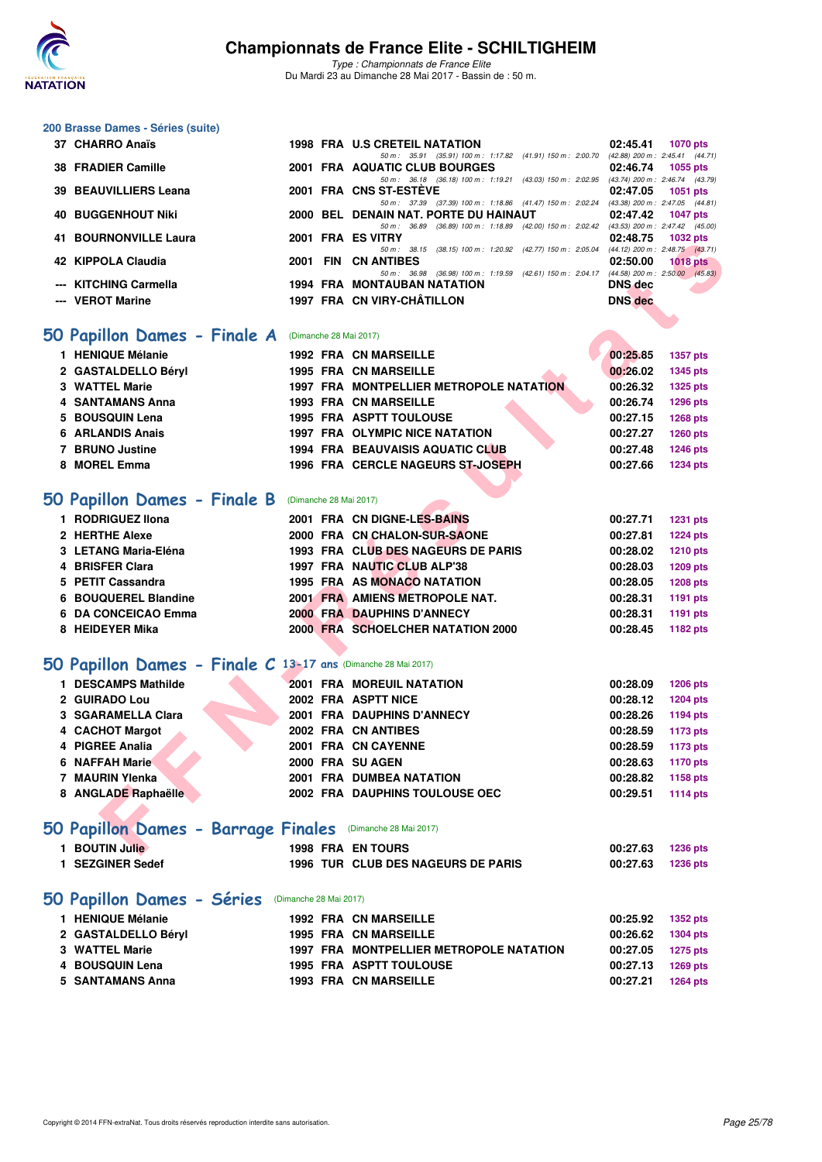

*Type : Championnats de France Elite* Du Mardi 23 au Dimanche 28 Mai 2017 - Bassin de : 50 m.

## **200 Brasse Dames - Séries (suite)**

| 37 CHARRO Anaïs              |  | 1998 FRA U.S CRETEIL NATATION                                                            | 02:45.41       | 1070 pts                            |
|------------------------------|--|------------------------------------------------------------------------------------------|----------------|-------------------------------------|
|                              |  | 50 m: 35.91 (35.91) 100 m: 1:17.82 (41.91) 150 m: 2:00.70                                |                | (42.88) 200 m : 2:45.41 (44.71)     |
| 38 FRADIER Camille           |  | 2001 FRA AQUATIC CLUB BOURGES                                                            |                | 02:46.74 1055 pts                   |
|                              |  | 50 m: 36.18 (36.18) 100 m: 1:19.21 (43.03) 150 m: 2:02.95                                |                | (43.74) 200 m : 2:46.74 (43.79)     |
| 39 BEAUVILLIERS Leana        |  | 2001 FRA CNS ST-ESTEVE                                                                   |                | 02:47.05 1051 pts                   |
|                              |  | 50 m: 37.39 (37.39) 100 m: 1:18.86 (41.47) 150 m: 2:02.24                                |                | $(43.38)$ 200 m : 2:47.05 $(44.81)$ |
| <b>40 BUGGENHOUT Niki</b>    |  | 2000 BEL DENAIN NAT. PORTE DU HAINAUT                                                    |                | 02:47.42 1047 pts                   |
|                              |  | 50 m: 36.89 (36.89) 100 m: 1:18.89 (42.00) 150 m: 2:02.42 (43.53) 200 m: 2:47.42 (45.00) |                |                                     |
| <b>41 BOURNONVILLE Laura</b> |  | 2001 FRA ES VITRY                                                                        |                | 02:48.75 1032 pts                   |
|                              |  | 50 m : 38.15 (38.15) 100 m : 1:20.92 (42.77) 150 m : 2:05.04                             |                | $(44.12)$ 200 m : 2:48.75 $(43.71)$ |
| 42 KIPPOLA Claudia           |  | 2001 FIN CN ANTIBES                                                                      | 02:50.00       | $1018$ pts                          |
|                              |  | 50 m: 36.98 (36.98) 100 m: 1:19.59 (42.61) 150 m: 2:04.17 (44.58) 200 m: 2:50.00 (45.83) |                |                                     |
| --- KITCHING Carmella        |  | <b>1994 FRA MONTAUBAN NATATION</b>                                                       | DNS dec        | <b>STATISTICS</b>                   |
| --- VEROT Marine             |  | 1997 FRA CN VIRY-CHÂTILLON                                                               | <b>DNS</b> dec |                                     |

### **[50 Papillon Dames - Finale A](http://www.ffnatation.fr/webffn/resultats.php?idact=nat&go=epr&idcpt=45075&idepr=31)** (Dimanche 28 Mai 2017)

| 1 HENIQUE Mélanie   | <b>1992 FRA CN MARSEILLE</b>                   | 00:25.85 | 1357 pts |
|---------------------|------------------------------------------------|----------|----------|
| 2 GASTALDELLO Béryl | <b>1995 FRA CN MARSEILLE</b>                   | 00:26.02 | 1345 pts |
| 3 WATTEL Marie      | <b>1997 FRA MONTPELLIER METROPOLE NATATION</b> | 00:26.32 | 1325 pts |
| 4 SANTAMANS Anna    | <b>1993 FRA CN MARSEILLE</b>                   | 00:26.74 | 1296 pts |
| 5 BOUSQUIN Lena     | <b>1995 FRA ASPTT TOULOUSE</b>                 | 00:27.15 | 1268 pts |
| 6 ARLANDIS Anais    | <b>1997 FRA OLYMPIC NICE NATATION</b>          | 00:27.27 | 1260 pts |
| 7 BRUNO Justine     | <b>1994 FRA BEAUVAISIS AQUATIC CLUB</b>        | 00:27.48 | 1246 pts |
| 8 MOREL Emma        | 1996 FRA CERCLE NAGEURS ST-JOSEPH              | 00:27.66 | 1234 pts |
|                     |                                                |          |          |

## **[50 Papillon Dames - Finale B](http://www.ffnatation.fr/webffn/resultats.php?idact=nat&go=epr&idcpt=45075&idepr=31)** (Dimanche 28 Mai 2017)

| 1 RODRIGUEZ IIona    |  | 2001 FRA CN DIGNE-LES-BAINS        | 00:27.71 | <b>1231 pts</b> |
|----------------------|--|------------------------------------|----------|-----------------|
| 2 HERTHE Alexe       |  | 2000 FRA CN CHALON-SUR-SAONE       | 00:27.81 | 1224 pts        |
| 3 LETANG Maria-Eléna |  | 1993 FRA CLUB DES NAGEURS DE PARIS | 00:28.02 | <b>1210 pts</b> |
| 4 BRISFER Clara      |  | 1997 FRA NAUTIC CLUB ALP'38        | 00:28.03 | 1209 pts        |
| 5 PETIT Cassandra    |  | 1995 FRA AS MONACO NATATION        | 00:28.05 | <b>1208 pts</b> |
| 6 BOUQUEREL Blandine |  | 2001 FRA AMIENS METROPOLE NAT.     | 00:28.31 | 1191 pts        |
| 6 DA CONCEICAO Emma  |  | 2000 FRA DAUPHINS D'ANNECY         | 00:28.31 | 1191 pts        |
| 8 HEIDEYER Mika      |  | 2000 FRA SCHOELCHER NATATION 2000  | 00:28.45 | 1182 pts        |
|                      |  |                                    |          |                 |

## **[50 Papillon Dames - Finale C](http://www.ffnatation.fr/webffn/resultats.php?idact=nat&go=epr&idcpt=45075&idepr=31) 13-17 ans** (Dimanche 28 Mai 2017)

| <b>41 DOURNONVILLE LAUIA</b>                                  |                        | ו הוויט כם                                                                                                      | 02.40.79                         | אים בטטו        |
|---------------------------------------------------------------|------------------------|-----------------------------------------------------------------------------------------------------------------|----------------------------------|-----------------|
| 42 KIPPOLA Claudia                                            |                        | 50 m: 38.15 (38.15) 100 m: 1:20.92 (42.77) 150 m: 2:05.04 (44.12) 200 m: 2:48.75 (43.71)<br>2001 FIN CN ANTIBES | 02:50.00                         | <b>1018 pts</b> |
|                                                               |                        | 50 m: 36.98 (36.98) 100 m: 1:19.59 (42.61) 150 m: 2:04.17 (44.58) 200 m: 2:50.00 (45.83)                        |                                  |                 |
| --- KITCHING Carmella<br>--- VEROT Marine                     |                        | <b>1994 FRA MONTAUBAN NATATION</b><br>1997 FRA CN VIRY-CHÂTILLON                                                | <b>DNS</b> dec<br><b>DNS</b> dec |                 |
|                                                               |                        |                                                                                                                 |                                  |                 |
|                                                               |                        |                                                                                                                 |                                  |                 |
| 50 Papillon Dames - Finale A                                  | (Dimanche 28 Mai 2017) |                                                                                                                 |                                  |                 |
| 1 HENIQUE Mélanie                                             |                        | <b>1992 FRA CN MARSEILLE</b>                                                                                    | 00:25.85                         | 1357 pts        |
| 2 GASTALDELLO Béryl                                           |                        | <b>1995 FRA CN MARSEILLE</b>                                                                                    | 00:26.02                         | 1345 pts        |
| 3 WATTEL Marie                                                |                        | 1997 FRA MONTPELLIER METROPOLE NATATION                                                                         | 00:26.32                         | <b>1325 pts</b> |
| 4 SANTAMANS Anna                                              |                        | <b>1993 FRA CN MARSEILLE</b>                                                                                    | 00:26.74                         | <b>1296 pts</b> |
| 5 BOUSQUIN Lena                                               |                        | 1995 FRA ASPTT TOULOUSE                                                                                         | 00:27.15                         | <b>1268 pts</b> |
| 6 ARLANDIS Anais                                              |                        | 1997 FRA OLYMPIC NICE NATATION                                                                                  | 00:27.27                         | <b>1260 pts</b> |
| 7 BRUNO Justine                                               |                        | 1994 FRA BEAUVAISIS AQUATIC CLUB                                                                                | 00:27.48                         | <b>1246 pts</b> |
| 8 MOREL Emma                                                  |                        | 1996 FRA CERCLE NAGEURS ST-JOSEPH                                                                               | 00:27.66                         | <b>1234 pts</b> |
|                                                               |                        |                                                                                                                 |                                  |                 |
| 50 Papillon Dames - Finale B                                  | (Dimanche 28 Mai 2017) |                                                                                                                 |                                  |                 |
| 1 RODRIGUEZ IIona                                             |                        | 2001 FRA CN DIGNE-LES-BAINS                                                                                     | 00:27.71                         | <b>1231 pts</b> |
| 2 HERTHE Alexe                                                |                        | 2000 FRA CN CHALON-SUR-SAONE                                                                                    | 00:27.81                         | <b>1224 pts</b> |
| 3 LETANG Maria-Eléna                                          |                        | 1993 FRA CLUB DES NAGEURS DE PARIS                                                                              | 00:28.02                         | <b>1210 pts</b> |
| 4 BRISFER Clara                                               |                        | 1997 FRA NAUTIC CLUB ALP'38                                                                                     | 00:28.03                         | 1209 pts        |
| 5 PETIT Cassandra                                             |                        | 1995 FRA AS MONACO NATATION                                                                                     | 00:28.05                         | <b>1208 pts</b> |
| 6 BOUQUEREL Blandine                                          |                        | 2001 FRA AMIENS METROPOLE NAT.                                                                                  | 00:28.31                         | 1191 pts        |
| 6 DA CONCEICAO Emma                                           |                        | 2000 FRA DAUPHINS D'ANNECY                                                                                      | 00:28.31                         | 1191 pts        |
| 8 HEIDEYER Mika                                               |                        | 2000 FRA SCHOELCHER NATATION 2000                                                                               | 00:28.45                         | 1182 pts        |
|                                                               |                        |                                                                                                                 |                                  |                 |
| 50 Papillon Dames - Finale C 13-17 ans (Dimanche 28 Mai 2017) |                        |                                                                                                                 |                                  |                 |
| 1 DESCAMPS Mathilde                                           |                        | <b>2001 FRA MOREUIL NATATION</b>                                                                                | 00:28.09                         | <b>1206 pts</b> |
| 2 GUIRADO Lou                                                 |                        | 2002 FRA ASPTT NICE                                                                                             | 00:28.12                         | <b>1204 pts</b> |
| 3 SGARAMELLA Clara                                            |                        | 2001 FRA DAUPHINS D'ANNECY                                                                                      | 00:28.26                         | 1194 pts        |
| 4 CACHOT Margot                                               |                        | 2002 FRA CN ANTIBES                                                                                             | 00:28.59                         | 1173 pts        |
| 4 PIGREE Analia                                               |                        | 2001 FRA CN CAYENNE                                                                                             | 00:28.59                         | <b>1173 pts</b> |
| 6 NAFFAH Marie                                                |                        | 2000 FRA SU AGEN                                                                                                | 00:28.63                         | 1170 pts        |
| 7 MAURIN Ylenka                                               |                        | 2001 FRA DUMBEA NATATION                                                                                        | 00:28.82                         | 1158 pts        |
| 8 ANGLADE Raphaëlle                                           |                        | 2002 FRA DAUPHINS TOULOUSE OEC                                                                                  | 00:29.51                         | 1114 pts        |
|                                                               |                        |                                                                                                                 |                                  |                 |
| 50 Papillon Dames - Barrage Finales (Dimanche 28 Mai 2017)    |                        |                                                                                                                 |                                  |                 |
| 1 BOUTIN Julie                                                |                        | <b>1998 FRA EN TOURS</b>                                                                                        | 00:27.63                         | <b>1236 pts</b> |
|                                                               |                        |                                                                                                                 |                                  |                 |

## **[50 Papillon Dames - Barrage Finales](http://www.ffnatation.fr/webffn/resultats.php?idact=nat&go=epr&idcpt=45075&idepr=31)** (Dimanche 28 Mai 2017)

| <b>BOUTIN Julie</b> | <b>1998 FRA ENTOURS</b>                   | 00:27.63 | 1236 pts |
|---------------------|-------------------------------------------|----------|----------|
| .   SEZGINER Sedef  | <b>1996 TUR CLUB DES NAGEURS DE PARIS</b> | 00:27.63 | 1236 pts |
|                     |                                           |          |          |

## **[50 Papillon Dames - Séries](http://www.ffnatation.fr/webffn/resultats.php?idact=nat&go=epr&idcpt=45075&idepr=31)** (Dimanche 28 Mai 2017)

|                                                                                                   |  | 00:25.92                                                                                                                                                                  | 1352 pts |
|---------------------------------------------------------------------------------------------------|--|---------------------------------------------------------------------------------------------------------------------------------------------------------------------------|----------|
|                                                                                                   |  | 00:26.62                                                                                                                                                                  | 1304 pts |
|                                                                                                   |  | 00:27.05                                                                                                                                                                  | 1275 pts |
|                                                                                                   |  | 00:27.13                                                                                                                                                                  | 1269 pts |
|                                                                                                   |  | 00:27.21                                                                                                                                                                  | 1264 pts |
| 1 HENIQUE Mélanie<br>2 GASTALDELLO Béryl<br>3 WATTEL Marie<br>4 BOUSQUIN Lena<br>5 SANTAMANS Anna |  | <b>1992 FRA CN MARSEILLE</b><br><b>1995 FRA CN MARSEILLE</b><br>1997 FRA MONTPELLIER METROPOLE NATATION<br><b>1995 FRA ASPTT TOULOUSE</b><br><b>1993 FRA CN MARSEILLE</b> |          |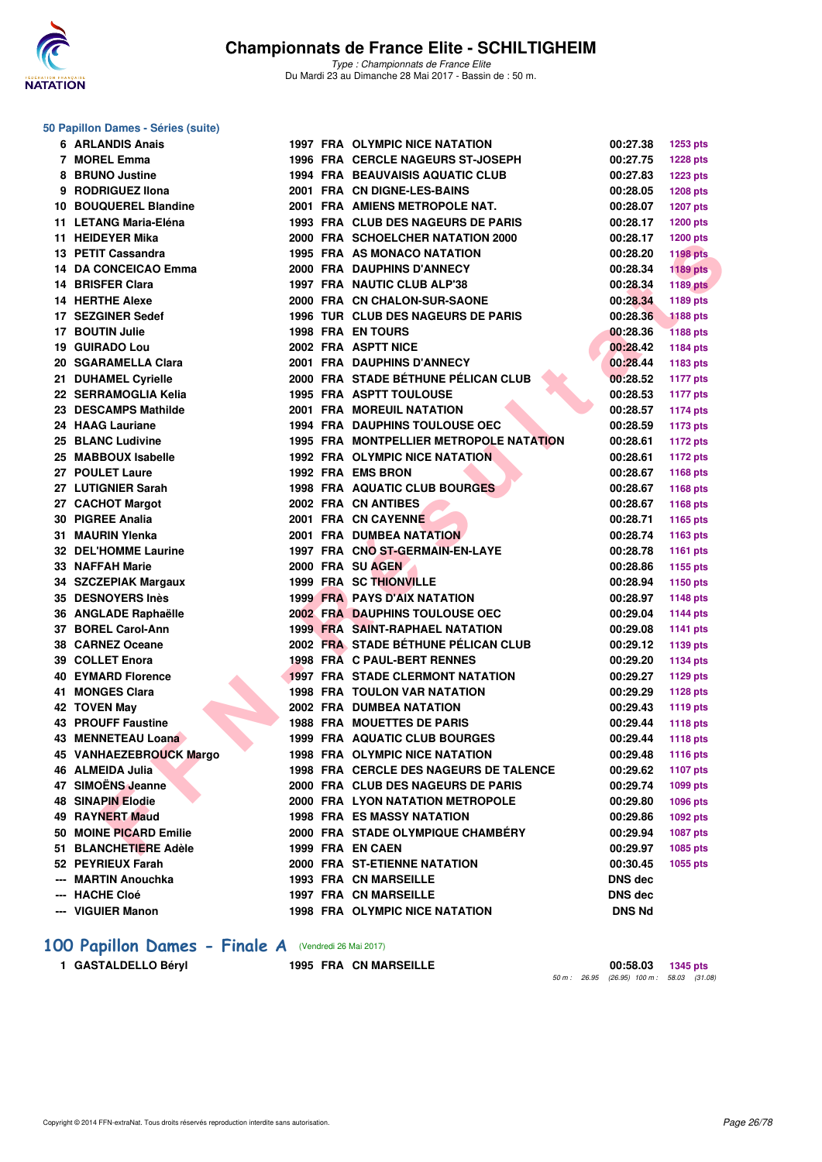

#### **50 Papillon Dames - Séries (suite)**

| 6 ARLANDIS Anais            |  | <b>1997 FRA OLYMPIC NICE NATATION</b>     | 00:27.38       | 1253 pts        |
|-----------------------------|--|-------------------------------------------|----------------|-----------------|
| 7 MOREL Emma                |  | 1996 FRA CERCLE NAGEURS ST-JOSEPH         | 00:27.75       | <b>1228 pts</b> |
| 8 BRUNO Justine             |  | <b>1994 FRA BEAUVAISIS AQUATIC CLUB</b>   | 00:27.83       | <b>1223 pts</b> |
| 9 RODRIGUEZ Ilona           |  | 2001 FRA CN DIGNE-LES-BAINS               | 00:28.05       | <b>1208 pts</b> |
| 10 BOUQUEREL Blandine       |  | 2001 FRA AMIENS METROPOLE NAT.            | 00:28.07       | <b>1207 pts</b> |
| 11 LETANG Maria-Eléna       |  | <b>1993 FRA CLUB DES NAGEURS DE PARIS</b> | 00:28.17       | <b>1200 pts</b> |
| 11 HEIDEYER Mika            |  | 2000 FRA SCHOELCHER NATATION 2000         | 00:28.17       | <b>1200 pts</b> |
| 13 PETIT Cassandra          |  | 1995 FRA AS MONACO NATATION               | 00:28.20       | <b>1198 pts</b> |
| 14 DA CONCEICAO Emma        |  | 2000 FRA DAUPHINS D'ANNECY                | 00:28.34       | <b>1189 pts</b> |
| 14 BRISFER Clara            |  | 1997 FRA NAUTIC CLUB ALP'38               | 00:28.34       | <b>1189 pts</b> |
| 14 HERTHE Alexe             |  | 2000 FRA CN CHALON-SUR-SAONE              | 00:28.34       | 1189 pts        |
| 17 SEZGINER Sedef           |  | 1996 TUR CLUB DES NAGEURS DE PARIS        | 00:28.36       | <b>1188 pts</b> |
| 17 BOUTIN Julie             |  | <b>1998 FRA EN TOURS</b>                  | 00:28.36       | <b>1188 pts</b> |
| <b>19 GUIRADO Lou</b>       |  | 2002 FRA ASPTT NICE                       | 00:28.42       | <b>1184 pts</b> |
| 20 SGARAMELLA Clara         |  | <b>2001 FRA DAUPHINS D'ANNECY</b>         | 00:28.44       | 1183 pts        |
| 21 DUHAMEL Cyrielle         |  | 2000 FRA STADE BÉTHUNE PÉLICAN CLUB       | 00:28.52       | <b>1177 pts</b> |
| 22 SERRAMOGLIA Kelia        |  | 1995 FRA ASPTT TOULOUSE                   | 00:28.53       | <b>1177 pts</b> |
| 23 DESCAMPS Mathilde        |  | 2001 FRA MOREUIL NATATION                 | 00:28.57       | 1174 pts        |
| 24 HAAG Lauriane            |  | 1994 FRA DAUPHINS TOULOUSE OEC            | 00:28.59       | <b>1173 pts</b> |
| 25 BLANC Ludivine           |  | 1995 FRA MONTPELLIER METROPOLE NATATION   | 00:28.61       | <b>1172 pts</b> |
| 25 MABBOUX Isabelle         |  | 1992 FRA OLYMPIC NICE NATATION            | 00:28.61       | <b>1172 pts</b> |
| 27 POULET Laure             |  | 1992 FRA EMS BRON                         | 00:28.67       | 1168 pts        |
| 27 LUTIGNIER Sarah          |  | 1998 FRA AQUATIC CLUB BOURGES             | 00:28.67       | 1168 pts        |
| 27 CACHOT Margot            |  | 2002 FRA CN ANTIBES                       | 00:28.67       | 1168 pts        |
| 30 PIGREE Analia            |  | 2001 FRA CN CAYENNE                       | 00:28.71       | 1165 pts        |
| 31 MAURIN Ylenka            |  | <b>2001 FRA DUMBEA NATATION</b>           | 00:28.74       | 1163 pts        |
| <b>32 DEL'HOMME Laurine</b> |  | 1997 FRA CNO ST-GERMAIN-EN-LAYE           | 00:28.78       | <b>1161 pts</b> |
| 33 NAFFAH Marie             |  | 2000 FRA SU AGEN                          | 00:28.86       | 1155 pts        |
| 34 SZCZEPIAK Margaux        |  | <b>1999 FRA SC THIONVILLE</b>             | 00:28.94       | 1150 pts        |
| 35 DESNOYERS Inès           |  | <b>1999 FRA PAYS D'AIX NATATION</b>       | 00:28.97       | <b>1148 pts</b> |
| 36 ANGLADE Raphaëlle        |  | 2002 FRA DAUPHINS TOULOUSE OEC            | 00:29.04       | <b>1144 pts</b> |
| 37 BOREL Carol-Ann          |  | <b>1999 FRA SAINT-RAPHAEL NATATION</b>    | 00:29.08       | <b>1141 pts</b> |
| 38 CARNEZ Oceane            |  | 2002 FRA STADE BÉTHUNE PÉLICAN CLUB       | 00:29.12       | 1139 pts        |
| 39 COLLET Enora             |  | 1998 FRA C PAUL-BERT RENNES               | 00:29.20       | <b>1134 pts</b> |
| <b>40 EYMARD Florence</b>   |  | <b>1997 FRA STADE CLERMONT NATATION</b>   | 00:29.27       | 1129 pts        |
| 41 MONGES Clara             |  | <b>1998 FRA TOULON VAR NATATION</b>       | 00:29.29       | 1128 pts        |
| 42 TOVEN May                |  | 2002 FRA DUMBEA NATATION                  | 00:29.43       | <b>1119 pts</b> |
| <b>43 PROUFF Faustine</b>   |  | <b>1988 FRA MOUETTES DE PARIS</b>         | 00:29.44       | 1118 pts        |
| 43 MENNETEAU Loana          |  | <b>1999 FRA AQUATIC CLUB BOURGES</b>      | 00:29.44       | 1118 pts        |
| 45 VANHAEZEBROUCK Margo     |  | 1998 FRA OLYMPIC NICE NATATION            | 00:29.48       | 1116 pts        |
| 46 ALMEIDA Julia            |  | 1998 FRA CERCLE DES NAGEURS DE TALENCE    | 00:29.62       | <b>1107 pts</b> |
| 47 SIMOËNS Jeanne           |  | 2000 FRA CLUB DES NAGEURS DE PARIS        | 00:29.74       | 1099 pts        |
| <b>48 SINAPIN Elodie</b>    |  | 2000 FRA LYON NATATION METROPOLE          | 00:29.80       | 1096 pts        |
| <b>49 RAYNERT Maud</b>      |  | 1998 FRA ES MASSY NATATION                | 00:29.86       | 1092 pts        |
| 50 MOINE PICARD Emilie      |  | 2000 FRA STADE OLYMPIQUE CHAMBÉRY         | 00:29.94       | <b>1087 pts</b> |
| 51 BLANCHETIERE Adèle       |  | 1999 FRA EN CAEN                          | 00:29.97       | <b>1085 pts</b> |
| 52 PEYRIEUX Farah           |  | 2000 FRA ST-ETIENNE NATATION              | 00:30.45       | 1055 pts        |
| --- MARTIN Anouchka         |  | 1993 FRA CN MARSEILLE                     | DNS dec        |                 |
| --- HACHE Cloé              |  | 1997 FRA CN MARSEILLE                     | <b>DNS</b> dec |                 |
| --- VIGUIER Manon           |  | 1998 FRA OLYMPIC NICE NATATION            | <b>DNS Nd</b>  |                 |
|                             |  |                                           |                |                 |

# **100 Papillon Dames - Finale A** (Vendredi 26 Mai 2017)<br>1 GASTALDELLO Béryl 1995 FRA CN MARSEILLE

**1 GASTALDELLO Béryl 1995 FRA CN MARSEILLE 00:58.03 1345 pts** *50 m : 26.95 (26.95) 100 m : 58.03 (31.08)*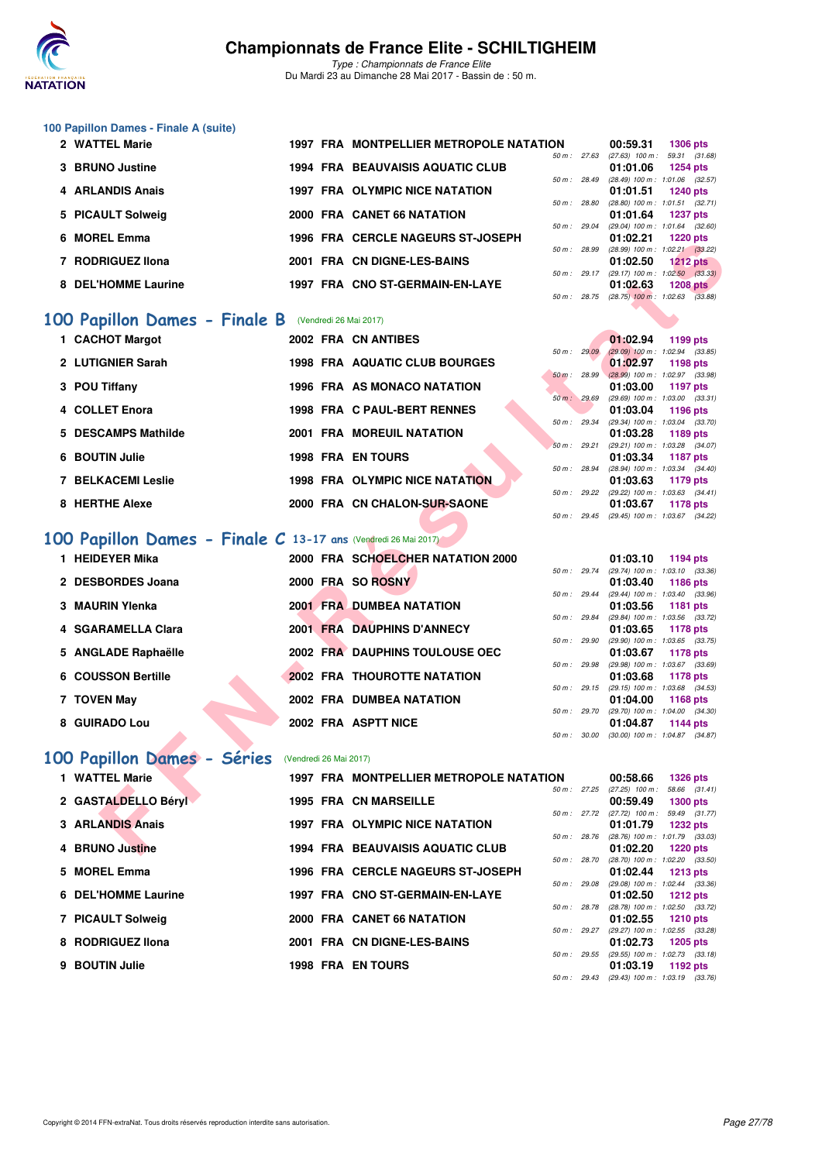

## **100 Papillon Dames - Finale A (suite)**

| 2 WATTEL Marie      |  | 1997 FRA MONTPELLIER METROPOLE NATATION |                | 00:59.31                                | 1306 pts        |  |
|---------------------|--|-----------------------------------------|----------------|-----------------------------------------|-----------------|--|
|                     |  |                                         | 50 m: 27.63    | $(27.63)$ 100 m : 59.31 (31.            |                 |  |
| 3 BRUNO Justine     |  | <b>1994 FRA BEAUVAISIS AQUATIC CLUB</b> |                | 01:01.06                                | 1254 pts        |  |
|                     |  |                                         | 50 m: 28.49    | $(28.49)$ 100 m : 1:01.06 $(32.$        |                 |  |
| 4 ARLANDIS Anais    |  | <b>1997 FRA OLYMPIC NICE NATATION</b>   |                | 01:01.51 1240 pts                       |                 |  |
|                     |  |                                         | 50 m : 28.80   | $(28.80)$ 100 m : 1:01.51 (32.          |                 |  |
| 5 PICAULT Solweig   |  | 2000 FRA CANET 66 NATATION              |                | 01:01.64 1237 pts                       |                 |  |
|                     |  |                                         |                | 50 m: 29.04 (29.04) 100 m: 1:01.64 (32. |                 |  |
| 6 MOREL Emma        |  | 1996 FRA CERCLE NAGEURS ST-JOSEPH       |                | 01:02.21 1220 pts                       |                 |  |
|                     |  |                                         | 50 m: 28.99    | (28.99) 100 m : 1:02.21 (33.            |                 |  |
| 7 RODRIGUEZ IIona   |  | 2001 FRA CN DIGNE-LES-BAINS             |                | 01:02.50                                | <b>1212 pts</b> |  |
|                     |  |                                         | $50 m$ : 29.17 | (29.17) 100 m : 1:02.50 (33.            |                 |  |
| 8 DEL'HOMME Laurine |  | 1997 FRA CNO ST-GERMAIN-EN-LAYE         |                | 01:02.63                                | <b>1208 pts</b> |  |
|                     |  |                                         |                |                                         |                 |  |

## **[100 Papillon Dames - Finale B](http://www.ffnatation.fr/webffn/resultats.php?idact=nat&go=epr&idcpt=45075&idepr=32)** (Vendredi 26 Mai 2017)

| 1 CACHOT Margot           |  | 2002 FRA CN ANTIBES                   |          |                        | 01:02.94                       | 1199 pts |  |
|---------------------------|--|---------------------------------------|----------|------------------------|--------------------------------|----------|--|
|                           |  |                                       |          | $50 \text{ m}$ : 29.09 | $(29.09)$ 100 m : 1:02.94 (33. |          |  |
| 2 LUTIGNIER Sarah         |  | 1998 FRA AQUATIC CLUB BOURGES         |          |                        | 01:02.97                       | 1198 pts |  |
|                           |  |                                       |          | $50 \text{ m}$ : 28.99 | $(28.99)$ 100 m : 1:02.97 (33. |          |  |
| 3 POU Tiffany             |  | <b>1996 FRA AS MONACO NATATION</b>    |          |                        | 01:03.00                       | 1197 pts |  |
|                           |  |                                       |          | 50 m: 29.69            | $(29.69)$ 100 m : 1:03.00 (33. |          |  |
| 4 COLLET Enora            |  | 1998 FRA C PAUL-BERT RENNES           |          |                        | 01:03.04                       | 1196 pts |  |
|                           |  |                                       |          | 50 m: 29.34            | (29.34) 100 m : 1:03.04 (33.   |          |  |
| 5 DESCAMPS Mathilde       |  | <b>2001 FRA MOREUIL NATATION</b>      |          |                        | 01:03.28                       | 1189 pts |  |
|                           |  |                                       | $50 m$ : | 29.21                  | (29.21) 100 m : 1:03.28 (34.   |          |  |
| 6 BOUTIN Julie            |  | <b>1998 FRA EN TOURS</b>              |          |                        | 01:03.34                       | 1187 pts |  |
|                           |  |                                       |          | 50 m: 28.94            | (28.94) 100 m : 1:03.34 (34.   |          |  |
| <b>7 BELKACEMI Leslie</b> |  | <b>1998 FRA OLYMPIC NICE NATATION</b> |          |                        | 01:03.63                       | 1179 pts |  |
|                           |  |                                       |          | 50 m: 29.22            | (29.22) 100 m : 1:03.63 (34.   |          |  |
| 8 HERTHE Alexe            |  | 2000 FRA CN CHALON-SUR-SAONE          |          |                        | 01:03.67                       | 1178 pts |  |

## **[100 Papillon Dames - Finale C](http://www.ffnatation.fr/webffn/resultats.php?idact=nat&go=epr&idcpt=45075&idepr=32) 13-17 ans** (Vendredi 26 Mai 2017)

|                                                               |                        | <b>FRA</b> GERGEE MAGEORS ST-JOSEFT            |                        |              | U I .UZ.Z I<br><b>ELLE DIS</b>                                          |
|---------------------------------------------------------------|------------------------|------------------------------------------------|------------------------|--------------|-------------------------------------------------------------------------|
| 7 RODRIGUEZ IIona                                             |                        | 2001 FRA CN DIGNE-LES-BAINS                    |                        | 50 m : 28.99 | $(28.99)$ 100 m : 1:02.21 $(33.22)$<br>01:02.50<br>$1212$ pts           |
|                                                               |                        |                                                |                        |              | 50 m : 29.17 (29.17) 100 m : 1:02.50 (33.33)                            |
| 8 DEL'HOMME Laurine                                           |                        | 1997 FRA CNO ST-GERMAIN-EN-LAYE                |                        |              | 01:02.63<br>1208 $pts$                                                  |
|                                                               |                        |                                                |                        |              | 50 m : 28.75 (28.75) 100 m : 1:02.63 (33.88)                            |
| <b>00 Papillon Dames - Finale B</b> (Vendredi 26 Mai 2017)    |                        |                                                |                        |              |                                                                         |
| 1 CACHOT Margot                                               |                        | 2002 FRA CN ANTIBES                            |                        |              | 01:02.94<br>1199 pts                                                    |
|                                                               |                        |                                                | $50 \text{ m}$ : 29.09 |              | $(29.09)$ 100 m : 1:02.94 $(33.85)$                                     |
| 2 LUTIGNIER Sarah                                             |                        | <b>1998 FRA AQUATIC CLUB BOURGES</b>           |                        |              | 01:02.97<br>1198 pts                                                    |
| 3 POU Tiffany                                                 |                        | 1996 FRA AS MONACO NATATION                    |                        |              | 50 m : 28.99 (28.99) 100 m : 1:02.97 (33.98)<br>01:03.00<br>1197 pts    |
|                                                               |                        |                                                | 50 m: 29.69            |              | $(29.69)$ 100 m : 1:03.00 $(33.31)$                                     |
| 4 COLLET Enora                                                |                        | 1998 FRA C PAUL-BERT RENNES                    |                        |              | 01:03.04<br>1196 pts                                                    |
|                                                               |                        |                                                |                        | 50 m : 29.34 | (29.34) 100 m: 1:03.04 (33.70)                                          |
| 5 DESCAMPS Mathilde                                           |                        | <b>2001 FRA MOREUIL NATATION</b>               | 50 m: 29.21            |              | 01:03.28<br>1189 pts<br>(29.21) 100 m: 1:03.28 (34.07)                  |
| 6 BOUTIN Julie                                                |                        | <b>1998 FRA EN TOURS</b>                       |                        |              | 01:03.34<br>1187 pts                                                    |
|                                                               |                        |                                                | 50 m : 28.94           |              | (28.94) 100 m : 1:03.34 (34.40)                                         |
| <b>7 BELKACEMI Leslie</b>                                     |                        | <b>1998 FRA OLYMPIC NICE NATATION</b>          |                        |              | 01:03.63<br>1179 pts                                                    |
| 8 HERTHE Alexe                                                |                        |                                                |                        | 50 m : 29.22 | (29.22) 100 m: 1:03.63 (34.41)                                          |
|                                                               |                        | 2000 FRA CN CHALON-SUR-SAONE                   | 50 m: 29.45            |              | 01:03.67<br>1178 pts<br>(29.45) 100 m : 1:03.67 (34.22)                 |
|                                                               |                        |                                                |                        |              |                                                                         |
| 00 Papillon Dames - Finale C 13-17 ans (Vendredi 26 Mai 2017) |                        |                                                |                        |              |                                                                         |
| 1 HEIDEYER Mika                                               |                        | 2000 FRA SCHOELCHER NATATION 2000              |                        |              | 01:03.10<br>1194 pts                                                    |
|                                                               |                        |                                                |                        | 50 m : 29.74 | (29.74) 100 m: 1:03.10 (33.36)                                          |
| 2 DESBORDES Joana                                             |                        | 2000 FRA SO ROSNY                              |                        |              | 01:03.40<br><b>1186 pts</b>                                             |
| 3 MAURIN Ylenka                                               |                        | <b>2001 FRA DUMBEA NATATION</b>                |                        | 50 m : 29.44 | (29.44) 100 m : 1:03.40 (33.96)<br>01:03.56<br><b>1181 pts</b>          |
|                                                               |                        |                                                | 50 m : 29.84           |              | (29.84) 100 m: 1:03.56 (33.72)                                          |
| 4 SGARAMELLA Clara                                            |                        | <b>2001 FRA DAUPHINS D'ANNECY</b>              |                        |              | 01:03.65<br><b>1178 pts</b>                                             |
|                                                               |                        |                                                |                        | 50 m : 29.90 | (29.90) 100 m: 1:03.65 (33.75)                                          |
| 5 ANGLADE Raphaëlle                                           |                        | 2002 FRA DAUPHINS TOULOUSE OEC                 |                        | 50 m: 29.98  | 01:03.67<br>1178 pts<br>(29.98) 100 m: 1:03.67 (33.69)                  |
| 6 COUSSON Bertille                                            |                        | <b>2002 FRA THOUROTTE NATATION</b>             |                        |              | 01:03.68<br>1178 pts                                                    |
|                                                               |                        |                                                |                        |              | 50 m: 29.15 (29.15) 100 m: 1:03.68 (34.53)                              |
| 7 TOVEN May                                                   |                        | 2002 FRA DUMBEA NATATION                       |                        |              | 01:04.00<br>1168 pts                                                    |
| 8 GUIRADO Lou                                                 |                        | 2002 FRA ASPTT NICE                            |                        |              | 50 m : 29.70 (29.70) 100 m : 1:04.00 (34.30)<br>01:04.87<br>1144 pts    |
|                                                               |                        |                                                | 50 m : 30.00           |              | $(30.00)$ 100 m : 1:04.87 $(34.87)$                                     |
|                                                               |                        |                                                |                        |              |                                                                         |
| 00 Papillon Dames - Séries                                    | (Vendredi 26 Mai 2017) |                                                |                        |              |                                                                         |
| 1 WATTEL Marie                                                |                        | <b>1997 FRA MONTPELLIER METROPOLE NATATION</b> |                        |              | 00:58.66<br><b>1326 pts</b>                                             |
|                                                               |                        |                                                |                        | 50 m : 27.25 | 58.66 (31.41)<br>$(27.25)$ 100 m :                                      |
| 2 GASTALDELLO Béryi                                           |                        | <b>1995 FRA CN MARSEILLE</b>                   |                        |              | 00:59.49<br><b>1300 pts</b><br>50 m: 27.72 (27.72) 100 m: 59.49 (31.77) |
| 3 ARLANDIS Anais                                              |                        | 1997 FRA OLYMPIC NICE NATATION                 |                        |              | 01:01.79<br><b>1232 pts</b>                                             |
|                                                               |                        |                                                |                        |              | 50 m : 28.76 (28.76) 100 m : 1:01.79 (33.03)                            |
| 4 BRUNO Justine                                               |                        | <b>1994 FRA BEAUVAISIS AQUATIC CLUB</b>        |                        |              | 01:02.20<br><b>1220 pts</b>                                             |

## **[100 Papillon Dames - Séries](http://www.ffnatation.fr/webffn/resultats.php?idact=nat&go=epr&idcpt=45075&idepr=32)** (Vendredi 26 Mai 2017)

| 1 WATTEL Marie      |  | 1997 FRA MONTPELLIER METROPOLE NATATION |                | 00:58.66                                   | 1326 pts                      |  |
|---------------------|--|-----------------------------------------|----------------|--------------------------------------------|-------------------------------|--|
| 2 GASTALDELLO Béryl |  | <b>1995 FRA CN MARSEILLE</b>            | $50 m$ : 27.25 | $(27.25)$ 100 m :<br>00:59.49              | 58.66 (31.<br>1300 pts        |  |
| 3 ARLANDIS Anais    |  | <b>1997 FRA OLYMPIC NICE NATATION</b>   | 50 m: 27.72    | $(27.72)$ 100 m :<br>01:01.79              | 59.49 (31.<br><b>1232 pts</b> |  |
| 4 BRUNO Justine     |  | <b>1994 FRA BEAUVAISIS AQUATIC CLUB</b> | 50 m: 28.76    | $(28.76)$ 100 m : 1:01.79 (33.<br>01:02.20 | 1220 pts                      |  |
| 5 MOREL Emma        |  | 1996 FRA CERCLE NAGEURS ST-JOSEPH       | 50 m : 28.70   | (28.70) 100 m : 1:02.20 (33.<br>01:02.44   | 1213 pts                      |  |
| 6 DEL'HOMME Laurine |  | 1997 FRA CNO ST-GERMAIN-EN-LAYE         | 50 m: 29.08    | $(29.08)$ 100 m : 1:02.44 (33.<br>01:02.50 | 1212 pts                      |  |
| 7 PICAULT Solweig   |  | 2000 FRA CANET 66 NATATION              | 50 m: 28.78    | $(28.78)$ 100 m : 1:02.50 (33.<br>01:02.55 | 1210 pts                      |  |
| 8 RODRIGUEZ IIona   |  | 2001 FRA CN DIGNE-LES-BAINS             | 50 m: 29.27    | (29.27) 100 m : 1:02.55 (33.<br>01:02.73   | <b>1205 pts</b>               |  |
| 9 BOUTIN Julie      |  | <b>1998 FRA EN TOURS</b>                | 50 m : 29.55   | (29.55) 100 m : 1:02.73 (33.<br>01:03.19   | 1192 pts                      |  |
|                     |  |                                         |                |                                            |                               |  |

| ΙOΝ          |       | 00:59.31          | 1306 pts            |  |
|--------------|-------|-------------------|---------------------|--|
| 50 m:        | 27.63 | $(27.63)$ 100 m : | 59.31 (31.68)       |  |
|              |       | 01:01.06          | <b>1254 pts</b>     |  |
| $50 m$ :     | 28.49 | $(28.49)$ 100 m : | 1:01.06 (32.57)     |  |
|              |       | 01:01.51          | <b>1240 pts</b>     |  |
| $50 m$ :     | 28.80 | $(28.80)$ 100 m : | $1:01.51$ $(32.71)$ |  |
|              |       | 01:01.64          | <b>1237 pts</b>     |  |
| $50 m$ :     | 29.04 | $(29.04)$ 100 m : | $1:01.64$ $(32.60)$ |  |
|              |       | 01:02.21          | 1220 pts            |  |
| $50 m$ :     | 28.99 | $(28.99)$ 100 m : | $1:02.21$ $(33.22)$ |  |
|              |       | 01:02.50          | <b>1212 pts</b>     |  |
| 50 m : 29.17 |       | $(29.17) 100 m$ : | $1:02.50$ $(33.33)$ |  |
|              |       | 01:02.63          | <b>1208 pts</b>     |  |
| 50 m :       | 28.75 | $(28.75)$ 100 m : | 1:02.63 (33.88)     |  |
|              |       |                   |                     |  |

|          |                | 01:02.94          | 1199 pts            |  |
|----------|----------------|-------------------|---------------------|--|
|          | 50 m: 29.09    | $(29.09)$ 100 m : | 1:02.94 (33.85)     |  |
|          |                | 01:02.97          | <b>1198 pts</b>     |  |
| $50 m$ : | 28.99          | $(28.99)$ 100 m : | 1:02.97 (33.98)     |  |
|          |                | 01:03.00          | 1197 pts            |  |
|          | 50 m: 29.69    | $(29.69)$ 100 m : | $1:03.00$ $(33.31)$ |  |
|          |                | 01:03.04          | 1196 pts            |  |
|          | 50 m: 29.34    | $(29.34)$ 100 m : | $1:03.04$ $(33.70)$ |  |
|          |                | 01:03.28          | 1189 pts            |  |
|          | $50 m$ : 29.21 | $(29.21)$ 100 m : | 1:03.28 (34.07)     |  |
|          |                | 01:03.34          | 1187 pts            |  |
|          | 50 m: 28.94    | $(28.94)$ 100 m : | $1:03.34$ $(34.40)$ |  |
|          |                | 01:03.63          | 1179 pts            |  |
|          | 50 m: 29.22    | $(29.22)$ 100 m : | $1:03.63$ $(34.41)$ |  |
|          |                | 01:03.67          | 1178 pts            |  |
|          | 50 m: 29.45    | $(29.45)$ 100 m : | 1:03.67 (34.22)     |  |

|                | 01:03.10          | <b>1194 pts</b>     |  |
|----------------|-------------------|---------------------|--|
| 50 m: 29.74    | $(29.74) 100 m$ : | 1:03.10 (33.36)     |  |
|                | 01:03.40          | 1186 pts            |  |
| 50 m : 29.44   | $(29.44)$ 100 m : | 1:03.40 (33.96)     |  |
|                | 01:03.56          | 1181 pts            |  |
| 50 m: 29.84    | $(29.84) 100 m$ : | 1:03.56 (33.72)     |  |
|                | 01:03.65          | 1178 pts            |  |
| 50 m: 29.90    | $(29.90)$ 100 m : | $1:03.65$ $(33.75)$ |  |
|                |                   |                     |  |
|                | 01:03.67          | 1178 pts            |  |
| 50 m : 29.98   | $(29.98) 100 m$ : | 1:03.67 (33.69)     |  |
|                | 01:03.68          | 1178 pts            |  |
| $50 m$ : 29.15 | $(29.15)$ 100 m : | 1:03.68 (34.53)     |  |
|                | 01:04.00          | 1168 pts            |  |
| 50 m: 29.70    | $(29.70)$ 100 m : | 1:04.00 (34.30)     |  |
|                | 01:04.87          | 1144 pts            |  |

| ЭN             |              | 00:58.66                     | <b>1326 pts</b>     |  |
|----------------|--------------|------------------------------|---------------------|--|
| $50 m$ : 27.25 |              | $(27.25)$ 100 m :            | 58.66 (31.41)       |  |
|                |              | 00:59.49                     | <b>1300 pts</b>     |  |
| $50 m$ : 27.72 |              | $(27.72)$ 100 m :            | 59.49 (31.77)       |  |
|                |              | 01:01.79                     | <b>1232 pts</b>     |  |
| 50 m: 28.76    |              | $(28.76)$ 100 m :            | 1:01.79 (33.03)     |  |
|                |              | 01:02.20                     | 1220 pts            |  |
| 50 m: 28.70    |              | $(28.70)$ 100 m :            | 1:02.20 (33.50)     |  |
|                |              | 01:02.44                     | 1213 pts            |  |
| 50 m : 29.08   |              | $(29.08)$ 100 m :            | $1:02.44$ $(33.36)$ |  |
|                |              | 01:02.50                     | 1212 pts            |  |
| 50 m: 28.78    |              | $(28.78) 100 m$ :            | 1:02.50 (33.72)     |  |
|                |              | 01:02.55                     | 1210 pts            |  |
| 50 m: 29.27    |              | $(29.27)$ 100 m :            | 1:02.55 (33.28)     |  |
|                |              | 01:02.73                     | 1205 pts            |  |
|                | 50 m : 29.55 | $(29.55)$ 100 m :            | $1:02.73$ $(33.18)$ |  |
|                |              | 01:03.19                     | 1192 pts            |  |
|                |              | 50 m : 29.43 (29.43) 100 m : | 1:03.19 (33.76)     |  |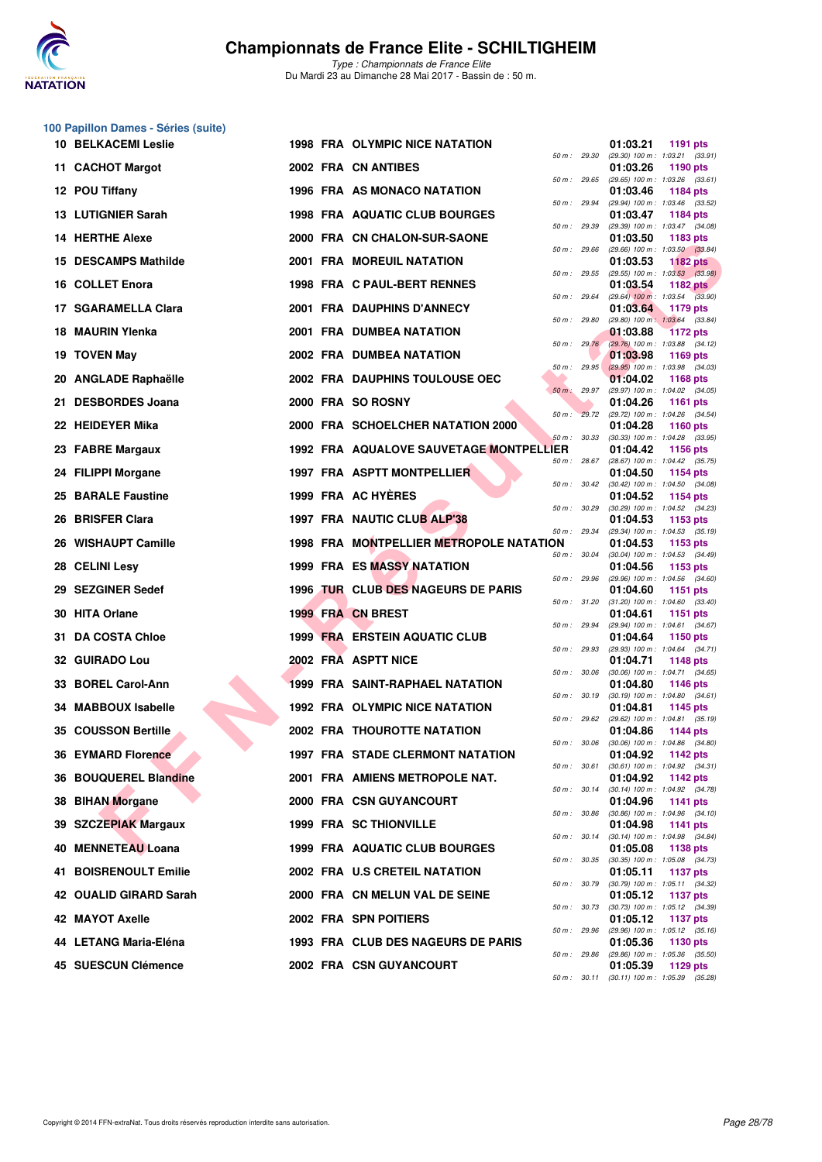

|    | 100 Papillon Dames - Séries (suite) |  |                                                |              |                                                                    |
|----|-------------------------------------|--|------------------------------------------------|--------------|--------------------------------------------------------------------|
|    | <b>10 BELKACEMI Leslie</b>          |  | <b>1998 FRA OLYMPIC NICE NATATION</b>          | 50 m : 29.30 | 01:03.21<br>1191 pts<br>(29.30) 100 m: 1:03.21 (33.91)             |
|    | 11 CACHOT Margot                    |  | 2002 FRA CN ANTIBES                            | 50 m : 29.65 | 01:03.26<br>1190 pts                                               |
|    | 12 POU Tiffany                      |  | 1996 FRA AS MONACO NATATION                    |              | $(29.65)$ 100 m : 1:03.26 $(33.61)$<br>01:03.46<br>1184 pts        |
|    | <b>13 LUTIGNIER Sarah</b>           |  | 1998 FRA AQUATIC CLUB BOURGES                  | 50 m : 29.94 | (29.94) 100 m: 1:03.46 (33.52)<br>01:03.47<br>1184 pts             |
|    | <b>14 HERTHE Alexe</b>              |  | 2000 FRA CN CHALON-SUR-SAONE                   | 50 m : 29.39 | (29.39) 100 m: 1:03.47 (34.08)<br>01:03.50<br>1183 pts             |
|    | 15 DESCAMPS Mathilde                |  | <b>2001 FRA MOREUIL NATATION</b>               | 50 m: 29.66  | (29.66) 100 m: 1:03.50 (33.84)<br>01:03.53<br><b>1182 pts</b>      |
|    | 16 COLLET Enora                     |  | 1998 FRA C PAUL-BERT RENNES                    | 50 m : 29.55 | $(29.55)$ 100 m : 1:03.53 $(33.98)$<br>01:03.54<br><b>1182 pts</b> |
|    | 17 SGARAMELLA Clara                 |  | 2001 FRA DAUPHINS D'ANNECY                     | 50 m : 29.64 | $(29.64)$ 100 m : 1:03.54 $(33.90)$<br>01:03.64<br>1179 pts        |
|    | 18 MAURIN Ylenka                    |  | 2001 FRA DUMBEA NATATION                       | 50 m: 29.80  | (29.80) 100 m: 1:03.64 (33.84)<br>01:03.88<br><b>1172 pts</b>      |
|    | 19 TOVEN May                        |  | 2002 FRA DUMBEA NATATION                       | 50 m: 29.76  | (29.76) 100 m: 1:03.88 (34.12)<br>01:03.98<br>1169 pts             |
|    | 20 ANGLADE Raphaëlle                |  | 2002 FRA DAUPHINS TOULOUSE OEC                 | 50 m: 29.95  | $(29.95)$ 100 m : 1:03.98 $(34.03)$<br>01:04.02<br>1168 pts        |
|    | 21 DESBORDES Joana                  |  | 2000 FRA SO ROSNY                              | 50 m: 29.97  | (29.97) 100 m: 1:04.02 (34.05)<br>01:04.26<br><b>1161 pts</b>      |
|    | 22 HEIDEYER Mika                    |  | 2000 FRA SCHOELCHER NATATION 2000              | 50 m: 29.72  | (29.72) 100 m: 1:04.26 (34.54)<br>01:04.28<br><b>1160 pts</b>      |
|    | 23 FABRE Margaux                    |  | <b>1992 FRA AQUALOVE SAUVETAGE MONTPELLIER</b> | 50 m: 30.33  | $(30.33)$ 100 m : 1:04.28 $(33.95)$<br>01:04.42<br><b>1156 pts</b> |
|    | 24 FILIPPI Morgane                  |  | 1997 FRA ASPTT MONTPELLIER                     | 50 m : 28.67 | (28.67) 100 m : 1:04.42 (35.75)<br>01:04.50<br>1154 pts            |
|    | 25 BARALE Faustine                  |  | 1999 FRA AC HYERES                             | 50 m : 30.42 | $(30.42)$ 100 m : 1:04.50 $(34.08)$<br>01:04.52<br>1154 pts        |
|    | 26 BRISFER Clara                    |  | 1997 FRA NAUTIC CLUB ALP'38                    | 50 m : 30.29 | (30.29) 100 m: 1:04.52 (34.23)<br>01:04.53<br>1153 pts             |
|    | 26 WISHAUPT Camille                 |  | 1998 FRA MONTPELLIER METROPOLE NATATION        | 50 m: 29.34  | (29.34) 100 m: 1:04.53 (35.19)<br>01:04.53<br>1153 pts             |
|    | 28 CELINI Lesy                      |  | <b>1999 FRA ES MASSY NATATION</b>              | 50 m : 30.04 | (30.04) 100 m: 1:04.53 (34.49)<br>01:04.56<br>1153 pts             |
|    | 29 SEZGINER Sedef                   |  | 1996 TUR CLUB DES NAGEURS DE PARIS             | 50 m : 29.96 | (29.96) 100 m: 1:04.56 (34.60)<br>01:04.60<br><b>1151 pts</b>      |
|    | 30 HITA Orlane                      |  | 1999 FRA CN BREST                              | 50 m : 31.20 | $(31.20)$ 100 m : 1:04.60 $(33.40)$<br>01:04.61<br>1151 pts        |
|    | <b>31 DA COSTA Chloe</b>            |  | <b>1999 FRA ERSTEIN AQUATIC CLUB</b>           | 50 m : 29.94 | (29.94) 100 m: 1:04.61 (34.67)<br>01:04.64<br>1150 pts             |
|    | 32 GUIRADO Lou                      |  | 2002 FRA ASPTT NICE                            | 50 m: 29.93  | (29.93) 100 m: 1:04.64 (34.71)<br>01:04.71<br><b>1148 pts</b>      |
| 33 | <b>BOREL Carol-Ann</b>              |  | 1999 FRA SAINT-RAPHAEL NATATION                | 50 m: 30.06  | $(30.06)$ 100 m : 1:04.71 $(34.65)$<br>01:04.80<br>1146 pts        |
|    | 34 MABBOUX Isabelle                 |  | 1992 FRA OLYMPIC NICE NATATION                 | 50 m : 30.19 | $(30.19)$ 100 m : 1:04.80 $(34.61)$<br>01:04.81<br>1145 pts        |
|    | <b>35 COUSSON Bertille</b>          |  | <b>2002 FRA THOUROTTE NATATION</b>             | 50 m : 29.62 | (29.62) 100 m: 1:04.81 (35.19)<br>01:04.86<br><b>1144 pts</b>      |
|    | <b>36 EYMARD Florence</b>           |  | <b>1997 FRA STADE CLERMONT NATATION</b>        | 50 m : 30.06 | $(30.06)$ 100 m : 1:04.86 $(34.80)$<br>01:04.92<br>1142 pts        |
|    | 36 BOUQUEREL Blandine               |  | 2001 FRA AMIENS METROPOLE NAT.                 | 50 m: 30.61  | $(30.61)$ 100 m : 1:04.92 $(34.31)$<br>01:04.92<br>1142 pts        |
| 38 | <b>BIHAN Morgane</b>                |  | 2000 FRA CSN GUYANCOURT                        | 50 m: 30.14  | (30.14) 100 m: 1:04.92 (34.78)<br>01:04.96<br>1141 pts             |
| 39 | <b>SZCZEPIAK Margaux</b>            |  | <b>1999 FRA SC THIONVILLE</b>                  | 50 m : 30.86 | (30.86) 100 m: 1:04.96 (34.10)<br>01:04.98<br>1141 pts             |
| 40 | <b>MENNETEAU Loana</b>              |  | 1999 FRA AQUATIC CLUB BOURGES                  | 50 m: 30.14  | (30.14) 100 m: 1:04.98 (34.84)<br>01:05.08<br>1138 pts             |
| 41 | <b>BOISRENOULT Emilie</b>           |  | 2002 FRA U.S CRETEIL NATATION                  | 50 m : 30.35 | (30.35) 100 m: 1:05.08 (34.73)<br>01:05.11<br>1137 pts             |
|    | 42 OUALID GIRARD Sarah              |  | 2000 FRA CN MELUN VAL DE SEINE                 | 50 m : 30.79 | (30.79) 100 m: 1:05.11 (34.32)<br>01:05.12<br>1137 pts             |
|    | 42 MAYOT Axelle                     |  | 2002 FRA SPN POITIERS                          | 50 m : 30.73 | (30.73) 100 m: 1:05.12 (34.39)<br>01:05.12<br>1137 pts             |
|    | 44 LETANG Maria-Eléna               |  | 1993 FRA CLUB DES NAGEURS DE PARIS             | 50 m: 29.96  | (29.96) 100 m: 1:05.12 (35.16)<br>01:05.36<br>1130 pts             |
|    | 45 SUESCUN Clémence                 |  | 2002 FRA CSN GUYANCOURT                        | 50 m : 29.86 | (29.86) 100 m : 1:05.36 (35.50)<br>01:05.39<br>1129 pts            |
|    |                                     |  |                                                |              | 50 m: 30.11 (30.11) 100 m: 1:05.39 (35.28)                         |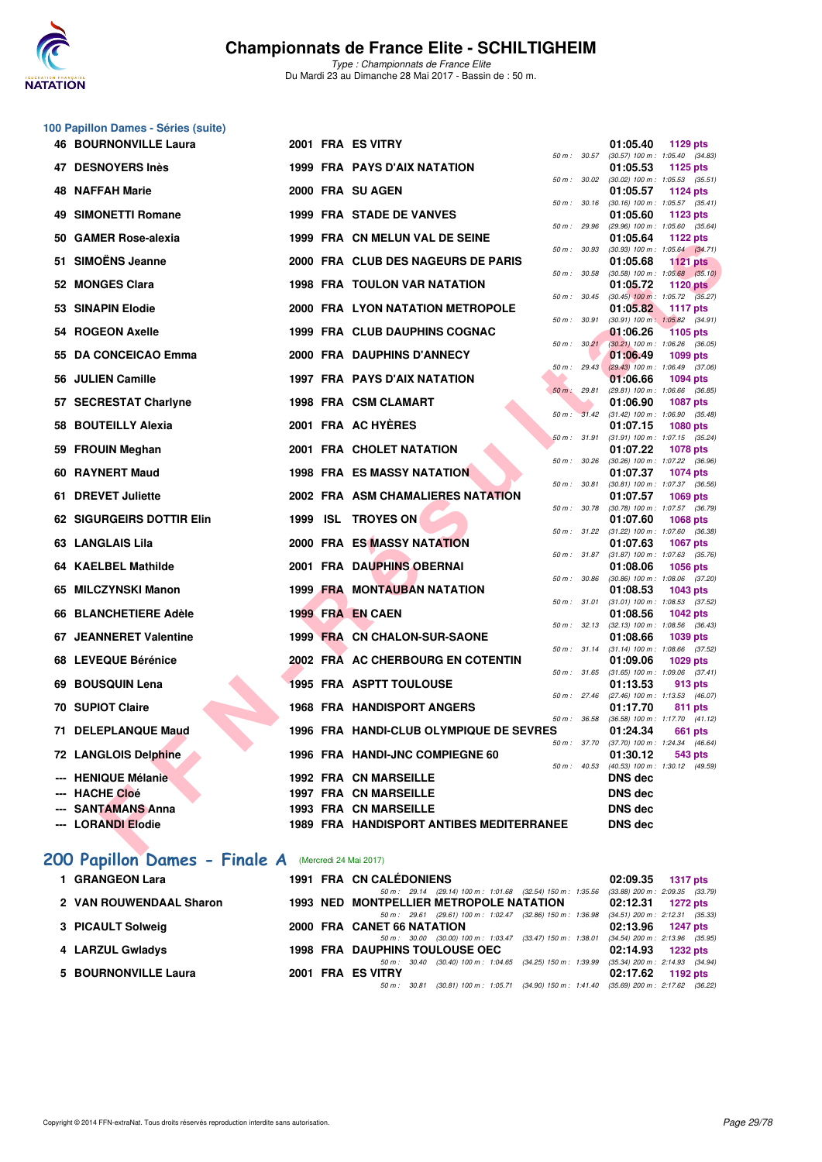

|     | 100 Papillon Dames - Séries (suite) |  |                                                 |              |              |                                                                             |
|-----|-------------------------------------|--|-------------------------------------------------|--------------|--------------|-----------------------------------------------------------------------------|
|     | <b>46 BOURNONVILLE Laura</b>        |  | 2001 FRA ES VITRY                               |              | 50 m : 30.57 | 01:05.40<br>1129 pts<br>$(30.57)$ 100 m : 1:05.40 $(34.83)$                 |
|     | 47 DESNOYERS Inès                   |  | 1999 FRA PAYS D'AIX NATATION                    | 50 m : 30.02 |              | 01:05.53<br>1125 pts<br>$(30.02)$ 100 m : 1:05.53 $(35.51)$                 |
|     | 48 NAFFAH Marie                     |  | 2000 FRA SU AGEN                                |              |              | 01:05.57<br><b>1124 pts</b>                                                 |
|     | 49 SIMONETTI Romane                 |  | <b>1999 FRA STADE DE VANVES</b>                 | 50 m: 30.16  |              | $(30.16)$ 100 m : 1:05.57 $(35.41)$<br>01:05.60<br>1123 pts                 |
|     |                                     |  |                                                 | 50 m: 29.96  |              | (29.96) 100 m: 1:05.60 (35.64)                                              |
|     | 50 GAMER Rose-alexia                |  | 1999 FRA CN MELUN VAL DE SEINE                  | 50 m: 30.93  |              | 01:05.64<br>1122 $pts$<br>$(30.93)$ 100 m : 1:05.64 $(34.71)$               |
|     | 51 SIMOËNS Jeanne                   |  | 2000 FRA CLUB DES NAGEURS DE PARIS              | 50 m: 30.58  |              | 01:05.68<br><b>1121 pts</b><br>$(30.58)$ 100 m : 1:05.68 $(35.10)$          |
|     | 52 MONGES Clara                     |  | 1998 FRA TOULON VAR NATATION                    |              | 50 m : 30.45 | 01:05.72<br>1120 $pts$<br>$(30.45)$ 100 m : 1:05.72 $(35.27)$               |
|     | 53 SINAPIN Elodie                   |  | <b>2000 FRA LYON NATATION METROPOLE</b>         | 50 m: 30.91  |              | 01:05.82<br><b>1117 pts</b><br>$(30.91)$ 100 m : 1:05.82 $(34.91)$          |
|     | 54 ROGEON Axelle                    |  | 1999 FRA CLUB DAUPHINS COGNAC                   |              |              | 01:06.26<br><b>1105 pts</b>                                                 |
| 55. | <b>DA CONCEICAO Emma</b>            |  | 2000 FRA DAUPHINS D'ANNECY                      |              | 50 m: 30.21  | (30.21) 100 m: 1:06.26 (36.05)<br>01:06.49<br>1099 pts                      |
|     | 56 JULIEN Camille                   |  | 1997 FRA PAYS D'AIX NATATION                    | 50 m: 29.43  |              | $(29.43)$ 100 m : 1:06.49 $(37.06)$<br>01:06.66<br><b>1094 pts</b>          |
|     |                                     |  |                                                 | 50 m: 29.81  |              | (29.81) 100 m: 1:06.66 (36.85)                                              |
|     | 57 SECRESTAT Charlyne               |  | 1998 FRA CSM CLAMART                            |              |              | 01:06.90<br><b>1087 pts</b><br>50 m : 31.42 (31.42) 100 m : 1:06.90 (35.48) |
|     | 58 BOUTEILLY Alexia                 |  | 2001 FRA AC HYERES                              |              |              | 01:07.15<br><b>1080 pts</b>                                                 |
|     |                                     |  |                                                 |              | 50 m: 31.91  | (31.91) 100 m: 1:07.15 (35.24)                                              |
|     | 59 FROUIN Meghan                    |  | 2001 FRA CHOLET NATATION                        |              | 50 m : 30.26 | 01:07.22<br><b>1078 pts</b><br>(30.26) 100 m : 1:07.22 (36.96)              |
|     | 60 RAYNERT Maud                     |  | <b>1998 FRA ES MASSY NATATION</b>               | 50 m: 30.81  |              | 01:07.37<br><b>1074 pts</b><br>$(30.81)$ 100 m : 1:07.37 $(36.56)$          |
|     | 61 DREVET Juliette                  |  | 2002 FRA ASM CHAMALIERES NATATION               |              |              | 01:07.57<br><b>1069 pts</b>                                                 |
|     | 62 SIGURGEIRS DOTTIR Elin           |  | 1999 ISL TROYES ON                              | 50 m : 30.78 |              | (30.78) 100 m : 1:07.57 (36.79)<br>01:07.60<br><b>1068 pts</b>              |
|     | 63 LANGLAIS Lila                    |  | 2000 FRA ES MASSY NATATION                      |              | 50 m : 31.22 | $(31.22)$ 100 m : 1:07.60 $(36.38)$<br>01:07.63<br>1067 pts                 |
|     | 64 KAELBEL Mathilde                 |  | 2001 FRA DAUPHINS OBERNAI                       |              | 50 m : 31.87 | $(31.87)$ 100 m : 1:07.63 $(35.76)$<br>01:08.06<br><b>1056 pts</b>          |
|     |                                     |  |                                                 |              | 50 m : 30.86 | $(30.86)$ 100 m : 1:08.06 $(37.20)$                                         |
|     | 65 MILCZYNSKI Manon                 |  | <b>1999 FRA MONTAUBAN NATATION</b>              |              | 50 m : 31.01 | 01:08.53<br>1043 pts<br>$(31.01)$ 100 m : 1:08.53 $(37.52)$                 |
|     | 66 BLANCHETIERE Adèle               |  | 1999 FRA EN CAEN                                |              |              | 01:08.56<br>1042 pts                                                        |
|     | 67 JEANNERET Valentine              |  | 1999 FRA CN CHALON-SUR-SAONE                    |              | 50 m: 32.13  | $(32.13)$ 100 m : 1:08.56 $(36.43)$<br>01:08.66<br>1039 pts                 |
|     |                                     |  |                                                 | 50 m: 31.14  |              | $(31.14)$ 100 m : 1:08.66 $(37.52)$                                         |
|     | 68 LEVEQUE Bérénice                 |  | 2002 FRA AC CHERBOURG EN COTENTIN               |              | 50 m : 31.65 | 01:09.06<br>1029 pts<br>$(31.65)$ 100 m : 1:09.06 $(37.41)$                 |
| 69  | <b>BOUSQUIN Lena</b>                |  | <b>1995 FRA ASPTT TOULOUSE</b>                  |              |              | 01:13.53<br>913 pts                                                         |
|     | <b>70 SUPIOT Claire</b>             |  | <b>1968 FRA HANDISPORT ANGERS</b>               |              |              | 50 m: 27.46 (27.46) 100 m: 1:13.53 (46.07)<br>01:17.70<br>811 pts           |
|     |                                     |  |                                                 | 50 m : 36.58 |              | (36.58) 100 m: 1:17.70 (41.12)                                              |
|     | 71 DELEPLANQUE Maud                 |  | 1996 FRA HANDI-CLUB OLYMPIQUE DE SEVRES         |              |              | 01:24.34<br>661 pts<br>50 m : 37.70 (37.70) 100 m : 1:24.34 (46.64)         |
|     | 72 LANGLOIS Delphine                |  | 1996 FRA HANDI-JNC COMPIEGNE 60                 |              |              | 01:30.12<br>543 pts                                                         |
|     | --- HENIQUE Mélanie                 |  | 1992 FRA CN MARSEILLE                           |              | 50 m : 40.53 | (40.53) 100 m: 1:30.12 (49.59)<br><b>DNS</b> dec                            |
|     | --- HACHE Cloé                      |  | <b>1997 FRA CN MARSEILLE</b>                    |              |              | <b>DNS dec</b>                                                              |
|     | <b>SANTAMANS Anna</b>               |  | 1993 FRA CN MARSEILLE                           |              |              | <b>DNS dec</b>                                                              |
|     | --- LORANDI Elodie                  |  | <b>1989 FRA HANDISPORT ANTIBES MEDITERRANEE</b> |              |              | <b>DNS dec</b>                                                              |
|     | 200 Papillon Dames - Finale A       |  | (Mercredi 24 Mai 2017)                          |              |              |                                                                             |

| 1 GRANGEON Lara         |  | 1991 FRA CN CALÉDONIENS                                                                                                | 02:09.35 1317 pts                                          |
|-------------------------|--|------------------------------------------------------------------------------------------------------------------------|------------------------------------------------------------|
| 2 VAN ROUWENDAAL Sharon |  | 50 m: 29.14 (29.14) 100 m: 1:01.68 (32.54) 150 m: 1:35.56<br><b>1993 NED MONTPELLIER METROPOLE NATATION</b>            | $(33.88)$ 200 m : 2:09.35 $(33.79)$<br>$02:12.31$ 1272 pts |
| 3 PICAULT Solweig       |  | 50 m: 29.61 (29.61) 100 m: 1:02.47 (32.86) 150 m: 1:36.98 (34.51) 200 m: 2:12.31 (35.33)<br>2000 FRA CANET 66 NATATION | 02:13.96 1247 pts                                          |
| 4 LARZUL Gwladys        |  | (30.00) 100 m : 1:03.47 (33.47) 150 m : 1:38.01<br>50 m : 30.00<br><b>1998 FRA DAUPHINS TOULOUSE OEC</b>               | $(34.54)$ 200 m : 2:13.96 $(35.95)$<br>02:14.93 1232 pts   |
| 5 BOURNONVILLE Laura    |  | (30.40) 100 m : 1:04.65 (34.25) 150 m : 1:39.99<br>50 m : 30.40<br>2001 FRA ES VITRY                                   | $(35.34)$ 200 m : 2:14.93 $(34.94)$<br>$02:17.62$ 1192 pts |
|                         |  | (30.81) 100 m: 1:05.71 (34.90) 150 m: 1:41.40 (35.69) 200 m: 2:17.62 (36.22)<br>50 m : 30.81                           |                                                            |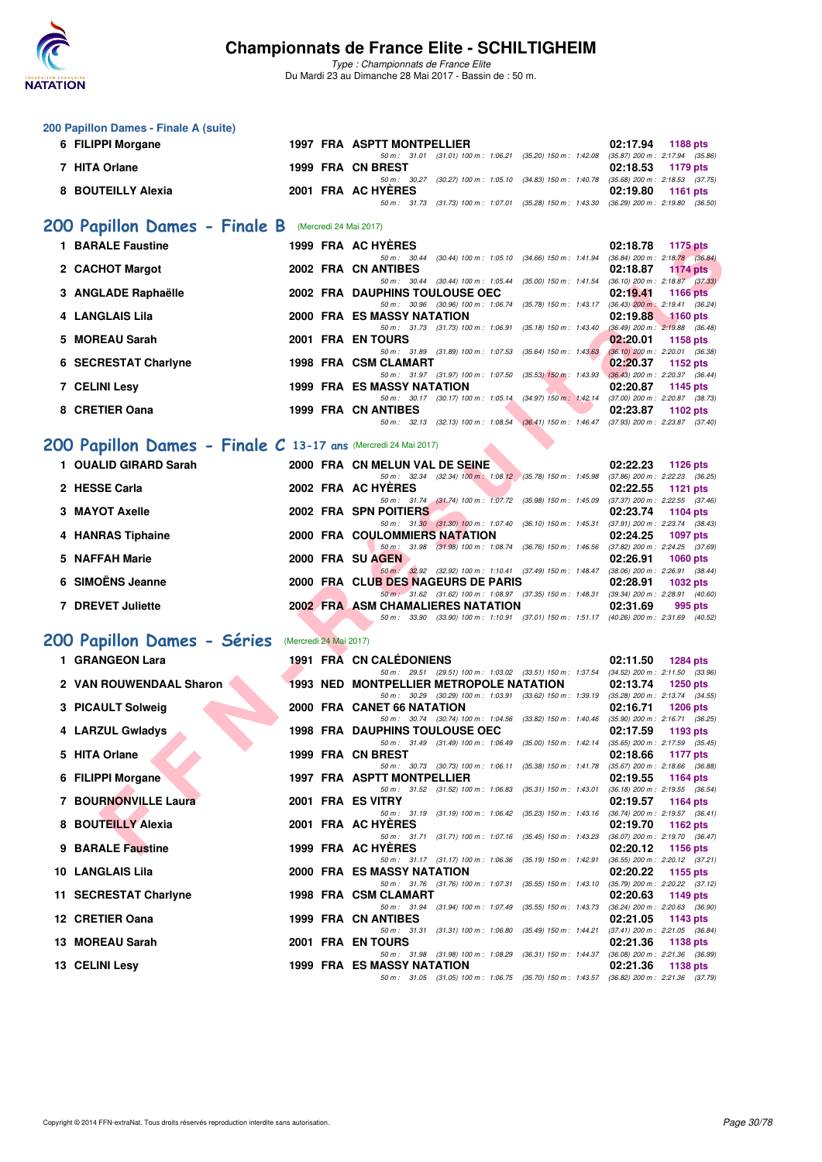

| 200 Papillon Dames - Finale A (suite)                                                   |                        |                                                                                                                                   |                                                               |
|-----------------------------------------------------------------------------------------|------------------------|-----------------------------------------------------------------------------------------------------------------------------------|---------------------------------------------------------------|
| 6 FILIPPI Morgane                                                                       |                        | 1997 FRA ASPTT MONTPELLIER                                                                                                        | 02:17.94<br>1188 pts                                          |
| 7 HITA Orlane                                                                           |                        | 50 m: 31.01 (31.01) 100 m: 1:06.21 (35.20) 150 m: 1:42.08<br>1999 FRA CN BREST                                                    | $(35.87)$ 200 m : 2:17.94 $(35.86)$<br>02:18.53<br>1179 pts   |
| 8 BOUTEILLY Alexia                                                                      |                        | 50 m: 30.27 (30.27) 100 m: 1:05.10 (34.83) 150 m: 1:40.78 (35.68) 200 m: 2:18.53 (37.75)<br>2001 FRA AC HYERES                    | 02:19.80<br>1161 pts                                          |
|                                                                                         |                        | 50 m: 31.73 (31.73) 100 m: 1:07.01 (35.28) 150 m: 1:43.30 (36.29) 200 m: 2:19.80 (36.50)                                          |                                                               |
| 200 Papillon Dames - Finale B                                                           |                        | (Mercredi 24 Mai 2017)                                                                                                            |                                                               |
| <b>1 BARALE Faustine</b>                                                                |                        | 1999 FRA AC HYERES                                                                                                                | 02:18.78<br>1175 pts                                          |
| 2 CACHOT Margot                                                                         |                        | 50 m: 30.44 (30.44) 100 m: 1:05.10 (34.66) 150 m: 1:41.94 (36.84) 200 m: 2:18.78 (36.84)<br>2002 FRA CN ANTIBES                   | 02:18.87<br>1174 pts                                          |
|                                                                                         |                        | 50 m: 30.44 (30.44) 100 m: 1:05.44 (35.00) 150 m: 1:41.54 (36.10) 200 m: 2:18.87 (37.33)                                          |                                                               |
| 3 ANGLADE Raphaëlle                                                                     |                        | 2002 FRA DAUPHINS TOULOUSE OEC<br>50 m: 30.96 (30.96) 100 m: 1:06.74 (35.78) 150 m: 1:43.17 (36.43) 200 m: 2:19.41 (36.24)        | 02:19.41<br><b>1166 pts</b>                                   |
| 4 LANGLAIS Lila                                                                         |                        | <b>2000 FRA ES MASSY NATATION</b><br>50 m: 31.73 (31.73) 100 m: 1:06.91 (35.18) 150 m: 1:43.40                                    | 02:19.88<br>$1160$ pts<br>$(36.49)$ 200 m : 2:19.88 $(36.48)$ |
| <b>MOREAU Sarah</b><br>5.                                                               |                        | 2001 FRA EN TOURS                                                                                                                 | 02:20.01<br>1158 pts                                          |
| 6 SECRESTAT Charlyne                                                                    |                        | 50 m: 31.89 (31.89) 100 m: 1:07.53 (35.64) 150 m: 1:43.63 (36.10) 200 m: 2:20.01 (36.38)<br>1998 FRA CSM CLAMART                  | 02:20.37<br>1152 pts                                          |
| 7 CELINI Lesy                                                                           |                        | 50 m: 31.97 (31.97) 100 m: 1:07.50 (35.53) 150 m: 1:43.93 (36.43) 200 m: 2:20.37 (36.44)<br><b>1999 FRA ES MASSY NATATION</b>     | 02:20.87<br>1145 pts                                          |
|                                                                                         |                        | 50 m: 30.17 (30.17) 100 m: 1:05.14 (34.97) 150 m: 1:42.14 (37.00) 200 m: 2:20.87 (38.73)                                          |                                                               |
| 8 CRETIER Oana                                                                          |                        | 1999 FRA CN ANTIBES<br>50 m: 32.13 (32.13) 100 m: 1:08.54 (36.41) 150 m: 1:46.47 (37.93) 200 m: 2:23.87 (37.40)                   | 02:23.87<br>1102 $pts$                                        |
|                                                                                         |                        |                                                                                                                                   |                                                               |
| 200 Papillon Dames - Finale C 13-17 ans (Mercredi 24 Mai 2017)<br>1 OUALID GIRARD Sarah |                        | 2000 FRA CN MELUN VAL DE SEINE                                                                                                    | 02:22.23                                                      |
|                                                                                         |                        | 50 m: 32.34 (32.34) 100 m: 1:08.12 (35.78) 150 m: 1:45.98 (37.86) 200 m: 2:22.23 (36.25)                                          | 1126 pts                                                      |
| 2 HESSE Carla                                                                           |                        | 2002 FRA AC HYERES<br>50 m: 31.74 (31.74) 100 m: 1:07.72 (35.98) 150 m: 1:45.09 (37.37) 200 m: 2:22.55 (37.46)                    | 02:22.55<br>1121 $pts$                                        |
| 3 MAYOT Axelle                                                                          |                        | 2002 FRA SPN POITIERS                                                                                                             | 02:23.74<br>1104 pts                                          |
| 4 HANRAS Tiphaine                                                                       |                        | 50 m: 31.30 (31.30) 100 m: 1:07.40 (36.10) 150 m: 1:45.31 (37.91) 200 m: 2:23.74 (38.43)<br><b>2000 FRA COULOMMIERS NATATION</b>  | 02:24.25<br><b>1097 pts</b>                                   |
| 5 NAFFAH Marie                                                                          |                        | 50 m: 31.98 (31.98) 100 m: 1:08.74 (36.76) 150 m: 1:46.56 (37.82) 200 m: 2:24.25 (37.69)<br>2000 FRA SU AGEN                      | 02:26.91<br><b>1060 pts</b>                                   |
|                                                                                         |                        | 50 m: 32.92 (32.92) 100 m: 1:10.41 (37.49) 150 m: 1:48.47 (38.06) 200 m: 2:26.91 (38.44)                                          |                                                               |
| 6 SIMOËNS Jeanne                                                                        |                        | 2000 FRA CLUB DES NAGEURS DE PARIS<br>50 m: 31.62 (31.62) 100 m: 1:08.97 (37.35) 150 m: 1:48.31 (39.34) 200 m: 2:28.91 (40.60)    | 02:28.91<br><b>1032 pts</b>                                   |
| 7 DREVET Juliette                                                                       |                        | 2002 FRA ASM CHAMALIERES NATATION                                                                                                 | 02:31.69<br>995 pts                                           |
|                                                                                         |                        | 50 m: 33.90 (33.90) 100 m: 1:10.91 (37.01) 150 m: 1:51.17 (40.26) 200 m: 2:31.69 (40.52)                                          |                                                               |
| 200 Papillon Dames - Séries                                                             | (Mercredi 24 Mai 2017) |                                                                                                                                   |                                                               |
| 1 GRANGEON Lara                                                                         |                        | 1991 FRA CN CALEDONIENS<br>50 m: 29.51 (29.51) 100 m: 1:03.02 (33.51) 150 m: 1:37.54 (34.52) 200 m: 2:11.50 (33.96)               | 02:11.50<br><b>1284 pts</b>                                   |
| 2 VAN ROUWENDAAL Sharon                                                                 |                        | <b>1993 NED MONTPELLIER METROPOLE NATATION</b>                                                                                    | 02:13.74<br><b>1250 pts</b>                                   |
| 3 PICAULT Solweig                                                                       |                        | 50 m: 30.29 (30.29) 100 m: 1:03.91 (33.62) 150 m: 1:39.19 (35.28) 200 m: 2:13.74 (34.55)<br>2000 FRA CANET 66 NATATION            | 02:16.71<br>$1206$ pts                                        |
| 4 LARZUL Gwladys                                                                        |                        | 50 m: 30.74 (30.74) 100 m: 1:04.56 (33.82) 150 m: 1:40.46 (35.90) 200 m: 2:16.71 (36.25)<br><b>1998 FRA DAUPHINS TOULOUSE OEC</b> | 02:17.59<br>1193 pts                                          |
|                                                                                         |                        | 50 m : 31.49 (31.49) 100 m : 1:06.49 (35.00) 150 m : 1:42.14 (35.65) 200 m : 2:17.59 (35.45)                                      |                                                               |
| 5 HITA Orlane                                                                           |                        | 1999 FRA CN BREST<br>50 m: 30.73 (30.73) 100 m: 1:06.11 (35.38) 150 m: 1:41.78 (35.67) 200 m: 2:18.66 (36.88)                     | 02:18.66<br>1177 pts                                          |
| 6 FILIPPI Morgane                                                                       |                        | 1997 FRA ASPTT MONTPELLIER                                                                                                        | 02:19.55<br>1164 pts                                          |
| 7 BOURNONVILLE Laura                                                                    |                        | 50 m: 31.52 (31.52) 100 m: 1:06.83 (35.31) 150 m: 1:43.01<br>2001 FRA ES VITRY                                                    | $(36.18)$ 200 m : 2:19.55 $(36.54)$<br>02:19.57<br>1164 pts   |
| 8 BOUTEILLY Alexia                                                                      |                        | 50 m: 31.19 (31.19) 100 m: 1:06.42 (35.23) 150 m: 1:43.16 (36.74) 200 m: 2:19.57 (36.41)<br>2001 FRA AC HYERES                    | 02:19.70<br>1162 pts                                          |
|                                                                                         |                        | 50 m: 31.71 (31.71) 100 m: 1:07.16 (35.45) 150 m: 1:43.23                                                                         | $(36.07)$ 200 m : 2:19.70 $(36.47)$                           |
| 9 BARALE Faustine                                                                       |                        | 1999 FRA AC HYERES<br>50 m: 31.17 (31.17) 100 m: 1:06.36 (35.19) 150 m: 1:42.91                                                   | 02:20.12<br>1156 pts<br>$(36.55)$ 200 m : 2:20.12 $(37.21)$   |
| 10 LANGLAIS Lila                                                                        |                        | 2000 FRA ES MASSY NATATION                                                                                                        | 02:20.22<br>1155 pts                                          |
| 11 SECRESTAT Charlyne                                                                   |                        | 50 m : 31.76 (31.76) 100 m : 1:07.31 (35.55) 150 m : 1:43.10<br>1998 FRA CSM CLAMART                                              | (35.79) 200 m : 2:20.22 (37.12)<br>02:20.63<br>1149 pts       |
| 12 CRETIER Oana                                                                         |                        | 50 m: 31.94 (31.94) 100 m: 1:07.49 (35.55) 150 m: 1:43.73<br>1999 FRA CN ANTIBES                                                  | $(36.24)$ 200 m : 2:20.63 $(36.90)$<br>02:21.05<br>1143 pts   |
|                                                                                         |                        | 50 m: 31.31 (31.31) 100 m: 1:06.80 (35.49) 150 m: 1:44.21                                                                         | $(37.41)$ 200 m : 2:21.05 $(36.84)$                           |
| 13 MOREAU Sarah                                                                         |                        | 2001 FRA EN TOURS<br>50 m: 31.98 (31.98) 100 m: 1:08.29 (36.31) 150 m: 1:44.37 (36.08) 200 m: 2:21.36 (36.99)                     | 02:21.36<br>1138 pts                                          |
| 13 CELINI Lesy                                                                          |                        | 1999 FRA ES MASSY NATATION                                                                                                        | 02:21.36<br>1138 pts                                          |
|                                                                                         |                        | 50 m: 31.05 (31.05) 100 m: 1:06.75 (35.70) 150 m: 1:43.57 (36.82) 200 m: 2:21.36 (37.79)                                          |                                                               |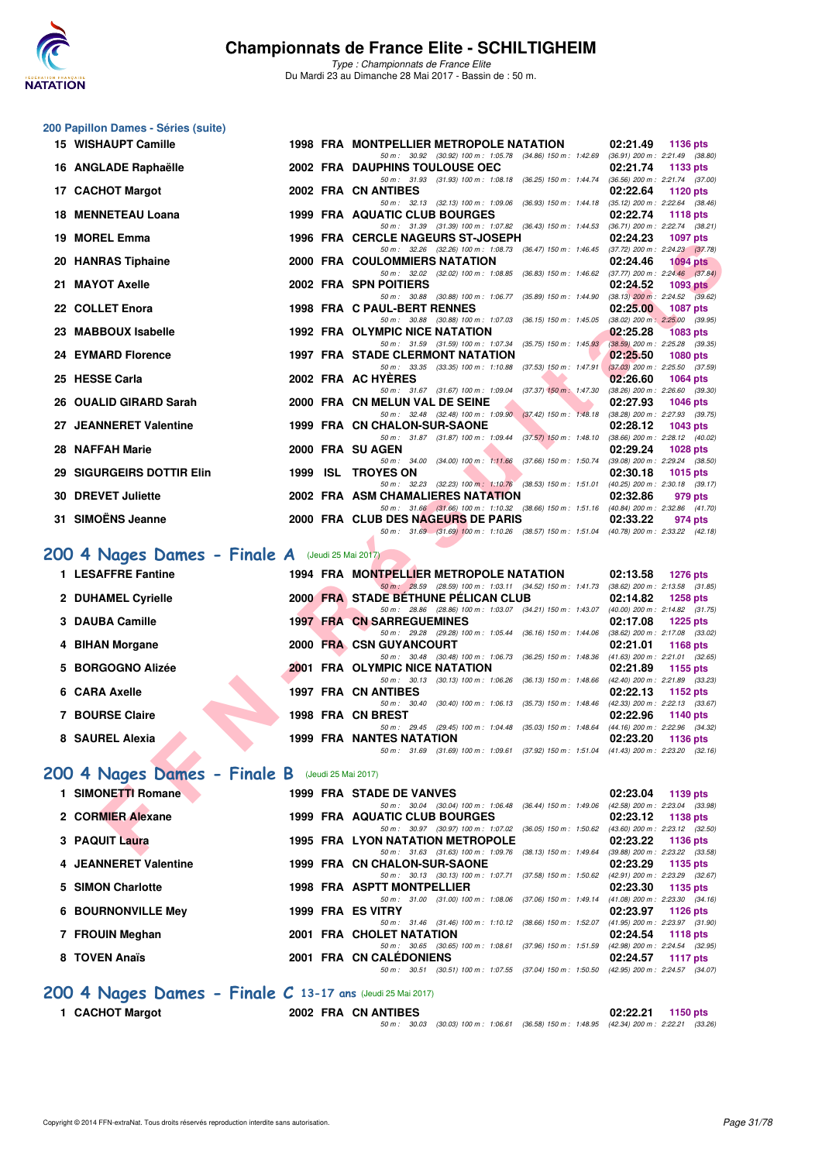

## **200 Papillon Dames - Séries (suite)**

| 15 WISHAUPT Camille                               |  | 1998 FRA MONTPELLIER METROPOLE NATATION                                                                                          | 02:21.49<br>1136 pts        |
|---------------------------------------------------|--|----------------------------------------------------------------------------------------------------------------------------------|-----------------------------|
| 16 ANGLADE Raphaëlle                              |  | 50 m: 30.92 (30.92) 100 m: 1:05.78 (34.86) 150 m: 1:42.69 (36.91) 200 m: 2:21.49 (38.80)<br>2002 FRA DAUPHINS TOULOUSE OEC       | 02:21.74<br>1133 pts        |
| 17 CACHOT Margot                                  |  | 50 m: 31.93 (31.93) 100 m: 1:08.18 (36.25) 150 m: 1:44.74 (36.56) 200 m: 2:21.74 (37.00)<br>2002 FRA CN ANTIBES                  | 02:22.64<br>1120 pts        |
|                                                   |  | 50 m: 32.13 (32.13) 100 m: 1:09.06 (36.93) 150 m: 1:44.18 (35.12) 200 m: 2:22.64 (38.46)                                         |                             |
| <b>18 MENNETEAU Loana</b>                         |  | <b>1999 FRA AQUATIC CLUB BOURGES</b><br>50 m: 31.39 (31.39) 100 m: 1:07.82 (36.43) 150 m: 1:44.53 (36.71) 200 m: 2:22.74 (38.21) | 02:22.74<br><b>1118 pts</b> |
| 19 MOREL Emma                                     |  | <b>1996 FRA CERCLE NAGEURS ST-JOSEPH</b>                                                                                         | 02:24.23<br><b>1097 pts</b> |
| 20 HANRAS Tiphaine                                |  | 50 m: 32.26 (32.26) 100 m: 1:08.73 (36.47) 150 m: 1:46.45 (37.72) 200 m: 2:24.23 (37.78)<br>2000 FRA COULOMMIERS NATATION        | 02:24.46                    |
|                                                   |  | 50 m: 32.02 (32.02) 100 m: 1:08.85 (36.83) 150 m: 1:46.62 (37.77) 200 m: 2:24.46 (37.84)                                         | $1094$ pts                  |
| 21 MAYOT Axelle                                   |  | 2002 FRA SPN POITIERS                                                                                                            | 02:24.52<br>1093 pts        |
| 22 COLLET Enora                                   |  | 50 m: 30.88 (30.88) 100 m: 1:06.77 (35.89) 150 m: 1:44.90 (38.13) 200 m: 2:24.52 (39.62)<br>1998 FRA C PAUL-BERT RENNES          | 02:25.00<br>1087 pts        |
|                                                   |  | 50 m: 30.88 (30.88) 100 m: 1:07.03 (36.15) 150 m: 1:45.05 (38.02) 200 m: 2:25.00 (39.95)                                         |                             |
| 23 MABBOUX Isabelle                               |  | 1992 FRA OLYMPIC NICE NATATION<br>50 m: 31.59 (31.59) 100 m: 1:07.34 (35.75) 150 m: 1:45.93 (38.59) 200 m: 2:25.28 (39.35)       | 02:25.28<br><b>1083 pts</b> |
| 24 EYMARD Florence                                |  | <b>1997 FRA STADE CLERMONT NATATION</b>                                                                                          | 02:25.50<br>1080 pts        |
| 25 HESSE Carla                                    |  | 50 m: 33.35 (33.35) 100 m: 1:10.88 (37.53) 150 m: 1:47.91 (37.03) 200 m: 2:25.50 (37.59)<br>2002 FRA AC HYERES                   |                             |
|                                                   |  | 50 m: 31.67 (31.67) 100 m: 1:09.04 (37.37) 150 m: 1:47.30 (38.26) 200 m: 2:26.60 (39.30)                                         | 02:26.60<br><b>1064 pts</b> |
| 26 OUALID GIRARD Sarah                            |  | 2000 FRA CN MELUN VAL DE SEINE                                                                                                   | 02:27.93<br><b>1046 pts</b> |
| 27 JEANNERET Valentine                            |  | 50 m: 32.48 (32.48) 100 m: 1:09.90 (37.42) 150 m: 1:48.18 (38.28) 200 m: 2:27.93 (39.75)<br>1999 FRA CN CHALON-SUR-SAONE         | 02:28.12<br>1043 pts        |
|                                                   |  | 50 m: 31.87 (31.87) 100 m: 1:09.44 (37.57) 150 m: 1:48.10 (38.66) 200 m: 2:28.12 (40.02)                                         |                             |
| 28 NAFFAH Marie                                   |  | 2000 FRA SU AGEN<br>50 m: 34.00 (34.00) 100 m: 1:11.66 (37.66) 150 m: 1:50.74 (39.08) 200 m: 2:29.24 (38.50)                     | 02:29.24<br><b>1028 pts</b> |
| 29 SIGURGEIRS DOTTIR Elin                         |  | 1999 ISL TROYES ON                                                                                                               | 02:30.18<br>1015 pts        |
|                                                   |  | 50 m: 32.23 (32.23) 100 m: 1:10.76 (38.53) 150 m: 1:51.01 (40.25) 200 m: 2:30.18 (39.17)                                         |                             |
| 30 DREVET Juliette                                |  | 2002 FRA ASM CHAMALIERES NATATION<br>50 m: 31.66 (31.66) 100 m: 1:10.32 (38.66) 150 m: 1:51.16 (40.84) 200 m: 2:32.86 (41.70)    | 02:32.86<br>979 pts         |
| 31 SIMOËNS Jeanne                                 |  | 2000 FRA CLUB DES NAGEURS DE PARIS                                                                                               | 02:33.22<br>974 pts         |
|                                                   |  | 50 m: 31.69 (31.69) 100 m: 1:10.26 (38.57) 150 m: 1:51.04 (40.78) 200 m: 2:33.22 (42.18)                                         |                             |
| $1004$ Nages Dames - Finale A (Jeudi 25 Mai 2017) |  |                                                                                                                                  |                             |
| 1 LESAFFRE Fantine                                |  | 1994 FRA MONTPELLIER METROPOLE NATATION                                                                                          | 02:13.58<br>1276 pts        |
|                                                   |  | 50 m: 28.59 (28.59) 100 m: 1:03.11 (34.52) 150 m: 1:41.73 (38.62) 200 m: 2:13.58 (31.85)                                         |                             |
| 2 DUHAMEL Cyrielle                                |  | 2000 FRA STADE BETHUNE PELICAN CLUB<br>50 m: 28.86 (28.86) 100 m: 1:03.07 (34.21) 150 m: 1:43.07 (40.00) 200 m: 2:14.82 (31.75)  | 02:14.82<br><b>1258 pts</b> |
| 3 DAUBA Camille                                   |  | <b>1997 FRA CN SARREGUEMINES</b>                                                                                                 | 02:17.08<br><b>1225 pts</b> |
| 4 BIHAN Morgane                                   |  | 50 m: 29.28 (29.28) 100 m: 1:05.44 (36.16) 150 m: 1:44.06 (38.62) 200 m: 2:17.08 (33.02)<br><b>2000 FRA CSN GUYANCOURT</b>       | 02:21.01<br><b>1168 pts</b> |
|                                                   |  | 50 m: 30.48 (30.48) 100 m: 1:06.73 (36.25) 150 m: 1:48.36 (41.63) 200 m: 2:21.01 (32.65)                                         |                             |
| 5 BORGOGNO Alizée                                 |  | 2001 FRA OLYMPIC NICE NATATION                                                                                                   | 02:21.89<br>1155 pts        |
| 6 CARA Axelle                                     |  | 50 m: 30.13 (30.13) 100 m: 1:06.26 (36.13) 150 m: 1:48.66 (42.40) 200 m: 2:21.89 (33.23)<br>1997 FRA CN ANTIBES                  | 02:22.13<br>1152 pts        |
|                                                   |  | 50 m: 30.40 (30.40) 100 m: 1:06.13 (35.73) 150 m: 1:48.46 (42.33) 200 m: 2:22.13 (33.67)                                         |                             |
| 7 BOURSE Claire                                   |  | 1998 FRA CN BREST<br>50 m: 29.45 (29.45) 100 m: 1:04.48 (35.03) 150 m: 1:48.64 (44.16) 200 m: 2:22.96 (34.32)                    | 02:22.96<br>1140 pts        |
| 8 SAUREL Alexia                                   |  | <b>1999 FRA NANTES NATATION</b>                                                                                                  | 02:23.20<br>1136 pts        |
|                                                   |  | 50 m: 31.69 (31.69) 100 m: 1:09.61 (37.92) 150 m: 1:51.04 (41.43) 200 m: 2:23.20 (32.16)                                         |                             |
| 100 4 Nages Dames - Finale B (Jeudi 25 Mai 2017)  |  |                                                                                                                                  |                             |
| 1 SIMONETTI Romane                                |  | 1999 FRA STADE DE VANVES                                                                                                         | 02:23.04<br>1139 pts        |
|                                                   |  | 50 m: 30.04 (30.04) 100 m: 1:06.48 (36.44) 150 m: 1:49.06 (42.58) 200 m: 2:23.04 (33.98)                                         |                             |
| 2 CORMIER Alexane                                 |  | <b>1999 FRA AQUATIC CLUB BOURGES</b><br>50 m: 30.97 (30.97) 100 m: 1:07.02 (36.05) 150 m: 1:50.62 (43.60) 200 m: 2:23.12 (32.50) | 02:23.12<br>1138 pts        |
| 3 PAQUIT Laura                                    |  | 1995 FRA LYON NATATION METROPOLE                                                                                                 | 02:23.22<br>1136 pts        |
|                                                   |  | 50 m; 31.63 (31.63) 100 m; 1:09.76 (38.13) 150 m; 1:49.64 (39.88) 200 m; 2:23.22 (33.58)                                         |                             |

## [200 4 Nages Dames - Finale A](http://www.ffnatation.fr/webffn/resultats.php?idact=nat&go=epr&idcpt=45075&idepr=41) (Jeudi 25 Mai 2017)

| 1 LESAFFRE Fantine |  | <b>1994 FRA MONTPELLIER METROPOLE NATATION</b>                                                           | 02:13.58 | 1276 pts                                          |
|--------------------|--|----------------------------------------------------------------------------------------------------------|----------|---------------------------------------------------|
| 2 DUHAMEL Cyrielle |  | 50 m: 28.59 (28.59) 100 m: 1:03.11 (34.52) 150 m: 1:41.73<br>2000 FRA STADE BETHUNE PELICAN CLUB         | 02:14.82 | (38.62) 200 m : 2:13.58 (31.85<br>1258 pts        |
|                    |  | 50 m: 28.86 (28.86) 100 m: 1:03.07 (34.21) 150 m: 1:43.07                                                |          | (40.00) 200 m : 2:14.82 (31.75                    |
| 3 DAUBA Camille    |  | <b>1997 FRA CN SARREGUEMINES</b><br>50 m: 29.28 (29.28) 100 m: 1:05.44 (36.16) 150 m: 1:44.06            | 02:17.08 | 1225 pts<br>$(38.62)$ 200 m : 2:17.08 $(33.02)$   |
| 4 BIHAN Morgane    |  | 2000 FRA CSN GUYANCOURT<br>50 m: 30.48 (30.48) 100 m: 1:06.73 (36.25) 150 m: 1:48.36                     | 02:21.01 | 1168 $pts$<br>$(41.63)$ 200 m : 2:21.01 (32.65)   |
| 5 BORGOGNO Alizée  |  | <b>2001 FRA OLYMPIC NICE NATATION</b>                                                                    | 02:21.89 | 1155 pts                                          |
| 6 CARA Axelle      |  | $(30.13)$ 100 m : 1:06.26 $(36.13)$ 150 m : 1:48.66<br>$50 \, \text{m}$ : $30.13$<br>1997 FRA CN ANTIBES | 02:22.13 | (42.40) 200 m : 2:21.89 (33.23<br>1152 $pts$      |
| 7 BOURSE Claire    |  | $(30.40)$ 100 m : 1:06.13 $(35.73)$ 150 m : 1:48.46<br>$50 \text{ m}$ : $30.40$<br>1998 FRA CN BREST     | 02:22.96 | (42.33) 200 m : 2:22.13 (33.67<br><b>1140 pts</b> |
| 8 SAUREL Alexia    |  | (29.45) 100 m : 1:04.48 (35.03) 150 m : 1:48.64<br>50 m : 29.45<br><b>1999 FRA NANTES NATATION</b>       | 02:23.20 | (44.16) 200 m : 2:22.96 (34.32<br>1136 $pts$      |
|                    |  | 50 m: 31.69 (31.69) 100 m: 1:09.61 (37.92) 150 m: 1:51.04                                                |          | $(41.43)$ 200 m : 2:23.20 $(32.16)$               |

## **[200 4 Nages Dames - Finale B](http://www.ffnatation.fr/webffn/resultats.php?idact=nat&go=epr&idcpt=45075&idepr=41)** (Jeudi 25 Mai 2017)

| 1 SIMONETTI Romane        |  | <b>1999 FRA STADE DE VANVES</b>                                 | 02:23.04 | 1139 $pts$                          |
|---------------------------|--|-----------------------------------------------------------------|----------|-------------------------------------|
|                           |  | 50 m: 30.04 (30.04) 100 m: 1:06.48 (36.44) 150 m: 1:49.06       |          | (42.58) 200 m : 2:23.04 (33.98      |
| 2 CORMIER Alexane         |  | <b>1999 FRA AQUATIC CLUB BOURGES</b>                            | 02:23.12 | 1138 pts                            |
|                           |  | 50 m: 30.97 (30.97) 100 m: 1:07.02 (36.05) 150 m: 1:50.62       |          | (43.60) 200 m : 2:23.12 (32.50      |
| 3 PAQUIT Laura            |  | 1995 FRA LYON NATATION METROPOLE                                | 02:23.22 | 1136 pts                            |
|                           |  | 50 m: 31.63 (31.63) 100 m: 1:09.76 (38.13) 150 m: 1:49.64       |          | (39.88) 200 m : 2:23.22 (33.58)     |
| 4 JEANNERET Valentine     |  | 1999 FRA CN CHALON-SUR-SAONE                                    | 02:23.29 | 1135 pts                            |
|                           |  | 50 m: 30.13 (30.13) 100 m: 1:07.71 (37.58) 150 m: 1:50.62       |          | (42.91) 200 m : 2:23.29 (32.67      |
| 5 SIMON Charlotte         |  | 1998 FRA ASPTT MONTPELLIER                                      | 02:23.30 | 1135 pts                            |
|                           |  | 50 m: 31.00 (31.00) 100 m: 1:08.06 (37.06) 150 m: 1:49.14       |          | $(41.08)$ 200 m : 2:23.30 $(34.16)$ |
| <b>6 BOURNONVILLE Mey</b> |  | 1999 FRA ES VITRY                                               | 02:23.97 | 1126 pts                            |
|                           |  | 50 m: 31.46 (31.46) 100 m: 1:10.12 (38.66) 150 m: 1:52.07       |          | (41.95) 200 m : 2:23.97 (31.90      |
| 7 FROUIN Meghan           |  | 2001 FRA CHOLET NATATION                                        | 02:24.54 | 1118 $pts$                          |
|                           |  | 50 m: 30.65 (30.65) 100 m: 1:08.61 (37.96) 150 m: 1:51.59       |          | (42.98) 200 m : 2:24.54 (32.95)     |
| 8 TOVEN Anaïs             |  | 2001 FRA CN CALEDONIENS                                         | 02:24.57 | 1117 pts                            |
|                           |  | (30.51) 100 m : 1:07.55 (37.04) 150 m : 1:50.50<br>50 m : 30.51 |          | (42.95) 200 m : 2:24.57 (34.07      |
|                           |  |                                                                 |          |                                     |

## **[200 4 Nages Dames - Finale C](http://www.ffnatation.fr/webffn/resultats.php?idact=nat&go=epr&idcpt=45075&idepr=41) 13-17 ans** (Jeudi 25 Mai 2017)

**1 CACHOT Margot 2002 FRA CN ANTIBES 02:22.21 1150 pts** *50 m : 30.03 (30.03) 100 m : 1:06.61 (36.58) 150 m : 1:48.95 (42.34) 200 m : 2:22.21 (33.26)*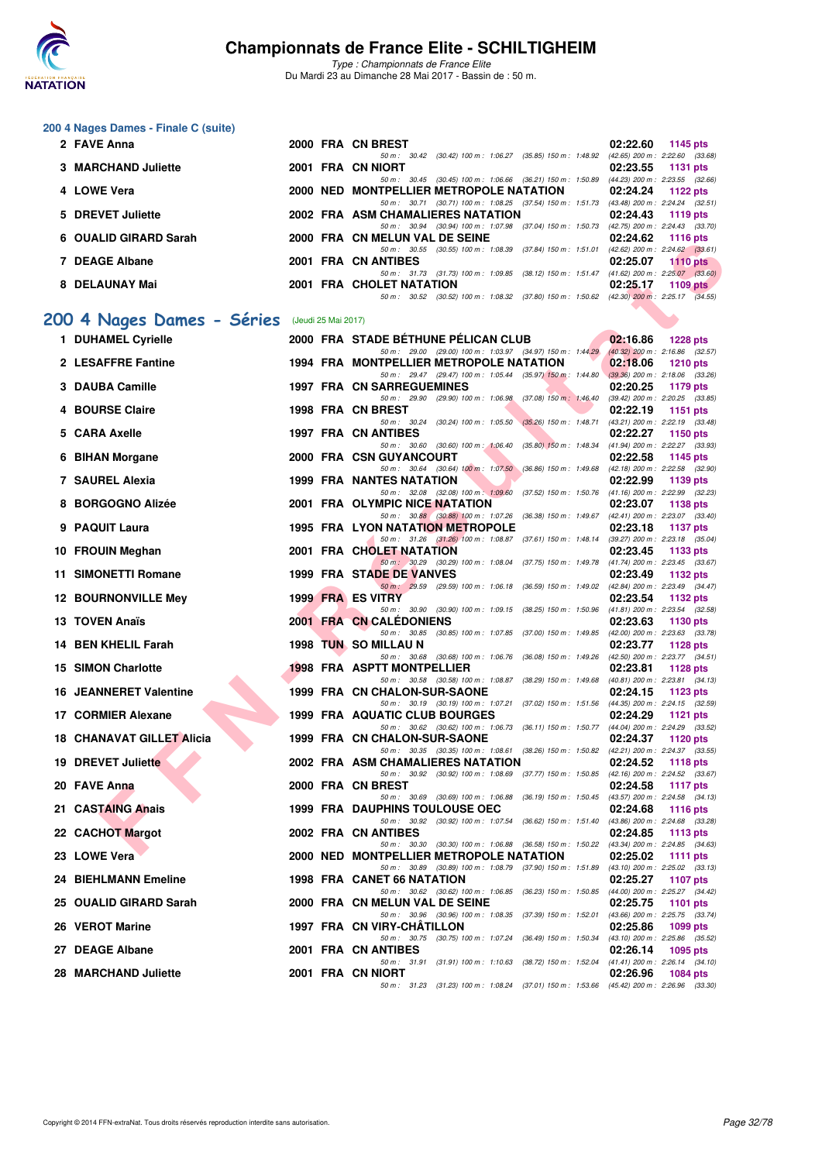

|    | 200 4 Nages Dames - Finale C (suite) |      |                     |                                                                                                                               |                                                                    |
|----|--------------------------------------|------|---------------------|-------------------------------------------------------------------------------------------------------------------------------|--------------------------------------------------------------------|
|    | 2 FAVE Anna                          |      |                     | 2000 FRA CN BREST                                                                                                             | 02:22.60<br>1145 pts                                               |
|    | 3 MARCHAND Juliette                  |      |                     | 50 m: 30.42 (30.42) 100 m: 1:06.27 (35.85) 150 m: 1:48.92 (42.65) 200 m: 2:22.60 (33.68)<br>2001 FRA CN NIORT                 | 02:23.55<br>1131 pts                                               |
|    | 4 LOWE Vera                          |      |                     | 50 m : 30.45 (30.45) 100 m : 1:06.66 (36.21) 150 m : 1:50.89<br>2000 NED MONTPELLIER METROPOLE NATATION                       | (44.23) 200 m : 2:23.55 (32.66)<br>02:24.24<br>1122 pts            |
|    | 5 DREVET Juliette                    |      |                     | 50 m: 30.71 (30.71) 100 m: 1:08.25 (37.54) 150 m: 1:51.73 (43.48) 200 m: 2:24.24 (32.51)<br>2002 FRA ASM CHAMALIERES NATATION | 02:24.43<br>1119 pts                                               |
|    | 6 OUALID GIRARD Sarah                |      |                     | 50 m: 30.94 (30.94) 100 m: 1:07.98 (37.04) 150 m: 1:50.73 (42.75) 200 m: 2:24.43 (33.70)<br>2000 FRA CN MELUN VAL DE SEINE    | 02:24.62<br><b>1116 pts</b>                                        |
|    |                                      |      |                     | 50 m: 30.55 (30.55) 100 m: 1:08.39 (37.84) 150 m: 1:51.01                                                                     | $(42.62)$ 200 m : $2:24.62$ $(33.61)$                              |
|    | 7 DEAGE Albane                       |      |                     | 2001 FRA CN ANTIBES<br>50 m: 31.73 (31.73) 100 m: 1:09.85 (38.12) 150 m: 1:51.47 (41.62) 200 m: 2:25.07 (33.60)               | 02:25.07<br><b>1110 pts</b>                                        |
|    | 8 DELAUNAY Mai                       |      |                     | 2001 FRA CHOLET NATATION<br>50 m: 30.52 (30.52) 100 m: 1:08.32 (37.80) 150 m: 1:50.62 (42.30) 200 m: 2:25.17 (34.55)          | 02:25.17<br>1109 pts                                               |
|    |                                      |      |                     |                                                                                                                               |                                                                    |
|    | 200 4 Nages Dames - Séries           |      | (Jeudi 25 Mai 2017) |                                                                                                                               |                                                                    |
|    | 1 DUHAMEL Cyrielle                   |      |                     | 2000 FRA STADE BÉTHUNE PÉLICAN CLUB<br>50 m: 29.00 (29.00) 100 m: 1:03.97 (34.97) 150 m: 1:44.29                              | 02:16.86<br><b>1228 pts</b><br>(40.32) 200 m : 2:16.86 (32.57)     |
|    | 2 LESAFFRE Fantine                   |      |                     | 1994 FRA MONTPELLIER METROPOLE NATATION<br>50 m: 29.47 (29.47) 100 m: 1:05.44 (35.97) 150 m: 1:44.80                          | 02:18.06<br><b>1210 pts</b><br>$(39.36)$ 200 m : 2:18.06 $(33.26)$ |
|    | 3 DAUBA Camille                      |      |                     | <b>1997 FRA CN SARREGUEMINES</b>                                                                                              | 02:20.25<br>1179 pts                                               |
|    | 4 BOURSE Claire                      |      |                     | 50 m : 29.90 (29.90) 100 m : 1:06.98 (37.08) 150 m : 1:46.40<br>1998 FRA CN BREST                                             | (39.42) 200 m : 2:20.25 (33.85)<br>02:22.19<br>1151 pts            |
|    | 5 CARA Axelle                        |      |                     | 50 m: 30.24 (30.24) 100 m: 1:05.50 (35.26) 150 m: 1:48.71<br>1997 FRA CN ANTIBES                                              | (43.21) 200 m : 2:22.19 (33.48)<br>02:22.27<br>1150 pts            |
|    |                                      |      |                     | 50 m: 30.60 (30.60) 100 m: 1:06.40 (35.80) 150 m: 1:48.34                                                                     | (41.94) 200 m : 2:22.27 (33.93)                                    |
|    | 6 BIHAN Morgane                      |      |                     | <b>2000 FRA CSN GUYANCOURT</b><br>50 m: 30.64 (30.64) 100 m: 1:07.50 (36.86) 150 m: 1:49.68                                   | 02:22.58<br>1145 pts<br>(42.18) 200 m : 2:22.58 (32.90)            |
|    | 7 SAUREL Alexia                      | 1999 |                     | <b>FRA NANTES NATATION</b><br>50 m : 32.08 (32.08) 100 m : 1:09.60<br>$(37.52)$ 150 m : 1:50.76                               | 02:22.99<br>1139 pts<br>(41.16) 200 m : 2:22.99 (32.23)            |
|    | 8 BORGOGNO Alizée                    |      |                     | 2001 FRA OLYMPIC NICE NATATION                                                                                                | 02:23.07<br>1138 pts                                               |
|    | 9 PAQUIT Laura                       |      |                     | 50 m: 30.88 (30.88) 100 m: 1:07.26 (36.38) 150 m: 1:49.67 (42.41) 200 m: 2:23.07 (33.40)<br>1995 FRA LYON NATATION METROPOLE  | 02:23.18<br><b>1137 pts</b>                                        |
|    | 10 FROUIN Meghan                     |      |                     | 50 m: 31.26 (31.26) 100 m: 1:08.87 (37.61) 150 m: 1:48.14<br>2001 FRA CHOLET NATATION                                         | (39.27) 200 m : 2:23.18 (35.04)<br>02:23.45<br>1133 pts            |
| 11 | <b>SIMONETTI Romane</b>              |      |                     | 50 m: 30.29 (30.29) 100 m: 1:08.04 (37.75) 150 m: 1:49.78<br><b>1999 FRA STADE DE VANVES</b>                                  | (41.74) 200 m : 2:23.45 (33.67)<br>02:23.49<br>1132 pts            |
|    | <b>12 BOURNONVILLE Mey</b>           |      |                     | 50 m: 29.59 (29.59) 100 m: 1:06.18 (36.59) 150 m: 1:49.02 (42.84) 200 m: 2:23.49 (34.47)<br><b>1999 FRA ES VITRY</b>          | 02:23.54<br>1132 pts                                               |
|    | 13 TOVEN Anaïs                       |      |                     | 50 m: 30.90 (30.90) 100 m: 1:09.15 (38.25) 150 m: 1:50.96<br><b>2001 FRA CN CALEDONIENS</b>                                   | (41.81) 200 m : 2:23.54 (32.58)<br>02:23.63<br>1130 pts            |
|    | 14 BEN KHELIL Farah                  | 1998 |                     | 50 m: 30.85<br>(30.85) 100 m : 1:07.85 (37.00) 150 m : 1:49.85                                                                | (42.00) 200 m : 2:23.63 (33.78)                                    |
|    |                                      |      |                     | <b>TUN SO MILLAU N</b><br>50 m: 30.68 (30.68) 100 m: 1:06.76 (36.08) 150 m: 1:49.26 (42.50) 200 m: 2:23.77 (34.51)            | 02:23.77<br>1128 pts                                               |
|    | <b>15 SIMON Charlotte</b>            |      |                     | <b>1998 FRA ASPTT MONTPELLIER</b><br>50 m : 30.58 (30.58) 100 m : 1:08.87 (38.29) 150 m : 1:49.68                             | 02:23.81<br><b>1128 pts</b><br>$(40.81)$ 200 m : 2:23.81 $(34.13)$ |
|    | <b>16 JEANNERET Valentine</b>        |      |                     | 1999 FRA CN CHALON-SUR-SAONE<br>50 m: 30.19 (30.19) 100 m: 1:07.21 (37.02) 150 m: 1:51.56 (44.35) 200 m: 2:24.15 (32.59)      | 02:24.15<br>1123 pts                                               |
|    | 17 CORMIER Alexane                   |      |                     | <b>1999 FRA AQUATIC CLUB BOURGES</b>                                                                                          | 02:24.29<br>1121 $pts$                                             |
|    | <b>18 CHANAVAT GILLET Alicia</b>     |      |                     | 50 m: 30.62 (30.62) 100 m: 1:06.73 (36.11) 150 m: 1:50.77 (44.04) 200 m: 2:24.29 (33.52)<br>1999 FRA CN CHALON-SUR-SAONE      | 02:24.37<br><b>1120 pts</b>                                        |
|    | 19 DREVET Juliette                   |      |                     | 50 m : 30.35 (30.35) 100 m : 1:08.61 (38.26) 150 m : 1:50.82<br>2002 FRA ASM CHAMALIERES NATATION                             | (42.21) 200 m : 2:24.37 (33.55)<br>02:24.52<br>1118 pts            |
|    | 20 FAVE Anna                         |      |                     | 50 m: 30.92 (30.92) 100 m: 1:08.69 (37.77) 150 m: 1:50.85 (42.16) 200 m: 2:24.52 (33.67)<br>2000 FRA CN BREST                 | 02:24.58<br>1117 $pts$                                             |
|    |                                      |      |                     | 50 m: 30.69 (30.69) 100 m: 1:06.88 (36.19) 150 m: 1:50.45 (43.57) 200 m: 2:24.58 (34.13)                                      |                                                                    |
|    | 21 CASTAING Anais                    |      |                     | <b>1999 FRA DAUPHINS TOULOUSE OEC</b><br>50 m : 30.92 (30.92) 100 m : 1:07.54 (36.62) 150 m : 1:51.40                         | 02:24.68<br><b>1116 pts</b><br>(43.86) 200 m : 2:24.68 (33.28)     |
|    | 22 CACHOT Margot                     |      |                     | 2002 FRA CN ANTIBES<br>50 m: 30.30 (30.30) 100 m: 1:06.88 (36.58) 150 m: 1:50.22 (43.34) 200 m: 2:24.85 (34.63)               | 02:24.85<br>1113 pts                                               |
|    | 23 LOWE Vera                         |      |                     | 2000 NED MONTPELLIER METROPOLE NATATION<br>50 m : 30.89 (30.89) 100 m : 1:08.79 (37.90) 150 m : 1:51.89                       | 02:25.02<br>1111 pts<br>(43.10) 200 m : 2:25.02 (33.13)            |
|    | <b>24 BIEHLMANN Emeline</b>          |      |                     | 1998 FRA CANET 66 NATATION                                                                                                    | 02:25.27<br><b>1107 pts</b>                                        |
|    | 25 OUALID GIRARD Sarah               |      |                     | 50 m: 30.62 (30.62) 100 m: 1:06.85 (36.23) 150 m: 1:50.85<br>2000 FRA CN MELUN VAL DE SEINE                                   | (44.00) 200 m : 2:25.27 (34.42)<br>02:25.75<br>1101 pts            |
|    | 26 VEROT Marine                      |      |                     | 50 m: 30.96 (30.96) 100 m: 1:08.35 (37.39) 150 m: 1:52.01<br>1997 FRA CN VIRY-CHATILLON                                       | (43.66) 200 m : 2:25.75 (33.74)<br>02:25.86<br>1099 pts            |
|    | 27 DEAGE Albane                      |      |                     | 50 m: 30.75 (30.75) 100 m: 1:07.24 (36.49) 150 m: 1:50.34<br>2001 FRA CN ANTIBES                                              | (43.10) 200 m : 2:25.86 (35.52)<br>02:26.14<br>1095 pts            |
|    |                                      |      |                     | 50 m: 31.91 (31.91) 100 m: 1:10.63 (38.72) 150 m: 1:52.04                                                                     | $(41.41)$ 200 m : 2:26.14 $(34.10)$                                |
|    | 28 MARCHAND Juliette                 |      |                     | 2001 FRA CN NIORT<br>50 m: 31.23 (31.23) 100 m: 1:08.24 (37.01) 150 m: 1:53.66 (45.42) 200 m: 2:26.96 (33.30)                 | 02:26.96<br><b>1084 pts</b>                                        |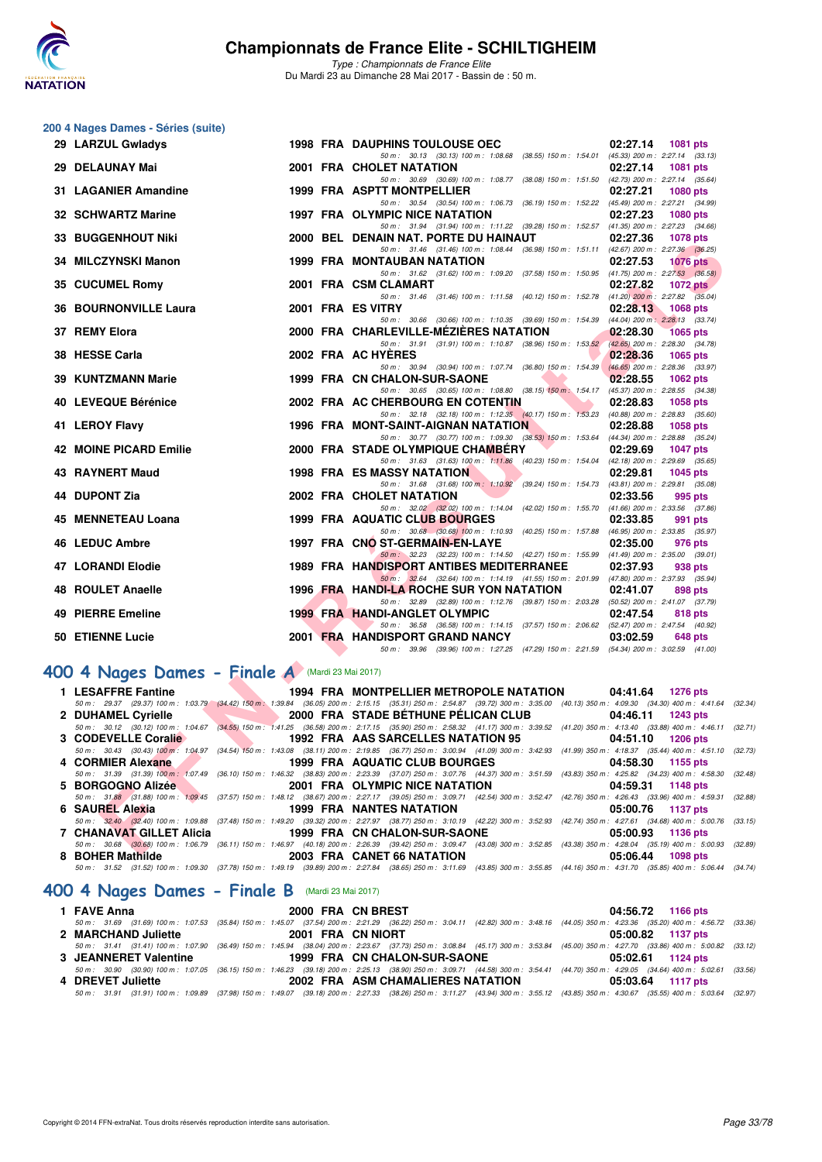

*Type : Championnats de France Elite* Du Mardi 23 au Dimanche 28 Mai 2017 - Bassin de : 50 m.

|     | 200 4 Nages Dames - Séries (suite)               |  |                                                                                                                                                                                                                                 |                                                            |  |
|-----|--------------------------------------------------|--|---------------------------------------------------------------------------------------------------------------------------------------------------------------------------------------------------------------------------------|------------------------------------------------------------|--|
|     | 29 LARZUL Gwladys                                |  | <b>1998 FRA DAUPHINS TOULOUSE OEC</b>                                                                                                                                                                                           | 02:27.14<br>1081 pts                                       |  |
|     |                                                  |  | 50 m: 30.13 (30.13) 100 m: 1:08.68 (38.55) 150 m: 1:54.01 (45.33) 200 m: 2:27.14 (33.13)                                                                                                                                        |                                                            |  |
|     | 29 DELAUNAY Mai                                  |  | 2001 FRA CHOLET NATATION<br>50 m: 30.69 (30.69) 100 m: 1:08.77 (38.08) 150 m: 1:51.50 (42.73) 200 m: 2:27.14 (35.64)                                                                                                            | 02:27.14<br><b>1081 pts</b>                                |  |
|     | 31 LAGANIER Amandine                             |  | 1999 FRA ASPTT MONTPELLIER                                                                                                                                                                                                      | 02:27.21<br><b>1080 pts</b>                                |  |
|     |                                                  |  | 50 m: 30.54 (30.54) 100 m: 1:06.73 (36.19) 150 m: 1:52.22 (45.49) 200 m: 2:27.21 (34.99)                                                                                                                                        |                                                            |  |
|     | 32 SCHWARTZ Marine                               |  | 1997 FRA OLYMPIC NICE NATATION<br>50 m: 31.94 (31.94) 100 m: 1:11.22 (39.28) 150 m: 1:52.57 (41.35) 200 m: 2:27.23 (34.66)                                                                                                      | 02:27.23<br><b>1080 pts</b>                                |  |
|     | <b>33 BUGGENHOUT Niki</b>                        |  | 2000 BEL DENAIN NAT. PORTE DU HAINAUT                                                                                                                                                                                           | 02:27.36<br><b>1078 pts</b>                                |  |
|     |                                                  |  | 50 m: 31.46 (31.46) 100 m: 1:08.44 (36.98) 150 m: 1:51.11 (42.67) 200 m: 2:27.36 (36.25)                                                                                                                                        |                                                            |  |
|     | 34 MILCZYNSKI Manon                              |  | 1999 FRA MONTAUBAN NATATION<br>50 m: 31.62 (31.62) 100 m: 1:09.20 (37.58) 150 m: 1:50.95 (41.75) 200 m: 2:27.53 (36.58)                                                                                                         | 02:27.53<br><b>1076 pts</b>                                |  |
|     | 35 CUCUMEL Romy                                  |  | 2001 FRA CSM CLAMART                                                                                                                                                                                                            | 02:27.82<br>1072 $p$ ts                                    |  |
|     |                                                  |  | 50 m: 31.46 (31.46) 100 m: 1:11.58 (40.12) 150 m: 1:52.78 (41.20) 200 m: 2:27.82 (35.04)                                                                                                                                        |                                                            |  |
|     | <b>36 BOURNONVILLE Laura</b>                     |  | 2001 FRA ES VITRY<br>50 m: 30.66 (30.66) 100 m: 1:10.35 (39.69) 150 m: 1:54.39 (44.04) 200 m: 2:28.13 (33.74)                                                                                                                   | 02:28.13<br>1068 pts                                       |  |
|     | 37 REMY Elora                                    |  | 2000 FRA CHARLEVILLE-MEZIERES NATATION                                                                                                                                                                                          | 02:28.30<br><b>1065 pts</b>                                |  |
|     |                                                  |  | 50 m: 31.91 (31.91) 100 m: 1:10.87 (38.96) 150 m: 1:53.52 (42.65) 200 m: 2:28.30 (34.78)                                                                                                                                        |                                                            |  |
|     | 38 HESSE Carla                                   |  | 2002 FRA AC HYERES<br>50 m: 30.94 (30.94) 100 m: 1:07.74 (36.80) 150 m: 1:54.39                                                                                                                                                 | 02:28.36<br>1065 pts<br>$(46.65)$ 200 m : 2:28.36 (33.97)  |  |
|     | 39 KUNTZMANN Marie                               |  | 1999 FRA CN CHALON-SUR-SAONE                                                                                                                                                                                                    | 02:28.55<br>1062 pts                                       |  |
|     |                                                  |  | 50 m: 30.65 (30.65) 100 m: 1:08.80 (38.15) 150 m: 1:54.17 (45.37) 200 m: 2:28.55 (34.38)                                                                                                                                        |                                                            |  |
|     | 40 LEVEQUE Bérénice                              |  | 2002 FRA AC CHERBOURG EN COTENTIN<br>50 m: 32.18 (32.18) 100 m: 1:12.35 (40.17) 150 m: 1:53.23 (40.88) 200 m: 2:28.83 (35.60)                                                                                                   | 02:28.83<br>1058 pts                                       |  |
|     | 41 LEROY Flavy                                   |  | 1996 FRA MONT-SAINT-AIGNAN NATATION                                                                                                                                                                                             | 02:28.88<br>1058 pts                                       |  |
|     |                                                  |  | 50 m: 30.77 (30.77) 100 m: 1:09.30 (38.53) 150 m: 1:53.64 (44.34) 200 m: 2:28.88 (35.24)                                                                                                                                        |                                                            |  |
|     | 42 MOINE PICARD Emilie                           |  | 2000 FRA STADE OLYMPIQUE CHAMBERY<br>50 m: 31.63 (31.63) 100 m: 1:11.86 (40.23) 150 m: 1:54.04 (42.18) 200 m: 2:29.69 (35.65)                                                                                                   | 02:29.69<br><b>1047 pts</b>                                |  |
|     | 43 RAYNERT Maud                                  |  | <b>1998 FRA ES MASSY NATATION</b>                                                                                                                                                                                               | 02:29.81<br>1045 pts                                       |  |
|     |                                                  |  | 50 m: 31.68 (31.68) 100 m: 1:10.92 (39.24) 150 m: 1:54.73 (43.81) 200 m: 2:29.81 (35.08)                                                                                                                                        |                                                            |  |
|     | 44 DUPONT Zia                                    |  | 2002 FRA CHOLET NATATION<br>50 m: 32.02 (32.02) 100 m: 1:14.04 (42.02) 150 m: 1:55.70                                                                                                                                           | 02:33.56<br>995 pts<br>$(41.66)$ 200 m : 2:33.56 $(37.86)$ |  |
| 45. | <b>MENNETEAU Loana</b>                           |  | 1999 FRA AQUATIC CLUB BOURGES                                                                                                                                                                                                   | 02:33.85<br>991 pts                                        |  |
|     |                                                  |  | 50 m: 30.68 (30.68) 100 m: 1:10.93 (40.25) 150 m: 1:57.88 (46.95) 200 m: 2:33.85 (35.97)                                                                                                                                        |                                                            |  |
|     | 46 LEDUC Ambre                                   |  | 1997 FRA CNO ST-GERMAIN-EN-LAYE<br>50 m: 32.23 (32.23) 100 m: 1:14.50 (42.27) 150 m: 1:55.99 (41.49) 200 m: 2:35.00 (39.01)                                                                                                     | 02:35.00<br>976 pts                                        |  |
|     | 47 LORANDI Elodie                                |  | 1989 FRA HANDISPORT ANTIBES MEDITERRANEE                                                                                                                                                                                        | 02:37.93<br>938 pts                                        |  |
|     |                                                  |  | 50 m: 32.64 (32.64) 100 m: 1:14.19 (41.55) 150 m: 2:01.99 (47.80) 200 m: 2:37.93 (35.94)                                                                                                                                        |                                                            |  |
|     | 48 ROULET Anaelle                                |  | 1996 FRA HANDI-LA ROCHE SUR YON NATATION<br>50 m: 32.89 (32.89) 100 m: 1:12.76 (39.87) 150 m: 2:03.28 (50.52) 200 m: 2:41.07 (37.79)                                                                                            | 02:41.07<br>898 pts                                        |  |
|     | 49 PIERRE Emeline                                |  | 1999 FRA HANDI-ANGLET OLYMPIC                                                                                                                                                                                                   | 02:47.54<br>818 pts                                        |  |
|     |                                                  |  | 50 m: 36.58 (36.58) 100 m: 1:14.15 (37.57) 150 m: 2:06.62 (52.47) 200 m: 2:47.54 (40.92)                                                                                                                                        |                                                            |  |
|     | 50 ETIENNE Lucie                                 |  | 2001 FRA HANDISPORT GRAND NANCY<br>50 m: 39.96 (39.96) 100 m: 1:27.25 (47.29) 150 m: 2:21.59 (54.34) 200 m: 3:02.59 (41.00)                                                                                                     | 03:02.59<br>648 pts                                        |  |
|     |                                                  |  |                                                                                                                                                                                                                                 |                                                            |  |
|     | 400 4 Nages Dames - Finale A (Mardi 23 Mai 2017) |  |                                                                                                                                                                                                                                 |                                                            |  |
|     | 1 LESAFFRE Fantine                               |  | 1994 FRA MONTPELLIER METROPOLE NATATION                                                                                                                                                                                         | 04:41.64 1276 pts                                          |  |
|     | 2 DUHAMEL Cyrielle                               |  | 50 m : 29.37 (29.37) 100 m : 1:03.79 (34.42) 150 m : 1:39.84 (36.05) 200 m : 2:15.15 (35.31) 250 m : 2:54.87 (39.72) 300 m : 3:35.00 (40.13) 350 m : 4:09.30 (34.30) 400 m : 4:41.64 (3:<br>2000 FRA STADE BETHUNE PELICAN CLUB | 04:46.11<br>1243 pts                                       |  |
|     |                                                  |  | 50 m : 30.12 (30.12) 100 m : 1:04.67 (34.55) 150 m : 1:41.25 (36.58) 200 m : 2:17.15 (35.90) 250 m : 2:58.32 (41.17) 300 m : 3:39.52 (41.20) 350 m : 4:13.40 (33.88) 400 m : 4:46.11 (3:                                        |                                                            |  |
|     |                                                  |  | 3 CODEVELLE Coralie <b>1992 FRA AAS SARCELLES NATATION 95</b>                                                                                                                                                                   | 04:51.10 1206 pts                                          |  |
|     | 4 CORMIER Alexane                                |  | 50 m : 30.43 (30.43) 100 m : 1:04.97 (34.54) 150 m : 1:43.08 (38.11) 200 m : 2:19.85 (36.77) 250 m : 3:00.94 (41.09) 300 m : 3:42.93 (41.99) 350 m : 4:18.37 (35.44) 400 m : 4:51.10 (3:<br>1999 FRA AQUATIC CLUB BOURGES       | 04:58.30<br>1155 pts                                       |  |
|     |                                                  |  | 50 m: 31.39 (31.39) 100 m: 1.07.49 (36.10) 150 m: 1.46.32 (38.83) 200 m: 2:23.39 (37.07) 250 m: 3:07.76 (44.37) 300 m: 3:51.59                                                                                                  | (43.83) 350 m: 4:25.82 (34.23) 400 m: 4:58.30 (3)          |  |
|     | 5 BORGOGNO Alizée                                |  | 2001 FRA OLYMPIC NICE NATATION                                                                                                                                                                                                  | 04:59.31<br><b>1148 pts</b>                                |  |
|     | 6 SAUREL Alexia                                  |  | 50 m : 31.88 (31.88) 100 m : 1:09.45 (37.57) 150 m : 1:48.12 (38.67) 200 m : 2:27.17 (39.05) 250 m : 3:09.71 (42.54) 300 m : 3:52.47 (42.76) 350 m : 4:26.43 (33.96) 400 m : 4:59.31 (3:<br>1999 FRA NANTES NATATION            | 05:00.76<br>1137 pts                                       |  |
|     |                                                  |  | 50 m : 32.40 (32.40) 100 m : 1:09.88 (37.48) 150 m : 1:49.20 (39.32) 200 m : 2:27.97 (38.77) 250 m : 3:10.19 (42.22) 300 m : 3:52.93                                                                                            | (42.74) 350 m: 4:27.61 (34.68) 400 m: 5:00.76 (3)          |  |
|     | <b>7 CHANAVAT GILLET Alicia</b>                  |  | 1999 FRA CN CHALON-SUR-SAONE<br>50 m : 30.68 (30.68) 100 m : 1:06.79 (36.11) 150 m : 1:46.97 (40.18) 200 m : 2:26.39 (39.42) 250 m : 3:09.47 (43.08) 300 m : 3:52.85 (43.38) 350 m : 4:28.04 (35.19) 400 m : 5:00.93 (3)        | 05:00.93<br>1136 pts                                       |  |
|     | <b>C. DOUED Mathilds</b>                         |  | 0000 EDA CANET CC NATATION                                                                                                                                                                                                      | 0.500000014000                                             |  |

## **[400 4 Nages Dames - Finale A](http://www.ffnatation.fr/webffn/resultats.php?idact=nat&go=epr&idcpt=45075&idepr=42)** (Mardi 23 Mai 2017)

| 1 LESAFFRE Fantine  | 1994 FRA MONTPELLIER METROPOLE NATATION 04:41.64 1276 pts                                                                                                                                    |                                                               |
|---------------------|----------------------------------------------------------------------------------------------------------------------------------------------------------------------------------------------|---------------------------------------------------------------|
|                     | 50 m : 29.37 (29.37) 100 m : 1:03.79 (34.42) 150 m : 1:39.84 (36.05) 200 m : 2:15.15 (35.31) 250 m : 2:54.87 (39.72) 300 m : 3:35.00 (40.13) 350 m : 4:09.30 (34.30) 400 m : 4:41.64 (32.34) |                                                               |
| 2 DUHAMEL Cyrielle  | 2000 FRA STADE BETHUNE PELICAN CLUB 04:46.11 1243 pts                                                                                                                                        |                                                               |
|                     | 50 m: 30.12 (30.12) 100 m: 1:04.67 (34.55) 150 m: 1:41.25 (36.58) 200 m: 2:17.15 (35.90) 250 m: 2:58.32 (41.17) 300 m: 3:39.52                                                               | $(41.20)$ 350 m : 4:13.40 $(33.88)$ 400 m : 4:46.11 $(32.71)$ |
| 3 CODEVELLE Coralie | 1992 FRA AAS SARCELLES NATATION 95                                                                                                                                                           | 04:51.10 1206 pts                                             |
|                     | 50 m : 30.43 (30.43) 100 m : 1:04.97 (34.54) 150 m : 1:43.08 (38.11) 200 m : 2:19.85 (36.77) 250 m : 3:00.94 (41.09) 300 m : 3:42.93 (41.99) 350 m : 4:18.37 (35.44) 400 m : 4:51.10 (32.73) |                                                               |
| 4 CORMIER Alexane   |                                                                                                                                                                                              |                                                               |
|                     | 50 m: 31.39 (31.39) 100 m: 1:07.49 (36.10) 150 m: 1:46.32 (38.83) 200 m: 2:23.39 (37.07) 250 m: 3:07.76 (44.37) 300 m: 3:51.59 (43.83) 350 m: 4:25.82 (34.23) 400 m: 4:58.30 (32.48)         |                                                               |
| 5 BORGOGNO Alizée   | 2001 FRA OLYMPIC NICE NATATION 64:59.31 1148 pts                                                                                                                                             |                                                               |
|                     | 50 m: 31,88 (31.88) 100 m: 1:09.45 (37.57) 150 m: 1:48.12 (38.67) 200 m: 2:27.17 (39.05) 250 m: 3:09.71 (42.54) 300 m: 3:52.47 (42.76) 350 m: 4:26.43 (33.96) 400 m: 4:59.31 (32.88)         |                                                               |
| 6 SAUREL Alexia     | <b>1999 FRA NANTES NATATION</b>                                                                                                                                                              | 05:00.76 1137 pts                                             |
|                     | 50 m: 32.40 (32.40) 100 m: 1:09.88 (37.48) 150 m: 1:49.20 (39.32) 200 m: 2:27.97 (38.77) 250 m: 3:10.19 (42.22) 300 m: 3:52.93 (42.74) 350 m: 4:27.61 (34.68) 400 m: 5:00.76 (33.15)         |                                                               |
|                     | 7 CHANAVAT GILLET Alicia 1999 FRA CN CHALON-SUR-SAONE 65:00.93 1136 pts                                                                                                                      |                                                               |
|                     |                                                                                                                                                                                              |                                                               |
|                     | 50 m : 30.68 (30.68) 100 m : 1:06.79 (36.11) 150 m : 1:46.97 (40.18) 200 m : 2:26.39 (39.42) 250 m : 3:09.47 (43.08) 300 m : 3:52.85 (43.38) 350 m : 4:28.04 (35.19) 400 m : 5:00.93 (32.89) |                                                               |
| 8 BOHER Mathilde    | 2003 FRA CANET 66 NATATION                                                                                                                                                                   | 05:06.44 1098 pts                                             |
|                     | 50 m: 31.52 (31.52) 100 m: 1:09.30 (37.78) 150 m: 1:49.19 (39.89) 200 m: 2:27.84 (38.65) 250 m: 3:11.69 (43.85) 300 m: 3:55.85 (44.16) 350 m: 4:31.70 (35.85) 400 m: 5:06.44 (34.74)         |                                                               |

## **[400 4 Nages Dames - Finale B](http://www.ffnatation.fr/webffn/resultats.php?idact=nat&go=epr&idcpt=45075&idepr=42)** (Mardi 23 Mai 2017)

| 1 FAVE Anna           | 2000 FRA CN BREST                                                                                                                                                                            | 04:56.72 1166 pts |  |
|-----------------------|----------------------------------------------------------------------------------------------------------------------------------------------------------------------------------------------|-------------------|--|
|                       | 50 m: 31.69 (31.69) 100 m: 1:07.53 (35.84) 150 m: 1:45.07 (37.54) 200 m: 2:21.29 (36.22) 250 m: 3:04.11 (42.82) 300 m: 3:48.16 (44.05) 350 m: 4:23.36 (35.20) 400 m: 4:56.72 (33.36)         |                   |  |
| 2 MARCHAND Juliette   | 2001 FRA CN NIORT                                                                                                                                                                            | 05:00.82 1137 pts |  |
|                       | 50 m: 31.41 (31.41) 100 m: 1:07.90 (36.49) 150 m: 1:45.94 (38.04) 200 m: 2:23.67 (37.73) 250 m: 3:08.84 (45.17) 300 m: 3:53.84 (45.00) 350 m: 4:27.70 (33.86) 400 m: 5:00.82 (33.12)         |                   |  |
| 3 JEANNERET Valentine | 1999 FRA CN CHALON-SUR-SAONE                                                                                                                                                                 | 05:02.61 1124 pts |  |
|                       | 50 m: 30.90 (30.90) 100 m: 1:07.05 (36.15) 150 m: 1:46.23 (39.18) 200 m: 2:25.13 (38.90) 250 m: 3:09.71 (44.58) 300 m: 3:54.41 (44.70) 350 m: 4:29.05 (34.64) 400 m: 5:02.61 (33.56)         |                   |  |
| 4 DREVET Juliette     | 2002 FRA ASM CHAMALIERES NATATION                                                                                                                                                            | 05:03.64 1117 pts |  |
|                       | 50 m : 31.91 (31.91) 100 m : 1:09.89 (37.98) 150 m : 1:49.07 (39.18) 200 m : 2:27.33 (38.26) 250 m : 3:11.27 (43.94) 300 m : 3:55.12 (43.85) 350 m : 4:30.67 (35.55) 400 m : 5:03.64 (32.97) |                   |  |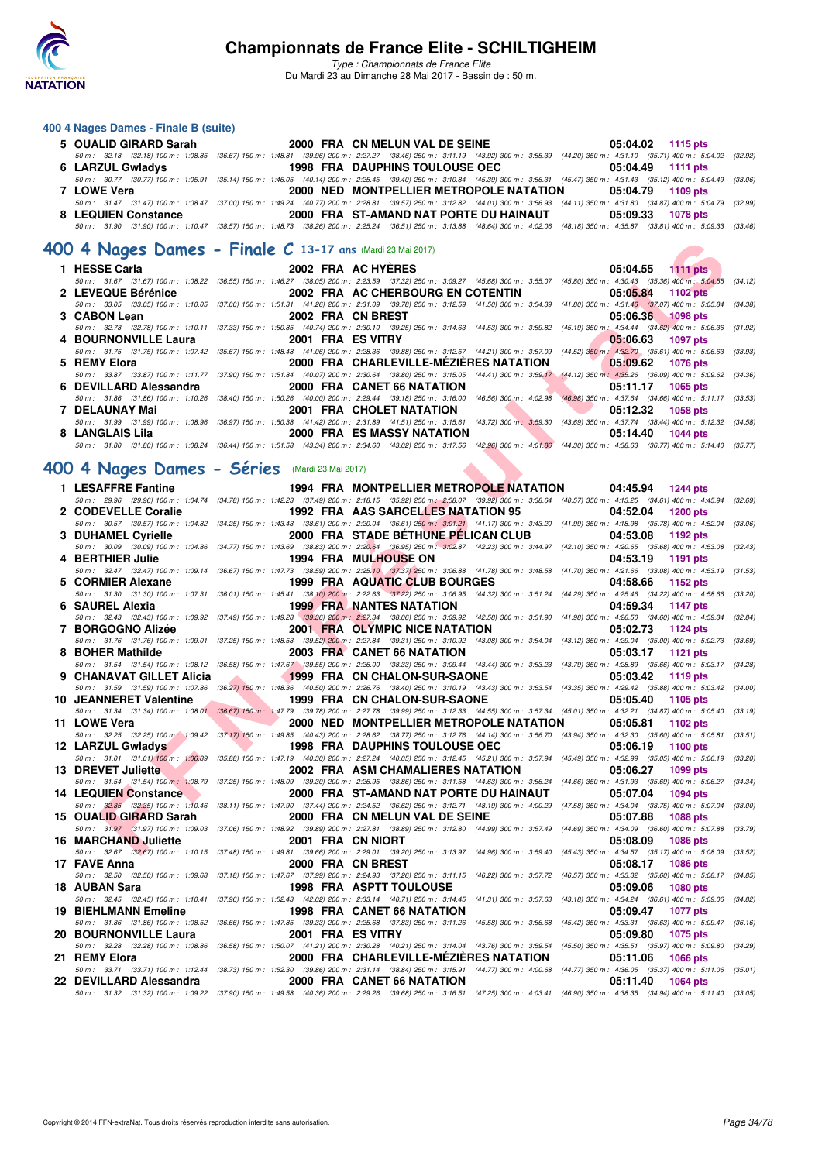

*Type : Championnats de France Elite* Du Mardi 23 au Dimanche 28 Mai 2017 - Bassin de : 50 m.

#### **400 4 Nages Dames - Finale B (suite)**

| 5 OUALID GIRARD Sarah | 2000 FRA CN MELUN VAL DE SEINE        |                                        | 05:04.02 1115 pts                                                                                                                                                                            |
|-----------------------|---------------------------------------|----------------------------------------|----------------------------------------------------------------------------------------------------------------------------------------------------------------------------------------------|
|                       |                                       |                                        | 50 m : 32.18 (32.18) 100 m : 1:08.85 (36.67) 150 m : 1:48.81 (39.96) 200 m : 2:27.27 (38.46) 250 m : 3:11.19 (43.92) 300 m : 3:55.39 (44.20) 350 m : 4:31.10 (35.71) 400 m : 5:04.02 (32.92) |
| 6 LARZUL Gwladys      | <b>1998 FRA DAUPHINS TOULOUSE OEC</b> |                                        | 05:04.49 1111 pts                                                                                                                                                                            |
|                       |                                       |                                        | 50 m: 30.77 (30.77) 100 m: 1:05.91 (35.14) 150 m: 1:46.05 (40.14) 200 m: 2:25.45 (39.40) 250 m: 3:10.84 (45.39) 300 m: 3:56.31 (45.47) 350 m: 4:31.43 (35.12) 400 m: 5:04.49 (33.06)         |
| 7 LOWE Vera           |                                       |                                        | 2000 NED MONTPELLIER METROPOLE NATATION 05:04.79 1109 pts                                                                                                                                    |
|                       |                                       |                                        | 50 m: 31.47 (31.47) 100 m: 1:08.47 (37.00) 150 m: 1:49.24 (40.77) 200 m: 2:28.81 (39.57) 250 m: 3:12.82 (44.01) 300 m: 3:56.93 (44.11) 350 m: 4:31.80 (34.87) 400 m: 5:04.79 (32.99)         |
| 8 LEQUIEN Constance   |                                       | 2000 FRA ST-AMAND NAT PORTE DU HAINAUT | 05:09.33 1078 pts                                                                                                                                                                            |
|                       |                                       |                                        | 50 m: 31.90 (31.90) 100 m: 1:10.47 (38.57) 150 m: 1:48.73 (38.26) 200 m: 2:25.24 (36.51) 250 m: 3:13.88 (48.64) 300 m: 4:02.06 (48.18) 350 m: 4:35.87 (33.81) 400 m: 5:09.33 (33.46)         |

#### **[400 4 Nages Dames - Finale C](http://www.ffnatation.fr/webffn/resultats.php?idact=nat&go=epr&idcpt=45075&idepr=42) 13-17 ans** (Mardi 23 Mai 2017)

| 1 HESSE Carla <b>Example 1</b> HESSE Carla | 2002 FRA AC HYERES                                                                                                                                                                           | $05:04.55$ 1111 pts  |
|--------------------------------------------|----------------------------------------------------------------------------------------------------------------------------------------------------------------------------------------------|----------------------|
|                                            | 50 m: 31.67 (31.67) 100 m: 1:08.22 (36.55) 150 m: 1:46.27 (38.05) 200 m: 2:23.59 (37.32) 250 m: 3:09.27 (45.68) 300 m: 3:55.07 (45.80) 350 m: 4:30.43 (35.36) 400 m: 5:04.55 (34.12)         |                      |
| 2 LEVEQUE Bérénice                         | 2002 FRA AC CHERBOURG EN COTENTIN                                                                                                                                                            | 05:05.84 1102 pts    |
|                                            | 50 m: 33.05 (33.05) 100 m: 1:10.05 (37.00) 150 m: 1:51.31 (41.26) 200 m: 2:31.09 (39.78) 250 m: 3:12.59 (41.50) 300 m: 3:54.39 (41.80) 350 m: 4:31.46 (37.07) 400 m: 5:05.84 (34.38)         |                      |
| 3 CABON Lean                               | 2002 FRA CN BREST                                                                                                                                                                            | 05:06.36 1098 pts    |
|                                            | 50 m: 32.78 (32.78) 100 m: 1:10.11 (37.33) 150 m: 1:50.85 (40.74) 200 m: 2:30.10 (39.25) 250 m: 3:14.63 (44.53) 300 m: 3:59.82 (45.19) 350 m; 4:34.44 (34.62) 400 m: 5:06.36 (31.92)         |                      |
|                                            | 4 BOURNONVILLE Laura 2001 FRA ES VITRY                                                                                                                                                       | $05:06.63$ 1097 pts  |
|                                            | 50 m : 31.75 (31.75) 100 m : 1:07.42 (35.67) 150 m : 1:48.48 (41.06) 200 m : 2:28.36 (39.88) 250 m : 3:12.57 (44.21) 300 m : 3:57.09 (44.52) 350 m : 4:32.70 (35.61) 400 m : 5:06.63 (33.93) |                      |
| 5 REMY Elora                               | 2000 FRA CHARLEVILLE-MEZIERES NATATION 65:09.62 1076 pts                                                                                                                                     |                      |
|                                            | 50 m: 33.87 (33.87) 100 m: 1:11.77 (37.90) 150 m: 1:51.84 (40.07) 200 m: 2:30.64 (38.80) 250 m: 3:15.05 (44.41) 300 m: 3:59.17 (44.12) 350 m: 4:35.26 (36.09) 400 m: 5:09.62 (34.36)         |                      |
|                                            |                                                                                                                                                                                              | 05:11.17 1065 pts    |
|                                            | 50 m: 31.86 (31.86) 100 m: 1:10.26 (38.40) 150 m: 1:50.26 (40.00) 200 m: 2:29.44 (39.18) 250 m: 3:16.00 (46.56) 300 m: 4:02.98 (46.98) 350 m: 4:37.64 (34.66) 400 m: 5:11.17 (33.53)         |                      |
| 7 DELAUNAY Mai                             | <b>2001 FRA CHOLET NATATION</b>                                                                                                                                                              | 05:12.32 1058 pts    |
|                                            | 50 m: 31.99 (31.99) 100 m: 1:08.96 (36.97) 150 m: 1:50.38 (41.42) 200 m: 2:31.89 (41.51) 250 m: 3:15.61 (43.72) 300 m: 3:59.30 (43.69) 350 m: 4:37.74 (38.44) 400 m: 5:12.32 (34.58)         |                      |
| 8 LANGLAIS Lila                            | <b>EXAMPLE 2000 FRACES MASSY NATATION</b>                                                                                                                                                    | 05:14.40<br>1044 pts |
|                                            | 50 m: 31.80 (31.80) 100 m: 1:08.24 (36.44) 150 m: 1:51.58 (43.34) 200 m: 2:34.60 (43.02) 250 m: 3:17.56 (42.96) 300 m: 4:01.86 (44.30) 350 m: 4:38.63 (36.77) 400 m: 5:14.40 (35.77)         |                      |

## **[400 4 Nages Dames - Séries](http://www.ffnatation.fr/webffn/resultats.php?idact=nat&go=epr&idcpt=45075&idepr=42)** (Mardi 23 Mai 2017)

| 00 4 Nages Dames - Finale C 13-17 ans (Mardi 23 Mai 2017)     |                                                                                                                                                                                                                                |                                                                                           |
|---------------------------------------------------------------|--------------------------------------------------------------------------------------------------------------------------------------------------------------------------------------------------------------------------------|-------------------------------------------------------------------------------------------|
| 1 HESSE Carla                                                 | 2002 FRA AC HYERES                                                                                                                                                                                                             | 05:04.55 1111 pts                                                                         |
| 2 LEVEQUE Bérénice                                            | 50 m: 31.67 (31.67) 100 m: 1:08.22 (36.55) 150 m: 1:46.27 (38.05) 200 m: 2:23.59 (37.32) 250 m: 3:09.27 (45.68) 300 m: 3:55.07 (45.80) 350 m: 4:30.43 (35.36) 400 m: 5:04.55 (34.12)<br>2002 FRA AC CHERBOURG EN COTENTIN      | 05:05.84<br>1102 pts                                                                      |
| 3 CABON Lean                                                  | 50 m: 33.05 (33.05) 100 m: 1:10.05 (37.00) 150 m: 1:51.31 (41.26) 200 m: 2:31.09 (39.78) 250 m: 3:12.59 (41.50) 300 m: 3:54.39 (41.80) 350 m: 4:31.46 (37.07) 400 m: 5:05.84<br>2002 FRA CN BREST                              | (34.38)<br>05:06.36<br>$-1098$ pts                                                        |
| 4 BOURNONVILLE Laura                                          | 50 m: 32.78 (32.78) 100 m: 1:10.11 (37.33) 150 m: 1:50.85 (40.74) 200 m: 2:30.10 (39.25) 250 m: 3:14.63 (44.53) 300 m: 3:59.82 (45.19) 350 m: 4:34.44 (34.62) 400 m: 5:06.36<br>2001 FRA ES VITRY                              | (31.92)<br>05:06.63<br>1097 pts                                                           |
| 5 REMY Elora                                                  | 50 m: 31.75 (31.75) 100 m: 1:07.42 (35.67) 150 m: 1:48.48 (41.06) 200 m: 2:28.36 (39.88) 250 m: 3:12.57 (44.21) 300 m: 3:57.09 (44.52) 350 m: 4:32.70 (35.61) 400 m: 5:06.63 (33.93)<br>2000 FRA CHARLEVILLE-MEZIERES NATATION | 05:09.62<br><b>1076 pts</b>                                                               |
| 6 DEVILLARD Alessandra                                        | 50 m: 33.87 (33.87) 100 m: 1:11.77 (37.90) 150 m: 1:51.84 (40.07) 200 m: 2:30.64 (38.80) 250 m: 3:15.05 (44.41) 300 m: 3:59.17 (44.12) 350 m: 4:35.26 (36.09) 400 m: 5:09.62 (34.36)<br>2000 FRA CANET 66 NATATION             | 05:11.17<br>1065 pts                                                                      |
|                                                               | 50 m: 31.86 (31.86) 100 m: 1:10.26 (38.40) 150 m: 1:50.26 (40.00) 200 m: 2:29.44 (39.18) 250 m: 3:16.00 (46.56) 300 m: 4:02.98 (46.98) 350 m: 4:37.64 (34.66) 400 m: 5:11.17 (33.53)                                           |                                                                                           |
| 7 DELAUNAY Mai                                                | 2001 FRA CHOLET NATATION<br>50 m: 31.99 (31.99) 100 m: 1:08.96 (36.97) 150 m: 1:50.38 (41.42) 200 m: 2:31.89 (41.51) 250 m: 3:15.61 (43.72) 300 m: 3:59.30 (43.69) 350 m: 4:37.74 (38.44) 400 m: 5:12.32 (34.58)               | 05:12.32<br><b>1058 pts</b>                                                               |
| 8 LANGLAIS Lila                                               | 2000 FRA ES MASSY NATATION<br>50 m: 31.80 (31.80) 100 m: 1:08.24 (36.44) 150 m: 1:51.58 (43.34) 200 m: 2:34.60 (43.02) 250 m: 3:17.56 (42.96) 300 m: 4:01.86 (44.30) 350 m: 4:38.63 (36.77) 400 m: 5:14.40 (35.77)             | 05:14.40<br><b>1044 pts</b>                                                               |
| 00 4 Nages Dames - Séries (Mardi 23 Mai 2017)                 |                                                                                                                                                                                                                                |                                                                                           |
| 1 LESAFFRE Fantine                                            | 1994 FRA MONTPELLIER METROPOLE NATATION                                                                                                                                                                                        | 04:45.94 1244 pts                                                                         |
|                                                               | 50 m: 29.96 (29.96) 100 m: 1:04.74 (34.78) 150 m: 1:42.23 (37.49) 200 m: 2:18.15 (35.92) 250 m: 2:58.07 (39.92) 300 m: 3:38.64 (40.57) 350 m: 4:13.25 (34.61) 400 m: 4:45.94 (32.69)                                           |                                                                                           |
| 2 CODEVELLE Coralie                                           | 1992 FRA AAS SARCELLES NATATION 95<br>50 m: 30.57 (30.57) 100 m: 1:04.82 (34.25) 150 m: 1:43.43 (38.61) 200 m: 2:20.04 (36.61) 250 m: 3:01.21 (41.17) 300 m: 3:43.20 (41.99) 350 m: 4:18.98 (35.78) 400 m: 4:52.04 (33.06)     | 04:52.04<br>1200 pts                                                                      |
| 3 DUHAMEL Cyrielle                                            | 2000 FRA STADE BETHUNE PELICAN CLUB                                                                                                                                                                                            | 04:53.08<br>1192 pts                                                                      |
| 4 BERTHIER Julie                                              | 50 m : 30.09 (30.09) 100 m : 1:04.86 (34.77) 150 m : 1:43.69 (38.83) 200 m : 2:20.64 (36.95) 250 m : 3:02.87 (42.23) 300 m : 3:44.97 (42.10) 350 m : 4:20.65 (35.68) 400 m : 4:53.08 (32.43)                                   |                                                                                           |
|                                                               | <b>1994 FRA MULHOUSE ON</b><br>50 m : 32.47 (32.47) 100 m : 1:09.14 (36.67) 150 m : 1:47.73 (38.59) 200 m : 2:25.10 (37.37) 250 m : 3:06.88 (41.78) 300 m : 3:48.58 (41.70) 350 m : 4:21.66 (33.08) 400 m : 4:53.19            | 04:53.19<br>1191 pts<br>(31.53)                                                           |
| 5 CORMIER Alexane                                             | 1999 FRA AQUATIC CLUB BOURGES                                                                                                                                                                                                  | 04:58.66<br>1152 pts                                                                      |
| 6 SAUREL Alexia                                               | 50 m: 31.30 (31.30) 100 m: 1:07.31 (36.01) 150 m: 1:45.41 (38.10) 200 m: 2:22.63 (37.22) 250 m: 3:06.95 (44.32) 300 m: 3:51.24 (44.29) 350 m: 4:25.46 (34.22) 400 m: 4:58.66 (33.20)<br><b>1999 FRA NANTES NATATION</b>        | 04:59.34<br>1147 pts                                                                      |
|                                                               | 50 m : 32.43 (32.43) 100 m : 1:09.92 (37.49) 150 m : 1:49.28 (39.36) 200 m : 2:27.34 (38.06) 250 m : 3:09.92 (42.58) 300 m : 3:51.90 (41.98) 350 m : 4:26.50 (34.60) 400 m : 4:59.34 (32.84)                                   |                                                                                           |
| 7 BORGOGNO Alizée                                             | 2001 FRA OLYMPIC NICE NATATION                                                                                                                                                                                                 | 05:02.73<br>1124 pts                                                                      |
| 8 BOHER Mathilde                                              | 50 m : 31.76 (31.76) 100 m : 1:09.01 (37.25) 150 m : 1:48.53 (39.52) 200 m : 2:27.84 (39.31) 250 m : 3:10.92 (43.08) 300 m : 3:54.04 (43.12) 350 m : 4:29.04 (35.00) 400 m : 5:02.73 (33.69)<br>2003 FRA CANET 66 NATATION     | 05:03.17<br>1121 pts                                                                      |
| 9 CHANAVAT GILLET Alicia                                      | 50 m: 31.54 (31.54) 100 m: 1:08.12 (36.58) 150 m: 1:47.67 (39.55) 200 m: 2:26.00 (38.33) 250 m: 3:09.44 (43.44) 300 m: 3:53.23 (43.79) 350 m: 4:28.89 (35.66) 400 m: 5:03.17 (34.28)<br><b>1999 FRA CN CHALON-SUR-SAONE</b>    | 05:03.42<br>1119 pts                                                                      |
|                                                               | 50 m : 31.59 (31.59) 100 m : 1:07.86 (36.27) 150 m : 1:48.36 (40.50) 200 m : 2:26.76 (38.40) 250 m : 3:10.19 (43.43) 300 m : 3:53.54 (43.35) 350 m : 4:29.42 (35.88) 400 m : 5:03.42 (34.00)                                   |                                                                                           |
| 10 JEANNERET Valentine                                        | 1999 FRA CN CHALON-SUR-SAONE<br>50 m : 31.34 (31.34) 100 m : 1:08.01 (36.67) 150 m : 1:47.79 (39.78) 200 m : 2:27.78 (39.99) 250 m : 3:12.33 (44.55) 300 m : 3:57.34 (45.01) 350 m : 4:32.21 (34.87) 400 m : 5:05.40 (33.19)   | 05:05.40<br>1105 pts                                                                      |
| 11 LOWE Vera                                                  | 2000 NED MONTPELLIER METROPOLE NATATION                                                                                                                                                                                        | 05:05.81<br>1102 pts                                                                      |
|                                                               | 50 m: 32.25 (32.25) 100 m: 1:09.42 (37.17) 150 m: 1:49.85 (40.43) 200 m: 2:28.62 (38.77) 250 m: 3:12.76 (44.14) 300 m: 3:56.70 (43.94) 350 m: 4:32.30 (35.60) 400 m: 5:05.81                                                   | (33.51)                                                                                   |
| 12 LARZUL Gwladys                                             | <b>1998 FRA DAUPHINS TOULOUSE OEC</b><br>50 m: 31.01 (31.01) 100 m: 1:06,89 (35.88) 150 m: 1:47.19 (40.30) 200 m: 2:27.24 (40.05) 250 m: 3:12.45 (45.21) 300 m: 3:57.94 (45.49) 350 m: 4:32.99 (35.05) 400 m: 5:06.19 (33.20)  | 05:06.19<br>1100 pts                                                                      |
| 13 DREVET Juliette                                            | 2002 FRA ASM CHAMALIERES NATATION                                                                                                                                                                                              | 05:06.27<br>1099 pts                                                                      |
| 14 LEQUIEN Constance                                          | 50 m: 31.54 (31.54) 100 m: 1:08.79 (37.25) 150 m: 1:48.09 (39.30) 200 m: 2:26.95 (38.86) 250 m: 3:11.58 (44.63) 300 m: 3:56.24 (44.66) 350 m: 4:31.93 (35.69) 400 m: 5:06.27 (34.34)                                           | 05:07.04                                                                                  |
|                                                               | 2000 FRA ST-AMAND NAT PORTE DU HAINAUT<br>50 m: 32.35 (32.35) 100 m: 1:10.46 (38.11) 150 m: 1:47.90 (37.44) 200 m: 2:24.52 (36.62) 250 m: 3:12.71 (48.19) 300 m: 4:00.29 (47.58) 350 m: 4:34.04 (33.75) 400 m: 5:07.04 (33.00) | 1094 pts                                                                                  |
| 15 OUALID GIRARD Sarah                                        | 2000 FRA CN MELUN VAL DE SEINE                                                                                                                                                                                                 | 05:07.88<br><b>1088 pts</b>                                                               |
| <b>16 MARCHAND Juliette</b>                                   | 50 m: 31.97 (31.97) 100 m: 1:09.03 (37.06) 150 m: 1:48.92 (39.89) 200 m: 2:27.81 (38.89) 250 m: 3:12.80 (44.99) 300 m: 3:57.49 (44.69) 350 m: 4:34.09 (36.60) 400 m: 5:07.88 (33.79)<br>2001 FRA CN NIORT                      | 05:08.09<br>1086 pts                                                                      |
|                                                               | 50 m: 32.67 (32.67) 100 m: 1:10.15 (37.48) 150 m: 1:49.81 (39.66) 200 m: 2:29.01 (39.20) 250 m: 3:13.97 (44.96) 300 m: 3:59.40 (45.43) 350 m: 4:34.57 (35.17) 400 m: 5:08.09 (33.52)                                           | <b>1086 pts</b>                                                                           |
| 17 FAVE Anna<br>50 m : 32.50 (32.50) 100 m : 1:09.68          | 2000 FRA CN BREST<br>(37.18) 150 m : 1:47.67 (37.99) 200 m : 2:24.93 (37.26) 250 m : 3:11.15 (46.22) 300 m : 3:57.72 (46.57) 350 m : 4:33.32 (35.60) 400 m : 5:08.17 (34.85)                                                   | 05:08.17                                                                                  |
| 18   AUBAN Sara<br>50 m : 32.45 (32.45) 100 m : 1:10.41       | <b>1998 FRA ASPTT TOULOUSE</b><br>(37.96) 150 m: 1:52.43 (42.02) 200 m: 2:33.14 (40.71) 250 m: 3:14.45 (41.31) 300 m: 3:57.63                                                                                                  | 05:09.06<br>1080 pts<br>(43.18) 350 m : 4:34.24 (36.61) 400 m : 5:09.06<br>(34.82)        |
| 19 BIEHLMANN Emeline                                          | 1998 FRA CANET 66 NATATION                                                                                                                                                                                                     | 05:09.47<br><b>1077 pts</b>                                                               |
| 50 m : 31.86 (31.86) 100 m : 1:08.52<br>20 BOURNONVILLE Laura | (36.66) 150 m : 1:47.85 (39.33) 200 m : 2:25.68 (37.83) 250 m : 3:11.26 (45.58) 300 m : 3:56.68<br>2001 FRA ES VITRY                                                                                                           | (45.42) 350 m : 4:33.31 (36.63) 400 m : 5:09.47<br>(36.16)<br>05:09.80<br><b>1075 pts</b> |
| 50 m: 32.28 (32.28) 100 m: 1:08.86                            | (36.58) 150 m : 1:50.07 (41.21) 200 m : 2:30.28 (40.21) 250 m : 3:14.04 (43.76) 300 m : 3:59.54                                                                                                                                | (45.50) 350 m : 4:35.51 (35.97) 400 m : 5:09.80<br>(34.29)                                |
| 21 REMY Elora<br>50 m : 33.71 (33.71) 100 m : 1:12.44         | 2000 FRA CHARLEVILLE-MEZIERES NATATION<br>(38.73) 150 m : 1:52.30 (39.86) 200 m : 2:31.14 (38.84) 250 m : 3:15.91 (44.77) 300 m : 4:00.68                                                                                      | 05:11.06<br><b>1066 pts</b><br>(44.77) 350 m: 4:36.05 (35.37) 400 m: 5:11.06 (35.01)      |
| 22 DEVILLARD Alessandra                                       | 2000 FRA CANET 66 NATATION                                                                                                                                                                                                     | 05:11.40<br>1064 pts                                                                      |
|                                                               | 50 m: 31.32 (31.32) 100 m: 1:09.22 (37.90) 150 m: 1:49.58 (40.36) 200 m: 2:29.26 (39.68) 250 m: 3:16.51 (47.25) 300 m: 4:03.41 (46.90) 350 m: 4:38.35 (34.94) 400 m: 5:11.40 (33.05)                                           |                                                                                           |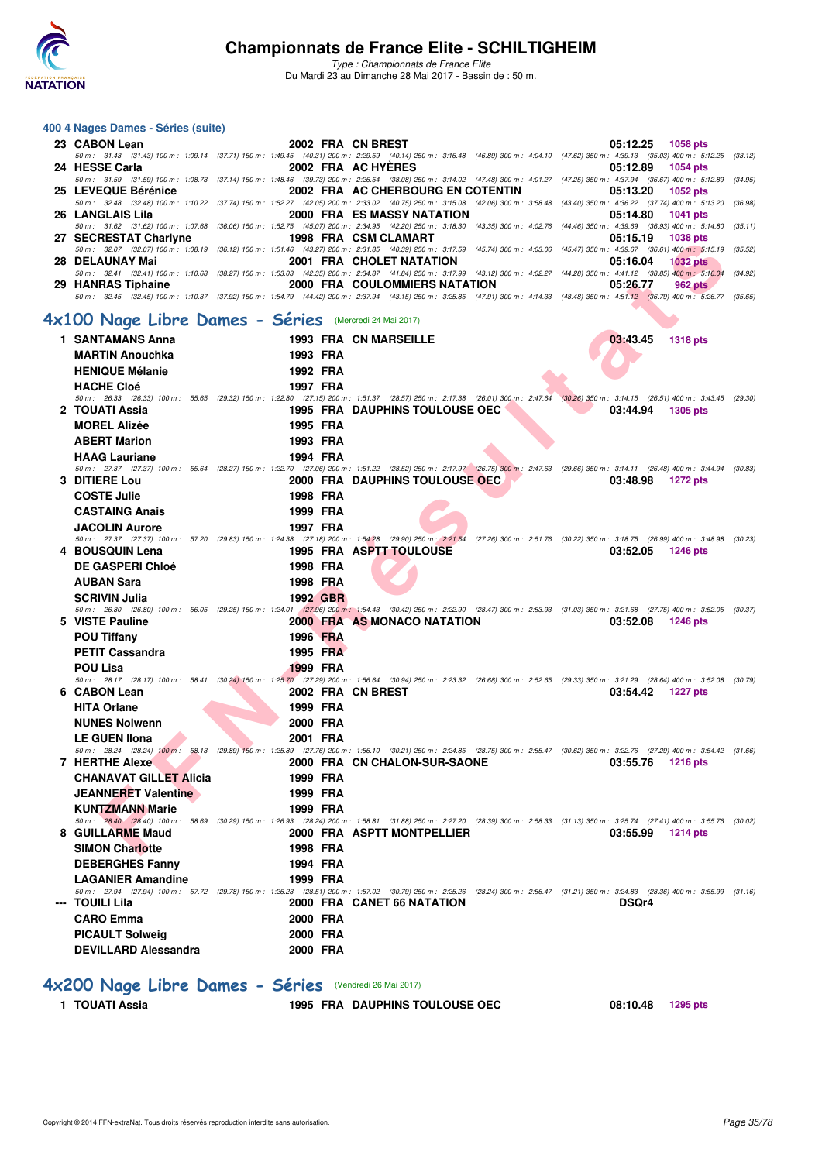

*Type : Championnats de France Elite* Du Mardi 23 au Dimanche 28 Mai 2017 - Bassin de : 50 m.

#### **F F N - R É SUIVILLE EN COURTES DURENT DE CONTRES DURENT DE CONTRES DURENT DE CONTRES DURENT DE CONTRES DURENT<br>
F R É SUIVILLE EN CONTRE DURENT DURENT DE CONTRE DE CONTRE DE CONTRE DE CONTRE DE CONTRE DE CONTRE DE CONTRE 400 4 Nages Dames - Séries (suite) 23 CABON Lean 2002 FRA CN BREST 05:12.25 1058 pts** *50 m : 31.43 (31.43) 100 m : 1:09.14 (37.71) 150 m : 1:49.45 (40.31) 200 m : 2:29.59 (40.14) 250 m : 3:16.48 (46.89) 300 m : 4:04.10 (47.62) 350 m : 4:39.13 (35.03) 400 m : 5:12.25 (33.12)* 2002 FRA ACHYÉRES 19.00 (17.48) 705:12.89 1054 pts (17.48) 1054 pts (17.48) 2002 FRA ACHYÉRES 19.08 (17.48) 700<br>30.59 (36.67) 50 (36.67) 50 (36.67) 50 (34.95) 50 (34.95 (34.95) 50 (34.95 (34.95 (34.95 (34.95 (34.95 (34.95 **25 LEVEQUE Bérénice 2002 FRA AC CHERBOURG EN COTENTIN 05:13.20 1052 pts** *50 m : 32.48 (32.48) 100 m : 1:10.22 (37.74) 150 m : 1:52.27 (42.05) 200 m : 2:33.02 (40.75) 250 m : 3:15.08 (42.06) 300 m : 3:58.48 (43.40) 350 m : 4:36.22 (37.74) 400 m : 5:13.20 (36.98)* **26 LANGLAIS Lila 2000 FRA ES MASSY NATATION 05:14.80 1041 pts** *50 m : 31.62 (31.62) 100 m : 1:07.68 (36.06) 150 m : 1:52.75 (45.07) 200 m : 2:34.95 (42.20) 250 m : 3:18.30 (43.35) 300 m : 4:02.76 (44.46) 350 m : 4:39.69 (36.93) 400 m : 5:14.80 (35.11)* **27 SECRESTAT Charlyne** *50 m : 32.07 (32.07) 100 m : 1:08.19 (36.12) 150 m : 1:51.46 (43.27) 200 m : 2:31.85 (40.39) 250 m : 3:17.59 (45.74) 300 m : 4:03.06 (45.47) 350 m : 4:39.67 (36.61) 400 m : 5:15.19 (35.52)* **28 DELAUNAY Mai 2001 FRA CHOLET NATATION 05:16.04 1032 pts** 50 m: 32.41 (32.41) 100 m: 1:10.68 (38.27) 150 m: 1:53.03 (42.35) 200 m: 2:34.87 (41.84) 250 m: 3:17.99 (43.12) 300 m: 4:02.27 (44.28) 350 m: 4:41.12 (38.85) 400 m; 5:16.04 (34.92) 29 HANRAS Tiphaine 2000 FRA COULOMMIERS *50 m : 32.45 (32.45) 100 m : 1:10.37 (37.92) 150 m : 1:54.79 (44.42) 200 m : 2:37.94 (43.15) 250 m : 3:25.85 (47.91) 300 m : 4:14.33 (48.48) 350 m : 4:51.12 (36.79) 400 m : 5:26.77 (35.65)* **[4x100 Nage Libre Dames - Séries](http://www.ffnatation.fr/webffn/resultats.php?idact=nat&go=epr&idcpt=45075&idepr=43)** (Mercredi 24 Mai 2017) 1 SANTAMANS Anna **1993 FRA CN MARSEILLE 1993 FRA CN MARSEILLE 1318 pts MARTIN Anouchka 1993 FRA HENIQUE Mélanie 1992 FRA HACHE Cloé 1997 FRA** *50 m : 26.33 (26.33) 100 m : 55.65 (29.32) 150 m : 1:22.80 (27.15) 200 m : 1:51.37 (28.57) 250 m : 2:17.38 (26.01) 300 m : 2:47.64 (30.26) 350 m : 3:14.15 (26.51) 400 m : 3:43.45 (29.30)* **2 TOUATI Assia 1995 FRA DAUPHINS TOULOUSE OEC 03:44.94 1305 pts MOREL Alizée 1995 FRA ABERT Marion 1993 FRA HAAG Lauriane 1994 FRA** *50 m : 27.37 (27.37) 100 m : 55.64 (28.27) 150 m : 1:22.70 (27.06) 200 m : 1:51.22 (28.52) 250 m : 2:17.97 (26.75) 300 m : 2:47.63 (29.66) 350 m : 3:14.11 (26.48) 400 m : 3:44.94 (30.83)* **2000 FRA DAUPHINS TOULOUSE OEC COSTE Julie 1998 FRA CASTAING Anais 1999 FRA JACOLIN Aurore 1997 FRA** *50 m : 27.37 (27.37) 100 m : 57.20 (29.83) 150 m : 1:24.38 (27.18) 200 m : 1:54.28 (29.90) 250 m : 2:21.54 (27.26) 300 m : 2:51.76 (30.22) 350 m : 3:18.75 (26.99) 400 m : 3:48.98 (30.23)* **1995 FRA ASPTT TOULOUSE DE GASPERI Chloé 1998 FRA AUBAN Sara 1998 FRA SCRIVIN Julia 1992 GBR** *50 m : 26.80 (26.80) 100 m : 56.05 (29.25) 150 m : 1:24.01 (27.96) 200 m : 1:54.43 (30.42) 250 m : 2:22.90 (28.47) 300 m : 2:53.93 (31.03) 350 m : 3:21.68 (27.75) 400 m : 3:52.05 (30.37)* **5 VISTE Pauline 2000 FRA AS MONACO NATATION 03:52.08 1246 pts POU Tiffany 1996 FRA PETIT Cassandra** 1995 FRA **POU Lisa 1999 FRA** *50 m : 28.17 (28.17) 100 m : 58.41 (30.24) 150 m : 1:25.70 (27.29) 200 m : 1:56.64 (30.94) 250 m : 2:23.32 (26.68) 300 m : 2:52.65 (29.33) 350 m : 3:21.29 (28.64) 400 m : 3:52.08 (30.79)* **6 CABON 2002 FRA CN BREST 1227 pts HITA Orlane 1999 FRA** NUNES Nolwenn 2000 FRA **LE GUEN Ilona 2001 FRA** *50 m : 28.24 (28.24) 100 m : 58.13 (29.89) 150 m : 1:25.89 (27.76) 200 m : 1:56.10 (30.21) 250 m : 2:24.85 (28.75) 300 m : 2:55.47 (30.62) 350 m : 3:22.76 (27.29) 400 m : 3:54.42 (31.66)* **7 HERTHE Alexe** 2000 FRA CN CHALON-SUR-SAONE 03:55.76 1216 pts **CHANAVAT GILLET Alicia 1999 FRA JEANNERET Valentine 1999 FRA KUNTZMANN Marie 1999 FRA** *50 m : 28.40 (28.40) 100 m : 58.69 (30.29) 150 m : 1:26.93 (28.24) 200 m : 1:58.81 (31.88) 250 m : 2:27.20 (28.39) 300 m : 2:58.33 (31.13) 350 m : 3:25.74 (27.41) 400 m : 3:55.76 (30.02)* **8 GUILLARME Maud 2000 FRA ASPTT MONTPELLIER 03:55.99 1214 pts** SIMON Charlotte **1998 FRA DEBERGHES Fanny 1994 FRA LAGANIER Amandine 1999 FRA** *50 m : 27.94 (27.94) 100 m : 57.72 (29.78) 150 m : 1:26.23 (28.51) 200 m : 1:57.02 (30.79) 250 m : 2:25.26 (28.24) 300 m : 2:56.47 (31.21) 350 m : 3:24.83 (28.36) 400 m : 3:55.99 (31.16)* **2000 FRA CANET 66 NATATION DISQr4 CARO Emma 2000 FRA PICAULT Solweig 2000 FRA DEVILLARD Alessandra 2000 FRA [4x200 Nage Libre Dames - Séries](http://www.ffnatation.fr/webffn/resultats.php?idact=nat&go=epr&idcpt=45075&idepr=44)** (Vendredi 26 Mai 2017)

**1 TOUATI Assia 1995 FRA DAUPHINS TOULOUSE OEC 08:10.48 1295 pts**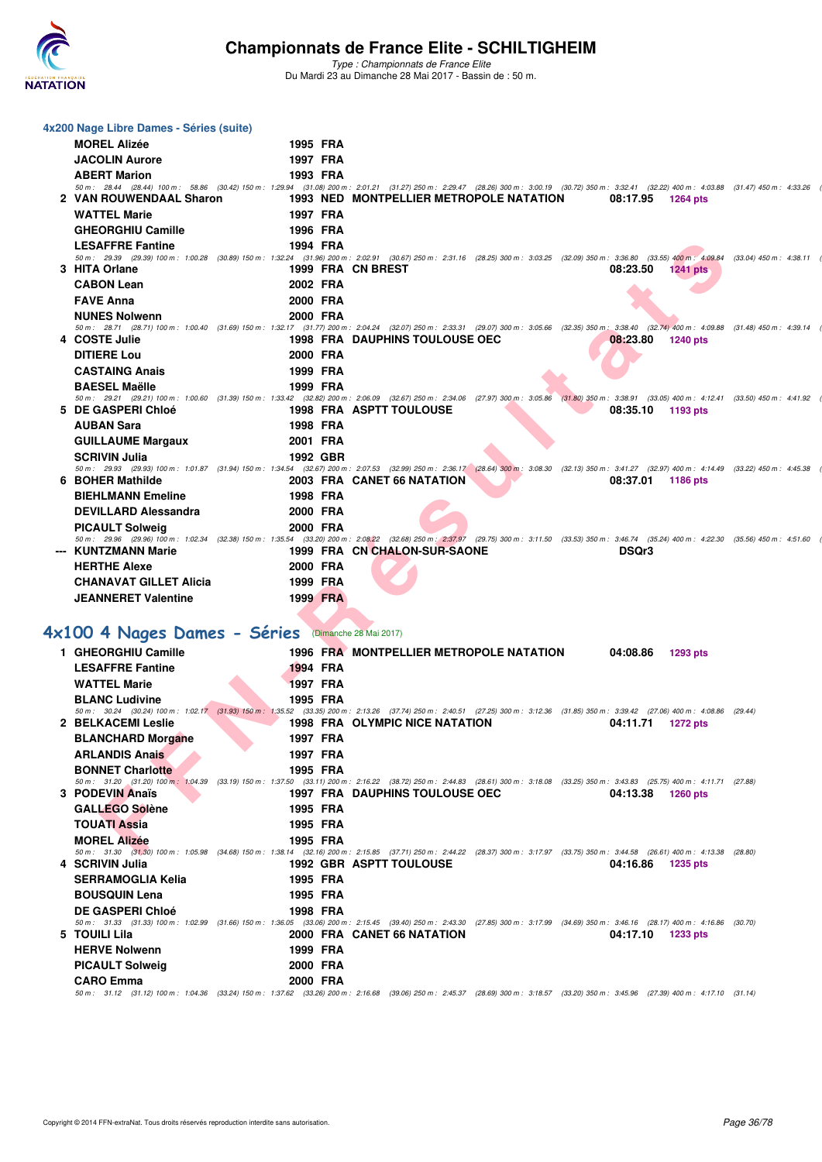

| <b>MOREL Alizée</b>                                 | 1995 FRA                                                                                                                                                                                                                                                                                                 |                                                                                                                                                                                                                                    |                                                                                                                                                                                                                                                                                                                                                                                                                                                                                                                                                                                                                                                                                                                                                                                                                                                                                                                                                                                                                                                                                                                                                                                                                                                                                                                                                                                                                                                                                                                      |
|-----------------------------------------------------|----------------------------------------------------------------------------------------------------------------------------------------------------------------------------------------------------------------------------------------------------------------------------------------------------------|------------------------------------------------------------------------------------------------------------------------------------------------------------------------------------------------------------------------------------|----------------------------------------------------------------------------------------------------------------------------------------------------------------------------------------------------------------------------------------------------------------------------------------------------------------------------------------------------------------------------------------------------------------------------------------------------------------------------------------------------------------------------------------------------------------------------------------------------------------------------------------------------------------------------------------------------------------------------------------------------------------------------------------------------------------------------------------------------------------------------------------------------------------------------------------------------------------------------------------------------------------------------------------------------------------------------------------------------------------------------------------------------------------------------------------------------------------------------------------------------------------------------------------------------------------------------------------------------------------------------------------------------------------------------------------------------------------------------------------------------------------------|
| <b>JACOLIN Aurore</b>                               | 1997 FRA                                                                                                                                                                                                                                                                                                 |                                                                                                                                                                                                                                    |                                                                                                                                                                                                                                                                                                                                                                                                                                                                                                                                                                                                                                                                                                                                                                                                                                                                                                                                                                                                                                                                                                                                                                                                                                                                                                                                                                                                                                                                                                                      |
| <b>ABERT Marion</b>                                 | 1993 FRA                                                                                                                                                                                                                                                                                                 |                                                                                                                                                                                                                                    |                                                                                                                                                                                                                                                                                                                                                                                                                                                                                                                                                                                                                                                                                                                                                                                                                                                                                                                                                                                                                                                                                                                                                                                                                                                                                                                                                                                                                                                                                                                      |
|                                                     |                                                                                                                                                                                                                                                                                                          |                                                                                                                                                                                                                                    |                                                                                                                                                                                                                                                                                                                                                                                                                                                                                                                                                                                                                                                                                                                                                                                                                                                                                                                                                                                                                                                                                                                                                                                                                                                                                                                                                                                                                                                                                                                      |
|                                                     |                                                                                                                                                                                                                                                                                                          |                                                                                                                                                                                                                                    | 1264 pts                                                                                                                                                                                                                                                                                                                                                                                                                                                                                                                                                                                                                                                                                                                                                                                                                                                                                                                                                                                                                                                                                                                                                                                                                                                                                                                                                                                                                                                                                                             |
|                                                     |                                                                                                                                                                                                                                                                                                          |                                                                                                                                                                                                                                    |                                                                                                                                                                                                                                                                                                                                                                                                                                                                                                                                                                                                                                                                                                                                                                                                                                                                                                                                                                                                                                                                                                                                                                                                                                                                                                                                                                                                                                                                                                                      |
|                                                     |                                                                                                                                                                                                                                                                                                          |                                                                                                                                                                                                                                    |                                                                                                                                                                                                                                                                                                                                                                                                                                                                                                                                                                                                                                                                                                                                                                                                                                                                                                                                                                                                                                                                                                                                                                                                                                                                                                                                                                                                                                                                                                                      |
| <b>LESAFFRE Fantine</b>                             |                                                                                                                                                                                                                                                                                                          |                                                                                                                                                                                                                                    |                                                                                                                                                                                                                                                                                                                                                                                                                                                                                                                                                                                                                                                                                                                                                                                                                                                                                                                                                                                                                                                                                                                                                                                                                                                                                                                                                                                                                                                                                                                      |
|                                                     |                                                                                                                                                                                                                                                                                                          |                                                                                                                                                                                                                                    | $1241$ pts                                                                                                                                                                                                                                                                                                                                                                                                                                                                                                                                                                                                                                                                                                                                                                                                                                                                                                                                                                                                                                                                                                                                                                                                                                                                                                                                                                                                                                                                                                           |
|                                                     |                                                                                                                                                                                                                                                                                                          |                                                                                                                                                                                                                                    |                                                                                                                                                                                                                                                                                                                                                                                                                                                                                                                                                                                                                                                                                                                                                                                                                                                                                                                                                                                                                                                                                                                                                                                                                                                                                                                                                                                                                                                                                                                      |
|                                                     |                                                                                                                                                                                                                                                                                                          |                                                                                                                                                                                                                                    |                                                                                                                                                                                                                                                                                                                                                                                                                                                                                                                                                                                                                                                                                                                                                                                                                                                                                                                                                                                                                                                                                                                                                                                                                                                                                                                                                                                                                                                                                                                      |
|                                                     |                                                                                                                                                                                                                                                                                                          |                                                                                                                                                                                                                                    |                                                                                                                                                                                                                                                                                                                                                                                                                                                                                                                                                                                                                                                                                                                                                                                                                                                                                                                                                                                                                                                                                                                                                                                                                                                                                                                                                                                                                                                                                                                      |
|                                                     |                                                                                                                                                                                                                                                                                                          |                                                                                                                                                                                                                                    |                                                                                                                                                                                                                                                                                                                                                                                                                                                                                                                                                                                                                                                                                                                                                                                                                                                                                                                                                                                                                                                                                                                                                                                                                                                                                                                                                                                                                                                                                                                      |
|                                                     |                                                                                                                                                                                                                                                                                                          |                                                                                                                                                                                                                                    | 1240 pts                                                                                                                                                                                                                                                                                                                                                                                                                                                                                                                                                                                                                                                                                                                                                                                                                                                                                                                                                                                                                                                                                                                                                                                                                                                                                                                                                                                                                                                                                                             |
| <b>DITIERE Lou</b>                                  | 2000 FRA                                                                                                                                                                                                                                                                                                 |                                                                                                                                                                                                                                    |                                                                                                                                                                                                                                                                                                                                                                                                                                                                                                                                                                                                                                                                                                                                                                                                                                                                                                                                                                                                                                                                                                                                                                                                                                                                                                                                                                                                                                                                                                                      |
| <b>CASTAING Anais</b>                               | 1999 FRA                                                                                                                                                                                                                                                                                                 |                                                                                                                                                                                                                                    |                                                                                                                                                                                                                                                                                                                                                                                                                                                                                                                                                                                                                                                                                                                                                                                                                                                                                                                                                                                                                                                                                                                                                                                                                                                                                                                                                                                                                                                                                                                      |
| <b>BAESEL Maëlle</b>                                | 1999 FRA                                                                                                                                                                                                                                                                                                 |                                                                                                                                                                                                                                    |                                                                                                                                                                                                                                                                                                                                                                                                                                                                                                                                                                                                                                                                                                                                                                                                                                                                                                                                                                                                                                                                                                                                                                                                                                                                                                                                                                                                                                                                                                                      |
|                                                     |                                                                                                                                                                                                                                                                                                          |                                                                                                                                                                                                                                    |                                                                                                                                                                                                                                                                                                                                                                                                                                                                                                                                                                                                                                                                                                                                                                                                                                                                                                                                                                                                                                                                                                                                                                                                                                                                                                                                                                                                                                                                                                                      |
|                                                     |                                                                                                                                                                                                                                                                                                          |                                                                                                                                                                                                                                    | 1193 pts                                                                                                                                                                                                                                                                                                                                                                                                                                                                                                                                                                                                                                                                                                                                                                                                                                                                                                                                                                                                                                                                                                                                                                                                                                                                                                                                                                                                                                                                                                             |
| <b>AUBAN Sara</b>                                   | 1998 FRA                                                                                                                                                                                                                                                                                                 |                                                                                                                                                                                                                                    |                                                                                                                                                                                                                                                                                                                                                                                                                                                                                                                                                                                                                                                                                                                                                                                                                                                                                                                                                                                                                                                                                                                                                                                                                                                                                                                                                                                                                                                                                                                      |
| <b>GUILLAUME Margaux</b>                            | 2001 FRA                                                                                                                                                                                                                                                                                                 |                                                                                                                                                                                                                                    |                                                                                                                                                                                                                                                                                                                                                                                                                                                                                                                                                                                                                                                                                                                                                                                                                                                                                                                                                                                                                                                                                                                                                                                                                                                                                                                                                                                                                                                                                                                      |
| <b>SCRIVIN Julia</b>                                | 1992 GBR                                                                                                                                                                                                                                                                                                 |                                                                                                                                                                                                                                    |                                                                                                                                                                                                                                                                                                                                                                                                                                                                                                                                                                                                                                                                                                                                                                                                                                                                                                                                                                                                                                                                                                                                                                                                                                                                                                                                                                                                                                                                                                                      |
|                                                     |                                                                                                                                                                                                                                                                                                          |                                                                                                                                                                                                                                    | 1186 pts                                                                                                                                                                                                                                                                                                                                                                                                                                                                                                                                                                                                                                                                                                                                                                                                                                                                                                                                                                                                                                                                                                                                                                                                                                                                                                                                                                                                                                                                                                             |
|                                                     |                                                                                                                                                                                                                                                                                                          |                                                                                                                                                                                                                                    |                                                                                                                                                                                                                                                                                                                                                                                                                                                                                                                                                                                                                                                                                                                                                                                                                                                                                                                                                                                                                                                                                                                                                                                                                                                                                                                                                                                                                                                                                                                      |
|                                                     |                                                                                                                                                                                                                                                                                                          |                                                                                                                                                                                                                                    |                                                                                                                                                                                                                                                                                                                                                                                                                                                                                                                                                                                                                                                                                                                                                                                                                                                                                                                                                                                                                                                                                                                                                                                                                                                                                                                                                                                                                                                                                                                      |
|                                                     |                                                                                                                                                                                                                                                                                                          |                                                                                                                                                                                                                                    |                                                                                                                                                                                                                                                                                                                                                                                                                                                                                                                                                                                                                                                                                                                                                                                                                                                                                                                                                                                                                                                                                                                                                                                                                                                                                                                                                                                                                                                                                                                      |
|                                                     |                                                                                                                                                                                                                                                                                                          |                                                                                                                                                                                                                                    |                                                                                                                                                                                                                                                                                                                                                                                                                                                                                                                                                                                                                                                                                                                                                                                                                                                                                                                                                                                                                                                                                                                                                                                                                                                                                                                                                                                                                                                                                                                      |
|                                                     |                                                                                                                                                                                                                                                                                                          |                                                                                                                                                                                                                                    |                                                                                                                                                                                                                                                                                                                                                                                                                                                                                                                                                                                                                                                                                                                                                                                                                                                                                                                                                                                                                                                                                                                                                                                                                                                                                                                                                                                                                                                                                                                      |
| <b>HERTHE Alexe</b>                                 | 2000 FRA                                                                                                                                                                                                                                                                                                 |                                                                                                                                                                                                                                    |                                                                                                                                                                                                                                                                                                                                                                                                                                                                                                                                                                                                                                                                                                                                                                                                                                                                                                                                                                                                                                                                                                                                                                                                                                                                                                                                                                                                                                                                                                                      |
|                                                     |                                                                                                                                                                                                                                                                                                          |                                                                                                                                                                                                                                    |                                                                                                                                                                                                                                                                                                                                                                                                                                                                                                                                                                                                                                                                                                                                                                                                                                                                                                                                                                                                                                                                                                                                                                                                                                                                                                                                                                                                                                                                                                                      |
| <b>CHANAVAT GILLET Alicia</b>                       | 1999 FRA                                                                                                                                                                                                                                                                                                 |                                                                                                                                                                                                                                    |                                                                                                                                                                                                                                                                                                                                                                                                                                                                                                                                                                                                                                                                                                                                                                                                                                                                                                                                                                                                                                                                                                                                                                                                                                                                                                                                                                                                                                                                                                                      |
| <b>JEANNERET Valentine</b>                          | 1999 FRA                                                                                                                                                                                                                                                                                                 |                                                                                                                                                                                                                                    |                                                                                                                                                                                                                                                                                                                                                                                                                                                                                                                                                                                                                                                                                                                                                                                                                                                                                                                                                                                                                                                                                                                                                                                                                                                                                                                                                                                                                                                                                                                      |
|                                                     |                                                                                                                                                                                                                                                                                                          |                                                                                                                                                                                                                                    |                                                                                                                                                                                                                                                                                                                                                                                                                                                                                                                                                                                                                                                                                                                                                                                                                                                                                                                                                                                                                                                                                                                                                                                                                                                                                                                                                                                                                                                                                                                      |
|                                                     |                                                                                                                                                                                                                                                                                                          |                                                                                                                                                                                                                                    |                                                                                                                                                                                                                                                                                                                                                                                                                                                                                                                                                                                                                                                                                                                                                                                                                                                                                                                                                                                                                                                                                                                                                                                                                                                                                                                                                                                                                                                                                                                      |
| 4x100 4 Nages Dames - Séries (Dimanche 28 Mai 2017) |                                                                                                                                                                                                                                                                                                          |                                                                                                                                                                                                                                    |                                                                                                                                                                                                                                                                                                                                                                                                                                                                                                                                                                                                                                                                                                                                                                                                                                                                                                                                                                                                                                                                                                                                                                                                                                                                                                                                                                                                                                                                                                                      |
| 1 GHEORGHIU Camille                                 |                                                                                                                                                                                                                                                                                                          | 1996 FRA MONTPELLIER METROPOLE NATATION<br>04:08.86                                                                                                                                                                                | 1293 pts                                                                                                                                                                                                                                                                                                                                                                                                                                                                                                                                                                                                                                                                                                                                                                                                                                                                                                                                                                                                                                                                                                                                                                                                                                                                                                                                                                                                                                                                                                             |
| <b>LESAFFRE Fantine</b>                             | 1994 FRA                                                                                                                                                                                                                                                                                                 |                                                                                                                                                                                                                                    |                                                                                                                                                                                                                                                                                                                                                                                                                                                                                                                                                                                                                                                                                                                                                                                                                                                                                                                                                                                                                                                                                                                                                                                                                                                                                                                                                                                                                                                                                                                      |
| <b>WATTEL Marie</b>                                 | <b>1997 FRA</b>                                                                                                                                                                                                                                                                                          |                                                                                                                                                                                                                                    |                                                                                                                                                                                                                                                                                                                                                                                                                                                                                                                                                                                                                                                                                                                                                                                                                                                                                                                                                                                                                                                                                                                                                                                                                                                                                                                                                                                                                                                                                                                      |
| <b>BLANC Ludivine</b>                               | 1995 FRA                                                                                                                                                                                                                                                                                                 |                                                                                                                                                                                                                                    |                                                                                                                                                                                                                                                                                                                                                                                                                                                                                                                                                                                                                                                                                                                                                                                                                                                                                                                                                                                                                                                                                                                                                                                                                                                                                                                                                                                                                                                                                                                      |
| 2 BELKACEMI Leslie                                  |                                                                                                                                                                                                                                                                                                          | 50 m: 30.24 (30.24) 100 m: 1:02.17 (31.93) 150 m: 1:35.52 (33.35) 200 m: 2:13.26 (37.74) 250 m: 2:40.51 (27.25) 300 m: 3:12.36 (31.85) 350 m: 3:39.42 (27.06) 400 m: 4:08.86 (29.44)<br>1998 FRA OLYMPIC NICE NATATION<br>04:11.71 | 1272 pts                                                                                                                                                                                                                                                                                                                                                                                                                                                                                                                                                                                                                                                                                                                                                                                                                                                                                                                                                                                                                                                                                                                                                                                                                                                                                                                                                                                                                                                                                                             |
|                                                     |                                                                                                                                                                                                                                                                                                          |                                                                                                                                                                                                                                    |                                                                                                                                                                                                                                                                                                                                                                                                                                                                                                                                                                                                                                                                                                                                                                                                                                                                                                                                                                                                                                                                                                                                                                                                                                                                                                                                                                                                                                                                                                                      |
| <b>BLANCHARD Morgane</b>                            | 1997 FRA                                                                                                                                                                                                                                                                                                 |                                                                                                                                                                                                                                    |                                                                                                                                                                                                                                                                                                                                                                                                                                                                                                                                                                                                                                                                                                                                                                                                                                                                                                                                                                                                                                                                                                                                                                                                                                                                                                                                                                                                                                                                                                                      |
| <b>ARLANDIS Anais</b>                               | 1997 FRA                                                                                                                                                                                                                                                                                                 |                                                                                                                                                                                                                                    |                                                                                                                                                                                                                                                                                                                                                                                                                                                                                                                                                                                                                                                                                                                                                                                                                                                                                                                                                                                                                                                                                                                                                                                                                                                                                                                                                                                                                                                                                                                      |
| <b>BONNET Charlotte</b>                             | 1995 FRA                                                                                                                                                                                                                                                                                                 | 50 m: 31.20 (31.20) 100 m: 1:04.39 (33.19) 150 m: 1:37.50 (33.11) 200 m: 2:16.22 (38.72) 250 m: 2:44.83 (28.61) 300 m: 3:18.08 (33.25) 350 m: 3:43.83 (25.75) 400 m: 4:11.71 (27.88)                                               |                                                                                                                                                                                                                                                                                                                                                                                                                                                                                                                                                                                                                                                                                                                                                                                                                                                                                                                                                                                                                                                                                                                                                                                                                                                                                                                                                                                                                                                                                                                      |
| 3 PODEVIN Anaïs                                     |                                                                                                                                                                                                                                                                                                          | <b>1997 FRA DAUPHINS TOULOUSE OEC</b><br>04:13.38                                                                                                                                                                                  | 1260 pts                                                                                                                                                                                                                                                                                                                                                                                                                                                                                                                                                                                                                                                                                                                                                                                                                                                                                                                                                                                                                                                                                                                                                                                                                                                                                                                                                                                                                                                                                                             |
| <b>GALLEGO Solène</b>                               | 1995 FRA                                                                                                                                                                                                                                                                                                 |                                                                                                                                                                                                                                    |                                                                                                                                                                                                                                                                                                                                                                                                                                                                                                                                                                                                                                                                                                                                                                                                                                                                                                                                                                                                                                                                                                                                                                                                                                                                                                                                                                                                                                                                                                                      |
| TOUATI Assia                                        | 1995 FRA                                                                                                                                                                                                                                                                                                 |                                                                                                                                                                                                                                    |                                                                                                                                                                                                                                                                                                                                                                                                                                                                                                                                                                                                                                                                                                                                                                                                                                                                                                                                                                                                                                                                                                                                                                                                                                                                                                                                                                                                                                                                                                                      |
| <b>MOREL Alizée</b>                                 | 1995 FRA                                                                                                                                                                                                                                                                                                 |                                                                                                                                                                                                                                    |                                                                                                                                                                                                                                                                                                                                                                                                                                                                                                                                                                                                                                                                                                                                                                                                                                                                                                                                                                                                                                                                                                                                                                                                                                                                                                                                                                                                                                                                                                                      |
|                                                     |                                                                                                                                                                                                                                                                                                          | 50 m: 31.30 (31.30) 100 m: 1:05.98 (34.68) 150 m: 1:38.14 (32.16) 200 m: 2:15.85 (37.71) 250 m: 2:44.22 (28.37) 300 m: 3:17.97 (33.75) 350 m: 3:44.58 (26.61) 400 m: 4:13.38 (28.80)                                               |                                                                                                                                                                                                                                                                                                                                                                                                                                                                                                                                                                                                                                                                                                                                                                                                                                                                                                                                                                                                                                                                                                                                                                                                                                                                                                                                                                                                                                                                                                                      |
| 4 SCRIVIN Julia                                     |                                                                                                                                                                                                                                                                                                          | <b>1992 GBR ASPTT TOULOUSE</b><br>04:16.86                                                                                                                                                                                         | 1235 pts                                                                                                                                                                                                                                                                                                                                                                                                                                                                                                                                                                                                                                                                                                                                                                                                                                                                                                                                                                                                                                                                                                                                                                                                                                                                                                                                                                                                                                                                                                             |
| <b>SERRAMOGLIA Kelia</b>                            | 1995 FRA                                                                                                                                                                                                                                                                                                 |                                                                                                                                                                                                                                    |                                                                                                                                                                                                                                                                                                                                                                                                                                                                                                                                                                                                                                                                                                                                                                                                                                                                                                                                                                                                                                                                                                                                                                                                                                                                                                                                                                                                                                                                                                                      |
| <b>BOUSQUIN Lena</b>                                | 1995 FRA                                                                                                                                                                                                                                                                                                 |                                                                                                                                                                                                                                    |                                                                                                                                                                                                                                                                                                                                                                                                                                                                                                                                                                                                                                                                                                                                                                                                                                                                                                                                                                                                                                                                                                                                                                                                                                                                                                                                                                                                                                                                                                                      |
| <b>DE GASPERI Chloé</b>                             | 1998 FRA                                                                                                                                                                                                                                                                                                 |                                                                                                                                                                                                                                    |                                                                                                                                                                                                                                                                                                                                                                                                                                                                                                                                                                                                                                                                                                                                                                                                                                                                                                                                                                                                                                                                                                                                                                                                                                                                                                                                                                                                                                                                                                                      |
|                                                     |                                                                                                                                                                                                                                                                                                          | 50 m: 31.33 (31.33) 100 m: 1:02.99 (31.66) 150 m: 1:36.05 (33.06) 200 m: 2:15.45 (39.40) 250 m: 2:43.30 (27.85) 300 m: 3:17.99 (34.69) 350 m: 3:46.16 (28.17) 400 m: 4:16.86 (30.70)                                               | 1233 pts                                                                                                                                                                                                                                                                                                                                                                                                                                                                                                                                                                                                                                                                                                                                                                                                                                                                                                                                                                                                                                                                                                                                                                                                                                                                                                                                                                                                                                                                                                             |
| 5 TOUILI Lila<br><b>HERVE Nolwenn</b>               | 1999 FRA                                                                                                                                                                                                                                                                                                 | 2000 FRA CANET 66 NATATION<br>04:17.10                                                                                                                                                                                             |                                                                                                                                                                                                                                                                                                                                                                                                                                                                                                                                                                                                                                                                                                                                                                                                                                                                                                                                                                                                                                                                                                                                                                                                                                                                                                                                                                                                                                                                                                                      |
|                                                     |                                                                                                                                                                                                                                                                                                          |                                                                                                                                                                                                                                    |                                                                                                                                                                                                                                                                                                                                                                                                                                                                                                                                                                                                                                                                                                                                                                                                                                                                                                                                                                                                                                                                                                                                                                                                                                                                                                                                                                                                                                                                                                                      |
| <b>PICAULT Solweig</b><br><b>CARO Emma</b>          | 2000 FRA<br>2000 FRA                                                                                                                                                                                                                                                                                     |                                                                                                                                                                                                                                    |                                                                                                                                                                                                                                                                                                                                                                                                                                                                                                                                                                                                                                                                                                                                                                                                                                                                                                                                                                                                                                                                                                                                                                                                                                                                                                                                                                                                                                                                                                                      |
|                                                     | <b>WATTEL Marie</b><br><b>GHEORGHIU Camille</b><br>3 HITA Orlane<br><b>CABON Lean</b><br><b>FAVE Anna</b><br><b>NUNES Nolwenn</b><br>4 COSTE Julie<br>5 DE GASPERI Chloé<br>6 BOHER Mathilde<br><b>BIEHLMANN Emeline</b><br><b>DEVILLARD Alessandra</b><br><b>PICAULT Solweig</b><br>--- KUNTZMANN Marie | 4x200 Nage Libre Dames - Séries (suite)<br>2 VAN ROUWENDAAL Sharon<br>1997 FRA<br>1996 FRA<br>1994 FRA<br>2002 FRA<br>2000 FRA<br>2000 FRA<br>1998 FRA<br>2000 FRA<br>2000 FRA                                                     | 50 m: 28.44 (28.44) 100 m: 58.86 (30.42) 150 m: 1:29.94 (31.08) 200 m: 2:01.21 (31.27) 250 m: 2:29.47 (28.26) 300 m: 3:00.19 (30.72) 350 m: 3:32.41 (32.22) 400 m: 4:03.88 (31.47) 450 m: 4:33.26<br>1993 NED MONTPELLIER METROPOLE NATATION<br>08:17.95<br>50 m: 29.39 (29.39) 100 m: 1:00.28 (30.89) 150 m: 1:32.24 (31.96) 200 m: 2:02.91 (30.67) 250 m: 2:31.16 (28.25) 300 m: 3:03.25 (32.09) 350 m: 3:36.80 (33.55) 400 m: 4:09.84 (33.04) 450 m: 4:38.11 (<br>1999 FRA CN BREST<br>08:23.50<br>50 m: 28.71 (28.71) 100 m: 1:00.40 (31.69) 150 m: 1:32.17 (31.77) 200 m: 2:04.24 (32.07) 250 m: 2:33.31 (29.07) 300 m: 3:05.66 (32.35) 350 m: 3:38.40 (32.74) 400 m: 4:09.88 (31.48) 450 m: 4:39.14<br><b>1998 FRA DAUPHINS TOULOUSE OEC</b><br>08:23.80<br>50 m: 29.21 (29.21) 100 m: 1:00.60 (31.39) 150 m: 1:33.42 (32.82) 200 m: 2:06.09 (32.67) 250 m: 2:34.06 (27.97) 300 m: 3:05.86 (31.80) 350 m: 3:38.91 (33.05) 400 m: 4:12.41 (33.50) 450 m: 4:41.92<br><b>1998 FRA ASPTT TOULOUSE</b><br>08:35.10<br>50 m: 29.93 (29.93) 100 m: 1:01.87 (31.94) 150 m: 1:34.54 (32.67) 200 m: 2:07.53 (32.99) 250 m: 2:36.17 (28.64) 300 m: 3:08.30 (32.13) 350 m: 3:41.27 (32.97) 400 m: 4:14.49 (33.22) 450 m: 4:45.38<br>2003 FRA CANET 66 NATATION<br>08:37.01<br>50 m: 29.96 (29.96) 100 m: 1:02.34 (32.38) 150 m: 1:35.54 (33.20) 200 m: 2:08.22 (32.68) 250 m: 2:37.97 (29.75) 300 m: 3:11.50 (33.53) 350 m: 3:46.74 (35.24) 400 m: 4:22.30 (35.56) 450 m: 4:51.60<br>1999 FRA CN CHALON-SUR-SAONE<br>DSQr3 |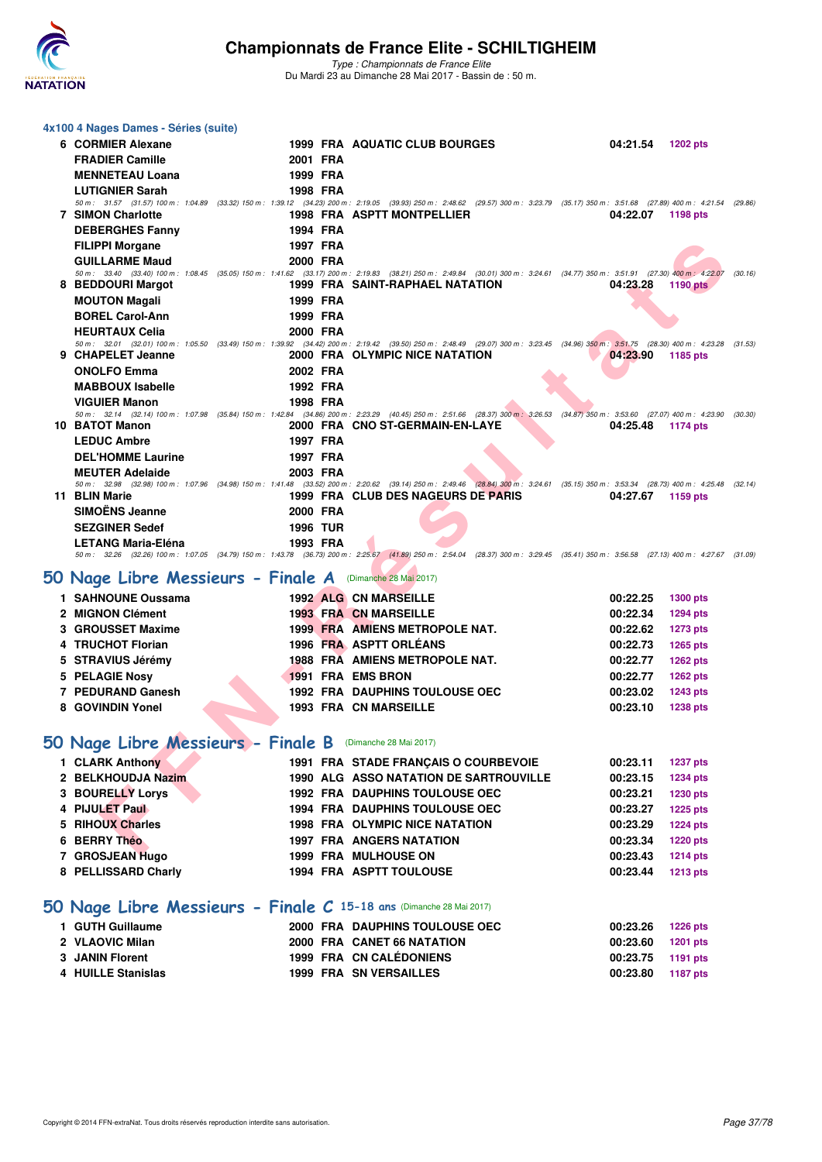

*Type : Championnats de France Elite* Du Mardi 23 au Dimanche 28 Mai 2017 - Bassin de : 50 m.

| 4x100 4 Nages Dames - Séries (suite) |                 |                                                                                                                                                                                                                                    |          |                 |         |
|--------------------------------------|-----------------|------------------------------------------------------------------------------------------------------------------------------------------------------------------------------------------------------------------------------------|----------|-----------------|---------|
| 6 CORMIER Alexane                    |                 | <b>1999 FRA AQUATIC CLUB BOURGES</b>                                                                                                                                                                                               | 04:21.54 | 1202 pts        |         |
| <b>FRADIER Camille</b>               | 2001 FRA        |                                                                                                                                                                                                                                    |          |                 |         |
| <b>MENNETEAU Loana</b>               | 1999 FRA        |                                                                                                                                                                                                                                    |          |                 |         |
| <b>LUTIGNIER Sarah</b>               | 1998 FRA        |                                                                                                                                                                                                                                    |          |                 |         |
| <b>7 SIMON Charlotte</b>             |                 | 50 m: 31.57 (31.57) 100 m: 1:04.89 (33.32) 150 m: 1:39.12 (34.23) 200 m: 2:19.05 (39.93) 250 m: 2:48.62 (29.57) 300 m: 3:23.79 (35.17) 350 m: 3:51.68 (27.89) 400 m: 4:21.54 (29.86)<br><b>1998 FRA ASPTT MONTPELLIER</b>          | 04:22.07 | 1198 pts        |         |
| <b>DEBERGHES Fanny</b>               | 1994 FRA        |                                                                                                                                                                                                                                    |          |                 |         |
| <b>FILIPPI Morgane</b>               | 1997 FRA        |                                                                                                                                                                                                                                    |          |                 |         |
| <b>GUILLARME Maud</b>                | 2000 FRA        |                                                                                                                                                                                                                                    |          |                 |         |
|                                      |                 | 50 m: 33.40 (33.40) 100 m: 1:08.45 (35.05) 150 m: 1:41.62 (33.17) 200 m: 2:19.83 (38.21) 250 m: 2:49.84 (30.01) 300 m: 3:24.61 (34.77) 350 m: 3:51.91 (27.30) 400 m: 4:22.07                                                       |          |                 | (30.16) |
| 8 BEDDOURI Margot                    |                 | <b>1999 FRA SAINT-RAPHAEL NATATION</b>                                                                                                                                                                                             | 04:23.28 | <b>1190 pts</b> |         |
| <b>MOUTON Magali</b>                 | 1999 FRA        |                                                                                                                                                                                                                                    |          |                 |         |
| <b>BOREL Carol-Ann</b>               | 1999 FRA        |                                                                                                                                                                                                                                    |          |                 |         |
| <b>HEURTAUX Celia</b>                | 2000 FRA        |                                                                                                                                                                                                                                    |          |                 |         |
| 9 CHAPELET Jeanne                    |                 | 50 m: 32.01 (32.01) 100 m: 1:05.50 (33.49) 150 m: 1:39.92 (34.42) 200 m: 2:19.42 (39.50) 250 m: 2:48.49 (29.07) 300 m: 3:23.45 (34.96) 350 m: 3:51.75 (28.30) 400 m: 4:23.28 (31.53)<br>2000 FRA OLYMPIC NICE NATATION             | 04:23.90 | 1185 pts        |         |
| <b>ONOLFO Emma</b>                   | 2002 FRA        |                                                                                                                                                                                                                                    |          |                 |         |
| <b>MABBOUX Isabelle</b>              | 1992 FRA        |                                                                                                                                                                                                                                    |          |                 |         |
| <b>VIGUIER Manon</b>                 | 1998 FRA        |                                                                                                                                                                                                                                    |          |                 |         |
|                                      |                 | 50 m: 32.14 (32.14) 100 m: 1:07.98 (35.84) 150 m: 1:42.84 (34.86) 200 m: 2:23.29 (40.45) 250 m: 2:51.66 (28.37) 300 m: 3:26.53 (34.87) 350 m: 3:53.60 (27.07) 400 m: 4:23.90                                                       |          |                 | (30.30) |
| 10 BATOT Manon                       |                 | 2000 FRA CNO ST-GERMAIN-EN-LAYE                                                                                                                                                                                                    | 04:25.48 | 1174 pts        |         |
| <b>LEDUC Ambre</b>                   | 1997 FRA        |                                                                                                                                                                                                                                    |          |                 |         |
| <b>DEL'HOMME Laurine</b>             | 1997 FRA        |                                                                                                                                                                                                                                    |          |                 |         |
| <b>MEUTER Adelaide</b>               | 2003 FRA        |                                                                                                                                                                                                                                    |          |                 |         |
| 11 BLIN Marie                        |                 | 50 m : 32.98 (32.98) 100 m : 1:07.96 (34.98) 150 m : 1:41.48 (33.52) 200 m : 2:20.62 (39.14) 250 m : 2:49.46 (28.84) 300 m : 3:24.61 (35.15) 350 m : 3:53.34 (28.73) 400 m : 4:25.48 (32.14)<br>1999 FRA CLUB DES NAGEURS DE PARIS | 04:27.67 | 1159 pts        |         |
| <b>SIMOËNS Jeanne</b>                | 2000 FRA        |                                                                                                                                                                                                                                    |          |                 |         |
| <b>SEZGINER Sedef</b>                | <b>1996 TUR</b> |                                                                                                                                                                                                                                    |          |                 |         |
| <b>LETANG Maria-Eléna</b>            | 1993 FRA        |                                                                                                                                                                                                                                    |          |                 |         |
|                                      |                 | 50 m: 32.26 (32.26) 100 m: 1:07.05 (34.79) 150 m: 1:43.78 (36.73) 200 m: 2:25.67 (41.89) 250 m: 2:54.04 (28.37) 300 m: 3:29.45 (35.41) 350 m: 3:56.58 (27.13) 400 m: 4:27.67 (31.09)                                               |          |                 |         |
| 50 Nage Libre Messieurs - Finale A   |                 | (Dimanche 28 Mai 2017)                                                                                                                                                                                                             |          |                 |         |
| 1 SAHNOUNE Oussama                   |                 | <b>1992 ALG CN MARSEILLE</b>                                                                                                                                                                                                       | 00:22.25 | 1300 pts        |         |
| 2 MIGNON Clément                     |                 | <b>1993 FRA CN MARSEILLE</b>                                                                                                                                                                                                       | 00:22.34 | 1294 pts        |         |
| 3 GROUSSET Maxime                    |                 | 1999 FRA AMIENS METROPOLE NAT.                                                                                                                                                                                                     | 00:22.62 | 1273 pts        |         |
| 4 TRUCHOT Florian                    |                 | 1996 FRA ASPTT ORLÉANS                                                                                                                                                                                                             | 00:22.73 | 1265 pts        |         |
| 5 STRAVIUS Jérémy                    |                 | <b>1988 FRA AMIENS METROPOLE NAT.</b>                                                                                                                                                                                              | 00:22.77 | 1262 pts        |         |
| 5 PELAGIE Nosy                       |                 | 1991 FRA EMS BRON                                                                                                                                                                                                                  | 00:22.77 | <b>1262 pts</b> |         |
| 7 PEDURAND Ganesh                    |                 | <b>1992 FRA DAUPHINS TOULOUSE OEC</b>                                                                                                                                                                                              | 00:23.02 | 1243 pts        |         |
| 8 GOVINDIN Yonel                     |                 | <b>1993 FRA CN MARSEILLE</b>                                                                                                                                                                                                       | 00:23.10 | 1238 pts        |         |
|                                      |                 |                                                                                                                                                                                                                                    |          |                 |         |
| 50 Nage Libre Messieurs - Finale B   |                 | (Dimanche 28 Mai 2017)                                                                                                                                                                                                             |          |                 |         |
| 1 CLARK Anthony                      |                 | 1991 FRA STADE FRANÇAIS O COURBEVOIE                                                                                                                                                                                               | 00:23.11 | <b>1237 pts</b> |         |
| 2 BELKHOUDJA Nazim                   |                 | 1990 ALG ASSO NATATION DE SARTROUVILLE                                                                                                                                                                                             | 00:23.15 | <b>1234 pts</b> |         |
| 3 BOURELLY Lorys                     |                 | <b>1992 FRA DAUPHINS TOULOUSE OEC</b>                                                                                                                                                                                              | 00:23.21 | 1230 pts        |         |
| 4 PIJULET Paul                       |                 | <b>1994 FRA DAUPHINS TOULOUSE OEC</b>                                                                                                                                                                                              | 00:23.27 | <b>1225 pts</b> |         |
| 5 RIHOUX Charles                     |                 | 1998 FRA OLYMPIC NICE NATATION                                                                                                                                                                                                     | 00:23.29 | <b>1224 pts</b> |         |
| 6 BERRY Théo                         |                 | <b>1997 FRA ANGERS NATATION</b>                                                                                                                                                                                                    | 00:23.34 | 1220 pts        |         |
| CDOC IEAN U.J.                       |                 | <b>1000 EDA MULUOUSE ON</b>                                                                                                                                                                                                        | 00.02.82 |                 |         |

### **[50 Nage Libre Messieurs - Finale A](http://www.ffnatation.fr/webffn/resultats.php?idact=nat&go=epr&idcpt=45075&idepr=51)** (Dimanche 28 Mai 2017)

| 1 SAHNOUNE Oussama |  | <b>1992 ALG CN MARSEILLE</b>   | 00:22.25 | 1300 pts        |
|--------------------|--|--------------------------------|----------|-----------------|
| 2 MIGNON Clément   |  | <b>1993 FRA CN MARSEILLE</b>   | 00:22.34 | 1294 pts        |
| 3 GROUSSET Maxime  |  | 1999 FRA AMIENS METROPOLE NAT. | 00:22.62 | 1273 pts        |
| 4 TRUCHOT Florian  |  | 1996 FRA ASPTT ORLÉANS         | 00:22.73 | 1265 pts        |
| 5 STRAVIUS Jérémy  |  | 1988 FRA AMIENS METROPOLE NAT. | 00:22.77 | 1262 pts        |
| 5 PELAGIE Nosy     |  | 1991 FRA EMS BRON              | 00:22.77 | <b>1262 pts</b> |
| 7 PEDURAND Ganesh  |  | 1992 FRA DAUPHINS TOULOUSE OEC | 00:23.02 | <b>1243 pts</b> |
| 8 GOVINDIN Yonel   |  | <b>1993 FRA CN MARSEILLE</b>   | 00:23.10 | <b>1238 pts</b> |
|                    |  |                                |          |                 |

### **[50 Nage Libre Messieurs - Finale B](http://www.ffnatation.fr/webffn/resultats.php?idact=nat&go=epr&idcpt=45075&idepr=51)** (Dimanche 28 Mai 2017)

| 1 CLARK Anthony     | 1991 FRA STADE FRANCAIS O COURBEVOIE   | 00:23.11 | <b>1237 pts</b> |
|---------------------|----------------------------------------|----------|-----------------|
| 2 BELKHOUDJA Nazim  | 1990 ALG ASSO NATATION DE SARTROUVILLE | 00:23.15 | 1234 pts        |
| 3 BOURELLY Lorys    | <b>1992 FRA DAUPHINS TOULOUSE OEC</b>  | 00:23.21 | 1230 pts        |
| 4 PIJULET Paul      | <b>1994 FRA DAUPHINS TOULOUSE OEC</b>  | 00:23.27 | <b>1225 pts</b> |
| 5 RIHOUX Charles    | <b>1998 FRA OLYMPIC NICE NATATION</b>  | 00:23.29 | <b>1224 pts</b> |
| 6 BERRY Théo        | <b>1997 FRA ANGERS NATATION</b>        | 00:23.34 | <b>1220 pts</b> |
| 7 GROSJEAN Hugo     | <b>1999 FRA MULHOUSE ON</b>            | 00:23.43 | 1214 pts        |
| 8 PELLISSARD Charly | 1994 FRA ASPTT TOULOUSE                | 00:23.44 | 1213 pts        |
|                     |                                        |          |                 |

### **[50 Nage Libre Messieurs - Finale C](http://www.ffnatation.fr/webffn/resultats.php?idact=nat&go=epr&idcpt=45075&idepr=51) 15-18 ans** (Dimanche 28 Mai 2017)

| 1 GUTH Guillaume   |  | 2000 FRA DAUPHINS TOULOUSE OEC | 00:23.26          | 1226 pts |
|--------------------|--|--------------------------------|-------------------|----------|
| 2 VLAOVIC Milan    |  | 2000 FRA CANET 66 NATATION     | 00:23.60 1201 pts |          |
| 3 JANIN Florent    |  | 1999 FRA CN CALÉDONIENS        | 00:23.75 1191 pts |          |
| 4 HUILLE Stanislas |  | <b>1999 FRA SN VERSAILLES</b>  | 00:23.80 1187 pts |          |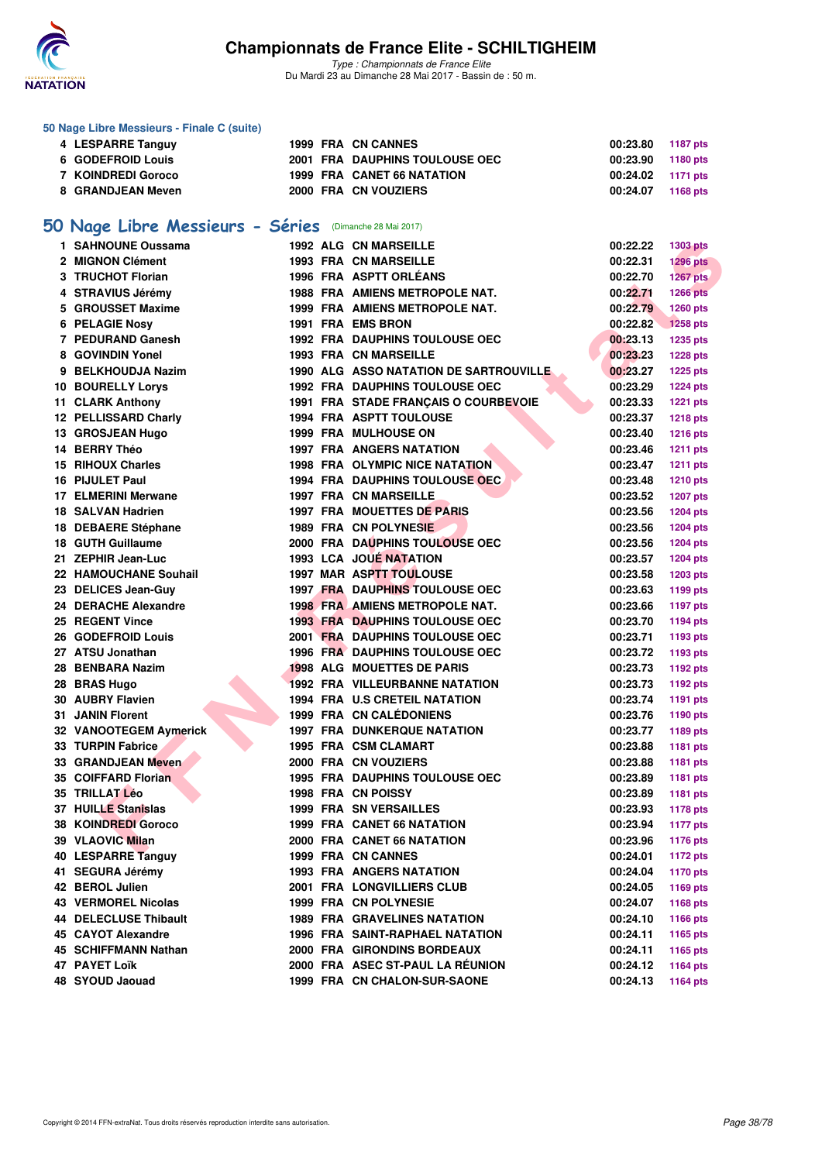

*Type : Championnats de France Elite* Du Mardi 23 au Dimanche 28 Mai 2017 - Bassin de : 50 m.

### **50 Nage Libre Messieurs - Finale C (suite)**

| 4 LESPARRE Tanguy  |  | 1999 FRA CN CANNES             | 00:23.80 1187 pts |  |
|--------------------|--|--------------------------------|-------------------|--|
| 6 GODEFROID Louis  |  | 2001 FRA DAUPHINS TOULOUSE OEC | 00:23.90 1180 pts |  |
| 7 KOINDREDI Goroco |  | 1999 FRA CANET 66 NATATION     | 00:24.02 1171 pts |  |
| 8 GRANDJEAN Meven  |  | 2000 FRA CN VOUZIERS           | 00:24.07 1168 pts |  |

## **[50 Nage Libre Messieurs - Séries](http://www.ffnatation.fr/webffn/resultats.php?idact=nat&go=epr&idcpt=45075&idepr=51)** (Dimanche 28 Mai 2017)

| 1 SAHNOUNE Oussama           |  | <b>1992 ALG CN MARSEILLE</b>           | 00:22.22 | <b>1303 pts</b> |
|------------------------------|--|----------------------------------------|----------|-----------------|
| 2 MIGNON Clément             |  | <b>1993 FRA CN MARSEILLE</b>           | 00:22.31 | <b>1296 pts</b> |
| 3 TRUCHOT Florian            |  | 1996 FRA ASPTT ORLÉANS                 | 00:22.70 | 1267 pts        |
| 4 STRAVIUS Jérémy            |  | <b>1988 FRA AMIENS METROPOLE NAT.</b>  | 00:22.71 | <b>1266 pts</b> |
| 5 GROUSSET Maxime            |  | 1999 FRA AMIENS METROPOLE NAT.         | 00:22.79 | 1260 pts        |
| 6 PELAGIE Nosy               |  | 1991 FRA EMS BRON                      | 00:22.82 | <b>1258 pts</b> |
| 7 PEDURAND Ganesh            |  | <b>1992 FRA DAUPHINS TOULOUSE OEC</b>  | 00:23.13 | <b>1235 pts</b> |
| 8 GOVINDIN Yonel             |  | <b>1993 FRA CN MARSEILLE</b>           | 00:23.23 | <b>1228 pts</b> |
| 9 BELKHOUDJA Nazim           |  | 1990 ALG ASSO NATATION DE SARTROUVILLE | 00:23.27 | <b>1225 pts</b> |
| <b>10 BOURELLY Lorys</b>     |  | <b>1992 FRA DAUPHINS TOULOUSE OEC</b>  | 00:23.29 | <b>1224 pts</b> |
| 11 CLARK Anthony             |  | 1991 FRA STADE FRANÇAIS O COURBEVOIE   | 00:23.33 | <b>1221 pts</b> |
| 12 PELLISSARD Charly         |  | <b>1994 FRA ASPTT TOULOUSE</b>         | 00:23.37 | <b>1218 pts</b> |
| 13 GROSJEAN Hugo             |  | <b>1999 FRA MULHOUSE ON</b>            | 00:23.40 | <b>1216 pts</b> |
| 14 BERRY Théo                |  | <b>1997 FRA ANGERS NATATION</b>        | 00:23.46 | <b>1211 pts</b> |
| <b>15 RIHOUX Charles</b>     |  | <b>1998 FRA OLYMPIC NICE NATATION</b>  | 00:23.47 | <b>1211 pts</b> |
| 16 PIJULET Paul              |  | 1994 FRA DAUPHINS TOULOUSE OEC         | 00:23.48 | <b>1210 pts</b> |
| 17 ELMERINI Merwane          |  | <b>1997 FRA CN MARSEILLE</b>           | 00:23.52 | <b>1207 pts</b> |
| 18 SALVAN Hadrien            |  | 1997 FRA MOUETTES DE PARIS             | 00:23.56 | <b>1204 pts</b> |
| 18 DEBAERE Stéphane          |  | 1989 FRA CN POLYNESIE                  | 00:23.56 | <b>1204 pts</b> |
| 18 GUTH Guillaume            |  | <b>2000 FRA DAUPHINS TOULOUSE OEC</b>  | 00:23.56 | <b>1204 pts</b> |
| 21 ZEPHIR Jean-Luc           |  | 1993 LCA JOUE NATATION                 | 00:23.57 | <b>1204 pts</b> |
| 22 HAMOUCHANE Souhail        |  | <b>1997 MAR ASPTT TOULOUSE</b>         | 00:23.58 | <b>1203 pts</b> |
| 23 DELICES Jean-Guy          |  | <b>1997 FRA DAUPHINS TOULOUSE OEC</b>  | 00:23.63 | 1199 pts        |
| 24 DERACHE Alexandre         |  | <b>1998 FRA AMIENS METROPOLE NAT.</b>  | 00:23.66 | <b>1197 pts</b> |
| 25 REGENT Vince              |  | <b>1993 FRA DAUPHINS TOULOUSE OEC</b>  | 00:23.70 | <b>1194 pts</b> |
| 26 GODEFROID Louis           |  | 2001 FRA DAUPHINS TOULOUSE OEC         | 00:23.71 | 1193 pts        |
| 27 ATSU Jonathan             |  | <b>1996 FRA DAUPHINS TOULOUSE OEC</b>  | 00:23.72 | 1193 pts        |
| 28 BENBARA Nazim             |  | <b>1998 ALG MOUETTES DE PARIS</b>      | 00:23.73 | <b>1192 pts</b> |
| 28 BRAS Hugo                 |  | 1992 FRA VILLEURBANNE NATATION         | 00:23.73 | <b>1192 pts</b> |
| 30 AUBRY Flavien             |  | <b>1994 FRA U.S CRETEIL NATATION</b>   | 00:23.74 | <b>1191 pts</b> |
| <b>31 JANIN Florent</b>      |  | 1999 FRA CN CALÉDONIENS                | 00:23.76 | <b>1190 pts</b> |
| 32 VANOOTEGEM Aymerick       |  | <b>1997 FRA DUNKERQUE NATATION</b>     | 00:23.77 | 1189 pts        |
| 33 TURPIN Fabrice            |  | 1995 FRA CSM CLAMART                   | 00:23.88 | 1181 pts        |
| 33 GRANDJEAN Meven           |  | 2000 FRA CN VOUZIERS                   | 00:23.88 | 1181 pts        |
| 35 COIFFARD Florian          |  | <b>1995 FRA DAUPHINS TOULOUSE OEC</b>  | 00:23.89 | 1181 pts        |
| 35 TRILLAT Léo               |  | 1998 FRA CN POISSY                     | 00:23.89 | <b>1181 pts</b> |
| 37 HUILLE Stanislas          |  | <b>1999 FRA SN VERSAILLES</b>          | 00:23.93 | <b>1178 pts</b> |
| <b>38 KOINDREDI Goroco</b>   |  | 1999 FRA CANET 66 NATATION             | 00:23.94 | <b>1177 pts</b> |
| 39 VLAOVIC Milan             |  | 2000 FRA CANET 66 NATATION             | 00:23.96 | <b>1176 pts</b> |
| 40 LESPARRE Tanguy           |  | 1999 FRA CN CANNES                     | 00:24.01 | 1172 pts        |
| 41 SEGURA Jérémy             |  | 1993 FRA ANGERS NATATION               | 00:24.04 | <b>1170 pts</b> |
| 42 BEROL Julien              |  | 2001 FRA LONGVILLIERS CLUB             | 00:24.05 | 1169 pts        |
| 43 VERMOREL Nicolas          |  | 1999 FRA CN POLYNESIE                  | 00:24.07 | 1168 pts        |
| <b>44 DELECLUSE Thibault</b> |  | <b>1989 FRA GRAVELINES NATATION</b>    | 00:24.10 | 1166 pts        |
| 45 CAYOT Alexandre           |  | <b>1996 FRA SAINT-RAPHAEL NATATION</b> | 00:24.11 | 1165 pts        |
| 45 SCHIFFMANN Nathan         |  | 2000 FRA GIRONDINS BORDEAUX            | 00:24.11 | 1165 pts        |
| 47 PAYET Loïk                |  | 2000 FRA ASEC ST-PAUL LA RÉUNION       | 00:24.12 | <b>1164 pts</b> |
| 48 SYOUD Jaouad              |  | 1999 FRA CN CHALON-SUR-SAONE           | 00:24.13 | 1164 pts        |
|                              |  |                                        |          |                 |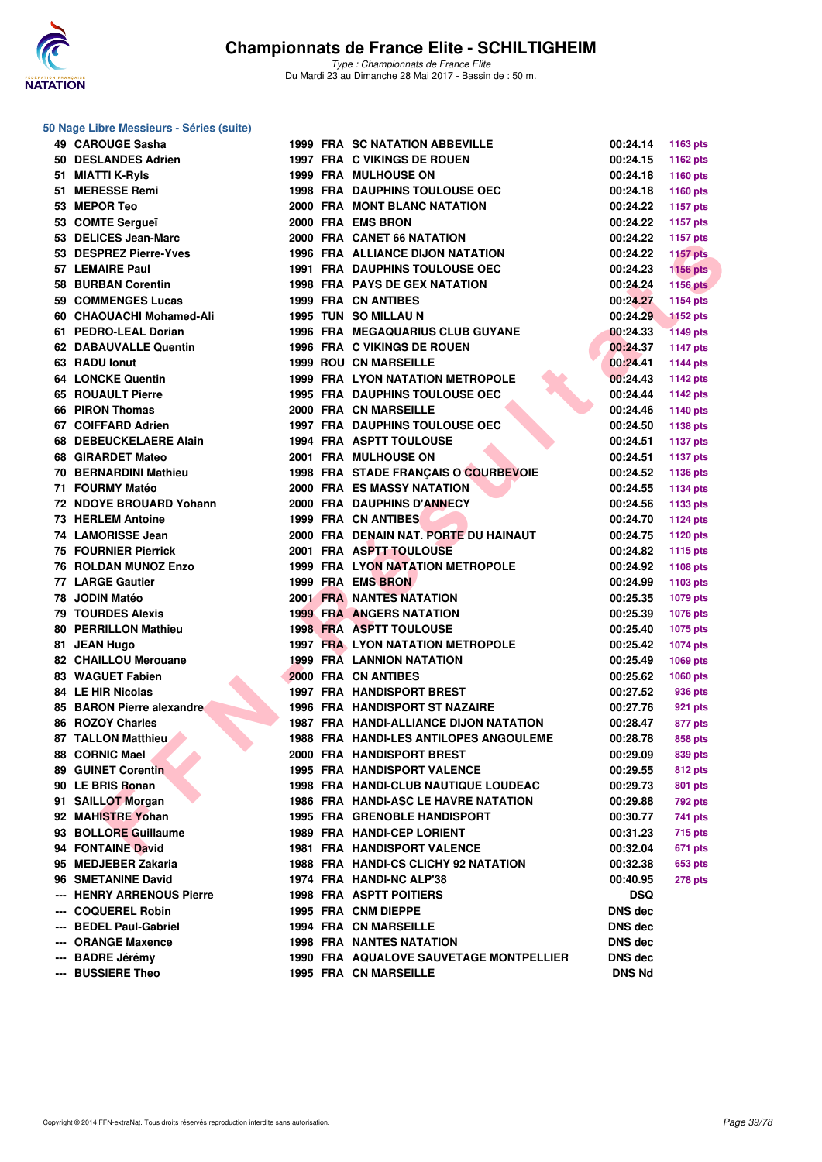

|  |  | 50 Nage Libre Messieurs - Séries (suite) |  |  |
|--|--|------------------------------------------|--|--|
|--|--|------------------------------------------|--|--|

|     | 49 CAROUGE Sasha             |  | <b>1999 FRA SC NATATION ABBEVILLE</b>       | 00:24.14       | 1163 pts                           |
|-----|------------------------------|--|---------------------------------------------|----------------|------------------------------------|
|     | 50 DESLANDES Adrien          |  | 1997 FRA C VIKINGS DE ROUEN                 | 00:24.15       | 1162 pts                           |
|     | 51 MIATTI K-Ryls             |  | <b>1999 FRA MULHOUSE ON</b>                 | 00:24.18       | 1160 pts                           |
|     | 51 MERESSE Remi              |  | <b>1998 FRA DAUPHINS TOULOUSE OEC</b>       | 00:24.18       | 1160 pts                           |
|     | 53 MEPOR Teo                 |  | 2000 FRA MONT BLANC NATATION                | 00:24.22       | <b>1157 pts</b>                    |
|     | 53 COMTE Sergueï             |  | 2000 FRA EMS BRON                           | 00:24.22       | <b>1157 pts</b>                    |
|     | 53 DELICES Jean-Marc         |  | 2000 FRA CANET 66 NATATION                  | 00:24.22       | <b>1157 pts</b>                    |
|     | 53 DESPREZ Pierre-Yves       |  | <b>1996 FRA ALLIANCE DIJON NATATION</b>     | 00:24.22       | <b>1157 pts</b>                    |
|     | 57 LEMAIRE Paul              |  | <b>1991 FRA DAUPHINS TOULOUSE OEC</b>       | 00:24.23       | <b>1156 pts</b>                    |
|     | 58 BURBAN Corentin           |  | <b>1998 FRA PAYS DE GEX NATATION</b>        | 00:24.24       | <b>1156 pts</b>                    |
|     | 59 COMMENGES Lucas           |  | 1999 FRA CN ANTIBES                         | 00:24.27       | 1154 pts                           |
|     | 60 CHAOUACHI Mohamed-Ali     |  | <b>1995 TUN SO MILLAU N</b>                 | 00:24.29       | <b>1152 pts</b>                    |
|     | 61 PEDRO-LEAL Dorian         |  | <b>1996 FRA MEGAQUARIUS CLUB GUYANE</b>     | 00:24.33       | <b>1149 pts</b>                    |
|     | 62 DABAUVALLE Quentin        |  | 1996 FRA C VIKINGS DE ROUEN                 | 00:24.37       | <b>1147 pts</b>                    |
|     | 63 RADU lonut                |  | <b>1999 ROU CN MARSEILLE</b>                | 00:24.41       | 1144 pts                           |
|     | <b>64 LONCKE Quentin</b>     |  | <b>1999 FRA LYON NATATION METROPOLE</b>     | 00:24.43       | <b>1142 pts</b>                    |
|     | 65 ROUAULT Pierre            |  | <b>1995 FRA DAUPHINS TOULOUSE OEC</b>       | 00:24.44       | 1142 pts                           |
|     | 66 PIRON Thomas              |  | 2000 FRA CN MARSEILLE                       | 00:24.46       | 1140 pts                           |
|     | 67 COIFFARD Adrien           |  | <b>1997 FRA DAUPHINS TOULOUSE OEC</b>       | 00:24.50       | <b>1138 pts</b>                    |
|     | 68 DEBEUCKELAERE Alain       |  | <b>1994 FRA ASPTT TOULOUSE</b>              | 00:24.51       | <b>1137 pts</b>                    |
|     | 68 GIRARDET Mateo            |  | 2001 FRA MULHOUSE ON                        | 00:24.51       | <b>1137 pts</b>                    |
|     | 70 BERNARDINI Mathieu        |  | 1998 FRA STADE FRANÇAIS O COURBEVOIE        | 00:24.52       | 1136 pts                           |
|     | 71 FOURMY Matéo              |  | 2000 FRA ES MASSY NATATION                  | 00:24.55       | <b>1134 pts</b>                    |
|     | 72 NDOYE BROUARD Yohann      |  | 2000 FRA DAUPHINS D'ANNECY                  | 00:24.56       | 1133 pts                           |
|     | <b>73 HERLEM Antoine</b>     |  | 1999 FRA CN ANTIBES                         | 00:24.70       | <b>1124 pts</b>                    |
|     | 74 LAMORISSE Jean            |  | 2000 FRA DENAIN NAT. PORTE DU HAINAUT       | 00:24.75       | <b>1120 pts</b>                    |
|     | <b>75 FOURNIER Pierrick</b>  |  | 2001 FRA ASPTT TOULOUSE                     | 00:24.82       | 1115 pts                           |
|     | <b>76 ROLDAN MUNOZ Enzo</b>  |  | 1999 FRA LYON NATATION METROPOLE            | 00:24.92       | <b>1108 pts</b>                    |
|     | <b>77 LARGE Gautier</b>      |  | 1999 FRA EMS BRON                           | 00:24.99       | 1103 pts                           |
|     | 78 JODIN Matéo               |  | <b>2001 FRA NANTES NATATION</b>             | 00:25.35       | 1079 pts                           |
|     | <b>79 TOURDES Alexis</b>     |  | <b>1999 FRA ANGERS NATATION</b>             | 00:25.39       | 1076 pts                           |
|     | 80 PERRILLON Mathieu         |  | <b>1998 FRA ASPTT TOULOUSE</b>              | 00:25.40       |                                    |
|     | 81 JEAN Hugo                 |  | <b>1997 FRA LYON NATATION METROPOLE</b>     | 00:25.42       | <b>1075 pts</b><br><b>1074 pts</b> |
|     | 82 CHAILLOU Merouane         |  | <b>1999 FRA LANNION NATATION</b>            | 00:25.49       |                                    |
|     | 83 WAGUET Fabien             |  | 2000 FRA CN ANTIBES                         | 00:25.62       | <b>1069 pts</b>                    |
|     | 84 LE HIR Nicolas            |  | <b>1997 FRA HANDISPORT BREST</b>            | 00:27.52       | <b>1060 pts</b>                    |
|     | 85 BARON Pierre alexandre    |  | <b>1996 FRA HANDISPORT ST NAZAIRE</b>       | 00:27.76       | 936 pts                            |
|     | 86 ROZOY Charles             |  | 1987 FRA HANDI-ALLIANCE DIJON NATATION      |                | 921 pts                            |
|     | <b>87 TALLON Matthieu</b>    |  | 1988 FRA HANDI-LES ANTILOPES ANGOULEME      | 00:28.47       | 877 pts                            |
|     |                              |  |                                             | 00:28.78       | 858 pts                            |
|     | 88 CORNIC Mael               |  | 2000 FRA HANDISPORT BREST                   | 00:29.09       | 839 pts                            |
|     | 89 GUINET Corentin           |  | 1995 FRA HANDISPORT VALENCE                 | 00:29.55       | 812 pts                            |
|     | 90 LE BRIS Ronan             |  | 1998 FRA HANDI-CLUB NAUTIQUE LOUDEAC        | 00:29.73       | 801 pts                            |
|     | 91 SAILLOT Morgan            |  | <b>1986 FRA HANDI-ASC LE HAVRE NATATION</b> | 00:29.88       | 792 pts                            |
|     | 92 MAHISTRE Yohan            |  | <b>1995 FRA GRENOBLE HANDISPORT</b>         | 00:30.77       | 741 pts                            |
|     | 93 BOLLORE Guillaume         |  | 1989 FRA HANDI-CEP LORIENT                  | 00:31.23       | 715 pts                            |
|     | 94 FONTAINE David            |  | 1981 FRA HANDISPORT VALENCE                 | 00:32.04       | 671 pts                            |
|     | 95 MEDJEBER Zakaria          |  | 1988 FRA HANDI-CS CLICHY 92 NATATION        | 00:32.38       | <b>653 pts</b>                     |
|     | 96 SMETANINE David           |  | 1974 FRA HANDI-NC ALP'38                    | 00:40.95       | <b>278 pts</b>                     |
|     | <b>HENRY ARRENOUS Pierre</b> |  | <b>1998 FRA ASPTT POITIERS</b>              | <b>DSQ</b>     |                                    |
| --- | <b>COQUEREL Robin</b>        |  | 1995 FRA CNM DIEPPE                         | DNS dec        |                                    |
| --- | <b>BEDEL Paul-Gabriel</b>    |  | <b>1994 FRA CN MARSEILLE</b>                | <b>DNS dec</b> |                                    |
|     | <b>ORANGE Maxence</b>        |  | <b>1998 FRA NANTES NATATION</b>             | <b>DNS</b> dec |                                    |
| --- | <b>BADRE Jérémy</b>          |  | 1990 FRA AQUALOVE SAUVETAGE MONTPELLIER     | DNS dec        |                                    |
| --- | <b>BUSSIERE Theo</b>         |  | 1995 FRA CN MARSEILLE                       | <b>DNS Nd</b>  |                                    |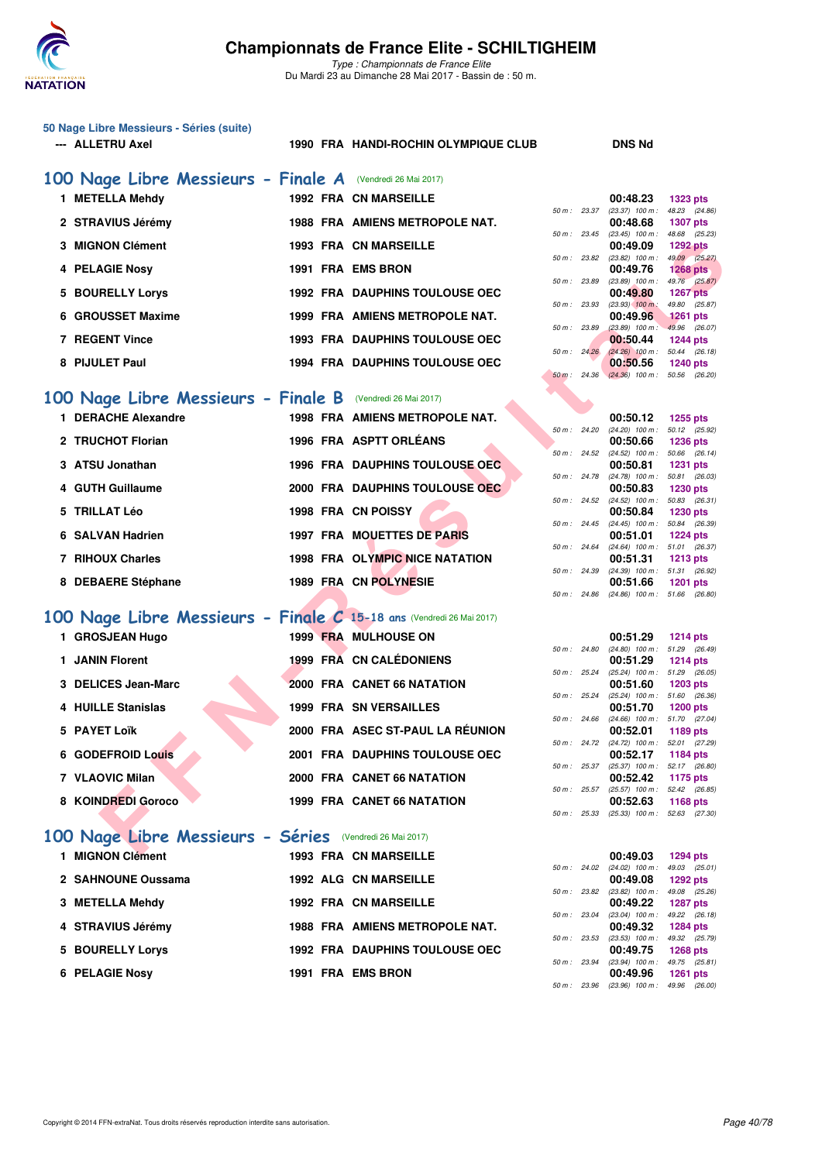

*Type : Championnats de France Elite* Du Mardi 23 au Dimanche 28 Mai 2017 - Bassin de : 50 m.

| 50 Nage Libre Messieurs - Séries (suite) |  |
|------------------------------------------|--|
| <b>ALLETRU Axel</b><br>---               |  |

#### 1990 FRA HANDI-ROCHIN OLYMPIQUE CLUB DNS Nd

| 100 Nage Libre Messieurs - Finale A (Vendredi 26 Mai 2017) |                                       |                |                   |                 |
|------------------------------------------------------------|---------------------------------------|----------------|-------------------|-----------------|
| <b>METELLA Mehdy</b>                                       | <b>1992 FRA CN MARSEILLE</b>          |                | 00:48.23          | <b>1323 pts</b> |
|                                                            |                                       | 50 m : 23.37   | $(23.37)$ 100 m : | 48.23 (24.86    |
| 2 STRAVIUS Jérémy                                          | <b>1988 FRA AMIENS METROPOLE NAT.</b> |                | 00:48.68          | <b>1307 pts</b> |
|                                                            |                                       | $50 m$ : 23.45 | $(23.45)$ 100 m : | 48.68 (25.23    |
| 3 MIGNON Clément                                           | <b>1993 FRA CN MARSEILLE</b>          |                | 00:49.09          | 1292 pts        |
|                                                            |                                       | 50 m: 23.82    | $(23.82)$ 100 m : | 49.09 (25.27    |
| <b>4 PELAGIE Nosy</b>                                      | 1991 FRA EMS BRON                     |                | 00:49.76          | $1268$ pts      |
|                                                            |                                       | 50 m: 23.89    | $(23.89)$ 100 m : | 49.76 (25.87    |
| 5 BOURELLY Lorys                                           | <b>1992 FRA DAUPHINS TOULOUSE OEC</b> |                | 00:49.80          | <b>1267 pts</b> |
|                                                            |                                       | 50 m: 23.93    | $(23.93)$ 100 m:  | 49.80 (25.87    |
| 6 GROUSSET Maxime                                          | 1999 FRA AMIENS METROPOLE NAT.        |                | 00:49.96          | $1261$ pts      |
|                                                            |                                       | 50 m: 23.89    | $(23.89)$ 100 m : | 49.96 (26.07    |
| 7 REGENT Vince                                             | <b>1993 FRA DAUPHINS TOULOUSE OEC</b> |                | 00:50.44          | <b>1244 pts</b> |
|                                                            |                                       | 50 m: 24.26    | $(24.26)$ 100 m : | 50.44 (26.18)   |
| 8 PIJULET Paul                                             | <b>1994 FRA DAUPHINS TOULOUSE OEC</b> |                | 00:50.56          | <b>1240 pts</b> |
|                                                            |                                       |                |                   |                 |

### **[100 Nage Libre Messieurs - Finale B](http://www.ffnatation.fr/webffn/resultats.php?idact=nat&go=epr&idcpt=45075&idepr=52)** (Vendredi 26 Mai 2017)

| 3 MIGNON Clément                                                    | <b>1993 FRA CN MARSEILLE</b>          |                        | 00:49.09                                             | <b>1292 pts</b>                  |  |
|---------------------------------------------------------------------|---------------------------------------|------------------------|------------------------------------------------------|----------------------------------|--|
| 4 PELAGIE Nosy                                                      | <b>1991 FRA EMS BRON</b>              | 50 m: 23.82            | $(23.82)$ 100 m :                                    | 49.09 (25.27)                    |  |
|                                                                     |                                       | 50 m : 23.89           | 00:49.76<br>$(23.89)$ 100 m :                        | 1268 $pts$<br>49.76 (25.87)      |  |
| 5 BOURELLY Lorys                                                    | <b>1992 FRA DAUPHINS TOULOUSE OEC</b> |                        | 00:49.80                                             | <b>1267 pts</b>                  |  |
|                                                                     |                                       | 50 m: 23.93            | $(23.93)$ 100 m :                                    | 49.80 (25.87)                    |  |
| 6 GROUSSET Maxime                                                   | 1999 FRA AMIENS METROPOLE NAT.        | 50 m : 23.89           | 00:49.96<br>$(23.89)$ 100 m :                        | <b>1261 pts</b><br>49.96 (26.07) |  |
| <b>7 REGENT Vince</b>                                               | <b>1993 FRA DAUPHINS TOULOUSE OEC</b> |                        | 00:50.44                                             | <b>1244 pts</b>                  |  |
|                                                                     |                                       | $50 \text{ m}$ : 24.26 | $(24.26)$ 100 m :                                    | 50.44 (26.18)                    |  |
| 8 PIJULET Paul                                                      | <b>1994 FRA DAUPHINS TOULOUSE OEC</b> |                        | 00:50.56                                             | <b>1240 pts</b>                  |  |
|                                                                     |                                       |                        | 50 m : 24.36 (24.36) 100 m : 50.56 (26.20)           |                                  |  |
| 00 Nage Libre Messieurs - Finale B (Vendredi 26 Mai 2017)           |                                       |                        |                                                      |                                  |  |
| 1 DERACHE Alexandre                                                 | 1998 FRA AMIENS METROPOLE NAT.        |                        | 00:50.12                                             | <b>1255 pts</b>                  |  |
|                                                                     |                                       | 50 m : 24.20           | $(24.20)$ 100 m : 50.12 $(25.92)$                    |                                  |  |
| 2 TRUCHOT Florian                                                   | 1996 FRA ASPTT ORLEANS                |                        | 00:50.66                                             | <b>1236 pts</b>                  |  |
|                                                                     |                                       |                        | 50 m : 24.52 (24.52) 100 m : 50.66 (26.14)           |                                  |  |
| 3 ATSU Jonathan                                                     | 1996 FRA DAUPHINS TOULOUSE OEC        | 50 m: 24.78            | 00:50.81<br>$(24.78)$ 100 m :                        | <b>1231 pts</b><br>50.81 (26.03) |  |
| 4 GUTH Guillaume                                                    | 2000 FRA DAUPHINS TOULOUSE OEC        |                        | 00:50.83                                             | <b>1230 pts</b>                  |  |
|                                                                     |                                       | 50 m : 24.52           | $(24.52)$ 100 m : 50.83 $(26.31)$                    |                                  |  |
| 5 TRILLAT Léo                                                       | 1998 FRA CN POISSY                    |                        | 00:50.84                                             | 1230 pts                         |  |
| 6 SALVAN Hadrien                                                    | 1997 FRA MOUETTES DE PARIS            |                        | 50 m: 24.45 (24.45) 100 m: 50.84 (26.39)<br>00:51.01 | <b>1224 pts</b>                  |  |
|                                                                     |                                       | $50 \text{ m}$ : 24.64 | $(24.64)$ 100 m : 51.01 $(26.37)$                    |                                  |  |
| 7 RIHOUX Charles                                                    | 1998 FRA OLYMPIC NICE NATATION        |                        | 00:51.31                                             | <b>1213 pts</b>                  |  |
|                                                                     |                                       | 50 m : 24.39           | $(24.39)$ 100 m : 51.31 $(26.92)$                    |                                  |  |
| 8 DEBAERE Stéphane                                                  | 1989 FRA CN POLYNESIE                 |                        | 00:51.66<br>50 m: 24.86 (24.86) 100 m: 51.66 (26.80) | <b>1201 pts</b>                  |  |
|                                                                     |                                       |                        |                                                      |                                  |  |
| 00 Nage Libre Messieurs - Finale C 15-18 ans (Vendredi 26 Mai 2017) |                                       |                        |                                                      |                                  |  |
| 1 GROSJEAN Hugo                                                     | 1999 FRA MULHOUSE ON                  |                        | 00:51.29                                             | 1214 pts                         |  |
|                                                                     |                                       | 50 m: 24.80            | $(24.80)$ 100 m : 51.29 $(26.49)$                    |                                  |  |
| 1 JANIN Florent                                                     | 1999 FRA CN CALÉDONIENS               |                        | 00:51.29                                             | <b>1214 pts</b>                  |  |
| 3 DELICES Jean-Marc                                                 | 2000 FRA CANET 66 NATATION            | 50 m: 25.24            | $(25.24)$ 100 m : 51.29 $(26.05)$<br>00:51.60        | <b>1203 pts</b>                  |  |
|                                                                     |                                       | 50 m : 25.24           | $(25.24)$ 100 m : 51.60 $(26.36)$                    |                                  |  |
| 4 HUILLE Stanislas                                                  | <b>1999 FRA SN VERSAILLES</b>         |                        | 00:51.70                                             | <b>1200 pts</b>                  |  |
| 5 PAYET Loïk                                                        | 2000 FRA ASEC ST-PAUL LA RÉUNION      | 50 m: 24.66            | (24.66) 100 m: 51.70 (27.04)<br>00:52.01             | 1189 pts                         |  |
|                                                                     |                                       |                        | 50 m: 24.72 (24.72) 100 m: 52.01 (27.29)             |                                  |  |
| 6 GODEFROID Louis                                                   | <b>2001 FRA DAUPHINS TOULOUSE OEC</b> |                        | 00:52.17                                             | 1184 pts                         |  |
|                                                                     |                                       | 50 m: 25.37            | $(25.37)$ 100 m : 52.17 $(26.80)$                    |                                  |  |
| 7 VLAOVIC Milan                                                     | 2000 FRA CANET 66 NATATION            |                        | 00:52.42<br>50 m: 25.57 (25.57) 100 m: 52.42 (26.85) | 1175 pts                         |  |
| 8 KOINDREDI Goroco                                                  | 1999 FRA CANET 66 NATATION            |                        | 00:52.63                                             | <b>1168 pts</b>                  |  |
|                                                                     |                                       | 50 m: 25.33            | $(25.33)$ 100 m : 52.63 $(27.30)$                    |                                  |  |
|                                                                     |                                       |                        |                                                      |                                  |  |
| .00 Nage Libre Messieurs - Séries (Vendredi 26 Mai 2017)            |                                       |                        |                                                      |                                  |  |
| <b>CARLONAL OBSERVING</b>                                           | 1000 EDA ON MADCELLE                  |                        | 00.40.02                                             | $-4004$                          |  |

## **[100 Nage Libre Messieurs - Finale C](http://www.ffnatation.fr/webffn/resultats.php?idact=nat&go=epr&idcpt=45075&idepr=52) 15-18 ans** (Vendredi 26 Mai 2017)

| 1   GROSJEAN Hugo        |  | 1999 FRA MULHOUSE ON                  |                |                        | 00:51.29                              | 1214 pts        |  |
|--------------------------|--|---------------------------------------|----------------|------------------------|---------------------------------------|-----------------|--|
|                          |  |                                       | 50 m: 24.80    |                        | $(24.80)$ 100 m : 51.29 (26.          |                 |  |
| 1 JANIN Florent          |  | 1999 FRA CN CALÉDONIENS               |                |                        | 00:51.29                              | <b>1214 pts</b> |  |
|                          |  |                                       |                | 50 m : 25.24           | (25.24) 100 m : 51.29 (26.            |                 |  |
| 3 DELICES Jean-Marc      |  | 2000 FRA CANET 66 NATATION            |                |                        | 00:51.60                              | 1203 pts        |  |
|                          |  |                                       |                | $50 \text{ m}$ : 25.24 | $(25.24)$ 100 m :                     | 51.60 (26.      |  |
| 4 HUILLE Stanislas       |  | <b>1999 FRA SN VERSAILLES</b>         |                |                        | 00:51.70                              | <b>1200 pts</b> |  |
|                          |  |                                       |                |                        | 50 m: 24.66 (24.66) 100 m: 51.70 (27. |                 |  |
| 5 PAYET Loïk             |  | 2000 FRA ASEC ST-PAUL LA RÉUNION      |                |                        | 00:52.01                              | 1189 pts        |  |
|                          |  |                                       |                |                        | 50 m: 24.72 (24.72) 100 m: 52.01 (27. |                 |  |
| <b>6 GODEFROID Louis</b> |  | <b>2001 FRA DAUPHINS TOULOUSE OEC</b> |                |                        | 00:52.17                              | 1184 pts        |  |
| 7 VLAOVIC Milan          |  | 2000 FRA CANET 66 NATATION            |                | 50 m : 25.37           | $(25.37)$ 100 m : 52.17 (26.          |                 |  |
|                          |  |                                       |                |                        | 00:52.42                              | 1175 pts        |  |
| 8 KOINDREDI Goroco       |  | 1999 FRA CANET 66 NATATION            | $50 m$ : 25.57 |                        | $(25.57)$ 100 m : 52.42 (26.          |                 |  |
|                          |  |                                       |                |                        | 00:52.63                              | 1168 pts        |  |

### **[100 Nage Libre Messieurs - Séries](http://www.ffnatation.fr/webffn/resultats.php?idact=nat&go=epr&idcpt=45075&idepr=52)** (Vendredi 26 Mai 2017)

| 1 MIGNON Clément   |  | <b>1993 FRA CN MARSEILLE</b>          |  | 00:49.03                                          | 1294 pts |  |
|--------------------|--|---------------------------------------|--|---------------------------------------------------|----------|--|
|                    |  |                                       |  | 50 m: 24.02 (24.02) 100 m: 49.03 (25.             |          |  |
| 2 SAHNOUNE Oussama |  | <b>1992 ALG CN MARSEILLE</b>          |  | 00:49.08<br>50 m: 23.82 (23.82) 100 m: 49.08 (25. | 1292 pts |  |
| 3 METELLA Mehdy    |  | <b>1992 FRA CN MARSEILLE</b>          |  | 00:49.22 1287 pts                                 |          |  |
| 4 STRAVIUS Jérémy  |  | <b>1988 FRA AMIENS METROPOLE NAT.</b> |  | 50 m: 23.04 (23.04) 100 m: 49.22 (26.<br>00:49.32 | 1284 pts |  |
|                    |  |                                       |  | 50 m: 23.53 (23.53) 100 m: 49.32 (25.             |          |  |
| 5 BOURELLY Lorys   |  | <b>1992 FRA DAUPHINS TOULOUSE OEC</b> |  | 00:49.75                                          | 1268 pts |  |
| 6 PELAGIE Nosy     |  | 1991 FRA EMS BRON                     |  | 50 m: 23.94 (23.94) 100 m: 49.75 (25.<br>00:49.96 | 1261 pts |  |

|                |              | 00:50.12          | $1255$ pts      |
|----------------|--------------|-------------------|-----------------|
|                | 50 m: 24.20  | $(24.20)$ 100 m : | 50.12 (25.92)   |
|                |              | 00:50.66          | <b>1236 pts</b> |
| $50 m$ : 24.52 |              | $(24.52)$ 100 m : | 50.66 (26.14)   |
|                |              | 00:50.81          | 1231 pts        |
| 50 m: 24.78    |              | $(24.78)$ 100 m : | 50.81 (26.03)   |
|                |              | 00:50.83          | <b>1230 pts</b> |
|                | 50 m : 24.52 | $(24.52)$ 100 m : | 50.83 (26.31)   |
|                |              | 00:50.84          | <b>1230 pts</b> |
| $50 m$ : 24.45 |              | $(24.45)$ 100 m : | 50.84 (26.39)   |
|                |              | 00:51.01          | <b>1224 pts</b> |
| 50 m: 24.64    |              | $(24.64)$ 100 m : | 51.01 (26.37)   |
|                |              | 00:51.31          | <b>1213 pts</b> |
|                | 50 m : 24.39 | $(24.39)$ 100 m : | 51.31 (26.92)   |
|                |              | 00:51.66          | <b>1201 pts</b> |
| 50 m: 24.86    |              | $(24.86)$ 100 m : | 51.66 (26.80)   |

|                | 00:51.29          | 1214 $pts$      |               |
|----------------|-------------------|-----------------|---------------|
| 50 m: 24.80    | $(24.80)$ 100 m : |                 | 51.29 (26.49) |
|                | 00:51.29          | $1214$ pts      |               |
| $50 m$ : 25.24 | $(25.24)$ 100 m : |                 | 51.29 (26.05) |
|                | 00:51.60          | 1203 pts        |               |
| $50 m$ : 25.24 | $(25.24)$ 100 m : |                 | 51.60 (26.36) |
|                | 00:51.70          | <b>1200 pts</b> |               |
| $50 m$ : 24.66 | $(24.66)$ 100 m : |                 | 51.70 (27.04) |
|                | 00:52.01          | 1189 pts        |               |
| 50 m: 24.72    | $(24.72)$ 100 m : |                 | 52.01 (27.29) |
|                | 00:52.17          | 1184 pts        |               |
| $50 m$ : 25.37 | $(25.37)$ 100 m : |                 | 52.17 (26.80) |
|                | 00:52.42          | <b>1175 pts</b> |               |
| 50 m: 25.57    | $(25.57)$ 100 m : |                 | 52.42 (26.85) |
|                | 00:52.63          | <b>1168 pts</b> |               |
| 50 m: 25.33    | $(25.33)$ 100 m : |                 | 52.63 (27.30) |

|                |              |          | 00:49.03          |                 | 1294 pts      |
|----------------|--------------|----------|-------------------|-----------------|---------------|
| $50 m$ : 24.02 |              |          | $(24.02)$ 100 m : |                 | 49.03 (25.01) |
|                |              |          | 00:49.08          | $1292$ pts      |               |
| $50 m$ :       | 23.82        |          | $(23.82)$ 100 m : |                 | 49.08 (25.26) |
|                |              | 00:49.22 |                   | <b>1287 pts</b> |               |
| $50 m$ :       | 23.04        |          | $(23.04)$ 100 m : |                 | 49.22 (26.18) |
|                |              |          | 00:49.32          | 1284 pts        |               |
| $50 m$ :       | 23.53        |          | $(23.53)$ 100 m : |                 | 49.32 (25.79) |
|                |              |          | 00:49.75          | <b>1268 pts</b> |               |
| $50 m$ :       | 23.94        |          | $(23.94)$ 100 m : |                 | 49.75 (25.81) |
|                |              |          | 00:49.96          | $1261$ pts      |               |
|                | 50 m : 23.96 |          | $(23.96)$ 100 m : |                 | 49.96 (26.00) |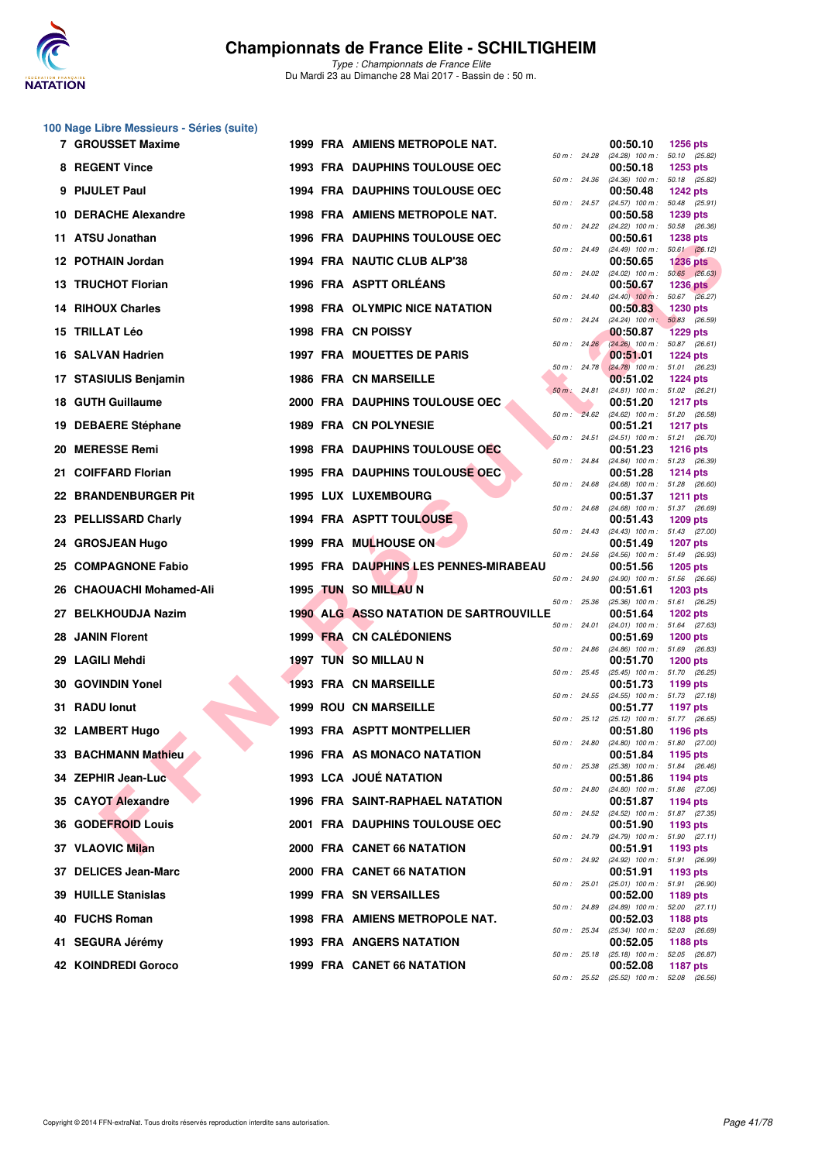

|    | 100 Nage Libre Messieurs - Séries (suite) |  |                                               |                |                                                           |                                  |
|----|-------------------------------------------|--|-----------------------------------------------|----------------|-----------------------------------------------------------|----------------------------------|
|    | <b>7 GROUSSET Maxime</b>                  |  | 1999 FRA AMIENS METROPOLE NAT.                | 50 m : 24.28   | 00:50.10<br>$(24.28)$ 100 m : 50.10 $(25.82)$             | <b>1256 pts</b>                  |
|    | 8 REGENT Vince                            |  | 1993 FRA DAUPHINS TOULOUSE OEC                | 50 m : 24.36   | 00:50.18<br>$(24.36)$ 100 m : 50.18 $(25.82)$             | 1253 pts                         |
|    | 9 PIJULET Paul                            |  | <b>1994 FRA DAUPHINS TOULOUSE OEC</b>         | 50 m: 24.57    | 00:50.48<br>(24.57) 100 m: 50.48 (25.91)                  | <b>1242 pts</b>                  |
|    | 10 DERACHE Alexandre                      |  | <b>1998 FRA AMIENS METROPOLE NAT.</b>         |                | 00:50.58                                                  | 1239 pts                         |
|    | 11 ATSU Jonathan                          |  | <b>1996 FRA DAUPHINS TOULOUSE OEC</b>         | 50 m: 24.22    | $(24.22)$ 100 m : 50.58 $(26.36)$<br>00:50.61             | <b>1238 pts</b>                  |
|    | 12 POTHAIN Jordan                         |  | 1994 FRA NAUTIC CLUB ALP'38                   | 50 m : 24.49   | $(24.49)$ 100 m : 50.61 $(26.12)$<br>00:50.65             | <b>1236 pts</b>                  |
|    | 13 TRUCHOT Florian                        |  | 1996 FRA ASPTT ORLEANS                        | 50 m : 24.02   | $(24.02)$ 100 m : 50.65 $(26.63)$<br>00:50.67             | <b>1236 pts</b>                  |
| 14 | <b>RIHOUX Charles</b>                     |  | <b>1998 FRA OLYMPIC NICE NATATION</b>         | 50 m : 24.40   | $(24.40)$ 100 m : 50.67 $(26.27)$<br>00:50.83             | <b>1230 pts</b>                  |
|    | 15 TRILLAT Léo                            |  | 1998 FRA CN POISSY                            | 50 m: 24.24    | $(24.24)$ 100 m :<br>00:50.87                             | 50.83 (26.59)<br><b>1229 pts</b> |
|    | 16 SALVAN Hadrien                         |  | <b>1997 FRA MOUETTES DE PARIS</b>             | 50 m: 24.26    | $(24.26)$ 100 m : 50.87 (26.61)<br>00:51.01               | <b>1224 pts</b>                  |
|    | 17 STASIULIS Benjamin                     |  | <b>1986 FRA CN MARSEILLE</b>                  | 50 m : 24.78   | $(24.78)$ 100 m : 51.01 (26.23)<br>00:51.02               | <b>1224 pts</b>                  |
|    | 18 GUTH Guillaume                         |  | 2000 FRA DAUPHINS TOULOUSE OEC                | 50 m: 24.81    | (24.81) 100 m: 51.02 (26.21)<br>00:51.20                  | <b>1217 pts</b>                  |
|    | 19 DEBAERE Stéphane                       |  | 1989 FRA CN POLYNESIE                         |                | 50 m : 24.62 (24.62) 100 m : 51.20 (26.58)<br>00:51.21    | <b>1217 pts</b>                  |
|    | 20 MERESSE Remi                           |  | 1998 FRA DAUPHINS TOULOUSE OEC                | 50 m: 24.51    | (24.51) 100 m: 51.21 (26.70)<br>00:51.23                  | <b>1216 pts</b>                  |
|    | 21 COIFFARD Florian                       |  | <b>1995 FRA DAUPHINS TOULOUSE OEC</b>         | 50 m : 24.84   | (24.84) 100 m: 51.23 (26.39)<br>00:51.28                  | <b>1214 pts</b>                  |
|    | 22 BRANDENBURGER Pit                      |  | 1995 LUX LUXEMBOURG                           | 50 m: 24.68    | $(24.68)$ 100 m : 51.28 $(26.60)$                         |                                  |
|    | 23 PELLISSARD Charly                      |  | 1994 FRA ASPTT TOULOUSE                       | 50 m: 24.68    | 00:51.37<br>$(24.68)$ 100 m : 51.37 $(26.69)$<br>00:51.43 | <b>1211 pts</b>                  |
|    |                                           |  |                                               | 50 m: 24.43    | (24.43) 100 m: 51.43 (27.00)                              | <b>1209 pts</b>                  |
|    | 24 GROSJEAN Hugo                          |  | 1999 FRA MULHOUSE ON                          | 50 m: 24.56    | 00:51.49<br>(24.56) 100 m: 51.49 (26.93)                  | <b>1207 pts</b>                  |
|    | 25 COMPAGNONE Fabio                       |  | 1995 FRA DAUPHINS LES PENNES-MIRABEAU         | 50 m : 24.90   | 00:51.56<br>(24.90) 100 m: 51.56 (26.66)                  | <b>1205 pts</b>                  |
|    | 26 CHAOUACHI Mohamed-Ali                  |  | 1995 TUN SO MILLAU N                          | 50 m: 25.36    | 00:51.61<br>$(25.36)$ 100 m : 51.61 $(26.25)$             | <b>1203 pts</b>                  |
|    | 27 BELKHOUDJA Nazim                       |  | <b>1990 ALG ASSO NATATION DE SARTROUVILLE</b> | 50 m : 24.01   | 00:51.64<br>$(24.01)$ 100 m : 51.64 $(27.63)$             | 1202 pts                         |
|    | 28 JANIN Florent                          |  | 1999 FRA CN CALEDONIENS                       | 50 m: 24.86    | 00:51.69<br>(24.86) 100 m: 51.69 (26.83)                  | <b>1200 pts</b>                  |
|    | 29 LAGILI Mehdi                           |  | 1997 TUN SO MILLAU N                          | 50 m : 25.45   | 00:51.70<br>(25.45) 100 m: 51.70 (26.25)                  | <b>1200 pts</b>                  |
|    | 30 GOVINDIN Yonel                         |  | <b>1993 FRA CN MARSEILLE</b>                  |                | 00:51.73<br>50 m: 24.55 (24.55) 100 m: 51.73 (27.18)      | 1199 pts                         |
|    | 31 RADU lonut                             |  | <b>1999 ROU CN MARSEILLE</b>                  | 50 m: 25.12    | 00:51.77<br>$(25.12)$ 100 m : 51.77 $(26.65)$             | <b>1197 pts</b>                  |
|    | 32 LAMBERT Hugo                           |  | <b>1993 FRA ASPTT MONTPELLIER</b>             | 50 m : 24.80   | 00:51.80<br>$(24.80)$ 100 m :                             | <b>1196 pts</b><br>51.80 (27.00) |
|    | <b>33 BACHMANN Mathieu</b>                |  | <b>1996 FRA AS MONACO NATATION</b>            | 50 m: 25.38    | 00:51.84<br>$(25.38)$ 100 m : 51.84 (26.46)               | <b>1195 pts</b>                  |
|    | 34 ZEPHIR Jean-Luc                        |  | 1993 LCA JOUÉ NATATION                        |                | 00:51.86                                                  | 1194 pts                         |
|    | 35 CAYOT Alexandre                        |  | 1996 FRA SAINT-RAPHAEL NATATION               | 50 m: 24.80    | (24.80) 100 m: 51.86 (27.06)<br>00:51.87                  | 1194 pts                         |
|    | 36 GODEFROID Louis                        |  | 2001 FRA DAUPHINS TOULOUSE OEC                | 50 m: 24.52    | $(24.52)$ 100 m : 51.87 $(27.35)$<br>00:51.90             | 1193 pts                         |
|    | 37 VLAOVIC Milan                          |  | 2000 FRA CANET 66 NATATION                    | 50 m : 24.79   | (24.79) 100 m: 51.90 (27.11)<br>00:51.91                  | 1193 pts                         |
|    | 37 DELICES Jean-Marc                      |  | 2000 FRA CANET 66 NATATION                    | 50 m: 24.92    | (24.92) 100 m: 51.91 (26.99)<br>00:51.91                  | 1193 pts                         |
|    | <b>39 HUILLE Stanislas</b>                |  | <b>1999 FRA SN VERSAILLES</b>                 | $50 m$ : 25.01 | (25.01) 100 m: 51.91 (26.90)<br>00:52.00                  | 1189 pts                         |
|    | 40 FUCHS Roman                            |  | 1998 FRA AMIENS METROPOLE NAT.                | 50 m: 24.89    | $(24.89)$ 100 m : 52.00 $(27.11)$<br>00:52.03             | 1188 pts                         |
|    | 41 SEGURA Jérémy                          |  | 1993 FRA ANGERS NATATION                      | 50 m: 25.34    | (25.34) 100 m: 52.03 (26.69)<br>00:52.05                  | <b>1188 pts</b>                  |
|    | 42 KOINDREDI Goroco                       |  | 1999 FRA CANET 66 NATATION                    | 50 m: 25.18    | (25.18) 100 m: 52.05 (26.87)<br>00:52.08                  | 1187 pts                         |
|    |                                           |  |                                               |                | 50 m: 25.52 (25.52) 100 m: 52.08 (26.56)                  |                                  |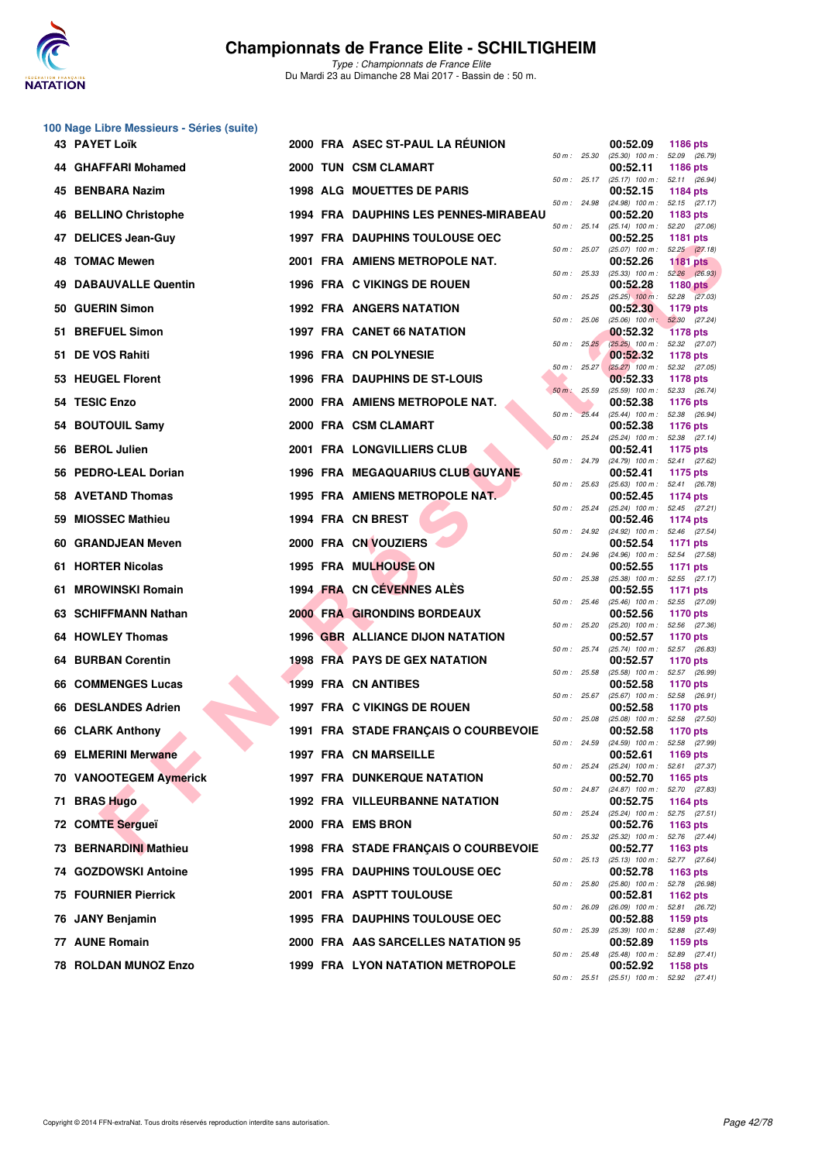

|    | 100 Nage Libre Messieurs - Séries (suite) |  |                                         |                |                                                 |                                  |
|----|-------------------------------------------|--|-----------------------------------------|----------------|-------------------------------------------------|----------------------------------|
|    | 43 PAYET Loïk                             |  | 2000 FRA ASEC ST-PAUL LA REUNION        | 50 m : 25.30   | 00:52.09<br>$(25.30)$ 100 m : 52.09 $(26.79)$   | 1186 pts                         |
|    | 44 GHAFFARI Mohamed                       |  | 2000 TUN CSM CLAMART                    | 50 m : 25.17   | 00:52.11<br>$(25.17)$ 100 m : 52.11 $(26.94)$   | 1186 pts                         |
|    | 45 BENBARA Nazim                          |  | 1998 ALG MOUETTES DE PARIS              |                | 00:52.15                                        | 1184 pts                         |
|    | 46 BELLINO Christophe                     |  | 1994 FRA DAUPHINS LES PENNES-MIRABEAU   | 50 m: 24.98    | (24.98) 100 m: 52.15 (27.17)<br>00:52.20        | 1183 pts                         |
|    | 47 DELICES Jean-Guy                       |  | <b>1997 FRA DAUPHINS TOULOUSE OEC</b>   | 50 m: 25.14    | $(25.14)$ 100 m : 52.20 $(27.06)$<br>00:52.25   | <b>1181 pts</b>                  |
|    | <b>48 TOMAC Mewen</b>                     |  | 2001 FRA AMIENS METROPOLE NAT.          | 50 m : 25.07   | $(25.07)$ 100 m : 52.25 $(27.18)$<br>00:52.26   | <b>1181 pts</b>                  |
|    | <b>49 DABAUVALLE Quentin</b>              |  | 1996 FRA C VIKINGS DE ROUEN             | 50 m: 25.33    | $(25.33)$ 100 m : $52.26$ $(26.93)$<br>00:52.28 | <b>1180 pts</b>                  |
|    | 50 GUERIN Simon                           |  | <b>1992 FRA ANGERS NATATION</b>         | 50 m : 25.25   | $(25.25)$ 100 m : 52.28 $(27.03)$<br>00:52.30   | 1179 pts                         |
|    | 51 BREFUEL Simon                          |  | 1997 FRA CANET 66 NATATION              | 50 m: 25.06    | $(25.06)$ 100 m :<br>00:52.32                   | 52.30 (27.24)<br><b>1178 pts</b> |
|    | 51 DE VOS Rahiti                          |  | 1996 FRA CN POLYNESIE                   | 50 m: 25.25    | (25.25) 100 m: 52.32 (27.07)<br>00:52.32        | <b>1178 pts</b>                  |
|    | 53 HEUGEL Florent                         |  | 1996 FRA DAUPHINS DE ST-LOUIS           | 50 m : 25.27   | $(25.27)$ 100 m : 52.32 (27.05)<br>00:52.33     | <b>1178 pts</b>                  |
|    | 54 TESIC Enzo                             |  | 2000 FRA AMIENS METROPOLE NAT.          | $50 m$ : 25.59 | (25.59) 100 m: 52.33 (26.74)<br>00:52.38        | <b>1176 pts</b>                  |
|    | 54 BOUTOUIL Samy                          |  | 2000 FRA CSM CLAMART                    | 50 m: 25.44    | $(25.44)$ 100 m : 52.38 (26.94)<br>00:52.38     | <b>1176 pts</b>                  |
|    | 56 BEROL Julien                           |  | 2001 FRA LONGVILLIERS CLUB              | 50 m: 25.24    | (25.24) 100 m: 52.38 (27.14)<br>00:52.41        | 1175 pts                         |
|    |                                           |  |                                         | 50 m : 24.79   | (24.79) 100 m: 52.41 (27.62)                    |                                  |
|    | 56 PEDRO-LEAL Dorian                      |  | <b>1996 FRA MEGAQUARIUS CLUB GUYANE</b> | 50 m: 25.63    | 00:52.41<br>$(25.63)$ 100 m : 52.41 $(26.78)$   | 1175 pts                         |
|    | 58 AVETAND Thomas                         |  | 1995 FRA AMIENS METROPOLE NAT.          | 50 m: 25.24    | 00:52.45<br>(25.24) 100 m: 52.45 (27.21)        | 1174 pts                         |
| 59 | <b>MIOSSEC Mathieu</b>                    |  | 1994 FRA CN BREST                       | 50 m : 24.92   | 00:52.46<br>(24.92) 100 m : 52.46 (27.54)       | 1174 pts                         |
|    | 60 GRANDJEAN Meven                        |  | 2000 FRA CN VOUZIERS                    | 50 m : 24.96   | 00:52.54<br>(24.96) 100 m: 52.54 (27.58)        | 1171 pts                         |
|    | 61 HORTER Nicolas                         |  | <b>1995 FRA MULHOUSE ON</b>             | 50 m : 25.38   | 00:52.55<br>(25.38) 100 m: 52.55 (27.17)        | <b>1171 pts</b>                  |
|    | 61 MROWINSKI Romain                       |  | 1994 FRA CN CÉVENNES ALÈS               | 50 m: 25.46    | 00:52.55<br>(25.46) 100 m: 52.55 (27.09)        | <b>1171 pts</b>                  |
|    | 63 SCHIFFMANN Nathan                      |  | 2000 FRA GIRONDINS BORDEAUX             | 50 m: 25.20    | 00:52.56<br>$(25.20)$ 100 m : 52.56 $(27.36)$   | <b>1170 pts</b>                  |
|    | 64 HOWLEY Thomas                          |  | <b>1996 GBR ALLIANCE DIJON NATATION</b> | 50 m: 25.74    | 00:52.57<br>(25.74) 100 m: 52.57 (26.83)        | <b>1170 pts</b>                  |
|    | <b>64 BURBAN Corentin</b>                 |  | 1998 FRA PAYS DE GEX NATATION           | 50 m: 25.58    | 00:52.57<br>(25.58) 100 m: 52.57 (26.99)        | <b>1170 pts</b>                  |
|    | 66 COMMENGES Lucas                        |  | <b>1999 FRA CN ANTIBES</b>              | 50 m: 25.67    | 00:52.58<br>$(25.67)$ 100 m : 52.58 $(26.91)$   | <b>1170 pts</b>                  |
|    | 66 DESLANDES Adrien                       |  | 1997 FRA C VIKINGS DE ROUEN             |                | 00:52.58                                        | 1170 pts                         |
|    | 66 CLARK Anthony                          |  | 1991 FRA STADE FRANÇAIS O COURBEVOIE    | 50 m : 25.08   | $(25.08)$ 100 m : 52.58 (27.50)<br>00:52.58     | <b>1170 pts</b>                  |
|    | 69 ELMERINI Merwane                       |  | 1997 FRA CN MARSEILLE                   | 50 m : 24.59   | $(24.59)$ 100 m :<br>00:52.61                   | 52.58 (27.99)<br>1169 pts        |
|    | 70 VANOOTEGEM Aymerick                    |  | <b>1997 FRA DUNKERQUE NATATION</b>      | 50 m: 25.24    | (25.24) 100 m: 52.61 (27.37)<br>00:52.70        | 1165 pts                         |
| 71 | <b>BRAS Hugo</b>                          |  | <b>1992 FRA VILLEURBANNE NATATION</b>   | 50 m: 24.87    | (24.87) 100 m: 52.70 (27.83)<br>00:52.75        | 1164 pts                         |
|    | 72 COMTE Sergueï                          |  | 2000 FRA EMS BRON                       | 50 m : 25.24   | (25.24) 100 m: 52.75 (27.51)<br>00:52.76        | 1163 pts                         |
|    | 73 BERNARDINI Mathieu                     |  | 1998 FRA STADE FRANÇAIS O COURBEVOIE    | 50 m : 25.32   | $(25.32)$ 100 m : 52.76 $(27.44)$<br>00:52.77   | 1163 pts                         |
|    | 74 GOZDOWSKI Antoine                      |  | <b>1995 FRA DAUPHINS TOULOUSE OEC</b>   | 50 m : 25.13   | (25.13) 100 m: 52.77 (27.64)<br>00:52.78        | 1163 pts                         |
|    | <b>75 FOURNIER Pierrick</b>               |  | 2001 FRA ASPTT TOULOUSE                 | 50 m : 25.80   | (25.80) 100 m: 52.78 (26.98)<br>00:52.81        | 1162 pts                         |
|    | 76 JANY Benjamin                          |  | <b>1995 FRA DAUPHINS TOULOUSE OEC</b>   | 50 m: 26.09    | $(26.09)$ 100 m :<br>00:52.88                   | 52.81 (26.72)<br>1159 pts        |
|    | 77 AUNE Romain                            |  | 2000 FRA AAS SARCELLES NATATION 95      | 50 m : 25.39   | (25.39) 100 m: 52.88 (27.49)<br>00:52.89        | 1159 pts                         |
|    | 78 ROLDAN MUNOZ Enzo                      |  | <b>1999 FRA LYON NATATION METROPOLE</b> | 50 m : 25.48   | (25.48) 100 m: 52.89 (27.41)<br>00:52.92        | 1158 pts                         |
|    |                                           |  |                                         | 50 m : 25.51   | $(25.51)$ 100 m : 52.92 $(27.41)$               |                                  |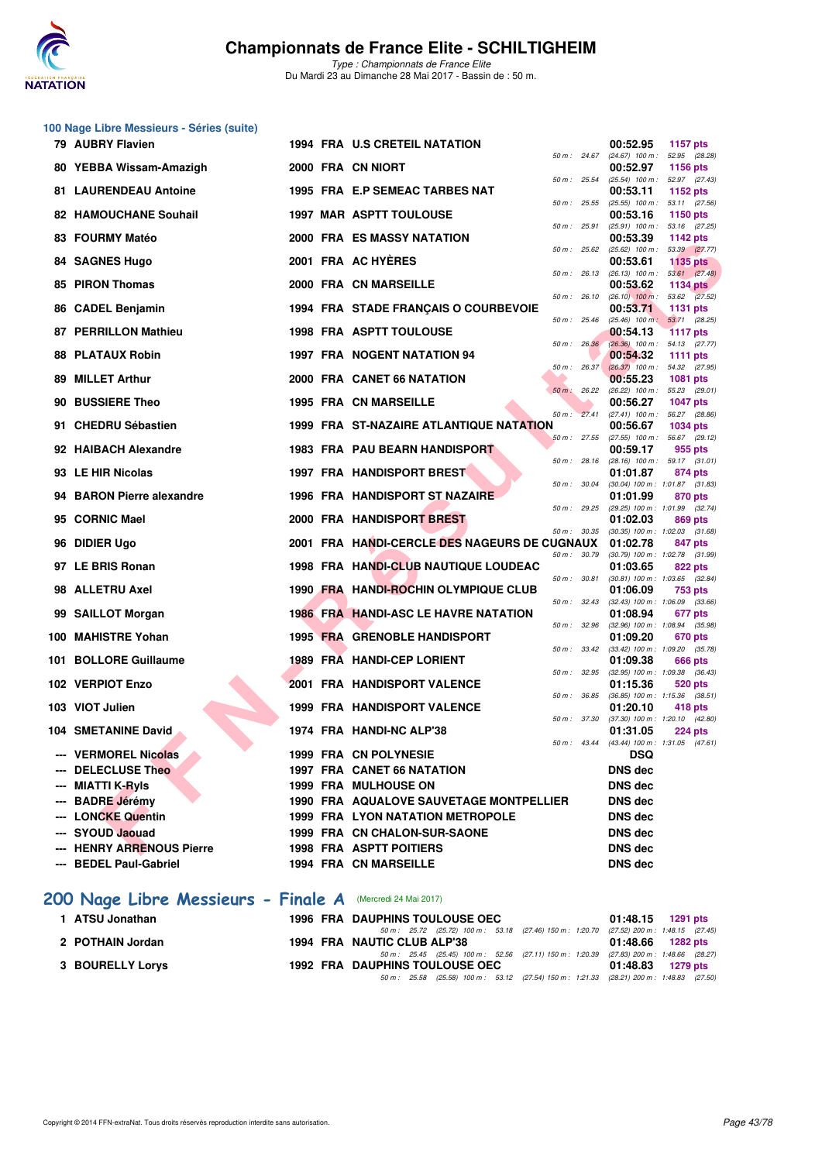

|    | 100 Nage Libre Messieurs - Séries (suite)     |  |                                                                                                                                 |                                                                          |
|----|-----------------------------------------------|--|---------------------------------------------------------------------------------------------------------------------------------|--------------------------------------------------------------------------|
|    | 79 AUBRY Flavien                              |  | 1994 FRA U.S CRETEIL NATATION<br>50 m : 24.67                                                                                   | 00:52.95<br><b>1157 pts</b><br>(24.67) 100 m: 52.95 (28.28)              |
|    | 80 YEBBA Wissam-Amazigh                       |  | 2000 FRA CN NIORT                                                                                                               | 00:52.97<br>1156 pts                                                     |
|    | <b>81 LAURENDEAU Antoine</b>                  |  | 50 m : 25.54<br>1995 FRA E.P SEMEAC TARBES NAT                                                                                  | (25.54) 100 m: 52.97 (27.43)<br>00:53.11<br>1152 pts                     |
|    | 82 HAMOUCHANE Souhail                         |  | 50 m : 25.55<br><b>1997 MAR ASPTT TOULOUSE</b>                                                                                  | (25.55) 100 m: 53.11 (27.56)<br>00:53.16<br><b>1150 pts</b>              |
|    | 83 FOURMY Matéo                               |  | 50 m: 25.91<br>2000 FRA ES MASSY NATATION                                                                                       | $(25.91)$ 100 m : 53.16 $(27.25)$<br>00:53.39<br>1142 pts                |
|    | 84 SAGNES Hugo                                |  | 50 m: 25.62<br>2001 FRA AC HYERES                                                                                               | (25.62) 100 m: 53.39 (27.77)<br>00:53.61<br><b>1135 pts</b>              |
| 85 | <b>PIRON Thomas</b>                           |  | 50 m: 26.13<br>2000 FRA CN MARSEILLE                                                                                            | $(26.13)$ 100 m : 53.61 $(27.48)$<br>00:53.62<br><b>1134 pts</b>         |
|    |                                               |  | 50 m: 26.10<br>1994 FRA STADE FRANCAIS O COURBEVOIE                                                                             | $(26.10)$ 100 m : 53.62 $(27.52)$                                        |
|    | 86 CADEL Benjamin                             |  | 50 m : 25.46                                                                                                                    | 00:53.71<br><b>1131 pts</b><br>$(25.46)$ 100 m : 53.71 (28.25)           |
|    | 87 PERRILLON Mathieu                          |  | <b>1998 FRA ASPTT TOULOUSE</b><br>50 m: 26.36                                                                                   | 00:54.13<br><b>1117 pts</b><br>(26.36) 100 m: 54.13 (27.77)              |
| 88 | <b>PLATAUX Robin</b>                          |  | 1997 FRA NOGENT NATATION 94<br>50 m: 26.37                                                                                      | 00:54.32<br>1111 pts<br>$(26.37)$ 100 m : 54.32 (27.95)                  |
|    | 89 MILLET Arthur                              |  | 2000 FRA CANET 66 NATATION<br>50 m: 26.22                                                                                       | 00:55.23<br><b>1081 pts</b><br>(26.22) 100 m: 55.23 (29.01)              |
|    | 90 BUSSIERE Theo                              |  | 1995 FRA CN MARSEILLE<br>50 m: 27.41                                                                                            | 00:56.27<br><b>1047 pts</b><br>$(27.41)$ 100 m : 56.27 $(28.86)$         |
|    | 91 CHEDRU Sébastien                           |  | <b>1999 FRA ST-NAZAIRE ATLANTIQUE NATATION</b><br>50 m: 27.55                                                                   | 00:56.67<br><b>1034 pts</b><br>(27.55) 100 m: 56.67 (29.12)              |
|    | 92 HAIBACH Alexandre                          |  | <b>1983 FRA PAU BEARN HANDISPORT</b>                                                                                            | 00:59.17<br>955 pts                                                      |
|    | 93 LE HIR Nicolas                             |  | 50 m : 28.16<br><b>1997 FRA HANDISPORT BREST</b>                                                                                | $(28.16)$ 100 m : 59.17 $(31.01)$<br>01:01.87<br>874 pts                 |
|    | 94 BARON Pierre alexandre                     |  | 50 m : 30.04<br>1996 FRA HANDISPORT ST NAZAIRE                                                                                  | (30.04) 100 m: 1:01.87 (31.83)<br>01:01.99<br>870 pts                    |
|    | 95 CORNIC Mael                                |  | 50 m : 29.25<br>2000 FRA HANDISPORT BREST                                                                                       | (29.25) 100 m: 1:01.99 (32.74)<br>01:02.03<br>869 pts                    |
|    | 96 DIDIER Ugo                                 |  | 50 m : 30.35<br>2001 FRA HANDI-CERCLE DES NAGEURS DE CUGNAUX                                                                    | $(30.35)$ 100 m : 1:02.03 $(31.68)$<br>01:02.78<br>847 pts               |
|    | 97 LE BRIS Ronan                              |  | 50 m : 30.79<br>1998 FRA HANDI-CLUB NAUTIQUE LOUDEAC                                                                            | (30.79) 100 m: 1:02.78 (31.99)<br>01:03.65<br>822 pts                    |
|    | 98 ALLETRU Axel                               |  | 50 m : 30.81<br>1990 FRA HANDI-ROCHIN OLYMPIQUE CLUB                                                                            | $(30.81)$ 100 m : 1:03.65 $(32.84)$<br>01:06.09<br>753 pts               |
|    | 99 SAILLOT Morgan                             |  | 50 m: 32.43<br><b>1986 FRA HANDI-ASC LE HAVRE NATATION</b>                                                                      | $(32.43)$ 100 m : 1:06.09 $(33.66)$<br>01:08.94<br>677 pts               |
|    | 100 MAHISTRE Yohan                            |  | 50 m : 32.96<br>1995 FRA GRENOBLE HANDISPORT                                                                                    | (32.96) 100 m : 1:08.94 (35.98)<br>01:09.20<br>670 pts                   |
|    | 101 BOLLORE Guillaume                         |  | 50 m : 33.42<br>1989 FRA HANDI-CEP LORIENT                                                                                      | $(33.42)$ 100 m : 1:09.20 $(35.78)$<br>01:09.38<br>666 pts               |
|    | 102 VERPIOT Enzo                              |  | 50 m : 32.95<br>2001 FRA HANDISPORT VALENCE                                                                                     | (32.95) 100 m: 1:09.38 (36.43)<br>01:15.36<br>520 pts                    |
|    | 103 VIOT Julien                               |  | 50 m : 36.85<br>1999 FRA HANDISPORT VALENCE                                                                                     | (36.85) 100 m: 1:15.36 (38.51)                                           |
|    |                                               |  | 50 m : 37.30                                                                                                                    | 01:20.10<br>418 pts<br>(37.30) 100 m: 1:20.10 (42.80)                    |
|    | <b>104 SMETANINE David</b>                    |  | 1974 FRA HANDI-NC ALP'38                                                                                                        | 01:31.05<br><b>224 pts</b><br>50 m: 43.44 (43.44) 100 m: 1:31.05 (47.61) |
|    | --- VERMOREL Nicolas<br><b>DELECLUSE Theo</b> |  | 1999 FRA CN POLYNESIE<br><b>1997 FRA CANET 66 NATATION</b>                                                                      | <b>DSQ</b><br><b>DNS dec</b>                                             |
|    | MIATTI K-RyIs                                 |  | <b>1999 FRA MULHOUSE ON</b>                                                                                                     | <b>DNS</b> dec                                                           |
|    | <b>BADRE Jérémy</b>                           |  | 1990 FRA AQUALOVE SAUVETAGE MONTPELLIER                                                                                         | <b>DNS</b> dec                                                           |
|    | <b>LONCKE Quentin</b>                         |  | <b>1999 FRA LYON NATATION METROPOLE</b>                                                                                         | <b>DNS dec</b>                                                           |
|    | --- SYOUD Jaouad                              |  | 1999 FRA CN CHALON-SUR-SAONE                                                                                                    | <b>DNS dec</b>                                                           |
|    | --- HENRY ARRENOUS Pierre                     |  | <b>1998 FRA ASPTT POITIERS</b>                                                                                                  | <b>DNS</b> dec                                                           |
|    | --- BEDEL Paul-Gabriel                        |  | 1994 FRA CN MARSEILLE                                                                                                           | <b>DNS dec</b>                                                           |
|    | 200 Nage Libre Messieurs - Finale A           |  | (Mercredi 24 Mai 2017)                                                                                                          |                                                                          |
|    | 1 ATSU Jonathan                               |  | 1996 FRA DAUPHINS TOULOUSE OEC                                                                                                  | 01:48.15<br>1291 pts                                                     |
|    | 2 POTHAIN Jordan                              |  | 50 m: 25.72 (25.72) 100 m: 53.18 (27.46) 150 m: 1:20.70 (27.52) 200 m: 1:48.15 (27.45)<br>1994 FRA NAUTIC CLUB ALP'38           | 01:48.66<br>1282 pts                                                     |
|    | 3 BOURELLY Lorys                              |  | 50 m: 25.45 (25.45) 100 m: 52.56 (27.11) 150 m: 1:20.39 (27.83) 200 m: 1:48.66 (28.27)<br><b>1992 FRA DAUPHINS TOULOUSE OEC</b> | 01:48.83<br>1279 pts                                                     |
|    |                                               |  | 50 m: 25.58 (25.58) 100 m: 53.12 (27.54) 150 m: 1:21.33 (28.21) 200 m: 1:48.83 (27.50)                                          |                                                                          |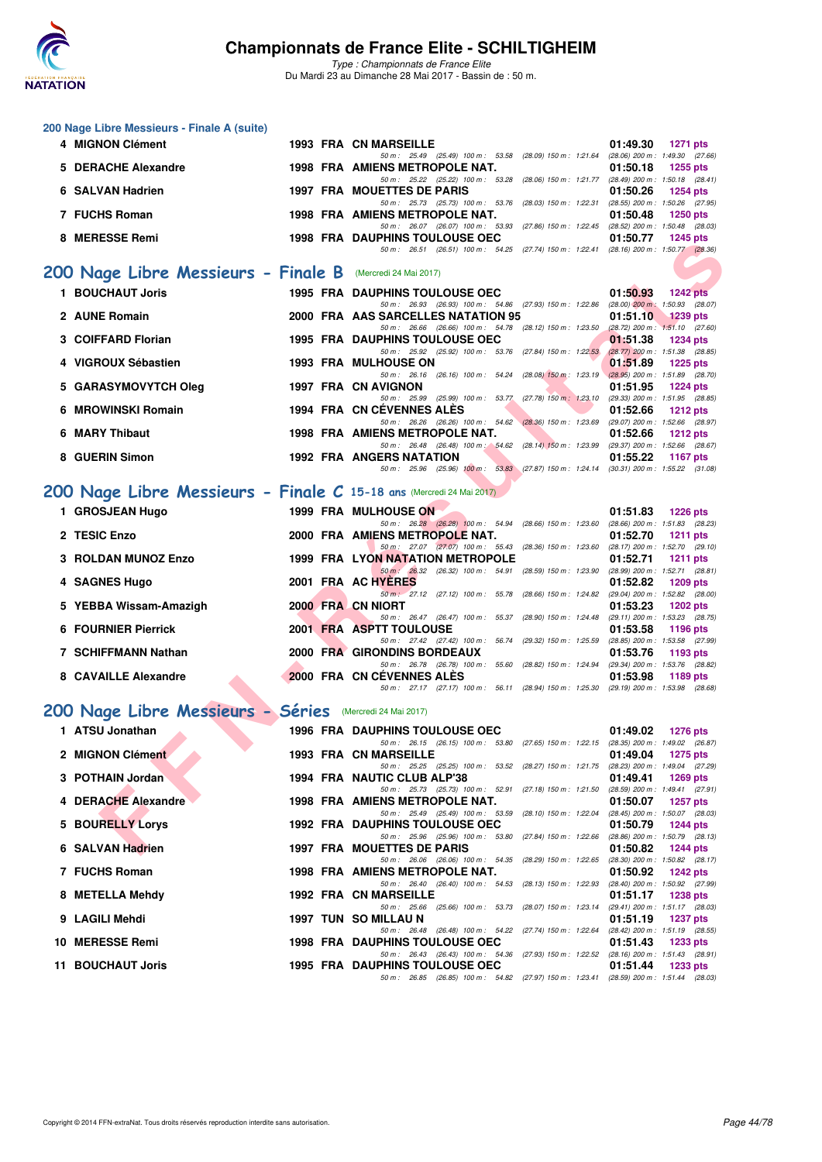

| 200 Nage Libre Messieurs - Finale A (suite)                          |  |                                                                                                                                     |                                                           |
|----------------------------------------------------------------------|--|-------------------------------------------------------------------------------------------------------------------------------------|-----------------------------------------------------------|
| 4 MIGNON Clément                                                     |  | <b>1993 FRA CN MARSEILLE</b><br>50 m: 25.49 (25.49) 100 m: 53.58 (28.09) 150 m: 1:21.64 (28.06) 200 m: 1:49.30 (27.66)              | 01:49.30<br><b>1271 pts</b>                               |
| 5 DERACHE Alexandre                                                  |  | 1998 FRA AMIENS METROPOLE NAT.                                                                                                      | 01:50.18<br><b>1255 pts</b>                               |
| 6 SALVAN Hadrien                                                     |  | 50 m: 25.22 (25.22) 100 m: 53.28 (28.06) 150 m: 1:21.77 (28.49) 200 m: 1:50.18 (28.41)<br><b>1997 FRA MOUETTES DE PARIS</b>         | 01:50.26<br><b>1254 pts</b>                               |
| 7 FUCHS Roman                                                        |  | 50 m: 25.73 (25.73) 100 m: 53.76 (28.03) 150 m: 1:22.31 (28.55) 200 m: 1:50.26 (27.95)<br>1998 FRA AMIENS METROPOLE NAT.            | 01:50.48<br>1250 pts                                      |
| 8 MERESSE Remi                                                       |  | 50 m: 26.07 (26.07) 100 m: 53.93 (27.86) 150 m: 1:22.45 (28.52) 200 m: 1:50.48 (28.03)<br><b>1998 FRA DAUPHINS TOULOUSE OEC</b>     | 01:50.77<br><b>1245 pts</b>                               |
|                                                                      |  | 50 m: 26.51 (26.51) 100 m: 54.25 (27.74) 150 m: 1:22.41 (28.16) 200 m: 1:50.77 (28.36)                                              |                                                           |
| 200 Nage Libre Messieurs - Finale B (Mercredi 24 Mai 2017)           |  |                                                                                                                                     |                                                           |
| 1 BOUCHAUT Joris                                                     |  | <b>1995 FRA DAUPHINS TOULOUSE OEC</b>                                                                                               | 01:50.93<br><b>1242 pts</b>                               |
| 2 AUNE Romain                                                        |  | 50 m: 26.93 (26.93) 100 m: 54.86 (27.93) 150 m: 1:22.86 (28.00) 200 m: 1:50.93 (28.07)<br>2000 FRA AAS SARCELLES NATATION 95        | 01:51.10<br>$1239$ pts                                    |
| 3 COIFFARD Florian                                                   |  | 50 m: 26.66 (26.66) 100 m: 54.78 (28.12) 150 m: 1:23.50 (28.72) 200 m: 1:51.10 (27.60)<br><b>1995 FRA DAUPHINS TOULOUSE OEC</b>     | 01:51.38<br><b>1234 pts</b>                               |
| 4 VIGROUX Sébastien                                                  |  | 50 m: 25.92 (25.92) 100 m: 53.76 (27.84) 150 m: 1:22.53 (28.77) 200 m: 1:51.38 (28.85)<br><b>1993 FRA MULHOUSE ON</b>               | 01:51.89<br><b>1225 pts</b>                               |
| 5 GARASYMOVYTCH Oleg                                                 |  | 50 m: 26.16 (26.16) 100 m: 54.24 (28.08) 150 m: 1:23.19 (28.95) 200 m: 1:51.89 (28.70)<br>1997 FRA CN AVIGNON                       | 01:51.95<br><b>1224 pts</b>                               |
| 6 MROWINSKI Romain                                                   |  | 50 m: 25.99 (25.99) 100 m: 53.77 (27.78) 150 m: 1:23.10 (29.33) 200 m: 1:51.95 (28.85)<br><b>1994 FRA CN CEVENNES ALES</b>          | 01:52.66                                                  |
|                                                                      |  | 50 m: 26.26 (26.26) 100 m: 54.62 (28.36) 150 m: 1:23.69 (29.07) 200 m: 1:52.66 (28.97)                                              | <b>1212 pts</b>                                           |
| 6 MARY Thibaut                                                       |  | 1998 FRA AMIENS METROPOLE NAT.<br>50 m: 26.48 (26.48) 100 m: 54.62 (28.14) 150 m: 1.23.99 (29.37) 200 m: 1.52.66 (28.67)            | 01:52.66<br>1212 $pts$                                    |
| 8 GUERIN Simon                                                       |  | <b>1992 FRA ANGERS NATATION</b><br>50 m: 25.96 (25.96) 100 m: 53.83 (27.87) 150 m: 1:24.14 (30.31) 200 m: 1:55.22 (31.08)           | 01:55.22<br>1167 pts                                      |
| 200 Nage Libre Messieurs - Finale C 15-18 ans (Mercredi 24 Mai 2017) |  |                                                                                                                                     |                                                           |
| 1 GROSJEAN Hugo                                                      |  | 1999 FRA MULHOUSE ON                                                                                                                | 01:51.83<br><b>1226 pts</b>                               |
|                                                                      |  | 50 m: 26.28 (26.28) 100 m: 54.94 (28.66) 150 m: 1.23.60 (28.66) 200 m: 1.51.83 (28.23)                                              |                                                           |
| 2 TESIC Enzo                                                         |  | 2000 FRA AMIENS METROPOLE NAT.<br>50 m: 27.07 (27.07) 100 m: 55.43 (28.36) 150 m: 1:23.60 (28.17) 200 m: 1:52.70 (29.10)            | 01:52.70<br><b>1211 pts</b>                               |
| 3 ROLDAN MUNOZ Enzo                                                  |  | <b>1999 FRA LYON NATATION METROPOLE</b><br>50 m : 26.32 (26.32) 100 m : 54.91 (28.59) 150 m : 1:23.90                               | 01:52.71<br>1211 $pts$<br>(28.99) 200 m : 1:52.71 (28.81) |
| 4 SAGNES Hugo                                                        |  | 2001 FRA AC HYERES                                                                                                                  | 01:52.82<br>1209 pts                                      |
| 5 YEBBA Wissam-Amazigh                                               |  | 50 m : 27.12 (27.12) 100 m : 55.78 (28.66) 150 m : 1:24.82 (29.04) 200 m : 1:52.82 (28.00)<br>2000 FRA CN NIORT                     | 01:53.23<br><b>1202 pts</b>                               |
| <b>6 FOURNIER Pierrick</b>                                           |  | 50 m: 26.47 (26.47) 100 m: 55.37 (28.90) 150 m: 1:24.48 (29.11) 200 m: 1:53.23 (28.75)<br>2001 FRA ASPTT TOULOUSE                   | 01:53.58<br>1196 pts                                      |
| <b>7 SCHIFFMANN Nathan</b>                                           |  | 50 m : 27.42 (27.42) 100 m : 56.74 (29.32) 150 m : 1:25.59 (28.85) 200 m : 1:53.58 (27.99)<br>2000 FRA GIRONDINS BORDEAUX           | 01:53.76<br>1193 pts                                      |
|                                                                      |  | 50 m: 26.78 (26.78) 100 m: 55.60 (28.82) 150 m: 1.24.94 (29.34) 200 m: 1.53.76 (28.82)                                              |                                                           |
| 8 CAVAILLE Alexandre                                                 |  | 2000 FRA CN CEVENNES ALES<br>50 m: 27.17 (27.17) 100 m: 56.11 (28.94) 150 m: 1:25.30 (29.19) 200 m: 1:53.98 (28.68)                 | 01:53.98<br>1189 pts                                      |
| 200 Nage Libre Messieurs - Séries Mercredi 24 Mai 2017)              |  |                                                                                                                                     |                                                           |
| 1 ATSU Jonathan                                                      |  | <b>1996 FRA DAUPHINS TOULOUSE OEC</b>                                                                                               | 01:49.02 1276 pts                                         |
| 2 MIGNON Clément                                                     |  | 50 m: 26.15 (26.15) 100 m: 53.80 (27.65) 150 m: 1:22.15 (28.35) 200 m: 1:49.02 (26.87)<br><b>1993 FRA CN MARSEILLE</b>              | 01:49.04<br>1275 pts                                      |
| 3 POTHAIN Jordan                                                     |  | 50 m : 25.25 (25.25) 100 m : 53.52 (28.27) 150 m : 1:21.75 (28.23) 200 m : 1:49.04 (27.29)<br>1994 FRA NAUTIC CLUB ALP'38           | 01:49.41<br>1269 $pts$                                    |
|                                                                      |  | 50 m: 25.73 (25.73) 100 m: 52.91 (27.18) 150 m: 1:21.50 (28.59) 200 m: 1:49.41 (27.91)                                              |                                                           |
| 4 DERACHE Alexandre                                                  |  | 1998 FRA AMIENS METROPOLE NAT.<br>50 m : 25.49 (25.49) 100 m : 53.59 (28.10) 150 m : 1:22.04 (28.45) 200 m : 1:50.07 (28.03)        | 01:50.07<br><b>1257 pts</b>                               |
| <b>5 BOURELLY Lorys</b>                                              |  | <b>1992 FRA DAUPHINS TOULOUSE OEC</b><br>50 m: 25.96 (25.96) 100 m: 53.80 (27.84) 150 m: 1:22.66 (28.86) 200 m: 1:50.79 (28.13)     | 01:50.79<br>1244 pts                                      |
| 6 SALVAN Hadrien                                                     |  | 1997 FRA MOUETTES DE PARIS<br>50 m: 26.06 (26.06) 100 m: 54.35 (28.29) 150 m: 1:22.65 (28.30) 200 m: 1:50.82 (28.17)                | 01:50.82<br><b>1244 pts</b>                               |
| 7 FUCHS Roman                                                        |  | 1998 FRA AMIENS METROPOLE NAT.                                                                                                      | 01:50.92<br><b>1242 pts</b>                               |
| 8 METELLA Mehdy                                                      |  | 50 m: 26.40 (26.40) 100 m: 54.53 (28.13) 150 m: 1:22.93 (28.40) 200 m: 1:50.92 (27.99)<br>1992 FRA CN MARSEILLE                     | 01:51.17<br>1238 pts                                      |
| 9 LAGILI Mehdi                                                       |  | 50 m: 25.66 (25.66) 100 m: 53.73 (28.07) 150 m: 1:23.14 (29.41) 200 m: 1:51.17 (28.03)<br>1997 TUN SO MILLAU N                      | 01:51.19<br><b>1237 pts</b>                               |
| 10 MERESSE Remi                                                      |  | 50 m : 26.48 (26.48) 100 m : 54.22 (27.74) 150 m : 1:22.64 (28.42) 200 m : 1:51.19 (28.55)<br><b>1998 FRA DAUPHINS TOULOUSE OEC</b> | 01:51.43<br>1233 pts                                      |
|                                                                      |  | 50 m: 26.43 (26.43) 100 m: 54.36 (27.93) 150 m: 1:22.52 (28.16) 200 m: 1:51.43 (28.91)                                              |                                                           |
| 11 BOUCHAUT Joris                                                    |  | 1995 FRA DAUPHINS TOULOUSE OEC<br>50 m: 26.85 (26.85) 100 m: 54.82 (27.97) 150 m: 1:23.41 (28.59) 200 m: 1:51.44 (28.03)            | 01:51.44<br>1233 pts                                      |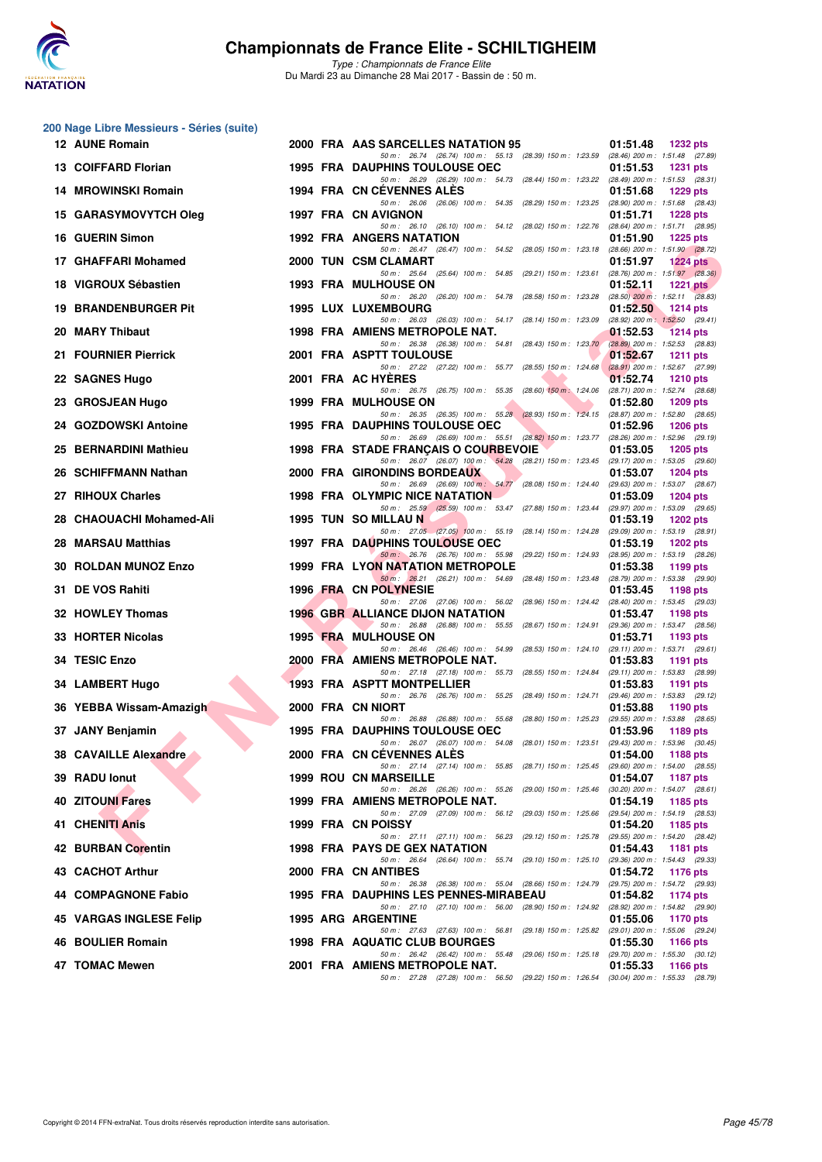

|     | 200 Nage Libre Messieurs - Séries (suite) |  |                                                                                                                                   |                                                                    |
|-----|-------------------------------------------|--|-----------------------------------------------------------------------------------------------------------------------------------|--------------------------------------------------------------------|
|     | 12 AUNE Romain                            |  | 2000 FRA AAS SARCELLES NATATION 95<br>50 m: 26.74 (26.74) 100 m: 55.13 (28.39) 150 m: 1:23.59 (28.46) 200 m: 1:51.48 (27.89)      | 01:51.48<br><b>1232 pts</b>                                        |
|     | 13 COIFFARD Florian                       |  | <b>1995 FRA DAUPHINS TOULOUSE OEC</b>                                                                                             | 01:51.53<br><b>1231 pts</b>                                        |
|     | 14 MROWINSKI Romain                       |  | 50 m: 26.29 (26.29) 100 m: 54.73 (28.44) 150 m: 1:23.22 (28.49) 200 m: 1:51.53 (28.31)<br>1994 FRA CN CEVENNES ALES               | 01:51.68<br><b>1229 pts</b>                                        |
|     | 15 GARASYMOVYTCH Oleg                     |  | 50 m: 26.06 (26.06) 100 m: 54.35 (28.29) 150 m: 1:23.25<br>1997 FRA CN AVIGNON                                                    | (28.90) 200 m: 1:51.68 (28.43)<br>01:51.71<br><b>1228 pts</b>      |
|     | 16 GUERIN Simon                           |  | 50 m: 26.10 (26.10) 100 m: 54.12 (28.02) 150 m: 1:22.76<br><b>1992 FRA ANGERS NATATION</b>                                        | (28.64) 200 m: 1:51.71 (28.95)<br>01:51.90<br><b>1225 pts</b>      |
|     | 17 GHAFFARI Mohamed                       |  | 50 m: 26.47 (26.47) 100 m: 54.52 (28.05) 150 m: 1:23.18<br>2000 TUN CSM CLAMART                                                   | (28.66) 200 m : 1:51.90 (28.72)<br>01:51.97<br>$1224$ pts          |
|     | 18 VIGROUX Sébastien                      |  | 50 m: 25.64 (25.64) 100 m: 54.85 (29.21) 150 m: 1:23.61<br><b>1993 FRA MULHOUSE ON</b>                                            | (28.76) 200 m : 1:51.97 (28.36)<br>01:52.11<br>$1221$ pts          |
| 19  | <b>BRANDENBURGER Pit</b>                  |  | 50 m: 26.20 (26.20) 100 m: 54.78 (28.58) 150 m: 1:23.28<br><b>1995 LUX LUXEMBOURG</b>                                             | $(28.50)$ 200 m : 1:52.11 $(28.83)$<br>01:52.50<br><b>1214 pts</b> |
|     | 20 MARY Thibaut                           |  | 50 m: 26.03 (26.03) 100 m: 54.17 (28.14) 150 m: 1:23.09<br>1998 FRA AMIENS METROPOLE NAT.                                         | $(28.92)$ 200 m : 1:52.50 $(29.41)$<br>01:52.53<br><b>1214 pts</b> |
|     | 21 FOURNIER Pierrick                      |  | 50 m: 26.38 (26.38) 100 m: 54.81 (28.43) 150 m: 1:23.70<br>2001 FRA ASPTT TOULOUSE                                                | (28.89) 200 m : 1:52.53 (28.83)<br>01:52.67<br><b>1211 pts</b>     |
|     | 22 SAGNES Hugo                            |  | 50 m: 27.22 (27.22) 100 m: 55.77 (28.55) 150 m: 1:24.68<br>2001 FRA AC HYERES                                                     | $(28.91)$ 200 m : 1:52.67 (27.99)<br>01:52.74<br><b>1210 pts</b>   |
|     | 23 GROSJEAN Hugo                          |  | 50 m: 26.75 (26.75) 100 m: 55.35<br>$(28.60)$ 150 m : 1:24.06<br><b>1999 FRA MULHOUSE ON</b>                                      | (28.71) 200 m : 1:52.74 (28.68)<br>01:52.80<br>1209 pts            |
|     | 24 GOZDOWSKI Antoine                      |  | 50 m: 26.35 (26.35) 100 m: 55.28 (28.93) 150 m: 1:24.15 (28.87) 200 m: 1:52.80 (28.65)<br><b>1995 FRA DAUPHINS TOULOUSE OEC</b>   | 01:52.96<br><b>1206 pts</b>                                        |
|     | 25 BERNARDINI Mathieu                     |  | 50 m: 26.69 (26.69) 100 m: 55.51 (28.82) 150 m: 1:23.77 (28.26) 200 m: 1:52.96 (29.19)<br>1998 FRA STADE FRANÇAIS O COURBEVOIE    | 01:53.05<br><b>1205 pts</b>                                        |
|     | 26 SCHIFFMANN Nathan                      |  | 50 m: 26.07 (26.07) 100 m: 54.28 (28.21) 150 m: 1:23.45 (29.17) 200 m: 1:53.05 (29.60)<br>2000 FRA GIRONDINS BORDEAUX             | 01:53.07<br><b>1204 pts</b>                                        |
|     | 27 RIHOUX Charles                         |  | 50 m: 26.69 (26.69) 100 m: 54.77 (28.08) 150 m: 1:24.40<br><b>1998 FRA OLYMPIC NICE NATATION</b>                                  | (29.63) 200 m: 1:53.07 (28.67)<br>01:53.09<br><b>1204 pts</b>      |
|     | 28 CHAOUACHI Mohamed-Ali                  |  | 50 m : 25.59 (25.59) 100 m : 53.47 (27.88) 150 m : 1:23.44<br>1995 TUN SO MILLAU N                                                | (29.97) 200 m: 1:53.09 (29.65)<br>01:53.19<br><b>1202 pts</b>      |
| 28  | <b>MARSAU Matthias</b>                    |  | 50 m: 27.05 (27.05) 100 m: 55.19 (28.14) 150 m: 1:24.28<br><b>1997 FRA DAUPHINS TOULOUSE OEC</b>                                  | (29.09) 200 m: 1:53.19 (28.91)<br>01:53.19<br>1202 pts             |
| 30. | <b>ROLDAN MUNOZ Enzo</b>                  |  | 50 m : 26.76 (26.76) 100 m : 55.98 (29.22) 150 m : 1:24.93<br>1999 FRA LYON NATATION METROPOLE                                    | (28.95) 200 m: 1:53.19 (28.26)<br>01:53.38<br>1199 pts             |
|     | 31 DE VOS Rahiti                          |  | 50 m: 26.21 (26.21) 100 m: 54.69 (28.48) 150 m: 1:23.48<br>1996 FRA CN POLYNESIE                                                  | (28.79) 200 m : 1:53.38 (29.90)<br>01:53.45<br><b>1198 pts</b>     |
|     | 32 HOWLEY Thomas                          |  | 50 m: 27.06 (27.06) 100 m: 56.02 (28.96) 150 m: 1:24.42 (28.40) 200 m: 1:53.45 (29.03)<br><b>1996 GBR ALLIANCE DIJON NATATION</b> | 01:53.47<br>1198 pts                                               |
|     | 33 HORTER Nicolas                         |  | 50 m: 26.88 (26.88) 100 m: 55.55 (28.67) 150 m: 1:24.91<br><b>1995 FRA MULHOUSE ON</b>                                            | (29.36) 200 m: 1:53.47 (28.56)<br>01:53.71<br>1193 pts             |
|     | 34 TESIC Enzo                             |  | 50 m: 26.46 (26.46) 100 m: 54.99 (28.53) 150 m: 1:24.10<br>2000 FRA AMIENS METROPOLE NAT.                                         | (29.11) 200 m: 1:53.71 (29.61)<br>01:53.83<br><b>1191 pts</b>      |
|     | 34 LAMBERT Hugo                           |  | 50 m: 27.18 (27.18) 100 m: 55.73 (28.55) 150 m: 1:24.84<br>1993 FRA ASPTT MONTPELLIER                                             | (29.11) 200 m: 1:53.83 (28.99)<br>01:53.83<br>1191 pts             |
|     | 36 YEBBA Wissam-Amazigh                   |  | 50 m: 26.76 (26.76) 100 m: 55.25 (28.49) 150 m: 1:24.71<br>2000 FRA CN NIORT                                                      | (29.46) 200 m: 1:53.83 (29.12)<br>01:53.88<br>1190 pts             |
|     | 37 JANY Benjamin                          |  | 50 m: 26.88 (26.88) 100 m: 55.68 (28.80) 150 m: 1:25.23<br><b>1995 FRA DAUPHINS TOULOUSE OEC</b>                                  | (29.55) 200 m: 1:53.88 (28.65)<br>01:53.96<br>1189 pts             |
|     | 38 CAVAILLE Alexandre                     |  | 50 m : 26.07 (26.07) 100 m : 54.08 (28.01) 150 m : 1:23.51 (29.43) 200 m : 1:53.96 (30.45)<br>2000 FRA CN CEVENNES ALES           | 01:54.00<br>1188 pts                                               |
|     | 39 RADU lonut                             |  | 50 m: 27.14 (27.14) 100 m: 55.85 (28.71) 150 m: 1:25.45 (29.60) 200 m: 1:54.00 (28.55)<br><b>1999 ROU CN MARSEILLE</b>            | 01:54.07<br><b>1187 pts</b>                                        |
|     | <b>40 ZITOUNI Fares</b>                   |  | 50 m : 26.26 (26.26) 100 m : 55.26 (29.00) 150 m : 1:25.46<br>1999 FRA AMIENS METROPOLE NAT.                                      | $(30.20)$ 200 m : 1:54.07 $(28.61)$<br>01:54.19<br>1185 pts        |
|     | 41 CHENITI Anis                           |  | 50 m: 27.09 (27.09) 100 m: 56.12 (29.03) 150 m: 1:25.66<br>1999 FRA CN POISSY                                                     | (29.54) 200 m: 1:54.19 (28.53)<br>01:54.20<br>1185 pts             |
|     | 42 BURBAN Corentin                        |  | 50 m: 27.11 (27.11) 100 m: 56.23 (29.12) 150 m: 1:25.78 (29.55) 200 m: 1:54.20 (28.42)<br><b>1998 FRA PAYS DE GEX NATATION</b>    | 01:54.43<br><b>1181 pts</b>                                        |
|     | 43 CACHOT Arthur                          |  | 50 m : 26.64 (26.64) 100 m : 55.74 (29.10) 150 m : 1:25.10<br>2000 FRA CN ANTIBES                                                 | (29.36) 200 m : 1:54.43 (29.33)<br>01:54.72<br><b>1176 pts</b>     |
|     | 44 COMPAGNONE Fabio                       |  | 50 m: 26.38 (26.38) 100 m: 55.04 (28.66) 150 m: 1:24.79 (29.75) 200 m: 1:54.72 (29.93)<br>1995 FRA DAUPHINS LES PENNES-MIRABEAU   | 01:54.82<br>1174 pts                                               |
|     | 45 VARGAS INGLESE Felip                   |  | 50 m: 27.10 (27.10) 100 m: 56.00 (28.90) 150 m: 1:24.92 (28.92) 200 m: 1:54.82 (29.90)<br><b>1995 ARG ARGENTINE</b>               | 01:55.06<br>1170 pts                                               |
|     | 46 BOULIER Romain                         |  | 50 m : 27.63 (27.63) 100 m : 56.81 (29.18) 150 m : 1:25.82<br>1998 FRA AQUATIC CLUB BOURGES                                       | (29.01) 200 m: 1:55.06 (29.24)<br>01:55.30<br>1166 pts             |
|     | 47 TOMAC Mewen                            |  | 50 m : 26.42 (26.42) 100 m : 55.48 (29.06) 150 m : 1:25.18<br>2001 FRA AMIENS METROPOLE NAT.                                      | (29.70) 200 m: 1:55.30 (30.12)<br>01:55.33<br>1166 pts             |
|     |                                           |  | 50 m: 27.28 (27.28) 100 m: 56.50 (29.22) 150 m: 1:26.54 (30.04) 200 m: 1:55.33 (28.79)                                            |                                                                    |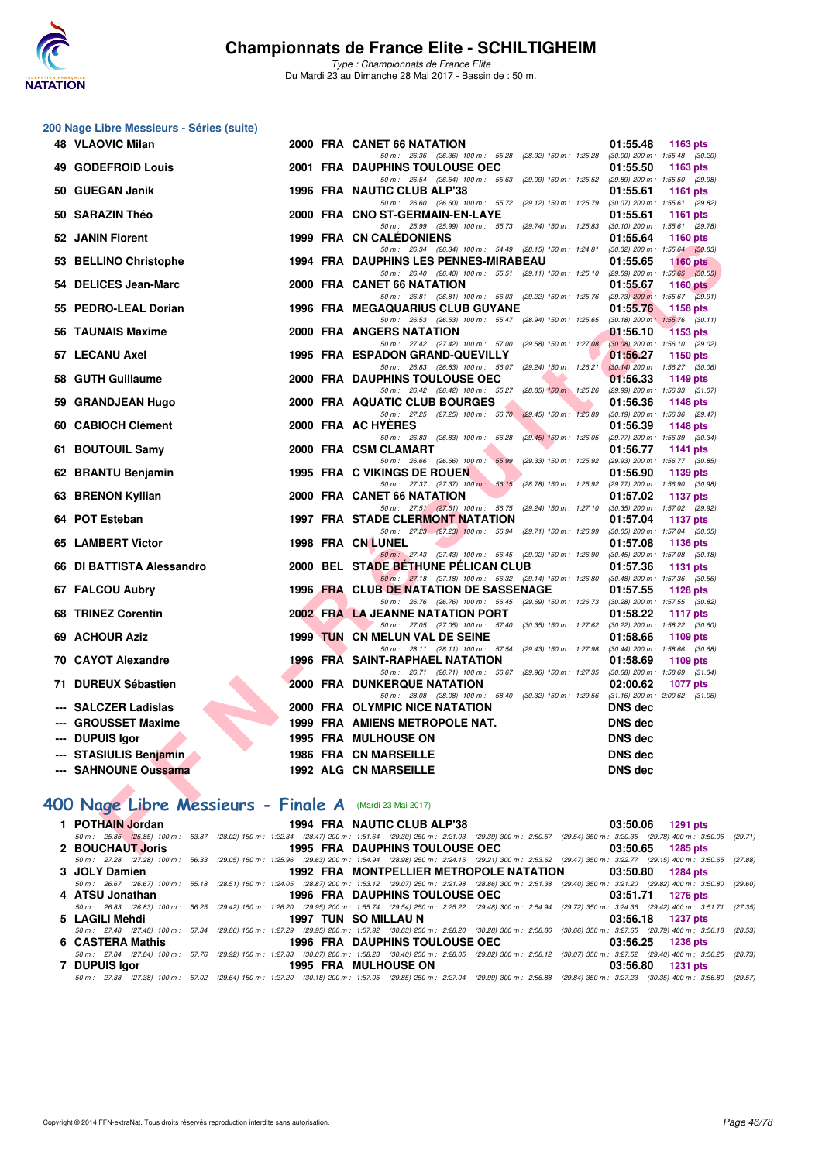

*Type : Championnats de France Elite* Du Mardi 23 au Dimanche 28 Mai 2017 - Bassin de : 50 m.

|     | 200 Nage Libre Messieurs - Séries (suite) |  |                                                                                                                                                                                                                 |                                                                    |
|-----|-------------------------------------------|--|-----------------------------------------------------------------------------------------------------------------------------------------------------------------------------------------------------------------|--------------------------------------------------------------------|
|     | <b>48 VLAOVIC Milan</b>                   |  | 2000 FRA CANET 66 NATATION                                                                                                                                                                                      | 01:55.48<br>1163 pts                                               |
| 49. | <b>GODEFROID Louis</b>                    |  | 50 m: 26.36 (26.36) 100 m: 55.28 (28.92) 150 m: 1:25.28 (30.00) 200 m: 1:55.48 (30.20)<br><b>2001 FRA DAUPHINS TOULOUSE OEC</b>                                                                                 | 01:55.50<br>1163 pts                                               |
|     | 50 GUEGAN Janik                           |  | 50 m: 26.54 (26.54) 100 m: 55.63 (29.09) 150 m: 1:25.52 (29.89) 200 m: 1:55.50 (29.98)<br>1996 FRA NAUTIC CLUB ALP'38                                                                                           | 01:55.61<br>1161 pts                                               |
|     |                                           |  | 50 m: 26.60 (26.60) 100 m: 55.72 (29.12) 150 m: 1:25.79 (30.07) 200 m: 1:55.61 (29.82)                                                                                                                          |                                                                    |
|     | 50 SARAZIN Théo                           |  | 2000 FRA CNO ST-GERMAIN-EN-LAYE<br>50 m: 25.99 (25.99) 100 m: 55.73 (29.74) 150 m: 1:25.83                                                                                                                      | 01:55.61<br><b>1161 pts</b><br>$(30.10)$ 200 m : 1:55.61 $(29.78)$ |
|     | 52 JANIN Florent                          |  | <b>1999 FRA CN CALEDONIENS</b><br>50 m: 26.34 (26.34) 100 m: 54.49 (28.15) 150 m: 1:24.81 (30.32) 200 m: 1:55.64 (30.83)                                                                                        | 01:55.64<br>1160 pts                                               |
|     | 53 BELLINO Christophe                     |  | <b>1994 FRA DAUPHINS LES PENNES-MIRABEAU</b>                                                                                                                                                                    | 01:55.65<br><b>1160 pts</b>                                        |
|     | 54 DELICES Jean-Marc                      |  | 50 m: 26.40 (26.40) 100 m: 55.51 (29.11) 150 m: 1:25.10 (29.59) 200 m: 1:55.65 (30.55)<br>2000 FRA CANET 66 NATATION                                                                                            | 01:55.67<br>1160 $pts$                                             |
|     | 55 PEDRO-LEAL Dorian                      |  | 50 m: 26.81 (26.81) 100 m: 56.03 (29.22) 150 m: 1:25.76 (29.73) 200 m: 1:55.67 (29.91)<br><b>1996 FRA MEGAQUARIUS CLUB GUYANE</b>                                                                               | 01:55.76<br>1158 pts                                               |
|     |                                           |  | 50 m: 26.53 (26.53) 100 m: 55.47 (28.94) 150 m: 1:25.65 (30.18) 200 m: 1:55.76 (30.11)                                                                                                                          |                                                                    |
|     | 56 TAUNAIS Maxime                         |  | 2000 FRA ANGERS NATATION<br>50 m: 27.42 (27.42) 100 m: 57.00 (29.58) 150 m: 1:27.08                                                                                                                             | 01:56.10<br><b>1153 pts</b><br>$(30.08)$ 200 m : 1:56.10 $(29.02)$ |
|     | 57 LECANU Axel                            |  | 1995 FRA ESPADON GRAND-QUEVILLY                                                                                                                                                                                 | 01:56.27<br><b>1150 pts</b>                                        |
|     | 58 GUTH Guillaume                         |  | 50 m: 26.83 (26.83) 100 m: 56.07 (29.24) 150 m: 1:26.21<br>2000 FRA DAUPHINS TOULOUSE OEC                                                                                                                       | $(30.14)$ 200 m : 1:56.27 $(30.06)$<br>01:56.33<br>1149 pts        |
|     | <b>GRANDJEAN Hugo</b>                     |  | 50 m: 26.42 (26.42) 100 m: 55.27 (28.85) 150 m: 1:25.26<br>2000 FRA AQUATIC CLUB BOURGES                                                                                                                        | (29.99) 200 m: 1:56.33 (31.07)                                     |
| 59  |                                           |  | 50 m: 27.25 (27.25) 100 m: 56.70 (29.45) 150 m: 1:26.89                                                                                                                                                         | 01:56.36<br><b>1148 pts</b><br>$(30.19)$ 200 m : 1:56.36 $(29.47)$ |
|     | 60 CABIOCH Clément                        |  | 2000 FRA AC HYERES                                                                                                                                                                                              | 01:56.39<br><b>1148 pts</b>                                        |
|     | 61 BOUTOUIL Samy                          |  | 50 m: 26.83 (26.83) 100 m: 56.28 (29.45) 150 m: 1:26.05<br>2000 FRA CSM CLAMART                                                                                                                                 | (29.77) 200 m: 1:56.39 (30.34)<br>01:56.77<br>1141 pts             |
|     |                                           |  | 50 m : 26.66 (26.66) 100 m : 55.99 (29.33) 150 m : 1:25.92<br>1995 FRA C VIKINGS DE ROUEN                                                                                                                       | (29.93) 200 m: 1:56.77 (30.85)                                     |
|     | 62 BRANTU Benjamin                        |  | 50 m: 27.37 (27.37) 100 m: 56.15 (28.78) 150 m: 1:25.92                                                                                                                                                         | 01:56.90<br>1139 pts<br>(29.77) 200 m : 1:56.90 (30.98)            |
|     | 63 BRENON Kyllian                         |  | 2000 FRA CANET 66 NATATION                                                                                                                                                                                      | 01:57.02<br><b>1137 pts</b>                                        |
|     | 64 POT Esteban                            |  | 50 m: 27.51 (27.51) 100 m: 56.75 (29.24) 150 m: 1:27.10<br><b>1997 FRA STADE CLERMONT NATATION</b>                                                                                                              | (30.35) 200 m : 1:57.02 (29.92)<br>01:57.04<br>1137 pts            |
|     | 65 LAMBERT Victor                         |  | 50 m: 27.23 (27.23) 100 m: 56.94 (29.71) 150 m: 1:26.99<br>1998 FRA CN LUNEL                                                                                                                                    | $(30.05)$ 200 m : 1:57.04 $(30.05)$<br>01:57.08<br>1136 pts        |
|     |                                           |  | 50 m: 27.43 (27.43) 100 m: 56.45 (29.02) 150 m: 1:26.90                                                                                                                                                         | $(30.45)$ 200 m : 1:57.08 $(30.18)$                                |
|     | 66 DI BATTISTA Alessandro                 |  | 2000 BEL STADE BETHUNE PELICAN CLUB<br>50 m : 27.18 (27.18) 100 m : 56.32 (29.14) 150 m : 1:26.80                                                                                                               | 01:57.36<br>1131 pts<br>$(30.48)$ 200 m : 1:57.36 $(30.56)$        |
|     | 67 FALCOU Aubry                           |  | 1996 FRA CLUB DE NATATION DE SASSENAGE                                                                                                                                                                          | 01:57.55<br><b>1128 pts</b>                                        |
|     | <b>68 TRINEZ Corentin</b>                 |  | 50 m: 26.76 (26.76) 100 m: 56.45 (29.69) 150 m: 1:26.73 (30.28) 200 m: 1:57.55 (30.82)<br>2002 FRA LA JEANNE NATATION PORT                                                                                      | 01:58.22<br><b>1117 pts</b>                                        |
|     |                                           |  | 50 m: 27.05 (27.05) 100 m: 57.40 (30.35) 150 m: 1:27.62 (30.22) 200 m: 1:58.22 (30.60)                                                                                                                          |                                                                    |
|     | 69 ACHOUR Aziz                            |  | 1999 TUN CN MELUN VAL DE SEINE<br>50 m: 28.11 (28.11) 100 m: 57.54 (29.43) 150 m: 1:27.98                                                                                                                       | 01:58.66<br>1109 pts<br>$(30.44)$ 200 m : 1:58.66 $(30.68)$        |
|     | 70 CAYOT Alexandre                        |  | <b>1996 FRA SAINT-RAPHAEL NATATION</b>                                                                                                                                                                          | 01:58.69<br>1109 pts                                               |
| 71  | <b>DUREUX Sébastien</b>                   |  | 50 m: 26.71 (26.71) 100 m: 56.67 (29.96) 150 m: 1:27.35<br><b>2000 FRA DUNKERQUE NATATION</b>                                                                                                                   | $(30.68)$ 200 m : 1:58.69 $(31.34)$<br>02:00.62<br><b>1077 pts</b> |
|     | <b>SALCZER Ladislas</b>                   |  | 50 m: 28.08 (28.08) 100 m: 58.40 (30.32) 150 m: 1:29.56<br>2000 FRA OLYMPIC NICE NATATION                                                                                                                       | $(31.16)$ 200 m : 2:00.62 $(31.06)$<br><b>DNS</b> dec              |
|     | <b>GROUSSET Maxime</b>                    |  | 1999 FRA AMIENS METROPOLE NAT.                                                                                                                                                                                  | <b>DNS</b> dec                                                     |
|     | <b>DUPUIS Igor</b>                        |  | 1995 FRA MULHOUSE ON                                                                                                                                                                                            | <b>DNS</b> dec                                                     |
|     | --- STASIULIS Benjamin                    |  | <b>1986 FRA CN MARSEILLE</b>                                                                                                                                                                                    | <b>DNS</b> dec                                                     |
|     | --- SAHNOUNE Oussama                      |  | <b>1992 ALG CN MARSEILLE</b>                                                                                                                                                                                    | <b>DNS dec</b>                                                     |
|     |                                           |  |                                                                                                                                                                                                                 |                                                                    |
|     | 400 Nage Libre Messieurs - Finale A       |  | (Mardi 23 Mai 2017)                                                                                                                                                                                             |                                                                    |
|     | 1 POTHAIN Jordan                          |  | 1994 FRA NAUTIC CLUB ALP'38                                                                                                                                                                                     | 03:50.06<br><b>1291 pts</b>                                        |
|     | 2 BOUCHAUT Joris                          |  | 50 m: 25.85 (25.85) 100 m: 53.87 (28.02) 150 m: 1:22.34 (28.47) 200 m: 1:51.64 (29.30) 250 m: 2:21.03 (29.39) 300 m: 2:50.57 (29.54) 350 m: 3:20.35 (29.78) 400 m: 3:50.06 (2<br>1995 FRA DAUPHINS TOULOUSE OEC | 03:50.65<br><b>1285 pts</b>                                        |

### **[400 Nage Libre Messieurs - Finale A](http://www.ffnatation.fr/webffn/resultats.php?idact=nat&go=epr&idcpt=45075&idepr=54)** (Mardi 23 Mai 2017)

| 1 POTHAIN Jordan |  | 1994 FRA NAUTIC CLUB ALP'38              | 03:50.06 1291 pts                                                                                                                                                                  |
|------------------|--|------------------------------------------|------------------------------------------------------------------------------------------------------------------------------------------------------------------------------------|
|                  |  |                                          | 50 m: 25.85 (25.85) 100 m: 53.87 (28.02) 150 m: 1:22.34 (28.47) 200 m: 1:51.64 (29.30) 250 m: 2:21.03 (29.39) 300 m: 2:50.57 (29.54) 350 m: 3:20.35 (29.78) 400 m: 3:50.06 (29.71) |
| 2 BOUCHAUT Joris |  |                                          | 1995 FRA DAUPHINS TOULOUSE OEC 03:50.65 1285 pts                                                                                                                                   |
|                  |  |                                          | 50 m: 27.28 (27.28) 100 m: 56.33 (29.05) 150 m: 1:25.96 (29.63) 200 m: 1:54.94 (28.98) 250 m: 2:24.15 (29.21) 300 m: 2:53.62 (29.47) 350 m: 3:22.77 (29.15) 400 m: 3:50.65 (27.88) |
| 3 JOLY Damien    |  |                                          | 1992 FRA MONTPELLIER METROPOLE NATATION 03:50.80 1284 pts                                                                                                                          |
|                  |  |                                          | 50 m: 26.67 (26.67) 100 m: 55.18 (28.51) 150 m: 1:24.05 (28.87) 200 m: 1:53.12 (29.07) 250 m: 2:21.98 (28.86) 300 m: 2:51.38 (29.40) 350 m: 3:21.20 (29.82) 400 m: 3:50.80 (29.60) |
| 4 ATSU Jonathan  |  |                                          | 1996 FRA DAUPHINS TOULOUSE OEC 03:51.71 1276 pts                                                                                                                                   |
|                  |  |                                          | 50 m: 26.83 (26.83) 100 m: 56.25 (29.42) 150 m: 1:26.20 (29.95) 200 m: 1:55.74 (29.54) 250 m: 2:25.22 (29.48) 300 m: 2:54.94 (29.72) 350 m: 3:24.36 (29.42) 400 m: 3:51.71 (27.35) |
| 5 LAGILI Mehdi   |  | 1997 TUN SO MILLAU N                     | 03:56.18 1237 pts                                                                                                                                                                  |
|                  |  |                                          | 50 m: 27.48 (27.48) 100 m: 57.34 (29.86) 150 m: 1:27.29 (29.95) 200 m: 1:57.92 (30.63) 250 m: 2:28.20 (30.28) 300 m: 2:58.86 (30.66) 350 m: 3:27.65 (28.79) 400 m: 3:56.18 (28.53) |
| 6 CASTERA Mathis |  | 1996 FRA DAUPHINS TOULOUSE OEC           | 03:56.25 1236 pts                                                                                                                                                                  |
|                  |  |                                          | 50 m: 27.84 (27.84) 100 m: 57.76 (29.92) 150 m: 1:27.83 (30.07) 200 m: 1:58.23 (30.40) 250 m: 2:28.05 (29.82) 300 m: 2:58.12 (30.07) 350 m: 3:27.52 (29.40) 400 m: 3:56.25 (28.73) |
| 7 DUPUIS Igor    |  | 1995 FRA MULHOUSE ON <b>Example 2018</b> | 03:56.80 1231 pts                                                                                                                                                                  |
|                  |  |                                          | 50 m: 27.38 (27.38) 100 m: 57.02 (29.64) 150 m: 1:27.20 (30.18) 200 m: 1:57.05 (29.85) 250 m: 2:27.04 (29.99) 300 m: 2:56.88 (29.84) 350 m: 3:27.23 (30.35) 400 m: 3:56.80 (29.94) |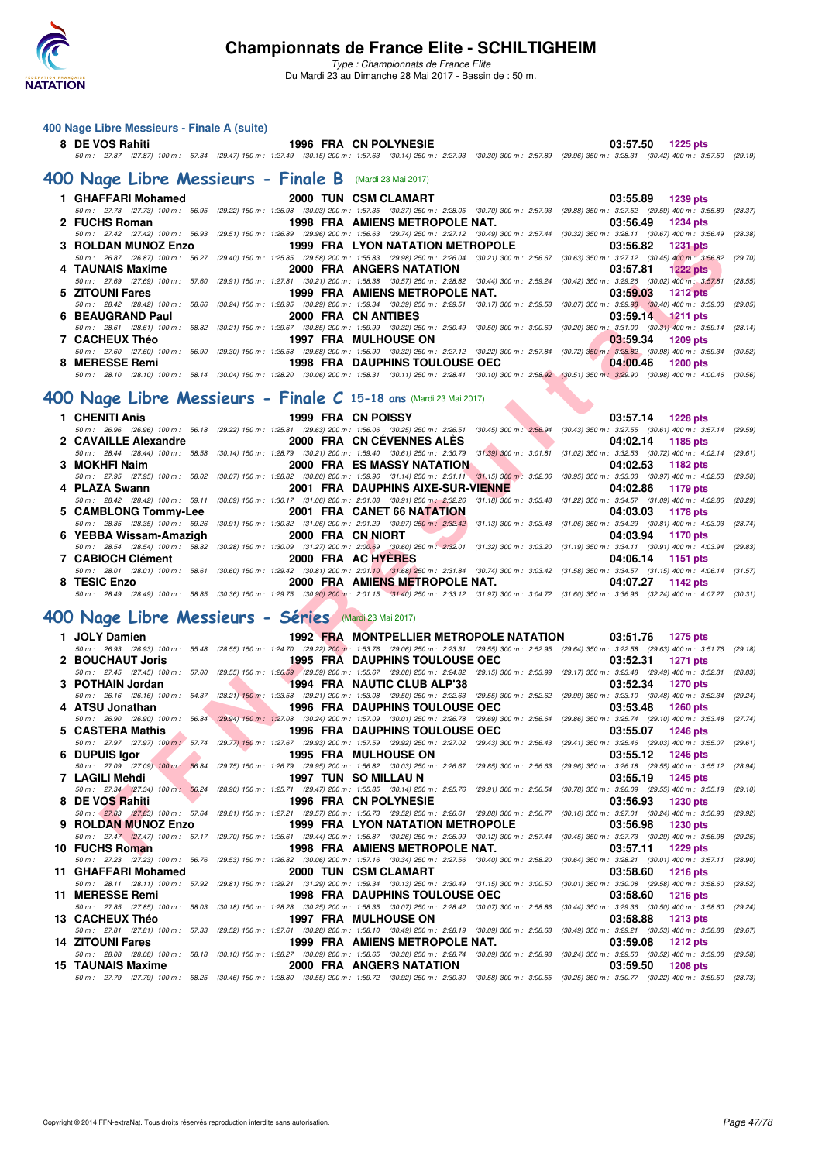

*Type : Championnats de France Elite* Du Mardi 23 au Dimanche 28 Mai 2017 - Bassin de : 50 m.

### **400 Nage Libre Messieurs - Finale A (suite)**

### **8 DE VOS Rahiti 1996 FRA CN POLYNESIE 03:57.50 1225 pts** *50 m : 27.87 (27.87) 100 m : 57.34 (29.47) 150 m : 1:27.49 (30.15) 200 m : 1:57.63 (30.14) 250 m : 2:27.93 (30.30) 300 m : 2:57.89 (29.96) 350 m : 3:28.31 (30.42) 400 m : 3:57.50 (29.19)*

### **[400 Nage Libre Messieurs - Finale B](http://www.ffnatation.fr/webffn/resultats.php?idact=nat&go=epr&idcpt=45075&idepr=54)** (Mardi 23 Mai 2017)

|                  | 1 GHAFFARI Mohamed 2000 TUN CSM CLAMART                                                                                                                                                    | 03:55.89 1239 pts                                |
|------------------|--------------------------------------------------------------------------------------------------------------------------------------------------------------------------------------------|--------------------------------------------------|
|                  | 50 m : 27.73 (27.73) 100 m : 56.95 (29.22) 150 m : 1:26.98 (30.03) 200 m : 1:57.35 (30.37) 250 m : 2:28.05 (30.70) 300 m : 2:57.93 (29.88) 350 m : 3:27.52 (29.59) 400 m : 3:55.89 (28.37) |                                                  |
| 2 FUCHS Roman    | 1998 FRA AMIENS METROPOLE NAT.                                                                                                                                                             | 03:56.49 1234 pts                                |
|                  | 50 m : 27.42 (27.42) 100 m : 56.93 (29.51) 150 m : 1:26.89 (29.96) 200 m : 1:56.63 (29.74) 250 m : 2:27.12 (30.49) 300 m : 2:57.44 (30.32) 350 m : 3:28.11 (30.67) 400 m : 3:56.49 (28.38) |                                                  |
|                  | 3 ROLDAN MUNOZ Enzo <b>1999 FRA</b> LYON NATATION METROPOLE 03:56.82 1231 pts                                                                                                              |                                                  |
|                  | 50 m: 26.87 (26.87) 100 m: 56.27 (29.40) 150 m: 1:25.85 (29.58) 200 m: 1:55.83 (29.98) 250 m: 2:26.04 (30.21) 300 m: 2:56.67 (30.63) 350 m: 3:27.12 (30.45) 400 m: 3:56.82 (29.70)         |                                                  |
| 4 TAUNAIS Maxime | 2000 FRA ANGERS NATATION                                                                                                                                                                   | 03:57.81 1222 pts                                |
|                  | 50 m : 27.69 (27.69) 100 m : 57.60 (29.91) 150 m : 1:27.81 (30.21) 200 m : 1:58.38 (30.57) 250 m : 2:28.82 (30.44) 300 m : 2:59.24 (30.42) 350 m : 3:29.26 (30.02) 400 m : 3:57.81 (28.55) |                                                  |
| 5 ZITOUNI Fares  |                                                                                                                                                                                            | 1999 FRA AMIENS METROPOLE NAT. 03:59.03 1212 pts |
|                  | 50 m : 28.42 (28.42) 100 m : 58.66 (30.24) 150 m : 1:28.95 (30.29) 200 m : 1:59.34 (30.39) 250 m : 2:29.51 (30.17) 300 m : 2:59.58 (30.07) 350 m : 3:29.98 (30.40) 400 m : 3:59.03 (29.05) |                                                  |
| 6 BEAUGRAND Paul | 2000 FRA CN ANTIBES                                                                                                                                                                        | 03:59.14 1211 pts                                |
|                  | 50 m: 28.61 (28.61) 100 m: 58.82 (30.21) 150 m: 1:29.67 (30.85) 200 m: 1:59.99 (30.32) 250 m: 2:30.49 (30.50) 300 m: 3:00.69 (30.20) 350 m: 3:31.00 (30.31) 400 m: 3:59.14 (28.14)         |                                                  |
| 7 CACHEUX Théo   | 1997 FRA MULHOUSE ON <b>Annull Structure Control</b>                                                                                                                                       | $03:59.34$ 1209 pts                              |
|                  | 50 m : 27.60 (27.60) 100 m : 56.90 (29.30) 150 m : 1:26.58 (29.68) 200 m : 1:56.90 (30.32) 250 m : 2:27.12 (30.22) 300 m : 2:57.84 (30.72) 350 m : 3:28.82 (30.98) 400 m : 3:59.34 (30.52) |                                                  |
| 8 MERESSE Remi   | 1998 FRA DAUPHINS TOULOUSE OEC 64:00.46                                                                                                                                                    | <b>1200 pts</b>                                  |
|                  | 50 m: 28.10 (28.10) 100 m: 58.14 (30.04) 150 m: 1:28.20 (30.06) 200 m: 1:58.31 (30.11) 250 m: 2:28.41 (30.10) 300 m: 2:58.92 (30.51) 350 m: 3:29.90 (30.98) 400 m: 4:00.46 (30.56)         |                                                  |
|                  |                                                                                                                                                                                            |                                                  |

### **[400 Nage Libre Messieurs - Finale C](http://www.ffnatation.fr/webffn/resultats.php?idact=nat&go=epr&idcpt=45075&idepr=54) 15-18 ans** (Mardi 23 Mai 2017)

| 1 CHENITI Anis    | 1999 FRA CN POISSY                             | $03:57.14$ 1228 pts<br>the contract of the contract of the contract of                                                                                                                     |
|-------------------|------------------------------------------------|--------------------------------------------------------------------------------------------------------------------------------------------------------------------------------------------|
|                   |                                                | 50 m: 26.96 (26.96) 100 m: 56.18 (29.22) 150 m: 1:25.81 (29.63) 200 m: 1:56.06 (30.25) 250 m: 2:26.51 (30.45) 300 m: 2:56.94 (30.43) 350 m: 3:27.55 (30.61) 400 m: 3:57.14 (29.59)         |
|                   | 2 CAVAILLE Alexandre 2000 FRA CN CÉVENNES ALES | 04:02.14 1185 pts                                                                                                                                                                          |
|                   |                                                | 50 m : 28.44 (28.44) 100 m : 58.58 (30.14) 150 m : 1:28.79 (30.21) 200 m : 1:59.40 (30.61) 250 m : 2:30.79 (31.39) 300 m : 3:01.81 (31.02) 350 m : 3:32.53 (30.72) 400 m : 4:02.14 (29.61) |
| 3 MOKHFI Naim     | 2000 FRA ES MASSY NATATION AND RESERVE         | 04:02.53 1182 pts                                                                                                                                                                          |
|                   |                                                | 50 m: 27.95 (27.95) 100 m: 58.02 (30.07) 150 m: 1:28.82 (30.80) 200 m: 1:59.96 (31.14) 250 m: 2:31.11 (31.15) 300 m: 3:02.06 (30.95) 350 m: 3:33.03 (30.97) 400 m: 4:02.53 (29.50)         |
| 4 PLAZA Swann     | 2001 FRA DAUPHINS AIXE-SUR-VIENNE              | 04:02.86 1179 pts                                                                                                                                                                          |
|                   |                                                | 50 m: 28.42 (28.42) 100 m: 59.11 (30.69) 150 m: 1:30.17 (31.06) 200 m: 2:01.08 (30.91) 250 m: 2:32.26 (31.18) 300 m: 3:03.48 (31.22) 350 m: 3:34.57 (31.09) 400 m: 4:02.86 (28.29)         |
|                   |                                                | 04:03.03 1178 pts                                                                                                                                                                          |
|                   |                                                | 50 m: 28.35 (28.35) 100 m: 59.26 (30.91) 150 m: 1:30.32 (31.06) 200 m: 2:01.29 (30.97) 250 m: 2:32.42 (31.13) 300 m: 3:03.48 (31.06) 350 m: 3:34.29 (30.81) 400 m: 4:03.03 (28.74)         |
|                   | 6 YEBBA Wissam-Amazigh 2000 FRA CN NIORT       | 04:03.94 1170 pts                                                                                                                                                                          |
|                   |                                                | 50 m: 28.54 (28.54) 100 m: 58.82 (30.28) 150 m: 1:30.09 (31.27) 200 m: 2:00.69 (30.60) 250 m: 2:32.01 (31.32) 300 m: 3:03.20 (31.19) 350 m: 3:34.11 (30.91) 400 m: 4:03.94 (29.83)         |
| 7 CABIOCH Clément | 2000 FRA AC HYERES                             | 04:06.14 1151 pts                                                                                                                                                                          |
|                   |                                                | 50 m: 28.01 (28.01) 100 m: 58.61 (30.60) 150 m: 1:29.42 (30.81) 200 m: 2:01.10 (31.68) 250 m: 2:31.84 (30.74) 300 m: 3:03.42 (31.58) 350 m: 3:34.57 (31.15) 400 m: 4:06.14 (31.57)         |
| 8 TESIC Enzo      |                                                | 2000 FRA AMIENS METROPOLE NAT. 04:07.27 1142 pts                                                                                                                                           |
|                   |                                                | 50 m: 28.49 (28.49) 100 m: 58.85 (30.36) 150 m: 1:29.75 (30.90) 200 m: 2:01.15 (31.40) 250 m: 2:33.12 (31.97) 300 m: 3:04.72 (31.60) 350 m: 3:36.96 (32.24) 400 m: 4:07.27 (30.31)         |

### **[400 Nage Libre Messieurs - Séries](http://www.ffnatation.fr/webffn/resultats.php?idact=nat&go=epr&idcpt=45075&idepr=54)** (Mardi 23 Mai 2017)

| 3 ROLDAN MUNOZ Enzo                                                |                   | <b>1999 FRA LYON NATATION METROPOLE</b>                                                                                                                                                                                     | 03:56.82<br>1231 pts                                                                          |
|--------------------------------------------------------------------|-------------------|-----------------------------------------------------------------------------------------------------------------------------------------------------------------------------------------------------------------------------|-----------------------------------------------------------------------------------------------|
|                                                                    |                   | 50 m: 26.87 (26.87) 100 m: 56.27 (29.40) 150 m: 1:25.85 (29.58) 200 m: 1:55.83 (29.98) 250 m: 2:26.04 (30.21) 300 m: 2:56.67 (30.63) 350 m: 3:27.12 (30.45) 400 m: 3:56.82 (29.70)                                          |                                                                                               |
| 4 TAUNAIS Maxime                                                   |                   | 2000 FRA ANGERS NATATION<br>50 m: 27.69 (27.69) 100 m: 57.60 (29.91) 150 m: 1:27.81 (30.21) 200 m: 1:58.38 (30.57) 250 m: 2:28.82 (30.44) 300 m: 2:59.24 (30.42) 350 m: 3:29.26 (30.02) 400 m: 3:57.81 (28.55)              | 03:57.81<br><b>1222 pts</b>                                                                   |
| 5 ZITOUNI Fares                                                    |                   | 1999 FRA AMIENS METROPOLE NAT.                                                                                                                                                                                              | 03:59.03<br><b>1212 pts</b>                                                                   |
|                                                                    |                   | 50 m : 28.42 (28.42) 100 m : 58.66 (30.24) 150 m : 1:28.95 (30.29) 200 m : 1:59.34 (30.39) 250 m : 2:29.51 (30.17) 300 m : 2:59.58                                                                                          | $(30.07)$ 350 m : 3:29.98 $(30.40)$ 400 m : 3:59.03<br>(29.05)                                |
| 6 BEAUGRAND Paul                                                   |                   | 2000 FRA CN ANTIBES                                                                                                                                                                                                         | 03:59.14<br>$1211$ pts                                                                        |
| 7 CACHEUX Théo                                                     |                   | 50 m: 28.61 (28.61) 100 m: 58.82 (30.21) 150 m: 1:29.67 (30.85) 200 m: 1:59.99 (30.32) 250 m: 2:30.49 (30.50) 300 m: 3:00.69 (30.20) 350 m: 3:31.00 (30.31) 400 m: 3:59.14 (28.14)<br><b>1997 FRA MULHOUSE ON</b>           |                                                                                               |
|                                                                    |                   | 50 m : 27.60 (27.60) 100 m : 56.90 (29.30) 150 m : 1:26.58 (29.68) 200 m : 1:56.90 (30.32) 250 m : 2:27.12 (30.22) 300 m : 2:57.84 (30.72) 350 m : 3:28.82 (30.98) 400 m : 3:59.34 (30.52)                                  | 03:59.34<br>1209 pts                                                                          |
| 8 MERESSE Remi                                                     |                   | <b>1998 FRA DAUPHINS TOULOUSE OEC</b>                                                                                                                                                                                       | 04:00.46<br><b>1200 pts</b>                                                                   |
|                                                                    |                   | 50 m : 28.10 (28.10) 100 m : 58.14 (30.04) 150 m : 1:28.20 (30.06) 200 m : 1:58.31 (30.11) 250 m : 2:28.41 (30.10) 300 m : 2:58.92 (30.51) 350 m : 3:29.90 (30.98) 400 m : 4:00.46 (30.56)                                  |                                                                                               |
| 00 Nage Libre Messieurs - Finale $C$ 15-18 ans (Mardi 23 Mai 2017) |                   |                                                                                                                                                                                                                             |                                                                                               |
|                                                                    |                   |                                                                                                                                                                                                                             |                                                                                               |
| 1 CHENITI Anis                                                     |                   | 1999 FRA CN POISSY<br>50 m : 26.96 (26.96) 100 m : 56.18 (29.22) 150 m : 1:25.81 (29.63) 200 m : 1:56.06 (30.25) 250 m : 2:26.51 (30.45) 300 m : 2:56.94 (30.43) 350 m : 3:27.55 (30.61) 400 m : 3:57.14 (29.59)            | 03:57.14 1228 pts                                                                             |
| 2 CAVAILLE Alexandre                                               |                   | 2000 FRA CN CÉVENNES ALÉS                                                                                                                                                                                                   | 04:02.14<br>1185 pts                                                                          |
|                                                                    |                   | 50 m : 28.44 (28.44) 100 m : 58.58 (30.14) 150 m : 1:28.79 (30.21) 200 m : 1:59.40 (30.61) 250 m : 2:30.79 (31.39) 300 m : 3:01.81 (31.02) 350 m : 3:32.53 (30.72) 400 m : 4:02.14                                          | (29.61)                                                                                       |
| 3 MOKHFI Naim                                                      |                   | <b>2000 FRA ES MASSY NATATION</b>                                                                                                                                                                                           | 04:02.53<br>1182 pts                                                                          |
|                                                                    |                   | 50 m : 27.95 (27.95) 100 m : 58.02 (30.07) 150 m : 1:28.82 (30.80) 200 m : 1:59.96 (31.14) 250 m : 2:31.11 (31.15) 300 m : 3:02.06 (30.95) 350 m : 3:33.03 (30.97) 400 m : 4:02.53 (29.50)                                  |                                                                                               |
| 4 PLAZA Swann                                                      |                   | 2001 FRA DAUPHINS AIXE-SUR-VIENNE<br>50 m: 28.42 (28.42) 100 m: 59.11 (30.69) 150 m: 1:30.17 (31.06) 200 m: 2:01.08 (30.91) 250 m: 2:32.26 (31.18) 300 m: 3:03.48 (31.22) 350 m: 3:34.57 (31.09) 400 m: 4:02.86 (28.29)     | 04:02.86<br>1179 pts                                                                          |
| 5 CAMBLONG Tommy-Lee                                               |                   | 2001 FRA CANET 66 NATATION                                                                                                                                                                                                  | 04:03.03<br>1178 pts                                                                          |
|                                                                    |                   | 50 m : 28.35 (28.35) 100 m : 59.26 (30.91) 150 m : 1:30.32 (31.06) 200 m : 2:01.29 (30.97) 250 m : 2:32.42 (31.13) 300 m : 3:03.48 (31.06) 350 m : 3:34.29 (30.81) 400 m : 4:03.03 (28.74)                                  |                                                                                               |
| 6 YEBBA Wissam-Amazigh                                             | 2000 FRA CN NIORT |                                                                                                                                                                                                                             | 04:03.94<br>1170 pts                                                                          |
|                                                                    |                   | 50 m: 28.54 (28.54) 100 m: 58.82 (30.28) 150 m: 1:30.09 (31.27) 200 m: 2:00.69 (30.60) 250 m: 2:32.01 (31.32) 300 m: 3:03.20 (31.19) 350 m: 3:34.11 (30.91) 400 m: 4:03.94 (29.83)<br>2000 FRA AC HYERES                    |                                                                                               |
| 7 CABIOCH Clément                                                  |                   | 50 m: 28.01 (28.01) 100 m: 58.61 (30.60) 150 m: 1:29.42 (30.81) 200 m: 2:01.10 (31.68) 250 m: 2:31.84 (30.74) 300 m: 3:03.42 (31.58) 350 m: 3:34.57 (31.15) 400 m: 4:06.14 (31.57)                                          | 04:06.14<br><b>1151 pts</b>                                                                   |
| 8 TESIC Enzo                                                       |                   | 2000 FRA AMIENS METROPOLE NAT.                                                                                                                                                                                              | 04:07.27<br>1142 pts                                                                          |
|                                                                    |                   | 50 m: 28.49 (28.49) 100 m: 58.85 (30.36) 150 m: 1:29.75 (30.90) 200 m: 2:01.15 (31.40) 250 m: 2:33.12 (31.97) 300 m: 3:04.72 (31.60) 350 m: 3:36.96 (32.24) 400 m: 4:07.27 (30.31)                                          |                                                                                               |
| 00 Nage Libre Messieurs - Séries (Mardi 23 Mai 2017)               |                   |                                                                                                                                                                                                                             |                                                                                               |
|                                                                    |                   |                                                                                                                                                                                                                             |                                                                                               |
|                                                                    |                   |                                                                                                                                                                                                                             |                                                                                               |
| 1 JOLY Damien                                                      |                   | 1992 FRA MONTPELLIER METROPOLE NATATION                                                                                                                                                                                     | 03:51.76<br>1275 pts                                                                          |
|                                                                    |                   | 50 m: 26.93 (26.93) 100 m: 55.48 (28.55) 150 m: 1:24.70 (29.22) 200 m: 1:53.76 (29.06) 250 m: 2:23.31 (29.55) 300 m: 2:52.95 (29.64) 350 m: 3:22.58 (29.63) 400 m: 3:51.76 (29.18)                                          |                                                                                               |
| 2 BOUCHAUT Joris                                                   |                   | <b>1995 FRA DAUPHINS TOULOUSE OEC</b><br>50 m: 27.45 (27.45) 100 m: 57.00 (29.55) 150 m: 1:26.59 (29.59) 200 m: 1:55.67 (29.08) 250 m: 2:24.82 (29.15) 300 m: 2:53.99 (29.17) 350 m: 3:23.48 (29.49) 400 m: 3:52.31 (28.83) | 03:52.31<br><b>1271 pts</b>                                                                   |
| 3 POTHAIN Jordan                                                   |                   | 1994 FRA NAUTIC CLUB ALP'38                                                                                                                                                                                                 | 03:52.34<br><b>1270 pts</b>                                                                   |
|                                                                    |                   | 50 m: 26.16 (26.16) 100 m: 54.37 (28.21) 150 m: 1:23.58 (29.21) 200 m: 1:53.08 (29.50) 250 m: 2:22.63 (29.55) 300 m: 2:52.62 (29.99) 350 m: 3:23.10 (30.48) 400 m: 3:52.34 (29.24)                                          |                                                                                               |
| 4 ATSU Jonathan                                                    |                   | <b>1996 FRA DAUPHINS TOULOUSE OEC</b>                                                                                                                                                                                       | 03:53.48<br><b>1260 pts</b>                                                                   |
| 5 CASTERA Mathis                                                   |                   | 50 m : 26.90 (26.90) 100 m : 56.84 (29.94) 150 m : 1:27.08 (30.24) 200 m : 1:57.09 (30.01) 250 m : 2:26.78 (29.69) 300 m : 2:56.64 (29.86) 350 m : 3:25.74 (29.10) 400 m : 3:53.48<br><b>1996 FRA DAUPHINS TOULOUSE OEC</b> | (27.74)<br>03:55.07<br><b>1246 pts</b>                                                        |
|                                                                    |                   | 50 m: 27.97 (27.97) 100 m; 57.74 (29.77) 150 m: 1:27.67 (29.93) 200 m: 1:57.59 (29.92) 250 m: 2:27.02 (29.43) 300 m: 2:56.43 (29.41) 350 m: 3:25.46 (29.03) 400 m: 3:55.07                                                  | (29.61)                                                                                       |
| 6 DUPUIS Igor                                                      |                   | <b>1995 FRA MULHOUSE ON</b>                                                                                                                                                                                                 | 03:55.12<br><b>1246 pts</b>                                                                   |
|                                                                    |                   | 50 m : 27.09 (27.09) 100 m : 56.84 (29.75) 150 m : 1:26.79 (29.95) 200 m : 1:56.82 (30.03) 250 m : 2:26.67 (29.85) 300 m : 2:56.63 (29.96) 350 m : 3:26.18 (29.55) 400 m : 3:55.12 (28.94)                                  |                                                                                               |
| 7 LAGILI Mehdi                                                     |                   | 1997 TUN SO MILLAU N<br>50 m: 27.34 (27.34) 100 m: 56.24 (28.90) 150 m: 1:25.71 (29.47) 200 m: 1:55.85 (30.14) 250 m: 2:25.76 (29.91) 300 m: 2:56.54 (30.78) 350 m: 3:26.09 (29.55) 400 m: 3:55.51 (29.10)                  | 03:55.19<br><b>1245 pts</b>                                                                   |
| $\overline{\phantom{a}}$<br>8 DE VOS Rahiti                        |                   | 1996 FRA CN POLYNESIE                                                                                                                                                                                                       | 03:56.93<br><b>1230 pts</b>                                                                   |
|                                                                    |                   | 50 m: 27.83 (27.83) 100 m: 57.64 (29.81) 150 m: 1:27.21 (29.57) 200 m: 1:56.73 (29.52) 250 m: 2:26.61 (29.88) 300 m: 2:56.77 (30.16) 350 m: 3:27.01 (30.24) 400 m: 3:56.93 (29.92)                                          |                                                                                               |
| 9 ROLDAN MUNOZ Enzo                                                |                   | <b>1999 FRA LYON NATATION METROPOLE</b>                                                                                                                                                                                     | 03:56.98<br>1230 pts                                                                          |
| 10 FUCHS Roman                                                     |                   | 50 m: 27.47 (27.47) 100 m: 57.17 (29.70) 150 m: 1:26.61 (29.44) 200 m: 1:56.87 (30.26) 250 m: 2:26.99 (30.12) 300 m: 2:57.44 (30.45) 350 m: 3:27.73 (30.29) 400 m: 3:56.98 (29.25)<br>1998 FRA AMIENS METROPOLE NAT.        | 03:57.11                                                                                      |
|                                                                    |                   | 50 m: 27.23 (27.23) 100 m: 56.76 (29.53) 150 m: 1:26.82 (30.06) 200 m: 1:57.16 (30.34) 250 m: 2:27.56 (30.40) 300 m: 2:58.20 (30.64) 350 m: 3:28.21 (30.01) 400 m: 3:57.11 (28.90)                                          | <b>1229 pts</b>                                                                               |
| 11 GHAFFARI Mohamed                                                |                   | 2000 TUN CSM CLAMART                                                                                                                                                                                                        | 03:58.60<br>1216 pts                                                                          |
|                                                                    |                   | 50 m : 28.11 (28.11) 100 m : 57.92 (29.81) 150 m : 1:29.21 (31.29) 200 m : 1:59.34 (30.13) 250 m : 2:30.49 (31.15) 300 m : 3:00.50                                                                                          | $(30.01)$ 350 m : 3:30.08 $(29.58)$ 400 m : 3:58.60<br>(28.52)                                |
| <b>11 MERESSE Remi</b>                                             |                   | <b>1998 FRA DAUPHINS TOULOUSE OEC</b>                                                                                                                                                                                       | 03:58.60<br><b>1216 pts</b>                                                                   |
| 13 CACHEUX Théo                                                    |                   | 50 m : 27.85 (27.85) 100 m : 58.03 (30.18) 150 m : 1:28.28 (30.25) 200 m : 1:58.35 (30.07) 250 m : 2:28.42 (30.07) 300 m : 2:58.86<br><b>1997 FRA MULHOUSE ON</b>                                                           | $(30.44)$ 350 m : 3:29.36 $(30.50)$ 400 m : 3:58.60<br>(29.24)<br>03:58.88<br><b>1213 pts</b> |
|                                                                    |                   | 50 m : 27.81 (27.81) 100 m : 57.33 (29.52) 150 m : 1:27.61 (30.28) 200 m : 1:58.10 (30.49) 250 m : 2:28.19 (30.09) 300 m : 2:58.68                                                                                          | (30.49) 350 m: 3:29.21 (30.53) 400 m: 3:58.88<br>(29.67)                                      |
| <b>14 ZITOUNI Fares</b>                                            |                   | 1999 FRA AMIENS METROPOLE NAT.                                                                                                                                                                                              | 03:59.08<br><b>1212 pts</b>                                                                   |
|                                                                    |                   | 50 m : 28.08 (28.08) 100 m : 58.18 (30.10) 150 m : 1:28.27 (30.09) 200 m : 1:58.65 (30.38) 250 m : 2:28.74 (30.09) 300 m : 2:58.98                                                                                          | $(30.24)$ 350 m : 3:29.50 $(30.52)$ 400 m : 3:59.08<br>(29.58)                                |
| 15 TAUNAIS Maxime                                                  |                   | 2000 FRA ANGERS NATATION<br>50 m: 27.79 (27.79) 100 m: 58.25 (30.46) 150 m: 1:28.80 (30.55) 200 m: 1:59.72 (30.92) 250 m: 2:30.30 (30.58) 300 m: 3:00.55 (30.25) 350 m: 3:30.77 (30.22) 400 m: 3:59.50 (28.73)              | 03:59.50<br><b>1208 pts</b>                                                                   |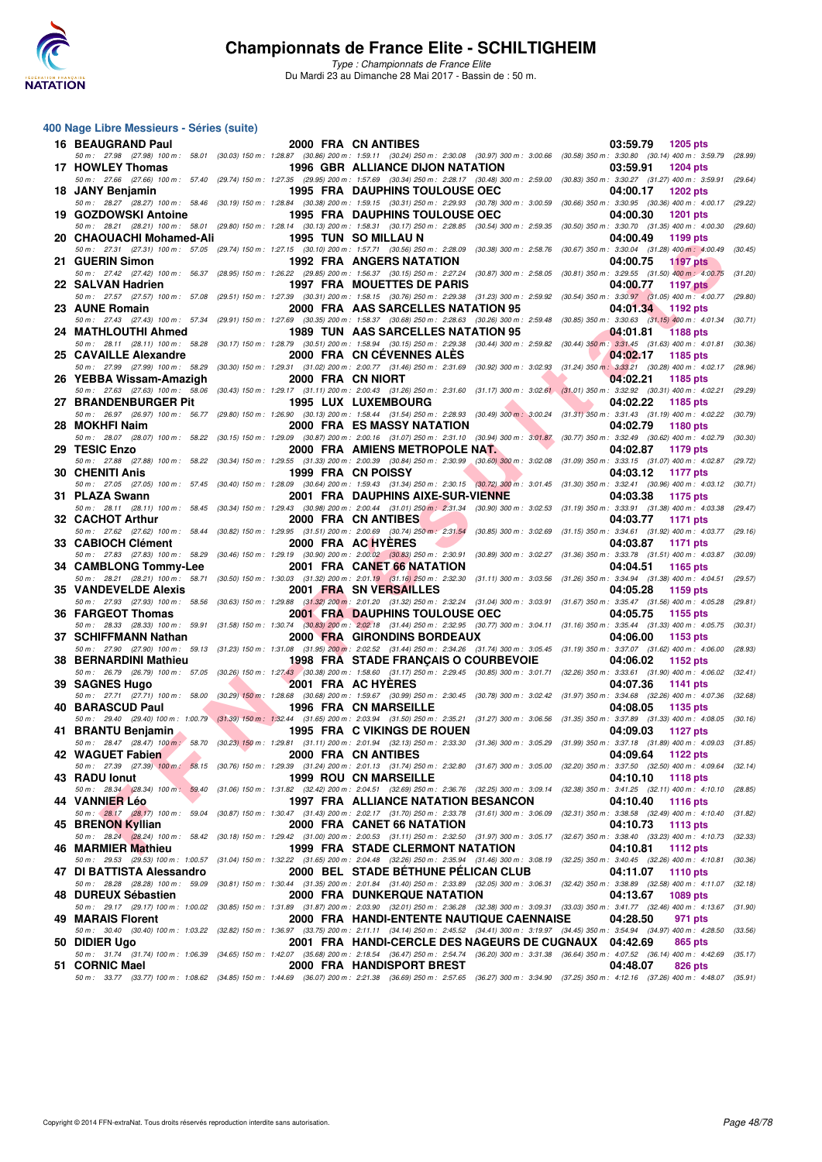

*Type : Championnats de France Elite* Du Mardi 23 au Dimanche 28 Mai 2017 - Bassin de : 50 m.

### **400 Nage Libre Messieurs - Séries (suite)**

| 16 BEAUGRAND Paul           |                   | 2000 FRA CN ANTIBES                                                                                                                                                                                                                                   | 03:59.79<br>1205 pts                   |
|-----------------------------|-------------------|-------------------------------------------------------------------------------------------------------------------------------------------------------------------------------------------------------------------------------------------------------|----------------------------------------|
| 17 HOWLEY Thomas            |                   | 50 m : 27.98 (27.98) 100 m : 58.01 (30.03) 150 m : 1:28.87 (30.86) 200 m : 1:59.11 (30.24) 250 m : 2:30.08 (30.97) 300 m : 3:00.66 (30.58) 350 m : 3:30.80 (30.14) 400 m : 3:59.79 (28.99)<br><b>1996 GBR ALLIANCE DIJON NATATION</b>                 | 03:59.91<br><b>1204 pts</b>            |
| 18 JANY Benjamin            |                   | 50 m: 27.66 (27.66) 100 m: 57.40 (29.74) 150 m: 1:27.35 (29.95) 200 m: 1:57.69 (30.34) 250 m: 2:28.17 (30.48) 300 m: 2:59.00 (30.83) 350 m: 3:30.27 (31.27) 400 m: 3:59.91 (29.64)<br><b>1995 FRA DAUPHINS TOULOUSE OEC</b>                           | 04:00.17<br><b>1202 pts</b>            |
|                             |                   | 50 m : 28.27 (28.27) 100 m : 58.46 (30.19) 150 m : 1:28.84 (30.38) 200 m : 1:59.15 (30.31) 250 m : 2:29.93 (30.78) 300 m : 3:00.59 (30.66) 350 m : 3:30.95 (30.36) 400 m : 4:00.17 (29.22)                                                            |                                        |
| 19 GOZDOWSKI Antoine        |                   | <b>1995 FRA DAUPHINS TOULOUSE OEC</b><br>50 m : 28.21 (28.21) 100 m : 58.01 (29.80) 150 m : 1:28.14 (30.13) 200 m : 1:58.31 (30.17) 250 m : 2:28.85 (30.54) 300 m : 2:59.35 (30.50) 350 m : 3:30.70 (31.35) 400 m : 4:00.30 (29.60)                   | 04:00.30<br><b>1201 pts</b>            |
| 20 CHAOUACHI Mohamed-Ali    |                   | 1995 TUN SO MILLAU N                                                                                                                                                                                                                                  | 04:00.49<br>1199 pts                   |
| 21 GUERIN Simon             |                   | 50 m: 27.31 (27.31) 100 m: 57.05 (29.74) 150 m: 1:27.15 (30.10) 200 m: 1:57.71 (30.56) 250 m: 2:28.09 (30.38) 300 m: 2:58.76 (30.67) 350 m: 3:30.04 (31.28) 400 m: 4:00.49<br><b>1992 FRA ANGERS NATATION</b>                                         | (30.45)<br>04:00.75<br><b>1197 pts</b> |
|                             |                   | 50 m: 27.42 (27.42) 100 m: 56.37 (28.95) 150 m: 1:26.22 (29.85) 200 m: 1:56.37 (30.15) 250 m: 2:27.24 (30.87) 300 m: 2:58.05 (30.81) 350 m: 3:29.55 (31.50) 400 m: 4:00.75<br>1997 FRA MOUETTES DE PARIS                                              | (31.20)                                |
| 22 SALVAN Hadrien           |                   | 50 m: 27.57 (27.57) 100 m: 57.08 (29.51) 150 m: 1:27.39 (30.31) 200 m: 1:58.15 (30.76) 250 m: 2:29.38 (31.23) 300 m: 2:59.92 (30.54) 350 m: 3:30.97 (31.05) 400 m: 4:00.77 (29.80)                                                                    | 04:00.77<br><b>1197 pts</b>            |
| 23 AUNE Romain              |                   | 2000 FRA AAS SARCELLES NATATION 95<br>50 m: 27.43 (27.43) 100 m: 57.34 (29.91) 150 m: 1:27.69 (30.35) 200 m: 1:58.37 (30.68) 250 m: 2:28.63 (30.26) 300 m: 2:59.48 (30.85) 350 m: 3:30.63 (31.15) 400 m: 4:01.34 (30.71)                              | 04:01.34 1192 pts                      |
| 24 MATHLOUTHI Ahmed         |                   | 1989 TUN AAS SARCELLES NATATION 95                                                                                                                                                                                                                    | 04:01.81<br><b>1188 pts</b>            |
| 25 CAVAILLE Alexandre       |                   | 50 m: 28.11 (28.11) 100 m: 58.28 (30.17) 150 m: 1:28.79 (30.51) 200 m: 1:58.94 (30.15) 250 m: 2:29.38 (30.44) 300 m: 2:59.82 (30.44) 350 m: 3:31.45 (31.63) 400 m: 4:01.81 (30.36)<br>2000 FRA CN CEVENNES ALES                                       | 04:02.17<br>1185 pts                   |
|                             |                   | 50 m : 27.99 (27.99) 100 m : 58.29 (30.30) 150 m : 1:29.31 (31.02) 200 m : 2:00.77 (31.46) 250 m : 2:31.69 (30.92) 300 m : 3:02.93 (31.24) 350 m : 3:33.21 (30.28) 400 m : 4:02.17 (28.96)                                                            |                                        |
| 26 YEBBA Wissam-Amazigh     | 2000 FRA CN NIORT | 50 m: 27.63 (27.63) 100 m: 58.06 (30.43) 150 m: 1:29.17 (31.11) 200 m: 2:00.43 (31.26) 250 m: 2:31.60 (31.17) 300 m: 3:02.61 (31.01) 350 m: 3:32.92 (30.31) 400 m: 4:02.21 (29.29)                                                                    | 04:02.21<br>1185 pts                   |
| 27 BRANDENBURGER Pit        |                   | <b>1995 LUX LUXEMBOURG</b>                                                                                                                                                                                                                            | 04:02.22<br>1185 pts                   |
| 28 MOKHFI Naim              |                   | 50 m : 26.97 (26.97) 100 m : 56.77 (29.80) 150 m : 1:26.90 (30.13) 200 m : 1:58.44 (31.54) 250 m : 2:28.93 (30.49) 300 m : 3:00.24 (31.31) 350 m : 3:31.43 (31.19) 400 m : 4:02.22 (30.79)<br>2000 FRA ES MASSY NATATION                              | 04:02.79<br>1180 pts                   |
|                             |                   | 50 m : 28.07 (28.07) 100 m : 58.22 (30.15) 150 m : 1:29.09 (30.87) 200 m : 2:00.16 (31.07) 250 m : 2:31.10 (30.94) 300 m : 3:01.87 (30.77) 350 m : 3:32.49 (30.62) 400 m : 4:02.79 (30.30)                                                            |                                        |
| 29 TESIC Enzo               |                   | 2000 FRA AMIENS METROPOLE NAT.<br>50 m : 27.88 (27.88) 100 m : 58.22 (30.34) 150 m : 1:29.55 (31.33) 200 m : 2:00.39 (30.84) 250 m : 2:30.99 (30.60) 300 m : 3:02.08 (31.09) 350 m : 3:33.15 (31.07) 400 m : 4:02.87 (29.72)                          | 04:02.87<br>1179 pts                   |
| <b>30 CHENITI Anis</b>      |                   | 1999 FRA CN POISSY<br>50 m: 27.05 (27.05) 100 m: 57.45 (30.40) 150 m: 1:28.09 (30.64) 200 m: 1:59.43 (31.34) 250 m: 2:30.15 (30.72) 300 m: 3:01.45 (31.30) 350 m: 3:32.41 (30.96) 400 m: 4:03.12 (30.71)                                              | 04:03.12<br>1177 pts                   |
| 31 PLAZA Swann              |                   | 2001 FRA DAUPHINS AIXE-SUR-VIENNE                                                                                                                                                                                                                     | 04:03.38<br>1175 pts                   |
| 32 CACHOT Arthur            |                   | 50 m: 28.11 (28.11) 100 m: 58.45 (30.34) 150 m: 1:29.43 (30.98) 200 m: 2:00.44 (31.01) 250 m; 2:31.34 (30.90) 300 m: 3:02.53 (31.19) 350 m: 3:33.91 (31.38) 400 m: 4:03.38 (29.47)<br>2000 FRA CN ANTIBES                                             | 04:03.77<br><b>1171 pts</b>            |
|                             |                   | 50 m : 27.62 (27.62) 100 m : 58.44 (30.82) 150 m : 1:29.95 (31.51) 200 m : 2:00.69 (30.74) 250 m : 2:31.54 (30.85) 300 m : 3:02.69 (31.15) 350 m : 3:34.61 (31.92) 400 m : 4:03.77 (29.16)                                                            |                                        |
| 33 CABIOCH Clément          |                   | 2000 FRA AC HYERES<br>50 m : 27.83 (27.83) 100 m : 58.29 (30.46) 150 m : 1:29.19 (30.90) 200 m : 2:00.02 (30.83) 250 m : 2:30.91 (30.89) 300 m : 3:02.27 (31.36) 350 m : 3:33.78 (31.51) 400 m : 4:03.87 (30.09)                                      | 04:03.87<br>1171 pts                   |
| 34 CAMBLONG Tommy-Lee       |                   | 2001 FRA CANET 66 NATATION                                                                                                                                                                                                                            | 04:04.51<br>1165 pts                   |
| <b>35 VANDEVELDE Alexis</b> |                   | 50 m: 28.21 (28.21) 100 m: 58.71 (30.50) 150 m: 1:30.03 (31.32) 200 m: 2:01.19 (31.16) 250 m: 2:32.30 (31.11) 300 m: 3:03.56 (31.26) 350 m: 3:34.94 (31.38) 400 m: 4:04.51 (29.57)<br>2001 FRA SN VERSAILLES                                          | 04:05.28<br>1159 pts                   |
| 36 FARGEOT Thomas           |                   | 50 m: 27.93 (27.93) 100 m: 58.56 (30.63) 150 m: 1:29.88 (31.32) 200 m: 2:01.20 (31.32) 250 m: 2:32.24 (31.04) 300 m: 3:03.91 (31.67) 350 m: 3:35.47 (31.56) 400 m: 4:05.28 (29.81)                                                                    |                                        |
|                             |                   | <b>2001 FRA DAUPHINS TOULOUSE OEC</b><br>50 m: 28.33 (28.33) 100 m: 59.91 (31.58) 150 m: 1:30.74 (30.83) 200 m: 2:02.18 (31.44) 250 m: 2:32.95 (30.77) 300 m: 3:04.11 (31.16) 350 m: 3:35.44 (31.33) 400 m: 4:05.75 (30.31)                           | 04:05.75<br>1155 pts                   |
| 37 SCHIFFMANN Nathan        |                   | 2000 FRA GIRONDINS BORDEAUX<br>50 m : 27.90 (27.90) 100 m : 59.13 (31.23) 150 m : 1:31.08 (31.95) 200 m : 2:02.52 (31.44) 250 m : 2:34.26 (31.74) 300 m : 3:05.45 (31.19) 350 m : 3:37.07 (31.62) 400 m : 4:06.00 (28.93)                             | 04:06.00<br>1153 pts                   |
| 38 BERNARDINI Mathieu       |                   | 1998 FRA STADE FRANÇAIS O COURBEVOIE                                                                                                                                                                                                                  | 04:06.02<br>1152 pts                   |
| 39 SAGNES Hugo              |                   | 50 m: 26.79 (26.79) 100 m: 57.05 (30.26) 150 m: 1:27.43 (30.38) 200 m: 1:58.60 (31.17) 250 m: 2:29.45 (30.85) 300 m: 3:01.71 (32.26) 350 m: 3:33.61 (31.90) 400 m: 4:06.02 (32.41)<br>2001 FRA AC HYERES                                              | 04:07.36<br><b>1141 pts</b>            |
|                             |                   | 50 m : 27.71 (27.71) 100 m : 58.00 (30.29) 150 m : 1:28.68 (30.68) 200 m : 1:59.67 (30.99) 250 m : 2:30.45 (30.78) 300 m : 3:02.42 (31.97) 350 m : 3:34.68 (32.26) 400 m : 4:07.36 (32.68)                                                            |                                        |
| 40 BARASCUD Paul            |                   | 1996 FRA CN MARSEILLE<br>50 m: 29.40 (29.40) 100 m: 1:00.79 (31.39) 150 m: 1:32.44 (31.65) 200 m: 2:03.94 (31.50) 250 m: 2:35.21 (31.27) 300 m: 3:06.56 (31.35) 350 m: 3:37.89 (31.33) 400 m: 4:08.05 (30.16)                                         | 04:08.05<br>1135 pts                   |
| 41 BRANTU Benjamin          |                   | 1995 FRA C VIKINGS DE ROUEN                                                                                                                                                                                                                           | 04:09.03<br>1127 pts                   |
| 42 WAGUET Fabien            |                   | 50 m: 28.47 (28.47) 100 m; 58.70 (30.23) 150 m: 1:29.81 (31.11) 200 m: 2:01.94 (32.13) 250 m: 2:33.30 (31.36) 300 m: 3:05.29 (31.99) 350 m: 3:37.18 (31.89) 400 m: 4:09.03 (31.85)<br>2000 FRA CN ANTIBES                                             | $04:09.64$ 1122 pts                    |
| 43 RADU lonut               |                   | 50 m: 27.39 (27.39) 100 m: 58.15 (30.76) 150 m: 1:29.39 (31.24) 200 m: 2:01.13 (31.74) 250 m: 2:32.80 (31.67) 300 m: 3:05.00 (32.20) 350 m: 3:37.50 (32.50) 400 m: 4:09.64 (32.14)<br><b>1999 ROU CN MARSEILLE</b>                                    | 04:10.10                               |
|                             |                   | 50 m: 28.34 (28.34) 100 m: 59.40 (31.06) 150 m: 1:31.82 (32.42) 200 m: 2:04.51 (32.69) 250 m: 2:36.76 (32.25) 300 m: 3:09.14 (32.38) 350 m: 3:41.25 (32.11) 400 m: 4:10.10 (28.85)                                                                    | 1118 pts                               |
| 44 VANNIER Léo              |                   | 1997 FRA ALLIANCE NATATION BESANCON<br>50 m: 28.17 (28.17) 100 m: 59.04 (30.87) 150 m: 1:30.47 (31.43) 200 m: 2:02.17 (31.70) 250 m: 2:33.78 (31.61) 300 m: 3:06.09 (32.31) 350 m: 3:38.58 (32.49) 400 m: 4:10.40                                     | 04:10.40<br><b>1116 pts</b><br>(31.82) |
| 45 BRENON Kyllian           |                   | 2000 FRA CANET 66 NATATION                                                                                                                                                                                                                            | 04:10.73<br>1113 pts                   |
| 46 MARMIER Mathieu          |                   | 50 m: 28.24 (28.24) 100 m: 58.42 (30.18) 150 m: 1:29.42 (31.00) 200 m: 2:00.53 (31.11) 250 m: 2:32.50 (31.97) 300 m: 3:05.17 (32.67) 350 m: 3:38.40 (33.23) 400 m: 4:10.73 (32.33)<br>1999 FRA STADE CLERMONT NATATION                                | 04:10.81<br><b>1112 pts</b>            |
|                             |                   | 50 m: 29.53 (29.53) 100 m: 1:00.57 (31.04) 150 m: 1:32.22 (31.65) 200 m: 2:04.48 (32.26) 250 m: 2:35.94 (31.46) 300 m: 3:08.19 (32.25) 350 m: 3:40.45 (32.26) 400 m: 4:10.81 (30.36)                                                                  |                                        |
| 47 DI BATTISTA Alessandro   |                   | 2000 BEL STADE BETHUNE PELICAN CLUB<br>50 m : 28.28 (28.28) 100 m : 59.09 (30.81) 150 m : 1:30.44 (31.35) 200 m : 2:01.84 (31.40) 250 m : 2:33.89 (32.05) 300 m : 3:06.31 (32.42) 350 m : 3:38.89 (32.58) 400 m : 4:11.07 (32.18)                     | 04:11.07<br>1110 pts                   |
| 48 DUREUX Sébastien         |                   | 2000 FRA DUNKERQUE NATATION                                                                                                                                                                                                                           | 04:13.67<br>1089 pts                   |
| 49 MARAIS Florent           |                   | 50 m : 29.17 (29.17) 100 m : 1:00.02 (30.85) 150 m : 1:31.89 (31.87) 200 m : 2:03.90 (32.01) 250 m : 2:36.28 (32.38) 300 m : 3:09.31 (33.03) 350 m : 3:41.77 (32.46) 400 m : 4:13.67 (31.90)<br>2000 FRA HANDI-ENTENTE NAUTIQUE CAENNAISE             | 04:28.50<br>971 pts                    |
|                             |                   | 50 m : 30.40 (30.40) 100 m : 1:03.22 (32.82) 150 m : 1:36.97 (33.75) 200 m : 2:11.11 (34.14) 250 m : 2:45.52 (34.41) 300 m : 3:19.97 (34.45) 350 m : 3:54.94 (34.97) 400 m : 4:28.50 (33.56)                                                          |                                        |
| 50 DIDIER Ugo               |                   | 2001 FRA HANDI-CERCLE DES NAGEURS DE CUGNAUX 04:42.69<br>50 m : 31.74 (31.74) 100 m : 1:06.39 (34.65) 150 m : 1:42.07 (35.68) 200 m : 2:18.54 (36.47) 250 m : 2:54.74 (36.20) 300 m : 3:31.38 (36.64) 350 m : 4:07.52 (36.14) 400 m : 4:42.69 (35.17) | 865 pts                                |
| 51 CORNIC Mael              |                   | 2000 FRA HANDISPORT BREST                                                                                                                                                                                                                             | 04:48.07<br>826 pts                    |
|                             |                   | 50 m : 33.77 (33.77) 100 m : 1:08.62 (34.85) 150 m : 1:44.69 (36.07) 200 m : 2:21.38 (36.69) 250 m : 2:57.65 (36.27) 300 m : 3:34.90 (37.25) 350 m : 4:12.16 (37.26) 400 m : 4:48.07 (35.91)                                                          |                                        |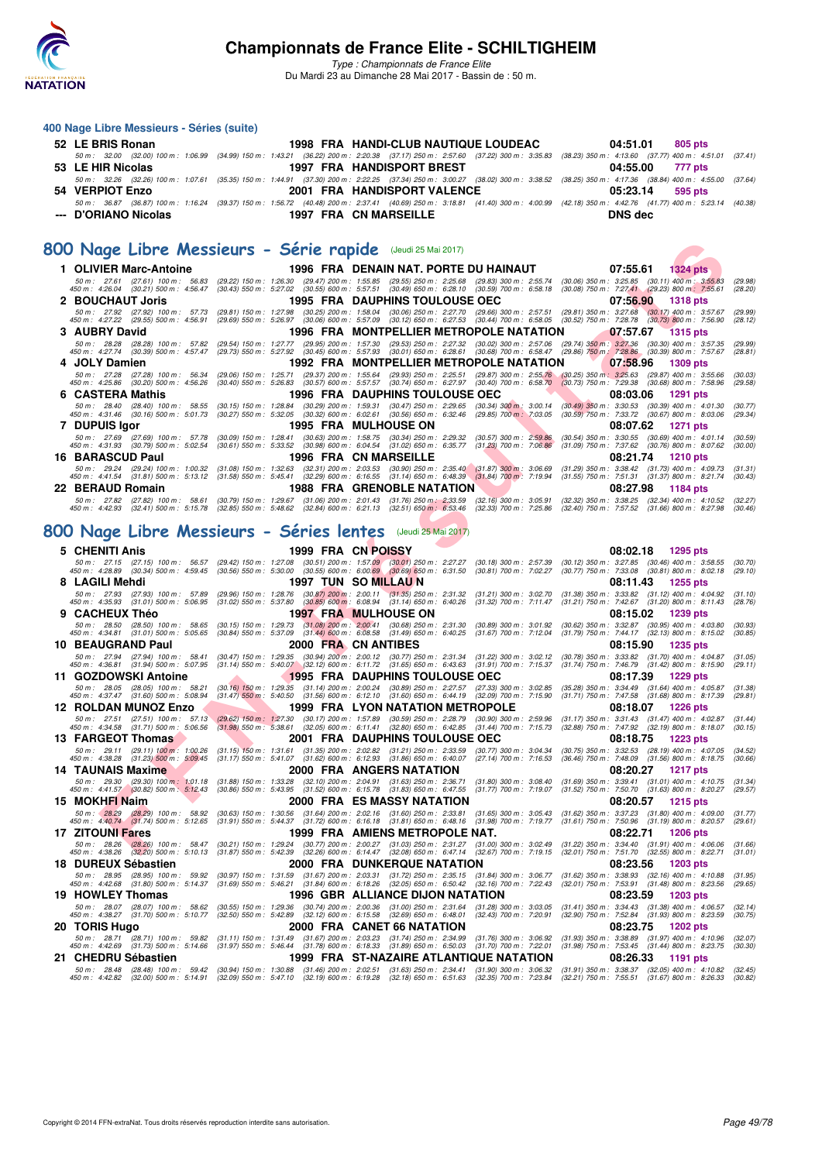

|   | 400 Nage Libre Messieurs - Séries (suite)                                                                                                                                                                                                                                       |                                                                                                                                                                                                                                                                 |                                                                                                                  |                           |                                                                                                                                                                                                                |                    |
|---|---------------------------------------------------------------------------------------------------------------------------------------------------------------------------------------------------------------------------------------------------------------------------------|-----------------------------------------------------------------------------------------------------------------------------------------------------------------------------------------------------------------------------------------------------------------|------------------------------------------------------------------------------------------------------------------|---------------------------|----------------------------------------------------------------------------------------------------------------------------------------------------------------------------------------------------------------|--------------------|
|   | 52 LE BRIS Ronan                                                                                                                                                                                                                                                                |                                                                                                                                                                                                                                                                 | 1998 FRA HANDI-CLUB NAUTIQUE LOUDEAC                                                                             |                           | 04:51.01<br>805 pts                                                                                                                                                                                            |                    |
|   | 50 m : 32.00 (32.00) 100 m : 1:06.99 (34.99) 150 m : 1:43.21 (36.22) 200 m : 2:20.38 (37.17) 250 m : 2:57.60 (37.22) 300 m : 3:35.83<br>53 LE HIR Nicolas                                                                                                                       |                                                                                                                                                                                                                                                                 | <b>1997 FRA HANDISPORT BREST</b>                                                                                 |                           | (38.23) 350 m : 4:13.60 (37.77) 400 m : 4:51.01<br>04:55.00<br>777 pts                                                                                                                                         | (37.41)            |
|   |                                                                                                                                                                                                                                                                                 |                                                                                                                                                                                                                                                                 |                                                                                                                  |                           | 50 m: 32.26 (32.26) 100 m: 1:07.61 (35.35) 150 m: 1:44.91 (37.30) 200 m: 2:22.25 (37.34) 250 m: 3:00.27 (38.02) 300 m: 3:38.52 (38.25) 350 m: 4:17.36 (38.84) 400 m: 4:55.00                                   | (37.64)            |
|   | 54 VERPIOT Enzo                                                                                                                                                                                                                                                                 |                                                                                                                                                                                                                                                                 | 2001 FRA HANDISPORT VALENCE                                                                                      |                           | 05:23.14<br>595 pts                                                                                                                                                                                            |                    |
|   | --- D'ORIANO Nicolas                                                                                                                                                                                                                                                            |                                                                                                                                                                                                                                                                 | 1997 FRA CN MARSEILLE                                                                                            |                           | 50 m : 36.87 (36.87) 100 m : 1:16.24 (39.37) 150 m : 1:56.72 (40.48) 200 m : 2:37.41 (40.69) 250 m : 3:18.81 (41.40) 300 m : 4:00.99 (42.18) 350 m : 4:42.76 (41.77) 400 m : 5:23.14 (40.38)<br><b>DNS dec</b> |                    |
|   |                                                                                                                                                                                                                                                                                 |                                                                                                                                                                                                                                                                 |                                                                                                                  |                           |                                                                                                                                                                                                                |                    |
|   | 800 Nage Libre Messieurs - Série rapide (Jeudi 25 Mai 2017)                                                                                                                                                                                                                     |                                                                                                                                                                                                                                                                 |                                                                                                                  |                           |                                                                                                                                                                                                                |                    |
|   |                                                                                                                                                                                                                                                                                 |                                                                                                                                                                                                                                                                 |                                                                                                                  |                           |                                                                                                                                                                                                                |                    |
|   | 1 OLIVIER Marc-Antoine<br>50 m : 27.61 (27.61) 100 m : 56.83                                                                                                                                                                                                                    |                                                                                                                                                                                                                                                                 | 1996 FRA DENAIN NAT. PORTE DU HAINAUT                                                                            |                           | 07:55.61<br><b>1324 pts</b><br>(29.22) 150 m : 1:26.30 (29.47) 200 m : 1:55.85 (29.55) 250 m : 2:25.68 (29.83) 300 m : 2:55.74 (30.06) 350 m : 3:25.85 (30.11) 400 m : 3:55.83                                 | (29.98)            |
|   | 450 m : 4:26.04 (30.21) 500 m : 4:56.47<br>2 BOUCHAUT Joris                                                                                                                                                                                                                     | (30.43) 550 m : 5:27.02 (30.55) 600 m : 5:57.51 (30.49) 650 m : 6:28.10 (30.59) 700 m : 6:58.18                                                                                                                                                                 | <b>1995 FRA DAUPHINS TOULOUSE OEC</b>                                                                            |                           | $(30.08)$ 750 m : 7:27.41 $(29.23)$ 800 m : 7:55.61<br>07:56.90                                                                                                                                                | (28.20)            |
|   | 50 m: 27.92 (27.92) 100 m: 57.73                                                                                                                                                                                                                                                | (29.81) 150 m: 1:27.98 (30.25) 200 m: 1:58.04 (30.06) 250 m: 2:27.70 (29.66) 300 m: 2:57.51                                                                                                                                                                     |                                                                                                                  |                           | <b>1318 pts</b><br>$(29.81)$ 350 m : 3:27.68<br>$(30.17)$ 400 m : 3:57.67                                                                                                                                      | (29.99)            |
|   | 450 m : 4:27.22 (29.55) 500 m : 4:56.91<br>3 AUBRY David                                                                                                                                                                                                                        |                                                                                                                                                                                                                                                                 | 1996 FRA MONTPELLIER METROPOLE NATATION                                                                          |                           | (29.69) 550 m : 5:26.97 (30.06) 600 m : 5:57.09 (30.12) 650 m : 6:27.53 (30.44) 700 m : 6:58.05 (30.52) 750 m : 7:28.78 (30.73) 800 m : 7:56.90<br>07:57.67<br>1315 pts                                        | (28.12)            |
|   | 50 m: 28.28 (28.28) 100 m: 57.82                                                                                                                                                                                                                                                | (29.54) 150 m : 1:27.77 (29.95) 200 m : 1:57.30 (29.53) 250 m : 2:27.32 (30.02) 300 m : 2:57.06                                                                                                                                                                 |                                                                                                                  |                           | (29.74) 350 m : 3:27.36<br>$(30.30)$ 400 m : 3:57.35                                                                                                                                                           | (29.99)            |
|   | 450 m : 4:27.74 (30.39) 500 m : 4:57.47<br>4 JOLY Damien                                                                                                                                                                                                                        | (29.73) 550 m : 5:27.92 (30.45) 600 m : 5:57.93 (30.01) 650 m : 6:28.61 (30.68) 700 m : 6:58.47                                                                                                                                                                 | 1992 FRA MONTPELLIER METROPOLE NATATION                                                                          |                           | $(29.86)$ 750 m : 7:28.86<br>(30.39) 800 m : 7:57.67<br>07:58.96<br>1309 pts                                                                                                                                   | (28.81)            |
|   | 50 m: 27.28 (27.28) 100 m: 56.34                                                                                                                                                                                                                                                | (29.06) 150 m: 1:25.71 (29.37) 200 m: 1:55.64 (29.93) 250 m: 2:25.51 (29.87) 300 m: 2:55.76 (30.25) 350 m: 3:25.63                                                                                                                                              |                                                                                                                  |                           | $(29.87)$ 400 m : 3:55.66                                                                                                                                                                                      | (30.03)            |
|   | 450 m : 4:25.86 (30.20) 500 m : 4:56.26<br>6 CASTERA Mathis                                                                                                                                                                                                                     | $(30.40)$ 550 m : 5:26.83                                                                                                                                                                                                                                       | (30.57) 600 m : 5:57.57 (30.74) 650 m : 6:27.97 (30.40) 700 m : 6:58.70<br><b>1996 FRA DAUPHINS TOULOUSE OEC</b> |                           | $(30.73)$ 750 m : 7:29.38<br>$(30.68)$ 800 m : 7:58.96<br>08:03.06<br>1291 pts                                                                                                                                 | (29.58)            |
|   | 50 m: 28.40 (28.40) 100 m: 58.55                                                                                                                                                                                                                                                | (30.15) 150 m : 1:28.84 (30.29) 200 m : 1:59.31 (30.47) 250 m : 2:29.65 (30.34) 300 m : 3:00.14                                                                                                                                                                 |                                                                                                                  |                           | $(30.49)$ 350 m : 3:30.53 $(30.39)$ 400 m : 4:01.30                                                                                                                                                            | (30.77)            |
|   | 450 m : 4:31.46 (30.16) 500 m : 5:01.73<br>7 DUPUIS Igor                                                                                                                                                                                                                        | (30.27) 550 m : 5:32.05 (30.32) 600 m : 6:02.61 (30.56) 650 m : 6:32.46 (29.85) 700 m : 7:03.05                                                                                                                                                                 | <b>1995 FRA MULHOUSE ON</b>                                                                                      |                           | $(30.59)$ 750 m : 7:33.72 $(30.67)$ 800 m : 8:03.06<br>08:07.62<br>1271 pts                                                                                                                                    | (29.34)            |
|   | 50 m: 27.69 (27.69) 100 m: 57.78                                                                                                                                                                                                                                                | (30.09) 150 m : 1:28.41 (30.63) 200 m : 1:58.75 (30.34) 250 m : 2:29.32                                                                                                                                                                                         |                                                                                                                  | $(30.57)$ 300 m : 2:59.86 | $(30.54)$ 350 m : 3:30.55<br>$(30.69)$ 400 m : 4:01.14                                                                                                                                                         | (30.59)            |
|   | 450 m :   4:31.93     (30.79)  500 m :   5:02.54<br>16 BARASCUD Paul                                                                                                                                                                                                            | (30.61) 550 m : 5:33.52 (30.98) 600 m : 6:04.54 (31.02) 650 m : 6:35.77                                                                                                                                                                                         | 1996 FRA CN MARSEILLE                                                                                            | $(31.23)$ 700 m : 7:06.86 | $(31.09)$ 750 m : 7:37.62 $(30.76)$ 800 m : 8:07.62<br>08:21.74<br><b>1210 pts</b>                                                                                                                             | (30.00)            |
|   | 50 m: 29.24 (29.24) 100 m: 1:00.32                                                                                                                                                                                                                                              | (31.08) 150 m : 1:32.63 (32.31) 200 m : 2:03.53 (30.90) 250 m : 2:35.40 (31.87) 300 m : 3:06.69                                                                                                                                                                 |                                                                                                                  |                           | $(31.29)$ 350 m : 3:38.42 $(31.73)$ 400 m : 4:09.73                                                                                                                                                            | (31.31)            |
|   | 450 m : 4:41.54 (31.81) 500 m : 5:13.12 (31.58) 550 m : 5:45.41 (32.29) 600 m : 6:16.55 (31.14) 650 m : 6:48.39 (31.84) 700 m : 7:19.94<br>22 BERAUD Romain                                                                                                                     |                                                                                                                                                                                                                                                                 | <b>1988 FRA GRENOBLE NATATION</b>                                                                                |                           | (31.55) 750 m: 7:51.31 (31.37) 800 m: 8:21.74<br>08:27.98<br>1184 pts                                                                                                                                          | (30.43)            |
|   | 50 m: 27.82 (27.82) 100 m: 58.61                                                                                                                                                                                                                                                | (30.79) 150 m : 1:29.67 (31.06) 200 m : 2:01.43 (31.76) 250 m : 2:33.59 (32.16) 300 m : 3:05.91                                                                                                                                                                 |                                                                                                                  |                           | (32.32) 350 m : 3:38.25<br>$(32.34)$ 400 m : 4:10.52                                                                                                                                                           | (32.27)            |
|   | 450 m: 4:42.93 (32.41) 500 m: 5:15.78                                                                                                                                                                                                                                           | $(32.85)$ 550 m : 5:48.62 $(32.84)$ 600 m : 6:21.13 $(32.51)$ 650 m : 6:53.46                                                                                                                                                                                   |                                                                                                                  | $(32.33)$ 700 m : 7:25.86 | (32.40) 750 m : 7:57.52 (31.66) 800 m : 8:27.98                                                                                                                                                                | (30.46)            |
|   | 800 Nage Libre Messieurs - Séries lentes                                                                                                                                                                                                                                        |                                                                                                                                                                                                                                                                 | (Jeudi 25 Mai 2017)                                                                                              |                           |                                                                                                                                                                                                                |                    |
|   | 5 CHENITI Anis                                                                                                                                                                                                                                                                  |                                                                                                                                                                                                                                                                 | 1999 FRA CN POISSY                                                                                               |                           | 08:02.18<br>1295 pts                                                                                                                                                                                           |                    |
|   | 50 m: 27.15 (27.15) 100 m: 56.57                                                                                                                                                                                                                                                | $\begin{array}{cccc} (29.42) \ 150 \ m : & 1:27.08 & (30.51) \ 200 \ m : & 1:57.09 & (30.01) \ 250 \ m : & 2:27.27 & (30.18) \ 300 \ m : & 5:30.00 & (30.55) \ 600 \ m : & 6:00.69 & (30.69) \ 650 \ m : & 6:31.50 & (30.81) \ 700 \ m : & 7:02.27 \end{array}$ |                                                                                                                  |                           | $(30.12)$ 350 m : 3:27.85 $(30.46)$ 400 m : 3:58.55                                                                                                                                                            | (30.70)            |
|   | 450 m : 4:28.89 (30.34) 500 m : 4:59.45<br>8 LAGILI Mehdi                                                                                                                                                                                                                       |                                                                                                                                                                                                                                                                 | 1997 TUN SO MILLAU N                                                                                             |                           | (30.77) 750 m : 7:33.08 (30.81) 800 m : 8:02.18<br>08:11.43<br>1255 pts                                                                                                                                        | (29.10)            |
|   | 50 m: 27.93 (27.93) 100 m: 57.89                                                                                                                                                                                                                                                | (29.96) 150 m: 1:28.76 (30.87) 200 m: 2:00.11 (31.35) 250 m: 2:31.32 (31.21) 300 m: 3:02.70                                                                                                                                                                     |                                                                                                                  |                           | $(31.38)$ 350 m : 3:33.82 $(31.12)$ 400 m : 4:04.92                                                                                                                                                            | (31.10)            |
| 9 | 450 m: 4:35.93 (31.01) 500 m: 5:06.95<br><b>CACHEUX Théo</b>                                                                                                                                                                                                                    | (31.02) 550 m: 5:37.80 (30.85) 600 m: 6:08.94 (31.14) 650 m: 6:40.26 (31.32) 700 m: 7:11.47                                                                                                                                                                     | <b>1997 FRA MULHOUSE ON</b>                                                                                      |                           | (31.21) 750 m: 7:42.67 (31.20) 800 m: 8:11.43<br>08:15.02<br>1239 pts                                                                                                                                          | (28.76)            |
|   | 50 m: 28.50 (28.50) 100 m: 58.65                                                                                                                                                                                                                                                | $(30.15)$ 150 m : 1:29.73 $(31.08)$ 200 m : 2:00.41 $(30.68)$ 250 m : 2:31.30                                                                                                                                                                                   |                                                                                                                  | (30.89) 300 m : 3:01.92   | (30.62) 350 m : 3:32.87 (30.95) 400 m : 4:03.80                                                                                                                                                                | (30.93)            |
|   | 450 m : 4:34.81 (31.01) 500 m : 5:05.65<br>10 BEAUGRAND Paul                                                                                                                                                                                                                    | $(30.84)$ 550 m : 5:37.09 $(31.44)$ 600 m : 6:08.58 $(31.49)$ 650 m : 6:40.25                                                                                                                                                                                   | 2000 FRA CN ANTIBES                                                                                              | $(31.67)$ 700 m : 7:12.04 | (31.79) 750 m: 7:44.17 (32.13) 800 m: 8:15.02<br>08:15.90<br>1235 pts                                                                                                                                          | (30.85)            |
|   | 50 m: 27.94 (27.94) 100 m: 58.41<br>450 m: 4:36.81 (31.94) 500 m: 5:07.95                                                                                                                                                                                                       | (30.47) 150 m: 1:29.35 (30.94) 200 m: 2:00.12 (30.77) 250 m: 2:31.34 (31.22) 300 m: 3:02.12                                                                                                                                                                     |                                                                                                                  |                           | (30.78) 350 m : 3:33.82 (31.70) 400 m : 4:04.87                                                                                                                                                                | (31.05)            |
|   | 11 GOZDOWSKI Antoine                                                                                                                                                                                                                                                            | (31.14) 550 m: 5:40.07 (32.12) 600 m: 6:11.72 (31.65) 650 m: 6:43.63 (31.91) 700 m: 7:15.37                                                                                                                                                                     | 1995 FRA DAUPHINS TOULOUSE OEC                                                                                   |                           | $(31.74)$ 750 m : 7:46.79<br>$(31.42)$ 800 m : 8:15.90<br>08:17.39<br>1229 pts                                                                                                                                 | (29.11)            |
|   | 50 m: 28.05 (28.05) 100 m: 58.21                                                                                                                                                                                                                                                | $(30.16)$ 150 m : 1:29.35 $(31.14)$ 200 m : 2:00.24 $(30.89)$ 250 m : 2:27.57                                                                                                                                                                                   |                                                                                                                  | (27.33) 300 m : 3:02.85   | (35.28) 350 m : 3:34.49 (31.64) 400 m : 4:05.87<br>$(31.68)$ 800 m : 8:17.39                                                                                                                                   | (31.38)            |
|   | 450 m : 4:37.47 (31.60) 500 m : 5:08.94<br><b>12 ROLDAN MUNOZ Enzo</b>                                                                                                                                                                                                          | $(31.47)$ 550 m : 5:40.50 $(31.56)$ 600 m : 6:12.10 $(31.60)$ 650 m : 6:44.19                                                                                                                                                                                   | 1999 FRA LYON NATATION METROPOLE                                                                                 | (32.09) 700 m : 7:15.90   | $(31.71)$ 750 m : 7:47.58<br>08:18.07<br><b>1226 pts</b>                                                                                                                                                       | (29.81)            |
|   | 50 m : 27.51 (27.51) 100 m : 57.13 (29.62) 150 m : 1;27.30 (30.17) 200 m : 1:57.89 (30.59) 250 m : 2:28.79 (30.90) 300 m : 2:59.96<br>450 m : 4:34.58 (31.71) 500 m : 5:06.56 (31.98) 550 m : 5:38.61 (32.05) 600 m : 6:11.41 (32.80) 650 m : 6:42.85 (31.44) 700 m : 7:15.73   |                                                                                                                                                                                                                                                                 |                                                                                                                  |                           | $(31.17)$ 350 m : 3:31.43 $(31.47)$ 400 m : 4:02.87                                                                                                                                                            | (31.44)<br>(30.15) |
|   | 13 FARGEOT Thomas                                                                                                                                                                                                                                                               |                                                                                                                                                                                                                                                                 | 2001 FRA DAUPHINS TOULOUSE OEC                                                                                   |                           | (32.88) 750 m : 7:47.92 (32.19) 800 m : 8:18.07<br>08:18.75 1223 pts                                                                                                                                           |                    |
|   | 50 m : 29.11 (29.11) 100 m : 1:00.26 (31.15) 150 m : 1:31.61 (31.35) 200 m : 2:02.82 (31.21) 250 m : 2:33.59 (30.77) 300 m : 3:04.34<br>450 m : 4:38.28 (31.23) 500 m : 5:09.45 (31.17) 550 m : 5:41.07 (31.62) 600 m : 6:12.93 (31.86) 650 m : 6:40.07 (27.14) 700 m : 7:16.53 |                                                                                                                                                                                                                                                                 |                                                                                                                  |                           | $(30.75)$ 350 m : 3:32.53 $(28.19)$ 400 m : 4:07.05<br>(36.46) 750 m : 7:48.09 (31.56) 800 m : 8:18.75                                                                                                         | (34.52)<br>(30.66) |
|   | <b>14 TAUNAIS Maxime</b>                                                                                                                                                                                                                                                        |                                                                                                                                                                                                                                                                 | 2000 FRA ANGERS NATATION                                                                                         |                           | 08:20.27<br><b>1217 pts</b>                                                                                                                                                                                    |                    |
|   | 50 m : 29.30 (29.30) 100 m : 1:01.18 (31.88) 150 m : 1:33.28 (32.10) 200 m : 2:04.91 (31.63) 250 m : 2:36.71 (31.80) 300 m : 3:08.40<br>450 m : 4:41.57 (30.82) 500 m : 5:12.43 (30.86) 550 m : 5:43.95 (31.52) 600 m : 6:15.78 (31.83) 650 m : 6:47.55 (31.77) 700 m : 7:19.07 |                                                                                                                                                                                                                                                                 |                                                                                                                  |                           | $(31.69)$ 350 m : 3:39.41 $(31.01)$ 400 m : 4:10.75<br>(31.52) 750 m: 7:50.70 (31.63) 800 m: 8:20.27                                                                                                           | (31.34)<br>(29.57) |
|   | 15 MOKHFI Naim                                                                                                                                                                                                                                                                  |                                                                                                                                                                                                                                                                 | 2000 FRA ES MASSY NATATION                                                                                       |                           | 08:20.57<br><b>1215 pts</b>                                                                                                                                                                                    |                    |
|   | 50 m : 28.29 (28.29) 100 m : 58.92<br>450 m : 4:40.74 (31.74) 500 m : 5:12.65                                                                                                                                                                                                   | (30.63) 150 m : 1:30.56 (31.64) 200 m : 2:02.16 (31.60) 250 m : 2:33.81 (31.65) 300 m : 3:05.43<br>(31.91) 550 m: 5:44.37 (31.72) 600 m: 6:16.18 (31.81) 650 m: 6:48.16 (31.98) 700 m: 7:19.77                                                                  |                                                                                                                  |                           | $(31.62)$ 350 m : 3:37.23 $(31.80)$ 400 m : 4:09.00<br>$(31.61)$ 750 m : 7:50.96 $(31.19)$ 800 m : 8:20.57                                                                                                     | (31.77)<br>(29.61) |
|   | <b>17 ZITOUNI Fares</b>                                                                                                                                                                                                                                                         |                                                                                                                                                                                                                                                                 | 1999 FRA AMIENS METROPOLE NAT.                                                                                   |                           | 08:22.71<br><b>1206 pts</b>                                                                                                                                                                                    |                    |
|   | 50 m : 28.26 (28.26) 100 m : 58.47                                                                                                                                                                                                                                              | (30.21) 150 m : 1:29.24 (30.77) 200 m : 2:00.27 (31.03) 250 m : 2:31.27 (31.00) 300 m : 3:02.49<br>(31.87) 550 m: 5:42.39 (32.26) 600 m: 6:14.47 (32.08) 650 m: 6:47.14 (32.67) 700 m: 7:19.15                                                                  |                                                                                                                  |                           | $(31.22)$ 350 m : 3:34.40 $(31.91)$ 400 m : 4:06.06<br>(32.01) 750 m: 7:51.70 (32.55) 800 m: 8:22.71                                                                                                           | (31.66)            |
|   | 450 m : 4:38.26 (32.20) 500 m : 5:10.13<br>18 DUREUX Sébastien                                                                                                                                                                                                                  |                                                                                                                                                                                                                                                                 | 2000 FRA DUNKERQUE NATATION                                                                                      |                           | 08:23.56<br><b>1203 pts</b>                                                                                                                                                                                    | (31.01)            |
|   | 50 m : 28.95 (28.95) 100 m : 59.92<br>450 m : 4:42.68 (31.80) 500 m : 5:14.37                                                                                                                                                                                                   | (30.97) 150 m: 1:31.59 (31.67) 200 m: 2:03.31 (31.72) 250 m: 2:35.15 (31.84) 300 m: 3:06.77<br>$(31.69)$ 550 m : 5:46.21 $(31.84)$ 600 m : 6:18.26 $(32.05)$ 650 m : 6:50.42 $(32.16)$ 700 m : 7:22.43                                                          |                                                                                                                  |                           | $(31.62)$ 350 m : 3:38.93 $(32.16)$ 400 m : 4:10.88                                                                                                                                                            | (31.95)            |
|   | 19 HOWLEY Thomas                                                                                                                                                                                                                                                                |                                                                                                                                                                                                                                                                 | 1996 GBR ALLIANCE DIJON NATATION                                                                                 |                           | (32.01) 750 m : 7:53.91 (31.48) 800 m : 8:23.56<br>08:23.59<br><b>1203 pts</b>                                                                                                                                 | (29.65)            |
|   | 50 m : 28.07 (28.07) 100 m : 58.62 (30.55) 150 m : 1:29.36 (30.74) 200 m : 2:00.36 (31.00) 250 m : 2:31.64 (31.28) 300 m : 3:03.05                                                                                                                                              |                                                                                                                                                                                                                                                                 |                                                                                                                  |                           | $(31.41)$ 350 m : 3:34.43 $(31.38)$ 400 m : 4:06.57                                                                                                                                                            | (32.14)            |
|   | 450 m :  4:38.27    (31.70) 500 m :   5:10.77    (32.50) 550 m :   5:42.89    (32.12) 600 m :   6:15.58    (32.69) 650 m :   6:48.01    (32.43) 700 m :   7:20.91<br>20 TORIS Hugo                                                                                              |                                                                                                                                                                                                                                                                 | 2000 FRA CANET 66 NATATION                                                                                       |                           | (32.90) 750 m : 7:52.84 (31.93) 800 m : 8:23.59<br>08:23.75<br>1202 pts                                                                                                                                        | (30.75)            |
|   | 50 m: 28.71 (28.71) 100 m: 59.82 (31.11) 150 m: 1:31.49 (31.67) 200 m: 2:03.23 (31.74) 250 m: 2:34.99 (31.76) 300 m: 3:06.92<br>50 m: 4:42.69 (31.73) 500 m: 5:14.66 (31.97) 550 m: 5:46.44 (31.78) 600 m: 6:18.33 (31.89) 650 m:                                               |                                                                                                                                                                                                                                                                 |                                                                                                                  |                           | $(31.93)$ 350 m : 3:38.89 $(31.97)$ 400 m : 4:10.96                                                                                                                                                            | (32.07)            |
|   | 450 m :   4:42.69     (31.73)  500 m :   5:14.66<br>21 CHEDRU Sébastien                                                                                                                                                                                                         |                                                                                                                                                                                                                                                                 | 1999 FRA ST-NAZAIRE ATLANTIQUE NATATION                                                                          |                           | $(31.98)$ 750 m : 7:53.45 $(31.44)$ 800 m : 8:23.75<br>08:26.33<br>1191 pts                                                                                                                                    | (30.30)            |
|   |                                                                                                                                                                                                                                                                                 |                                                                                                                                                                                                                                                                 |                                                                                                                  |                           | 50 m: 28.48 (28.48) 100 m: 59.42 (30.94) 150 m: 1:30.88 (31.46) 200 m: 2:02.51 (31.63) 250 m: 2:34.41 (31.90) 300 m: 3:06.32 (31.91) 350 m: 3:36.37 (32.05) 400 m: 4:10.82 (32.45)                             |                    |
|   |                                                                                                                                                                                                                                                                                 |                                                                                                                                                                                                                                                                 |                                                                                                                  |                           | 450 m : 4:42.82 (32.00) 500 m : 5:14.91 (32.09) 550 m : 5:47.10 (32.19) 600 m : 6:19.28 (32.18) 650 m : 6:51.63 (32.35) 700 m : 7:23.84 (32.21) 750 m : 7:55.51 (31.67) 800 m : 8:26.33 (30.82)                |                    |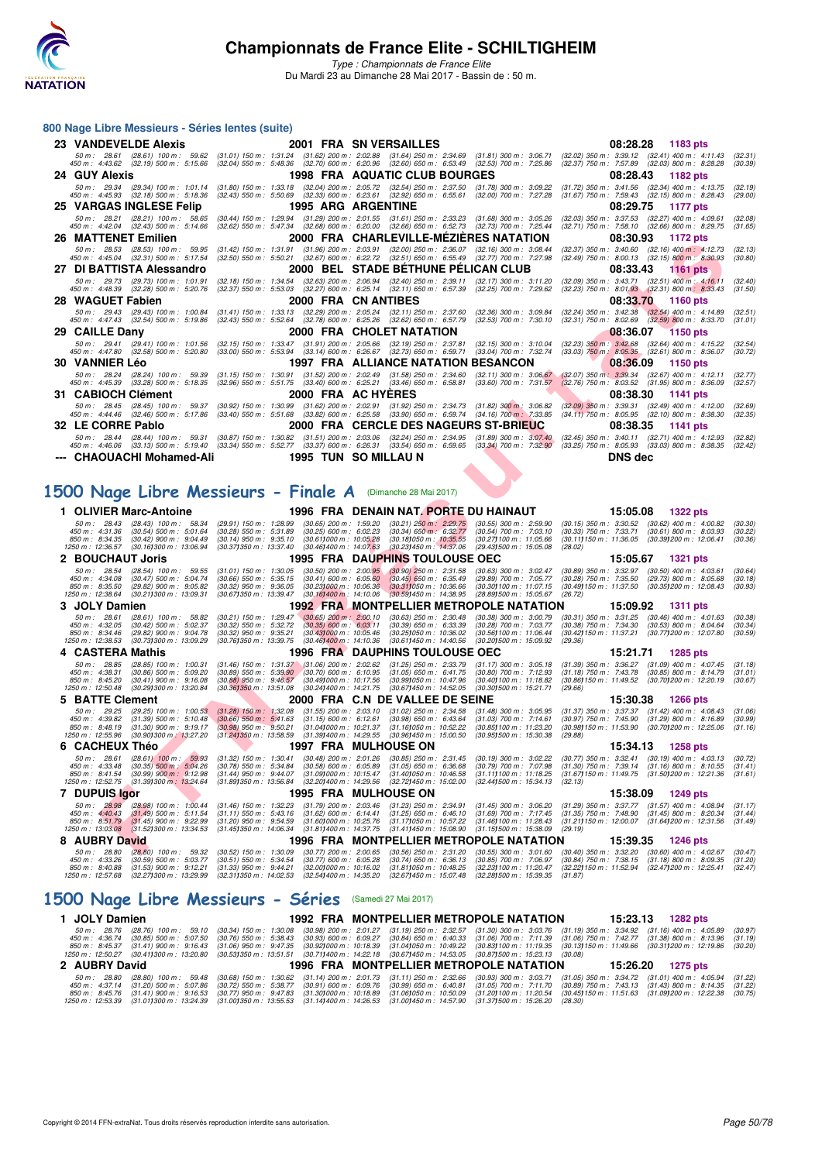

### **800 Nage Libre Messieurs - Séries lentes (suite)**

| 23 VANDEVELDE Alexis                 | 2001 FRA SN VERSAILLES                                                                                                                                                                                                                                                        | 08:28.28 1183 pts                                                                                                                                                                                                                                                                                                                                                                                   |
|--------------------------------------|-------------------------------------------------------------------------------------------------------------------------------------------------------------------------------------------------------------------------------------------------------------------------------|-----------------------------------------------------------------------------------------------------------------------------------------------------------------------------------------------------------------------------------------------------------------------------------------------------------------------------------------------------------------------------------------------------|
|                                      |                                                                                                                                                                                                                                                                               | 50 m: 28.61 (28.61) 100 m: 59.62 (31.01) 150 m: 1:31.24 (31.62) 200 m: 2:02.88 (31.64) 250 m: 2:34.69 (31.81) 300 m: 3:06.71 (32.02) 350 m: 3:39.12 (32.41) 400 m: 4:11.43<br>(32.31)<br>450 m : 4:43.62 (32.19) 500 m : 5:15.66 (32.04) 550 m : 5:48.36 (32.70) 600 m : 6:20.96 (32.60) 650 m : 6:53.49 (32.53) 700 m : 7:25.86 (32.37) 750 m : 7:57.89 (32.03) 800 m : 8:28.28<br>(30.39)         |
| 24 GUY Alexis                        | <b>1998 FRA AQUATIC CLUB BOURGES</b>                                                                                                                                                                                                                                          | 08:28.43<br>1182 pts                                                                                                                                                                                                                                                                                                                                                                                |
|                                      | 450 m: 4:45.93 (32.18) 500 m: 5:18.36 (32.43) 550 m: 5:50.69 (32.33) 600 m: 6:23.61 (32.92) 650 m: 6:55.61 (32.00) 700 m: 7:27.28                                                                                                                                             | 50 m: 29.34 (29.34) 100 m: 1:01.14 (31.80) 150 m: 1:33.18 (32.04) 200 m: 2:05.72 (32.54) 250 m: 2:37.50 (31.78) 300 m: 3:09.22 (31.72) 350 m: 3:41.56 (32.34) 400 m: 4:13.75<br>(32.19)<br>$(31.67)$ 750 m : 7:59.43 $(32.15)$ 800 m : 8:28.43<br>(29,00)                                                                                                                                           |
| 25 VARGAS INGLESE Felip              | <b>1995 ARG ARGENTINE</b>                                                                                                                                                                                                                                                     | 08:29.75 1177 pts                                                                                                                                                                                                                                                                                                                                                                                   |
|                                      | 50 m: 28.21 (28.21) 100 m: 58.65 (30.44) 150 m: 1:29.94 (31.29) 200 m: 2:01.55 (31.61) 250 m: 2:33.23 (31.68) 300 m: 3:05.26<br>450 m : 4:42.04 (32.43) 500 m : 5:14.66 (32.62) 550 m : 5:47.34 (32.68) 600 m : 6:20.00 (32.66) 650 m : 6:52.73 (32.73) 700 m : 7:25.44       | (32.03) 350 m : 3:37.53 (32.27) 400 m : 4:09.61<br>(32.08)<br>(32.71) 750 m : 7:58.10 (32.66) 800 m : 8:29.75<br>(31.65)                                                                                                                                                                                                                                                                            |
| 26 MATTENET Emilien                  | 2000 FRA CHARLEVILLE-MEZIERES NATATION                                                                                                                                                                                                                                        | 08:30.93<br>1172 pts                                                                                                                                                                                                                                                                                                                                                                                |
|                                      | 50 m: 28.53 (28.53) 100 m: 59.95 (31.42) 150 m: 1:31.91 (31.96) 200 m: 2:03.91 (32.00) 250 m: 2:36.07 (32.16) 300 m: 3:08.44<br>450 m : 4:45.04 (32.31) 500 m : 5:17.54 (32.50) 550 m : 5:50.21 (32.67) 600 m : 6:22.72 (32.51) 650 m : 6:55.49 (32.77) 700 m : 7:27.98       | $(32.37)$ 350 m : 3:40.60 $(32.16)$ 400 m : 4:12.73<br>(32.13)<br>$(32.49)$ 750 m : 8:00.13 $(32.15)$ 800 m : 8:30.93<br>(30.80)                                                                                                                                                                                                                                                                    |
| 27 DI BATTISTA Alessandro            | 2000 BEL STADE BÉTHUNE PÉLICAN CLUB                                                                                                                                                                                                                                           | 08:33.43<br><b>1161 pts</b>                                                                                                                                                                                                                                                                                                                                                                         |
| 50 m : 29.73 (29.73) 100 m : 1.01.91 | $(32.18)$ 150 m : 1:34.54 $(32.63)$ 200 m : 2:06.94<br>450 m : 4:48.39 (32.28) 500 m : 5:20.76 (32.37) 550 m : 5:53.03 (32.27) 600 m : 6:25.14 (32.11) 650 m : 6:57.39 (32.25) 700 m : 7:29.62                                                                                | $(32.09)$ 350 m : 3:43.71 $(32.51)$ 400 m : 4:16.11<br>(32.40) 250 m : 2:39.11 (32.17) 300 m : 3:11.20<br>(32.40)<br>$(32.23)$ 750 m : $8.01.93$ $(32.31)$ 800 m : $8.33.43$<br>(31.50)                                                                                                                                                                                                             |
| 28 WAGUET Fabien                     | 2000 FRA CN ANTIBES                                                                                                                                                                                                                                                           | 08:33.70 1160 pts                                                                                                                                                                                                                                                                                                                                                                                   |
|                                      | 50 m: 29.43 (29.43) 100 m: 1:00.84 (31.41) 150 m: 1:33.13 (32.29) 200 m: 2:05.24 (32.11) 250 m: 2:37.60 (32.36) 300 m: 3:09.84<br>450 m : 4:47.43 (32.54) 500 m : 5:19.86 (32.43) 550 m : 5:52.64 (32.78) 600 m : 6:25.26 (32.62) 650 m : 6:57.79 (32.53) 700 m : 7:30.10     | $(32.24)$ 350 m : 3:42.38 $(32.54)$ 400 m : 4:14.89<br>(32.51)<br>$(32.31)$ 750 m : 8:02.69 $(32.59)$ 800 m : 8:33.70<br>(31.01)                                                                                                                                                                                                                                                                    |
| 29 CAILLE Dany                       | 2000 FRA CHOLET NATATION                                                                                                                                                                                                                                                      | 08:36.07 1150 pts                                                                                                                                                                                                                                                                                                                                                                                   |
|                                      |                                                                                                                                                                                                                                                                               | 50 m: 29.41 (29.41) 100 m: 1:01.56 (32.15) 150 m: 1:33.47 (31.91) 200 m: 2:05.66 (32.19) 250 m: 2:37.81 (32.15) 300 m: 3:10.04 (32.23) 350 m: 3:42.68 (32.64) 400 m: 4:15.22<br>(32.54)<br>450 m : 4:47.80 (32.58) 500 m : 5:20.80 (33.00) 550 m : 5:53.94 (33.14) 600 m : 6:26.67 (32.73) 650 m : 6:59.71 (33.04) 700 m : 7:32.74 (33.03) 750 m : 8:05.35 (32.61) 800 m : 8:36.07<br>(30.72)       |
| <b>30 VANNIER Léo</b>                | <b>1997 FRA ALLIANCE NATATION BESANCON</b>                                                                                                                                                                                                                                    | 08:36.09<br>1150 pts                                                                                                                                                                                                                                                                                                                                                                                |
|                                      |                                                                                                                                                                                                                                                                               | 50 m : 28.24 (28.24) 100 m : 59.39 (31.15) 150 m : 1:30.91 (31.52) 200 m : 2:02.49 (31.58) 250 m : 2:34.60 (32.11) 300 m : 3:06.67 (32.07) 350 m : 3:39.34 (32.67) 400 m : 4:12.11<br>(32.77)<br>450 m : 4:45.39 (33.28) 500 m : 5:18.35 (32.96) 550 m : 5:51.75 (33.40) 600 m : 6:25.21 (33.46) 650 m : 6:58.81 (33.60) 700 m : 7:31.57 (32.76) 750 m : 8:03.52 (31.95) 800 m : 8:36.09<br>(32.57) |
| 31 CABIOCH Clément                   | 2000 FRA AC HYERES                                                                                                                                                                                                                                                            | 08:38.30<br>1141 pts                                                                                                                                                                                                                                                                                                                                                                                |
|                                      | 50 m: 28.45 (28.45) 100 m: 59.37 (30.92) 150 m: 1:30.99 (31.62) 200 m: 2:02.91 (31.92) 250 m: 2:34.73 (31.82) 300 m: 3:06.82<br>450 m : 4:44.46 (32.46) 500 m : 5:17.86 (33.40) 550 m : 5:51.68 (33.82) 600 m : 6:25.58 (33.90) 650 m : 6:59.74 (34.16) 700 m : 7:33.85       | $(32.09)$ 350 m : 3:39.31 $(32.49)$ 400 m : 4:12.00<br>(32.69)<br>$(34.11)$ 750 m : 8:05.95 $(32.10)$ 800 m : 8:38.30<br>(32.35)                                                                                                                                                                                                                                                                    |
| 32 LE CORRE Pablo                    | 2000 FRA CERCLE DES NAGEURS ST-BRIEUC                                                                                                                                                                                                                                         | 08:38.35<br>1141 pts                                                                                                                                                                                                                                                                                                                                                                                |
|                                      | 50 m : 28.44 (28.44) 100 m : 59.31 (30.87) 150 m : 1:30.82 (31.51) 200 m : 2:03.06 (32.24) 250 m : 2:34.95 (31.89) 300 m : 3:07.40<br>450 m : 4:46.06 (33.13) 500 m : 5:19.40 (33.34) 550 m : 5:52.77 (33.37) 600 m : 6:26.31 (33.54) 650 m : 6:59.65 (33.34) 700 m : 7:32.90 | $(32.45)$ 350 m : 3:40.11 $(32.71)$ 400 m : 4:12.93<br>(32.82)<br>$(33.25)$ 750 m : 8:05.93 $(33.03)$ 800 m : 8:38.35<br>(32.42)                                                                                                                                                                                                                                                                    |
| --- CHAOUACHI Mohamed-Ali            | 1995 TUN SO MILLAU N                                                                                                                                                                                                                                                          | <b>DNS</b> dec                                                                                                                                                                                                                                                                                                                                                                                      |

### **[1500 Nage Libre Messieurs - Finale A](http://www.ffnatation.fr/webffn/resultats.php?idact=nat&go=epr&idcpt=45075&idepr=56)** (Dimanche 28 Mai 2017)

| ΔU | 81 I ENET                                                                     |                                                                |                                                                                                                                                                                                                                                                               | ZUUU FRA VI                                                    |                                                                                                      |                                                                    |         | U0.JU.JJ                                                 | $11/2$ pm                                                                                                      |                    |
|----|-------------------------------------------------------------------------------|----------------------------------------------------------------|-------------------------------------------------------------------------------------------------------------------------------------------------------------------------------------------------------------------------------------------------------------------------------|----------------------------------------------------------------|------------------------------------------------------------------------------------------------------|--------------------------------------------------------------------|---------|----------------------------------------------------------|----------------------------------------------------------------------------------------------------------------|--------------------|
|    | 50 m : 28.53<br>450 m : 4:45.04                                               | $(28.53)$ 100 m : 59.95<br>$(32.31)$ 500 m : 5:17.54           | (31.42) 150 m : 1:31.91 (31.96) 200 m : 2:03.91 (32.00) 250 m : 2:36.07 (32.16) 300 m : 3:08.44<br>(32.50) 550 m: 5:50.21 (32.67) 600 m: 6:22.72 (32.51) 650 m: 6:55.49 (32.77) 700 m: 7:27.98                                                                                |                                                                |                                                                                                      |                                                                    |         |                                                          | $(32.37)$ 350 m : 3:40.60 $(32.16)$ 400 m : 4:12.73<br>$(32.49)$ 750 m : 8:00.13 $(32.15)$ 800 m : 8:30.93     | (32.13)<br>(30.80) |
|    | 27   DI BATTISTA Alessandro                                                   |                                                                |                                                                                                                                                                                                                                                                               |                                                                | 2000 BEL STADE BETHUNE PELICAN CLUB                                                                  |                                                                    |         | 08:33.43                                                 | <b>1161 pts</b>                                                                                                |                    |
|    | 50 m : 29.73<br>450 m : 4:48.39                                               | $(29.73)$ 100 m : 1:01.91<br>$(32.28)$ 500 m : 5:20.76         | $(32.18)$ 150 m : 1:34.54<br>$(32.37)$ 550 m : 5:53.03                                                                                                                                                                                                                        |                                                                | $(32.63)$ 200 m : 2:06.94 $(32.40)$ 250 m : 2:39.11<br>(32.27) 600 m: 6:25.14 (32.11) 650 m: 6:57.39 | $(32.17)$ 300 m : 3:11.20<br>$(32.25)$ 700 m : 7:29.62             |         |                                                          | (32.09) 350 m: 3:43.71 (32.51) 400 m: 4:16.11<br>(32.23) 750 m : 8:01.93 (32.31) 800 m : 8:33.43               | (32.40)<br>(31.50) |
|    | 28   WAGUET Fabien                                                            |                                                                |                                                                                                                                                                                                                                                                               | 2000 FRA CN ANTIBES                                            |                                                                                                      |                                                                    |         | 08:33.70                                                 | <b>1160 pts</b>                                                                                                |                    |
|    | 50 m: 29.43 (29.43) 100 m: 1:00.84<br>450 m : 4:47.43 (32.54) 500 m : 5:19.86 |                                                                | $(31.41)$ 150 m : 1:33.13 $(32.29)$ 200 m : 2:05.24 $(32.11)$ 250 m : 2:37.60<br>$(32.43)$ 550 m : 5:52.64 $(32.78)$ 600 m : 6:25.26 $(32.62)$ 650 m : 6:57.79                                                                                                                |                                                                |                                                                                                      | $(32.36)$ 300 m : 3:09.84<br>$(32.53)$ 700 m : 7:30.10             |         | $(32.24)$ 350 m : 3:42.38<br>$(32.31)$ 750 m : $8:02.69$ | $(32.54)$ 400 m : 4:14.89<br>$(32.59)$ 800 m : 8:33.70                                                         | (32.51)<br>(31.01) |
|    | 29 CAILLE Dany                                                                |                                                                |                                                                                                                                                                                                                                                                               |                                                                | 2000 FRA CHOLET NATATION                                                                             |                                                                    |         | 08:36.07                                                 | <b>1150 pts</b>                                                                                                |                    |
|    | 50 m: 29.41 (29.41) 100 m: 1:01.56<br>450 m: 4:47.80 (32.58) 500 m: 5:20.80   |                                                                | (32.15) 150 m : 1:33.47 (31.91) 200 m : 2:05.66 (32.19) 250 m : 2:37.81 (32.15) 300 m : 3:10.04<br>(33.00) 550 m: 5:53.94 (33.14) 600 m: 6:26.67 (32.73) 650 m: 6:59.71                                                                                                       |                                                                |                                                                                                      | (33.04) 700 m : 7:32.74                                            |         |                                                          | $(32.23)$ 350 m : 3:42.68 $(32.64)$ 400 m : 4:15.22<br>$(33.03)$ 750 m : $8.05.35$ $(32.61)$ 800 m : $8.36.07$ | (32.54)<br>(30.72) |
|    | 30   VANNIER Léo                                                              |                                                                |                                                                                                                                                                                                                                                                               |                                                                |                                                                                                      | 1997 FRA ALLIANCE NATATION BESANCON                                |         | 08:36.09                                                 | 1150 pts                                                                                                       |                    |
|    | $50 \text{ m}$ : 28.24                                                        | $(28.24)$ 100 m : 59.39                                        | $(31.15)$ 150 m : 1:30.91 $(31.52)$ 200 m : 2:02.49 $(31.58)$ 250 m : 2:34.60                                                                                                                                                                                                 |                                                                |                                                                                                      | $(32.11)$ 300 m : 3:06.67                                          |         |                                                          | $(32.07)$ 350 m : 3:39.34 $(32.67)$ 400 m : 4:12.11                                                            | (32.77)            |
|    | 450 m : 4:45.39                                                               | $(33.28)$ 500 m : 5:18.35                                      | $(32.96)$ 550 m : 5:51.75 $(33.40)$ 600 m : 6:25.21 $(33.46)$ 650 m : 6:58.81                                                                                                                                                                                                 |                                                                |                                                                                                      | $(33.60)$ 700 m : 7:31.57                                          |         |                                                          | $(32.76)$ 750 m : 8:03.52 $(31.95)$ 800 m : 8:36.09                                                            | (32.57)            |
|    | 31 CABIOCH Clément<br>50 m: 28.45                                             | $(28.45)$ 100 m : 59.37                                        | (30.92) 150 m : 1:30.99 (31.62) 200 m : 2:02.91 (31.92) 250 m : 2:34.73                                                                                                                                                                                                       | 2000 FRA AC HYERES                                             |                                                                                                      | $(31.82)$ 300 m : 3:06.82                                          |         | 08:38.30                                                 | 1141 pts<br>$(32.09)$ 350 m : 3:39.31 $(32.49)$ 400 m : 4:12.00                                                | (32.69)            |
|    | 450 m : 4:44.46 (32.46) 500 m : 5:17.86                                       |                                                                | (33.40) 550 m: 5:51.68 (33.82) 600 m: 6:25.58 (33.90) 650 m: 6:59.74 (34.16) 700 m: 7:33.85                                                                                                                                                                                   |                                                                |                                                                                                      |                                                                    |         |                                                          | $(34.11)$ 750 m : 8:05.95 $(32.10)$ 800 m : 8:38.30                                                            | (32.35)            |
|    | 32   LE CORRE Pablo                                                           |                                                                |                                                                                                                                                                                                                                                                               |                                                                |                                                                                                      | 2000 FRA  CERCLE DES NAGEURS ST-BRIEUC                             |         | 08:38.35                                                 | 1141 pts                                                                                                       |                    |
|    |                                                                               |                                                                | 50 m : 28.44 (28.44) 100 m : 59.31 (30.87) 150 m : 1:30.82 (31.51) 200 m : 2:03.06 (32.24) 250 m : 2:34.95 (31.89) 300 m : 3:07.40<br>450 m : 4:46.06 (33.13) 500 m : 5:19.40 (33.34) 550 m : 5:52.77 (33.37) 600 m : 6:26.31 (33.54) 650 m : 6:59.65 (33.34) 700 m : 7:32.90 |                                                                |                                                                                                      |                                                                    |         |                                                          | (32.45) 350 m: 3:40.11 (32.71) 400 m: 4:12.93 (32.82)<br>$(33.25)$ 750 m : 8:05.93 $(33.03)$ 800 m : 8:38.35   | (32.42)            |
|    | --- CHAOUACHI Mohamed-Ali                                                     |                                                                |                                                                                                                                                                                                                                                                               | 1995 TUN SO MILLAU N                                           |                                                                                                      |                                                                    |         | <b>DNS dec</b>                                           |                                                                                                                |                    |
|    |                                                                               |                                                                |                                                                                                                                                                                                                                                                               |                                                                |                                                                                                      |                                                                    |         |                                                          |                                                                                                                |                    |
|    |                                                                               |                                                                |                                                                                                                                                                                                                                                                               |                                                                |                                                                                                      |                                                                    |         |                                                          |                                                                                                                |                    |
|    |                                                                               |                                                                | 500 Nage Libre Messieurs - Finale A (Dimanche 28 Mai 2017)                                                                                                                                                                                                                    |                                                                |                                                                                                      |                                                                    |         |                                                          |                                                                                                                |                    |
|    | 1 OLIVIER Marc-Antoine                                                        |                                                                |                                                                                                                                                                                                                                                                               |                                                                |                                                                                                      |                                                                    |         |                                                          |                                                                                                                |                    |
|    | 50 m: 28.43                                                                   | $(28.43)$ 100 m : 58.34                                        | (29.91) 150 m : 1:28.99                                                                                                                                                                                                                                                       |                                                                | $(30.65)$ 200 m : 1:59.20 $(30.21)$ 250 m : 2:29.75                                                  | 1996 FRA DENAIN NAT. PORTE DU HAINAUT<br>$(30.55)$ 300 m : 2:59.90 |         | 15:05.08                                                 | <b>1322 pts</b><br>$(30.15)$ 350 m : 3:30.52 $(30.62)$ 400 m : 4:00.82                                         | (30.30)            |
|    | 450 m: 4:31.36                                                                | $(30.54)$ 500 m : 5:01.64                                      | $(30.28)$ 550 m : 5:31.89                                                                                                                                                                                                                                                     | $(30.25)$ 600 m : 6:02.23                                      | $(30.34)$ 650 m : 6:32.77                                                                            | $(30.54)$ 700 m : 7:03.10                                          |         |                                                          | $(30.33)$ 750 m : 7:33.71 $(30.61)$ 800 m : 8:03.93                                                            | (30.22)            |
|    | 850 m : 8:34.35<br>1250 m: 12:36.57                                           | $(30.42)$ 900 m : 9:04.49<br>(30.161300 m: 13.06.94)           | $(30.14)$ 950 m : 9:35.10<br>(30.371350 m : 13:37.40                                                                                                                                                                                                                          | (30.611000 m: 10.05.28)<br>$(30.461400 \text{ m} : 14.07.63)$  | (30.18) 050 m : 10:35.55<br>(30.23)450 m : 14.37.06                                                  | (30.27) 100 m : 11:05.66<br>(29.431500 m: 15:05.08)                | (28.02) |                                                          | (30.11) 150 m: 11:36.05 (30.39) 200 m: 12:06.41                                                                | (30.36)            |
|    | 2 BOUCHAUT Joris                                                              |                                                                |                                                                                                                                                                                                                                                                               |                                                                | 1995 FRA DAUPHINS TOULOUSE OEC                                                                       |                                                                    |         | 15:05.67                                                 | <b>1321 pts</b>                                                                                                |                    |
|    | $50 \text{ m}$ : 28.54                                                        | $(28.54)$ 100 m : 59.55                                        | $(31.01)$ 150 m : 1:30.05                                                                                                                                                                                                                                                     | $(30.50)$ 200 m : 2:00.95                                      | $(30.90)$ 250 m : 2:31.58                                                                            | $(30.63)$ 300 m : 3:02.47                                          |         |                                                          | $(30.89)$ 350 m : 3:32.97 $(30.50)$ 400 m : 4:03.61                                                            | (30.64)            |
|    | 450 m : 4:34.08<br>850 m : 8:35.50                                            | $(30.47)$ 500 m : 5:04.74<br>$(29.82)$ 900 m : 9:05.82         | $(30.66)$ 550 m : 5:35.15<br>$(30.32)$ 950 m : 9:36.05                                                                                                                                                                                                                        | $(30.41)$ 600 m : 6:05.60<br>$(30.23)000 \text{ m}$ : 10:06.36 | $(30.45)$ 650 m : 6:35.49<br>$(30.31)050$ m : 10:36.66                                               | (29.89) 700 m : 7:05.77<br>(30.30) 100 m : 11:07.15                |         | $(30.28)$ 750 m : 7:35.50<br>(30.49) 150 m : 11:37.50    | $(29.73)$ 800 m : 8:05.68<br>(30.35) 200 m : 12:08.43                                                          | (30.18)<br>(30.93) |
|    | 1250 m: 12:38.64                                                              | $(30.211300 \text{ m} : 13.09.31)$                             | (30.671350 m: 13:39.47)                                                                                                                                                                                                                                                       | $(30.16)400 \text{ m}$ : 14:10.06                              | (30.59) 450 m : 14:38.95                                                                             | (28.89) 500 m : 15:05.67                                           | (26.72) |                                                          |                                                                                                                |                    |
|    | 3 JOLY Damien                                                                 |                                                                |                                                                                                                                                                                                                                                                               |                                                                |                                                                                                      | 1992 FRA MONTPELLIER METROPOLE NATATION                            |         | 15:09.92                                                 | <b>1311 pts</b>                                                                                                |                    |
|    | 50 m: 28.61<br>450 m: 4:32.05                                                 | $(28.61)$ 100 m : 58.82<br>$(30.42)$ 500 m : 5:02.37           | (30.21) 150 m : 1:29.47<br>$(30.32)$ 550 m : 5:32.72                                                                                                                                                                                                                          | $(30.65)$ 200 m : 2:00.10<br>$(30.35)$ 600 m : 6:03.11         | $(30.63)$ 250 m : 2:30.48<br>$(30.39)$ 650 m : 6:33.39                                               | $(30.38)$ 300 m : 3:00.79<br>$(30.28)$ 700 m : 7:03.77             |         | $(30.38)$ 750 m : 7:34.30                                | $(30.31)$ 350 m : 3:31.25 $(30.46)$ 400 m : 4:01.63<br>(30.53) 800 m : 8:04.64                                 | (30.38)<br>(30.34) |
|    | 850 m : 8:34.46<br>1250 m: 12:38.53                                           | $(29.82)$ 900 m : 9:04.78<br>(30.731300 m: 13:09.29)           | $(30.32)$ 950 m : 9:35.21<br>(30.76) 350 m : 13:39.75                                                                                                                                                                                                                         | (30.43) 000 m : 10:05.46<br>(30.461400 m: 14:10.36)            | (30.25) 050 m : 10:36.02<br>(30.611450 m: 14:40.56)                                                  | (30.56) 100 m : 11:06.44<br>(30.201500 m: 15:09.92                 | (29.36) |                                                          | (30.42) 150 m : 11:37.21 (30.77) 200 m : 12:07.80                                                              | (30.59)            |
|    | 4 CASTERA Mathis                                                              |                                                                |                                                                                                                                                                                                                                                                               |                                                                | <b>1996 FRA DAUPHINS TOULOUSE OEC</b>                                                                |                                                                    |         | 15:21.71                                                 | 1285 pts                                                                                                       |                    |
|    | 50 m: 28.85                                                                   | $(28.85)$ 100 m : 1:00.31                                      | $(31.46)$ 150 m : 1:31.37 $(31.06)$ 200 m : 2:02.62                                                                                                                                                                                                                           |                                                                | $(31.25)$ 250 m : 2:33.79                                                                            | $(31.17)$ 300 m : 3:05.18                                          |         |                                                          | $(31.39)$ 350 m : 3:36.27 $(31.09)$ 400 m : 4:07.45                                                            | (31.18)            |
|    | 450 m: 4:38.31<br>850 m: 8:45.20                                              | $(30.86)$ 500 m : 5:09.20<br>$(30.41)$ 900 m : 9:16.08         | $(30.89)$ 550 m : 5:39.90<br>$(30.88)$ 950 m : 9:46.57                                                                                                                                                                                                                        | $(30.70)$ 600 m : 6:10.95<br>(30.49) 000 m : 10:17.56          | $(31.05)$ 650 m : 6:41.75<br>(30.99) 050 m : 10.47.96                                                | $(30.80)$ 700 m : 7:12.93<br>(30.40) 100 m: 11:18.82               |         | $(31.18)$ 750 m : 7:43.78<br>(30.86) 150 m : 11:49.52    | $(30.85)$ 800 m : 8:14.79<br>(30.70) 200 m : 12:20.19                                                          | (31.01)<br>(30.67) |
|    | 1250 m: 12:50.48                                                              | (30.291300 m: 13.20.84)                                        | (30.36)350 m : 13.51.08                                                                                                                                                                                                                                                       | (30.241400 m: 14:21.75)                                        | (30.671450 m : 14:52.05                                                                              | (30.301500 m: 15:21.71                                             | (29.66) |                                                          |                                                                                                                |                    |
|    | 5 BATTE Clement<br>50 m: 29.25                                                | $(29.25)$ 100 m : 1:00.53                                      | $(31.28)$ 150 m : 1:32.08                                                                                                                                                                                                                                                     | $(31.55)$ 200 m : 2:03.10                                      | 2000 FRA C.N DE VALLEE DE SEINE<br>$(31.02)$ 250 m : 2:34.58                                         | $(31.48)$ 300 m : 3:05.95                                          |         | 15:30.38                                                 | <b>1266 pts</b><br>$(31.37)$ 350 m : 3:37.37 $(31.42)$ 400 m : 4:08.43                                         | (31.06)            |
|    | 450 m : 4:39.82                                                               | $(31.39)$ 500 m : 5:10.48                                      | $(30.66)$ 550 m : 5:41.63                                                                                                                                                                                                                                                     | $(31.15)$ 600 m : 6:12.61                                      | $(30.98)$ 650 m : 6:43.64                                                                            | $(31.03)$ 700 m : 7:14.61                                          |         |                                                          | (30.97) 750 m : 7:45.90 (31.29) 800 m : 8:16.89                                                                | (30.99)            |
|    | 850 m : 8:48.19<br>1250 m: 12:55.96                                           | $(31.30)$ 900 m : 9:19.17<br>(30.901300 m : 13:27.20           | $(30.98)$ 950 m : 9:50.21<br>(31.241350 m : 13:58.59)                                                                                                                                                                                                                         | $(31.04)000 \text{ m}$ : 10:21.37<br>(31.391400 m : 14:29.55)  | $(31.16)050 \text{ m}$ : 10:52.22<br>(30.961450 m : 15:00.50                                         | (30.85) 100 m : 11:23.20<br>(30.951500 m: 15:30.38)                | (29.88) |                                                          | (30.98) 150 m: 11:53.90 (30.70) 200 m: 12:25.06                                                                | (31.16)            |
| 6  | <b>CACHEUX Théo</b>                                                           |                                                                |                                                                                                                                                                                                                                                                               | 1997 FRA MULHOUSE ON                                           |                                                                                                      |                                                                    |         | 15:34.13                                                 | 1258 pts                                                                                                       |                    |
|    | 50 m: 28.61                                                                   | $(28.61)$ 100 m : 59.93                                        | $(31.32)$ 150 m : 1:30.41                                                                                                                                                                                                                                                     | $(30.48)$ 200 m : 2:01.26                                      | $(30.85)$ 250 m : 2:31.45                                                                            | $(30.19)$ 300 m : 3:02.22                                          |         |                                                          | $(30.77)$ 350 m : 3:32.41 $(30.19)$ 400 m : 4:03.13                                                            | (30.72)            |
|    | 450 m: 4:33.48<br>850 m: 8:41.54                                              | $(30.35)$ 500 m : 5:04.26<br>$(30.99)$ 900 m : 9:12.98         | (30.78) 550 m : 5:34.84<br>$(31.44)$ 950 m : 9:44.07                                                                                                                                                                                                                          | $(30.58)$ 600 m : 6:05.89<br>(31.091000 m: 10:15.47            | $(31.05)$ 650 m : 6:36.68<br>$(31.40)050 \text{ m}$ : 10:46.58                                       | $(30.79)$ 700 m : 7:07.98<br>$(31.11)100 \text{ m}$ : 11:18.25     |         | $(31.30)$ 750 m : 7:39.14                                | $(31.16)$ 800 m : 8:10.55<br>(31.67) 150 m : 11:49.75 (31.50) 200 m : 12:21.36                                 | (31.41)<br>(31.61) |
|    | 1250 m: 12:52.75                                                              | (31.391300 m: 13.24.64                                         | (31.891350 m: 13:56.84                                                                                                                                                                                                                                                        | (32.201400 m: 14:29.56)                                        | (32.72) 450 m : 15:02.00                                                                             | (32.441500 m: 15:34.13)                                            | (32.13) |                                                          |                                                                                                                |                    |
|    | 7 DUPUIS Igor                                                                 |                                                                |                                                                                                                                                                                                                                                                               | 1995 FRA MULHOUSE ON                                           |                                                                                                      |                                                                    |         | 15:38.09                                                 | 1249 pts                                                                                                       |                    |
|    | 50 m: 28.98<br>450 m : 4:40.43                                                | $(28.98)$ 100 m : 1:00.44<br>$(31.49)$ 500 m : 5:11.54         | $(31.46)$ 150 m : 1:32.23<br>$(31.11)$ 550 m : 5:43.16                                                                                                                                                                                                                        | $(31.79)$ 200 m : 2:03.46<br>$(31.62)$ 600 m : 6:14.41         | $(31.23)$ 250 m : 2:34.91<br>$(31.25)$ 650 m : 6:46.10                                               | $(31.45)$ 300 m : 3:06.20<br>$(31.69)$ 700 m : 7:17.45             |         |                                                          | $(31.29)$ 350 m : 3:37.77 $(31.57)$ 400 m : 4:08.94<br>$(31.35)$ 750 m $: 7.48.90$ $(31.45)$ 800 m $: 8.20.34$ | (31.17)<br>(31.44) |
|    | $850 \text{ m}$ : $8:51.79$<br>1250 m: 13:03.08                               | $(31.45)$ 900 m : 9:22.99<br>$(31.52)300 \text{ m}$ : 13:34.53 | $(31.20)$ 950 m : 9:54.59<br>(31.451350 m: 14:06.34)                                                                                                                                                                                                                          | $(31.60)000 \text{ m}$ : 10:25.76<br>(31.811400 m: 14:37.75)   | (31.17) 050 m : 10.57.22<br>$(31.411450 \text{ m} : 15.08.90)$                                       | (31.46) 100 m : 11:28.43<br>(31.151500 m: 15:38.09                 | (29.19) | $(31.21)150 \text{ m}: 12.00.07$                         | $(31.64)200 \text{ m}$ : 12:31.56                                                                              | (31.49)            |
|    | 8 AUBRY David                                                                 |                                                                |                                                                                                                                                                                                                                                                               |                                                                |                                                                                                      | 1996 FRA MONTPELLIER METROPOLE NATATION                            |         | 15:39.35                                                 | <b>1246 pts</b>                                                                                                |                    |
|    | 50 m: 28.80                                                                   | $(28.80)$ 100 m : 59.32                                        | $(30.52)$ 150 m : 1:30.09                                                                                                                                                                                                                                                     | $(30.77)$ 200 m : 2:00.65                                      | $(30.56)$ 250 m : 2:31.20                                                                            | $(30.55)$ 300 m : 3:01.60                                          |         | $(30.40)$ 350 m : 3:32.20                                | (30.60) 400 m : 4:02.67                                                                                        | (30.47)            |
|    | 450 m : 4:33.26<br>850 m : 8:40.88                                            | $(30.59)$ 500 m : 5:03.77<br>$(31.53)$ 900 m : 9:12.21         | $(30.51)$ 550 m : 5:34.54<br>$(31.33)$ 950 m : 9:44.21                                                                                                                                                                                                                        | $(30.77)$ 600 m : 6:05.28<br>(32.00) 000 m : 10:16.02          | $(30.74)$ 650 m : 6:36.13<br>(31.81) 050 m: 10:48.25                                                 | $(30.85)$ 700 m : 7:06.97<br>(32.23) 100 m : 11:20.47              |         |                                                          | (30.84) 750 m : 7:38.15 (31.18) 800 m : 8:09.35<br>(32.22) 150 m : 11:52.94 (32.47) 200 m : 12:25.41           | (31.20)<br>(32.47) |
|    | 1250 m: 12:57.68                                                              | (32.271300 m: 13:29.99)                                        | (32.311350 m: 14:02.53                                                                                                                                                                                                                                                        | (32.541400 m: 14:35.20                                         | (32.671450 m: 15:07.48)                                                                              | (32.281500 m: 15:39.35                                             | (31.87) |                                                          |                                                                                                                |                    |

### **[1500 Nage Libre Messieurs - Séries](http://www.ffnatation.fr/webffn/resultats.php?idact=nat&go=epr&idcpt=45075&idepr=56)** (Samedi 27 Mai 2017)

| 1 JOLY Damien     |                         |  | <b>1992 FRA MONTPELLIER METROPOLE NATATION</b>                                                                                                                          |                         | 15:23.13                                                                | $1282$ pts      |         |
|-------------------|-------------------------|--|-------------------------------------------------------------------------------------------------------------------------------------------------------------------------|-------------------------|-------------------------------------------------------------------------|-----------------|---------|
| 50 m : 28.76      |                         |  | (28.76) 100 m :59.10 (30.34) 150 m :1:30.08 (30.98) 200 m :2:01.27 (31.19) 250 m :2:32.57 (31.30) 300 m :3:03.76 (31.19) 350 m :3:34.92 (31.16) 400 m :4:05.89          |                         |                                                                         |                 | (30.97) |
| 450 m : 4:36.74   |                         |  | (30.85) 500 m : 5:07.50 (30.76) 550 m : 5:38.43 (30.93) 600 m : 6:09.27 (30.84) 650 m : 6:40.33 (31.06) 700 m : 7:11.39 (31.06) 750 m : 7:42.77 (31.38) 800 m : 8:13.96 |                         |                                                                         |                 | (31.19) |
| 850 m : 8:45.37   | (31.41) 900 m : 9:16.43 |  | (31.06) 950 m : 9:47.35 (30.921000 m : 10:18.39 (31.041050 m : 10:49.22 (30.831100 m : 11:19.35 (30.131150 m : 11:49.66 (30.311200 m : 12:19.86                         |                         |                                                                         |                 | (30.20) |
| 1250 m : 12:50.27 |                         |  | (30.411300 m : 13:20.80 (30.531350 m : 13:51.51 (30.711400 m : 14:22.18 (30.671450 m : 14:53.05 (30.871500 m : 15:23.13 (30.08)                                         |                         |                                                                         |                 |         |
|                   |                         |  |                                                                                                                                                                         |                         |                                                                         |                 |         |
| 2 AUBRY David     |                         |  | 1996 FRA MONTPELLIER METROPOLE NATATION                                                                                                                                 |                         | 15:26.20                                                                | <b>1275 pts</b> |         |
| 50 m : 28.80      |                         |  | (28.80) 100 m : 59.48 (30.68) 150 m : 1:30.62 (31.14) 200 m : 2:01.73 (31.11) 250 m : 2:32.66 (30.93) 300 m : 3:03.71                                                   |                         | (31.05) 350 m : 3:34.72 (31.01) 400 m : 4:05.94                         |                 | (31.22) |
| 450 m : 4:37.14   |                         |  | (31.20) 500 m : 5:07.86 (30.72) 550 m : 5:38.77 (30.91) 600 m : 6:09.76 (30.99) 650 m : 6:40.81                                                                         |                         | (31.05) 700 m : 7:11.70 (30.89) 750 m : 7:43.13 (31.43) 800 m : 8:14.35 |                 | (31.22) |
| 850 m : 8:45.76   | (31.41) 900 m : 9:16.53 |  | (30.77) 950 m : 9.47.83 (31.301000 m : 10.18.89 (31.061050 m : 10.50.09                                                                                                 | (31.201100 m : 11:20.54 |                                                                         |                 | (30.75) |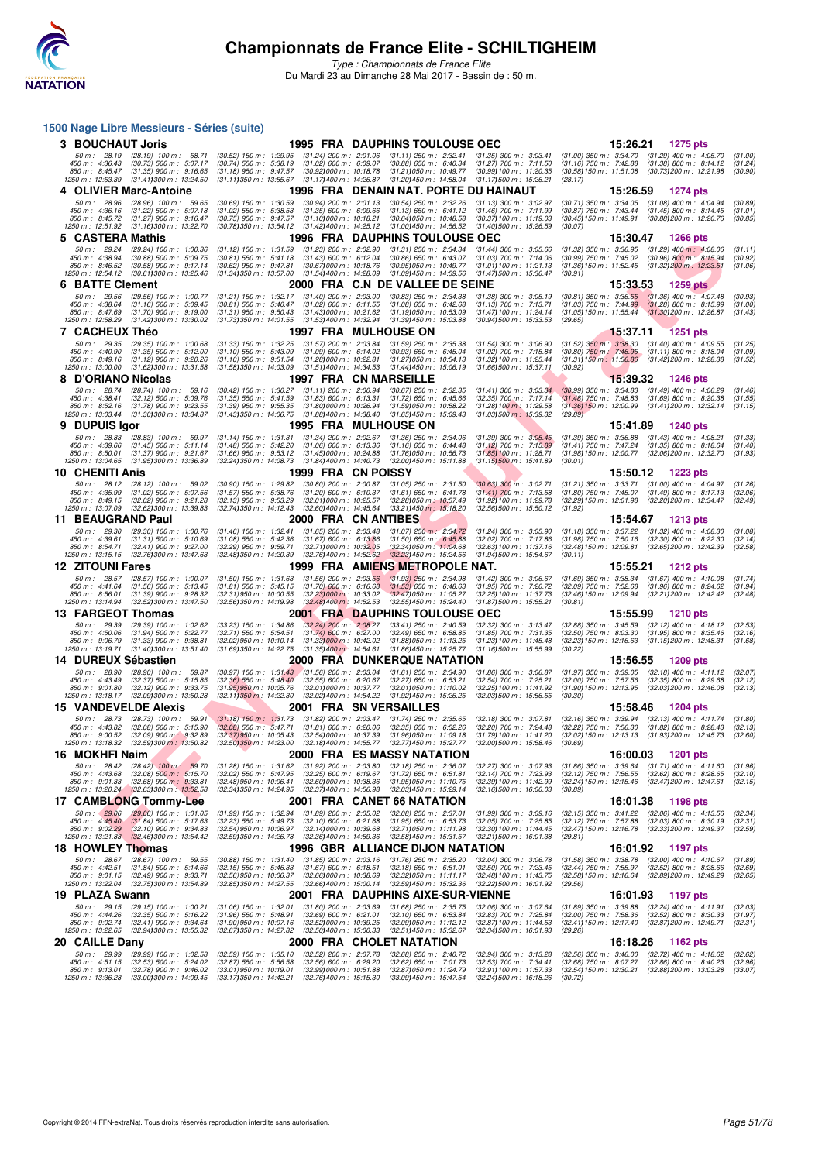

*Type : Championnats de France Elite* Du Mardi 23 au Dimanche 28 Mai 2017 - Bassin de : 50 m.

### **F F N - R É S N - R É S N - R É S N - R É S N - R É S N - R É S N - R É S N - R É S N - R É S N - R É S N - R É S N - R É S N - R É S N - R É S N - R É S N - R É S N - R É S N - R É S N - R É S N - R É S N - R É S N - R É 1500 Nage Libre Messieurs - Séries (suite) 3 BOUCHAUT Joris** 1995 FRA DAUPHINS TOULOUSE OEC 15:26.21 1275 pts<br>
50 m: 28.19 (28.19) 100 m: 58.71 (30.52) 150 m: 1:29.95 (31.24) 200 m: 2:01.06 (31.11) 250 m: 2:32.41 (31.35) 300 m: 3:03.41 (31.00) 350 m: 3:34.70 (31.2 50 m : 28.19 (28.19) 100 m : 58.71 (30.52) 150 m : 1:29.95 (31.24) 200 m : 2:01.06 (31.11) 250 m : 2:32.41 (31.35) 300 m : 3:03.41 (31.00) 350 m : 3:34.70 (31.29) 400 m : 4:05.70 (31.00)<br>450 m : 4:36.43 (30.73) 500 m : 5:0 **4 OLIVIER Marc-Antoine 1996 FRA DENAIN NAT. PORTE DU HAINAUT 15:26.59 1274 pts**<br>  $\frac{50 \text{ m} \cdot 28.96 \quad (28.96) \cdot 100 \text{ m} \cdot 59.65 \quad (30.69) \cdot 150 \text{ m} \cdot 1.30.59 \quad (30.94) \cdot 200 \text{ m} \cdot 2.01.13 \quad (30.54) \cdot 250 \text{ m} \cdot 2.32.26 \quad ($ 50 m : 2.9896 (28.96) 100 m : 59.65 (30.69) 150 m : 1:30.59 (30.94) 200 m : 2:01.13 (30.54) 250 m : 2:32.26 (31.13) 300 m : 3:02.97 (30.71) 350 m : 3:34.05 (31.08) 400 m : 4:04.94 (30.89)<br>450 m : 4:36.16 (31.22) 500 m : 5: **5 CASTERA Mathis** 1996 FRA DAUPHINS TOULOUSE OEC 15:30.47 1266 pts<br>
50 m: 29.24 (29.24) 100 m: 1:00.36 (31.12) 150 m: 1:31.59 (31.23) 200 m: 2:02.90 (31.31) 250 m: 2:34.34 (31.44) 300 m: 3:05.66 (31.32) 350 m: 3:36.95 (31 50 m : 29.24 (29.24) 100 m : 1:00.36 (31.12) 150 m : 1:31.59 (31.23) 200 m : 2:02.90 (31.31) 250 m : 2:04.34 (31.44) 300 m : 3:05.66 (31.32) 350 m : 3:06.95 (31.29) 400 m : 4:08.06 (31.11)<br>450 m : 4:38.94 (30.68) 500 m : 5 **6 BATTE Clement** 2000 FRA C.N DE VALLEE DE SEINE 15:33.53 1259 pts 50 m: 29.56 (29.56) 100 m: 1:00.77 (31.21) 150 m: 1:32.17 (31.40) 200 m: 2:03.00 (30.83) 250 m: 2:34.38 (31.38) 300 m: 3:05.19 (30.81) 350 m: 3:36.55 (31. 50 m : 29.56 (29.56) 100 m : 1:00.77 (31.21) 150 m : 1:32.17 (31.40) 200 m : 2:03.00 (30.83) 250 m : 2:34.38 (31.38) 300 m : 3:05.19 (30.81) 350 m : 3:36.55 (31.36) 400 m : 4:07.48 (30.93,<br>450 m : 4:38.64 (31.16) 500 m : 5 **7 CACHEUX Théo** 1997 FRA MULHOUSE ON 15:37.11 1251 pts<br>
50 m: 29.35 (29.35) 100 m: 1:00.68 (31.33) 150 m: 1:32.25 (31.57) 200 m: 2:03.84 (31.59) 250 m: 2:35.38 (31.54) 300 m: 3:06.90 (31.52) 350 m: 3:38.30 (31.40) 400 m: 50 m: 29.35 (29.35) 100 m: 1:00.68 (31.33) 150 m: 1:32.25 (31.57) 200 m: 2:03.84 (31.59) 250 m: 2:35.38 (31.54) 300 m: 3:06.90 (31.52) 350 m: 3:36.30 (31.40) 400 m: 4:09.55 (31.25)<br>450 m: 4:40.90 (31.35) 500 m: 5:2.026 (31 **8 D'ORIANO Nicolas**<br> **8 D'ORIANO Nicolas**<br> **8 1997 FRA CN MARSEILLE**<br> **8 1997 FRA CN MARSEILLE**<br> **8 1997 FRA CN MARSEILLE**<br> **8 1997 FRA CN MARSEILLE**<br> **8 1997 FRA CN MARSEILLE**<br> **8 1997 FRA CN MARSEILLE**<br> **8 1997 FRA CN M** 50 m : 28.74 (28.74) 100 m : 59.16 (30.42) 150 m : 1:30.27 (31.11) 200 m : 2:00.94 (30.67) 250 m : 2:32.35 (31.41) 300 m : 3:33.34 (30.99) 350 m : 3:34.83 (31.49) 400 m : 4:06.29 (31.46)<br>450 m : 4:38.41 (32.12) 500 m : 5:2 **9 DUPUIS Igor 1995 FRA MULHOUSE ON 1995 15:41.89 1240 pts**<br> **9 DUPUIS Igor** 28.83 (28.83) 100 m: 59.97 (31.14) 150 m: 1:31.31 (31.34) 200 m: 2:02.67 (31.36) 250 m: 2:40.6 (31.39) 300 m: 3:05.45 (31.39) 350 m: 3:36.88 (31. 50 m: 28.83 (28.83) 100 m: 59.97 (31.14) 150 m: 1:31.31 (31.34) 200 m: 2:02.67 (31.36) 250 m: 2:34.06 (31.39) 300 m: 3:05.45 (31.39) 350 m: 3:36.88 (31.43) 400 m: 4:09.21 (31.33)<br>450 m: 4:39.66 (31.45) 500 m: 5:11.14 (31.4 -850 m: 8:50.01 (31.37) 900 m: 9:21.67 (31.68) 950 m: 9:53.12 (31.81000 m: 10:44.88 (31.66.73 (31.89) (31.81, 1<br>1250 m: 13:04.65 (31.95) 300 m: 13:36.89 (32.24) 350 m: 14:08.73 (31.841400 m: 14:40.73 (32.00) 450 (31.151515 **10 CHENITI Anis 1999 FRA CN POISSY 16:50.12 1223 pts**<br> **10 CHENITI Anis 1999** FRA CN POISSY **10:50 123 pts** (30.80) 200 m: 2:00.87 (31.05) 250 m: 2:31.50 (30.83) 300 m: 3:02.71 (31.21) 350 m: 3:33.71 (31.00) 400 50 m : 28.12 (28.12) 100 m : 59.02 (30.90) 150 m : 1:29.82 (30.80) 200 m : 2:00.87 (31.05) 250 m : 2:31.50 (30.68) 300 m : 3:02.71 (31.21) 350 m : 3:33.71 (31.00) 400 m : 4:04.97 (31.26)<br>450 m : 4:35.99 (31.02) 500 m : 5:2 **11 BEAUGRAND Paul 2000 FRA CN ANTIBES 15:54.67 1213 pts**<br>**50 m:** 29.30 (29.30) 100 m: 1:00.76 (31.46) 150 m: 1:32.41 (31.65) 200 m: 2:03.48 (31.07) 250 m: 2:34.72 (31.24) 300 m: 3:05.90 (31.18) 350 m: 3:37.22 (31.32) 40 50 m : 29.30 (29.30) 100 m : 1:00.76 (31.46) 150 m : 1:32.41 (31.65) 200 m : 2:03.48 (31.07) 250 m : 2:34.72 (31.24) 300 m : 3:05.90 (31.18) 350 m : 3:37.22 (31.32) 400 m : 4:08.30 (31.08)<br>450 m : 4:39.61 (31.41) 500 m : 5 450 m: 4:39.61 (31.31) 500 m: 5:10.69 (31.08) 550 m: 5:42.36 (31.69) 5:61,31,369 (31.50) 560 m; 8:45,88 (32.63) 700 m; 7:17.86 (31.98) 750 m; 7:50.16 (32.30) 800 m; 8:54.71 (32.451 900 m; 8:54.71 (32.651200 m; 8:54.239 (32 *50 m : 23.30 (23.30)* 100 m : 1:00.76 (31.46) 150 m : 1:32.41 (31.65) 200 m : 2:03.48 (31.07) 250 m : 2:34.72 (31.24) 300 m : 3:05.90 (31.18) 450 m : 4:33.61 (31.31) 500 m : 5:10.69 (31.08) 550 m : 5:42.36 (31.67) 600 m : **1999 FRA AMIENS METROPOLE NAT.** 15:55.21 **1212** pts 50 m : 23.57 (28.57) 100 m : 1:00.07 (31.50) 150 m : 1:31.63 (31.56) 200 m : 2:03.56 (31.39) 250 m : 2:34.98 (31.42) 300 m : 3:06.67 (31.69) 350 m : 3:38.34 (31.67) 400 m : 4:10.08 (31.74)<br>450 m : 4:41.64 (31.56) 500 m : 5 **13 FARGEOT Thomas 2001 FRA DAUPHINS TOULOUSE OEC 15:55.99** 1210 pts<br>
50 m : 29.39 (29.39) 100 m : 1:02.62 (33.23) 150 m : 1:34.86 (32.24) 200 m : 2:06.27 (33.41) 250 m : 2:40.59 (32.32) 300 m : 3:13.47 (32.88) 350 m : 3 50 m : 29.39 (29.39) 100 m : 1:02.62 (33.23) 150 m : 1:34.86 (32.24) 200 m : 2:08.27 (33.41) 250 m : 2:40.59 (32.32) 300 m : 3:13.47 (32.88) 350 m : 3:45.59 (32.12) 400 m : 4:18.12 (32.53)<br>450 m : 4:00.69 (31.94) 500 m : 5 **14 DUREUX Sébastien 2000 FRA DUNKERQUE NATATION 15:56.55 1209 pts**<br>
50 m : 20.90 (20.90) 100 m : 59.87 (30.97) 150 m : 1:31.43 (31.56) 200 m : 2:03.04 (31.61) 250 m : 2:34.90 (31.86) 300 m : 3:06.87 (31.97) 350 m : 3:39.0 50 m : 28.90 (28.90) 100 m : 59.87 (30.97) 150 m : 1:31.43 (31.56) 200 m : 2:03.04 (31.61) 250 m : 2:34.90 (31.86) 300 m : 3:06.87 (31.97) 350 m : 3:39.05 (32.18) 400 m : 4:11.12 (32.07)<br>450 m : 4:43.49 (32.37) 500 m : 5:5 **15 VANDEVELDE Alexis** 2001 FRA SN VERSAILLES 15:58.46 1204 pts<br>
50 m: 20.73 (20.73) 100 m: 59.91 (31.18) 150 m: 1:31.73 (31.82) 200 m: 2:03.47 (31.74) 250 m: 2:35.65 (32.18) 300 m: 3:07.81 (32.16) 350 m: 3:39.94 (32.13) 4 50 m : 23.73 (28.73) 100 m : 59.91 (31.18) 150 m : 1:31.73 (31.82) 200 m : 2:03.47 (31.74) 250 m : 2:35.65 (32.18) 300 m : 3:07.81 (32.16) 350 m : 3:39.94 (32.15) 400 m : 4:11.74 (31.80)<br>850 m : 4:43.82 (32.08) 500 m : 5:1 **16 MOKHFI Naim**<br> **16 MOKHFI Naim**<br> **16:00.03 1201 pts**<br> **16:00.03 1201 pts**<br> **16:00.03 1201 pts**<br> **16:00.03 1201 pts**<br> **16:00.03 1201 pts**<br> **16:00.03 1201 pts**<br> **16:00.03 16:00.03 1201 pts**<br> **16:00.03 16** 50 m : 238 42 (28.42) 100 m : 59.70 (31.28) 150 m : 1:31.62 (31.92) 200 m : 2:03.80 (32.18) 250 m : 2:36.07 (32.27) 300 m : 3:07.93 (31.86) 350 m : 3:39.64 (31.71) 400 m : 4:11.60 (31.96)<br>450 m : 4:43.68 (32.68) 900 m : 5: **17 CAMBLONG Tommy-Lee 2001 FRA CANET 66 NATATION** 16:01.38 1198 pts<br>
50 m : 29.06 (29.06) 100 m : 1:01.05 (31.99) 150 m : 1:32.94 (31.89) 200 m : 2:05.02 (32.08) 250 m : 2:37.01 (31.99) 300 m : 3:09.16 (32.15) 350 m : 3:4 50 m : 2906 (29.06) 100 m : 1:01.05 (31.99) 150 m : 1:32.94 (31.89) 200 m : 2:05.02 (32.08) 250 m : 2:37.01 (31.99) 300 m : 3:09.16 (32.15) 350 m : 3:41.22 (32.06) 400 m : 4:13.56 (32.34)<br>450 m : 4:05.49 (31.64) 500 m : 5: **18 HOWLEY Thomas 1996 GBR ALLIANCE DIJON NATATION 16:01.92 1197 pts**<br>
50 m : 20.67 (20.67) 100 m : 59.55 (30.88) 150 m : 1:31.40 (31.85) 200 m : 2:03.16 (31.76) 250 m : 2:35.20 (32.04) 300 m : 3:06.78 (31.58) 350 m : 50 m : 28.67 (28.67) 100 m : 59.55 (30.88) 150 m : 1:31.40 (31.85) 200 m : 2:03.16 (31.76) 250 m : 2:35.20 (32.04) 300 m : 3:06.78 (31.58) 350 m : 3:38.78 (32.00) 400 m : 4:10.67 (31.89)<br>450 m : 4:42.51 (31.44) 500 m : 5:1 **19 PLAZA Swann** 2001 FRA DAUPHINS AIXE-SUR-VIENNE 16:01.93 1197 pts<br>
50 m: 29.15 (29.15) 100 m: 1:00.21 (31.06) 150 m: 1:32.01 (31.00) 200 m: 2:03.69 (31.68) 250 m: 2:35.75 (32.06) 300 m: 3:07.64 (31.89) 350 m: 3:39.88 (3 50 m : 29.15 (29.15) 100 m : 1:00.21 (31.06) 150 m : 1:32.01 (31.80) 200 m : 2:03.69 (31.68) 250 m : 2:35.75 (32.06) 300 m : 3:07.64 (31.89) 350 m : 3:39.88 (32.24) 400 m : 4:11.91 (32.03)<br>150 m : 4:44.26 (32.35) 500 m : 5 **20 CAILLE Dany** 2000 FRA CHOLET NATATION 16:18.26 (32.59) 160 m: 1:02.58 (32.59) 150 m: 1:02.58 (32.59) 2000 FRA CHOLET NATATION 16:18.26 1162 pts<br>
50 m: 2009 2009 32.69) 2000 m: 2:02.89 200 m: 2:02.89 200 m: 2:02.89 250 50 m: 29.99 (29.99) 100 m: 1:02.58 (32.59) 150 m: 1:35.10 (32.52) 200 m: 2:07.78 (32.68) 250 m: 2:40.72 (32.94) 300 m: 3:13.28 (32.56) 350 m: 3:46.00 (32.72) 400 m: 4:16.62 (32.62)<br>450 m: 4:51.15 (32.53) 500 m: 5:24.02 (32 - 850 m: 9:13.01 (32.78) 900 m: 9:46.02 (33.01) 950; 10.19.01 (32.98) 000 m: 10:3.79 (32.891, 32.991100 m: 11:57.33 (32.641157, 31 (32.88) 00 m: 13:03.28 (33.07) 97<br>1250 m: 13:36.28 (33.001300 m: 14:09.45 (33.171350 m: 14: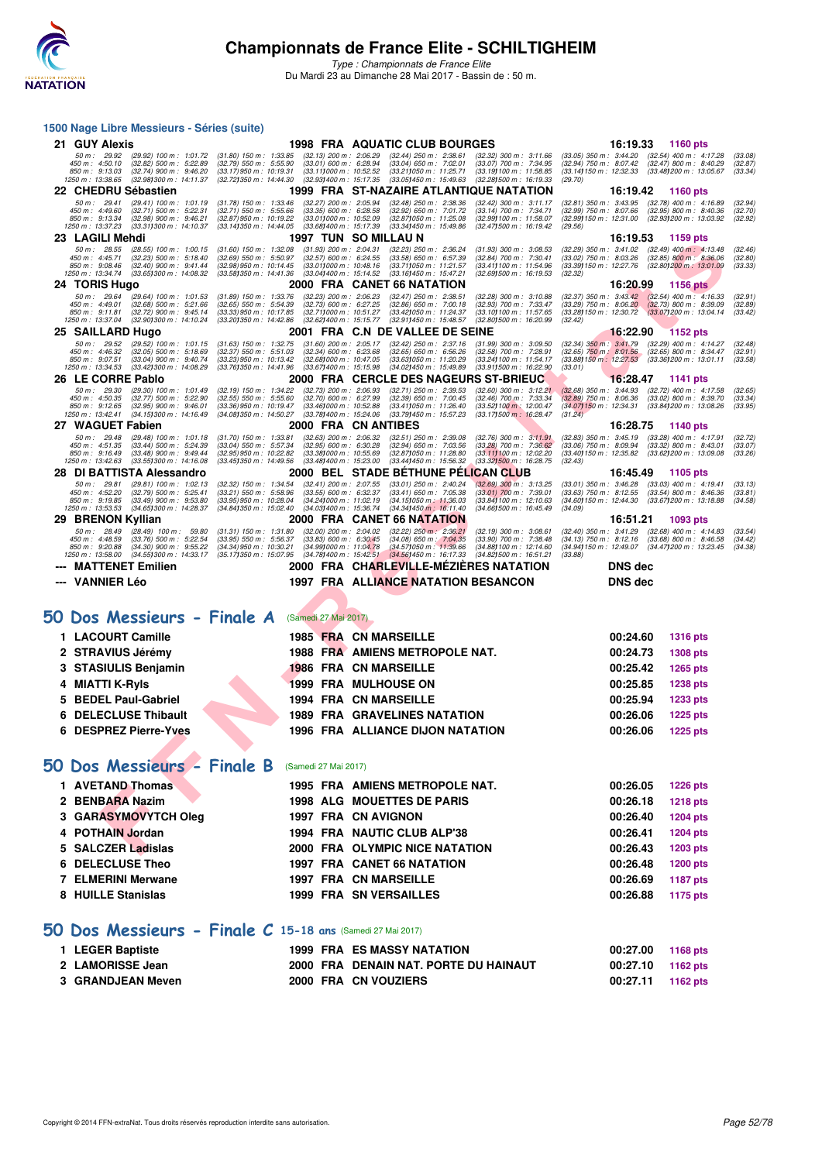

*Type : Championnats de France Elite* Du Mardi 23 au Dimanche 28 Mai 2017 - Bassin de : 50 m.

### **F F N - R É S N - R É S N - R É S N - R É S N - R É S N - R É S N - R É S N - R É S N - R É S N - R É S N - R<br>
F F N - R É S N - R É S N - R É S N - R É S N - R É S N - R É S N - R É S N - R É S N - R É S N - R É S N 1500 Nage Libre Messieurs - Séries (suite) 21 GUY Alexis** 1998 FRA AQUATIC CLUB BOURGES 16:19.33 1160 pts<br>
50 m: 29.92 (29.92) 100 m: 1:01.72 (31.80) 150 m: 1:33.85 (32.13) 200 m: 2:06.29 (32.44) 250 m: 2:38.61 (32.32) 300 m: 3:11.66 (33.05) 350 m: 3:44.20 (32.54) 50 m : 2992 (2992) 100 m : 1:01.72 (31.80) 150 m : 1:33.85 (32.13) 200 m : 2:06 29 (32.44) 250 m : 2:38.61 (32.32) 300 m : 3:11.66 (33.05) 350 m : 3:44.20 (32.54) 400 m : 4:17.28 (33.08)<br>450 m : 4:50.10 (32.84) 500 m : 5:4 **22 CHEDRU Sébastien 1999 FRA ST-NAZAIRE ATLANTIQUE NATATION 16:19.42 1160 pts**<br>
50 m: 29.41 (29.41) 100 m: 1:01.19 (31.78) 150 m: 1:33.46 (32.27) 200 m: 2:05.94 (32.48) 250 m: 2:38.36 (32.42) 300 m: 3:11.17 (32.81) 350 m: 50 m : 29.41 (29.41) 100 m : 1:01.19 (31.78) 150 m : 1:33.46 (32.27) 200 m : 2:05.94 (32.48) 250 m : 2:38.36 (32.42) 300 m : 3:11.17 (32.81) 350 m : 3:43.95 (32.78) 400 m : 4:16.89 (32.94)<br>450 m : 4:49.60 (32.79) 500 m : 5  $\begin{array}{cccccccccccc} 23 & LAGILL&Mehdi & 1997 & TUN & SO.}\ & 1997 & 1018 & 1001 & 1017 & 1020 & 1018 & 1019 & 1019 & 1019 & 1019 & 1019 & 1019 & 1019 & 1019 & 1019 & 1019 & 1019 & 1019 & 1019 & 1019 & 1019 & 1019 & 1019 & 1019 & 1019 & 1019 & 1019 & 1019 & 1019 & 1019 & 1019 &$ **24 TORIS Hugo 2000 FRA CANET 66 NATATION**<br>
50 m: 29.64 (29.64) 100 m: 1:01.53 (31.89) 150 m: 1:33.76 (32.23) 200 m: 2:06.23 (32.47) 250 m: 2:38.51 (32.28) 300 m: 3:10.88 (32.37) 350 m: 3:43.42 (32.54) 400 m: 4:16.33<br>
450 50 m : 29.64 (29.64) 100 m : 1:01.53 (31.89) 150 m : 1:33.76 (32.23) 200 m : 2:06.23 (32.47) 250 m : 2:38.51 (32.28) 300 m : 3:10.88 (32.37) 350 m : 3:43.42 (32.54) 400 m : 4:16.33 (32.91)<br>450 m : 4:49.01 (32.68) 500 m : 5 **25 SAILLARD Hugo** 2001 FRA C.N DE VALLEE DE SEINE 16:22.90 152.29 1152 pts<br>
50 m : 29.52 (29.52) 100 m : 1:01.15 (31.63) 150 m : 1:32.75 (31.60) 200 m : 2:05.17 (32.42) 250 m : 2:37.16 (31.99) 300 m : 3:09.50 (32.34) 350 50 m : 29.52 (29.52) 100 m : 1:01.15 (31.63) 150 m : 1:32.75 (31.60) 200 m : 2:05.17 (32.42) 250 m : 2:37.16 (31.99) 300 m : 3:09.50 (32.34) 350 m : 3:41.79 (32.29) 400 m : 4:14.27 (32.48)<br>450 m : 4:46.22 (32.05) 500 m : 5 **26 LE CORRE Pablo** 2000 FRA CERCLE DES NAGEURS ST-BRIEUC 16:28.47 1141 pts<br>
50 m : 29.30 (29.30) 100 m : 1:01.49 (32.59) 550 m : 1:34.22 (32.73) 200 m : 2:06.93 (32.71) 250 m : 2:39.53 (32.60) 300 m : 3:12.21 (32.68) 350 50 m : 29.30 (29.30) 100 m : 1:01.49 (32.19) 150 m : 1:34.22 (32.73) 200 m : 2:06.93 (32.71) 250 m : 2:39.53 (32.60) 300 m : 3:12.21 (32.66) 350 m : 3:44.93 (32.72) 400 m : 4:17.58 (32.65)<br>450 m : 4:50.35 (32.77) 500 m : 5 **27 WAGUET Fabien 2000 FRA CN ANTIBES** 16:28.75 1140 pts<br>
50 m: 29.48 (29.48) 100 m: 1:01.18 (31.70) 150 m: 1:33.81 (32.63) 200 m: 2:06.32 (32.51) 250 m: 2:39.08 (32.76) 300 m: 3:11.91 (32.83) 350 m: 3:45.19 (33.28) 400 m: 50 m : 29.48 (29.48) 100 m : 1:01.18 (31.70) 150 m : 1:33.81 (32.63) 200 m : 2:06.32 (32.51) 250 m : 2:39.08 (32.76) 300 m : 3:11.91 (32.83) 350 m : 3:45.19 (33.28) 400 m : 4:17.91 (32.72)<br>450 m : 4:51.35 (33.44) 500 m : 5 **28 DI BATTISTA Alessandro 2000 BEL STADE BÉTHUNE PÉLICAN CLUB 16:45.49 1105 pts**<br>
50 m : 29.81 (29.81) 100 m : 1:02.13 (32.32) 150 m : 1:34.54 (32.41) 200 m : 2:07.55 (33.01) 250 m : 2:40.24 (32.69) 300 m : 3:13.25 (3 50 m : 29.81 (29.81) 100 m : 1:02.13 (32.32) 150 m : 1:34.54 (32.41) 200 m : 2:07.55 (33.01) 250 m : 2:40.24 (32.69) 300 m : 3:13.25 (33.01) 350 m : 3:46.28 (33.03) 400 m : 4:19.41 (33.13)<br>450 m : 4:52.20 (32.79) 500 m : 5 **29 BRENON Kyllian 2000 FRA CANET 66 NATATION** 13.90.61 (32.40) 350 m; 2.94.9 (32.22) 250 m; 2.36.21 (32.39) 300 m; 3.08.61 (32.40) 350 m; 3.41.29 (32.68) 400 m; 4:14.83 (33.76) 500 m; 52.254 (33.95) 500 m; 52.36.21 (32.40 50 m : 23.49 (28.49) 100 m : 59.80 (31.31) 150 m : 1:31.80 (32.00) 200 m : 2:04.02 (32.22) 250 m : 2:36.21 (32.19) 300 m : 3:06.61 (32.40) 350 m : 3:41.29 (32.68) 400 m : 4:14.83 (33.54)<br>450 m : 4:48.59 (33.76) 500 m : 5:2 **--- MATTENET Emilien 2000 FRA CHARLEVILLE-MÉZIÈRES NATATION DNS dec --- VANNIER Léo 1997 FRA ALLIANCE NATATION BESANCON DNS dec [50 Dos Messieurs - Finale A](http://www.ffnatation.fr/webffn/resultats.php?idact=nat&go=epr&idcpt=45075&idepr=61)** (Samedi 27 Mai 2017) **1 LACOURT Camille 1985 FRA CN MARSEILLE 00:24.60 1316 pts 2 STRAVIUS Jérémy 1988 FRA AMIENS METROPOLE NAT. 00:24.73 1308 pts 3 STASIULIS Benjamin 1986 FRA CN MARSEILLE 00:25.42 1265 pts 4 MIATTI K-Ryls 1999 FRA MULHOUSE ON 1999 FRA MULHOUSE ON 00:25.85** 1238 pts **5 BEDEL Paul-Gabriel 1994 FRA CN MARSEILLE 00:25.94 1233 pts 6 DELECLUSE Thibault 1989 FRA GRAVELINES NATATION 00:26.06 1225 pts 6 DESPREZ Pierre-Yves 1996 FRA ALLIANCE DIJON NATATION 00:26.06 1225 pts [50 Dos Messieurs - Finale B](http://www.ffnatation.fr/webffn/resultats.php?idact=nat&go=epr&idcpt=45075&idepr=61)** (Samedi 27 Mai 2017) **1 AVETAND Thomas 1995 FRA AMIENS METROPOLE NAT. 00:26.05 1226 pts 2 BENBARA Nazim 1998 ALG MOUETTES DE PARIS 00:26.18 1218 pts 3 GARASYMOVYTCH Oleg 1997 FRA CN AVIGNON 00:26.40 1204 pts 4 POTHAIN Jordan 1994 FRA NAUTIC CLUB ALP'38 00:26.41 1204 pts 5 SALCZER Ladislas 2000 FRA OLYMPIC NICE NATATION 00:26.43 1203 pts 6 DELECLUSE Theo 1997 FRA CANET 66 NATATION 00:26.48 1200 pts 7 ELMERINI Merwane 1997 FRA CN MARSEILLE 00:26.69 1187 pts** 8 HUILLE Stanislas **1999 FRA SN VERSAILLES 100:26.88** 1175 pts **[50 Dos Messieurs - Finale C](http://www.ffnatation.fr/webffn/resultats.php?idact=nat&go=epr&idcpt=45075&idepr=61) 15-18 ans** (Samedi 27 Mai 2017) **1 LEGER Baptiste 1999 FRA ES MASSY NATATION 00:27.00 1168 pts 2 LAMORISSE Jean 2000 FRA DENAIN NAT. PORTE DU HAINAUT 00:27.10 1162 pts 3 GRANDJEAN Meven 2000 FRA CN VOUZIERS 00:27.11 1162 pts**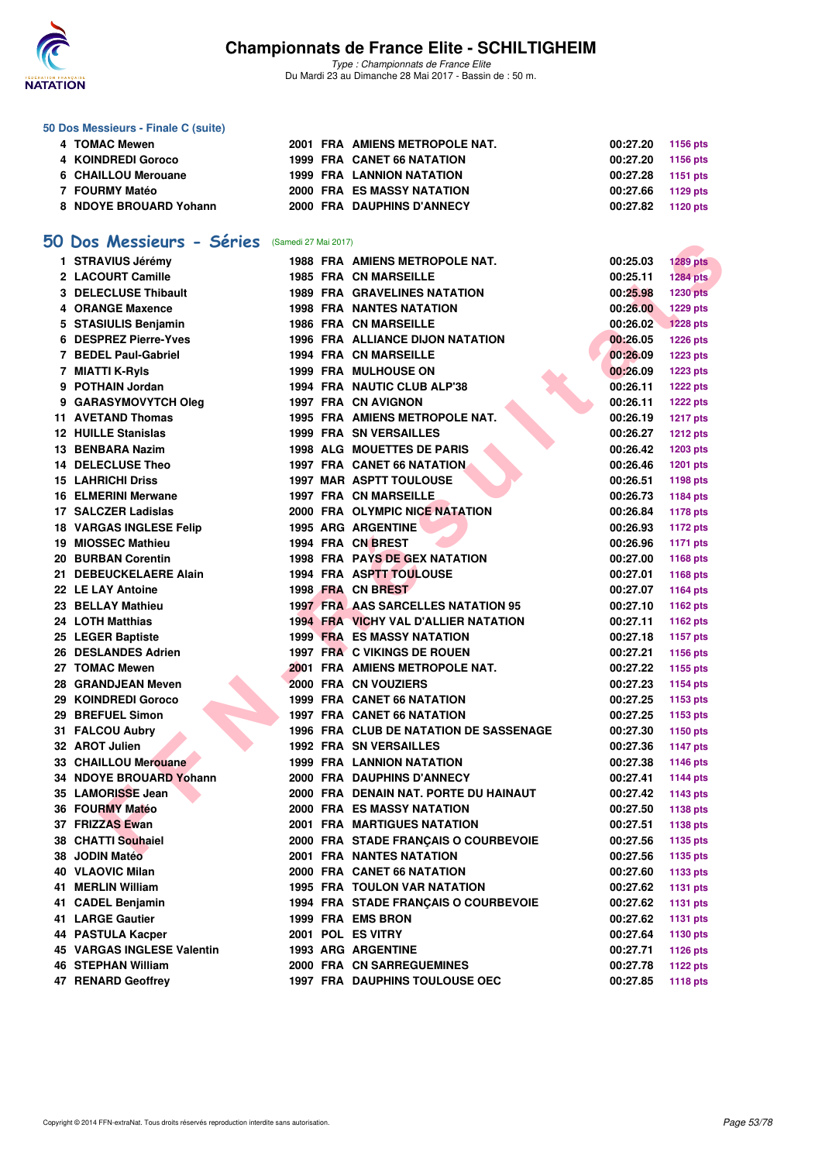

*Type : Championnats de France Elite* Du Mardi 23 au Dimanche 28 Mai 2017 - Bassin de : 50 m.

### **50 Dos Messieurs - Finale C (suite)**

| 4 TOMAC Mewen          |  | 2001 FRA AMIENS METROPOLE NAT.    | 00:27.20          | 1156 pts |
|------------------------|--|-----------------------------------|-------------------|----------|
| 4 KOINDREDI Goroco     |  | <b>1999 FRA CANET 66 NATATION</b> | 00:27.20          | 1156 pts |
| 6 CHAILLOU Merouane    |  | <b>1999 FRA LANNION NATATION</b>  | 00:27.28 1151 pts |          |
| 7 FOURMY Matéo         |  | <b>2000 FRA ES MASSY NATATION</b> | 00:27.66          | 1129 pts |
| 8 NDOYE BROUARD Yohann |  | 2000 FRA DAUPHINS D'ANNECY        | 00:27.82 1120 pts |          |

### **[50 Dos Messieurs - Séries](http://www.ffnatation.fr/webffn/resultats.php?idact=nat&go=epr&idcpt=45075&idepr=61)** (Samedi 27 Mai 2017)

| Dos Messieurs - Series         | (Samedi 27 Mai 2017) |                                               |          |                 |
|--------------------------------|----------------------|-----------------------------------------------|----------|-----------------|
| 1 STRAVIUS Jérémy              |                      | 1988 FRA AMIENS METROPOLE NAT.                | 00:25.03 | <b>1289 pts</b> |
| 2 LACOURT Camille              |                      | <b>1985 FRA CN MARSEILLE</b>                  | 00:25.11 | <b>1284 pts</b> |
| 3 DELECLUSE Thibault           |                      | <b>1989 FRA GRAVELINES NATATION</b>           | 00:25.98 | <b>1230 pts</b> |
| 4 ORANGE Maxence               |                      | <b>1998 FRA NANTES NATATION</b>               | 00:26.00 | 1229 pts        |
| 5 STASIULIS Benjamin           |                      | <b>1986 FRA CN MARSEILLE</b>                  | 00:26.02 | <b>1228 pts</b> |
| 6 DESPREZ Pierre-Yves          |                      | 1996 FRA ALLIANCE DIJON NATATION              | 00:26.05 | <b>1226 pts</b> |
| 7 BEDEL Paul-Gabriel           |                      | <b>1994 FRA CN MARSEILLE</b>                  | 00:26.09 | 1223 pts        |
| 7 MIATTI K-Ryls                |                      | <b>1999 FRA MULHOUSE ON</b>                   | 00:26.09 | <b>1223 pts</b> |
| 9 POTHAIN Jordan               |                      | 1994 FRA NAUTIC CLUB ALP'38                   | 00:26.11 | <b>1222 pts</b> |
| 9 GARASYMOVYTCH Oleg           |                      | 1997 FRA CN AVIGNON                           | 00:26.11 | <b>1222 pts</b> |
| 11 AVETAND Thomas              |                      | <b>1995 FRA AMIENS METROPOLE NAT.</b>         | 00:26.19 | <b>1217 pts</b> |
| <b>12 HUILLE Stanislas</b>     |                      | <b>1999 FRA SN VERSAILLES</b>                 | 00:26.27 | <b>1212 pts</b> |
| 13 BENBARA Nazim               |                      | <b>1998 ALG MOUETTES DE PARIS</b>             | 00:26.42 | <b>1203 pts</b> |
| 14 DELECLUSE Theo              |                      | 1997 FRA CANET 66 NATATION                    | 00:26.46 | <b>1201 pts</b> |
| <b>15 LAHRICHI Driss</b>       |                      | <b>1997 MAR ASPTT TOULOUSE</b>                | 00:26.51 | 1198 pts        |
| <b>16 ELMERINI Merwane</b>     |                      | <b>1997 FRA CN MARSEILLE</b>                  | 00:26.73 | 1184 pts        |
| 17 SALCZER Ladislas            |                      | 2000 FRA OLYMPIC NICE NATATION                | 00:26.84 | <b>1178 pts</b> |
| <b>18 VARGAS INGLESE Felip</b> |                      | 1995 ARG ARGENTINE                            | 00:26.93 | <b>1172 pts</b> |
| 19 MIOSSEC Mathieu             |                      | 1994 FRA CN BREST                             | 00:26.96 | 1171 pts        |
| 20 BURBAN Corentin             |                      | <b>1998 FRA PAYS DE GEX NATATION</b>          | 00:27.00 | 1168 pts        |
| 21 DEBEUCKELAERE Alain         |                      | 1994 FRA ASPTT TOULOUSE                       | 00:27.01 | 1168 pts        |
| 22 LE LAY Antoine              |                      | 1998 FRA CN BREST                             | 00:27.07 | <b>1164 pts</b> |
| 23 BELLAY Mathieu              |                      | <b>1997 FRALAAS SARCELLES NATATION 95</b>     | 00:27.10 | 1162 pts        |
| 24 LOTH Matthias               |                      | 1994 FRA VICHY VAL D'ALLIER NATATION          | 00:27.11 | 1162 pts        |
| 25 LEGER Baptiste              |                      | <b>1999 FRA ES MASSY NATATION</b>             | 00:27.18 | 1157 pts        |
| 26 DESLANDES Adrien            |                      | 1997 FRA C VIKINGS DE ROUEN                   | 00:27.21 | <b>1156 pts</b> |
| 27 TOMAC Mewen                 |                      | <b>2001 FRA AMIENS METROPOLE NAT.</b>         | 00:27.22 | 1155 pts        |
| 28 GRANDJEAN Meven             |                      | 2000 FRA CN VOUZIERS                          | 00:27.23 | <b>1154 pts</b> |
| 29 KOINDREDI Goroco            |                      | <b>1999 FRA CANET 66 NATATION</b>             | 00:27.25 | 1153 pts        |
| 29 BREFUEL Simon               |                      | <b>1997 FRA CANET 66 NATATION</b>             | 00:27.25 | 1153 pts        |
| 31 FALCOU Aubry                |                      | <b>1996 FRA CLUB DE NATATION DE SASSENAGE</b> | 00:27.30 | 1150 pts        |
| 32 AROT Julien                 |                      | <b>1992 FRA SN VERSAILLES</b>                 | 00:27.36 | <b>1147 pts</b> |
| 33 CHAILLOU Merouane           |                      | <b>1999 FRA LANNION NATATION</b>              | 00:27.38 | <b>1146 pts</b> |
| 34 NDOYE BROUARD Yohann        |                      | 2000 FRA DAUPHINS D'ANNECY                    | 00:27.41 | <b>1144 pts</b> |
| 35 LAMORISSE Jean              |                      | 2000 FRA DENAIN NAT. PORTE DU HAINAUT         | 00:27.42 | 1143 pts        |
| 36 FOURMY Matéo                |                      | <b>2000 FRA ES MASSY NATATION</b>             | 00:27.50 | 1138 pts        |
| 37 FRIZZAS Ewan                |                      | <b>2001 FRA MARTIGUES NATATION</b>            | 00:27.51 | 1138 pts        |
| 38 CHATTI Souhaiel             |                      | 2000 FRA STADE FRANÇAIS O COURBEVOIE          | 00:27.56 | 1135 pts        |
| 38 JODIN Matéo                 |                      | <b>2001 FRA NANTES NATATION</b>               | 00:27.56 | 1135 pts        |
| 40 VLAOVIC Milan               |                      | 2000 FRA CANET 66 NATATION                    | 00:27.60 | 1133 pts        |
| 41 MERLIN William              |                      | <b>1995 FRA TOULON VAR NATATION</b>           | 00:27.62 | 1131 pts        |
| 41 CADEL Benjamin              |                      | 1994 FRA STADE FRANÇAIS O COURBEVOIE          | 00:27.62 | <b>1131 pts</b> |
| 41 LARGE Gautier               |                      | 1999 FRA EMS BRON                             | 00:27.62 | <b>1131 pts</b> |
| 44 PASTULA Kacper              |                      | 2001 POL ES VITRY                             | 00:27.64 | 1130 pts        |
| 45 VARGAS INGLESE Valentin     |                      | <b>1993 ARG ARGENTINE</b>                     | 00:27.71 | <b>1126 pts</b> |
| 46 STEPHAN William             |                      | <b>2000 FRA CN SARREGUEMINES</b>              | 00:27.78 | <b>1122 pts</b> |
| <b>47 RENARD Geoffrey</b>      |                      | 1997 FRA DAUPHINS TOULOUSE OEC                | 00:27.85 | <b>1118 pts</b> |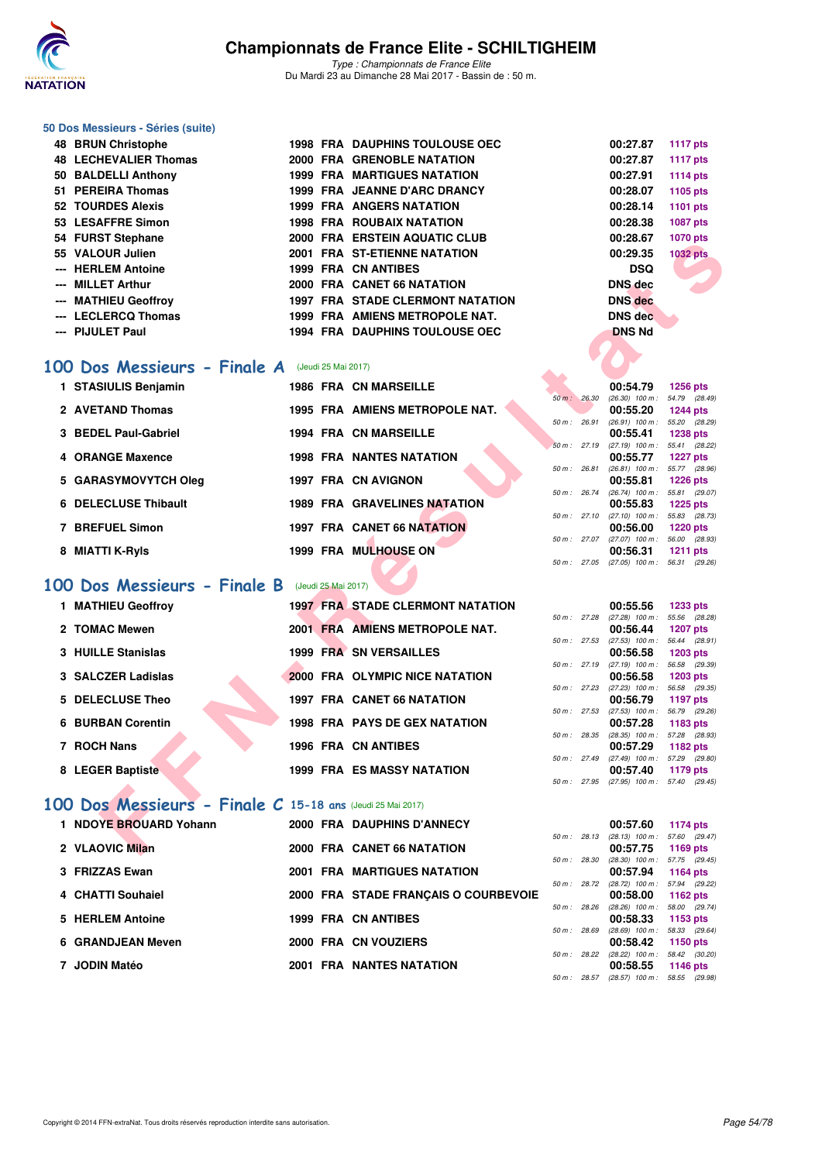

### **50 Dos Messieurs - Séries (suite)**

| 48 BRUN Christophe           |  | <b>1998 FRA DAUPHINS TOULOUSE OEC</b>   | 00:27.87       | <b>1117 pts</b> |
|------------------------------|--|-----------------------------------------|----------------|-----------------|
| <b>48 LECHEVALIER Thomas</b> |  | 2000 FRA GRENOBLE NATATION              | 00:27.87       | 1117 pts        |
| 50 BALDELLI Anthony          |  | <b>1999 FRA MARTIGUES NATATION</b>      | 00:27.91       | 1114 pts        |
| 51 PEREIRA Thomas            |  | <b>1999 FRA JEANNE D'ARC DRANCY</b>     | 00:28.07       | 1105 pts        |
| 52 TOURDES Alexis            |  | <b>1999 FRA ANGERS NATATION</b>         | 00:28.14       | 1101 pts        |
| 53 LESAFFRE Simon            |  | <b>1998 FRA ROUBAIX NATATION</b>        | 00:28.38       | 1087 pts        |
| 54 FURST Stephane            |  | 2000 FRA ERSTEIN AQUATIC CLUB           | 00:28.67       | <b>1070 pts</b> |
| 55 VALOUR Julien             |  | 2001 FRA ST-ETIENNE NATATION            | 00:29.35       | <b>1032 pts</b> |
| --- HERLEM Antoine           |  | <b>1999 FRA CN ANTIBES</b>              | <b>DSQ</b>     |                 |
| --- MILLET Arthur            |  | 2000 FRA CANET 66 NATATION              | <b>DNS</b> dec | <b>A</b>        |
| --- MATHIEU Geoffroy         |  | <b>1997 FRA STADE CLERMONT NATATION</b> | <b>DNS</b> dec |                 |
| --- LECLERCQ Thomas          |  | 1999 FRA AMIENS METROPOLE NAT.          | DNS dec        |                 |
| --- PIJULET Paul             |  | <b>1994 FRA DAUPHINS TOULOUSE OEC</b>   | <b>DNS Nd</b>  |                 |

### **[100 Dos Messieurs - Finale A](http://www.ffnatation.fr/webffn/resultats.php?idact=nat&go=epr&idcpt=45075&idepr=62)** (Jeudi 25 Mai 2017)

| 1 STASIULIS Benjamin |  | <b>1986 FRA CN MARSEILLE</b>          |                |       | 00:54.79          | 1256 pts        |  |
|----------------------|--|---------------------------------------|----------------|-------|-------------------|-----------------|--|
|                      |  |                                       | 50 m: 26.30    |       | $(26.30)$ 100 m : | 54.79 (28.      |  |
| 2 AVETAND Thomas     |  | <b>1995 FRA AMIENS METROPOLE NAT.</b> |                |       | 00:55.20          | 1244 pts        |  |
|                      |  |                                       | $50 m$ :       | 26.91 | $(26.91)$ 100 m : | 55.20 (28.      |  |
| 3 BEDEL Paul-Gabriel |  | <b>1994 FRA CN MARSEILLE</b>          |                |       | 00:55.41          | <b>1238 pts</b> |  |
|                      |  |                                       | $50 m$ :       | 27.19 | $(27.19)$ 100 m : | 55.41 (28.      |  |
| 4 ORANGE Maxence     |  | <b>1998 FRA NANTES NATATION</b>       |                |       | 00:55.77          | 1227 pts        |  |
|                      |  |                                       | $50 m$ : 26.81 |       | $(26.81)$ 100 m : | 55.77 (28.      |  |
| 5 GARASYMOVYTCH Oleg |  | 1997 FRA CN AVIGNON                   |                |       | 00:55.81          | 1226 pts        |  |
|                      |  |                                       | 50 m :         | 26.74 | $(26.74)$ 100 m : | 55.81 (29.      |  |
| 6 DELECLUSE Thibault |  | <b>1989 FRA GRAVELINES NATATION</b>   |                |       | 00:55.83          | 1225 pts        |  |
|                      |  |                                       | $50 m$ : 27.10 |       | $(27.10)$ 100 m : | 55.83 (28.      |  |
| 7 BREFUEL Simon      |  | <b>1997 FRA CANET 66 NATATION</b>     |                |       | 00:56.00          | 1220 pts        |  |
|                      |  |                                       | 50 m: 27.07    |       | $(27.07)$ 100 m : | 56.00 (28.      |  |
| 8 MIATTI K-Ryls      |  | <b>1999 FRA MULHOUSE ON</b>           |                |       | 00:56.31          | <b>1211 pts</b> |  |
|                      |  |                                       |                |       |                   |                 |  |

## **[100 Dos Messieurs - Finale B](http://www.ffnatation.fr/webffn/resultats.php?idact=nat&go=epr&idcpt=45075&idepr=62)** (Jeudi 25 Mai 2017)

| J4 FUNJI JIEPHANE         |                                                           |  | <b>FRA ERSIEIN AGUATIC CLUB</b>         |             |              | 00.ZO.OT                                             | <b>IVIV PIS</b> |  |
|---------------------------|-----------------------------------------------------------|--|-----------------------------------------|-------------|--------------|------------------------------------------------------|-----------------|--|
| 55 VALOUR Julien          |                                                           |  | 2001 FRA ST-ETIENNE NATATION            |             |              | 00:29.35                                             | <b>1032 pts</b> |  |
| --- HERLEM Antoine        |                                                           |  | <b>1999 FRA CN ANTIBES</b>              |             |              | <b>DSQ</b>                                           |                 |  |
| --- MILLET Arthur         |                                                           |  | 2000 FRA CANET 66 NATATION              |             |              | <b>DNS</b> dec                                       |                 |  |
| --- MATHIEU Geoffroy      |                                                           |  | <b>1997 FRA STADE CLERMONT NATATION</b> |             |              | <b>DNS</b> dec                                       |                 |  |
|                           | --- LECLERCQ Thomas                                       |  | 1999 FRA AMIENS METROPOLE NAT.          |             |              | <b>DNS</b> dec                                       |                 |  |
| --- PIJULET Paul          |                                                           |  | 1994 FRA DAUPHINS TOULOUSE OEC          |             |              | <b>DNS Nd</b>                                        |                 |  |
|                           |                                                           |  |                                         |             |              |                                                      |                 |  |
|                           |                                                           |  |                                         |             |              |                                                      |                 |  |
|                           | <b>00 Dos Messieurs - Finale A</b> (Jeudi 25 Mai 2017)    |  |                                         |             |              |                                                      |                 |  |
|                           | 1 STASIULIS Benjamin                                      |  | <b>1986 FRA CN MARSEILLE</b>            |             |              | 00:54.79                                             | <b>1256 pts</b> |  |
|                           | 2 AVETAND Thomas                                          |  | 1995 FRA AMIENS METROPOLE NAT.          | 50 m: 26.30 |              | $(26.30)$ 100 m : 54.79 $(28.49)$<br>00:55.20        |                 |  |
|                           |                                                           |  |                                         |             | 50 m : 26.91 | $(26.91)$ 100 m : 55.20 $(28.29)$                    | <b>1244 pts</b> |  |
|                           | 3 BEDEL Paul-Gabriel                                      |  | <b>1994 FRA CN MARSEILLE</b>            |             |              | 00:55.41                                             | <b>1238 pts</b> |  |
|                           |                                                           |  |                                         |             |              | 50 m: 27.19 (27.19) 100 m: 55.41 (28.22)             |                 |  |
| 4 ORANGE Maxence          |                                                           |  | <b>1998 FRA NANTES NATATION</b>         |             |              | 00:55.77                                             | <b>1227 pts</b> |  |
|                           |                                                           |  |                                         |             | 50 m : 26.81 | $(26.81)$ 100 m : 55.77 $(28.96)$                    |                 |  |
|                           | 5 GARASYMOVYTCH Oleg                                      |  | 1997 FRA CN AVIGNON                     |             |              | 00:55.81<br>50 m: 26.74 (26.74) 100 m: 55.81 (29.07) | <b>1226 pts</b> |  |
|                           | 6 DELECLUSE Thibault                                      |  | <b>1989 FRA GRAVELINES NATATION</b>     |             |              | 00:55.83                                             | <b>1225 pts</b> |  |
|                           |                                                           |  |                                         |             |              | 50 m: 27.10 (27.10) 100 m: 55.83 (28.73)             |                 |  |
| 7 BREFUEL Simon           |                                                           |  | <b>1997 FRA CANET 66 NATATION</b>       |             |              | 00:56.00                                             | <b>1220 pts</b> |  |
|                           |                                                           |  |                                         |             |              | 50 m: 27.07 (27.07) 100 m: 56.00 (28.93)             |                 |  |
| 8 MIATTI K-Ryls           |                                                           |  | 1999 FRA MULHOUSE ON                    |             |              | 00:56.31<br>50 m: 27.05 (27.05) 100 m: 56.31 (29.26) | <b>1211 pts</b> |  |
|                           |                                                           |  |                                         |             |              |                                                      |                 |  |
|                           | <b>00 Dos Messieurs - Finale B</b> (Jeudi 25 Mai 2017)    |  |                                         |             |              |                                                      |                 |  |
| 1 MATHIEU Geoffroy        |                                                           |  | <b>1997 FRA STADE CLERMONT NATATION</b> |             |              | 00:55.56                                             | <b>1233 pts</b> |  |
|                           |                                                           |  |                                         |             |              | 50 m : 27.28 (27.28) 100 m : 55.56 (28.28)           |                 |  |
| 2 TOMAC Mewen             |                                                           |  | 2001 FRA AMIENS METROPOLE NAT.          |             |              | 00:56.44                                             | <b>1207 pts</b> |  |
|                           |                                                           |  |                                         |             |              | 50 m: 27.53 (27.53) 100 m: 56.44 (28.91)             |                 |  |
| <b>3 HUILLE Stanislas</b> |                                                           |  | 1999 FRA SN VERSAILLES                  |             |              | 00:56.58                                             | 1203 pts        |  |
|                           | 3 SALCZER Ladislas                                        |  | 2000 FRA OLYMPIC NICE NATATION          |             |              | 50 m: 27.19 (27.19) 100 m: 56.58 (29.39)<br>00:56.58 | 1203 pts        |  |
|                           |                                                           |  |                                         |             |              | 50 m: 27.23 (27.23) 100 m: 56.58 (29.35)             |                 |  |
| 5 DELECLUSE Theo          |                                                           |  | <b>1997 FRA CANET 66 NATATION</b>       |             |              | 00:56.79                                             | 1197 pts        |  |
|                           |                                                           |  |                                         |             |              | 50 m: 27.53 (27.53) 100 m: 56.79 (29.26)             |                 |  |
| <b>6 BURBAN Corentin</b>  |                                                           |  | <b>1998 FRA PAYS DE GEX NATATION</b>    |             |              | 00:57.28                                             | 1183 pts        |  |
| 7 ROCH Nans               |                                                           |  | <b>1996 FRA CN ANTIBES</b>              |             |              | 50 m: 28.35 (28.35) 100 m: 57.28 (28.93)<br>00:57.29 | 1182 pts        |  |
|                           |                                                           |  |                                         |             |              | 50 m: 27.49 (27.49) 100 m: 57.29 (29.80)             |                 |  |
| 8 LEGER Baptiste          |                                                           |  | <b>1999 FRA ES MASSY NATATION</b>       |             |              | 00:57.40                                             | 1179 pts        |  |
|                           |                                                           |  |                                         |             |              | 50 m: 27.95 (27.95) 100 m: 57.40 (29.45)             |                 |  |
|                           | 00 Dos Messieurs - Finale C 15-18 ans (Jeudi 25 Mai 2017) |  |                                         |             |              |                                                      |                 |  |
|                           |                                                           |  |                                         |             |              |                                                      |                 |  |
|                           | 1 NDOYE BROUARD Yohann                                    |  | 2000 FRA DAUPHINS D'ANNECY              |             |              | 00:57.60                                             | 1174 pts        |  |
|                           |                                                           |  |                                         |             |              | 50 m: 28.13 (28.13) 100 m: 57.60 (29.47)             |                 |  |
| 2 VLAOVIC Milan           |                                                           |  | <b>2000 FRA CANET 66 NATATION</b>       |             |              | 00:57.75                                             | 1169 pts        |  |

### **[100 Dos Messieurs - Finale C](http://www.ffnatation.fr/webffn/resultats.php?idact=nat&go=epr&idcpt=45075&idepr=62) 15-18 ans** (Jeudi 25 Mai 2017)

| 1 NDOYE BROUARD Yohann |                 |  |                                                                                                                                                                                                                                 |       | 00:57.60         |                                                                                               |                                                                                                                                                                                                                                                                        |
|------------------------|-----------------|--|---------------------------------------------------------------------------------------------------------------------------------------------------------------------------------------------------------------------------------|-------|------------------|-----------------------------------------------------------------------------------------------|------------------------------------------------------------------------------------------------------------------------------------------------------------------------------------------------------------------------------------------------------------------------|
|                        |                 |  |                                                                                                                                                                                                                                 |       |                  |                                                                                               |                                                                                                                                                                                                                                                                        |
|                        |                 |  |                                                                                                                                                                                                                                 |       |                  |                                                                                               |                                                                                                                                                                                                                                                                        |
| 3 FRIZZAS Ewan         |                 |  |                                                                                                                                                                                                                                 |       | 00:57.94         |                                                                                               |                                                                                                                                                                                                                                                                        |
| 4 CHATTI Souhaiel      |                 |  |                                                                                                                                                                                                                                 |       | 00:58.00         |                                                                                               |                                                                                                                                                                                                                                                                        |
| 5 HERLEM Antoine       |                 |  |                                                                                                                                                                                                                                 |       | 00:58.33         |                                                                                               |                                                                                                                                                                                                                                                                        |
| 6 GRANDJEAN Meven      |                 |  |                                                                                                                                                                                                                                 | 28.69 | 00:58.42         |                                                                                               |                                                                                                                                                                                                                                                                        |
| 7 JODIN Matéo          |                 |  |                                                                                                                                                                                                                                 |       | 00:58.55         |                                                                                               |                                                                                                                                                                                                                                                                        |
|                        | 2 VLAOVIC Milan |  | 2000 FRA DAUPHINS D'ANNECY<br>2000 FRA CANET 66 NATATION<br><b>2001 FRA MARTIGUES NATATION</b><br>2000 FRA STADE FRANCAIS O COURBEVOIE<br><b>1999 FRA CN ANTIBES</b><br>2000 FRA CN VOUZIERS<br><b>2001 FRA NANTES NATATION</b> |       | 50 m :<br>50 m : | $50 m$ : 28.13<br>00:57.75<br>50 m : 28.30<br>50 m: 28.72<br>$(28.69)$ 100 m :<br>50 m: 28.22 | 1174 pts<br>$(28.13)$ 100 m : 57.60 (29.<br>1169 pts<br>$(28.30)$ 100 m : 57.75 $(29.1)$<br>1164 pts<br>$(28.72)$ 100 m : 57.94 (29.<br>1162 pts<br>28.26 (28.26) 100 m : 58.00 (29.<br>1153 pts<br>58.33 (29.<br>1150 pts<br>$(28.22)$ 100 m : 58.42 (30.<br>1146 pts |

|                |       | 00:54.79          | 1256 pts        |
|----------------|-------|-------------------|-----------------|
| $50 m$ :       | 26,30 | $(26.30)$ 100 m : | 54.79 (28.49)   |
|                |       | 00:55.20          | <b>1244 pts</b> |
| 50 m : 26.91   |       | $(26.91)$ 100 m : | 55.20 (28.29)   |
|                |       | 00:55.41          | 1238 pts        |
| 50 m: 27.19    |       | $(27.19)$ 100 m : | 55.41 (28.22)   |
|                |       | 00:55.77          | <b>1227 pts</b> |
| 50 m: 26.81    |       | $(26.81)$ 100 m : | 55.77 (28.96)   |
|                |       | 00:55.81          | <b>1226 pts</b> |
| $50 m$ : 26.74 |       | $(26.74)$ 100 m : | 55.81 (29.07)   |
|                |       | 00:55.83          | <b>1225 pts</b> |
| 50 m: 27.10    |       | $(27.10)$ 100 m : | 55.83 (28.73)   |
|                |       | 00:56.00          | <b>1220 pts</b> |
| 50 m: 27.07    |       | $(27.07)$ 100 m : | 56.00 (28.93)   |
|                |       | 00:56.31          | $1211$ pts      |
| $50 m$ :       | 27.05 | $(27.05)$ 100 m : | 56.31 (29.26)   |

|             |       | 00:55.56          | 1233 pts        |
|-------------|-------|-------------------|-----------------|
| $50 m$ :    | 27.28 | $(27.28)$ 100 m : | 55.56 (28.28)   |
|             |       | 00:56.44          | 1207 pts        |
| $50 m$ :    | 27.53 | $(27.53)$ 100 m : | 56.44 (28.91)   |
|             |       | 00:56.58          | <b>1203 pts</b> |
| 50 m: 27.19 |       | $(27.19)$ 100 m : | 56.58 (29.39)   |
|             |       | 00:56.58          | $1203$ pts      |
| 50 m: 27.23 |       | $(27.23)$ 100 m : | 56.58 (29.35)   |
|             |       | 00:56.79          | <b>1197 pts</b> |
| 50 m :      | 27.53 | $(27.53)$ 100 m : | 56.79 (29.26)   |
|             |       | 00:57.28          | 1183 pts        |
| $50 m$ :    | 28.35 | $(28.35)$ 100 m : | 57.28 (28.93)   |
|             |       | 00:57.29          | <b>1182 pts</b> |
| $50 m$ :    | 27.49 | $(27.49)$ 100 m : | 57.29 (29.80)   |
|             |       | 00:57.40          | 1179 pts        |
| $50 m$ :    | 27.95 | $(27.95)$ 100 m : | 57.40 (29.45)   |

|                |       | 00:57.60          | 1174 pts        |
|----------------|-------|-------------------|-----------------|
| $50 m$ :       | 28.13 | $(28.13)$ 100 m : | 57.60 (29.47)   |
|                |       | 00:57.75          | 1169 pts        |
| 50 m: 28.30    |       | $(28.30)$ 100 m : | 57.75 (29.45)   |
|                |       | 00:57.94          | <b>1164 pts</b> |
| $50 m$ : 28.72 |       | $(28.72)$ 100 m : | 57.94 (29.22)   |
|                |       | 00:58.00          | 1162 $pts$      |
| 50 m: 28.26    |       | $(28.26)$ 100 m : | 58.00 (29.74)   |
|                |       | 00:58.33          | 1153 pts        |
| 50 m : 28.69   |       | $(28.69)$ 100 m : | 58.33 (29.64)   |
|                |       | 00:58.42          | 1150 pts        |
| $50 m$ : 28.22 |       | $(28.22)$ 100 m : | 58.42 (30.20)   |
|                |       | 00:58.55          | 1146 pts        |
| 50 m :         | 28.57 | $(28.57)$ 100 m : | 58.55 (29.98)   |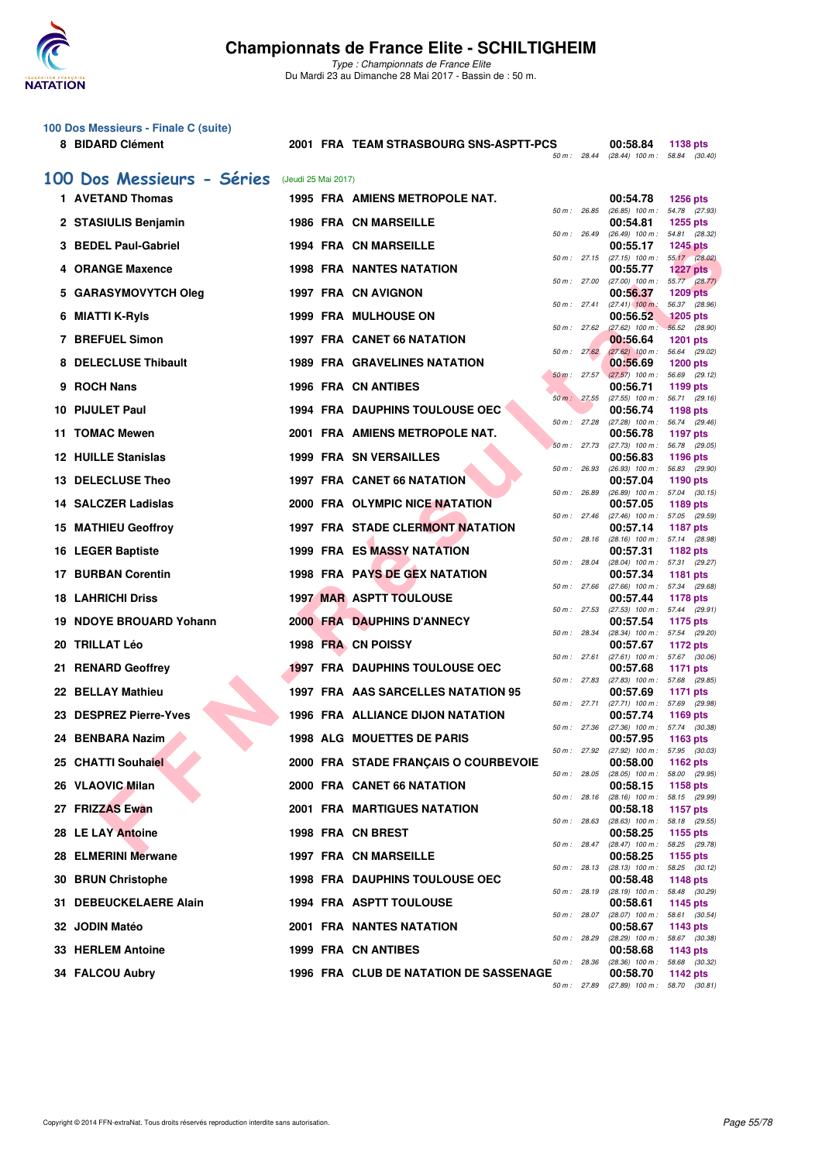

**100 Dos Messieurs - Finale C (suite)**

### **Championnats de France Elite - SCHILTIGHEIM**

*Type : Championnats de France Elite* Du Mardi 23 au Dimanche 28 Mai 2017 - Bassin de : 50 m.

**8 BIDARD Clément 2001 FRA TEAM STRASBOURG SNS-ASPTT-PCS 00:58.84 1138 pts**

|     |                             |                     |                                         |                | 50 m : 28.44 (28.44) 100 m : 58.84 (30.40)              |                                  |
|-----|-----------------------------|---------------------|-----------------------------------------|----------------|---------------------------------------------------------|----------------------------------|
|     | 100 Dos Messieurs - Séries  | (Jeudi 25 Mai 2017) |                                         |                |                                                         |                                  |
|     | 1 AVETAND Thomas            |                     | 1995 FRA AMIENS METROPOLE NAT.          |                | 00:54.78                                                | <b>1256 pts</b>                  |
|     | 2 STASIULIS Benjamin        |                     | <b>1986 FRA CN MARSEILLE</b>            | 50 m: 26.85    | (26.85) 100 m: 54.78 (27.93)<br>00:54.81                | <b>1255 pts</b>                  |
|     | 3 BEDEL Paul-Gabriel        |                     | <b>1994 FRA CN MARSEILLE</b>            | 50 m : 26.49   | (26.49) 100 m: 54.81 (28.32)<br>00:55.17                | <b>1245 pts</b>                  |
|     | 4 ORANGE Maxence            |                     | <b>1998 FRA NANTES NATATION</b>         | 50 m: 27.15    | $(27.15)$ 100 m : 55.17 $(28.02)$<br>00:55.77           | <b>1227 pts</b>                  |
| 5   | <b>GARASYMOVYTCH Oleg</b>   |                     | 1997 FRA CN AVIGNON                     | 50 m : 27.00   | $(27.00)$ $100 \text{ m}$ : 55.77 $(28.77)$<br>00:56.37 | <b>1209 pts</b>                  |
|     |                             |                     |                                         | 50 m : 27.41   | $(27.41)$ 100 m:                                        | 56.37 (28.96)                    |
| 6   | MIATTI K-RyIs               |                     | <b>1999 FRA MULHOUSE ON</b>             | 50 m: 27.62    | 00:56.52<br>$(27.62)$ 100 m : 56.52 $(28.90)$           | <b>1205 pts</b>                  |
|     | 7 BREFUEL Simon             |                     | 1997 FRA CANET 66 NATATION              | 50 m: 27.62    | 00:56.64<br>$(27.62)$ 100 m :                           | <b>1201 pts</b><br>56.64 (29.02) |
|     | 8 DELECLUSE Thibault        |                     | <b>1989 FRA GRAVELINES NATATION</b>     | $50 m$ : 27.57 | 00:56.69<br>$(27.57)$ 100 m : 56.69 (29.12)             | <b>1200 pts</b>                  |
| 9   | <b>ROCH Nans</b>            |                     | <b>1996 FRA CN ANTIBES</b>              |                | 00:56.71                                                | 1199 pts                         |
|     | 10 PIJULET Paul             |                     | <b>1994 FRA DAUPHINS TOULOUSE OEC</b>   | 50 m: 27.55    | (27.55) 100 m: 56.71 (29.16)<br>00:56.74                | 1198 pts                         |
| 11  | <b>TOMAC Mewen</b>          |                     | 2001 FRA AMIENS METROPOLE NAT.          | 50 m : 27.28   | (27.28) 100 m: 56.74 (29.46)<br>00:56.78                | 1197 pts                         |
|     | <b>12 HUILLE Stanislas</b>  |                     | <b>1999 FRA SN VERSAILLES</b>           | 50 m : 27.73   | $(27.73)$ 100 m : 56.78 $(29.05)$<br>00:56.83           | 1196 pts                         |
|     |                             |                     |                                         | 50 m: 26.93    | $(26.93)$ 100 m :                                       | 56.83 (29.90)                    |
|     | 13 DELECLUSE Theo           |                     | <b>1997 FRA CANET 66 NATATION</b>       | 50 m : 26.89   | 00:57.04<br>$(26.89)$ 100 m : 57.04 $(30.15)$           | 1190 pts                         |
|     | 14 SALCZER Ladislas         |                     | 2000 FRA OLYMPIC NICE NATATION          | 50 m: 27.46    | 00:57.05<br>(27.46) 100 m: 57.05 (29.59)                | 1189 pts                         |
|     | <b>15 MATHIEU Geoffroy</b>  |                     | <b>1997 FRA STADE CLERMONT NATATION</b> | 50 m : 28.16   | 00:57.14<br>(28.16) 100 m: 57.14 (28.98)                | <b>1187 pts</b>                  |
|     | <b>16 LEGER Baptiste</b>    |                     | <b>1999 FRA ES MASSY NATATION</b>       |                | 00:57.31                                                | 1182 pts                         |
|     | <b>17 BURBAN Corentin</b>   |                     | <b>1998 FRA PAYS DE GEX NATATION</b>    | 50 m : 28.04   | (28.04) 100 m: 57.31 (29.27)<br>00:57.34                | 1181 pts                         |
| 18. | <b>LAHRICHI Driss</b>       |                     | <b>1997 MAR ASPTT TOULOUSE</b>          | 50 m : 27.66   | (27.66) 100 m: 57.34 (29.68)<br>00:57.44                | 1178 pts                         |
| 19  | <b>NDOYE BROUARD Yohann</b> |                     | <b>2000 FRA DAUPHINS D'ANNECY</b>       | 50 m : 27.53   | $(27.53)$ 100 m : 57.44 $(29.91)$<br>00:57.54           | 1175 pts                         |
|     |                             |                     |                                         | 50 m: 28.34    | (28.34) 100 m: 57.54 (29.20)                            |                                  |
| 20  | <b>TRILLAT Léo</b>          |                     | 1998 FRA CN POISSY                      | 50 m: 27.61    | 00:57.67<br>$(27.61)$ 100 m : 57.67 (30.06)             | 1172 pts                         |
| 21  | <b>RENARD Geoffrey</b>      |                     | <b>1997 FRA DAUPHINS TOULOUSE OEC</b>   | 50 m : 27.83   | 00:57.68<br>(27.83) 100 m: 57.68 (29.85)                | 1171 pts                         |
|     | 22 BELLAY Mathieu           |                     | 1997 FRA AAS SARCELLES NATATION 95      | 50 m : 27.71   | 00:57.69<br>(27.71) 100 m: 57.69 (29.98)                | 1171 pts                         |
| 23  | <b>DESPREZ Pierre-Yves</b>  |                     | <b>1996 FRA ALLIANCE DIJON NATATION</b> |                | 00:57.74                                                | 1169 pts                         |
|     | 24 BENBARA Nazim            |                     | <b>1998 ALG MOUETTES DE PARIS</b>       |                | 50 m: 27.36 (27.36) 100 m: 57.74 (30.38)<br>00:57.95    | 1163 pts                         |
|     | 25 CHATTI Souhaiel          |                     | 2000 FRA STADE FRANCAIS O COURBEVOIE    | 50 m : 27.92   | (27.92) 100 m : 57.95 (30.03)<br>00:58.00               | <b>1162 pts</b>                  |
|     | 26 VLAOVIC Milan            |                     | <b>2000 FRA CANET 66 NATATION</b>       | 50 m: 28.05    | (28.05) 100 m :<br>00:58.15                             | 58.00 (29.95)                    |
|     |                             |                     |                                         | 50 m: 28.16    | $(28.16)$ 100 m : 58.15 $(29.99)$                       | <b>1158 pts</b>                  |
|     | 27 FRIZZAS Ewan             |                     | <b>2001 FRA MARTIGUES NATATION</b>      | 50 m : 28.63   | 00:58.18<br>(28.63) 100 m : 58.18 (29.55)               | 1157 pts                         |
|     | 28 LE LAY Antoine           |                     | 1998 FRA CN BREST                       | 50 m : 28.47   | 00:58.25<br>(28.47) 100 m: 58.25 (29.78)                | 1155 pts                         |
|     | 28 ELMERINI Merwane         |                     | 1997 FRA CN MARSEILLE                   | 50 m : 28.13   | 00:58.25<br>$(28.13)$ 100 m : 58.25 $(30.12)$           | 1155 pts                         |
|     | 30 BRUN Christophe          |                     | <b>1998 FRA DAUPHINS TOULOUSE OEC</b>   |                | 00:58.48                                                | 1148 pts                         |
|     | 31 DEBEUCKELAERE Alain      |                     | 1994 FRA ASPTT TOULOUSE                 | 50 m : 28.19   | $(28.19)$ 100 m : 58.48 $(30.29)$<br>00:58.61           | 1145 pts                         |
|     | 32 JODIN Matéo              |                     | <b>2001 FRA NANTES NATATION</b>         | 50 m : 28.07   | $(28.07)$ 100 m : 58.61 $(30.54)$<br>00:58.67           | 1143 pts                         |
|     |                             |                     |                                         | 50 m : 28.29   | $(28.29)$ 100 m :                                       | 58.67 (30.38)                    |
|     | 33 HERLEM Antoine           |                     | 1999 FRA CN ANTIBES                     | 50 m : 28.36   | 00:58.68<br>(28.36) 100 m : 58.68 (30.32)               | 1143 pts                         |
|     | 34 FALCOU Aubry             |                     | 1996 FRA CLUB DE NATATION DE SASSENAGE  | 50 m : 27.89   | 00:58.70<br>$(27.89)$ 100 m : 58.70 $(30.81)$           | 1142 pts                         |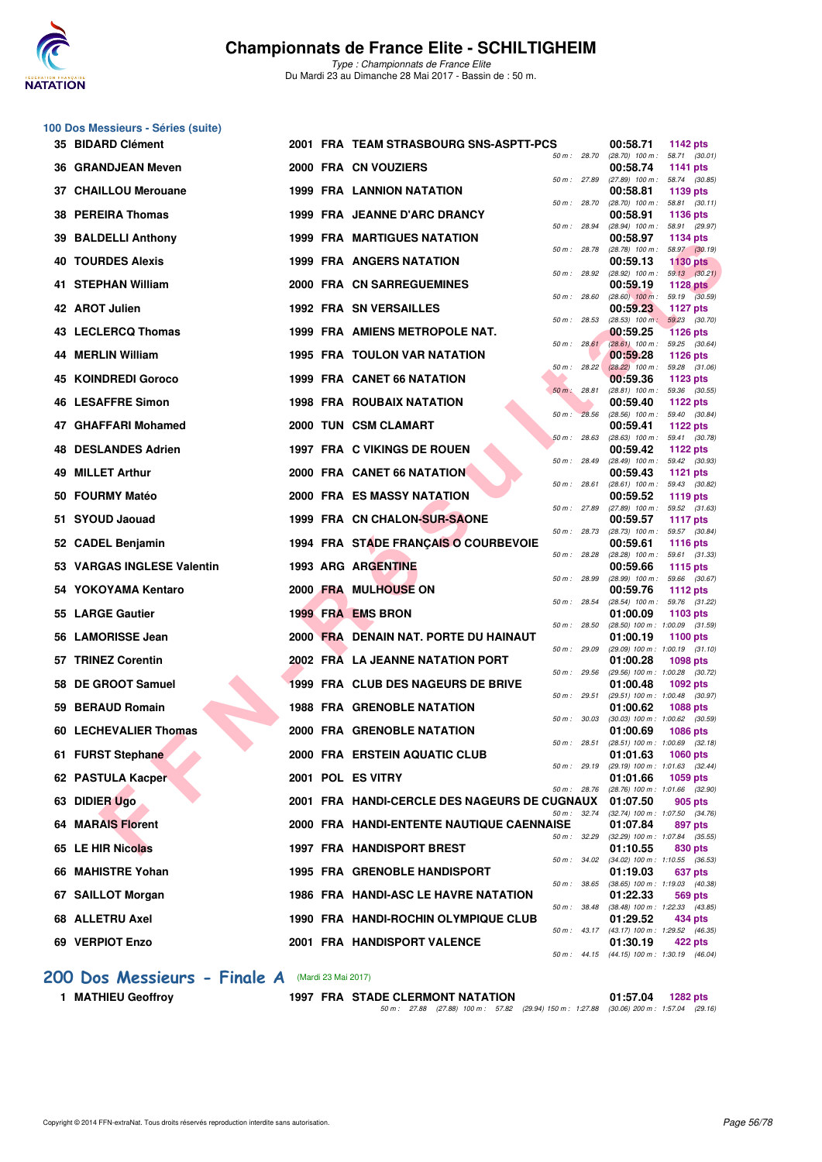

**100 Dos Messieurs - Séries (suite)**

*Type : Championnats de France Elite* Du Mardi 23 au Dimanche 28 Mai 2017 - Bassin de : 50 m.

| 35 BIDARD Clément                     |                   | 2001 FRA TEAM STRASBOURG SNS-ASPTT-PCS       |              | 00:58.71<br>1142 pts                                                 |  |
|---------------------------------------|-------------------|----------------------------------------------|--------------|----------------------------------------------------------------------|--|
| 36 GRANDJEAN Meven                    |                   | 2000 FRA CN VOUZIERS                         | 50 m : 28.70 | $(28.70)$ 100 m : 58.71 $(30.01)$<br>00:58.74<br>1141 pts            |  |
| 37 CHAILLOU Merouane                  |                   | <b>1999 FRA LANNION NATATION</b>             | 50 m: 27.89  | $(27.89)$ 100 m : 58.74 $(30.85)$<br>00:58.81<br>1139 pts            |  |
| 38 PEREIRA Thomas                     |                   | 1999 FRA JEANNE D'ARC DRANCY                 | 50 m : 28.70 | 58.81 (30.11)<br>$(28.70)$ 100 m :<br>00:58.91<br><b>1136 pts</b>    |  |
| 39 BALDELLI Anthony                   |                   | <b>1999 FRA MARTIGUES NATATION</b>           | 50 m : 28.94 | 58.91 (29.97)<br>$(28.94)$ 100 m :<br>00:58.97<br>1134 pts           |  |
| <b>40 TOURDES Alexis</b>              |                   | <b>1999 FRA ANGERS NATATION</b>              | 50 m : 28.78 | $(28.78)$ 100 m : 58.97 $(30.19)$<br>00:59.13<br>1130 pts            |  |
| 41 STEPHAN William                    |                   | 2000 FRA CN SARREGUEMINES                    | 50 m : 28.92 | $(28.92)$ 100 m : 59.13 $(30.21)$<br>00:59.19<br>1128 $pts$          |  |
| 42 AROT Julien                        |                   | <b>1992 FRA SN VERSAILLES</b>                | 50 m: 28.60  | $(28.60)$ 100 m : 59.19 $(30.59)$<br>00:59.23<br>1127 $pts$          |  |
| 43 LECLERCQ Thomas                    |                   | 1999 FRA AMIENS METROPOLE NAT.               | 50 m: 28.53  | $(28.53)$ 100 m : 59.23 $(30.70)$<br>00:59.25<br><b>1126 pts</b>     |  |
| 44 MERLIN William                     |                   | 1995 FRA TOULON VAR NATATION                 | 50 m: 28.61  | 59.25 (30.64)<br>$(28.61)$ 100 m :<br>00:59.28<br><b>1126 pts</b>    |  |
| 45 KOINDREDI Goroco                   |                   | <b>1999 FRA CANET 66 NATATION</b>            | 50 m: 28.22  | $(28.22)$ 100 m :<br>59.28 (31.06)<br>00:59.36<br><b>1123 pts</b>    |  |
| <b>46 LESAFFRE Simon</b>              |                   | <b>1998 FRA ROUBAIX NATATION</b>             | 50 m : 28.81 | (28.81) 100 m: 59.36 (30.55)<br>00:59.40<br>1122 $pts$               |  |
| 47 GHAFFARI Mohamed                   |                   | 2000 TUN CSM CLAMART                         | 50 m: 28.56  | $(28.56)$ 100 m : 59.40 $(30.84)$<br>00:59.41<br>1122 $pts$          |  |
| 48 DESLANDES Adrien                   |                   | 1997 FRA C VIKINGS DE ROUEN                  | 50 m: 28.63  | $(28.63)$ 100 m : 59.41 $(30.78)$<br>00:59.42<br>1122 $pts$          |  |
| 49 MILLET Arthur                      |                   | 2000 FRA CANET 66 NATATION                   | 50 m : 28.49 | $(28.49)$ 100 m : 59.42 $(30.93)$<br>00:59.43<br><b>1121 pts</b>     |  |
| 50 FOURMY Matéo                       |                   | 2000 FRA ES MASSY NATATION                   | 50 m: 28.61  | $(28.61)$ 100 m :<br>59.43 (30.82)<br>00:59.52<br>1119 $pts$         |  |
| 51 SYOUD Jaouad                       |                   | 1999 FRA CN CHALON-SUR-SAONE                 | 50 m : 27.89 | (27.89) 100 m: 59.52 (31.63)<br>00:59.57<br>1117 $pts$               |  |
| 52 CADEL Benjamin                     |                   | 1994 FRA STADE FRANÇAIS O COURBEVOIE         | 50 m : 28.73 | (28.73) 100 m: 59.57 (30.84)<br>00:59.61<br><b>1116 pts</b>          |  |
| <b>VARGAS INGLESE Valentin</b><br>53. |                   | 1993 ARG ARGENTINE                           | 50 m : 28.28 | $(28.28)$ 100 m : 59.61 $(31.33)$<br>00:59.66<br>1115 $pts$          |  |
| 54 YOKOYAMA Kentaro                   |                   | 2000 FRA MULHOUSE ON                         | 50 m : 28.99 | $(28.99)$ 100 m : 59.66 $(30.67)$<br>00:59.76<br>1112 $pts$          |  |
| 55 LARGE Gautier                      |                   | 1999 FRA EMS BRON                            | 50 m : 28.54 | (28.54) 100 m: 59.76 (31.22)<br>01:00.09<br>1103 $pts$               |  |
| 56 LAMORISSE Jean                     |                   | 2000 FRA DENAIN NAT. PORTE DU HAINAUT        | 50 m: 28.50  | (28.50) 100 m: 1:00.09 (31.59)<br>01:00.19<br>1100 pts               |  |
| 57 TRINEZ Corentin                    |                   | 2002 FRA LA JEANNE NATATION PORT             | 50 m : 29.09 | $(29.09)$ 100 m : 1:00.19 $(31.10)$<br>01:00.28<br>1098 pts          |  |
| <b>DE GROOT Samuel</b><br>58          |                   | <b>1999 FRA CLUB DES NAGEURS DE BRIVE</b>    | 50 m: 29.56  | (29.56) 100 m: 1:00.28 (30.72)<br>01:00.48<br>1092 pts               |  |
| 59 BERAUD Romain                      |                   | <b>1988 FRA GRENOBLE NATATION</b>            | 50 m: 29.51  | (29.51) 100 m: 1:00.48 (30.97)<br>01:00.62<br><b>1088 pts</b>        |  |
| 60 LECHEVALIER Thomas                 |                   | 2000 FRA GRENOBLE NATATION                   | 50 m: 30.03  | $(30.03)$ 100 m : 1:00.62 $(30.59)$<br>01:00.69<br><b>1086 pts</b>   |  |
| 61 FURST Stephane                     |                   | 2000 FRA ERSTEIN AQUATIC CLUB                | 50 m: 28.51  | $(28.51)$ 100 m : 1:00.69 $(32.18)$<br>01:01.63<br>1060 pts          |  |
| 62 PASTULA Kacper                     | 2001 POL ES VITRY |                                              |              | 50 m : 29.19 (29.19) 100 m : 1:01.63 (32.44)<br>01:01.66<br>1059 pts |  |
| 63 DIDIER Ugo                         |                   | 2001 FRA HANDI-CERCLE DES NAGEURS DE CUGNAUX | 50 m : 28.76 | $(28.76)$ 100 m : 1:01.66 $(32.90)$<br>01:07.50<br>905 pts           |  |
| <b>64 MARAIS Florent</b>              |                   | 2000 FRA HANDI-ENTENTE NAUTIQUE CAENNAISE    | 50 m : 32.74 | $(32.74)$ 100 m : 1:07.50 $(34.76)$<br>01:07.84<br>897 pts           |  |
| 65 LE HIR Nicolas                     |                   | 1997 FRA HANDISPORT BREST                    | 50 m : 32.29 | $(32.29)$ 100 m : 1:07.84 $(35.55)$<br>01:10.55<br>830 pts           |  |
| 66 MAHISTRE Yohan                     |                   | <b>1995 FRA GRENOBLE HANDISPORT</b>          | 50 m : 34.02 | (34.02) 100 m: 1:10.55 (36.53)<br>01:19.03<br>637 pts                |  |
| 67 SAILLOT Morgan                     |                   | <b>1986 FRA HANDI-ASC LE HAVRE NATATION</b>  | 50 m : 38.65 | $(38.65)$ 100 m : 1:19.03 $(40.38)$<br>01:22.33<br>569 pts           |  |
| 68 ALLETRU Axel                       |                   | 1990 FRA HANDI-ROCHIN OLYMPIQUE CLUB         |              | 50 m : 38.48 (38.48) 100 m : 1:22.33 (43.85)<br>01:29.52<br>434 pts  |  |
|                                       |                   | 2001 FRA HANDISPORT VALENCE                  |              | 50 m: 43.17 (43.17) 100 m: 1:29.52 (46.35)                           |  |
| 69 VERPIOT Enzo                       |                   |                                              |              | 01:30.19<br>422 pts<br>50 m: 44.15 (44.15) 100 m: 1:30.19 (46.04)    |  |

# **200 Dos Messieurs - Finale A** (Mardi 23 Mai 2017)<br>1 MATHIEU Geoffroy 1997 FRA STA

**1997 FRA STADE CLERMONT NATATION 01:57.04 1282 pts** *50 m : 27.88 (27.88) 100 m : 57.82 (29.94) 150 m : 1:27.88 (30.06) 200 m : 1:57.04 (29.16)*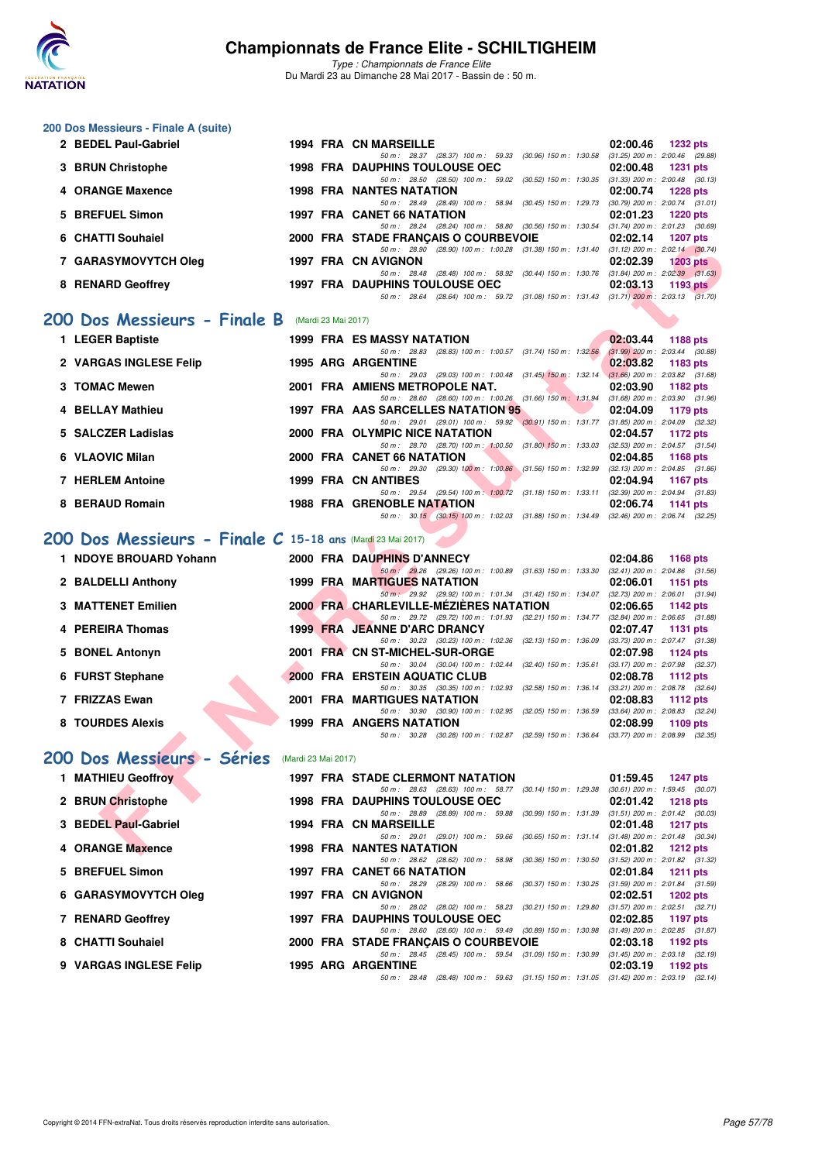

**200 Dos Messieurs - Finale A (suite)**

### **Championnats de France Elite - SCHILTIGHEIM**

| 2 BEDEL Paul-Gabriel                                       |                     | <b>1994 FRA CN MARSEILLE</b>                                                                                                       | 02:00.46<br><b>1232 pts</b>                                        |
|------------------------------------------------------------|---------------------|------------------------------------------------------------------------------------------------------------------------------------|--------------------------------------------------------------------|
| 3 BRUN Christophe                                          |                     | 50 m: 28.37 (28.37) 100 m: 59.33 (30.96) 150 m: 1:30.58<br><b>1998 FRA DAUPHINS TOULOUSE OEC</b>                                   | $(31.25)$ 200 m : 2:00.46 $(29.88)$<br>02:00.48<br><b>1231 pts</b> |
| 4 ORANGE Maxence                                           |                     | 50 m: 28.50 (28.50) 100 m: 59.02 (30.52) 150 m: 1:30.35 (31.33) 200 m: 2:00.48 (30.13)<br><b>1998 FRA NANTES NATATION</b>          | 02:00.74<br><b>1228 pts</b>                                        |
| 5 BREFUEL Simon                                            |                     | 50 m: 28.49 (28.49) 100 m: 58.94 (30.45) 150 m: 1:29.73<br>1997 FRA CANET 66 NATATION                                              | $(30.79)$ 200 m : 2:00.74 $(31.01)$<br>02:01.23<br><b>1220 pts</b> |
|                                                            |                     | 50 m: 28.24 (28.24) 100 m: 58.80 (30.56) 150 m: 1:30.54 (31.74) 200 m: 2:01.23 (30.69)                                             |                                                                    |
| <b>CHATTI Souhaiel</b>                                     |                     | 2000 FRA STADE FRANÇAIS O COURBEVOIE<br>50 m: 28.90 (28.90) 100 m: 1:00.28 (31.38) 150 m: 1:31.40 (31.12) 200 m: 2:02.14 (30.74)   | 02:02.14<br><b>1207 pts</b>                                        |
| 7 GARASYMOVYTCH Oleg                                       |                     | 1997 FRA CN AVIGNON<br>50 m: 28.48 (28.48) 100 m: 58.92 (30.44) 150 m: 1:30.76 (31.84) 200 m: 2:02.39 (31.63)                      | 02:02.39<br>$1203$ pts                                             |
| 8 RENARD Geoffrey                                          |                     | <b>1997 FRA DAUPHINS TOULOUSE OEC</b><br>50 m: 28.64 (28.64) 100 m: 59.72 (31.08) 150 m: 1.31.43 (31.71) 200 m: 2:03.13 (31.70)    | 02:03.13<br>1193 $pts$                                             |
|                                                            |                     |                                                                                                                                    |                                                                    |
| 200 Dos Messieurs - Finale B (Mardi 23 Mai 2017)           |                     |                                                                                                                                    |                                                                    |
| 1 LEGER Baptiste                                           |                     | 1999 FRA ES MASSY NATATION<br>50 m: 28.83 (28.83) 100 m: 1:00.57 (31.74) 150 m: 1:32.56                                            | 02:03.44<br><b>1188 pts</b><br>$(31.99)$ 200 m : 2:03.44 $(30.88)$ |
| 2 VARGAS INGLESE Felip                                     |                     | <b>1995 ARG ARGENTINE</b><br>50 m: 29.03 (29.03) 100 m: 1:00.48 (31.45) 150 m: 1:32.14 (31.66) 200 m: 2:03.82 (31.68)              | 02:03.82<br>1183 pts                                               |
| 3 TOMAC Mewen                                              |                     | 2001 FRA AMIENS METROPOLE NAT.                                                                                                     | 02:03.90<br>1182 pts                                               |
| 4 BELLAY Mathieu                                           |                     | 50 m: 28.60 (28.60) 100 m: 1:00.26 (31.66) 150 m: 1:31.94<br>1997 FRA AAS SARCELLES NATATION 95                                    | $(31.68)$ 200 m : 2:03.90 $(31.96)$<br>02:04.09<br>1179 pts        |
| 5 SALCZER Ladislas                                         |                     | 50 m: 29.01 (29.01) 100 m: 59.92 (30.91) 150 m: 1:31.77 (31.85) 200 m: 2:04.09 (32.32)<br>2000 FRA OLYMPIC NICE NATATION           | 02:04.57<br>1172 pts                                               |
| 6 VLAOVIC Milan                                            |                     | 50 m: 28.70 (28.70) 100 m: 1:00.50 (31.80) 150 m: 1:33.03 (32.53) 200 m: 2:04.57 (31.54)<br>2000 FRA CANET 66 NATATION             | 02:04.85<br>1168 pts                                               |
|                                                            |                     | 50 m : 29.30 (29.30) 100 m : 1:00.86 (31.56) 150 m : 1:32.99                                                                       | $(32.13)$ 200 m : 2:04.85 $(31.86)$                                |
| <b>7 HERLEM Antoine</b>                                    |                     | 1999 FRA CN ANTIBES<br>50 m: 29.54 (29.54) 100 m: 1:00.72 (31.18) 150 m: 1:33.11                                                   | 02:04.94<br><b>1167 pts</b><br>$(32.39)$ 200 m : 2:04.94 $(31.83)$ |
| 8 BERAUD Romain                                            |                     | <b>1988 FRA GRENOBLE NATATION</b><br>50 m: 30.15 (30.15) 100 m: 1.02.03 (31.88) 150 m: 1.34.49 (32.46) 200 m: 2.06.74 (32.25)      | 02:06.74<br>1141 $pts$                                             |
| 200 Dos Messieurs - Finale C 15-18 ans (Mardi 23 Mai 2017) |                     |                                                                                                                                    |                                                                    |
| 1 NDOYE BROUARD Yohann                                     |                     | 2000 FRA DAUPHINS D'ANNECY                                                                                                         | 02:04.86<br>1168 pts                                               |
| 2 BALDELLI Anthony                                         |                     | 50 m: 29.26 (29.26) 100 m: 1:00.89 (31.63) 150 m: 1:33.30 (32.41) 200 m: 2:04.86 (31.56)<br><b>1999 FRA MARTIGUES NATATION</b>     | 02:06.01<br><b>1151 pts</b>                                        |
|                                                            |                     | 50 m: 29.92 (29.92) 100 m: 1:01.34 (31.42) 150 m: 1:34.07 (32.73) 200 m: 2:06.01 (31.94)                                           |                                                                    |
| <b>3 MATTENET Emilien</b>                                  |                     | 2000 FRA CHARLEVILLE-MÉZIÈRES NATATION<br>50 m: 29.72 (29.72) 100 m: 1:01.93 (32.21) 150 m: 1:34.77 (32.84) 200 m: 2:06.65 (31.88) | 02:06.65<br>1142 pts                                               |
| 4 PEREIRA Thomas                                           |                     | 1999 FRA JEANNE D'ARC DRANCY<br>50 m: 30.23 (30.23) 100 m: 1:02.36 (32.13) 150 m: 1:36.09                                          | 02:07.47<br><b>1131 pts</b><br>(33.73) 200 m : 2:07.47 (31.38)     |
| 5 BONEL Antonyn                                            |                     | 2001 FRA CN ST-MICHEL-SUR-ORGE                                                                                                     | 02:07.98<br>1124 $pts$                                             |
| 6 FURST Stephane                                           |                     | 50 m: 30.04 (30.04) 100 m: 1:02.44 (32.40) 150 m: 1:35.61<br>2000 FRA ERSTEIN AQUATIC CLUB                                         | (33.17) 200 m : 2:07.98 (32.37)<br>02:08.78<br>1112 $pts$          |
| 7 FRIZZAS Ewan                                             |                     | 50 m: 30.35 (30.35) 100 m: 1:02.93 (32.58) 150 m: 1:36.14<br><b>2001 FRA MARTIGUES NATATION</b>                                    | $(33.21)$ 200 m : 2:08.78 $(32.64)$<br>02:08.83<br><b>1112 pts</b> |
| 8 TOURDES Alexis                                           |                     | 50 m: 30.90 (30.90) 100 m: 1:02.95 (32.05) 150 m: 1:36.59<br><b>1999 FRA ANGERS NATATION</b>                                       | $(33.64)$ 200 m : 2:08.83 $(32.24)$<br>02:08.99<br>1109 pts        |
|                                                            |                     | 50 m: 30.28 (30.28) 100 m: 1:02.87 (32.59) 150 m: 1:36.64 (33.77) 200 m: 2:08.99 (32.35)                                           |                                                                    |
| 200 Dos Messieurs - Séries                                 | (Mardi 23 Mai 2017) |                                                                                                                                    |                                                                    |
| 1 MATHIEU Geoffroy                                         |                     | 1997 FRA STADE CLERMONT NATATION                                                                                                   | 01:59.45<br><b>1247 pts</b>                                        |
| 2 BRUN Christophe                                          |                     | 50 m: 28.63 (28.63) 100 m: 58.77 (30.14) 150 m: 1:29.38<br><b>1998 FRA DAUPHINS TOULOUSE OEC</b>                                   | $(30.61)$ 200 m : 1:59.45 $(30.07)$<br>02:01.42<br><b>1218 pts</b> |
| 3 BEDEL Paul-Gabriel                                       |                     | 50 m : 28.89 (28.89) 100 m : 59.88 (30.99) 150 m : 1:31.39<br><b>1994 FRA CN MARSEILLE</b>                                         | $(31.51)$ 200 m : 2:01.42 $(30.03)$<br>02:01.48<br><b>1217 pts</b> |
| 4 ORANGE Maxence                                           |                     | 50 m: 29.01 (29.01) 100 m: 59.66 (30.65) 150 m: 1:31.14<br><b>1998 FRA NANTES NATATION</b>                                         | $(31.48)$ 200 m : 2:01.48 $(30.34)$<br>02:01.82<br><b>1212 pts</b> |
|                                                            |                     | 50 m: 28.62 (28.62) 100 m: 58.98 (30.36) 150 m: 1:30.50                                                                            | (31.52) 200 m : 2:01.82 (31.32)                                    |
| 5 BREFUEL Simon                                            |                     | 1997 FRA CANET 66 NATATION<br>50 m: 28.29 (28.29) 100 m: 58.66 (30.37) 150 m: 1:30.25                                              | 02:01.84<br><b>1211 pts</b><br>$(31.59)$ 200 m : 2:01.84 $(31.59)$ |
| 6 GARASYMOVYTCH Oleg                                       |                     | 1997 FRA CN AVIGNON<br>50 m: 28.02 (28.02) 100 m: 58.23 (30.21) 150 m: 1:29.80                                                     | 02:02.51<br><b>1202 pts</b><br>$(31.57)$ 200 m : 2:02.51 $(32.71)$ |
| 7 RENARD Geoffrey                                          |                     | <b>1997 FRA DAUPHINS TOULOUSE OEC</b>                                                                                              | 02:02.85<br>1197 pts<br>$(31.49)$ 200 m : 2:02.85 $(31.87)$        |
| 8 CHATTI Souhaiel                                          |                     | 50 m : 28.60 (28.60) 100 m : 59.49 (30.89) 150 m : 1:30.98<br>2000 FRA STADE FRANÇAIS O COURBEVOIE                                 | 02:03.18<br>1192 pts                                               |
| <b>9 VARGAS INGLESE Felip</b>                              |                     | 50 m: 28.45 (28.45) 100 m: 59.54 (31.09) 150 m: 1:30.99<br><b>1995 ARG ARGENTINE</b>                                               | $(31.45)$ 200 m : 2:03.18 $(32.19)$<br>02:03.19<br>1192 pts        |
|                                                            |                     | 50 m: 28.48 (28.48) 100 m: 59.63 (31.15) 150 m: 1:31.05 (31.42) 200 m: 2:03.19 (32.14)                                             |                                                                    |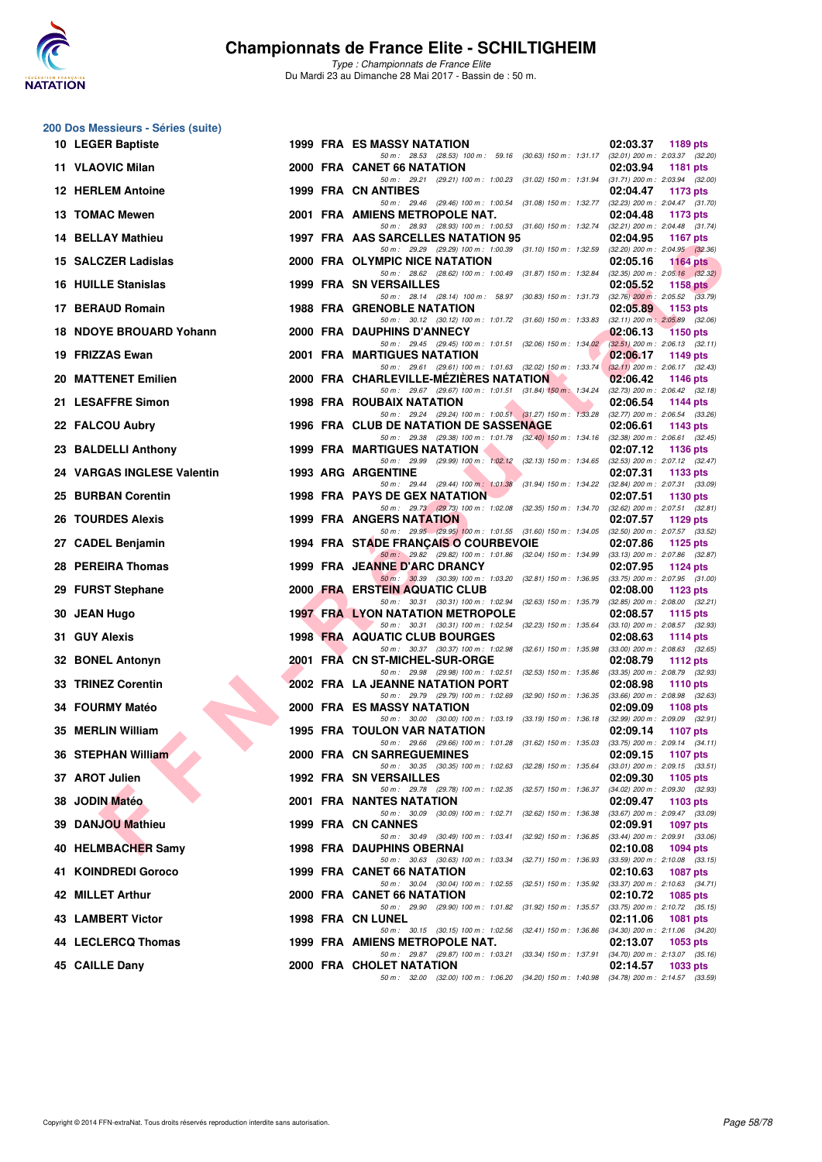

| 200 Dos Messieurs - Séries (suite) |  |                                                                                                                                        |                                                                      |
|------------------------------------|--|----------------------------------------------------------------------------------------------------------------------------------------|----------------------------------------------------------------------|
| 10 LEGER Baptiste                  |  | 1999 FRA ES MASSY NATATION<br>50 m: 28.53 (28.53) 100 m: 59.16 (30.63) 150 m: 1:31.17 (32.01) 200 m: 2:03.37 (32.20)                   | 02:03.37<br>1189 pts                                                 |
| 11 VLAOVIC Milan                   |  | 2000 FRA CANET 66 NATATION                                                                                                             | 02:03.94<br><b>1181 pts</b>                                          |
| <b>12 HERLEM Antoine</b>           |  | 50 m: 29.21 (29.21) 100 m: 1:00.23 (31.02) 150 m: 1:31.94 (31.71) 200 m: 2:03.94 (32.00)<br><b>1999 FRA CN ANTIBES</b>                 | 02:04.47<br>1173 pts                                                 |
| 13 TOMAC Mewen                     |  | 50 m: 29.46 (29.46) 100 m: 1:00.54 (31.08) 150 m: 1:32.77 (32.23) 200 m: 2:04.47 (31.70)<br>2001 FRA AMIENS METROPOLE NAT.             | 02:04.48<br>1173 pts                                                 |
| <b>14 BELLAY Mathieu</b>           |  | 50 m: 28.93 (28.93) 100 m: 1:00.53 (31.60) 150 m: 1:32.74<br>1997 FRA AAS SARCELLES NATATION 95                                        | $(32.21)$ 200 m : 2:04.48 $(31.74)$<br>02:04.95<br>1167 pts          |
| 15 SALCZER Ladislas                |  | 50 m : 29.29 (29.29) 100 m : 1:00.39 (31.10) 150 m : 1:32.59<br>2000 FRA OLYMPIC NICE NATATION                                         | $(32.20)$ 200 m : $2.04.95$ $(32.36)$<br>02:05.16<br><b>1164 pts</b> |
| <b>16 HUILLE Stanislas</b>         |  | 50 m: 28.62 (28.62) 100 m: 1:00.49 (31.87) 150 m: 1:32.84<br><b>1999 FRA SN VERSAILLES</b>                                             | $(32.35)$ 200 m : 2:05.16 $(32.32)$<br>02:05.52<br><b>1158 pts</b>   |
| 17 BERAUD Romain                   |  | 50 m: 28.14 (28.14) 100 m: 58.97 (30.83) 150 m: 1:31.73<br><b>1988 FRA GRENOBLE NATATION</b>                                           | $(32.76)$ 200 m : 2:05.52 $(33.79)$<br>02:05.89<br>1153 pts          |
| 18 NDOYE BROUARD Yohann            |  | 50 m: 30.12 (30.12) 100 m: 1.01.72 (31.60) 150 m: 1.33.83 (32.11) 200 m: 2.05.89 (32.06)<br>2000 FRA DAUPHINS D'ANNECY                 | 02:06.13<br><b>1150 pts</b>                                          |
| 19 FRIZZAS Ewan                    |  | 50 m: 29.45 (29.45) 100 m: 1:01.51 (32.06) 150 m: 1:34.02 (32.51) 200 m: 2:06.13 (32.11)<br><b>2001 FRA MARTIGUES NATATION</b>         | 02:06.17<br>1149 pts                                                 |
|                                    |  | 50 m: 29.61 (29.61) 100 m: 1:01.63 (32.02) 150 m: 1:33.74                                                                              | $(32.11)$ 200 m : 2:06.17 $(32.43)$                                  |
| 20 MATTENET Emilien                |  | 2000 FRA CHARLEVILLE-MEZIERES NATATION<br>50 m : 29.67 (29.67) 100 m : 1:01.51 (31.84) 150 m : 1:34.24 (32.73) 200 m : 2:06.42 (32.18) | 02:06.42<br>1146 pts                                                 |
| 21 LESAFFRE Simon                  |  | <b>1998 FRA ROUBAIX NATATION</b><br>50 m: 29.24 (29.24) 100 m: 1:00.51 (31.27) 150 m: 1:33.28 (32.77) 200 m: 2:06.54 (33.26)           | 02:06.54<br><b>1144 pts</b>                                          |
| 22 FALCOU Aubry                    |  | 1996 FRA CLUB DE NATATION DE SASSENAGE<br>50 m: 29.38 (29.38) 100 m: 1:01.78 (32.40) 150 m: 1:34.16 (32.38) 200 m: 2:06.61 (32.45)     | 02:06.61<br>1143 pts                                                 |
| 23 BALDELLI Anthony                |  | <b>1999 FRA MARTIGUES NATATION</b><br>50 m: 29.99 (29.99) 100 m: 1:02.12 (32.13) 150 m: 1:34.65 (32.53) 200 m: 2:07.12 (32.47)         | 02:07.12<br>1136 pts                                                 |
| 24 VARGAS INGLESE Valentin         |  | <b>1993 ARG ARGENTINE</b>                                                                                                              | 02:07.31<br>1133 pts                                                 |
| 25 BURBAN Corentin                 |  | 50 m: 29.44 (29.44) 100 m: 1:01.38 (31.94) 150 m: 1:34.22 (32.84) 200 m: 2:07.31 (33.09)<br><b>1998 FRA PAYS DE GEX NATATION</b>       | 02:07.51<br><b>1130 pts</b>                                          |
| <b>26 TOURDES Alexis</b>           |  | 50 m : 29.73 (29.73) 100 m : 1:02.08 (32.35) 150 m : 1:34.70<br><b>1999 FRA ANGERS NATATION</b>                                        | $(32.62)$ 200 m : $2:07.51$ $(32.81)$<br>02:07.57<br>1129 pts        |
| 27 CADEL Benjamin                  |  | 50 m: 29.95 (29.95) 100 m: 1:01.55 (31.60) 150 m: 1:34.05 (32.50) 200 m: 2:07.57 (33.52)<br>1994 FRA STADE FRANÇAIS O COURBEVOIE       | 02:07.86<br>1125 pts                                                 |
| 28 PEREIRA Thomas                  |  | 50 m : 29.82 (29.82) 100 m : 1:01.86 (32.04) 150 m : 1:34.99 (33.13) 200 m : 2:07.86 (32.87)<br>1999 FRA JEANNE D'ARC DRANCY           | 02:07.95<br><b>1124 pts</b>                                          |
| 29 FURST Stephane                  |  | 50 m: 30.39 (30.39) 100 m: 1:03.20 (32.81) 150 m: 1:36.95 (33.75) 200 m: 2:07.95 (31.00)<br>2000 FRA ERSTEIN AQUATIC CLUB              | 02:08.00<br>1123 pts                                                 |
| 30 JEAN Hugo                       |  | 50 m : 30.31 (30.31) 100 m : 1:02.94 (32.63) 150 m : 1:35.79<br><b>1997 FRA LYON NATATION METROPOLE</b>                                | $(32.85)$ 200 m : $2:08.00$ $(32.21)$<br>02:08.57<br>1115 pts        |
| 31 GUY Alexis                      |  | 50 m: 30.31 (30.31) 100 m: 1:02.54 (32.23) 150 m: 1:35.64<br>1998 FRA AQUATIC CLUB BOURGES                                             | $(33.10)$ 200 m : 2:08.57 $(32.93)$<br>02:08.63<br>1114 pts          |
| 32 BONEL Antonyn                   |  | 50 m: 30.37 (30.37) 100 m: 1:02.98 (32.61) 150 m: 1:35.98<br>2001 FRA CN ST-MICHEL-SUR-ORGE                                            | $(33.00)$ 200 m : 2:08.63 $(32.65)$<br>02:08.79<br>1112 $pts$        |
| 33 TRINEZ Corentin                 |  | 50 m: 29.98 (29.98) 100 m: 1:02.51 (32.53) 150 m: 1:35.86<br>2002 FRA LA JEANNE NATATION PORT                                          | (33.35) 200 m : 2:08.79 (32.93)<br>02:08.98<br>1110 $pts$            |
| 34 FOURMY Matéo                    |  | 50 m: 29.79 (29.79) 100 m: 1:02.69 (32.90) 150 m: 1:36.35<br>2000 FRA ES MASSY NATATION                                                | $(33.66)$ 200 m : 2:08.98 $(32.63)$<br>02:09.09<br>1108 pts          |
|                                    |  | 50 m : 30.00 (30.00) 100 m : 1:03.19 (33.19) 150 m : 1:36.18                                                                           | $(32.99)$ 200 m : 2:09.09 $(32.91)$                                  |
| 35 MERLIN William                  |  | 1995 FRA TOULON VAR NATATION<br>50 m: 29.66 (29.66) 100 m: 1:01.28 (31.62) 150 m: 1:35.03                                              | 02:09.14<br><b>1107 pts</b><br>$(33.75)$ 200 m : 2:09.14 $(34.11)$   |
| 36 STEPHAN William                 |  | 2000 FRA CN SARREGUEMINES<br>50 m: 30.35 (30.35) 100 m: 1:02.63 (32.28) 150 m: 1:35.64 (33.01) 200 m: 2:09.15 (33.51)                  | 02:09.15<br>1107 pts                                                 |
| 37 AROT Julien                     |  | <b>1992 FRA SN VERSAILLES</b><br>50 m: 29.78 (29.78) 100 m: 1:02.35 (32.57) 150 m: 1:36.37                                             | 02:09.30<br>1105 pts<br>$(34.02)$ 200 m : 2:09.30 $(32.93)$          |
| 38 JODIN Matéo                     |  | 2001 FRA NANTES NATATION<br>50 m: 30.09 (30.09) 100 m: 1:02.71 (32.62) 150 m: 1:36.38                                                  | 02:09.47<br>1103 pts<br>$(33.67)$ 200 m : 2:09.47 $(33.09)$          |
| 39 DANJOU Mathieu                  |  | 1999 FRA CN CANNES<br>50 m: 30.49 (30.49) 100 m: 1:03.41 (32.92) 150 m: 1:36.85                                                        | 02:09.91<br>1097 pts<br>$(33.44)$ 200 m : 2:09.91 $(33.06)$          |
| 40 HELMBACHER Samy                 |  | 1998 FRA DAUPHINS OBERNAI                                                                                                              | 02:10.08<br>1094 pts                                                 |
| 41 KOINDREDI Goroco                |  | 50 m: 30.63 (30.63) 100 m: 1:03.34 (32.71) 150 m: 1:36.93<br>1999 FRA CANET 66 NATATION                                                | $(33.59)$ 200 m : 2:10.08 $(33.15)$<br>02:10.63<br><b>1087 pts</b>   |
| 42 MILLET Arthur                   |  | 50 m: 30.04 (30.04) 100 m: 1:02.55 (32.51) 150 m: 1:35.92 (33.37) 200 m: 2:10.63 (34.71)<br>2000 FRA CANET 66 NATATION                 | 02:10.72<br>1085 pts                                                 |
| 43 LAMBERT Victor                  |  | 50 m: 29.90 (29.90) 100 m: 1:01.82 (31.92) 150 m: 1:35.57 (33.75) 200 m: 2:10.72 (35.15)<br>1998 FRA CN LUNEL                          | 02:11.06<br>1081 pts                                                 |
| 44 LECLERCQ Thomas                 |  | 50 m: 30.15 (30.15) 100 m: 1:02.56 (32.41) 150 m: 1:36.86 (34.30) 200 m: 2:11.06 (34.20)<br>1999 FRA AMIENS METROPOLE NAT.             | 02:13.07<br>1053 pts                                                 |
| 45 CAILLE Dany                     |  | 50 m: 29.87 (29.87) 100 m: 1:03.21 (33.34) 150 m: 1:37.91 (34.70) 200 m: 2:13.07 (35.16)<br>2000 FRA CHOLET NATATION                   | 02:14.57<br>1033 pts                                                 |
|                                    |  | 50 m: 32.00 (32.00) 100 m: 1:06.20 (34.20) 150 m: 1:40.98 (34.78) 200 m: 2:14.57 (33.59)                                               |                                                                      |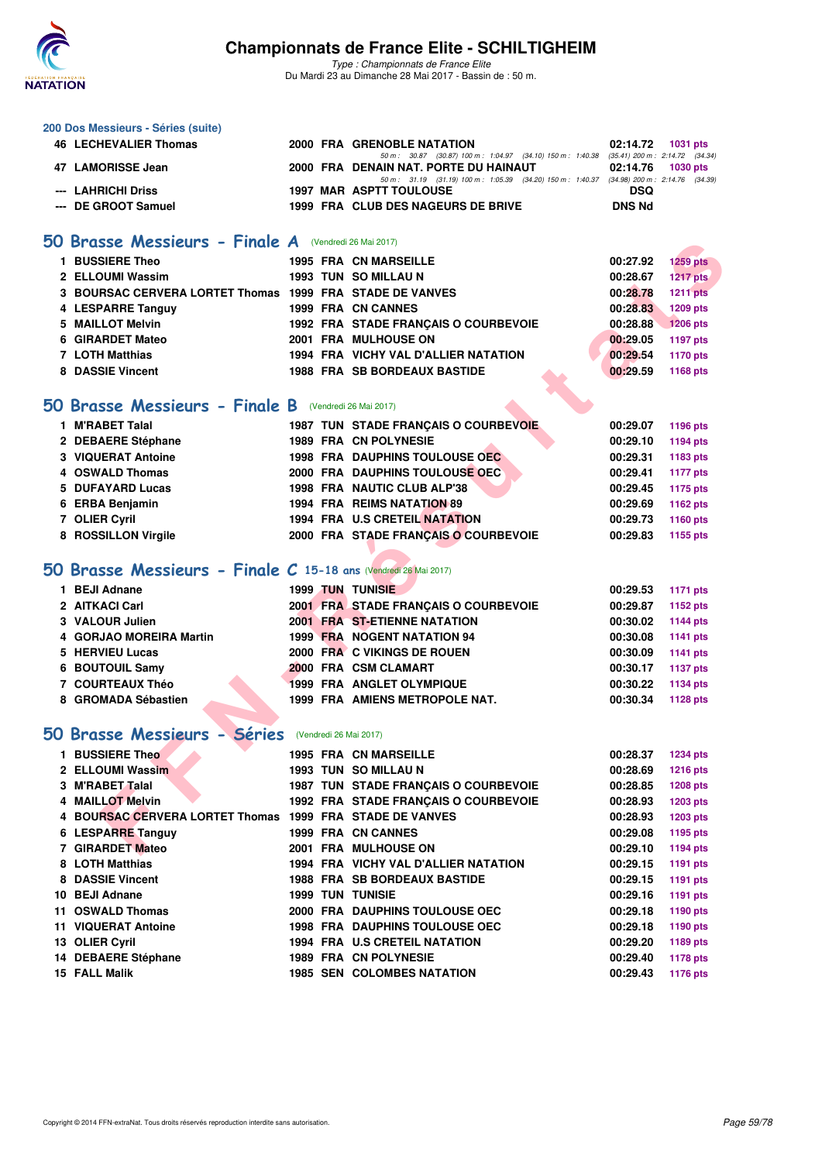

| 200 Dos Messieurs - Séries (suite)                              |  |                                                                                                                                   |               |                 |
|-----------------------------------------------------------------|--|-----------------------------------------------------------------------------------------------------------------------------------|---------------|-----------------|
| <b>46 LECHEVALIER Thomas</b>                                    |  | 2000 FRA GRENOBLE NATATION                                                                                                        | 02:14.72      | 1031 pts        |
| 47 LAMORISSE Jean                                               |  | 50 m: 30.87 (30.87) 100 m: 1:04.97 (34.10) 150 m: 1:40.38 (35.41) 200 m: 2:14.72 (34.34)<br>2000 FRA DENAIN NAT. PORTE DU HAINAUT | 02:14.76      | <b>1030 pts</b> |
| --- LAHRICHI Driss                                              |  | 50 m: 31.19 (31.19) 100 m: 1:05.39 (34.20) 150 m: 1:40.37 (34.98) 200 m: 2:14.76 (34.39)<br><b>1997 MAR ASPTT TOULOUSE</b>        | DSQ           |                 |
| --- DE GROOT Samuel                                             |  | 1999 FRA CLUB DES NAGEURS DE BRIVE                                                                                                | <b>DNS Nd</b> |                 |
|                                                                 |  |                                                                                                                                   |               |                 |
| 50 Brasse Messieurs - Finale A (Vendredi 26 Mai 2017)           |  |                                                                                                                                   |               |                 |
| 1 BUSSIERE Theo                                                 |  | <b>1995 FRA CN MARSEILLE</b>                                                                                                      | 00:27.92      | <b>1259 pts</b> |
| 2 ELLOUMI Wassim                                                |  | <b>1993 TUN SO MILLAU N</b>                                                                                                       | 00:28.67      | 1217 pts        |
| 3 BOURSAC CERVERA LORTET Thomas 1999 FRA STADE DE VANVES        |  |                                                                                                                                   | 00:28.78      | <b>1211 pts</b> |
| 4 LESPARRE Tanguy                                               |  | 1999 FRA CN CANNES                                                                                                                | 00:28.83      | <b>1209 pts</b> |
| 5 MAILLOT Melvin                                                |  | 1992 FRA STADE FRANÇAIS O COURBEVOIE                                                                                              | 00:28.88      | <b>1206 pts</b> |
| 6 GIRARDET Mateo                                                |  | 2001 FRA MULHOUSE ON                                                                                                              | 00:29.05      | <b>1197 pts</b> |
| 7 LOTH Matthias                                                 |  | 1994 FRA VICHY VAL D'ALLIER NATATION                                                                                              | 00:29.54      | 1170 pts        |
| 8 DASSIE Vincent                                                |  | <b>1988 FRA SB BORDEAUX BASTIDE</b>                                                                                               | 00:29.59      | 1168 pts        |
|                                                                 |  |                                                                                                                                   |               |                 |
| 50 Brasse Messieurs - Finale B (Vendredi 26 Mai 2017)           |  |                                                                                                                                   |               |                 |
| 1 M'RABET Talal                                                 |  | 1987 TUN STADE FRANÇAIS O COURBEVOIE                                                                                              | 00:29.07      | <b>1196 pts</b> |
| 2 DEBAERE Stéphane                                              |  | 1989 FRA CN POLYNESIE                                                                                                             | 00:29.10      | <b>1194 pts</b> |
| 3 VIQUERAT Antoine                                              |  | <b>1998 FRA DAUPHINS TOULOUSE OEC</b>                                                                                             | 00:29.31      | 1183 pts        |
| 4 OSWALD Thomas                                                 |  | 2000 FRA DAUPHINS TOULOUSE OEC                                                                                                    | 00:29.41      | <b>1177 pts</b> |
| 5 DUFAYARD Lucas                                                |  | 1998 FRA NAUTIC CLUB ALP'38                                                                                                       | 00:29.45      | 1175 pts        |
| 6 ERBA Benjamin                                                 |  | 1994 FRA REIMS NATATION 89                                                                                                        | 00:29.69      | 1162 pts        |
| 7 OLIER Cyril                                                   |  | <b>1994 FRA U.S CRETEIL NATATION</b>                                                                                              | 00:29.73      | 1160 pts        |
| 8 ROSSILLON Virgile                                             |  | 2000 FRA STADE FRANÇAIS O COURBEVOIE                                                                                              | 00:29.83      | 1155 pts        |
| 50 Brasse Messieurs - Finale C 15-18 ans (Vendredi 26 Mai 2017) |  |                                                                                                                                   |               |                 |
| 1 BEJI Adnane                                                   |  | <b>1999 TUN TUNISIE</b>                                                                                                           | 00:29.53      | <b>1171 pts</b> |
| 2 AITKACI Carl                                                  |  | 2001 FRA STADE FRANÇAIS O COURBEVOIE                                                                                              | 00:29.87      | 1152 pts        |
| 3 VALOUR Julien                                                 |  | <b>2001 FRA ST-ETIENNE NATATION</b>                                                                                               | 00:30.02      | <b>1144 pts</b> |
| 4 GORJAO MOREIRA Martin                                         |  | <b>1999 FRA NOGENT NATATION 94</b>                                                                                                | 00:30.08      | <b>1141 pts</b> |
| 5 HERVIEU Lucas                                                 |  | 2000 FRA C VIKINGS DE ROUEN                                                                                                       | 00:30.09      | 1141 pts        |
| 6 BOUTOUIL Samy                                                 |  | 2000 FRA CSM CLAMART                                                                                                              | 00:30.17      | <b>1137 pts</b> |
| 7 COURTEAUX Théo                                                |  | 1999 FRA ANGLET OLYMPIQUE                                                                                                         | 00:30.22      | 1134 pts        |
| 8 GROMADA Sébastien                                             |  | <b>1999 FRA AMIENS METROPOLE NAT.</b>                                                                                             | 00:30.34      | <b>1128 pts</b> |
|                                                                 |  |                                                                                                                                   |               |                 |
| 50 Brasse Messieurs - Séries (Vendredi 26 Mai 2017)             |  |                                                                                                                                   |               |                 |
| 1 BUSSIERE Theo                                                 |  | <b>1995 FRA CN MARSEILLE</b>                                                                                                      | 00:28.37      | <b>1234 pts</b> |
| 2 ELLOUMI Wassim                                                |  | 1993 TUN SO MILLAU N                                                                                                              | 00:28.69      | 1216 pts        |
| 3 M'RABET Talal                                                 |  | 1987 TUN STADE FRANCAIS O COURBEVOIE                                                                                              | 00:28.85      | <b>1208 pts</b> |
| 4 MAILLOT Melvin                                                |  | 1992 FRA STADE FRANÇAIS O COURBEVOIE                                                                                              | 00:28.93      | 1203 pts        |
| 4 BOURSAC CERVERA LORTET Thomas 1999 FRA STADE DE VANVES        |  |                                                                                                                                   | 00:28.93      | 1203 pts        |
| 6 LESPARRE Tanguy                                               |  | 1999 FRA CN CANNES                                                                                                                | 00:29.08      | 1195 pts        |
| 7 GIRARDET Mateo                                                |  | <b>2001 FRA MULHOUSE ON</b>                                                                                                       | 00:29.10      | <b>1194 pts</b> |
| 8 LOTH Matthias                                                 |  | 1994 FRA VICHY VAL D'ALLIER NATATION                                                                                              | 00:29.15      | 1191 pts        |
| 8 DASSIE Vincent                                                |  | <b>1988 FRA SB BORDEAUX BASTIDE</b>                                                                                               | 00:29.15      | 1191 pts        |
| 10 BEJI Adnane                                                  |  | <b>1999 TUN TUNISIE</b>                                                                                                           | 00:29.16      | 1191 pts        |
| 11 OSWALD Thomas                                                |  | 2000 FRA DAUPHINS TOULOUSE OEC                                                                                                    | 00:29.18      | 1190 pts        |
| 11 VIQUERAT Antoine                                             |  | 1998 FRA DAUPHINS TOULOUSE OEC                                                                                                    | 00:29.18      | 1190 pts        |
| 13 OLIER Cyril                                                  |  | 1994 FRA U.S CRETEIL NATATION                                                                                                     | 00:29.20      | 1189 pts        |
| 14 DEBAERE Stéphane                                             |  | 1989 FRA CN POLYNESIE                                                                                                             | 00:29.40      | <b>1178 pts</b> |
| 15 FALL Malik                                                   |  | <b>1985 SEN COLOMBES NATATION</b>                                                                                                 | 00:29.43      | 1176 pts        |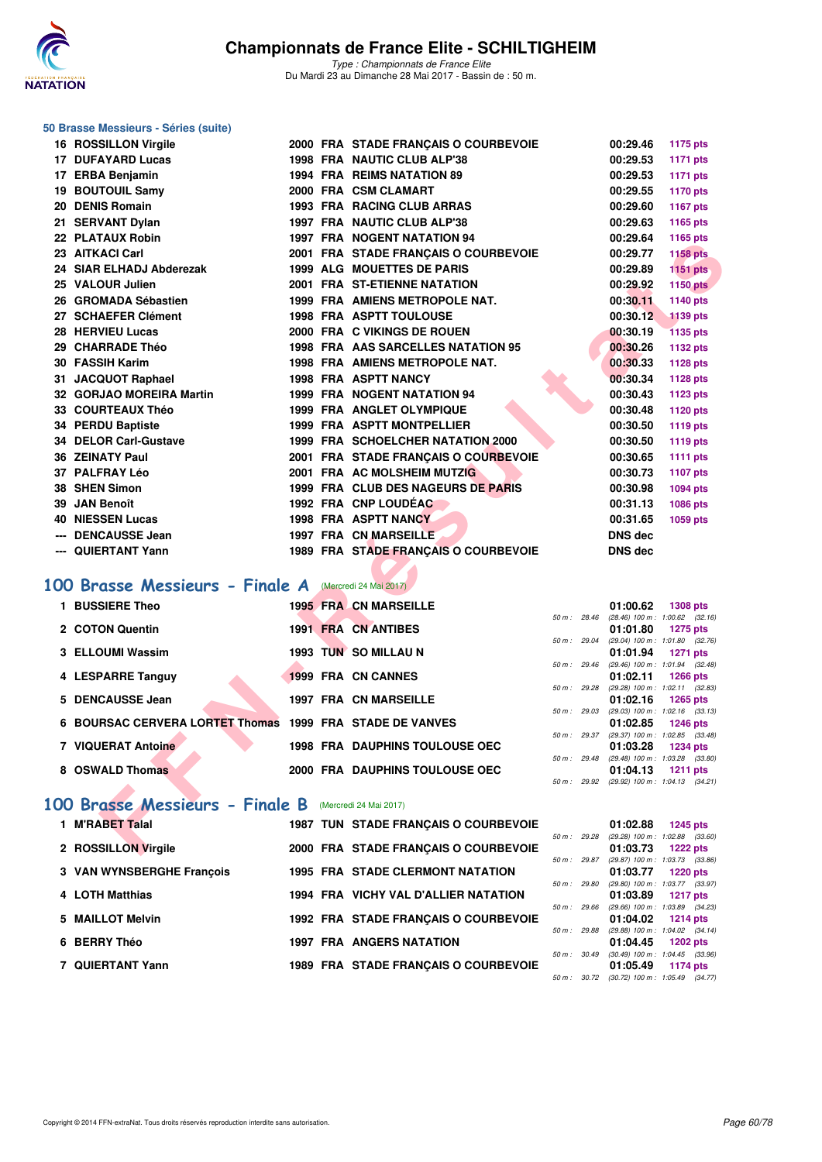

#### **50 Brasse Messieurs - Séries (suite)**

| 16 ROSSILLON Virgile                                 |  | 2000 FRA STADE FRANÇAIS O COURBEVOIE  |                | 00:29.46       | <b>1175 pts</b>                                               |  |
|------------------------------------------------------|--|---------------------------------------|----------------|----------------|---------------------------------------------------------------|--|
| 17 DUFAYARD Lucas                                    |  | 1998 FRA NAUTIC CLUB ALP'38           |                | 00:29.53       | <b>1171 pts</b>                                               |  |
| 17 ERBA Benjamin                                     |  | <b>1994 FRA REIMS NATATION 89</b>     |                | 00:29.53       | 1171 pts                                                      |  |
| 19 BOUTOUIL Samy                                     |  | 2000 FRA CSM CLAMART                  |                | 00:29.55       | 1170 pts                                                      |  |
| 20 DENIS Romain                                      |  | 1993 FRA RACING CLUB ARRAS            |                | 00:29.60       | 1167 pts                                                      |  |
| 21 SERVANT Dylan                                     |  | 1997 FRA NAUTIC CLUB ALP'38           |                | 00:29.63       | 1165 pts                                                      |  |
| 22 PLATAUX Robin                                     |  | <b>1997 FRA NOGENT NATATION 94</b>    |                | 00:29.64       | 1165 pts                                                      |  |
| 23 AITKACI Carl                                      |  | 2001 FRA STADE FRANÇAIS O COURBEVOIE  |                | 00:29.77       | <b>1158 pts</b>                                               |  |
| 24 SIAR ELHADJ Abderezak                             |  | <b>1999 ALG MOUETTES DE PARIS</b>     |                | 00:29.89       | <b>1151 pts</b>                                               |  |
| 25 VALOUR Julien                                     |  | 2001 FRA ST-ETIENNE NATATION          |                | 00:29.92       | <b>1150 pts</b>                                               |  |
| 26 GROMADA Sébastien                                 |  | 1999 FRA AMIENS METROPOLE NAT.        |                | 00:30.11       | 1140 pts                                                      |  |
| 27 SCHAEFER Clément                                  |  | <b>1998 FRA ASPTT TOULOUSE</b>        |                | 00:30.12       | <b>1139 pts</b>                                               |  |
| 28 HERVIEU Lucas                                     |  | 2000 FRA C VIKINGS DE ROUEN           |                | 00:30.19       | <b>1135 pts</b>                                               |  |
| 29 CHARRADE Théo                                     |  | 1998 FRA AAS SARCELLES NATATION 95    |                | 00:30.26       | 1132 pts                                                      |  |
| 30 FASSIH Karim                                      |  | 1998 FRA AMIENS METROPOLE NAT.        |                | 00:30.33       | <b>1128 pts</b>                                               |  |
| 31 JACQUOT Raphael                                   |  | <b>1998 FRA ASPTT NANCY</b>           |                | 00:30.34       | 1128 pts                                                      |  |
| 32 GORJAO MOREIRA Martin                             |  | 1999 FRA NOGENT NATATION 94           |                | 00:30.43       | <b>1123 pts</b>                                               |  |
| 33 COURTEAUX Théo                                    |  | 1999 FRA ANGLET OLYMPIQUE             |                | 00:30.48       | 1120 pts                                                      |  |
| 34 PERDU Baptiste                                    |  | <b>1999 FRA ASPTT MONTPELLIER</b>     |                | 00:30.50       | 1119 pts                                                      |  |
| <b>34 DELOR Carl-Gustave</b>                         |  | 1999 FRA SCHOELCHER NATATION 2000     |                | 00:30.50       | 1119 pts                                                      |  |
| <b>36 ZEINATY Paul</b>                               |  | 2001 FRA STADE FRANÇAIS O COURBEVOIE  |                | 00:30.65       | <b>1111 pts</b>                                               |  |
| 37 PALFRAY Léo                                       |  | 2001 FRA AC MOLSHEIM MUTZIG           |                | 00:30.73       | 1107 pts                                                      |  |
| 38 SHEN Simon                                        |  | 1999 FRA CLUB DES NAGEURS DE PARIS    |                | 00:30.98       | 1094 pts                                                      |  |
| 39 JAN Benoît                                        |  | 1992 FRA CNP LOUDÉAC                  |                | 00:31.13       | 1086 pts                                                      |  |
| <b>40 NIESSEN Lucas</b>                              |  | <b>1998 FRA ASPTT NANCY</b>           |                | 00:31.65       | 1059 pts                                                      |  |
| --- DENCAUSSE Jean                                   |  | <b>1997 FRA CN MARSEILLE</b>          |                | <b>DNS dec</b> |                                                               |  |
| --- QUIERTANT Yann                                   |  | 1989 FRA STADE FRANÇAIS O COURBEVOIE  |                | <b>DNS dec</b> |                                                               |  |
|                                                      |  |                                       |                |                |                                                               |  |
| 00 Brasse Messieurs - Finale A Mercredi 24 Mai 2017) |  |                                       |                |                |                                                               |  |
| 1 BUSSIERE Theo                                      |  | <b>1995 FRA CN MARSEILLE</b>          |                | 01:00.62       | <b>1308 pts</b>                                               |  |
|                                                      |  |                                       | $50 m$ : 28.46 |                | $(28.46)$ 100 m : 1:00.62 $(32.16)$                           |  |
| 2 COTON Quentin                                      |  | <b>1991 FRA CN ANTIBES</b>            |                | 01:01.80       | <b>1275 pts</b>                                               |  |
| 3 ELLOUMI Wassim                                     |  | 1993 TUN SO MILLAU N                  | 50 m : 29.04   | 01:01.94       | $(29.04)$ 100 m : 1:01.80 $(32.76)$<br><b>1271 pts</b>        |  |
|                                                      |  |                                       | 50 m: 29.46    |                | (29.46) 100 m: 1:01.94 (32.48)                                |  |
| 4 LESPARRE Tanguy                                    |  | 1999 FRA CN CANNES                    |                | 01:02.11       | <b>1266 pts</b>                                               |  |
| 5 DENCAUSSE Jean                                     |  | <b>1997 FRA CN MARSEILLE</b>          |                | 01:02.16       | 50 m: 29.28 (29.28) 100 m: 1:02.11 (32.83)<br>1265 pts        |  |
|                                                      |  |                                       | 50 m: 29.03    |                | $(29.03)$ 100 m : 1:02.16 $(33.13)$                           |  |
| <b>6 BOURSAC CERVERA LORTET Thomas</b>               |  | <b>1999 FRA STADE DE VANVES</b>       |                | 01:02.85       | <b>1246 pts</b><br>50 m: 29.37 (29.37) 100 m: 1:02.85 (33.48) |  |
| 7 VIQUERAT Antoine                                   |  | <b>1998 FRA DAUPHINS TOULOUSE OEC</b> |                | 01:03.28       | <b>1234 pts</b>                                               |  |
|                                                      |  |                                       |                |                | 50 m : 29.48 (29.48) 100 m : 1:03.28 (33.80)                  |  |
| 8 OSWALD Thomas                                      |  | 2000 FRA DAUPHINS TOULOUSE OEC        |                | 01:04.13       | <b>1211 pts</b><br>50 m: 29.92 (29.92) 100 m: 1:04.13 (34.21) |  |
|                                                      |  |                                       |                |                |                                                               |  |
| 00 Brasse Messieurs - Finale B                       |  | (Mercredi 24 Mai 2017)                |                |                |                                                               |  |
| 1 M'RABET Talal                                      |  | 1987 TUN STADE FRANÇAIS O COURBEVOIE  |                | 01:02.88       | <b>1245 pts</b>                                               |  |
|                                                      |  |                                       | 50 m: 29.28    |                | $(29.28)$ 100 m : 1:02.88 $(33.60)$                           |  |
| 2 ROSSILLON Virgile                                  |  | 2000 FRA STADE FRANCAIS O COURBEVOIE  |                | 01:03.73       | <b>1222 pts</b>                                               |  |

### [100 Brasse Messieurs - Finale A](http://www.ffnatation.fr/webffn/resultats.php?idact=nat&go=epr&idcpt=45075&idepr=72) Mercredi 24 Mai 2017)

| 1 BUSSIERE Theo                                          |  | <b>1995 FRA CN MARSEILLE</b>          |                        | 01:00.62                                        | <b>1308 pts</b> |  |
|----------------------------------------------------------|--|---------------------------------------|------------------------|-------------------------------------------------|-----------------|--|
| 2 COTON Quentin                                          |  | <b>1991 FRA CN ANTIBES</b>            | 50 m: 28.46            | $(28.46)$ 100 m : 1:00.62 $(32.16)$<br>01:01.80 | 1275 pts        |  |
| 3 ELLOUMI Wassim                                         |  | 1993 TUN SO MILLAU N                  | 50 m: 29.04            | $(29.04)$ 100 m : 1:01.80 $(32.76)$<br>01:01.94 | 1271 pts        |  |
| 4 LESPARRE Tanguy                                        |  | 1999 FRA CN CANNES                    | 50 m: 29.46            | $(29.46)$ 100 m : 1:01.94 $(32.48)$<br>01:02.11 | <b>1266 pts</b> |  |
| 5 DENCAUSSE Jean                                         |  | <b>1997 FRA CN MARSEILLE</b>          | $50 \text{ m}$ : 29.28 | $(29.28)$ 100 m : 1:02.11 $(32.83)$<br>01:02.16 | 1265 pts        |  |
| 6 BOURSAC CERVERA LORTET Thomas 1999 FRA STADE DE VANVES |  |                                       | 50 m: 29.03            | $(29.03)$ 100 m : 1:02.16 $(33.13)$<br>01:02.85 | <b>1246 pts</b> |  |
| 7 VIQUERAT Antoine                                       |  | <b>1998 FRA DAUPHINS TOULOUSE OEC</b> | $50 m$ : 29.37         | (29.37) 100 m: 1:02.85 (33.48)<br>01:03.28      | <b>1234 pts</b> |  |
| 8 OSWALD Thomas                                          |  | 2000 FRA DAUPHINS TOULOUSE OEC        | $50 \text{ m}$ : 29.48 | $(29.48)$ 100 m : 1:03.28 $(33.80)$<br>01:04.13 | 1211 $pts$      |  |
|                                                          |  |                                       | 50 m : 29.92           | $(29.92)$ 100 m : 1:04.13 $(34.21)$             |                 |  |

### [100 Brasse Messieurs - Finale B](http://www.ffnatation.fr/webffn/resultats.php?idact=nat&go=epr&idcpt=45075&idepr=72) Mercredi 24 Mai 2017)

| 1 M'RABET Talal           |  | 1987 TUN STADE FRANCAIS O COURBEVOIE    |                          | 01:02.88                                  | 1245 pts        |  |
|---------------------------|--|-----------------------------------------|--------------------------|-------------------------------------------|-----------------|--|
|                           |  |                                         | 50 m: 29.28              | (29.28) 100 m : 1:02.88 (33.              |                 |  |
| 2 ROSSILLON Virgile       |  | 2000 FRA STADE FRANCAIS O COURBEVOIE    |                          | 01:03.73                                  | 1222 pts        |  |
|                           |  |                                         | 50 m: 29.87              | (29.87) 100 m : 1:03.73 (33.              |                 |  |
| 3 VAN WYNSBERGHE Francois |  | <b>1995 FRA STADE CLERMONT NATATION</b> |                          | 01:03.77                                  | 1220 pts        |  |
|                           |  |                                         | 50 m : 29.80             | (29.80) 100 m : 1:03.77 (33.              |                 |  |
| 4 LOTH Matthias           |  | 1994 FRA VICHY VAL D'ALLIER NATATION    |                          | 01:03.89                                  | 1217 pts        |  |
|                           |  |                                         | 50 m: 29.66              | (29.66) 100 m : 1:03.89 (34.              |                 |  |
| 5 MAILLOT Melvin          |  | 1992 FRA STADE FRANCAIS O COURBEVOIE    |                          | 01:04.02                                  | <b>1214 pts</b> |  |
|                           |  |                                         | 50 m : 29.88             | (29.88) 100 m : 1:04.02 (34.              |                 |  |
| 6 BERRY Théo              |  | <b>1997 FRA ANGERS NATATION</b>         |                          | 01:04.45                                  | 1202 pts        |  |
|                           |  |                                         | $50 \text{ m}$ : $30.49$ | $(30.49)$ 100 m : 1:04.45 $(33.$          |                 |  |
| 7 QUIERTANT Yann          |  | 1989 FRA STADE FRANCAIS O COURBEVOIE    |                          | 01:05.49                                  | 1174 pts        |  |
|                           |  |                                         |                          | $50 m - 3072$ (30.72) $100 m + 10549$ (34 |                 |  |

|              |       | 01:02.88          | <b>1245 pts</b>     |
|--------------|-------|-------------------|---------------------|
| $50 m$ :     | 29.28 | $(29.28)$ 100 m : | 1:02.88 (33.60)     |
|              |       | 01:03.73          | 1222 pts            |
| 50 m: 29.87  |       | $(29.87)$ 100 m : | 1:03.73 (33.86)     |
|              |       |                   | 01:03.77 1220 pts   |
| 50 m: 29.80  |       | $(29.80)$ 100 m : | 1:03.77 (33.97)     |
|              |       | 01:03.89          | 1217 pts            |
| 50 m: 29.66  |       | $(29.66)$ 100 m : | 1:03.89 (34.23)     |
|              |       | 01:04.02          | 1214 pts            |
| 50 m : 29.88 |       | $(29.88) 100 m$ : | $1:04.02$ $(34.14)$ |
|              |       |                   | 01:04.45 1202 pts   |
| $50 m$ :     | 30.49 | $(30.49)$ 100 m : | $1:04.45$ $(33.96)$ |
|              |       |                   | 01:05.49 1174 pts   |
| $50 m$ :     | 30.72 | $(30.72)$ 100 m : | $1:05.49$ $(34.77)$ |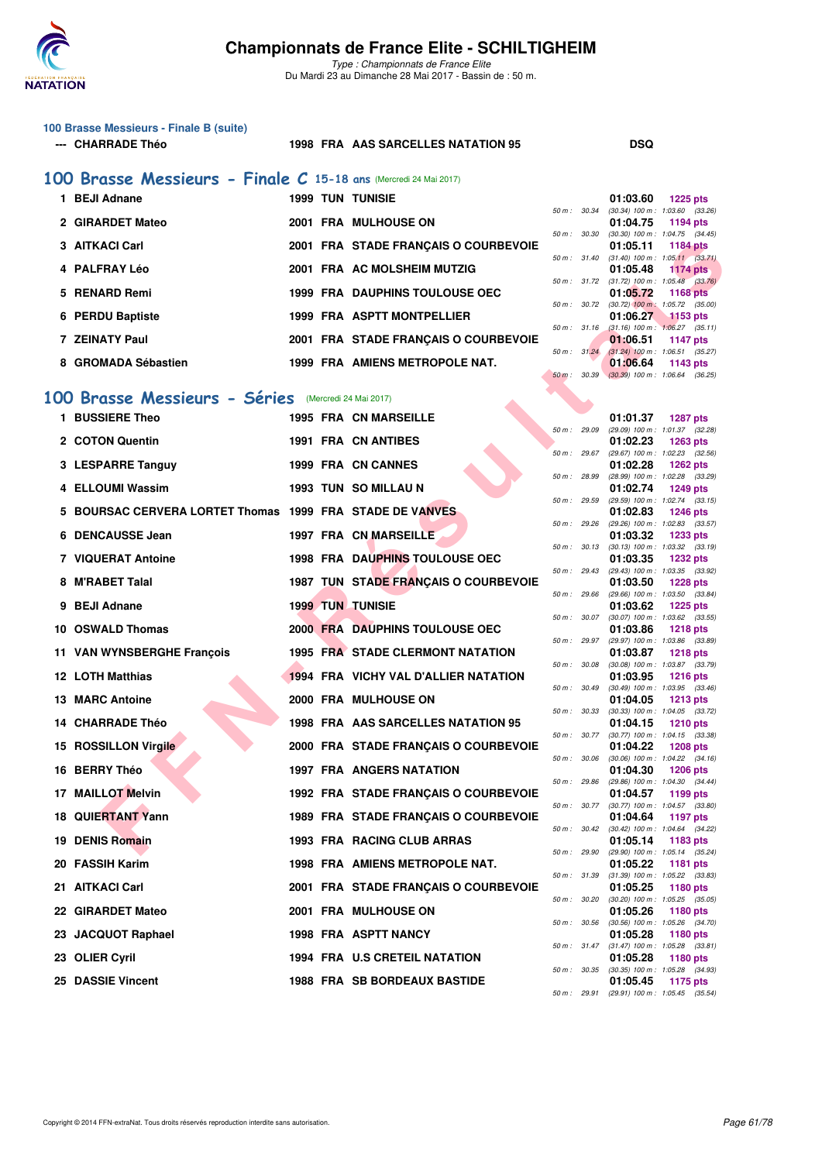

*Type : Championnats de France Elite* Du Mardi 23 au Dimanche 28 Mai 2017 - Bassin de : 50 m.

| 100 Brasse Messieurs - Finale B (suite) |  |  |  |
|-----------------------------------------|--|--|--|
|-----------------------------------------|--|--|--|

#### **--- CHARRADE Théo 1998 FRA AAS SARCELLES NATATION 95 DSQ**

**1 BEJI Adnane 1999 TUN TUNISIE 01:03.60 1225 pts**

### **[100 Brasse Messieurs - Finale C](http://www.ffnatation.fr/webffn/resultats.php?idact=nat&go=epr&idcpt=45075&idepr=72) 15-18 ans** (Mercredi 24 Mai 2017)

| <b>BEJI Adnane</b>  |  | <b>1999 TUN TUNISIE</b>               |                        | 01:03.60                                     | $1225$ pts |  |
|---------------------|--|---------------------------------------|------------------------|----------------------------------------------|------------|--|
|                     |  |                                       | 50 m: 30.34            | $(30.34)$ 100 m : 1:03.60 $(33.26)$          |            |  |
| 2 GIRARDET Mateo    |  | 2001 FRA MULHOUSE ON                  |                        | $01:04.75$ 1194 pts                          |            |  |
|                     |  |                                       | 50 m: 30.30            | $(30.30)$ 100 m : 1:04.75 $(34.45)$          |            |  |
| 3 AITKACI Carl      |  | 2001 FRA STADE FRANCAIS O COURBEVOIE  |                        | 01:05.11                                     | 1184 pts   |  |
|                     |  |                                       | 50 m : 31.40           | $(31.40)$ 100 m : 1:05.11 $(33.71)$          |            |  |
| 4 PALFRAY Léo       |  | 2001 FRA AC MOLSHEIM MUTZIG           |                        | $01:05.48$ 1174 pts                          |            |  |
|                     |  |                                       |                        | 50 m: 31.72 (31.72) 100 m: 1:05.48 (33.76)   |            |  |
| 5 RENARD Remi       |  | <b>1999 FRA DAUPHINS TOULOUSE OEC</b> |                        | 01:05.72                                     | 1168 pts   |  |
|                     |  |                                       |                        | 50 m : 30.72 (30.72) 100 m : 1:05.72 (35.00) |            |  |
| 6 PERDU Baptiste    |  | 1999 FRA ASPTT MONTPELLIER            |                        | 01:06.27                                     | 1153 pts   |  |
|                     |  |                                       | $50 \text{ m}$ : 31.16 | $(31.16)$ 100 m : 1:06.27 $(35.11)$          |            |  |
| 7 ZEINATY Paul      |  | 2001 FRA STADE FRANCAIS O COURBEVOIE  |                        | 01:06.51                                     | 1147 $pts$ |  |
|                     |  |                                       | 50 m: 31.24            | $(31.24)$ 100 m : 1:06.51 $(35.27)$          |            |  |
| 8 GROMADA Sébastien |  | 1999 FRA AMIENS METROPOLE NAT.        |                        | 01:06.64                                     | 1143 $pts$ |  |
|                     |  |                                       |                        |                                              |            |  |

### **[100 Brasse Messieurs - Séries](http://www.ffnatation.fr/webffn/resultats.php?idact=nat&go=epr&idcpt=45075&idepr=72)** (Mercredi 24 Mai 2017)

| 3 AITKACI Carl                                           |  |  | 2001 FRA STADE FRANÇAIS O COURBEVOIE    |              |              | 01:05.11 | <b>1184 pts</b>                                                 |  |  |  |  |
|----------------------------------------------------------|--|--|-----------------------------------------|--------------|--------------|----------|-----------------------------------------------------------------|--|--|--|--|
| 4 PALFRAY Léo                                            |  |  | 2001 FRA AC MOLSHEIM MUTZIG             |              |              | 01:05.48 | 50 m: 31.40 (31.40) 100 m: 1:05.11 (33.71)<br>1174 $pts$        |  |  |  |  |
| 5 RENARD Remi                                            |  |  | <b>1999 FRA DAUPHINS TOULOUSE OEC</b>   |              |              | 01:05.72 | 50 m : 31.72 (31.72) 100 m : 1:05.48 (33.76)<br><b>1168 pts</b> |  |  |  |  |
| 6 PERDU Baptiste                                         |  |  | 1999 FRA ASPTT MONTPELLIER              |              | 50 m : 30.72 | 01:06.27 | $(30.72)$ 100 m : 1:05.72 $(35.00)$<br>$1153$ pts               |  |  |  |  |
|                                                          |  |  |                                         | 50 m: 31.16  |              |          | $(31.16)$ 100 m : 1:06.27 $(35.11)$                             |  |  |  |  |
| <b>7 ZEINATY Paul</b>                                    |  |  | 2001 FRA STADE FRANÇAIS O COURBEVOIE    |              | 50 m: 31.24  | 01:06.51 | <b>1147 pts</b><br>$(31.24)$ 100 m : 1:06.51 $(35.27)$          |  |  |  |  |
| 8 GROMADA Sébastien                                      |  |  | 1999 FRA AMIENS METROPOLE NAT.          |              |              | 01:06.64 | 1143 pts                                                        |  |  |  |  |
|                                                          |  |  |                                         |              | 50 m : 30.39 |          | $(30.39)$ 100 m : 1:06.64 $(36.25)$                             |  |  |  |  |
| 00 Brasse Messieurs - Séries (Mercredi 24 Mai 2017)      |  |  |                                         |              |              |          |                                                                 |  |  |  |  |
| 1 BUSSIERE Theo                                          |  |  | <b>1995 FRA CN MARSEILLE</b>            |              |              | 01:01.37 | <b>1287 pts</b>                                                 |  |  |  |  |
| 2 COTON Quentin                                          |  |  | 1991 FRA CN ANTIBES                     | 50 m : 29.09 |              | 01:02.23 | (29.09) 100 m: 1:01.37 (32.28)<br><b>1263 pts</b>               |  |  |  |  |
| 3 LESPARRE Tanguy                                        |  |  | 1999 FRA CN CANNES                      | 50 m: 29.67  |              | 01:02.28 | (29.67) 100 m : 1:02.23 (32.56)<br><b>1262 pts</b>              |  |  |  |  |
|                                                          |  |  |                                         | 50 m : 28.99 |              |          | (28.99) 100 m: 1:02.28 (33.29)                                  |  |  |  |  |
| 4 ELLOUMI Wassim                                         |  |  | 1993 TUN SO MILLAU N                    | 50 m: 29.59  |              | 01:02.74 | <b>1249 pts</b><br>(29.59) 100 m: 1:02.74 (33.15)               |  |  |  |  |
| 5 BOURSAC CERVERA LORTET Thomas 1999 FRA STADE DE VANVES |  |  |                                         |              |              | 01:02.83 | <b>1246 pts</b>                                                 |  |  |  |  |
| 6 DENCAUSSE Jean                                         |  |  | 1997 FRA CN MARSEILLE                   | 50 m : 29.26 |              | 01:03.32 | (29.26) 100 m: 1:02.83 (33.57)<br>1233 pts                      |  |  |  |  |
|                                                          |  |  |                                         |              | 50 m : 30.13 |          | $(30.13)$ 100 m : 1:03.32 $(33.19)$                             |  |  |  |  |
| 7 VIQUERAT Antoine                                       |  |  | <b>1998 FRA DAUPHINS TOULOUSE OEC</b>   | 50 m: 29.43  |              | 01:03.35 | <b>1232 pts</b><br>(29.43) 100 m: 1:03.35 (33.92)               |  |  |  |  |
| 8 M'RABET Talal                                          |  |  | 1987 TUN STADE FRANÇAIS O COURBEVOIE    |              |              | 01:03.50 | <b>1228 pts</b>                                                 |  |  |  |  |
| 9 BEJI Adnane                                            |  |  | <b>1999 TUN TUNISIE</b>                 | 50 m: 29.66  |              | 01:03.62 | $(29.66)$ 100 m : 1:03.50 $(33.84)$<br><b>1225 pts</b>          |  |  |  |  |
|                                                          |  |  |                                         | 50 m: 30.07  |              |          | $(30.07)$ 100 m : 1:03.62 $(33.55)$                             |  |  |  |  |
| 10 OSWALD Thomas                                         |  |  | <b>2000 FRA DAUPHINS TOULOUSE OEC</b>   |              | 50 m : 29.97 | 01:03.86 | <b>1218 pts</b><br>(29.97) 100 m: 1:03.86 (33.89)               |  |  |  |  |
| 11 VAN WYNSBERGHE François                               |  |  | <b>1995 FRA STADE CLERMONT NATATION</b> |              |              | 01:03.87 | <b>1218 pts</b>                                                 |  |  |  |  |
| <b>12 LOTH Matthias</b>                                  |  |  | 1994 FRA VICHY VAL D'ALLIER NATATION    | 50 m: 30.08  |              | 01:03.95 | $(30.08)$ 100 m : 1:03.87 $(33.79)$<br><b>1216 pts</b>          |  |  |  |  |
|                                                          |  |  |                                         |              | 50 m : 30.49 |          | $(30.49)$ 100 m : 1:03.95 $(33.46)$                             |  |  |  |  |
| <b>13 MARC Antoine</b>                                   |  |  | <b>2000 FRA MULHOUSE ON</b>             | 50 m: 30.33  |              | 01:04.05 | <b>1213 pts</b><br>$(30.33)$ 100 m : 1:04.05 $(33.72)$          |  |  |  |  |
| 14 CHARRADE Théo                                         |  |  | 1998 FRA AAS SARCELLES NATATION 95      |              |              | 01:04.15 | <b>1210 pts</b>                                                 |  |  |  |  |
| 15 ROSSILLON Virgile                                     |  |  | 2000 FRA STADE FRANÇAIS O COURBEVOIE    | 50 m : 30.77 |              | 01:04.22 | $(30.77)$ 100 m : 1:04.15 $(33.38)$<br><b>1208 pts</b>          |  |  |  |  |
| 16 BERRY Théo                                            |  |  | <b>1997 FRA ANGERS NATATION</b>         | 50 m : 30.06 |              | 01:04.30 | $(30.06)$ 100 m : 1:04.22 $(34.16)$                             |  |  |  |  |
|                                                          |  |  |                                         | 50 m: 29.86  |              |          | <b>1206 pts</b><br>(29.86) 100 m: 1:04.30 (34.44)               |  |  |  |  |
| 17 MAILLOT Melvin                                        |  |  | 1992 FRA STADE FRANÇAIS O COURBEVOIE    |              | 50 m : 30.77 | 01:04.57 | 1199 pts<br>$(30.77)$ 100 m : 1:04.57 $(33.80)$                 |  |  |  |  |
| 18 QUIERTANT Yann                                        |  |  | 1989 FRA STADE FRANÇAIS O COURBEVOIE    |              |              | 01:04.64 | 1197 pts                                                        |  |  |  |  |
| 19 DENIS Romain                                          |  |  | 1993 FRA RACING CLUB ARRAS              |              |              | 01:05.14 | 50 m: 30.42 (30.42) 100 m: 1:04.64 (34.22)<br>1183 pts          |  |  |  |  |
|                                                          |  |  |                                         |              |              |          | 50 m: 29.90 (29.90) 100 m: 1:05.14 (35.24)                      |  |  |  |  |
| 20 FASSIH Karim                                          |  |  | 1998 FRA AMIENS METROPOLE NAT.          | 50 m: 31.39  |              | 01:05.22 | <b>1181 pts</b><br>$(31.39)$ 100 m : 1:05.22 $(33.83)$          |  |  |  |  |
| 21 AITKACI Carl                                          |  |  | 2001 FRA STADE FRANÇAIS O COURBEVOIE    |              |              | 01:05.25 | 1180 pts                                                        |  |  |  |  |
| 22 GIRARDET Mateo                                        |  |  | 2001 FRA MULHOUSE ON                    |              | 50 m : 30.20 | 01:05.26 | (30.20) 100 m: 1:05.25 (35.05)<br>1180 pts                      |  |  |  |  |
|                                                          |  |  |                                         |              | 50 m : 30.56 |          | $(30.56)$ 100 m : 1:05.26 $(34.70)$                             |  |  |  |  |
| 23 JACQUOT Raphael                                       |  |  | 1998 FRA ASPTT NANCY                    |              | 50 m : 31.47 | 01:05.28 | <b>1180 pts</b><br>$(31.47)$ 100 m : 1:05.28 $(33.81)$          |  |  |  |  |
| 23 OLIER Cyril                                           |  |  | 1994 FRA U.S CRETEIL NATATION           |              |              | 01:05.28 | 1180 pts                                                        |  |  |  |  |
| 25 DASSIE Vincent                                        |  |  | <b>1988 FRA SB BORDEAUX BASTIDE</b>     |              | 50 m : 30.35 | 01:05.45 | (30.35) 100 m : 1:05.28 (34.93)<br>1175 pts                     |  |  |  |  |

|          |       | 01:06.64          | 1143 pts        |         |
|----------|-------|-------------------|-----------------|---------|
| $50 m$ : | 30.39 | $(30.39)$ 100 m : | 1:06.64         | (36.25) |
|          |       |                   |                 |         |
|          |       |                   |                 |         |
|          |       |                   |                 |         |
|          |       | 01:01.37          | 1287 pts        |         |
| $50 m$ : | 29.09 | (29.09) 100 m :   | 1:01.37         | (32.28) |
|          |       | 01:02.23          | 1263 pts        |         |
| $50 m$ : | 29.67 | (29.67) 100 m :   | 1:02.23         | (32.56) |
|          |       | 01:02.28          | 1262 pts        |         |
| $50 m$ : | 28.99 | (28.99) 100 m :   | 1:02.28         | (33.29) |
|          |       | 01:02.74          | 1249 pts        |         |
| $50 m$ : | 29.59 | (29.59) 100 m :   | 1:02.74         | (33.15) |
|          |       | 01:02.83          | 1246 pts        |         |
| $50 m$ : | 29.26 | (29.26) 100 m :   | 1:02.83         | (33.57) |
|          |       | 01:03.32          | 1233 pts        |         |
| $50 m$ : | 30.13 | $(30.13) 100 m$ : | 1:03.32         | (33.19) |
|          |       | 01:03.35          | 1232 pts        |         |
| $50 m$ : | 29.43 | $(29.43) 100 m$ : | 1:03.35         | (33.92) |
|          |       | 01:03.50          | 1228 pts        |         |
| $50 m$ : | 29.66 | (29.66) 100 m :   | 1:03.50         | (33.84) |
|          |       | 01:03.62          | 1225 pts        |         |
| $50 m$ : | 30.07 | $(30.07)$ 100 m : | 1:03.62         | (33.55) |
|          |       | 01:03.86          | 1218 pts        |         |
| $50 m$ : | 29.97 | (29.97) 100 m :   | 1:03.86         | (33.89) |
|          |       | 01:03.87          | <b>1218 pts</b> |         |
| $50 m$ : | 30.08 | $(30.08) 100 m$ : | 1:03.87         | (33.79) |
|          |       | 01:03.95          | 1216 pts        |         |
| $50 m$ : | 30.49 |                   |                 |         |
|          |       | $(30.49) 100 m$ : | 1:03.95         | (33.46) |
| $50 m$ : |       | 01:04.05          | 1213 pts        |         |
|          | 30.33 | $(30.33) 100 m$ : | 1:04.05         | (33.72) |
|          |       | 01:04.15          | 1210 pts        |         |
| $50 m$ : | 30.77 | (30.77) 100 m :   | 1:04.15         | (33.38) |
|          |       | 01:04.22          | <b>1208 pts</b> |         |
| $50 m$ : | 30.06 | $(30.06)$ 100 m : | 1:04.22         | (34.16) |
|          |       | 01:04.30          | 1206 pts        |         |
| $50 m$ : | 29.86 | (29.86) 100 m :   | 1:04.30         | (34.44) |
|          |       | 01:04.57          | 1199            | pts     |
| $50 m$ : | 30.77 | (30.77) 100 m :   | 1:04.57         | (33.80) |
|          |       | 01:04.64          | 1197            | pts     |
| $50 m$ : | 30.42 | $(30.42)$ 100 m : | 1:04.64         | (34.22) |
|          |       | 01:05.14          | 1183 pts        |         |
| $50 m$ : | 29.90 | (29.90) 100 m :   | 1:05.14         | (35.24) |
|          |       | 01:05.22          | 1181            | pts     |
| $50 m$ : | 31.39 | $(31.39) 100 m$ : | 1:05.22         | (33.83) |
|          |       | 01:05.25          | 1180            | pts     |
| $50 m$ : | 30.20 | $(30.20)$ 100 m : | 1:05.25         | (35.05) |
|          |       | 01:05.26          | 1180 pts        |         |
| $50 m$ : | 30.56 | $(30.56)$ 100 m : | 1:05.26         | (34.70) |
|          |       | 01:05.28          | 1180 pts        |         |
| $50 m$ : | 31.47 | $(31.47) 100 m$ : | 1:05.28         | (33.81) |
|          |       | 01:05.28          | 1180 pts        |         |
| $50 m$ : | 30.35 | $(30.35)$ 100 m : | 1:05.28         | (34.93) |
|          |       | 01:05.45          | 1175 pts        |         |
| $50 m$ : | 29.91 | (29.91) 100 m :   | 1:05.45         | (35.54) |
|          |       |                   |                 |         |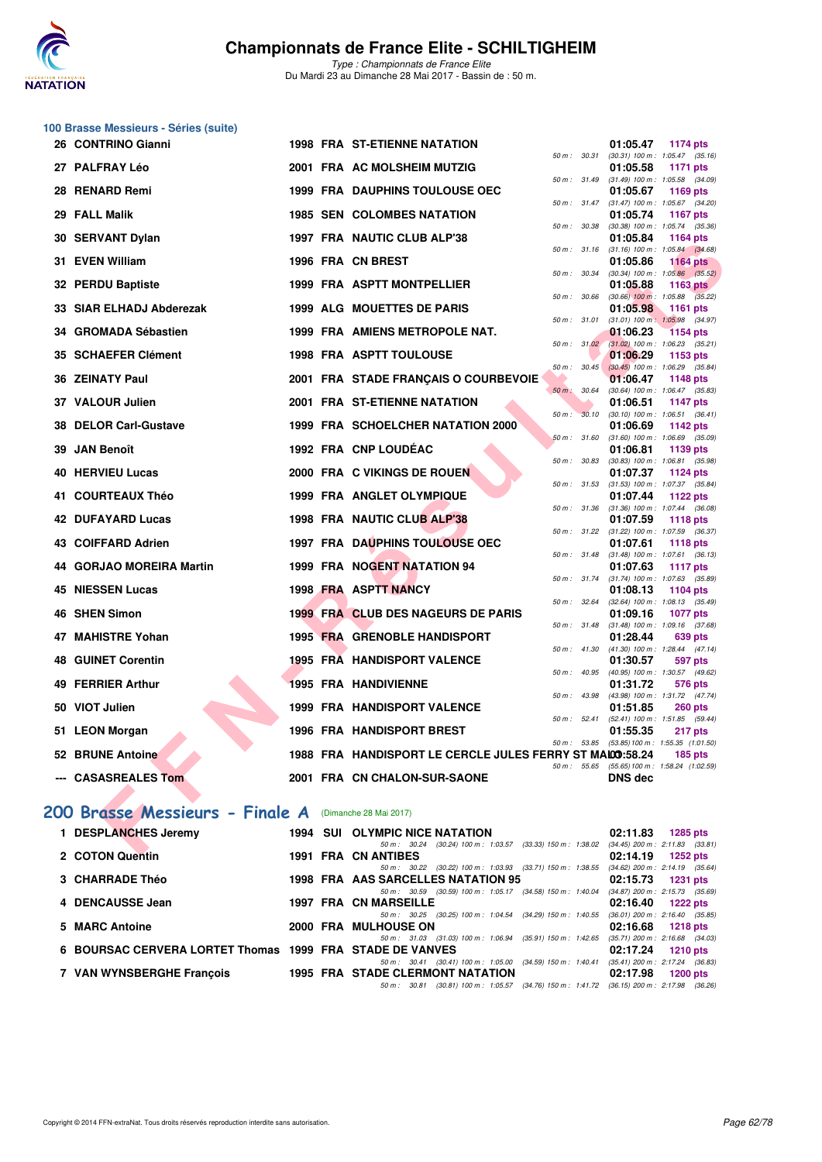

|    | 100 Brasse Messieurs - Séries (suite) |        |      |                                                                                                        |                  |       |                                                                |                                                        |
|----|---------------------------------------|--------|------|--------------------------------------------------------------------------------------------------------|------------------|-------|----------------------------------------------------------------|--------------------------------------------------------|
|    | 26 CONTRINO Gianni                    |        |      | <b>1998 FRA ST-ETIENNE NATATION</b>                                                                    |                  |       | 01:05.47                                                       | 1174 pts                                               |
|    | 27 PALFRAY Léo                        |        |      | 2001 FRA AC MOLSHEIM MUTZIG                                                                            | 50 m : 30.31     |       | $(30.31)$ 100 m : 1:05.47 $(35.16)$<br>01:05.58                | 1171 pts                                               |
|    | 28 RENARD Remi                        |        |      | <b>1999 FRA DAUPHINS TOULOUSE OEC</b>                                                                  | 50 m : 31.49     |       | $(31.49)$ 100 m : 1:05.58 $(34.09)$<br>01:05.67                | 1169 pts                                               |
|    | 29 FALL Malik                         |        |      | <b>1985 SEN COLOMBES NATATION</b>                                                                      | $50 m$ : $31.47$ |       | $(31.47)$ 100 m : 1:05.67 $(34.20)$<br>01:05.74                | <b>1167 pts</b>                                        |
|    | 30 SERVANT Dylan                      |        |      | 1997 FRA NAUTIC CLUB ALP'38                                                                            | 50 m : 30.38     |       | 01:05.84                                                       | $(30.38)$ 100 m : 1:05.74 $(35.36)$<br><b>1164 pts</b> |
|    | 31 EVEN William                       |        |      | 1996 FRA CN BREST                                                                                      | 50 m : 31.16     |       | $(31.16)$ 100 m : 1:05.84 $(34.68)$<br>01:05.86                | <b>1164 pts</b>                                        |
|    | 32 PERDU Baptiste                     |        |      | <b>1999 FRA ASPTT MONTPELLIER</b>                                                                      | 50 m : 30.34     |       | 01:05.88                                                       | $(30.34)$ 100 m : 1:05.86 $(35.52)$<br><b>1163 pts</b> |
|    | 33 SIAR ELHADJ Abderezak              |        |      | 1999 ALG MOUETTES DE PARIS                                                                             | 50 m : 30.66     |       | 01:05.98                                                       | $(30.66)$ 100 m : 1:05.88 $(35.22)$<br>1161 pts        |
|    | 34 GROMADA Sébastien                  |        |      | 1999 FRA AMIENS METROPOLE NAT.                                                                         | 50 m: 31.01      |       | $(31.01)$ 100 m : 1:05.98 $(34.97)$<br>01:06.23                | <b>1154 pts</b>                                        |
|    | 35 SCHAEFER Clément                   |        |      | <b>1998 FRA ASPTT TOULOUSE</b>                                                                         | 50 m: 31.02      |       | $(31.02)$ 100 m : 1:06.23 $(35.21)$<br>01:06.29                | 1153 pts                                               |
|    | 36 ZEINATY Paul                       |        |      | 2001 FRA STADE FRANÇAIS O COURBEVOIE                                                                   | 50 m: 30.45      |       | 01:06.47                                                       | $(30.45)$ 100 m : 1:06.29 $(35.84)$                    |
|    |                                       |        |      |                                                                                                        | $50 m$ :         | 30.64 | (30.64) 100 m: 1:06.47 (35.83)                                 | 1148 pts                                               |
|    | 37 VALOUR Julien                      |        |      | 2001 FRA ST-ETIENNE NATATION                                                                           | 50 m: 30.10      |       | 01:06.51                                                       | <b>1147 pts</b><br>$(30.10)$ 100 m : 1:06.51 $(36.41)$ |
|    | <b>38 DELOR Carl-Gustave</b>          |        |      | 1999 FRA SCHOELCHER NATATION 2000                                                                      | 50 m: 31.60      |       | 01:06.69                                                       | 1142 pts<br>$(31.60)$ 100 m : 1:06.69 $(35.09)$        |
|    | 39 JAN Benoît                         |        |      | 1992 FRA CNP LOUDÉAC                                                                                   | 50 m : 30.83     |       | 01:06.81<br>$(30.83)$ 100 m : 1:06.81 $(35.98)$                | 1139 pts                                               |
|    | 40 HERVIEU Lucas                      |        |      | 2000 FRA C VIKINGS DE ROUEN                                                                            | 50 m: 31.53      |       | 01:07.37                                                       | <b>1124 pts</b>                                        |
|    | 41 COURTEAUX Théo                     |        |      | 1999 FRA ANGLET OLYMPIQUE                                                                              |                  |       | $(31.53)$ 100 m : 1:07.37 $(35.84)$<br>01:07.44                | 1122 pts                                               |
|    | 42 DUFAYARD Lucas                     |        |      | 1998 FRA NAUTIC CLUB ALP'38                                                                            | 50 m : 31.36     |       | $(31.36)$ 100 m : 1:07.44 $(36.08)$<br>01:07.59                | <b>1118 pts</b>                                        |
|    | 43 COIFFARD Adrien                    |        |      | <b>1997 FRA DAUPHINS TOULOUSE OEC</b>                                                                  | 50 m : 31.22     |       | $(31.22)$ 100 m : 1:07.59 $(36.37)$<br>01:07.61                | 1118 pts                                               |
|    | 44 GORJAO MOREIRA Martin              |        |      | 1999 FRA NOGENT NATATION 94                                                                            | 50 m : 31.48     |       | $(31.48)$ 100 m : 1:07.61 $(36.13)$<br>01:07.63                | <b>1117 pts</b>                                        |
|    | 45 NIESSEN Lucas                      |        |      | 1998 FRA ASPTT NANCY                                                                                   |                  |       | 50 m: 31.74 (31.74) 100 m: 1:07.63 (35.89)<br>01:08.13         | 1104 pts                                               |
|    | 46 SHEN Simon                         |        |      | <b>1999 FRA CLUB DES NAGEURS DE PARIS</b>                                                              | 50 m : 32.64     |       | 01:09.16                                                       | (32.64) 100 m: 1:08.13 (35.49)<br><b>1077 pts</b>      |
| 47 | <b>MAHISTRE Yohan</b>                 |        |      | <b>1995 FRA GRENOBLE HANDISPORT</b>                                                                    | 50 m : 31.48     |       | $(31.48)$ 100 m : 1:09.16 $(37.68)$<br>01:28.44                | 639 pts                                                |
|    | <b>48 GUINET Corentin</b>             |        |      | 1995 FRA HANDISPORT VALENCE                                                                            | 50 m : 41.30     |       | (41.30) 100 m: 1:28.44 (47.14)                                 |                                                        |
|    |                                       |        |      |                                                                                                        | 50 m : 40.95     |       | 01:30.57<br>(40.95) 100 m: 1:30.57 (49.62)                     | 597 pts                                                |
|    | 49 FERRIER Arthur                     |        |      | <b>1995 FRA HANDIVIENNE</b>                                                                            |                  |       | 01:31.72<br>50 m: 43.98 (43.98) 100 m: 1:31.72 (47.74)         | 576 pts                                                |
|    | 50 VIOT Julien                        |        |      | 1999 FRA HANDISPORT VALENCE                                                                            | 50 m: 52.41      |       | 01:51.85                                                       | <b>260 pts</b><br>(52.41) 100 m: 1:51.85 (59.44)       |
|    | 51 LEON Morgan                        |        |      | <b>1996 FRA HANDISPORT BREST</b>                                                                       |                  |       | 01:55.35<br>50 m : 53.85 (53.85) 100 m : 1:55.35 (1:01.50)     | 217 pts                                                |
|    | 52 BRUNE Antoine                      |        |      | 1988 FRA HANDISPORT LE CERCLE JULES FERRY ST MALO0:58.24                                               |                  |       |                                                                | $185$ pts                                              |
|    | --- CASASREALES Tom                   |        |      | 2001 FRA CN CHALON-SUR-SAONE                                                                           |                  |       | 50 m: 55.65 (55.65) 100 m: 1:58.24 (1:02.59)<br><b>DNS</b> dec |                                                        |
|    | 200 Brasse Messieurs - Finale A       |        |      | (Dimanche 28 Mai 2017)                                                                                 |                  |       |                                                                |                                                        |
|    | 1 DESPLANCHES Jeremy                  |        |      | <b>1994 SUI OLYMPIC NICE NATATION</b>                                                                  |                  |       | 02:11.83                                                       | 1285 pts                                               |
|    | COTONC                                | - 1004 | ED A | 50 m: 30.24 (30.24) 100 m: 1:03.57 (33.33) 150 m: 1:38.02 (34.45) 200 m: 2:11.83 (33.81)<br>CH ANTIDEC |                  |       | <b>00.44.40</b>                                                |                                                        |

|                                                          |  |                                         | (33.61) 70.111. 30.24 (39.61) 70.02 (33.33) 700 III . 1.38.02 (34.45) 700 III . 2.11.83 (33.81 |  |                                     |  |
|----------------------------------------------------------|--|-----------------------------------------|------------------------------------------------------------------------------------------------|--|-------------------------------------|--|
| 2 COTON Quentin                                          |  | <b>1991 FRA CN ANTIBES</b>              |                                                                                                |  | $02:14.19$ 1252 pts                 |  |
|                                                          |  |                                         | 50 m: 30.22 (30.22) 100 m: 1:03.93 (33.71) 150 m: 1:38.55 (34.62) 200 m: 2:14.19 (35.64)       |  |                                     |  |
| <b>3 CHARRADE Théo</b>                                   |  | 1998 FRA AAS SARCELLES NATATION 95      |                                                                                                |  | $02:15.73$ 1231 pts                 |  |
|                                                          |  |                                         | 50 m : 30.59 (30.59) 100 m : 1:05.17 (34.58) 150 m : 1:40.04                                   |  | $(34.87)$ 200 m : 2:15.73 $(35.69)$ |  |
| 4 DENCAUSSE Jean                                         |  | 1997 FRA CN MARSEILLE                   |                                                                                                |  | $02:16.40$ 1222 pts                 |  |
|                                                          |  |                                         | 50 m: 30.25 (30.25) 100 m: 1:04.54 (34.29) 150 m: 1:40.55                                      |  | $(36.01)$ 200 m : 2:16.40 $(35.85)$ |  |
| 5 MARC Antoine                                           |  | 2000 FRA MULHOUSE ON                    |                                                                                                |  | $02:16.68$ 1218 pts                 |  |
|                                                          |  |                                         | 50 m: 31.03 (31.03) 100 m: 1:06.94 (35.91) 150 m: 1:42.65                                      |  | $(35.71)$ 200 m : 2:16.68 $(34.03)$ |  |
| 6 BOURSAC CERVERA LORTET Thomas 1999 FRA STADE DE VANVES |  |                                         |                                                                                                |  | $02:17.24$ 1210 pts                 |  |
|                                                          |  |                                         | 50 m: 30.41 (30.41) 100 m: 1:05.00 (34.59) 150 m: 1:40.41 (35.41) 200 m: 2:17.24 (36.83)       |  |                                     |  |
| 7 VAN WYNSBERGHE Francois                                |  | <b>1995 FRA STADE CLERMONT NATATION</b> |                                                                                                |  | 02:17.98 1200 pts                   |  |
|                                                          |  | 50 m : 30.81                            | $(30.81)$ 100 m : 1:05.57 $(34.76)$ 150 m : 1:41.72 $(36.15)$ 200 m : 2:17.98 $(36.26)$        |  |                                     |  |
|                                                          |  |                                         |                                                                                                |  |                                     |  |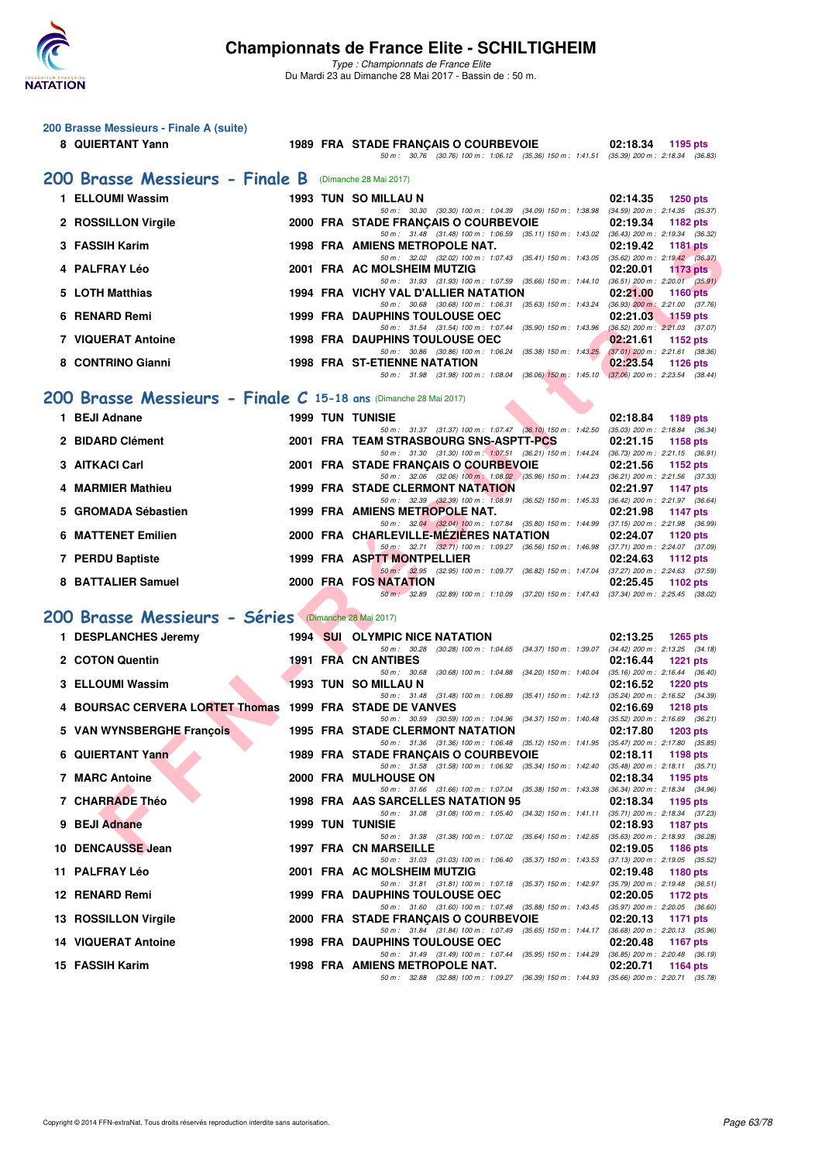

| 200 Brasse Messieurs - Finale A (suite) |                                                                  |  |  |                                                                                                                                     |                                                                                        |  |  |  |  |
|-----------------------------------------|------------------------------------------------------------------|--|--|-------------------------------------------------------------------------------------------------------------------------------------|----------------------------------------------------------------------------------------|--|--|--|--|
|                                         | 8 QUIERTANT Yann                                                 |  |  | 1989 FRA STADE FRANCAIS O COURBEVOIE                                                                                                | 02:18.34<br>1195 pts                                                                   |  |  |  |  |
|                                         |                                                                  |  |  | 50 m: 30.76 (30.76) 100 m: 1:06.12 (35.36) 150 m: 1:41.51 (35.39) 200 m: 2:18.34 (36.83)                                            |                                                                                        |  |  |  |  |
|                                         | 200 Brasse Messieurs - Finale B                                  |  |  | (Dimanche 28 Mai 2017)                                                                                                              |                                                                                        |  |  |  |  |
|                                         | 1 ELLOUMI Wassim                                                 |  |  | 1993 TUN SO MILLAU N<br>50 m: 30.30 (30.30) 100 m: 1:04.39 (34.09) 150 m: 1:38.98 (34.59) 200 m: 2:14.35 (35.37)                    | 02:14.35<br><b>1250 pts</b>                                                            |  |  |  |  |
|                                         | 2 ROSSILLON Virgile                                              |  |  | 2000 FRA STADE FRANÇAIS O COURBEVOIE                                                                                                | 02:19.34<br>1182 pts                                                                   |  |  |  |  |
|                                         | 3 FASSIH Karim                                                   |  |  | 50 m: 31.48 (31.48) 100 m: 1:06.59 (35.11) 150 m: 1:43.02 (36.43) 200 m: 2:19.34 (36.32)<br>1998 FRA AMIENS METROPOLE NAT.          | 02:19.42<br><b>1181 pts</b>                                                            |  |  |  |  |
|                                         | 4 PALFRAY Léo                                                    |  |  | 50 m: 32.02 (32.02) 100 m: 1:07.43 (35.41) 150 m: 1:43.05 (35.62) 200 m: 2:19.42 (36.37)<br>2001 FRA AC MOLSHEIM MUTZIG             | 02:20.01<br>$1173$ pts                                                                 |  |  |  |  |
|                                         | 5 LOTH Matthias                                                  |  |  | 50 m: 31.93 (31.93) 100 m: 1:07.59 (35.66) 150 m: 1:44.10 (36.51) 200 m: 2:20.01 (35.91)<br>1994 FRA VICHY VAL D'ALLIER NATATION    | 02:21.00                                                                               |  |  |  |  |
|                                         |                                                                  |  |  | 50 m: 30.68 (30.68) 100 m: 1:06.31 (35.63) 150 m: 1:43.24 (36.93) 200 m: 2:21.00 (37.76)                                            | <b>1160 pts</b>                                                                        |  |  |  |  |
|                                         | 6 RENARD Remi                                                    |  |  | <b>1999 FRA DAUPHINS TOULOUSE OEC</b><br>50 m: 31.54 (31.54) 100 m: 1:07.44 (35.90) 150 m: 1:43.96 (36.52) 200 m: 2:21.03 (37.07)   | 02:21.03<br>$1159$ pts                                                                 |  |  |  |  |
|                                         | 7 VIQUERAT Antoine                                               |  |  | <b>1998 FRA DAUPHINS TOULOUSE OEC</b><br>50 m: 30.86 (30.86) 100 m: 1:06.24 (35.38) 150 m: 1:43.25 (37.01) 200 m: 2:21.61 (38.36)   | 02:21.61<br>1152 pts                                                                   |  |  |  |  |
|                                         | 8 CONTRINO Gianni                                                |  |  | <b>1998 FRA ST-ETIENNE NATATION</b>                                                                                                 | 02:23.54<br>1126 $pts$                                                                 |  |  |  |  |
|                                         |                                                                  |  |  | 50 m: 31.98 (31.98) 100 m: 1:08.04 (36.06) 150 m: 1:45.10 (37.06) 200 m: 2:23.54 (38.44)                                            |                                                                                        |  |  |  |  |
|                                         | 200 Brasse Messieurs - Finale C 15-18 ans (Dimanche 28 Mai 2017) |  |  |                                                                                                                                     |                                                                                        |  |  |  |  |
|                                         | 1 BEJI Adnane                                                    |  |  | <b>1999 TUN TUNISIE</b><br>50 m: 31.37 (31.37) 100 m: 1:07.47 (36.10) 150 m: 1:42.50                                                | 02:18.84<br>1189 pts<br>$(35.03)$ 200 m : 2:18.84 $(36.34)$                            |  |  |  |  |
|                                         | 2 BIDARD Clément                                                 |  |  | 2001 FRA TEAM STRASBOURG SNS-ASPTT-PCS                                                                                              | 02:21.15<br>1158 pts                                                                   |  |  |  |  |
|                                         | 3 AITKACI Carl                                                   |  |  | 50 m: 31.30 (31.30) 100 m: 1:07.51 (36.21) 150 m: 1:44.24 (36.73) 200 m: 2:21.15 (36.91)<br>2001 FRA STADE FRANÇAIS O COURBEVOIE    | 02:21.56<br>1152 pts                                                                   |  |  |  |  |
|                                         | 4 MARMIER Mathieu                                                |  |  | 50 m: 32.06 (32.06) 100 m: 1:08.02 (35.96) 150 m: 1:44.23 (36.21) 200 m: 2:21.56 (37.33)<br><b>1999 FRA STADE CLERMONT NATATION</b> | 02:21.97<br><b>1147 pts</b>                                                            |  |  |  |  |
| 5                                       | <b>GROMADA Sébastien</b>                                         |  |  | 50 m: 32.39 (32.39) 100 m: 1.08.91 (36.52) 150 m: 1.45.33 (36.42) 200 m: 2.21.97 (36.64)<br>1999 FRA AMIENS METROPOLE NAT.          | 02:21.98<br><b>1147 pts</b>                                                            |  |  |  |  |
|                                         |                                                                  |  |  | 50 m: 32.04 (32.04) 100 m: 1:07.84 (35.80) 150 m: 1:44.99 (37.15) 200 m: 2:21.98 (36.99)                                            |                                                                                        |  |  |  |  |
|                                         | <b>6 MATTENET Emilien</b>                                        |  |  | 2000 FRA CHARLEVILLE-MEZIERES NATATION<br>50 m: 32.71 (32.71) 100 m: 1:09.27 (36.56) 150 m: 1:46.98 (37.71) 200 m: 2:24.07 (37.09)  | 02:24.07<br>1120 pts                                                                   |  |  |  |  |
|                                         | 7 PERDU Baptiste                                                 |  |  | 1999 FRA ASPTT MONTPELLIER<br>50 m: 32.95 (32.95) 100 m: 1.09.77 (36.82) 150 m: 1.47.04 (37.27) 200 m: 2:24.63 (37.59)              | 02:24.63<br>1112 pts                                                                   |  |  |  |  |
|                                         | 8 BATTALIER Samuel                                               |  |  | 2000 FRA FOS NATATION                                                                                                               | 02:25.45<br>1102 $pts$                                                                 |  |  |  |  |
|                                         |                                                                  |  |  | 50 m: 32.89 (32.89) 100 m: 1:10.09 (37.20) 150 m: 1:47.43 (37.34) 200 m: 2:25.45 (38.02)                                            |                                                                                        |  |  |  |  |
|                                         | 200 Brasse Messieurs - Séries (Dimanche 28 Mai 2017)             |  |  |                                                                                                                                     |                                                                                        |  |  |  |  |
|                                         | 1 DESPLANCHES Jeremy                                             |  |  | 1994 SUI OLYMPIC NICE NATATION<br>50 m : 30.28 (30.28) 100 m : 1:04.65 (34.37) 150 m : 1:39.07                                      | 02:13.25<br><b>1265 pts</b><br>$(34.42)$ 200 m : 2:13.25 $(34.18)$                     |  |  |  |  |
|                                         | 2 COTON Quentin                                                  |  |  | <b>1991 FRA CN ANTIBES</b>                                                                                                          | 02:16.44<br><b>1221 pts</b>                                                            |  |  |  |  |
|                                         | 3 ELLOUMI Wassim                                                 |  |  | 50 m: 30.68<br>(30.68) 100 m : 1:04.88 (34.20) 150 m : 1:40.04<br>1993 TUN SO MILLAU N                                              | $(35.16)$ 200 m : 2:16.44 $(36.40)$<br>02:16.52<br><b>1220 pts</b>                     |  |  |  |  |
|                                         | 4 BOURSAC CERVERA LORTET Thomas 1999 FRA STADE DE VANVES         |  |  | 50 m: 31.48 (31.48) 100 m: 1:06.89                                                                                                  | (35.41) 150 m : 1:42.13 (35.24) 200 m : 2:16.52 (34.39)<br>02:16.69<br><b>1218 pts</b> |  |  |  |  |
|                                         | 5 VAN WYNSBERGHE François                                        |  |  | 50 m : 30.59 (30.59) 100 m : 1:04.96 (34.37) 150 m : 1:40.48<br><b>1995 FRA STADE CLERMONT NATATION</b>                             | $(35.52)$ 200 m : 2:16.69 $(36.21)$<br>02:17.80<br><b>1203 pts</b>                     |  |  |  |  |
|                                         |                                                                  |  |  | 50 m: 31.36 (31.36) 100 m: 1:06.48 (35.12) 150 m: 1:41.95 (35.47) 200 m: 2:17.80 (35.85)                                            |                                                                                        |  |  |  |  |
|                                         | 6 QUIERTANT Yann                                                 |  |  | 1989 FRA STADE FRANÇAIS O COURBEVOIE<br>50 m: 31.58 (31.58) 100 m: 1:06.92 (35.34) 150 m: 1:42.40 (35.48) 200 m: 2:18.11 (35.71)    | 02:18.11<br>1198 pts                                                                   |  |  |  |  |
|                                         | <b>7 MARC Antoine</b>                                            |  |  | 2000 FRA MULHOUSE ON<br>50 m: 31.66 (31.66) 100 m: 1:07.04 (35.38) 150 m: 1:43.38 (36.34) 200 m: 2:18.34 (34.96)                    | 02:18.34<br>1195 pts                                                                   |  |  |  |  |
|                                         | 7 CHARRADE Théo                                                  |  |  | 1998 FRA AAS SARCELLES NATATION 95                                                                                                  | 02:18.34<br>1195 pts                                                                   |  |  |  |  |
|                                         | 9 BEJI Adnane                                                    |  |  | 50 m: 31.08 (31.08) 100 m: 1:05.40 (34.32) 150 m: 1:41.11<br><b>1999 TUN TUNISIE</b>                                                | (35.71) 200 m : 2:18.34 (37.23)<br>02:18.93<br><b>1187 pts</b>                         |  |  |  |  |
|                                         | 10 DENCAUSSE Jean                                                |  |  | 50 m: 31.38 (31.38) 100 m: 1:07.02 (35.64) 150 m: 1:42.65<br>1997 FRA CN MARSEILLE                                                  | $(35.63)$ 200 m : 2:18.93 $(36.28)$<br>02:19.05<br>1186 pts                            |  |  |  |  |
|                                         | 11 PALFRAY Léo                                                   |  |  | 50 m: 31.03 (31.03) 100 m: 1:06.40 (35.37) 150 m: 1:43.53<br>2001 FRA AC MOLSHEIM MUTZIG                                            | $(37.13)$ 200 m : 2:19.05 $(35.52)$<br>02:19.48<br>1180 pts                            |  |  |  |  |
|                                         |                                                                  |  |  | 50 m: 31.81 (31.81) 100 m: 1:07.18 (35.37) 150 m: 1:42.97 (35.79) 200 m: 2:19.48 (36.51)                                            |                                                                                        |  |  |  |  |
|                                         | 12 RENARD Remi                                                   |  |  | 1999 FRA DAUPHINS TOULOUSE OEC<br>50 m : 31.60 (31.60) 100 m : 1:07.48 (35.88) 150 m : 1:43.45 (35.97) 200 m : 2:20.05 (36.60)      | 02:20.05<br>1172 pts                                                                   |  |  |  |  |
|                                         | 13 ROSSILLON Virgile                                             |  |  | 2000 FRA STADE FRANÇAIS O COURBEVOIE<br>50 m: 31.84 (31.84) 100 m: 1:07.49 (35.65) 150 m: 1:44.17 (36.68) 200 m: 2:20.13 (35.96)    | 02:20.13<br>1171 pts                                                                   |  |  |  |  |
|                                         | <b>14 VIQUERAT Antoine</b>                                       |  |  | <b>1998 FRA DAUPHINS TOULOUSE OEC</b><br>50 m: 31.49 (31.49) 100 m: 1:07.44 (35.95) 150 m: 1:44.29                                  | 02:20.48<br><b>1167 pts</b>                                                            |  |  |  |  |
|                                         | 15 FASSIH Karim                                                  |  |  | 1998 FRA AMIENS METROPOLE NAT.                                                                                                      | (36.85) 200 m : 2:20.48 (36.19)<br>02:20.71<br>1164 pts                                |  |  |  |  |
|                                         |                                                                  |  |  | 50 m: 32.88 (32.88) 100 m: 1:09.27 (36.39) 150 m: 1:44.93 (35.66) 200 m: 2:20.71 (35.78)                                            |                                                                                        |  |  |  |  |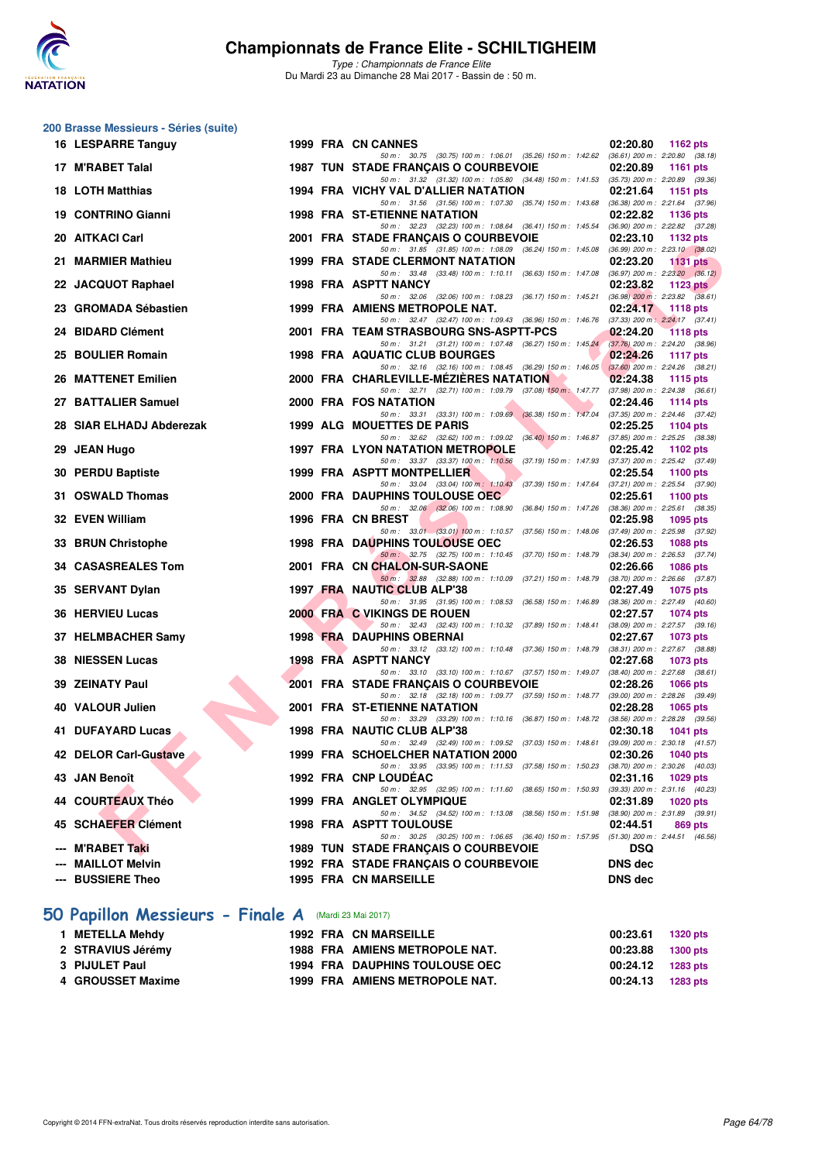

| 200 Brasse Messieurs - Séries (suite)                |  |  |                                                                                                                                                                                                                                     |                                                                                                            |  |  |  |  |
|------------------------------------------------------|--|--|-------------------------------------------------------------------------------------------------------------------------------------------------------------------------------------------------------------------------------------|------------------------------------------------------------------------------------------------------------|--|--|--|--|
| 16 LESPARRE Tanguy                                   |  |  | 1999 FRA CN CANNES                                                                                                                                                                                                                  | 02:20.80<br>1162 pts                                                                                       |  |  |  |  |
| 17 M'RABET Talal                                     |  |  | 50 m: 30.75 (30.75) 100 m: 1:06.01 (35.26) 150 m: 1:42.62 (36.61) 200 m: 2:20.80 (38.18)<br><b>1987 TUN STADE FRANCAIS O COURBEVOIE</b><br>50 m: 31.32 (31.32) 100 m: 1:05.80 (34.48) 150 m: 1:41.53 (35.73) 200 m: 2:20.89 (39.36) | 02:20.89<br><b>1161 pts</b>                                                                                |  |  |  |  |
| <b>18 LOTH Matthias</b>                              |  |  | 1994 FRA VICHY VAL D'ALLIER NATATION                                                                                                                                                                                                | 02:21.64<br>1151 pts                                                                                       |  |  |  |  |
| 19 CONTRINO Gianni                                   |  |  | 50 m: 31.56 (31.56) 100 m: 1:07.30 (35.74) 150 m: 1:43.68<br><b>1998 FRA ST-ETIENNE NATATION</b>                                                                                                                                    | $(36.38)$ 200 m : 2:21.64 $(37.96)$<br>02:22.82<br>1136 pts                                                |  |  |  |  |
| 20 AITKACI Carl                                      |  |  | 50 m : 32.23 (32.23) 100 m : 1:08.64 (36.41) 150 m : 1:45.54<br>2001 FRA STADE FRANÇAIS O COURBEVOIE                                                                                                                                | (36.90) 200 m : 2:22.82 (37.28)<br>02:23.10<br>1132 pts                                                    |  |  |  |  |
| 21 MARMIER Mathieu                                   |  |  | 50 m: 31.85 (31.85) 100 m: 1:08.09 (36.24) 150 m: 1:45.08<br><b>1999 FRA STADE CLERMONT NATATION</b>                                                                                                                                | $(36.99)$ 200 m : 2:23.10 $(38.02)$<br>02:23.20<br><b>1131 pts</b>                                         |  |  |  |  |
| 22 JACQUOT Raphael                                   |  |  | 50 m : 33.48 (33.48) 100 m : 1:10.11 (36.63) 150 m : 1:47.08<br>1998 FRA ASPTT NANCY<br>50 m : 32.06 (32.06) 100 m : 1:08.23 (36.17) 150 m : 1:45.21                                                                                | $(36.97)$ 200 m : 2:23.20 $(36.12)$<br>02:23.82<br>1123 $pts$<br>$(36.98)$ 200 m : 2:23.82 $(38.61)$       |  |  |  |  |
| 23 GROMADA Sébastien                                 |  |  | 1999 FRA AMIENS METROPOLE NAT.<br>50 m: 32.47 (32.47) 100 m: 1:09.43 (36.96) 150 m: 1:46.76 (37.33) 200 m: 2:24.17 (37.41)                                                                                                          | 02:24.17<br><b>1118 pts</b>                                                                                |  |  |  |  |
| 24 BIDARD Clément                                    |  |  | 2001 FRA TEAM STRASBOURG SNS-ASPTT-PCS<br>50 m: 31.21 (31.21) 100 m: 1:07.48 (36.27) 150 m: 1:45.24 (37.76) 200 m: 2:24.20 (38.96)                                                                                                  | 02:24.20<br><b>1118 pts</b>                                                                                |  |  |  |  |
| 25 BOULIER Romain                                    |  |  | <b>1998 FRA AQUATIC CLUB BOURGES</b><br>50 m: 32.16 (32.16) 100 m: 1:08.45 (36.29) 150 m: 1:46.05                                                                                                                                   | 02:24.26<br><b>1117 pts</b>                                                                                |  |  |  |  |
| 26 MATTENET Emilien                                  |  |  | 2000 FRA CHARLEVILLE-MEZIERES NATATION                                                                                                                                                                                              | $(37.60)$ 200 m : 2:24.26 $(38.21)$<br>02:24.38<br>1115 pts                                                |  |  |  |  |
| 27 BATTALIER Samuel                                  |  |  | 50 m: 32.71 (32.71) 100 m: 1.09.79 (37.08) 150 m: 1.47.77 (37.98) 200 m: 2.24.38 (36.61)<br>2000 FRA FOS NATATION                                                                                                                   | 02:24.46<br><b>1114 pts</b>                                                                                |  |  |  |  |
| 28 SIAR ELHADJ Abderezak                             |  |  | 50 m: 33.31 (33.31) 100 m: 1:09.69 (36.38) 150 m: 1:47.04<br>1999 ALG MOUETTES DE PARIS                                                                                                                                             | $(37.35)$ 200 m : 2:24.46 $(37.42)$<br>02:25.25<br><b>1104 pts</b>                                         |  |  |  |  |
| 29 JEAN Hugo                                         |  |  | 50 m : 32.62 (32.62) 100 m : 1:09.02 (36.40) 150 m : 1:46.87<br><b>1997 FRA LYON NATATION METROPOLE</b>                                                                                                                             | (37.85) 200 m : 2:25.25 (38.38)<br>02:25.42<br>1102 pts                                                    |  |  |  |  |
| 30 PERDU Baptiste                                    |  |  | 50 m: 33.37 (33.37) 100 m: 1:10.56 (37.19) 150 m: 1:47.93 (37.37) 200 m: 2:25.42 (37.49)<br>1999 FRA ASPTT MONTPELLIER<br>50 m: 33.04 (33.04) 100 m: 1:10.43 (37.39) 150 m: 1:47.64 (37.21) 200 m: 2:25.54 (37.90)                  | 02:25.54<br>1100 pts                                                                                       |  |  |  |  |
| 31 OSWALD Thomas                                     |  |  | 2000 FRA DAUPHINS TOULOUSE OEC<br>50 m : 32.06 (32.06) 100 m : 1:08.90 (36.84) 150 m : 1:47.26                                                                                                                                      | 02:25.61<br><b>1100 pts</b><br>$(38.36) 200$ m : $2:25.61$ $(38.35)$                                       |  |  |  |  |
| 32 EVEN William                                      |  |  | 1996 FRA CN BREST<br>50 m : 33.01 (33.01) 100 m : 1:10.57 (37.56) 150 m : 1:48.06                                                                                                                                                   | 02:25.98<br>1095 pts                                                                                       |  |  |  |  |
| 33 BRUN Christophe                                   |  |  | <b>1998 FRA DAUPHINS TOULOUSE OEC</b>                                                                                                                                                                                               | (37.49) 200 m : 2:25.98 (37.92)<br>02:26.53<br>1088 pts                                                    |  |  |  |  |
| 34 CASASREALES Tom                                   |  |  | 50 m : 32.75 (32.75) 100 m : 1:10.45 (37.70) 150 m : 1:48.79<br>2001 FRA CN CHALON-SUR-SAONE                                                                                                                                        | (38.34) 200 m : 2:26.53 (37.74)<br>02:26.66<br><b>1086 pts</b>                                             |  |  |  |  |
| 35 SERVANT Dylan                                     |  |  | 50 m : 32.88 (32.88) 100 m : 1:10.09 (37.21) 150 m : 1:48.79<br>1997 FRA NAUTIC CLUB ALP'38<br>50 m: 31.95 (31.95) 100 m: 1:08.53 (36.58) 150 m: 1:46.89                                                                            | $(38.70)$ 200 m : 2:26.66 $(37.87)$<br>02:27.49<br>1075 pts<br>$(38.36) 200 \text{ m}$ : 2:27.49 $(40.60)$ |  |  |  |  |
| 36 HERVIEU Lucas                                     |  |  | 2000 FRA C VIKINGS DE ROUEN<br>50 m: 32.43 (32.43) 100 m: 1:10.32 (37.89) 150 m: 1:48.41                                                                                                                                            | 02:27.57<br><b>1074 pts</b><br>$(38.09)$ 200 m : 2:27.57 $(39.16)$                                         |  |  |  |  |
| 37 HELMBACHER Samy                                   |  |  | <b>1998 FRA DAUPHINS OBERNAI</b><br>50 m: 33.12 (33.12) 100 m: 1:10.48 (37.36) 150 m: 1:48.79                                                                                                                                       | 02:27.67<br>1073 pts<br>(38.31) 200 m : 2:27.67 (38.88)                                                    |  |  |  |  |
| <b>38 NIESSEN Lucas</b>                              |  |  | <b>1998 FRA ASPTT NANCY</b>                                                                                                                                                                                                         | 02:27.68<br>1073 pts<br>$(38.40)$ 200 m : 2:27.68 $(38.61)$                                                |  |  |  |  |
| 39 ZEINATY Paul                                      |  |  | 50 m : 33.10 (33.10) 100 m : 1:10.67 (37.57) 150 m : 1:49.07<br>2001 FRA STADE FRANÇAIS O COURBEVOIE                                                                                                                                | 02:28.26<br>1066 pts                                                                                       |  |  |  |  |
| 40 VALOUR Julien                                     |  |  | 50 m: 32.18 (32.18) 100 m: 1:09.77 (37.59) 150 m: 1:48.77 (39.00) 200 m: 2:28.26 (39.49)<br>2001 FRA ST-ETIENNE NATATION<br>50 m : 33.29 (33.29) 100 m : 1:10.16 (36.87) 150 m : 1:48.72                                            | 02:28.28<br>1065 pts<br>$(38.56)$ 200 m : 2:28.28 $(39.56)$                                                |  |  |  |  |
| 41 DUFAYARD Lucas                                    |  |  | 1998 FRA NAUTIC CLUB ALP'38                                                                                                                                                                                                         | 02:30.18<br><b>1041 pts</b>                                                                                |  |  |  |  |
| 42 DELOR Carl-Gustave                                |  |  | 50 m : 32.49 (32.49) 100 m : 1:09.52 (37.03) 150 m : 1:48.61<br>1999 FRA SCHOELCHER NATATION 2000<br>50 m: 33.95 (33.95) 100 m: 1:11.53 (37.58) 150 m: 1:50.23 (38.70) 200 m: 2:30.26 (40.03)                                       | $(39.09)$ 200 m : 2:30.18 $(41.57)$<br>02:30.26<br>1040 pts                                                |  |  |  |  |
| 43 JAN Benoît                                        |  |  | 1992 FRA CNP LOUDEAC                                                                                                                                                                                                                | 02:31.16<br>1029 pts                                                                                       |  |  |  |  |
| 44 COURTEAUX Théo                                    |  |  | 50 m: 32.95 (32.95) 100 m: 1:11.60 (38.65) 150 m: 1:50.93<br>1999 FRA ANGLET OLYMPIQUE<br>50 m: 34.52 (34.52) 100 m: 1:13.08 (38.56) 150 m: 1:51.98                                                                                 | (39.33) 200 m : 2:31.16 (40.23)<br>02:31.89<br>1020 pts<br>$(38.90)$ 200 m : 2:31.89 $(39.91)$             |  |  |  |  |
| 45 SCHAEFER Clément                                  |  |  | <b>1998 FRA ASPTT TOULOUSE</b>                                                                                                                                                                                                      | 02:44.51<br>869 pts                                                                                        |  |  |  |  |
| M'RABET Taki                                         |  |  | 50 m : 30.25 (30.25) 100 m : 1:06.65 (36.40) 150 m : 1:57.95<br>1989 TUN STADE FRANÇAIS O COURBEVOIE                                                                                                                                | $(51.30)$ 200 m : 2:44.51 $(46.56)$<br><b>DSQ</b>                                                          |  |  |  |  |
| --- MAILLOT Melvin                                   |  |  | 1992 FRA STADE FRANÇAIS O COURBEVOIE                                                                                                                                                                                                | <b>DNS</b> dec                                                                                             |  |  |  |  |
| --- BUSSIERE Theo                                    |  |  | <b>1995 FRA CN MARSEILLE</b>                                                                                                                                                                                                        | DNS dec                                                                                                    |  |  |  |  |
| 50 Papillon Messieurs - Finale A (Mardi 23 Mai 2017) |  |  |                                                                                                                                                                                                                                     |                                                                                                            |  |  |  |  |

| 1 METELLA Mehdy   |  | <b>1992 FRA CN MARSEILLE</b>          | 00:23.61          | 1320 pts |
|-------------------|--|---------------------------------------|-------------------|----------|
| 2 STRAVIUS Jérémy |  | 1988 FRA AMIENS METROPOLE NAT.        | 00:23.88          | 1300 pts |
| 3 PIJULET Paul    |  | <b>1994 FRA DAUPHINS TOULOUSE OEC</b> | 00:24.12 1283 pts |          |
| 4 GROUSSET Maxime |  | 1999 FRA AMIENS METROPOLE NAT.        | 00:24.13          | 1283 pts |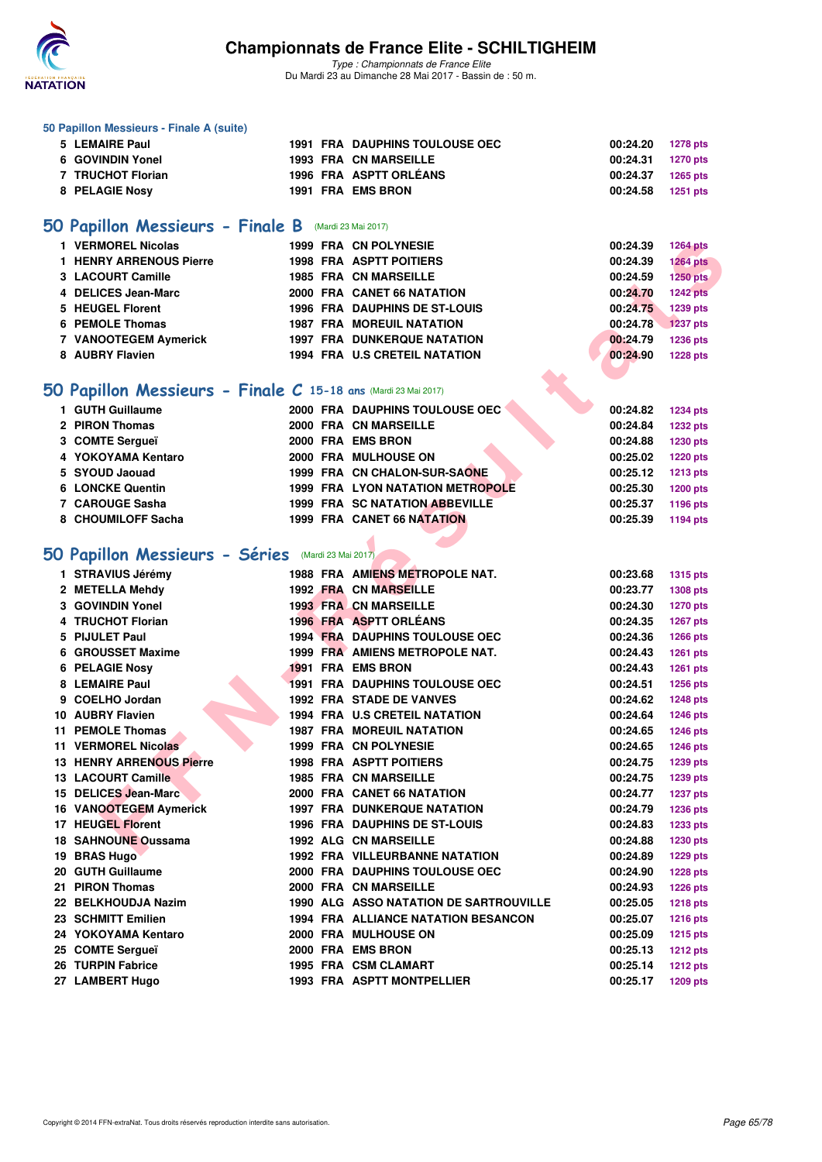

*Type : Championnats de France Elite* Du Mardi 23 au Dimanche 28 Mai 2017 - Bassin de : 50 m.

#### **50 Papillon Messieurs - Finale A (suite)**

| 5 LEMAIRE Paul        |  | <b>1991 FRA DAUPHINS TOULOUSE OEC</b> | 00:24.20 1278 pts |  |
|-----------------------|--|---------------------------------------|-------------------|--|
| 6 GOVINDIN Yonel      |  | <b>1993 FRA CN MARSEILLE</b>          | 00:24.31 1270 pts |  |
| 7 TRUCHOT Florian     |  | 1996 FRA ASPTT ORLÉANS                | 00:24.37 1265 pts |  |
| <b>8 PELAGIE Nosy</b> |  | 1991 FRA EMS BRON                     | 00:24.58 1251 pts |  |
|                       |  |                                       |                   |  |

### **[50 Papillon Messieurs - Finale B](http://www.ffnatation.fr/webffn/resultats.php?idact=nat&go=epr&idcpt=45075&idepr=81)** (Mardi 23 Mai 2017)

| 1 VERMOREL Nicolas      | 1999 FRA CN POLYNESIE                | 00:24.39 | <b>1264 pts</b> |
|-------------------------|--------------------------------------|----------|-----------------|
| 1 HENRY ARRENOUS Pierre | <b>1998 FRA ASPTT POITIERS</b>       | 00:24.39 | <b>1264 pts</b> |
| 3 LACOURT Camille       | <b>1985 FRA CN MARSEILLE</b>         | 00:24.59 | 1250 pts        |
| 4 DELICES Jean-Marc     | 2000 FRA CANET 66 NATATION           | 00:24.70 | <b>1242 pts</b> |
| 5 HEUGEL Florent        | <b>1996 FRA DAUPHINS DE ST-LOUIS</b> | 00:24.75 | 1239 pts        |
| 6 PEMOLE Thomas         | <b>1987 FRA MOREUIL NATATION</b>     | 00:24.78 | <b>1237 pts</b> |
| 7 VANOOTEGEM Aymerick   | <b>1997 FRA DUNKERQUE NATATION</b>   | 00:24.79 | 1236 pts        |
| 8 AUBRY Flavien         | <b>1994 FRA U.S CRETEIL NATATION</b> | 00:24.90 | <b>1228 pts</b> |

### **[50 Papillon Messieurs - Finale C](http://www.ffnatation.fr/webffn/resultats.php?idact=nat&go=epr&idcpt=45075&idepr=81) 15-18 ans** (Mardi 23 Mai 2017)

| 1 GUTH Guillaume        |  |                                                                                                                                                                                                                                                               | 00:24.82 | <b>1234 pts</b> |
|-------------------------|--|---------------------------------------------------------------------------------------------------------------------------------------------------------------------------------------------------------------------------------------------------------------|----------|-----------------|
| 2 PIRON Thomas          |  |                                                                                                                                                                                                                                                               | 00:24.84 | <b>1232 pts</b> |
| 3 COMTE Sergueï         |  |                                                                                                                                                                                                                                                               | 00:24.88 | 1230 pts        |
| 4 YOKOYAMA Kentaro      |  |                                                                                                                                                                                                                                                               | 00:25.02 | <b>1220 pts</b> |
| 5 SYOUD Jaouad          |  |                                                                                                                                                                                                                                                               | 00:25.12 | 1213 pts        |
| <b>6 LONCKE Quentin</b> |  |                                                                                                                                                                                                                                                               | 00:25.30 | <b>1200 pts</b> |
| 7 CAROUGE Sasha         |  |                                                                                                                                                                                                                                                               | 00:25.37 | 1196 pts        |
| 8 CHOUMILOFF Sacha      |  |                                                                                                                                                                                                                                                               | 00:25.39 | 1194 pts        |
|                         |  | 2000 FRA DAUPHINS TOULOUSE OEC<br>2000 FRA CN MARSEILLE<br>2000 FRA EMS BRON<br>2000 FRA MULHOUSE ON<br>1999 FRA CN CHALON-SUR-SAONE<br><b>1999 FRA LYON NATATION METROPOLE</b><br><b>1999 FRA SC NATATION ABBEVILLE</b><br><b>1999 FRA CANET 66 NATATION</b> |          |                 |

### **[50 Papillon Messieurs - Séries](http://www.ffnatation.fr/webffn/resultats.php?idact=nat&go=epr&idcpt=45075&idepr=81)** (Mardi 23 Mai 2017)

| 1 VERMOREL Nicolas                                                    |  | 1999 FRA CN POLYNESIE                      | 00:24.39 | <b>1264 pts</b> |
|-----------------------------------------------------------------------|--|--------------------------------------------|----------|-----------------|
| 1 HENRY ARRENOUS Pierre                                               |  | 1998 FRA ASPTT POITIERS                    | 00:24.39 | <b>1264 pts</b> |
| 3 LACOURT Camille                                                     |  | <b>1985 FRA CN MARSEILLE</b>               | 00:24.59 | $1250$ pts      |
| 4 DELICES Jean-Marc                                                   |  | 2000 FRA CANET 66 NATATION                 | 00:24.70 | <b>1242 pts</b> |
| 5 HEUGEL Florent                                                      |  | <b>1996 FRA DAUPHINS DE ST-LOUIS</b>       | 00:24.75 | 1239 pts        |
| 6 PEMOLE Thomas                                                       |  | <b>1987 FRA MOREUIL NATATION</b>           | 00:24.78 | <b>1237 pts</b> |
| 7 VANOOTEGEM Aymerick                                                 |  | <b>1997 FRA DUNKERQUE NATATION</b>         | 00:24.79 | 1236 pts        |
| 8 AUBRY Flavien                                                       |  | 1994 FRA U.S CRETEIL NATATION              | 00:24.90 | <b>1228 pts</b> |
|                                                                       |  |                                            |          |                 |
| <b>iO Papillon Messieurs - Finale C 15-18 ans (Mardi 23 Mai 2017)</b> |  |                                            |          |                 |
| 1 GUTH Guillaume                                                      |  | 2000 FRA DAUPHINS TOULOUSE OEC             | 00:24.82 | <b>1234 pts</b> |
| 2 PIRON Thomas                                                        |  | 2000 FRA CN MARSEILLE                      | 00:24.84 | <b>1232 pts</b> |
| 3 COMTE Sergueï                                                       |  | 2000 FRA EMS BRON                          | 00:24.88 | 1230 pts        |
| 4 YOKOYAMA Kentaro                                                    |  | 2000 FRA MULHOUSE ON                       | 00:25.02 | 1220 pts        |
| 5 SYOUD Jaouad                                                        |  | 1999 FRA CN CHALON-SUR-SAONE               | 00:25.12 | <b>1213 pts</b> |
| <b>6 LONCKE Quentin</b>                                               |  | <b>1999 FRA LYON NATATION METROPOLE</b>    | 00:25.30 | <b>1200 pts</b> |
| 7 CAROUGE Sasha                                                       |  | <b>1999 FRA SC NATATION ABBEVILLE</b>      | 00:25.37 | 1196 pts        |
| 8 CHOUMILOFF Sacha                                                    |  | <b>1999 FRA CANET 66 NATATION</b>          | 00:25.39 | 1194 pts        |
|                                                                       |  |                                            |          |                 |
| <b>iO Papillon Messieurs - Séries</b> (Mardi 23 Mai 2017)             |  |                                            |          |                 |
| 1 STRAVIUS Jérémy                                                     |  | 1988 FRA AMIENS METROPOLE NAT.             | 00:23.68 | <b>1315 pts</b> |
| 2 METELLA Mehdy                                                       |  | <b>1992 FRA CN MARSEILLE</b>               | 00:23.77 | 1308 pts        |
| 3 GOVINDIN Yonel                                                      |  | <b>1993 FRA CN MARSEILLE</b>               | 00:24.30 | 1270 pts        |
| 4 TRUCHOT Florian                                                     |  | 1996 FRA ASPTT ORLÉANS                     | 00:24.35 | <b>1267 pts</b> |
| 5 PIJULET Paul                                                        |  | <b>1994 FRA DAUPHINS TOULOUSE OEC</b>      | 00:24.36 | <b>1266 pts</b> |
| 6 GROUSSET Maxime                                                     |  | 1999 FRA AMIENS METROPOLE NAT.             | 00:24.43 | <b>1261 pts</b> |
| 6 PELAGIE Nosy                                                        |  | 1991 FRA EMS BRON                          | 00:24.43 | <b>1261 pts</b> |
| 8 LEMAIRE Paul                                                        |  | <b>1991 FRA DAUPHINS TOULOUSE OEC</b>      | 00:24.51 | <b>1256 pts</b> |
| 9 COELHO Jordan                                                       |  | 1992 FRA STADE DE VANVES                   | 00:24.62 | <b>1248 pts</b> |
| 10 AUBRY Flavien                                                      |  | 1994 FRA U.S CRETEIL NATATION              | 00:24.64 | 1246 pts        |
| <b>11 PEMOLE Thomas</b>                                               |  | <b>1987 FRA MOREUIL NATATION</b>           | 00:24.65 | 1246 pts        |
| 11 VERMOREL Nicolas                                                   |  | 1999 FRA CN POLYNESIE                      | 00:24.65 | <b>1246 pts</b> |
| <b>13 HENRY ARRENOUS Pierre</b>                                       |  | <b>1998 FRA ASPTT POITIERS</b>             | 00:24.75 | 1239 pts        |
| 13 LACOURT Camille                                                    |  | <b>1985 FRA CN MARSEILLE</b>               | 00:24.75 | 1239 pts        |
| 15 DELICES Jean-Marc                                                  |  | 2000 FRA CANET 66 NATATION                 | 00:24.77 | <b>1237 pts</b> |
| 16 VANOOTEGEM Aymerick                                                |  | <b>1997 FRA DUNKERQUE NATATION</b>         | 00:24.79 | 1236 pts        |
| <b>17 HEUGEL Florent</b>                                              |  | <b>1996 FRA DAUPHINS DE ST-LOUIS</b>       | 00:24.83 | <b>1233 pts</b> |
| <b>18 SAHNOUNE Oussama</b>                                            |  | 1992 ALG CN MARSEILLE                      | 00:24.88 | 1230 pts        |
| 19 BRAS Hugo                                                          |  | <b>1992 FRA VILLEURBANNE NATATION</b>      | 00:24.89 | <b>1229 pts</b> |
| 20 GUTH Guillaume                                                     |  | 2000 FRA DAUPHINS TOULOUSE OEC             | 00:24.90 | <b>1228 pts</b> |
| 21 PIRON Thomas                                                       |  | 2000 FRA CN MARSEILLE                      | 00:24.93 | <b>1226 pts</b> |
| 22 BELKHOUDJA Nazim                                                   |  | 1990 ALG ASSO NATATION DE SARTROUVILLE     | 00:25.05 | <b>1218 pts</b> |
| 23 SCHMITT Emilien                                                    |  | <b>1994 FRA ALLIANCE NATATION BESANCON</b> | 00:25.07 | <b>1216 pts</b> |
| 24 YOKOYAMA Kentaro                                                   |  | 2000 FRA MULHOUSE ON                       | 00:25.09 | <b>1215 pts</b> |
| 25 COMTE Sergueï                                                      |  | 2000 FRA EMS BRON                          | 00:25.13 | <b>1212 pts</b> |
| 26 TURPIN Fabrice                                                     |  | 1995 FRA CSM CLAMART                       | 00:25.14 | <b>1212 pts</b> |
| 27 LAMBERT Hugo                                                       |  | 1993 FRA ASPTT MONTPELLIER                 | 00:25.17 | <b>1209 pts</b> |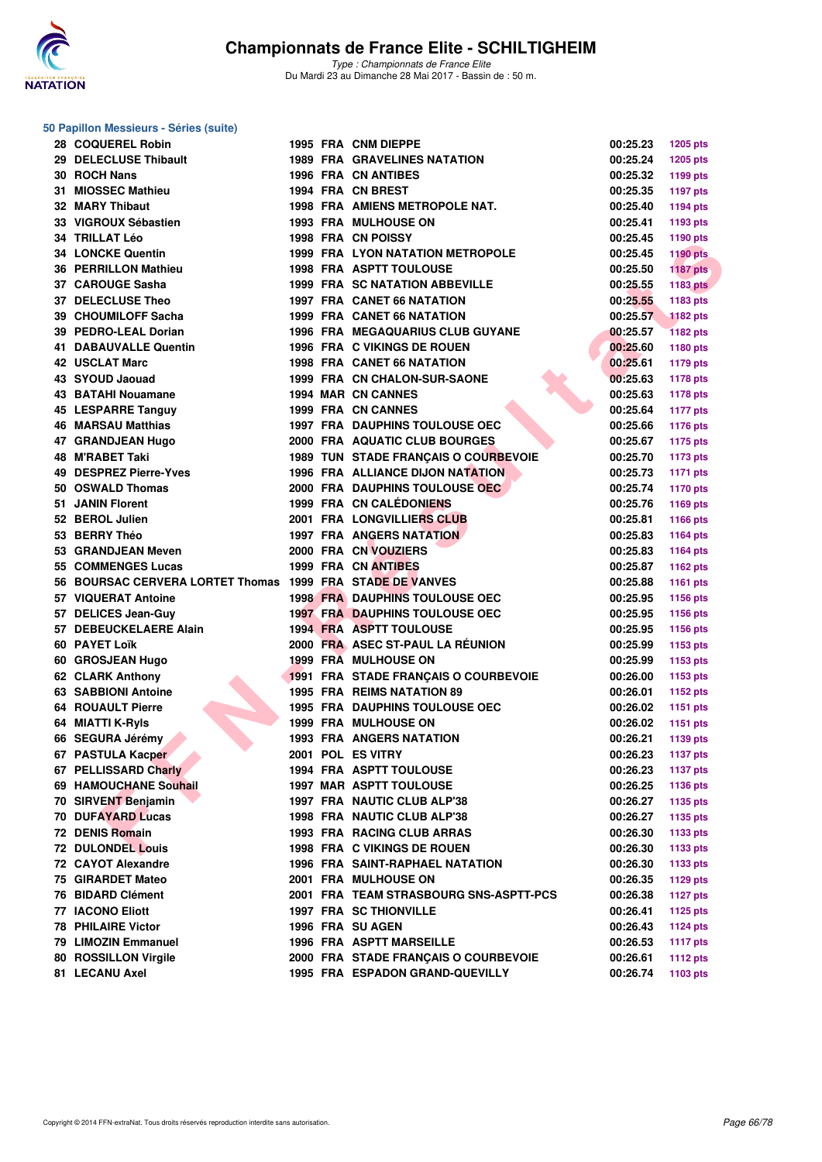

### **50 Papillon Messieurs - Séries (suite)**

| 28 COQUEREL Robin                                         |  | 1995 FRA CNM DIEPPE                     | 00:25.23             | <b>1205 pts</b> |
|-----------------------------------------------------------|--|-----------------------------------------|----------------------|-----------------|
| 29 DELECLUSE Thibault                                     |  | <b>1989 FRA GRAVELINES NATATION</b>     | 00:25.24             | <b>1205 pts</b> |
| 30 ROCH Nans                                              |  | <b>1996 FRA CN ANTIBES</b>              | 00:25.32             | 1199 pts        |
| 31 MIOSSEC Mathieu                                        |  | 1994 FRA CN BREST                       | 00:25.35             | <b>1197 pts</b> |
| <b>32 MARY Thibaut</b>                                    |  | <b>1998 FRA AMIENS METROPOLE NAT.</b>   | 00:25.40             | <b>1194 pts</b> |
| 33 VIGROUX Sébastien                                      |  | <b>1993 FRA MULHOUSE ON</b>             | 00:25.41             | 1193 pts        |
| 34 TRILLAT Léo                                            |  | 1998 FRA CN POISSY                      | 00:25.45             | 1190 pts        |
| <b>34 LONCKE Quentin</b>                                  |  | 1999 FRA LYON NATATION METROPOLE        | 00:25.45             | <b>1190 pts</b> |
| <b>36 PERRILLON Mathieu</b>                               |  | <b>1998 FRA ASPTT TOULOUSE</b>          | 00:25.50             | <b>1187 pts</b> |
| 37 CAROUGE Sasha                                          |  | <b>1999 FRA SC NATATION ABBEVILLE</b>   | 00:25.55             | <b>1183 pts</b> |
| 37 DELECLUSE Theo                                         |  | 1997 FRA CANET 66 NATATION              | 00:25.55             | 1183 pts        |
| 39 CHOUMILOFF Sacha                                       |  | <b>1999 FRA CANET 66 NATATION</b>       | 00:25.57             | <b>1182 pts</b> |
| 39 PEDRO-LEAL Dorian                                      |  | <b>1996 FRA MEGAQUARIUS CLUB GUYANE</b> | 00:25.57             | <b>1182 pts</b> |
| 41 DABAUVALLE Quentin                                     |  | 1996 FRA C VIKINGS DE ROUEN             | 00:25.60             | 1180 pts        |
| <b>42 USCLAT Marc</b>                                     |  | <b>1998 FRA CANET 66 NATATION</b>       | 00:25.61             | <b>1179 pts</b> |
| 43 SYOUD Jaouad                                           |  | 1999 FRA CN CHALON-SUR-SAONE            | 00:25.63             | <b>1178 pts</b> |
| 43 BATAHI Nouamane                                        |  | 1994 MAR CN CANNES                      | 00:25.63             | <b>1178 pts</b> |
| 45 LESPARRE Tanguy                                        |  | 1999 FRA CN CANNES                      | 00:25.64             | <b>1177 pts</b> |
| <b>46 MARSAU Matthias</b>                                 |  | <b>1997 FRA DAUPHINS TOULOUSE OEC</b>   | 00:25.66             | <b>1176 pts</b> |
| 47 GRANDJEAN Hugo                                         |  | 2000 FRA AQUATIC CLUB BOURGES           | 00:25.67             | <b>1175 pts</b> |
| <b>48 M'RABET Taki</b>                                    |  | 1989 TUN STADE FRANÇAIS O COURBEVOIE    | 00:25.70             | <b>1173 pts</b> |
| 49 DESPREZ Pierre-Yves                                    |  | 1996 FRA ALLIANCE DIJON NATATION        | 00:25.73             | <b>1171 pts</b> |
| 50 OSWALD Thomas                                          |  | 2000 FRA DAUPHINS TOULOUSE OEC          | 00:25.74             | <b>1170 pts</b> |
| 51 JANIN Florent                                          |  | 1999 FRA CN CALÉDONIENS                 | 00:25.76             | 1169 pts        |
| 52 BEROL Julien                                           |  | <b>2001 FRA LONGVILLIERS CLUB</b>       | 00:25.81             | 1166 pts        |
| 53 BERRY Théo                                             |  | <b>1997 FRA ANGERS NATATION</b>         | 00:25.83             |                 |
| 53 GRANDJEAN Meven                                        |  | 2000 FRA CN VOUZIERS                    | 00:25.83             | 1164 pts        |
| 55 COMMENGES Lucas                                        |  | 1999 FRA CN ANTIBES                     | 00:25.87             | <b>1164 pts</b> |
| 56 BOURSAC CERVERA LORTET Thomas 1999 FRA STADE DE VANVES |  |                                         |                      | 1162 pts        |
| 57 VIQUERAT Antoine                                       |  | <b>1998 FRA DAUPHINS TOULOUSE OEC</b>   | 00:25.88<br>00:25.95 | 1161 pts        |
|                                                           |  |                                         |                      | 1156 pts        |
| 57 DELICES Jean-Guy                                       |  | <b>1997 FRA DAUPHINS TOULOUSE OEC</b>   | 00:25.95             | 1156 pts        |
| 57 DEBEUCKELAERE Alain                                    |  | <b>1994 FRA ASPTT TOULOUSE</b>          | 00:25.95             | 1156 pts        |
| 60 PAYET Loïk                                             |  | 2000 FRA ASEC ST-PAUL LA RÉUNION        | 00:25.99             | 1153 pts        |
| 60 GROSJEAN Hugo                                          |  | 1999 FRA MULHOUSE ON                    | 00:25.99             | 1153 pts        |
| 62 CLARK Anthony                                          |  | 1991 FRA STADE FRANÇAIS O COURBEVOIE    | 00:26.00             | 1153 pts        |
| <b>63 SABBIONI Antoine</b>                                |  | 1995 FRA REIMS NATATION 89              | 00:26.01             | 1152 pts        |
| <b>64 ROUAULT Pierre</b>                                  |  | <b>1995 FRA DAUPHINS TOULOUSE OEC</b>   | 00:26.02             | 1151 pts        |
| 64 MIATTI K-Ryls                                          |  | <b>1999 FRA MULHOUSE ON</b>             | 00:26.02             | 1151 pts        |
| 66 SEGURA Jérémy                                          |  | <b>1993 FRA ANGERS NATATION</b>         | 00:26.21             | 1139 pts        |
| 67 PASTULA Kacper                                         |  | 2001 POL ES VITRY                       | 00:26.23             | 1137 pts        |
| 67 PELLISSARD Charly                                      |  | 1994 FRA ASPTT TOULOUSE                 | 00:26.23             | <b>1137 pts</b> |
| 69 HAMOUCHANE Souhail                                     |  | <b>1997 MAR ASPTT TOULOUSE</b>          | 00:26.25             | 1136 pts        |
| 70 SIRVENT Benjamin                                       |  | 1997 FRA NAUTIC CLUB ALP'38             | 00:26.27             | 1135 pts        |
| 70 DUFAYARD Lucas                                         |  | 1998 FRA NAUTIC CLUB ALP'38             | 00:26.27             | 1135 pts        |
| 72 DENIS Romain                                           |  | 1993 FRA RACING CLUB ARRAS              | 00:26.30             | 1133 pts        |
| <b>72 DULONDEL Louis</b>                                  |  | 1998 FRA C VIKINGS DE ROUEN             | 00:26.30             | 1133 pts        |
| 72 CAYOT Alexandre                                        |  | <b>1996 FRA SAINT-RAPHAEL NATATION</b>  | 00:26.30             | 1133 pts        |
| 75 GIRARDET Mateo                                         |  | 2001 FRA MULHOUSE ON                    | 00:26.35             | 1129 pts        |
| 76 BIDARD Clément                                         |  | 2001 FRA TEAM STRASBOURG SNS-ASPTT-PCS  | 00:26.38             | <b>1127 pts</b> |
| 77 IACONO Eliott                                          |  | <b>1997 FRA SC THIONVILLE</b>           | 00:26.41             | 1125 pts        |
| <b>78 PHILAIRE Victor</b>                                 |  | 1996 FRA SU AGEN                        | 00:26.43             | <b>1124 pts</b> |
| 79 LIMOZIN Emmanuel                                       |  | <b>1996 FRA ASPTT MARSEILLE</b>         | 00:26.53             | <b>1117 pts</b> |
| 80 ROSSILLON Virgile                                      |  | 2000 FRA STADE FRANÇAIS O COURBEVOIE    | 00:26.61             | <b>1112 pts</b> |
| 81 LECANU Axel                                            |  | 1995 FRA ESPADON GRAND-QUEVILLY         | 00:26.74             | 1103 pts        |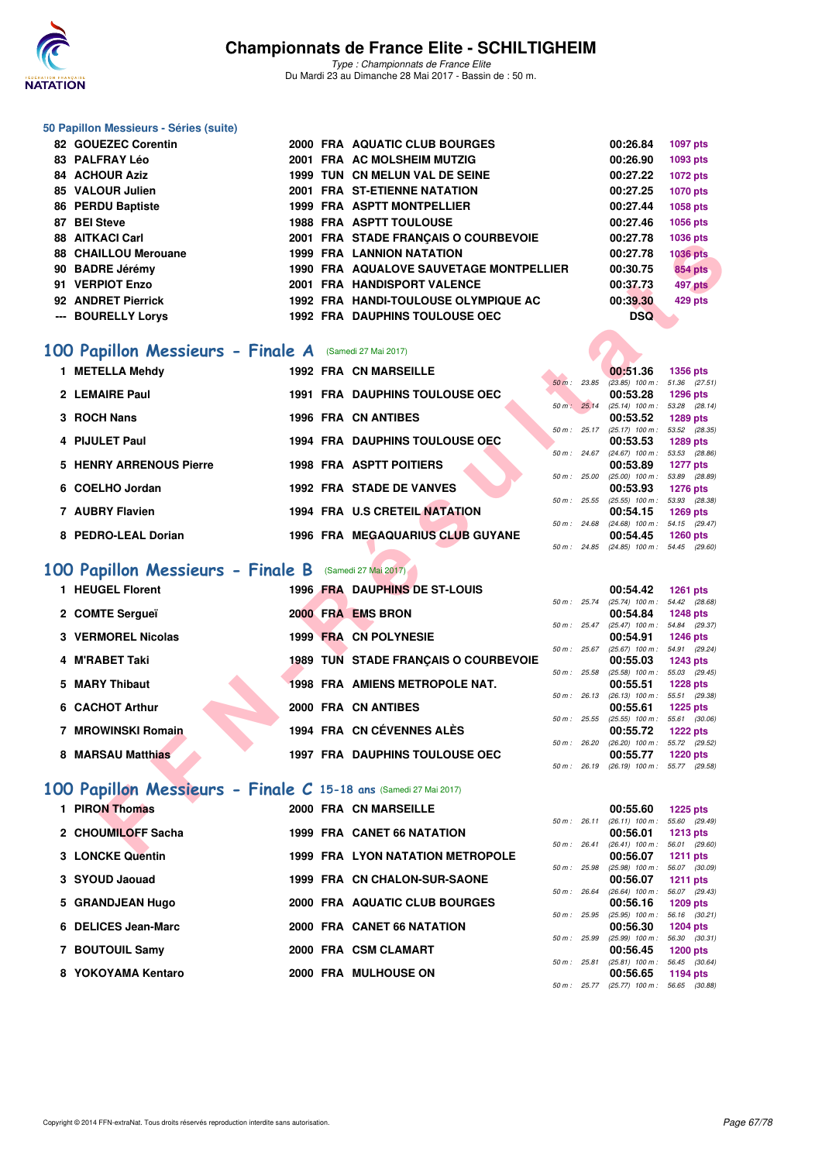

### **50 Papillon Messieurs - Séries (suite)**

| 82 GOUEZEC Corentin  |  | 2000 FRA AQUATIC CLUB BOURGES           | 00:26.84   | 1097 pts        |
|----------------------|--|-----------------------------------------|------------|-----------------|
| 83 PALFRAY Léo       |  | 2001 FRA AC MOLSHEIM MUTZIG             | 00:26.90   | 1093 pts        |
| 84 ACHOUR Aziz       |  | 1999 TUN CN MELUN VAL DE SEINE          | 00:27.22   | 1072 pts        |
| 85 VALOUR Julien     |  | 2001 FRA ST-ETIENNE NATATION            | 00:27.25   | <b>1070 pts</b> |
| 86 PERDU Baptiste    |  | <b>1999 FRA ASPTT MONTPELLIER</b>       | 00:27.44   | 1058 pts        |
| 87 BEI Steve         |  | <b>1988 FRA ASPTT TOULOUSE</b>          | 00:27.46   | 1056 pts        |
| 88 AITKACI Carl      |  | 2001 FRA STADE FRANCAIS O COURBEVOIE    | 00:27.78   | 1036 pts        |
| 88 CHAILLOU Merouane |  | <b>1999 FRA LANNION NATATION</b>        | 00:27.78   | <b>1036 pts</b> |
| 90 BADRE Jérémy      |  | 1990 FRA AQUALOVE SAUVETAGE MONTPELLIER | 00:30.75   | <b>854 pts</b>  |
| 91 VERPIOT Enzo      |  | 2001 FRA HANDISPORT VALENCE             | 00:37.73   | <b>497 pts</b>  |
| 92 ANDRET Pierrick   |  | 1992 FRA HANDI-TOULOUSE OLYMPIQUE AC    | 00:39.30   | 429 pts         |
| --- BOURELLY Lorys   |  | <b>1992 FRA DAUPHINS TOULOUSE OEC</b>   | <b>DSQ</b> |                 |

### **[100 Papillon Messieurs - Finale A](http://www.ffnatation.fr/webffn/resultats.php?idact=nat&go=epr&idcpt=45075&idepr=82)** (Samedi 27 Mai 2017)

| 1 METELLA Mehdy         | <b>1992 FRA CN MARSEILLE</b>            |                  | 00:51.36                                 | 1356 pts                      |
|-------------------------|-----------------------------------------|------------------|------------------------------------------|-------------------------------|
| 2 LEMAIRE Paul          | <b>1991 FRA DAUPHINS TOULOUSE OEC</b>   | $50 m$ :         | 23.85<br>$(23.85)$ 100 m :<br>00:53.28   | 51.36 (27.<br>1296 pts        |
|                         |                                         | $50 m$ :         | $(25.14)$ 100 m :<br>25.14               | 53.28 (28.                    |
| 3 ROCH Nans             | 1996 FRA CN ANTIBES                     | $50 m$ : $25.17$ | 00:53.52<br>$(25.17)$ 100 m : 53.52 (28. | 1289 pts                      |
| 4 PIJULET Paul          | <b>1994 FRA DAUPHINS TOULOUSE OEC</b>   |                  | 00:53.53                                 | 1289 pts                      |
| 5 HENRY ARRENOUS Pierre | <b>1998 FRA ASPTT POITIERS</b>          | 50 m :           | 24.67<br>$(24.67)$ 100 m :<br>00:53.89   | 53.53 (28.<br><b>1277 pts</b> |
| 6 COELHO Jordan         | <b>1992 FRA STADE DE VANVES</b>         | 50 m: 25.00      | $(25.00)$ 100 m :<br>00:53.93            | 53.89 (28.<br><b>1276 pts</b> |
|                         |                                         | $50 m$ : 25.55   | $(25.55)$ 100 m :                        | 53.93 (28.                    |
| 7 AUBRY Flavien         | 1994 FRA U.S CRETEIL NATATION           | 50 m: 24.68      | 00:54.15<br>$(24.68)$ 100 m :            | <b>1269 pts</b><br>54.15 (29. |
| 8 PEDRO-LEAL Dorian     | <b>1996 FRA MEGAQUARIUS CLUB GUYANE</b> |                  | 00:54.45                                 | 1260 pts                      |
|                         |                                         |                  |                                          |                               |

## **[100 Papillon Messieurs - Finale B](http://www.ffnatation.fr/webffn/resultats.php?idact=nat&go=epr&idcpt=45075&idepr=82)** (Samedi 27 Mai 2017)

| 00 ALINAVI VALI                                                 |  | ZUUT FRATSTADE FRANÇAIS O COURBEVOIE    |             | 00.ZL.IO                                             | Tugu hrs        |
|-----------------------------------------------------------------|--|-----------------------------------------|-------------|------------------------------------------------------|-----------------|
| 88 CHAILLOU Merouane                                            |  | <b>1999 FRA LANNION NATATION</b>        |             | 00:27.78                                             | <b>1036 pts</b> |
| 90 BADRE Jérémy                                                 |  | 1990 FRA AQUALOVE SAUVETAGE MONTPELLIER |             | 00:30.75                                             | <b>854 pts</b>  |
| 91 VERPIOT Enzo                                                 |  | 2001 FRA HANDISPORT VALENCE             |             | 00:37.73                                             | 497 pts         |
| 92 ANDRET Pierrick                                              |  | 1992 FRA HANDI-TOULOUSE OLYMPIQUE AC    |             | 00:39.30                                             | 429 pts         |
| --- BOURELLY Lorys                                              |  | 1992 FRA DAUPHINS TOULOUSE OEC          |             | <b>DSQ</b>                                           |                 |
|                                                                 |  |                                         |             |                                                      |                 |
| <b>00 Papillon Messieurs - Finale A</b> (Samedi 27 Mai 2017)    |  |                                         |             |                                                      |                 |
| 1 METELLA Mehdy                                                 |  | <b>1992 FRA CN MARSEILLE</b>            |             | 00:51.36                                             | 1356 pts        |
|                                                                 |  |                                         | 50 m: 23.85 | $(23.85)$ 100 m : 51.36 $(27.51)$                    |                 |
| 2 LEMAIRE Paul                                                  |  | <b>1991 FRA DAUPHINS TOULOUSE OEC</b>   |             | 00:53.28<br>50 m: 25.14 (25.14) 100 m: 53.28 (28.14) | 1296 pts        |
| 3 ROCH Nans                                                     |  | <b>1996 FRA CN ANTIBES</b>              |             | 00:53.52                                             | 1289 pts        |
|                                                                 |  |                                         |             | 50 m: 25.17 (25.17) 100 m: 53.52 (28.35)             |                 |
| 4 PIJULET Paul                                                  |  | <b>1994 FRA DAUPHINS TOULOUSE OEC</b>   |             | 00:53.53                                             | 1289 pts        |
| <b>5 HENRY ARRENOUS Pierre</b>                                  |  | <b>1998 FRA ASPTT POITIERS</b>          |             | 50 m: 24.67 (24.67) 100 m: 53.53 (28.86)<br>00:53.89 |                 |
|                                                                 |  |                                         |             | 50 m : 25.00 (25.00) 100 m : 53.89 (28.89)           | <b>1277 pts</b> |
| 6 COELHO Jordan                                                 |  | <b>1992 FRA STADE DE VANVES</b>         |             | 00:53.93                                             | <b>1276 pts</b> |
|                                                                 |  |                                         |             | 50 m: 25.55 (25.55) 100 m: 53.93 (28.38)             |                 |
| 7 AUBRY Flavien                                                 |  | 1994 FRA U.S CRETEIL NATATION           |             | 00:54.15                                             | <b>1269 pts</b> |
| 8 PEDRO-LEAL Dorian                                             |  | 1996 FRA MEGAQUARIUS CLUB GUYANE        |             | 50 m: 24.68 (24.68) 100 m: 54.15 (29.47)<br>00:54.45 | <b>1260 pts</b> |
|                                                                 |  |                                         |             | 50 m: 24.85 (24.85) 100 m: 54.45 (29.60)             |                 |
|                                                                 |  |                                         |             |                                                      |                 |
| 00 Papillon Messieurs - Finale B (Samedi 27 Mai 2017)           |  |                                         |             |                                                      |                 |
| 1 HEUGEL Florent                                                |  | <b>1996 FRA DAUPHINS DE ST-LOUIS</b>    |             | 00:54.42                                             | <b>1261 pts</b> |
|                                                                 |  |                                         |             | 50 m: 25.74 (25.74) 100 m: 54.42 (28.68)             |                 |
| 2 COMTE Sergueï                                                 |  | 2000 FRA EMS BRON                       |             | 00:54.84                                             | <b>1248 pts</b> |
| 3 VERMOREL Nicolas                                              |  | 1999 FRA CN POLYNESIE                   |             | 50 m: 25.47 (25.47) 100 m: 54.84 (29.37)<br>00:54.91 | <b>1246 pts</b> |
|                                                                 |  |                                         |             | 50 m: 25.67 (25.67) 100 m: 54.91 (29.24)             |                 |
| 4 M'RABET Taki                                                  |  | 1989 TUN STADE FRANÇAIS O COURBEVOIE    |             | 00:55.03                                             | <b>1243 pts</b> |
| 5 MARY Thibaut                                                  |  | 1998 FRA AMIENS METROPOLE NAT.          |             | 50 m: 25.58 (25.58) 100 m: 55.03 (29.45)<br>00:55.51 | <b>1228 pts</b> |
|                                                                 |  |                                         |             | 50 m: 26.13 (26.13) 100 m: 55.51 (29.38)             |                 |
| 6 CACHOT Arthur                                                 |  | 2000 FRA CN ANTIBES                     |             | 00:55.61                                             | <b>1225 pts</b> |
|                                                                 |  |                                         |             | 50 m: 25.55 (25.55) 100 m: 55.61 (30.06)             |                 |
| 7 MROWINSKI Romain                                              |  | 1994 FRA CN CÉVENNES ALÈS               |             | 00:55.72                                             | 1222 pts        |
| 8 MARSAU Matthias                                               |  | <b>1997 FRA DAUPHINS TOULOUSE OEC</b>   |             | 50 m: 26.20 (26.20) 100 m: 55.72 (29.52)<br>00:55.77 | <b>1220 pts</b> |
|                                                                 |  |                                         |             | 50 m: 26.19 (26.19) 100 m: 55.77 (29.58)             |                 |
|                                                                 |  |                                         |             |                                                      |                 |
| 00 Papillon Messieurs - Finale C 15-18 ans (Samedi 27 Mai 2017) |  |                                         |             |                                                      |                 |
| 1 PIRON Thomas                                                  |  | 2000 FRA CN MARSEILLE                   |             | 00:55.60                                             | <b>1225 pts</b> |
|                                                                 |  |                                         |             | 50 m: 26.11 (26.11) 100 m: 55.60 (29.49)             |                 |
| 2 CHOUMILOFF Sacha                                              |  | 1999 FRA CANET 66 NATATION              |             | 00:56.01                                             | <b>1213 pts</b> |
| $9.1$ ONCKE $O(1)$                                              |  | 1000 EDA I VON NATATION METRODOLE       |             | 50 m: 26.41 (26.41) 100 m: 56.01 (29.60)<br>00.50.07 | $-4044$ $-44$   |

### **[100 Papillon Messieurs - Finale C](http://www.ffnatation.fr/webffn/resultats.php?idact=nat&go=epr&idcpt=45075&idepr=82) 15-18 ans** (Samedi 27 Mai 2017)

| 1 PIRON Thomas      |  | 2000 FRA CN MARSEILLE                   |                |              | 00:55.60                      | 1225 pts               |  |
|---------------------|--|-----------------------------------------|----------------|--------------|-------------------------------|------------------------|--|
|                     |  |                                         | $50 m$ : 26.11 |              | $(26.11)$ 100 m :             | 55.60 (29.             |  |
| 2 CHOUMILOFF Sacha  |  | <b>1999 FRA CANET 66 NATATION</b>       |                |              | 00:56.01                      | <b>1213 pts</b>        |  |
|                     |  |                                         | $50 m$ : 26.41 |              | $(26.41)$ 100 m :             | 56.01 (29.             |  |
| 3 LONCKE Quentin    |  | <b>1999 FRA LYON NATATION METROPOLE</b> |                |              | 00:56.07                      | 1211 pts               |  |
|                     |  |                                         |                | 50 m : 25.98 | $(25.98)$ 100 m :             | 56.07 (30.             |  |
| 3 SYOUD Jaouad      |  | 1999 FRA CN CHALON-SUR-SAONE            |                |              | 00:56.07                      | <b>1211 pts</b>        |  |
|                     |  |                                         | 50 m :         | 26.64        | $(26.64)$ 100 m :             | 56.07 (29.             |  |
| 5 GRANDJEAN Hugo    |  | 2000 FRA AQUATIC CLUB BOURGES           |                |              | 00:56.16                      | 1209 pts               |  |
|                     |  |                                         | 50 m :         | 25.95        | $(25.95)$ 100 m :             | 56.16 (30.             |  |
| 6 DELICES Jean-Marc |  | 2000 FRA CANET 66 NATATION              |                |              | 00:56.30                      | 1204 pts               |  |
| 7 BOUTOUIL Samy     |  | 2000 FRA CSM CLAMART                    | 50 m :         | 25.99        | $(25.99)$ 100 m :<br>00:56.45 | 56.30 (30.<br>1200 pts |  |
|                     |  |                                         | 50 m :         | 25.81        | $(25.81)$ 100 m :             | 56.45 (30.             |  |
| 8 YOKOYAMA Kentaro  |  | 2000 FRA MULHOUSE ON                    |                |              | 00:56.65                      | 1194 pts               |  |
|                     |  |                                         |                |              |                               |                        |  |

|                        |              | 00:51.36          | 1356 pts        |
|------------------------|--------------|-------------------|-----------------|
| $50 m$ : 23.85         |              | $(23.85)$ 100 m : | 51.36 (27.51)   |
|                        |              | 00:53.28          | $1296$ pts      |
| 50 m: 25.14            |              | $(25.14)$ 100 m : | 53.28 (28.14)   |
|                        |              | 00:53.52          | 1289 pts        |
| $50 m$ : 25.17         |              | $(25.17)$ 100 m : | 53.52 (28.35)   |
|                        |              | 00:53.53          | <b>1289 pts</b> |
| 50 m: 24.67            |              | $(24.67)$ 100 m : | 53.53 (28.86)   |
|                        |              | 00:53.89          | <b>1277 pts</b> |
| 50 m : 25.00           |              | $(25.00)$ 100 m : | 53.89 (28.89)   |
|                        |              | 00:53.93          | <b>1276 pts</b> |
| $50 m$ : 25.55         |              | $(25.55)$ 100 m : | 53.93 (28.38)   |
|                        |              | 00:54.15          | <b>1269 pts</b> |
| $50 \text{ m}$ : 24.68 |              | $(24.68)$ 100 m : | 54.15 (29.47)   |
|                        |              | 00:54.45          | <b>1260 pts</b> |
|                        | 50 m : 24.85 | $(24.85)$ 100 m : | 54.45 (29.60)   |

|                |                        | 00:54.42          | <b>1261 pts</b> |               |
|----------------|------------------------|-------------------|-----------------|---------------|
| $50 m$ :       | 25.74                  | $(25.74)$ 100 m : |                 | 54.42 (28.68) |
|                |                        | 00:54.84          | <b>1248 pts</b> |               |
| 50 m :         | 25.47                  | $(25.47)$ 100 m : |                 | 54.84 (29.37) |
|                |                        | 00:54.91          | <b>1246 pts</b> |               |
| $50 m$ : 25.67 |                        | $(25.67)$ 100 m : |                 | 54.91 (29.24) |
|                |                        | 00:55.03          | <b>1243 pts</b> |               |
| $50 m$ : 25.58 |                        | $(25.58)$ 100 m : |                 | 55.03 (29.45) |
|                |                        | 00:55.51          | $1228$ pts      |               |
|                | $50 m$ : 26.13         | $(26.13)$ 100 m : |                 | 55.51 (29.38) |
|                |                        | 00:55.61          | $1225$ pts      |               |
| $50 m$ : 25.55 |                        | $(25.55)$ 100 m : |                 | 55.61 (30.06) |
|                |                        | 00:55.72          | <b>1222 pts</b> |               |
| $50 m$ : 26.20 |                        | $(26.20)$ 100 m : |                 | 55.72 (29.52) |
|                |                        | 00:55.77          | <b>1220 pts</b> |               |
|                | $50 \text{ m}$ : 26.19 | $(26.19)$ 100 m : |                 | 55.77 (29.58) |

|                | 00:55.60          | $1225$ pts      |
|----------------|-------------------|-----------------|
| 50 m: 26.11    | $(26.11)$ 100 m : | 55.60 (29.49)   |
|                | 00:56.01          | <b>1213 pts</b> |
| 50 m: 26.41    | $(26.41)$ 100 m : | 56.01 (29.60)   |
|                | 00:56.07          | <b>1211 pts</b> |
| 50 m: 25.98    | $(25.98)$ 100 m : | 56.07 (30.09)   |
|                | 00:56.07          | $1211$ pts      |
| 50 m: 26.64    | $(26.64)$ 100 m : | 56.07 (29.43)   |
|                | 00:56.16          |                 |
|                |                   | <b>1209 pts</b> |
|                | $(25.95)$ 100 m : | 56.16 (30.21)   |
| $50 m$ : 25.95 | 00:56.30          | <b>1204 pts</b> |
| 50 m: 25.99    | $(25.99)$ 100 m : | 56.30 (30.31)   |
|                | 00:56.45          | <b>1200 pts</b> |
| 50 m: 25.81    | $(25.81)$ 100 m : | 56.45 (30.64)   |
|                | 00:56.65          | <b>1194 pts</b> |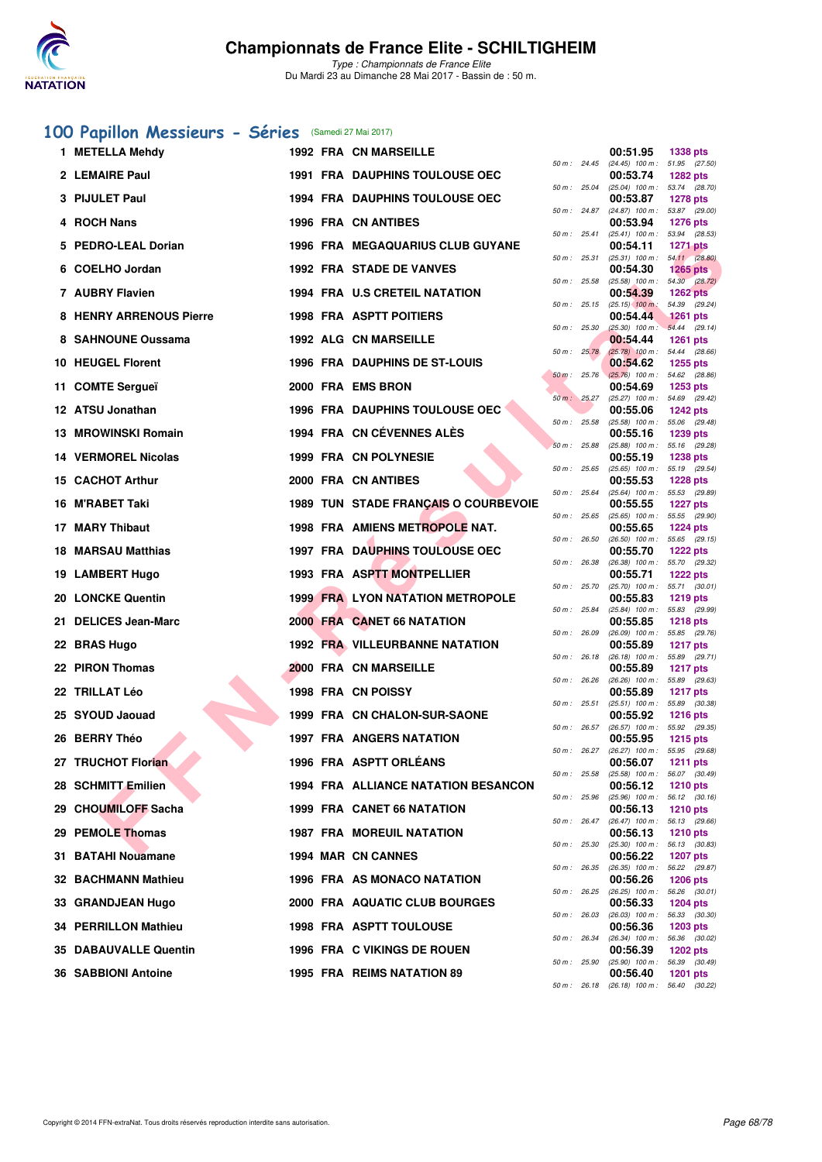

*Type : Championnats de France Elite* Du Mardi 23 au Dimanche 28 Mai 2017 - Bassin de : 50 m.

### **[100 Papillon Messieurs - Séries](http://www.ffnatation.fr/webffn/resultats.php?idact=nat&go=epr&idcpt=45075&idepr=82)** (Samedi 27 Mai 2017)

| 1 METELLA Mehdy                |  | <b>1992 FRA CN MARSEILLE</b>               |              |              | 00:51.95                                               | <b>1338 pts</b>                  |
|--------------------------------|--|--------------------------------------------|--------------|--------------|--------------------------------------------------------|----------------------------------|
| 2 LEMAIRE Paul                 |  | <b>1991 FRA DAUPHINS TOULOUSE OEC</b>      |              | 50 m : 24.45 | $(24.45)$ 100 m : 51.95 $(27.50)$<br>00:53.74          | <b>1282 pts</b>                  |
| 3 PIJULET Paul                 |  | 1994 FRA DAUPHINS TOULOUSE OEC             |              | 50 m: 25.04  | $(25.04)$ 100 m : 53.74 $(28.70)$<br>00:53.87          | <b>1278 pts</b>                  |
| 4 ROCH Nans                    |  | <b>1996 FRA CN ANTIBES</b>                 |              | 50 m : 24.87 | $(24.87)$ 100 m :<br>00:53.94                          | 53.87 (29.00)<br><b>1276 pts</b> |
| 5 PEDRO-LEAL Dorian            |  | <b>1996 FRA MEGAQUARIUS CLUB GUYANE</b>    |              | 50 m : 25.41 | $(25.41)$ 100 m : 53.94 (28.53)<br>00:54.11            | <b>1271 pts</b>                  |
| 6 COELHO Jordan                |  | <b>1992 FRA STADE DE VANVES</b>            |              | 50 m: 25.31  | $(25.31)$ 100 m : 54.11 (28.80)<br>00:54.30            | <b>1265 pts</b>                  |
| 7 AUBRY Flavien                |  | <b>1994 FRA U.S CRETEIL NATATION</b>       | 50 m: 25.58  |              | $(25.58)$ 100 m : 54.30 $(28.72)$<br>00:54.39          | <b>1262 pts</b>                  |
| <b>8 HENRY ARRENOUS Pierre</b> |  | <b>1998 FRA ASPTT POITIERS</b>             |              | 50 m : 25.15 | $(25.15)$ 100 m:<br>00:54.44                           | 54.39 (29.24)<br>$1261$ pts      |
| 8 SAHNOUNE Oussama             |  | <b>1992 ALG CN MARSEILLE</b>               | 50 m: 25.30  |              | $(25.30)$ 100 m : 54.44 (29.14)<br>00:54.44            | <b>1261 pts</b>                  |
| 10 HEUGEL Florent              |  | 1996 FRA DAUPHINS DE ST-LOUIS              | 50 m: 25.78  |              | $(25.78)$ 100 m : 54.44 (28.66)<br>00:54.62            | <b>1255 pts</b>                  |
| 11 COMTE Sergueï               |  | 2000 FRA EMS BRON                          | 50 m: 25.76  |              | $(25.76)$ 100 m :<br>00:54.69                          | 54.62 (28.86)<br><b>1253 pts</b> |
| 12 ATSU Jonathan               |  | <b>1996 FRA DAUPHINS TOULOUSE OEC</b>      |              | 50 m: 25.27  | (25.27) 100 m: 54.69 (29.42)<br>00:55.06               | <b>1242 pts</b>                  |
| <b>13 MROWINSKI Romain</b>     |  | 1994 FRA CN CÉVENNES ALÉS                  | 50 m: 25.58  |              | $(25.58)$ 100 m : 55.06 $(29.48)$<br>00:55.16          | 1239 pts                         |
| 14 VERMOREL Nicolas            |  | 1999 FRA CN POLYNESIE                      | 50 m: 25.88  |              | $(25.88)$ 100 m : 55.16 $(29.28)$<br>00:55.19          | <b>1238 pts</b>                  |
|                                |  |                                            |              | 50 m: 25.65  | $(25.65)$ 100 m : 55.19 $(29.54)$                      |                                  |
| 15 CACHOT Arthur               |  | 2000 FRA CN ANTIBES                        | 50 m: 25.64  |              | 00:55.53<br>$(25.64)$ 100 m :                          | <b>1228 pts</b><br>55.53 (29.89) |
| 16 M'RABET Taki                |  | 1989 TUN STADE FRANÇAIS O COURBEVOIE       |              | 50 m: 25.65  | 00:55.55<br>$(25.65)$ 100 m : 55.55 (29.90)            | <b>1227 pts</b>                  |
| 17 MARY Thibaut                |  | 1998 FRA AMIENS METROPOLE NAT.             | 50 m: 26.50  |              | 00:55.65<br>$(26.50)$ 100 m : 55.65 $(29.15)$          | <b>1224 pts</b>                  |
| 18 MARSAU Matthias             |  | <b>1997 FRA DAUPHINS TOULOUSE OEC</b>      | 50 m: 26.38  |              | 00:55.70<br>(26.38) 100 m: 55.70 (29.32)               | <b>1222 pts</b>                  |
| 19 LAMBERT Hugo                |  | 1993 FRA ASPTT MONTPELLIER                 |              | 50 m : 25.70 | 00:55.71<br>$(25.70)$ 100 m : 55.71 $(30.01)$          | <b>1222 pts</b>                  |
| 20 LONCKE Quentin              |  | <b>1999 FRA LYON NATATION METROPOLE</b>    | 50 m : 25.84 |              | 00:55.83<br>$(25.84)$ 100 m :                          | <b>1219 pts</b><br>55.83 (29.99) |
| 21 DELICES Jean-Marc           |  | 2000 FRA CANET 66 NATATION                 | 50 m: 26.09  |              | 00:55.85<br>(26.09) 100 m: 55.85 (29.76)               | <b>1218 pts</b>                  |
| 22 BRAS Hugo                   |  | <b>1992 FRA VILLEURBANNE NATATION</b>      | 50 m: 26.18  |              | 00:55.89<br>$(26.18)$ 100 m :                          | <b>1217 pts</b><br>55.89 (29.71) |
| 22 PIRON Thomas                |  | 2000 FRA CN MARSEILLE                      | 50 m: 26.26  |              | 00:55.89<br>$(26.26)$ 100 m : 55.89 $(29.63)$          | <b>1217 pts</b>                  |
| 22 TRILLAT Léo                 |  | <b>1998 FRA CN POISSY</b>                  |              | 50 m: 25.51  | 00:55.89<br>$(25.51)$ 100 m : 55.89 $(30.38)$          | <b>1217 pts</b>                  |
| 25 SYOUD Jaouad                |  | 1999 FRA CN CHALON-SUR-SAONE               |              |              | 00:55.92                                               | <b>1216 pts</b>                  |
| 26 BERRY Théo                  |  | <b>1997 FRA ANGERS NATATION</b>            |              | 50 m : 26.57 | $(26.57)$ 100 m : 55.92 $(29.35)$<br>00:55.95          | <b>1215 pts</b>                  |
| 27 TRUCHOT Florian             |  | 1996 FRA ASPTT ORLÉANS                     |              | 50 m : 26.27 | (26.27) 100 m: 55.95 (29.68)<br>00:56.07               | <b>1211 pts</b>                  |
| 28 SCHMITT Emilien             |  | <b>1994 FRA ALLIANCE NATATION BESANCON</b> |              |              | 50 m : 25.58 (25.58) 100 m : 56.07 (30.49)<br>00:56.12 | <b>1210 pts</b>                  |
| 29 CHOUMILOFF Sacha            |  | 1999 FRA CANET 66 NATATION                 |              | 50 m: 25.96  | $(25.96)$ 100 m : 56.12 $(30.16)$<br>00:56.13          | <b>1210 pts</b>                  |
| 29 PEMOLE Thomas               |  | <b>1987 FRA MOREUIL NATATION</b>           |              | 50 m : 26.47 | $(26.47)$ 100 m : 56.13 $(29.66)$<br>00:56.13          | <b>1210 pts</b>                  |
| 31 BATAHI Nouamane             |  | 1994 MAR CN CANNES                         | 50 m: 25.30  |              | $(25.30)$ 100 m : 56.13 $(30.83)$<br>00:56.22          | <b>1207 pts</b>                  |
| 32 BACHMANN Mathieu            |  | 1996 FRA AS MONACO NATATION                |              | 50 m : 26.35 | (26.35) 100 m: 56.22 (29.87)<br>00:56.26               | <b>1206 pts</b>                  |
| 33 GRANDJEAN Hugo              |  | 2000 FRA AQUATIC CLUB BOURGES              |              | 50 m : 26.25 | $(26.25)$ 100 m :<br>00:56.33                          | 56.26 (30.01)<br><b>1204 pts</b> |
| <b>34 PERRILLON Mathieu</b>    |  | <b>1998 FRA ASPTT TOULOUSE</b>             |              | 50 m: 26.03  | $(26.03)$ 100 m :<br>00:56.36                          | 56.33 (30.30)<br><b>1203 pts</b> |
| <b>35 DABAUVALLE Quentin</b>   |  | 1996 FRA C VIKINGS DE ROUEN                | 50 m: 26.34  |              | $(26.34)$ 100 m :<br>00:56.39                          | 56.36 (30.02)<br><b>1202 pts</b> |
| 36 SABBIONI Antoine            |  | 1995 FRA REIMS NATATION 89                 | 50 m: 25.90  |              | $(25.90)$ 100 m :<br>00:56.40                          | 56.39 (30.49)<br>1201 pts        |
|                                |  |                                            |              |              |                                                        |                                  |

|          |       | 00:53.74                      | 1282 pts                 |                |
|----------|-------|-------------------------------|--------------------------|----------------|
| 50 m :   | 25.04 | $(25.04)$ 100 m :             | 53.74                    | (28.70)        |
| 50 m :   | 24.87 | 00:53.87<br>$(24.87)$ 100 m : | 1278 pts<br>53.87        | (29.00)        |
|          |       | 00:53.94                      | 1276 pts                 |                |
| 50 m :   | 25.41 | $(25.41)$ 100 m :             | 53.94                    | (28.53)        |
| 50 m :   | 25.31 | 00:54.11<br>$(25.31)$ 100 m : | 1271 pts<br>54.11        | (28.80)        |
|          |       | 00:54.30                      | 1265                     | pts            |
| 50 m :   | 25.58 | $(25.58)$ 100 m :             | 54.30                    | (28.72)        |
| $50 m$ : | 25.15 | 00:54.39<br>$(25.15)$ 100 m : | 1262 pts<br>54.39        | (29.24)        |
|          |       | 00:54.44                      | 1261 pts                 |                |
| 50 m :   | 25.30 | $(25.30)$ 100 m :             | 54.44                    | (29.14)        |
| 50 m :   | 25.78 | 00:54.44<br>$(25.78)$ 100 m : | 1261 pts<br>54.44        | (28.66)        |
|          |       | 00:54.62                      | 1255 pts                 |                |
| $50 m$ : | 25.76 | $(25.76)$ 100 m :             | 54.62                    | (28.86)        |
|          | 25.27 | 00:54.69                      | 1253 pts                 |                |
| $50 m$ : |       | $(25.27)$ 100 m :<br>00:55.06 | 54.69<br>1242 pts        | (29.42)        |
| 50 m :   | 25.58 | $(25.58)$ 100 m :             | 55.06                    | (29.48)        |
|          |       | 00:55.16                      | 1239 pts                 |                |
| $50 m$ : | 25.88 | $(25.88)$ 100 m :<br>00:55.19 | 55.16<br>1238 pts        | (29.28)        |
| 50 m :   | 25.65 | $(25.65)$ 100 m :             | 55.19                    | (29.54)        |
|          |       | 00:55.53                      | 1228 pts                 |                |
| 50 m :   | 25.64 | (25.64) 100 m :<br>00:55.55   | 55.53<br><b>1227 pts</b> | (29.89)        |
| $50 m$ : | 25.65 | $(25.65)$ 100 m :             | 55.55                    | (29.90)        |
|          |       | 00:55.65                      | 1224 pts                 |                |
| 50 m :   | 26.50 | $(26.50)$ 100 m :<br>00:55.70 | 55.65<br><b>1222 pts</b> | (29.15)        |
| 50 m :   | 26.38 | $(26.38)$ 100 m :             | 55.70                    | (29.32)        |
|          |       | 00:55.71                      | <b>1222 pts</b>          |                |
| $50 m$ : | 25.70 | $(25.70)$ 100 m :<br>00:55.83 | 55.71<br>1219 pts        | (30.01)        |
| 50 m :   | 25.84 | $(25.84)$ 100 m :             | 55.83                    | (29.99)        |
|          |       | 00:55.85                      | 1218 pts                 |                |
| 50 m :   | 26.09 | (26.09) 100 m :<br>00:55.89   | 55.85<br>1217 pts        | (29.76)        |
| $50 m$ : | 26.18 | $(26.18)$ 100 m :             | 55.89                    | (29.71)        |
|          |       | 00:55.89                      | <b>1217 pts</b>          |                |
| 50 m :   | 26.26 | $(26.26)$ 100 m :<br>00:55.89 | 55.89<br>1217            | (29.63)<br>pts |
| 50 m :   | 25.51 | $(25.51)$ 100 m :             | 55.89                    | (30.38)        |
|          |       | 00:55.92                      | <b>1216 pts</b>          |                |
| 50 m :   | 26.57 | $(26.57)$ 100 m :<br>00:55.95 | 55.92<br>1215 pts        | (29.35)        |
| 50 m :   | 26.27 | $(26.27)$ 100 m :             | 55.95                    | (29.68)        |
|          |       | 00:56.07                      | 1211 pts                 |                |
| 50 m :   | 25.58 | $(25.58)$ 100 m :<br>00:56.12 | 56.07<br>1210 pts        | (30.49)        |
| 50 m :   | 25.96 | $(25.96)$ 100 m :             | 56.12                    | (30.16)        |
|          |       | 00:56.13                      | <b>1210 pts</b>          |                |
| 50 m :   | 26.47 | $(26.47)$ 100 m :<br>00:56.13 | 56.13<br>1210 pts        | (29.66)        |
| 50 m :   | 25.30 | $(25.30)$ 100 m :             | 56.13                    | (30.83)        |
|          |       | 00:56.22                      | 1207 pts                 |                |
| 50 m :   | 26.35 | $(26.35)$ 100 m :<br>00:56.26 | 56.22<br>1206 pts        | (29.87)        |
| $50 m$ : | 26.25 | $(26.25)$ 100 m :             | 56.26                    | (30.01)        |
|          |       | 00:56.33                      | 1204 pts                 |                |
| $50 m$ : | 26.03 | $(26.03)$ 100 m :<br>00:56.36 | 56.33<br>1203 pts        | (30.30)        |
| 50 m :   | 26.34 | $(26.34)$ 100 m :             | 56.36                    | (30.02)        |
|          |       | 00:56.39                      | 1202 pts                 |                |
| 50 m :   | 25.90 | $(25.90)$ 100 m :<br>00:56.40 | 56.39<br>1201            | (30.49)<br>pts |
| 50 m :   | 26.18 | $(26.18)$ 100 m :             | 56.40                    | (30.22)        |
|          |       |                               |                          |                |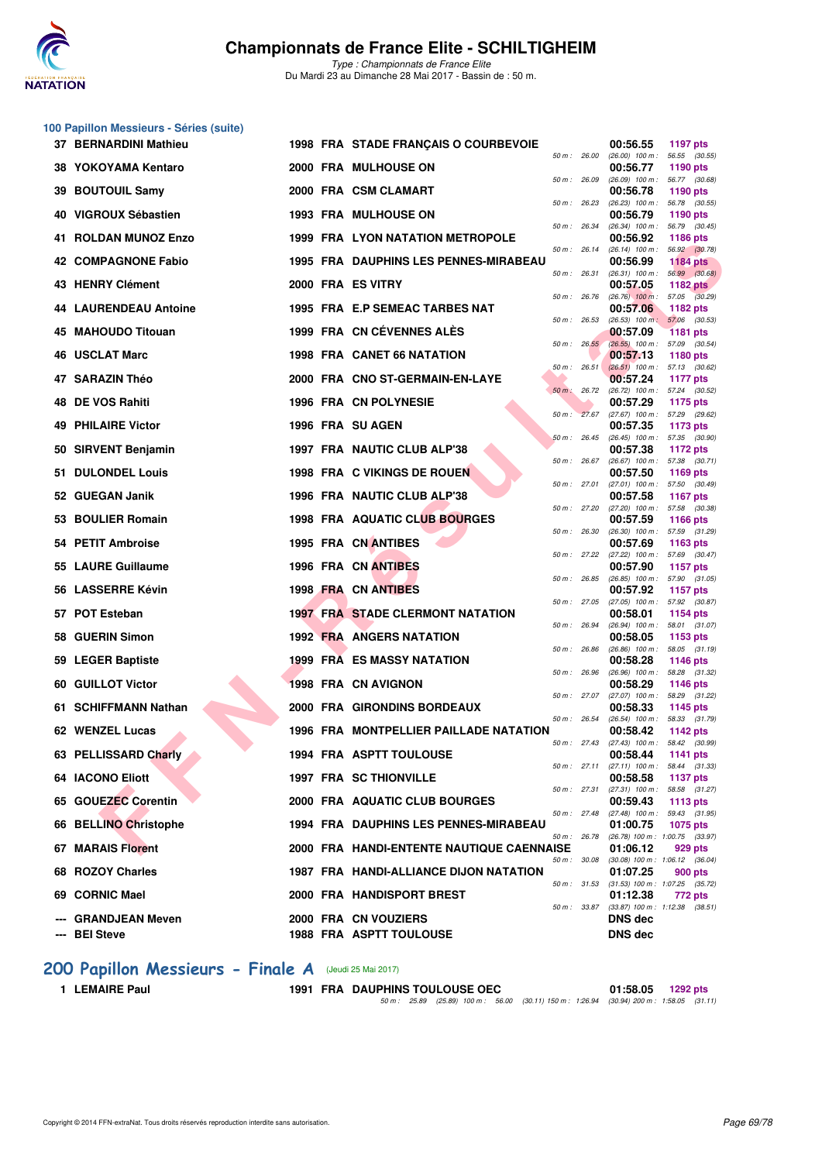

|    | 100 Papillon Messieurs - Séries (suite) |  |                                               |              |                                                        |                                  |
|----|-----------------------------------------|--|-----------------------------------------------|--------------|--------------------------------------------------------|----------------------------------|
|    | 37 BERNARDINI Mathieu                   |  | 1998 FRA STADE FRANÇAIS O COURBEVOIE          | 50 m : 26.00 | 00:56.55<br>$(26.00)$ 100 m : 56.55 $(30.55)$          | 1197 pts                         |
|    | 38 YOKOYAMA Kentaro                     |  | 2000 FRA MULHOUSE ON                          | 50 m: 26.09  | 00:56.77<br>$(26.09)$ 100 m : 56.77 $(30.68)$          | 1190 pts                         |
| 39 | <b>BOUTOUIL Samy</b>                    |  | 2000 FRA CSM CLAMART                          | 50 m: 26.23  | 00:56.78                                               | 1190 pts                         |
|    | 40 VIGROUX Sébastien                    |  | <b>1993 FRA MULHOUSE ON</b>                   |              | $(26.23)$ 100 m : 56.78 $(30.55)$<br>00:56.79          | 1190 pts                         |
| 41 | <b>ROLDAN MUNOZ Enzo</b>                |  | 1999 FRA LYON NATATION METROPOLE              | 50 m : 26.34 | (26.34) 100 m: 56.79 (30.45)<br>00:56.92               | <b>1186 pts</b>                  |
|    | 42 COMPAGNONE Fabio                     |  | 1995 FRA DAUPHINS LES PENNES-MIRABEAU         | 50 m: 26.14  | $(26.14)$ 100 m : 56.92 $(30.78)$<br>00:56.99          | <b>1184 pts</b>                  |
|    | 43 HENRY Clément                        |  | 2000 FRA ES VITRY                             | 50 m : 26.31 | $(26.31)$ 100 m : 56.99 $(30.68)$<br>00:57.05          | <b>1182 pts</b>                  |
|    | <b>44 LAURENDEAU Antoine</b>            |  | 1995 FRA E.P SEMEAC TARBES NAT                | 50 m : 26.76 | $(26.76)$ 100 m : 57.05 $(30.29)$<br>00:57.06          | <b>1182 pts</b>                  |
|    | 45 MAHOUDO Titouan                      |  | 1999 FRA CN CÉVENNES ALES                     | 50 m: 26.53  | $(26.53)$ 100 m :<br>00:57.09                          | 57.06 (30.53)<br><b>1181 pts</b> |
|    |                                         |  |                                               | 50 m: 26.55  | (26.55) 100 m: 57.09 (30.54)                           |                                  |
|    | 46 USCLAT Marc                          |  | 1998 FRA CANET 66 NATATION                    | 50 m: 26.51  | 00:57.13<br>$(26.51)$ 100 m : 57.13 $(30.62)$          | <b>1180 pts</b>                  |
|    | 47 SARAZIN Théo                         |  | 2000 FRA CNO ST-GERMAIN-EN-LAYE               | 50 m: 26.72  | 00:57.24<br>(26.72) 100 m: 57.24 (30.52)               | 1177 pts                         |
| 48 | DE VOS Rahiti                           |  | 1996 FRA CN POLYNESIE                         | 50 m: 27.67  | 00:57.29<br>(27.67) 100 m : 57.29 (29.62)              | 1175 pts                         |
|    | <b>49 PHILAIRE Victor</b>               |  | 1996 FRA SU AGEN                              | 50 m: 26.45  | 00:57.35<br>$(26.45)$ 100 m : 57.35 (30.90)            | 1173 pts                         |
|    | 50 SIRVENT Benjamin                     |  | 1997 FRA NAUTIC CLUB ALP'38                   |              | 00:57.38                                               | <b>1172 pts</b>                  |
|    | 51 DULONDEL Louis                       |  | 1998 FRA C VIKINGS DE ROUEN                   | 50 m : 26.67 | $(26.67)$ 100 m : 57.38 $(30.71)$<br>00:57.50          | 1169 pts                         |
|    | 52 GUEGAN Janik                         |  | 1996 FRA NAUTIC CLUB ALP'38                   | 50 m: 27.01  | $(27.01)$ 100 m : 57.50 $(30.49)$<br>00:57.58          | <b>1167 pts</b>                  |
|    | 53 BOULIER Romain                       |  | 1998 FRA AQUATIC CLUB BOURGES                 | 50 m: 27.20  | (27.20) 100 m: 57.58 (30.38)<br>00:57.59               | <b>1166 pts</b>                  |
|    | 54 PETIT Ambroise                       |  | 1995 FRA CN ANTIBES                           | 50 m: 26.30  | $(26.30)$ 100 m : 57.59 $(31.29)$<br>00:57.69          | 1163 pts                         |
|    | 55 LAURE Guillaume                      |  | 1996 FRA CN ANTIBES                           | 50 m: 27.22  | (27.22) 100 m: 57.69 (30.47)<br>00:57.90               | 1157 pts                         |
|    | 56 LASSERRE Kévin                       |  | 1998 FRA CN ANTIBES                           | 50 m : 26.85 | $(26.85)$ 100 m : 57.90 $(31.05)$<br>00:57.92          | <b>1157 pts</b>                  |
|    | 57 POT Esteban                          |  | <b>1997 FRA STADE CLERMONT NATATION</b>       | 50 m : 27.05 | (27.05) 100 m: 57.92 (30.87)<br>00:58.01               | 1154 pts                         |
|    | 58 GUERIN Simon                         |  | <b>1992 FRA ANGERS NATATION</b>               | 50 m : 26.94 | $(26.94)$ 100 m : 58.01 $(31.07)$<br>00:58.05          |                                  |
|    |                                         |  |                                               | 50 m : 26.86 | $(26.86)$ 100 m :                                      | 1153 pts<br>58.05 (31.19)        |
|    | 59 LEGER Baptiste                       |  | <b>1999 FRA ES MASSY NATATION</b>             | 50 m : 26.96 | 00:58.28<br>(26.96) 100 m: 58.28 (31.32)               | <b>1146 pts</b>                  |
|    | 60 GUILLOT Victor                       |  | 1998 FRA CN AVIGNON                           | 50 m : 27.07 | 00:58.29<br>(27.07) 100 m: 58.29 (31.22)               | 1146 pts                         |
|    | 61 SCHIFFMANN Nathan                    |  | 2000 FRA GIRONDINS BORDEAUX                   | 50 m: 26.54  | 00:58.33<br>$(26.54)$ 100 m : 58.33 $(31.79)$          | <b>1145 pts</b>                  |
|    | 62 WENZEL Lucas                         |  | 1996 FRA MONTPELLIER PAILLADE NATATION        | 50 m : 27.43 | 00:58.42<br>(27.43) 100 m : 58.42 (30.99)              | <b>1142 pts</b>                  |
|    | 63 PELLISSARD Charly                    |  | <b>1994 FRA ASPTT TOULOUSE</b>                | 50 m: 27.11  | 00:58.44<br>$(27.11)$ 100 m : 58.44 $(31.33)$          | <b>1141 pts</b>                  |
|    | <b>64 IACONO Eliott</b>                 |  | <b>1997 FRA SC THIONVILLE</b>                 |              | 00:58.58                                               | <b>1137 pts</b>                  |
|    | 65 GOUEZEC Corentin                     |  | 2000 FRA AQUATIC CLUB BOURGES                 | 50 m: 27.31  | (27.31) 100 m: 58.58 (31.27)<br>00:59.43               | 1113 pts                         |
|    | 66 BELLINO Christophe                   |  | 1994 FRA DAUPHINS LES PENNES-MIRABEAU         | 50 m: 27.48  | (27.48) 100 m: 59.43 (31.95)<br>01:00.75               | 1075 pts                         |
|    | 67 MARAIS Florent                       |  | 2000 FRA HANDI-ENTENTE NAUTIQUE CAENNAISE     | 50 m : 26.78 | (26.78) 100 m: 1:00.75 (33.97)<br>01:06.12             | 929 pts                          |
|    | 68 ROZOY Charles                        |  | <b>1987 FRA HANDI-ALLIANCE DIJON NATATION</b> | 50 m : 30.08 | $(30.08)$ 100 m : 1:06.12 $(36.04)$<br>01:07.25        | 900 pts                          |
|    | 69 CORNIC Mael                          |  | 2000 FRA HANDISPORT BREST                     |              | 50 m: 31.53 (31.53) 100 m: 1:07.25 (35.72)<br>01:12.38 | 772 pts                          |
|    | <b>GRANDJEAN Meven</b>                  |  | 2000 FRA CN VOUZIERS                          | 50 m : 33.87 | $(33.87)$ 100 m : 1:12.38 $(38.51)$<br><b>DNS</b> dec  |                                  |
|    | <b>BEI Steve</b>                        |  | 1988 FRA ASPTT TOULOUSE                       |              | DNS dec                                                |                                  |

# **200 Papillon Messieurs - Finale A** (Jeudi 25 Mai 2017)<br>1 LEMAIRE Paul<br>1991 FRA DAUPHIN

**1 LEMAIRE Paul 1991 FRA DAUPHINS TOULOUSE OEC 01:58.05 1292 pts** *50 m : 25.89 (25.89) 100 m : 56.00 (30.11) 150 m : 1:26.94 (30.94) 200 m : 1:58.05 (31.11)*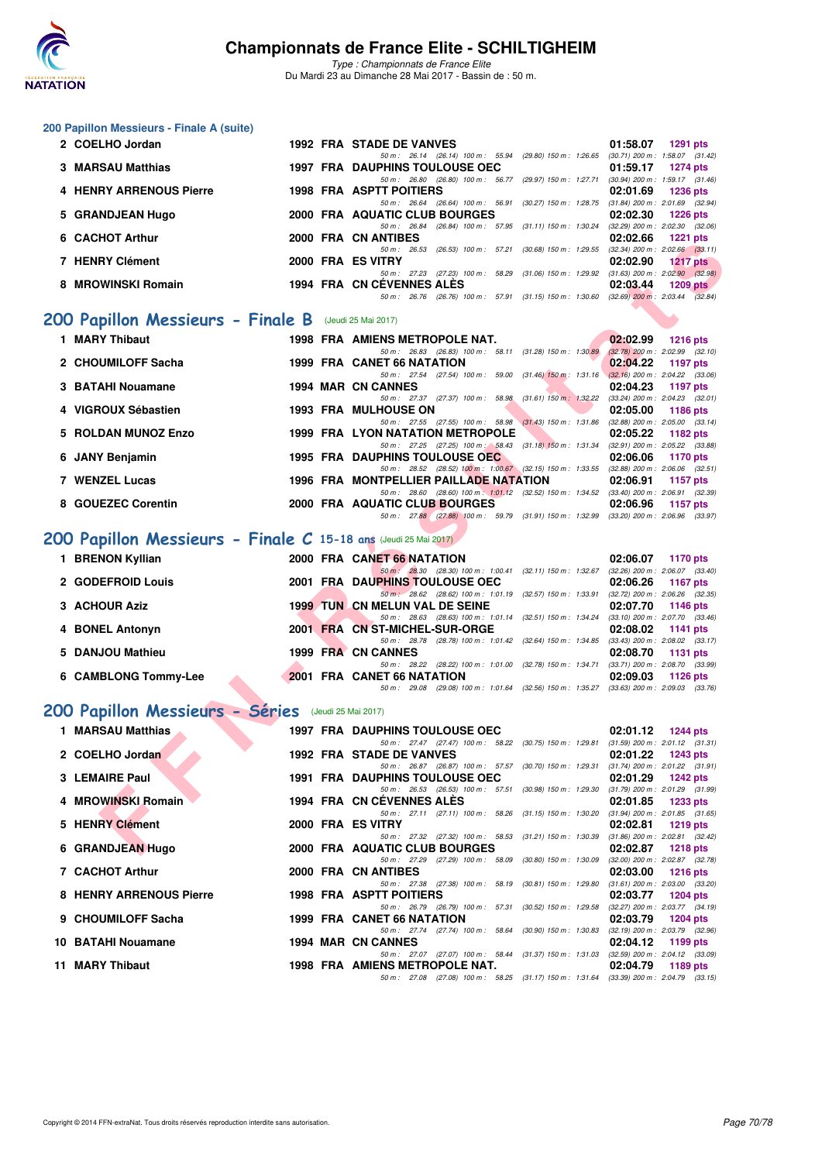

| 200 Papillon Messieurs - Finale A (suite)                       |  |                                                                                                                                       |                                                                      |  |  |  |
|-----------------------------------------------------------------|--|---------------------------------------------------------------------------------------------------------------------------------------|----------------------------------------------------------------------|--|--|--|
| 2 COELHO Jordan                                                 |  | 1992 FRA STADE DE VANVES<br>50 m: 26.14 (26.14) 100 m: 55.94 (29.80) 150 m: 1:26.65 (30.71) 200 m: 1:58.07 (31.42)                    | 01:58.07<br><b>1291 pts</b>                                          |  |  |  |
| <b>3 MARSAU Matthias</b>                                        |  | <b>1997 FRA DAUPHINS TOULOUSE OEC</b>                                                                                                 | 01:59.17<br><b>1274 pts</b>                                          |  |  |  |
| <b>4 HENRY ARRENOUS Pierre</b>                                  |  | 50 m: 26.80 (26.80) 100 m: 56.77 (29.97) 150 m: 1:27.71 (30.94) 200 m: 1:59.17 (31.46)<br><b>1998 FRA ASPTT POITIERS</b>              | 02:01.69<br><b>1236 pts</b>                                          |  |  |  |
| 5 GRANDJEAN Hugo                                                |  | 50 m : 26.64 (26.64) 100 m : 56.91 (30.27) 150 m : 1:28.75<br>2000 FRA AQUATIC CLUB BOURGES                                           | $(31.84)$ 200 m : 2:01.69 $(32.94)$<br>02:02.30<br><b>1226 pts</b>   |  |  |  |
| 6 CACHOT Arthur                                                 |  | 50 m: 26.84 (26.84) 100 m: 57.95 (31.11) 150 m: 1:30.24<br>2000 FRA CN ANTIBES                                                        | $(32.29)$ 200 m : $2:02.30$ $(32.06)$<br>02:02.66<br><b>1221 pts</b> |  |  |  |
|                                                                 |  | 50 m: 26.53<br>(26.53) 100 m : 57.21 (30.68) 150 m : 1:29.55                                                                          | $(32.34)$ 200 m : 2:02.66 $(33.11)$                                  |  |  |  |
| 7 HENRY Clément                                                 |  | 2000 FRA ES VITRY<br>50 m: 27.23 (27.23) 100 m: 58.29 (31.06) 150 m: 1:29.92 (31.63) 200 m: 2:02.90 (32.98)                           | 02:02.90<br><b>1217 pts</b>                                          |  |  |  |
| 8 MROWINSKI Romain                                              |  | 1994 FRA CN CEVENNES ALES<br>50 m: 26.76 (26.76) 100 m: 57.91 (31.15) 150 m: 1.30.60 (32.69) 200 m: 2.03.44 (32.84)                   | 02:03.44<br><b>1209 pts</b>                                          |  |  |  |
| 200 Papillon Messieurs - Finale B                               |  | (Jeudi 25 Mai 2017)                                                                                                                   |                                                                      |  |  |  |
| 1 MARY Thibaut                                                  |  | 1998 FRA AMIENS METROPOLE NAT.                                                                                                        | 02:02.99<br><b>1216 pts</b>                                          |  |  |  |
| 2 CHOUMILOFF Sacha                                              |  | 50 m: 26.83 (26.83) 100 m: 58.11 (31.28) 150 m: 1:30.89<br>1999 FRA CANET 66 NATATION                                                 | $(32.78)$ 200 m : 2:02.99 $(32.10)$<br>02:04.22<br><b>1197 pts</b>   |  |  |  |
|                                                                 |  | 50 m: 27.54 (27.54) 100 m: 59.00 (31.46) 150 m: 1:31.16                                                                               | $(32.16)$ 200 m : 2:04.22 $(33.06)$                                  |  |  |  |
| 3 BATAHI Nouamane                                               |  | 1994 MAR CN CANNES<br>50 m: 27.37 (27.37) 100 m: 58.98 (31.61) 150 m: 1:32.22                                                         | 02:04.23<br><b>1197 pts</b><br>$(33.24)$ 200 m : 2:04.23 $(32.01)$   |  |  |  |
| 4 VIGROUX Sébastien                                             |  | <b>1993 FRA MULHOUSE ON</b><br>50 m: 27.55 (27.55) 100 m: 58.98 (31.43) 150 m: 1:31.86                                                | 02:05.00<br><b>1186 pts</b><br>$(32.88)$ 200 m : $2:05.00$ $(33.14)$ |  |  |  |
| <b>ROLDAN MUNOZ Enzo</b><br>5                                   |  | <b>1999 FRA LYON NATATION METROPOLE</b><br>50 m: 27.25 (27.25) 100 m: 58.43 (31.18) 150 m: 1:31.34 (32.91) 200 m: 2:05.22 (33.88)     | 02:05.22<br>1182 pts                                                 |  |  |  |
| 6 JANY Benjamin                                                 |  | <b>1995 FRA DAUPHINS TOULOUSE OEC</b>                                                                                                 | 02:06.06<br>1170 pts                                                 |  |  |  |
| <b>7 WENZEL Lucas</b>                                           |  | 50 m: 28.52 (28.52) 100 m: 1:00.67 (32.15) 150 m: 1:33.55 (32.88) 200 m: 2:06.06 (32.51)<br>1996 FRA MONTPELLIER PAILLADE NATATION    | 02:06.91<br><b>1157 pts</b>                                          |  |  |  |
| 8 GOUEZEC Corentin                                              |  | 50 m: 28.60 (28.60) 100 m: 1:01.12 (32.52) 150 m: 1:34.52 (33.40) 200 m: 2:06.91 (32.39)<br>2000 FRA AQUATIC CLUB BOURGES             | 02:06.96<br><b>1157 pts</b>                                          |  |  |  |
|                                                                 |  | 50 m: 27.88 (27.88) 100 m: 59.79 (31.91) 150 m: 1.32.99 (33.20) 200 m: 2.06.96 (33.97)                                                |                                                                      |  |  |  |
| 200 Papillon Messieurs - Finale C 15-18 ans (Jeudi 25 Mai 2017) |  |                                                                                                                                       |                                                                      |  |  |  |
| 1 BRENON Kyllian                                                |  | 2000 FRA CANET 66 NATATION                                                                                                            | 02:06.07<br><b>1170 pts</b>                                          |  |  |  |
| 2 GODEFROID Louis                                               |  | 50 m: 28.30 (28.30) 100 m: 1:00.41 (32.11) 150 m: 1:32.67 (32.26) 200 m: 2:06.07 (33.40)<br>2001 FRA DAUPHINS TOULOUSE OEC            | 02:06.26<br><b>1167 pts</b>                                          |  |  |  |
| 3 ACHOUR Aziz                                                   |  | 50 m : 28.62 (28.62) 100 m : 1:01.19 (32.57) 150 m : 1:33.91 (32.72) 200 m : 2:06.26 (32.35)<br><b>1999 TUN CN MELUN VAL DE SEINE</b> | 02:07.70<br><b>1146 pts</b>                                          |  |  |  |
| <b>BONEL Antonyn</b>                                            |  | 50 m: 28.63 (28.63) 100 m: 1:01.14 (32.51) 150 m: 1:34.24 (33.10) 200 m: 2:07.70 (33.46)<br>2001 FRA CN ST-MICHEL-SUR-ORGE            | 02:08.02<br>1141 pts                                                 |  |  |  |
| 5 DANJOU Mathieu                                                |  | 50 m: 28.78 (28.78) 100 m: 1:01.42 (32.64) 150 m: 1:34.85 (33.43) 200 m: 2:08.02 (33.17)<br>1999 FRA CN CANNES                        | 02:08.70<br><b>1131 pts</b>                                          |  |  |  |
|                                                                 |  | 50 m : 28.22 (28.22) 100 m : 1:01.00 (32.78) 150 m : 1:34.71                                                                          | $(33.71)$ 200 m : 2:08.70 $(33.99)$                                  |  |  |  |
| 6 CAMBLONG Tommy-Lee                                            |  | 2001 FRA CANET 66 NATATION                                                                                                            | 02:09.03<br>1126 pts                                                 |  |  |  |
| 200 Papillon Messieurs - Séries (Jeudi 25 Mai 2017)             |  |                                                                                                                                       |                                                                      |  |  |  |
|                                                                 |  | 50 m: 29.08 (29.08) 100 m: 1:01.64 (32.56) 150 m: 1:35.27 (33.63) 200 m: 2:09.03 (33.76)                                              |                                                                      |  |  |  |
| 1 MARSAU Matthias                                               |  | 1997 FRA DAUPHINS TOULOUSE OEC                                                                                                        | 02:01.12<br><b>1244 pts</b>                                          |  |  |  |
| 2 COELHO Jordan                                                 |  | 50 m: 27.47 (27.47) 100 m: 58.22 (30.75) 150 m: 1:29.81 (31.59) 200 m: 2:01.12 (31.31)<br>1992 FRA STADE DE VANVES                    | 02:01.22<br>1243 pts                                                 |  |  |  |
|                                                                 |  | 50 m : 26.87 (26.87) 100 m : 57.57 (30.70) 150 m : 1:29.31 (31.74) 200 m : 2:01.22 (31.91)                                            |                                                                      |  |  |  |
| 3 LEMAIRE Paul                                                  |  | <b>1991 FRA DAUPHINS TOULOUSE OEC</b><br>50 m: 26.53 (26.53) 100 m: 57.51 (30.98) 150 m: 1:29.30 (31.79) 200 m: 2:01.29 (31.99)       | 02:01.29<br><b>1242 pts</b>                                          |  |  |  |
| 4 MROWINSKI Romain                                              |  | 1994 FRA CN CEVENNES ALES<br>50 m: 27.11 (27.11) 100 m: 58.26 (31.15) 150 m: 1:30.20                                                  | 02:01.85<br>1233 pts<br>$(31.94)$ 200 m : 2:01.85 $(31.65)$          |  |  |  |
| 5 HENRY Clément                                                 |  | 2000 FRA ES VITRY<br>50 m: 27.32 (27.32) 100 m: 58.53 (31.21) 150 m: 1:30.39                                                          | 02:02.81<br>1219 pts<br>$(31.86)$ 200 m : 2:02.81 $(32.42)$          |  |  |  |
| 6 GRANDJEAN Hugo                                                |  | 2000 FRA AQUATIC CLUB BOURGES<br>50 m : 27.29 (27.29) 100 m : 58.09 (30.80) 150 m : 1:30.09                                           | 02:02.87<br><b>1218 pts</b><br>(32.00) 200 m : 2:02.87 (32.78)       |  |  |  |
| 7 CACHOT Arthur                                                 |  | 2000 FRA CN ANTIBES                                                                                                                   | 02:03.00<br><b>1216 pts</b>                                          |  |  |  |
| <b>8 HENRY ARRENOUS Pierre</b>                                  |  | 50 m: 27.38 (27.38) 100 m: 58.19 (30.81) 150 m: 1:29.80<br><b>1998 FRA ASPTT POITIERS</b>                                             | $(31.61)$ 200 m : 2:03.00 $(33.20)$<br>02:03.77<br><b>1204 pts</b>   |  |  |  |
| 9 CHOUMILOFF Sacha                                              |  | 50 m : 26.79 (26.79) 100 m : 57.31 (30.52) 150 m : 1:29.58<br>1999 FRA CANET 66 NATATION                                              | (32.27) 200 m : 2:03.77 (34.19)<br>02:03.79<br>1204 pts              |  |  |  |
| 10 BATAHI Nouamane                                              |  | 50 m : 27.74 (27.74) 100 m : 58.64 (30.90) 150 m : 1:30.83<br>1994 MAR CN CANNES                                                      | (32.19) 200 m : 2:03.79 (32.96)<br>02:04.12<br>1199 pts              |  |  |  |
| 11 MARY Thibaut                                                 |  | 50 m: 27.07 (27.07) 100 m: 58.44 (31.37) 150 m: 1:31.03 (32.59) 200 m: 2:04.12 (33.09)<br>1998 FRA AMIENS METROPOLE NAT.              | 02:04.79<br>1189 pts                                                 |  |  |  |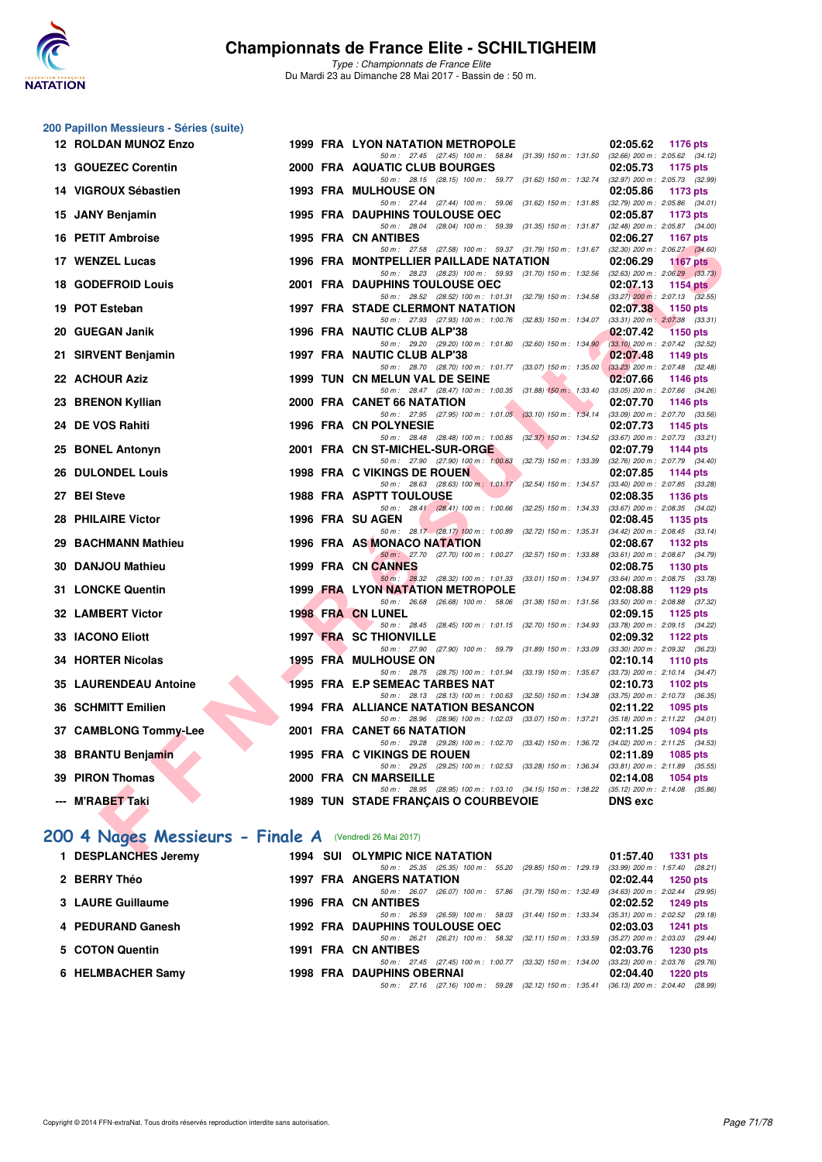

*Type : Championnats de France Elite* Du Mardi 23 au Dimanche 28 Mai 2017 - Bassin de : 50 m.

|    | 200 Papillon Messieurs - Séries (suite)                 |      |                                                                                                                                        |                                                                    |
|----|---------------------------------------------------------|------|----------------------------------------------------------------------------------------------------------------------------------------|--------------------------------------------------------------------|
|    | <b>12 ROLDAN MUNOZ Enzo</b>                             |      | 1999 FRA LYON NATATION METROPOLE                                                                                                       | 02:05.62<br>1176 pts                                               |
|    | 13 GOUEZEC Corentin                                     |      | 50 m: 27.45 (27.45) 100 m: 58.84 (31.39) 150 m: 1:31.50 (32.66) 200 m: 2:05.62 (34.12)<br>2000 FRA AQUATIC CLUB BOURGES                | 02:05.73<br><b>1175 pts</b>                                        |
|    | 14 VIGROUX Sébastien                                    |      | 50 m: 28.15 (28.15) 100 m: 59.77 (31.62) 150 m: 1:32.74 (32.97) 200 m: 2:05.73 (32.99)<br><b>1993 FRA MULHOUSE ON</b>                  | 02:05.86<br>1173 pts                                               |
|    |                                                         |      | 50 m: 27.44 (27.44) 100 m: 59.06 (31.62) 150 m: 1:31.85 (32.79) 200 m: 2:05.86 (34.01)                                                 |                                                                    |
|    | 15 JANY Benjamin                                        |      | <b>1995 FRA DAUPHINS TOULOUSE OEC</b><br>50 m: 28.04 (28.04) 100 m: 59.39 (31.35) 150 m: 1:31.87                                       | 02:05.87<br>1173 pts<br>$(32.48)$ 200 m : 2:05.87 $(34.00)$        |
|    | 16 PETIT Ambroise                                       |      | <b>1995 FRA CN ANTIBES</b><br>50 m: 27.58 (27.58) 100 m: 59.37 (31.79) 150 m: 1.31.67 (32.30) 200 m: 2:06.27 (34.60)                   | 02:06.27<br><b>1167 pts</b>                                        |
|    | 17 WENZEL Lucas                                         |      | 1996 FRA MONTPELLIER PAILLADE NATATION                                                                                                 | 02:06.29<br><b>1167 pts</b>                                        |
|    | 18 GODEFROID Louis                                      |      | 50 m: 28.23 (28.23) 100 m: 59.93 (31.70) 150 m: 1:32.56 (32.63) 200 m: 2:06.29 (33.73)<br>2001 FRA DAUPHINS TOULOUSE OEC               | 02:07.13<br><b>1154 pts</b>                                        |
|    | 19 POT Esteban                                          |      | 50 m: 28.52 (28.52) 100 m: 1:01.31 (32.79) 150 m: 1:34.58 (33.27) 200 m: 2:07.13 (32.55)<br><b>1997 FRA STADE CLERMONT NATATION</b>    | 02:07.38<br>1150 pts                                               |
|    |                                                         |      | 50 m: 27.93 (27.93) 100 m: 1:00.76 (32.83) 150 m: 1:34.07 (33.31) 200 m: 2:07.38 (33.31)                                               |                                                                    |
|    | 20 GUEGAN Janik                                         |      | 1996 FRA NAUTIC CLUB ALP'38<br>50 m: 29.20 (29.20) 100 m: 1:01.80 (32.60) 150 m: 1:34.90                                               | 02:07.42<br><b>1150 pts</b><br>$(33.10)$ 200 m : 2:07.42 $(32.52)$ |
|    | 21 SIRVENT Benjamin                                     |      | 1997 FRA NAUTIC CLUB ALP'38                                                                                                            | 02:07.48<br>1149 pts                                               |
|    | 22 ACHOUR Aziz                                          |      | 50 m: 28.70 (28.70) 100 m: 1:01.77 (33.07) 150 m: 1:35.00<br>1999 TUN CN MELUN VAL DE SEINE                                            | $(33.23)$ 200 m : 2:07.48 $(32.48)$<br>02:07.66<br>1146 pts        |
|    |                                                         |      | 50 m: 28.47 (28.47) 100 m: 1:00.35 (31.88) 150 m: 1:33.40                                                                              | (33.05) 200 m : 2:07.66 (34.26)                                    |
|    | 23 BRENON Kyllian                                       |      | 2000 FRA CANET 66 NATATION<br>50 m : 27.95 (27.95) 100 m : 1:01.05 (33.10) 150 m : 1:34.14                                             | 02:07.70<br><b>1146 pts</b><br>$(33.09)$ 200 m : 2:07.70 $(33.56)$ |
|    | 24 DE VOS Rahiti                                        |      | 1996 FRA CN POLYNESIE                                                                                                                  | 02:07.73<br>1145 pts                                               |
| 25 | <b>BONEL Antonyn</b>                                    |      | 50 m: 28.48 (28.48) 100 m: 1:00.85 (32.37) 150 m: 1:34.52 (33.67) 200 m: 2:07.73 (33.21)<br>2001 FRA CN ST-MICHEL-SUR-ORGE             | 02:07.79<br>1144 pts                                               |
|    |                                                         |      | 50 m: 27.90 (27.90) 100 m: 1:00.63 (32.73) 150 m: 1:33.39 (32.76) 200 m: 2:07.79 (34.40)                                               |                                                                    |
|    | <b>26 DULONDEL Louis</b>                                |      | 1998 FRA C VIKINGS DE ROUEN<br>50 m: 28.63 (28.63) 100 m: 1:01.17 (32.54) 150 m: 1:34.57                                               | 02:07.85<br><b>1144 pts</b><br>$(33.40)$ 200 m : 2:07.85 $(33.28)$ |
|    | 27 BEI Steve                                            |      | <b>1988 FRA ASPTT TOULOUSE</b>                                                                                                         | 02:08.35<br>1136 pts                                               |
|    | 28 PHILAIRE Victor                                      |      | 50 m: 28.41 (28.41) 100 m: 1:00.66 (32.25) 150 m: 1:34.33<br>1996 FRA SU AGEN                                                          | $(33.67)$ 200 m : 2:08.35 $(34.02)$<br>02:08.45<br>1135 pts        |
|    |                                                         |      | 50 m : 28.17 (28.17) 100 m : 1:00.89 (32.72) 150 m : 1:35.31                                                                           | $(34.42)$ 200 m : 2:08.45 $(33.14)$                                |
| 29 | <b>BACHMANN Mathieu</b>                                 |      | 1996 FRA AS MONACO NATATION<br>50 m : 27.70 (27.70) 100 m : 1:00.27 (32.57) 150 m : 1:33.88                                            | 02:08.67<br>1132 pts<br>$(33.61)$ 200 m : 2:08.67 $(34.79)$        |
|    | <b>30 DANJOU Mathieu</b>                                |      | 1999 FRA CN CANNES                                                                                                                     | 02:08.75<br>1130 pts                                               |
|    | <b>31 LONCKE Quentin</b>                                |      | 50 m : 28.32 (28.32) 100 m : 1:01.33 (33.01) 150 m : 1:34.97<br><b>1999 FRA LYON NATATION METROPOLE</b>                                | $(33.64)$ 200 m : 2:08.75 $(33.78)$<br>02:08.88<br>1129 pts        |
|    | <b>32 LAMBERT Victor</b>                                |      | 50 m: 26.68 (26.68) 100 m: 58.06 (31.38) 150 m: 1:31.56<br><b>1998 FRA CN LUNEL</b>                                                    | $(33.50)$ 200 m : 2:08.88 $(37.32)$<br>02:09.15<br>1125 pts        |
|    |                                                         |      | 50 m: 28.45 (28.45) 100 m: 1:01.15 (32.70) 150 m: 1:34.93                                                                              | $(33.78)$ 200 m : 2:09.15 $(34.22)$                                |
|    | 33 IACONO Eliott                                        |      | <b>1997 FRA SC THIONVILLE</b><br>50 m: 27.90 (27.90) 100 m: 59.79 (31.89) 150 m: 1:33.09                                               | 02:09.32<br>1122 pts<br>(33.30) 200 m : 2:09.32 (36.23)            |
|    | 34 HORTER Nicolas                                       |      | <b>1995 FRA MULHOUSE ON</b>                                                                                                            | 02:10.14<br><b>1110 pts</b>                                        |
|    | <b>35 LAURENDEAU Antoine</b>                            |      | 50 m: 28.75 (28.75) 100 m: 1:01.94 (33.19) 150 m: 1:35.67<br>1995 FRA E.P SEMEAC TARBES NAT                                            | $(33.73)$ 200 m : 2:10.14 $(34.47)$<br>02:10.73<br>1102 $pts$      |
|    | 36 SCHMITT Emilien                                      |      | 50 m: 28.13 (28.13) 100 m: 1:00.63 (32.50) 150 m: 1:34.38 (33.75) 200 m: 2:10.73 (36.35)<br><b>1994 FRA ALLIANCE NATATION BESANCON</b> | 02:11.22<br>1095 pts                                               |
|    |                                                         |      | 50 m: 28.96 (28.96) 100 m: 1:02.03 (33.07) 150 m: 1:37.21 (35.18) 200 m: 2:11.22 (34.01)                                               |                                                                    |
|    | 37 CAMBLONG Tommy-Lee                                   |      | 2001 FRA CANET 66 NATATION<br>50 m: 29.28 (29.28) 100 m: 1:02.70 (33.42) 150 m: 1:36.72 (34.02) 200 m: 2:11.25 (34.53)                 | 02:11.25<br><b>1094 pts</b>                                        |
|    | 38 BRANTU Benjamin                                      |      | 1995 FRA C VIKINGS DE ROUEN                                                                                                            | 02:11.89<br>1085 pts                                               |
|    | 39 PIRON Thomas                                         |      | 50 m: 29.25 (29.25) 100 m: 1:02.53 (33.28) 150 m: 1:36.34 (33.81) 200 m: 2:11.89 (35.55)<br>2000 FRA CN MARSEILLE                      | 02:14.08<br>1054 pts                                               |
|    |                                                         |      | 50 m: 28.95 (28.95) 100 m: 1.03.10 (34.15) 150 m: 1.38.22 (35.12) 200 m: 2.14.08 (35.86)                                               |                                                                    |
|    | --- M'RABET Taki                                        |      | 1989 TUN STADE FRANÇAIS O COURBEVOIE                                                                                                   | <b>DNS</b> exc                                                     |
|    | 200 4 Nages Messieurs - Finale A (Vendredi 26 Mai 2017) |      |                                                                                                                                        |                                                                    |
|    | BECBLANOUEC Issant                                      | 1004 | CULL OF VALDIO MIOR MATATION                                                                                                           |                                                                    |

### **[200 4 Nages Messieurs - Finale A](http://www.ffnatation.fr/webffn/resultats.php?idact=nat&go=epr&idcpt=45075&idepr=91)** (Vendredi 26 Mai 2017)

| 1 DESPLANCHES Jeremy | <b>1994 SUI OLYMPIC NICE NATATION</b>                                                 | 01:57.40<br>1331 pts                |
|----------------------|---------------------------------------------------------------------------------------|-------------------------------------|
|                      | 50 m: 25.35 (25.35) 100 m: 55.20 (29.85) 150 m: 1:29.19                               | (33.99) 200 m: 1:57.40 (28.21)      |
| 2 BERRY Théo         | <b>1997 FRA ANGERS NATATION</b>                                                       | 02:02.44<br>1250 pts                |
|                      | 50 m: 26.07 (26.07) 100 m: 57.86 (31.79) 150 m: 1:32.49                               | $(34.63)$ 200 m : 2:02.44 $(29.95)$ |
| 3 LAURE Guillaume    | <b>1996 FRA CN ANTIBES</b>                                                            | $02:02.52$ 1249 pts                 |
|                      | (26.59) 100 m : 58.03 (31.44) 150 m : 1:33.34<br>50 m : 26.59                         | (35.31) 200 m : 2:02.52 (29.18      |
| 4 PEDURAND Ganesh    | <b>1992 FRA DAUPHINS TOULOUSE OEC</b>                                                 | 02:03.03 1241 pts                   |
|                      | 50 m: 26.21 (26.21) 100 m: 58.32 (32.11) 150 m: 1:33.59                               | $(35.27)$ 200 m : 2:03.03 (29.44)   |
| 5 COTON Quentin      | <b>1991 FRA CN ANTIBES</b>                                                            | 02:03.76 1230 pts                   |
|                      | 50 m: 27.45 (27.45) 100 m: 1:00.77 (33.32) 150 m: 1:34.00                             | (33.23) 200 m : 2:03.76 (29.76)     |
| 6 HELMBACHER Samv    | <b>1998 FRA DAUPHINS OBERNAI</b>                                                      | 02:04.40<br>1220 pts                |
|                      | 50 m: 27.16 (27.16) 100 m: 59.28 (32.12) 150 m: 1:35.41 (36.13) 200 m: 2:04.40 (28.99 |                                     |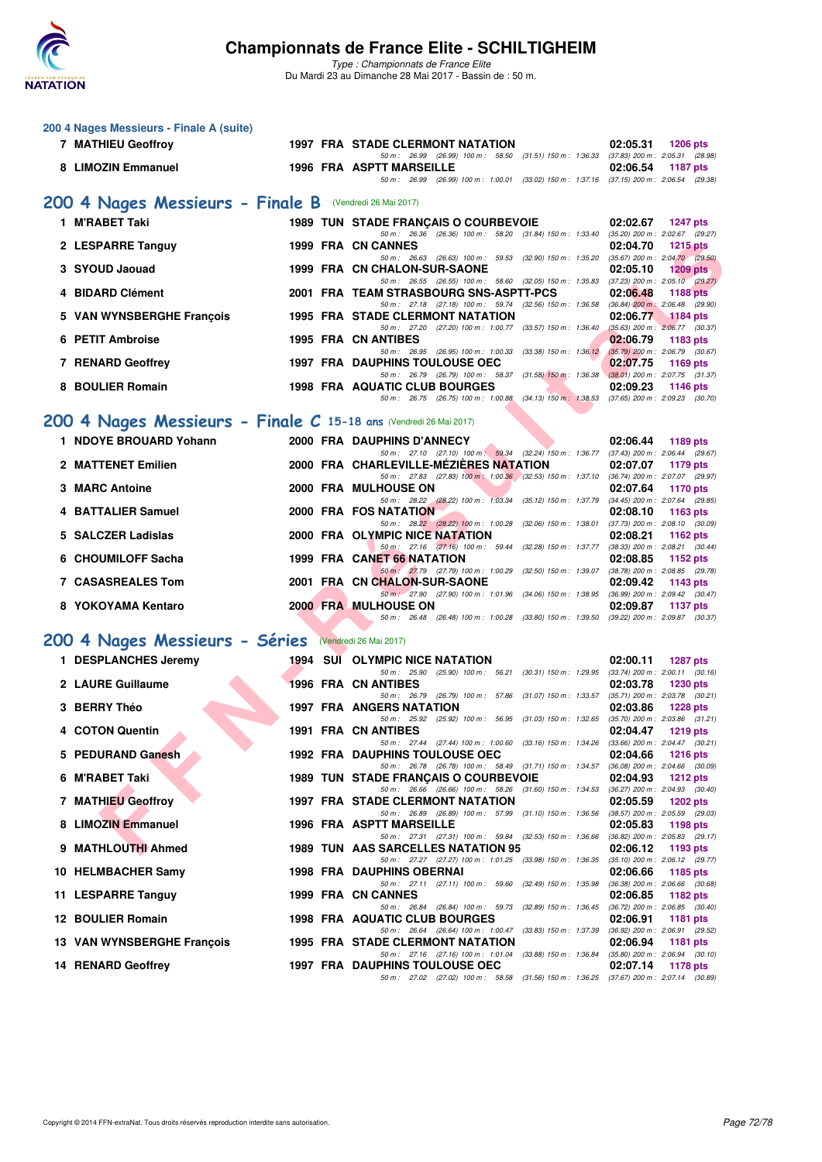

**200 4 Nages Messieurs - Finale A (suite)**

### **Championnats de France Elite - SCHILTIGHEIM**

| 7 MATHIEU Geoffroy         |                                                                   | <b>1997 FRA STADE CLERMONT NATATION</b>                                                                                                                                                                               | 02:05.31                                        | <b>1206 pts</b> |
|----------------------------|-------------------------------------------------------------------|-----------------------------------------------------------------------------------------------------------------------------------------------------------------------------------------------------------------------|-------------------------------------------------|-----------------|
| 8 LIMOZIN Emmanuel         |                                                                   | 50 m: 26.99 (26.99) 100 m: 58.50 (31.51) 150 m: 1:36.33 (37.83) 200 m: 2:05.31 (28.98)<br><b>1996 FRA ASPTT MARSEILLE</b><br>50 m: 26.99 (26.99) 100 m: 1:00.01 (33.02) 150 m: 1:37.16 (37.15) 200 m: 2:06.54 (29.38) | 02:06.54                                        | <b>1187 pts</b> |
|                            | 200 4 Nages Messieurs - Finale B (Vendredi 26 Mai 2017)           |                                                                                                                                                                                                                       |                                                 |                 |
| 1 M'RABET Taki             |                                                                   | 1989 TUN STADE FRANÇAIS O COURBEVOIE                                                                                                                                                                                  | 02:02.67                                        | 1247 pts        |
|                            |                                                                   | 50 m: 26.36 (26.36) 100 m: 58.20 (31.84) 150 m: 1:33.40 (35.20) 200 m: 2:02.67 (29.27)<br>1999 FRA CN CANNES                                                                                                          | 02:04.70                                        |                 |
| 2 LESPARRE Tanguy          |                                                                   | 50 m: 26.63 (26.63) 100 m: 59.53 (32.90) 150 m: 1:35.20 (35.67) 200 m: 2:04.70 (29.50)                                                                                                                                |                                                 | <b>1215 pts</b> |
| 3 SYOUD Jaouad             |                                                                   | 1999 FRA CN CHALON-SUR-SAONE<br>50 m: 26.55 (26.55) 100 m: 58.60 (32.05) 150 m: 1:35.83 (37.23) 200 m: 2:05.10 (29.27)                                                                                                | 02:05.10                                        | $1209$ pts      |
| 4 BIDARD Clément           |                                                                   | 2001 FRA TEAM STRASBOURG SNS-ASPTT-PCS                                                                                                                                                                                | 02:06.48                                        | <b>1188 pts</b> |
| 5 VAN WYNSBERGHE François  |                                                                   | 50 m: 27.18 (27.18) 100 m: 59.74 (32.56) 150 m: 1:36.58 (36.84) 200 m: 2:06.48 (29.90)<br><b>1995 FRA STADE CLERMONT NATATION</b>                                                                                     | 02:06.77                                        | 1184 pts        |
| 6 PETIT Ambroise           |                                                                   | 50 m: 27.20 (27.20) 100 m: 1:00.77 (33.57) 150 m: 1:36.40 (35.63) 200 m: 2:06.77 (30.37)<br><b>1995 FRA CN ANTIBES</b>                                                                                                | 02:06.79                                        | 1183 pts        |
|                            |                                                                   | 50 m: 26.95 (26.95) 100 m: 1:00.33 (33.38) 150 m: 1:36.12 (35.79) 200 m: 2:06.79 (30.67)                                                                                                                              |                                                 |                 |
| 7 RENARD Geoffrey          |                                                                   | <b>1997 FRA DAUPHINS TOULOUSE OEC</b><br>50 m: 26.79 (26.79) 100 m: 58.37 (31.58) 150 m: 1:36.38 (38.01) 200 m: 2:07.75 (31.37)                                                                                       | 02:07.75                                        | 1169 pts        |
| 8 BOULIER Romain           |                                                                   | <b>1998 FRA AQUATIC CLUB BOURGES</b>                                                                                                                                                                                  | 02:09.23                                        | 1146 pts        |
|                            |                                                                   | 50 m: 26.75 (26.75) 100 m: 1:00.88 (34.13) 150 m: 1:38.53 (37.65) 200 m: 2:09.23 (30.70)                                                                                                                              |                                                 |                 |
|                            | 200 4 Nages Messieurs - Finale C 15-18 ans (Vendredi 26 Mai 2017) |                                                                                                                                                                                                                       |                                                 |                 |
| 1 NDOYE BROUARD Yohann     |                                                                   | 2000 FRA DAUPHINS D'ANNECY<br>50 m: 27.10 (27.10) 100 m: 59.34 (32.24) 150 m: 1:36.77 (37.43) 200 m: 2:06.44 (29.67)                                                                                                  | 02:06.44                                        | 1189 pts        |
| 2 MATTENET Emilien         |                                                                   | 2000 FRA CHARLEVILLE-MEZIERES NATATION                                                                                                                                                                                | 02:07.07                                        | <b>1179 pts</b> |
| 3 MARC Antoine             |                                                                   | 50 m: 27.83 (27.83) 100 m: 1:00.36 (32.53) 150 m: 1:37.10 (36.74) 200 m: 2:07.07 (29.97)<br>2000 FRA MULHOUSE ON                                                                                                      | 02:07.64                                        | 1170 pts        |
| 4 BATTALIER Samuel         |                                                                   | 50 m: 28.22 (28.22) 100 m: 1:03.34 (35.12) 150 m: 1:37.79 (34.45) 200 m: 2:07.64 (29.85)<br>2000 FRA FOS NATATION                                                                                                     |                                                 |                 |
|                            |                                                                   | 50 m: 28.22 (28.22) 100 m: 1:00.28 (32.06) 150 m: 1:38.01 (37.73) 200 m: 2:08.10 (30.09)                                                                                                                              | 02:08.10                                        | 1163 pts        |
| 5 SALCZER Ladislas         |                                                                   | 2000 FRA OLYMPIC NICE NATATION<br>50 m: 27.16 (27.16) 100 m: 59.44 (32.28) 150 m: 1.37.77 (38.33) 200 m: 2:08.21 (30.44)                                                                                              | 02:08.21                                        | 1162 $pts$      |
| 6 CHOUMILOFF Sacha         |                                                                   | 1999 FRA CANET 66 NATATION                                                                                                                                                                                            | 02:08.85                                        | 1152 pts        |
| <b>7 CASASREALES Tom</b>   |                                                                   | 50 m: 27.79 (27.79) 100 m: 1:00.29 (32.50) 150 m: 1:39.07 (38.78) 200 m: 2:08.85 (29.78)<br>2001 FRA CN CHALON-SUR-SAONE                                                                                              | 02:09.42                                        | 1143 pts        |
| 8 YOKOYAMA Kentaro         |                                                                   | 50 m : 27.90 (27.90) 100 m : 1:01.96 (34.06) 150 m : 1:38.95 (36.99) 200 m : 2:09.42 (30.47)<br><b>2000 FRA MULHOUSE ON</b>                                                                                           | 02:09.87                                        |                 |
|                            |                                                                   | 50 m: 26.48 (26.48) 100 m: 1:00.28 (33.80) 150 m: 1:39.50 (39.22) 200 m: 2:09.87 (30.37)                                                                                                                              |                                                 | <b>1137 pts</b> |
|                            | 200 4 Nages Messieurs - Séries                                    | (Vendredi 26 Mai 2017)                                                                                                                                                                                                |                                                 |                 |
| 1 DESPLANCHES Jeremy       |                                                                   | <b>1994 SUI OLYMPIC NICE NATATION</b>                                                                                                                                                                                 | 02:00.11                                        | 1287 pts        |
|                            |                                                                   | 50 m: 25.90 (25.90) 100 m: 56.21 (30.31) 150 m: 1:29.95 (33.74) 200 m: 2:00.11 (30.16)                                                                                                                                |                                                 |                 |
| 2 LAURE Guillaume          |                                                                   | 1996 FRA CN ANTIBES<br>50 m: 26.79 (26.79) 100 m: 57.86 (31.07) 150 m: 1:33.57 (35.71) 200 m: 2:03.78 (30.21)                                                                                                         | 02:03.78                                        | 1230 pts        |
| 3 BERRY Théo               |                                                                   | 1997 FRA ANGERS NATATION<br>50 m: 25.92 (25.92) 100 m: 56.95 (31.03) 150 m: 1:32.65 (35.70) 200 m: 2:03.86 (31.21)                                                                                                    | 02:03.86                                        | <b>1228 pts</b> |
| 4 COTON Quentin            |                                                                   | 1991 FRA CN ANTIBES                                                                                                                                                                                                   | 02:04.47                                        | $1219$ pts      |
| 5 PEDURAND Ganesh          |                                                                   | 50 m: 27.44 (27.44) 100 m: 1:00.60 (33.16) 150 m: 1:34.26 (33.66) 200 m: 2:04.47 (30.21)<br><b>1992 FRA DAUPHINS TOULOUSE OEC</b>                                                                                     | 02:04.66                                        | <b>1216 pts</b> |
| 6 M'RABET Taki             |                                                                   | 50 m: 26.78 (26.78) 100 m: 58.49 (31.71) 150 m: 1:34.57<br><b>1989 TUN STADE FRANCAIS O COURBEVOIE</b>                                                                                                                | $(36.08)$ 200 m : 2:04.66 $(30.09)$<br>02:04.93 |                 |
|                            |                                                                   | 50 m: 26.66 (26.66) 100 m: 58.26 (31.60) 150 m: 1:34.53 (36.27) 200 m: 2:04.93 (30.40)                                                                                                                                |                                                 | 1212 $pts$      |
| 7 MATHIEU Geoffroy         |                                                                   | <b>1997 FRA STADE CLERMONT NATATION</b><br>50 m : 26.89 (26.89) 100 m : 57.99 (31.10) 150 m : 1:36.56 (38.57) 200 m : 2:05.59 (29.03)                                                                                 | 02:05.59                                        | 1202 pts        |
| 8 LIMOZIN Emmanuel         |                                                                   | 1996 FRA ASPTT MARSEILLE                                                                                                                                                                                              | 02:05.83                                        | 1198 pts        |
| 9 MATHLOUTHI Ahmed         |                                                                   | 50 m: 27.31 (27.31) 100 m: 59.84 (32.53) 150 m: 1:36.66 (36.82) 200 m: 2:05.83 (29.17)<br>1989 TUN AAS SARCELLES NATATION 95                                                                                          | 02:06.12                                        | 1193 pts        |
|                            |                                                                   | 50 m: 27.27 (27.27) 100 m: 1:01.25 (33.98) 150 m: 1:36.35                                                                                                                                                             | $(35.10)$ 200 m : 2:06.12 $(29.77)$             |                 |
| 10 HELMBACHER Samy         |                                                                   | 1998 FRA DAUPHINS OBERNAI<br>50 m: 27.11 (27.11) 100 m: 59.60 (32.49) 150 m: 1:35.98                                                                                                                                  | 02:06.66<br>(36.38) 200 m : 2:06.66 (30.68)     | 1185 pts        |
| 11 LESPARRE Tanguy         |                                                                   | 1999 FRA CN CANNES<br>50 m: 26.84 (26.84) 100 m: 59.73 (32.89) 150 m: 1:36.45                                                                                                                                         | 02:06.85<br>$(36.72)$ 200 m : 2:06.85 $(30.40)$ | <b>1182 pts</b> |
| 12 BOULIER Romain          |                                                                   | 1998 FRA AQUATIC CLUB BOURGES                                                                                                                                                                                         | 02:06.91                                        | 1181 pts        |
| 13 VAN WYNSBERGHE François |                                                                   | 50 m : 26.64 (26.64) 100 m : 1:00.47 (33.83) 150 m : 1:37.39<br>1995 FRA STADE CLERMONT NATATION                                                                                                                      | (36.92) 200 m : 2:06.91 (29.52)<br>02:06.94     | 1181 pts        |
|                            |                                                                   | 50 m : 27.16 (27.16) 100 m : 1:01.04 (33.88) 150 m : 1:36.84                                                                                                                                                          | $(35.80)$ 200 m : 2:06.94 $(30.10)$             |                 |
| <b>14 RENARD Geoffrey</b>  |                                                                   | <b>1997 FRA DAUPHINS TOULOUSE OEC</b><br>50 m : 27.02 (27.02) 100 m : 58.58 (31.56) 150 m : 1:36.25 (37.67) 200 m : 2:07.14 (30.89)                                                                                   | 02:07.14                                        | 1178 pts        |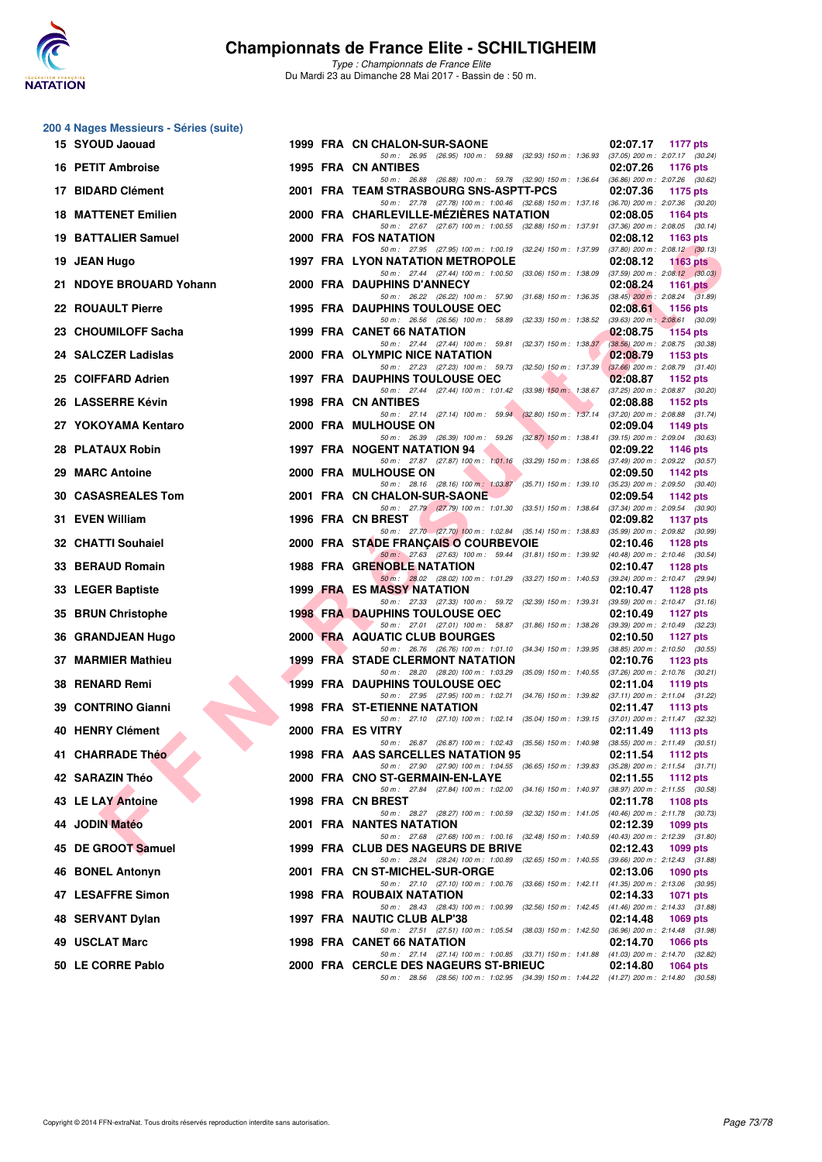

*Type : Championnats de France Elite* Du Mardi 23 au Dimanche 28 Mai 2017 - Bassin de : 50 m.

|     | 200 4 Nages Messieurs - Séries (suite) |  |                                                                                                                                       |                                                                     |
|-----|----------------------------------------|--|---------------------------------------------------------------------------------------------------------------------------------------|---------------------------------------------------------------------|
|     | 15 SYOUD Jaouad                        |  | 1999 FRA CN CHALON-SUR-SAONE<br>50 m: 26.95 (26.95) 100 m: 59.88 (32.93) 150 m: 1:36.93 (37.05) 200 m: 2:07.17 (30.24)                | 02:07.17<br>1177 pts                                                |
|     | 16 PETIT Ambroise                      |  | <b>1995 FRA CN ANTIBES</b><br>50 m: 26.88 (26.88) 100 m: 59.78 (32.90) 150 m: 1:36.64 (36.86) 200 m: 2:07.26 (30.62)                  | 02:07.26<br><b>1176 pts</b>                                         |
|     | 17 BIDARD Clément                      |  | 2001 FRA TEAM STRASBOURG SNS-ASPTT-PCS<br>50 m: 27.78 (27.78) 100 m: 1:00.46 (32.68) 150 m: 1:37.16 (36.70) 200 m: 2:07.36 (30.20)    | 02:07.36<br>1175 pts                                                |
|     | <b>18 MATTENET Emilien</b>             |  | 2000 FRA CHARLEVILLE-MEZIERES NATATION                                                                                                | 02:08.05<br><b>1164 pts</b>                                         |
|     | <b>19 BATTALIER Samuel</b>             |  | 50 m: 27.67 (27.67) 100 m: 1:00.55 (32.88) 150 m: 1:37.91<br>2000 FRA FOS NATATION                                                    | $(37.36)$ 200 m : 2:08.05 $(30.14)$<br>02:08.12<br>1163 pts         |
|     | 19 JEAN Hugo                           |  | 50 m : 27.95 (27.95) 100 m : 1:00.19 (32.24) 150 m : 1:37.99<br><b>1997 FRA LYON NATATION METROPOLE</b>                               | $(37.80)$ 200 m : 2:08.12 $(30.13)$<br>02:08.12<br><b>1163 pts</b>  |
|     | 21 NDOYE BROUARD Yohann                |  | 50 m : 27.44 (27.44) 100 m : 1:00.50 (33.06) 150 m : 1:38.09<br>2000 FRA DAUPHINS D'ANNECY                                            | $(37.59)$ 200 m : 2:08.12 $(30.03)$<br>02:08.24<br><b>1161 pts</b>  |
|     | 22 ROUAULT Pierre                      |  | 50 m : 26.22 (26.22) 100 m : 57.90 (31.68) 150 m : 1:36.35<br><b>1995 FRA DAUPHINS TOULOUSE OEC</b>                                   | $(38.45)$ 200 m : 2:08.24 $(31.89)$<br>02:08.61<br>1156 pts         |
|     | 23 CHOUMILOFF Sacha                    |  | 50 m: 26.56 (26.56) 100 m: 58.89 (32.33) 150 m: 1:38.52 (39.63) 200 m: 2:08.61 (30.09)<br>1999 FRA CANET 66 NATATION                  | 02:08.75<br><b>1154 pts</b>                                         |
|     | 24 SALCZER Ladislas                    |  | 50 m: 27.44 (27.44) 100 m: 59.81 (32.37) 150 m: 1:38.37<br>2000 FRA OLYMPIC NICE NATATION                                             | $(38.56)$ 200 m : 2:08.75 $(30.38)$<br>02:08.79<br>1153 pts         |
|     | 25 COIFFARD Adrien                     |  | 50 m: 27.23 (27.23) 100 m: 59.73 (32.50) 150 m: 1:37.39<br><b>1997 FRA DAUPHINS TOULOUSE OEC</b>                                      | $(37.66)$ 200 m : 2:08.79 $(31.40)$<br>02:08.87<br>1152 pts         |
|     |                                        |  | 50 m: 27.44 (27.44) 100 m: 1:01.42 (33.98) 150 m: 1:38.67                                                                             | (37.25) 200 m : 2:08.87 (30.20)                                     |
|     | 26 LASSERRE Kévin                      |  | 1998 FRA CN ANTIBES<br>50 m: 27.14 (27.14) 100 m: 59.94 (32.80) 150 m: 1:37.14                                                        | 02:08.88<br>1152 pts<br>$(37.20)$ 200 m : 2:08.88 $(31.74)$         |
|     | 27 YOKOYAMA Kentaro                    |  | 2000 FRA MULHOUSE ON<br>50 m: 26.39 (26.39) 100 m: 59.26 (32.87) 150 m: 1:38.41                                                       | 02:09.04<br>1149 pts<br>$(39.15)$ 200 m : 2:09.04 $(30.63)$         |
|     | 28 PLATAUX Robin                       |  | <b>1997 FRA NOGENT NATATION 94</b><br>50 m: 27.87 (27.87) 100 m: 1:01.16 (33.29) 150 m: 1:38.65 (37.49) 200 m: 2:09.22 (30.57)        | 02:09.22<br>1146 pts                                                |
| 29  | <b>MARC Antoine</b>                    |  | 2000 FRA MULHOUSE ON<br>50 m: 28.16 (28.16) 100 m: 1:03.87 (35.71) 150 m: 1:39.10                                                     | 02:09.50<br>1142 pts<br>$(35.23)$ 200 m : 2:09.50 $(30.40)$         |
|     | <b>30 CASASREALES Tom</b>              |  | 2001 FRA CN CHALON-SUR-SAONE                                                                                                          | 02:09.54<br><b>1142 pts</b>                                         |
|     | 31 EVEN William                        |  | 50 m: 27.79 (27.79) 100 m: 1:01.30 (33.51) 150 m: 1:38.64<br>1996 FRA CN BREST                                                        | $(37.34)$ 200 m : 2:09.54 $(30.90)$<br>02:09.82<br>1137 pts         |
|     | 32 CHATTI Souhaiel                     |  | 50 m: 27.70 (27.70) 100 m: 1:02.84 (35.14) 150 m: 1:38.83 (35.99) 200 m: 2:09.82 (30.99)<br>2000 FRA STADE FRANÇAIS O COURBEVOIE      | 02:10.46<br>1128 pts                                                |
|     | 33 BERAUD Romain                       |  | 50 m: 27.63 (27.63) 100 m: 59.44 (31.81) 150 m: 1:39.92 (40.48) 200 m: 2:10.46 (30.54)<br><b>1988 FRA GRENOBLE NATATION</b>           | 02:10.47<br><b>1128 pts</b>                                         |
|     | 33 LEGER Baptiste                      |  | 50 m: 28.02 (28.02) 100 m: 1:01.29 (33.27) 150 m: 1:40.53 (39.24) 200 m: 2:10.47 (29.94)<br><b>1999 FRA ES MASSY NATATION</b>         | 02:10.47<br><b>1128 pts</b>                                         |
|     | 35 BRUN Christophe                     |  | 50 m: 27.33 (27.33) 100 m: 59.72 (32.39) 150 m: 1:39.31<br><b>1998 FRA DAUPHINS TOULOUSE OEC</b>                                      | $(39.59)$ 200 m : 2:10.47 $(31.16)$<br>02:10.49<br><b>1127 pts</b>  |
|     | 36 GRANDJEAN Hugo                      |  | 50 m: 27.01 (27.01) 100 m: 58.87 (31.86) 150 m: 1:38.26 (39.39) 200 m: 2:10.49 (32.23)<br>2000 FRA AQUATIC CLUB BOURGES               | 02:10.50<br><b>1127 pts</b>                                         |
|     | 37 MARMIER Mathieu                     |  | 50 m : 26.76 (26.76) 100 m : 1:01.10 (34.34) 150 m : 1:39.95<br><b>1999 FRA STADE CLERMONT NATATION</b>                               | $(38.85)$ 200 m : 2:10.50 $(30.55)$                                 |
|     |                                        |  | 50 m: 28.20 (28.20) 100 m: 1:03.29 (35.09) 150 m: 1:40.55 (37.26) 200 m: 2:10.76 (30.21)                                              | 02:10.76<br>1123 pts                                                |
|     | 38 RENARD Remi                         |  | <b>1999 FRA DAUPHINS TOULOUSE OEC</b><br>50 m: 27.95 (27.95) 100 m: 1:02.71 (34.76) 150 m: 1:39.82 (37.11) 200 m: 2:11.04 (31.22)     | 02:11.04<br>1119 pts                                                |
| 39. | <b>CONTRINO Gianni</b>                 |  | 1998 FRA ST-ETIENNE NATATION<br>50 m: 27.10 (27.10) 100 m: 1:02.14 (35.04) 150 m: 1:39.15 (37.01) 200 m: 2:11.47 (32.32)              | 02:11.47<br>1113 pts                                                |
|     | 40 HENRY Clément                       |  | 2000 FRA ES VITRY<br>50 m: 26.87 (26.87) 100 m: 1:02.43 (35.56) 150 m: 1:40.98 (38.55) 200 m: 2:11.49 (30.51)                         | 02:11.49<br>1113 pts                                                |
|     | 41 CHARRADE Théo                       |  | 1998 FRA AAS SARCELLES NATATION 95<br>50 m: 27.90 (27.90) 100 m: 1:04.55 (36.65) 150 m: 1:39.83 (35.28) 200 m: 2:11.54 (31.71)        | 02:11.54<br>1112 pts                                                |
|     | 42 SARAZIN Théo                        |  | 2000 FRA CNO ST-GERMAIN-EN-LAYE                                                                                                       | 02:11.55<br>1112 pts                                                |
|     | 43 LE LAY Antoine                      |  | 50 m: 27.84 (27.84) 100 m: 1:02.00 (34.16) 150 m: 1:40.97<br>1998 FRA CN BREST                                                        | $(38.97)$ 200 m : 2:11.55 $(30.58)$<br>02:11.78<br><b>1108 pts</b>  |
|     | 44 JODIN Matéo                         |  | 50 m : 28.27 (28.27) 100 m : 1:00.59 (32.32) 150 m : 1:41.05<br>2001 FRA NANTES NATATION                                              | (40.46) 200 m : 2:11.78 (30.73)<br>02:12.39<br>1099 pts             |
|     | 45 DE GROOT Samuel                     |  | 50 m: 27.68 (27.68) 100 m: 1:00.16 (32.48) 150 m: 1:40.59 (40.43) 200 m: 2:12.39 (31.80)<br>1999 FRA CLUB DES NAGEURS DE BRIVE        | 02:12.43<br>1099 pts                                                |
|     | 46 BONEL Antonyn                       |  | 50 m : 28.24 (28.24) 100 m : 1:00.89 (32.65) 150 m : 1:40.55<br>2001 FRA CN ST-MICHEL-SUR-ORGE                                        | $(39.66) 200 \text{ m}$ : 2:12.43 $(31.88)$<br>02:13.06<br>1090 pts |
|     | 47 LESAFFRE Simon                      |  | 50 m: 27.10 (27.10) 100 m: 1:00.76 (33.66) 150 m: 1:42.11 (41.35) 200 m: 2:13.06 (30.95)<br><b>1998 FRA ROUBAIX NATATION</b>          | 02:14.33<br>1071 pts                                                |
|     | 48 SERVANT Dylan                       |  | 50 m: 28.43 (28.43) 100 m: 1:00.99 (32.56) 150 m: 1:42.45 (41.46) 200 m: 2:14.33 (31.88)<br>1997 FRA NAUTIC CLUB ALP'38               | 02:14.48<br>1069 pts                                                |
|     |                                        |  | 50 m: 27.51 (27.51) 100 m: 1:05.54 (38.03) 150 m: 1:42.50                                                                             | (36.96) 200 m : 2:14.48 (31.98)                                     |
|     | 49 USCLAT Marc                         |  | 1998 FRA CANET 66 NATATION<br>50 m: 27.14 (27.14) 100 m: 1:00.85 (33.71) 150 m: 1:41.88 (41.03) 200 m: 2:14.70 (32.82)                | 02:14.70<br>1066 pts                                                |
|     | 50 LE CORRE Pablo                      |  | 2000 FRA CERCLE DES NAGEURS ST-BRIEUC<br>50 m : 28.56 (28.56) 100 m : 1:02.95 (34.39) 150 m : 1:44.22 (41.27) 200 m : 2:14.80 (30.58) | 02:14.80<br>1064 pts                                                |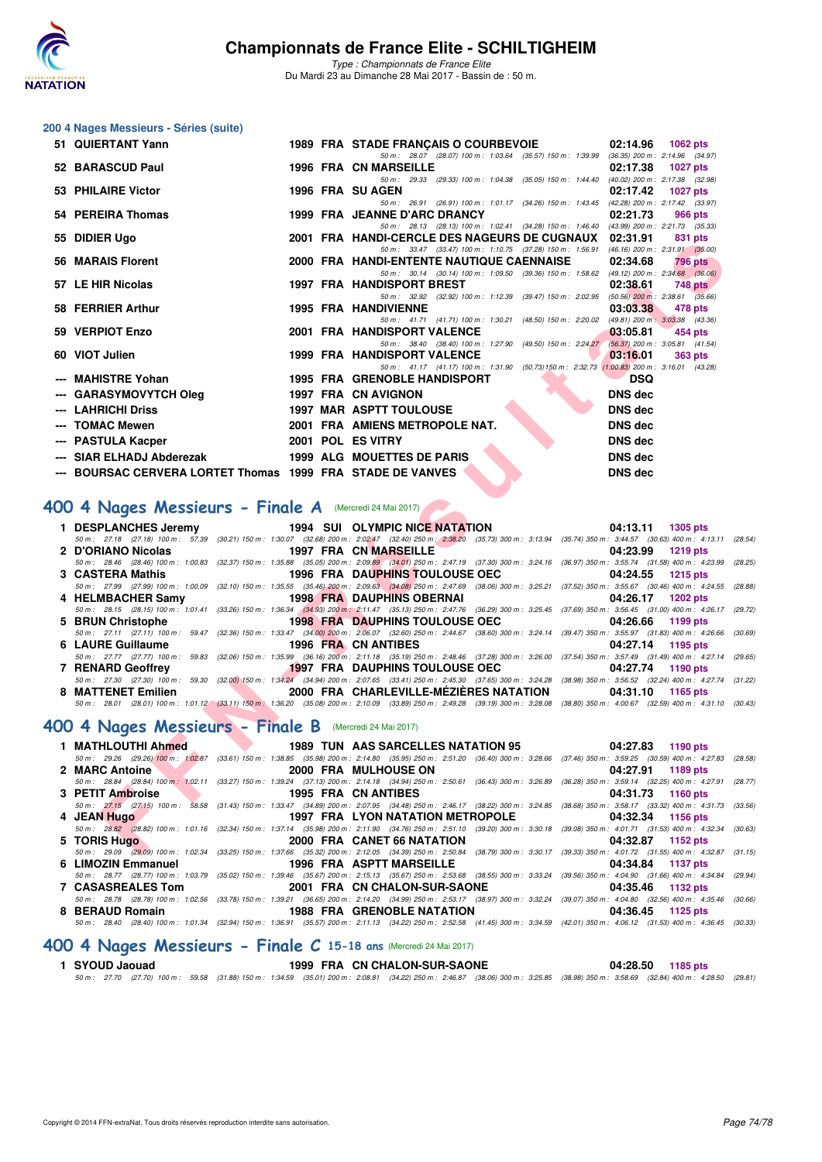

*Type : Championnats de France Elite* Du Mardi 23 au Dimanche 28 Mai 2017 - Bassin de : 50 m.

### **200 4 Nages Messieurs - Séries (suite)**

| 51 QUIERTANT Yann                                                                                                                                                                                                                                          |                   | 1989 FRA STADE FRANÇAIS O COURBEVOIE                                                                                                                                                                              | 02:14.96<br>1062 pts        |
|------------------------------------------------------------------------------------------------------------------------------------------------------------------------------------------------------------------------------------------------------------|-------------------|-------------------------------------------------------------------------------------------------------------------------------------------------------------------------------------------------------------------|-----------------------------|
| 52 BARASCUD Paul                                                                                                                                                                                                                                           |                   | 50 m: 28.07 (28.07) 100 m: 1:03.64 (35.57) 150 m: 1:39.99 (36.35) 200 m: 2:14.96 (34.97)<br>1996 FRA CN MARSEILLE                                                                                                 | 02:17.38<br>1027 pts        |
| 53 PHILAIRE Victor                                                                                                                                                                                                                                         | 1996 FRA SU AGEN  | 50 m: 29.33 (29.33) 100 m: 1:04.38 (35.05) 150 m: 1:44.40 (40.02) 200 m: 2:17.38 (32.98)                                                                                                                          | 02:17.42<br><b>1027 pts</b> |
|                                                                                                                                                                                                                                                            |                   | 50 m: 26.91 (26.91) 100 m: 1:01.17 (34.26) 150 m: 1:43.45 (42.28) 200 m: 2:17.42 (33.97)                                                                                                                          |                             |
| 54 PEREIRA Thomas                                                                                                                                                                                                                                          |                   | 1999 FRA JEANNE D'ARC DRANCY<br>50 m: 28.13 (28.13) 100 m: 1:02.41 (34.28) 150 m: 1:46.40 (43.99) 200 m: 2:21.73 (35.33)                                                                                          | 02:21.73<br>966 pts         |
| 55 DIDIER Ugo                                                                                                                                                                                                                                              |                   | 2001 FRA HANDI-CERCLE DES NAGEURS DE CUGNAUX 02:31.91                                                                                                                                                             | 831 pts                     |
| 56 MARAIS Florent                                                                                                                                                                                                                                          |                   | 50 m: 33.47 (33.47) 100 m: 1:10.75 (37.28) 150 m: 1:56.91 (46.16) 200 m: 2:31.91 (35.00)<br>2000 FRA HANDI-ENTENTE NAUTIQUE CAENNAISE                                                                             | 02:34.68<br><b>796 pts</b>  |
| 57 LE HIR Nicolas                                                                                                                                                                                                                                          |                   | 50 m: 30.14 (30.14) 100 m: 1:09.50 (39.36) 150 m: 1:58.62 (49.12) 200 m: 2:34.68 (36.06)<br><b>1997 FRA HANDISPORT BREST</b>                                                                                      | 02:38.61<br>748 pts         |
|                                                                                                                                                                                                                                                            |                   | 50 m: 32.92 (32.92) 100 m: 1:12.39 (39.47) 150 m: 2:02.95 (50.56) 200 m: 2:38.61 (35.66)                                                                                                                          |                             |
| 58 FERRIER Arthur                                                                                                                                                                                                                                          |                   | <b>1995 FRA HANDIVIENNE</b><br>50 m: 41.71 (41.71) 100 m: 1:30.21 (48.50) 150 m: 2:20.02 (49.81) 200 m: 3:03.38 (43.36)                                                                                           | 03:03.38<br>478 pts         |
| 59 VERPIOT Enzo                                                                                                                                                                                                                                            |                   | 2001 FRA HANDISPORT VALENCE<br>50 m: 38.40 (38.40) 100 m: 1:27.90 (49.50) 150 m: 2:24.27 (56.37) 200 m: 3:05.81 (41.54)                                                                                           | 03:05.81<br>454 pts         |
| 60 VIOT Julien                                                                                                                                                                                                                                             |                   | 1999 FRA HANDISPORT VALENCE                                                                                                                                                                                       | 03:16.01<br><b>363 pts</b>  |
| --- MAHISTRE Yohan                                                                                                                                                                                                                                         |                   | 50 m: 41.17 (41.17) 100 m: 1:31.90 (50.73) 150 m: 2:32.73 (1:00.83) 200 m: 3:16.01 (43.28)<br>1995 FRA GRENOBLE HANDISPORT                                                                                        | <b>DSQ</b>                  |
| --- GARASYMOVYTCH Oleg                                                                                                                                                                                                                                     |                   | 1997 FRA CN AVIGNON                                                                                                                                                                                               | <b>DNS dec</b>              |
| --- LAHRICHI Driss                                                                                                                                                                                                                                         |                   | <b>1997 MAR ASPTT TOULOUSE</b>                                                                                                                                                                                    | <b>DNS</b> dec              |
| --- TOMAC Mewen                                                                                                                                                                                                                                            |                   | 2001 FRA AMIENS METROPOLE NAT.                                                                                                                                                                                    | <b>DNS dec</b>              |
| --- PASTULA Kacper                                                                                                                                                                                                                                         | 2001 POL ES VITRY |                                                                                                                                                                                                                   | <b>DNS dec</b>              |
| --- SIAR ELHADJ Abderezak                                                                                                                                                                                                                                  |                   | 1999 ALG MOUETTES DE PARIS                                                                                                                                                                                        | <b>DNS dec</b>              |
| --- BOURSAC CERVERA LORTET Thomas 1999 FRA STADE DE VANVES                                                                                                                                                                                                 |                   |                                                                                                                                                                                                                   | <b>DNS dec</b>              |
| 00 4 Nages Messieurs - Finale A (Mercredi 24 Mai 2017)                                                                                                                                                                                                     |                   |                                                                                                                                                                                                                   |                             |
| 1 DESPLANCHES Jeremy                                                                                                                                                                                                                                       |                   | 1994 SUI OLYMPIC NICE NATATION                                                                                                                                                                                    | 04:13.11 1305 pts           |
|                                                                                                                                                                                                                                                            |                   | 50 m: 27.18 (27.18) 100 m: 57.39 (30.21) 150 m: 1:30.07 (32.68) 200 m: 2:02.47 (32.40) 250 m: 2:38.20 (35.73) 300 m: 3:13.94 (35.74) 350 m: 3:44.57 (30.63) 400 m: 4:13.11 (20                                    |                             |
| 2 D'ORIANO Nicolas                                                                                                                                                                                                                                         |                   | 1997 FRA CN MARSEILLE<br>50 m: 28.46 (28.46) 100 m: 1:00.83 (32.37) 150 m: 1:35.88 (35.05) 200 m: 2:09.89 (34.01) 250 m: 2:47.19 (37.30) 300 m: 3:24.16 (36.97) 350 m: 3:55.74 (31.58) 400 m: 4:23.99 (20         | 04:23.99<br><b>1219 pts</b> |
| 3 CASTERA Mathis                                                                                                                                                                                                                                           |                   | 1996 FRA DAUPHINS TOULOUSE OEC                                                                                                                                                                                    | 04:24.55<br><b>1215 pts</b> |
|                                                                                                                                                                                                                                                            |                   | 50 m: 27.99 (27.99) 100 m: 1:00.09 (32.10) 150 m: 1:35.55 (35.46) 200 m: 2:09.63 (34.08) 250 m: 2:47.69 (38.06) 300 m: 3:25.21 (37.52) 350 m: 3:55.67 (30.46) 400 m: 4:24.55 (20                                  |                             |
| 4 HELMBACHER Samy 1998 FRA DAUPHINS OBERNAI                                                                                                                                                                                                                |                   | 50 m: 28.15 (28.15) 100 m: 1:01.41 (33.26) 150 m: 1:36.34 (34.93) 200 m: 2:11.47 (35.13) 250 m: 2:47.76 (36.29) 300 m: 3:25.45 (37.69) 350 m: 3:56.45 (31.00) 400 m: 4:26.17 (2                                   | 04:26.17<br><b>1202 pts</b> |
| 5 BRUN Christophe                                                                                                                                                                                                                                          |                   | <b>1998 FRA DAUPHINS TOULOUSE OEC</b>                                                                                                                                                                             | 04:26.66<br>1199 pts        |
|                                                                                                                                                                                                                                                            |                   | 50 m: 27.11 (27.11) 100 m: 59.47 (32.36) 150 m: 1:33.47 (34.00) 200 m: 2:06.07 (32.60) 250 m: 2:44.67 (38.60) 300 m: 3:24.14 (39.47) 350 m: 3:55.97 (31.83) 400 m: 4:26.66 (3                                     |                             |
| 6 LAURE Guillaume                                                                                                                                                                                                                                          |                   | 1996 FRA CN ANTIBES<br>50 m: 27.77 (27.77) 100 m: 59.83 (32.06) 150 m: 1:35.99 (36.16) 200 m: 2:11.18 (35.19) 250 m: 2:48.46 (37.28) 300 m: 3:26.00 (37.54) 350 m: 3:57.49 (31.49) 400 m: 4:27.14 (2              | 04:27.14 1195 pts           |
| 7 RENARD Geoffrey                                                                                                                                                                                                                                          |                   | 1997 FRA DAUPHINS TOULOUSE OEC                                                                                                                                                                                    | 1190 pts<br>04:27.74        |
|                                                                                                                                                                                                                                                            |                   | 50 m: 27.30 (27.30) 100 m: 59.30 (32.00) 150 m: 1:34.24 (34.94) 200 m: 2:07.65 (33.41) 250 m: 2:45.30 (37.65) 300 m: 3:24.28 (38.98) 350 m: 3:56.52 (32.24) 400 m: 4:27.74 (3                                     |                             |
| <b>The Contract of the Contract of the Contract of the Contract of the Contract of the Contract of the Contract of the Contract of the Contract of the Contract of the Contract of the Contract of the Contract of the Contract </b><br>8 MATTENET Emilien |                   | 2000 FRA CHARLEVILLE-MEZIERES NATATION                                                                                                                                                                            | 04:31.10 1165 pts           |
| <b>00 4 Nages Messieurs - Finale B</b> (Mercredi 24 Mai 2017)                                                                                                                                                                                              |                   | 50 m: 28.01 (28.01) 100 m: 1:01.12 (33.11) 150 m: 1:36.20 (35.08) 200 m: 2:10.09 (33.89) 250 m: 2:49.28 (39.19) 300 m: 3:28.08 (38.80) 350 m: 4:00.67 (32.59) 400 m: 4:31.10 (30                                  |                             |
| 1 MATHLOUTHI Ahmed                                                                                                                                                                                                                                         |                   | <b>1989 TUN AAS SARCELLES NATATION 95</b>                                                                                                                                                                         | 04:27.83 1190 pts           |
| 2 MARC Antoine                                                                                                                                                                                                                                             |                   | 50 m: 29.26 (29.26) 100 m: 1:02,87 (33.61) 150 m: 1:38.85 (35.98) 200 m: 2:14.80 (35.95) 250 m: 2:51.20 (36.40) 300 m: 3:28.66 (37.46) 350 m: 3:59.25 (30.59) 400 m: 4:27.83 (20<br>2000 FRA MULHOUSE ON          | 04:27.91<br>1189 pts        |
|                                                                                                                                                                                                                                                            |                   | 50 m : 28.84 (28.84) 100 m : 1:02.11 (33.27) 150 m : 1:39.24 (37.13) 200 m : 2:14.18 (34.94) 250 m : 2:50.61 (36.43) 300 m : 3:26.89 (36.28) 350 m : 3:59.14 (32.25) 400 m : 4:27.91 (2                           |                             |
| 3 PETIT Ambroise                                                                                                                                                                                                                                           |                   | 1995 FRA CN ANTIBES                                                                                                                                                                                               | 04:31.73<br>1160 pts        |
| 4 JEAN Hugo                                                                                                                                                                                                                                                |                   | 50 m: 27.15 (27.15) 100 m: 58.58 (31.43) 150 m: 1:33.47 (34.89) 200 m: 2:07.95 (34.48) 250 m: 2:46.17 (38.22) 300 m: 3:24.85 (38.68) 350 m: 3:58.17 (33.32) 400 m: 4:31.73 (3<br>1997 FRA LYON NATATION METROPOLE | 04:32.34<br>1156 pts        |
| 5 TORIS Hugo                                                                                                                                                                                                                                               |                   | 50 m: 28.82 (28.82) 100 m: 1:01.16 (32.34) 150 m: 1:37.14 (35.98) 200 m: 2:11.90 (34.76) 250 m: 2:51.10 (39.20) 300 m: 3:30.18 (39.08) 350 m: 4:01.71 (31.53) 400 m: 4:32.34 (31<br>2000 FRA CANET 66 NATATION    | 04:32.87 1152 pts           |

### [400 4 Nages Messieurs - Finale A](http://www.ffnatation.fr/webffn/resultats.php?idact=nat&go=epr&idcpt=45075&idepr=92) (Mercredi 24 Mai 2017)

|                    | 1 DESPLANCHES Jeremy 1994 SUI OLYMPIC NICE NATATION                                                                                                                                        | 04:13.11 1305 pts |
|--------------------|--------------------------------------------------------------------------------------------------------------------------------------------------------------------------------------------|-------------------|
|                    | 50 m: 27.18 (27.18) 100 m: 57.39 (30.21) 150 m: 1:30.07 (32.68) 200 m: 2:02.47 (32.40) 250 m: 2:38,20 (35.73) 300 m: 3:13.94 (35.74) 350 m: 3:44.57 (30.63) 400 m: 4:13.11 (28.54)         |                   |
| 2 D'ORIANO Nicolas | 1997 FRA CN MARSEILLE<br>the contract of the contract of the contract of the contract of the contract of                                                                                   | 04:23.99 1219 pts |
|                    | 50 m: 28.46 (28.46) 100 m: 1:00.83 (32.37) 150 m: 1:35.88 (35.05) 200 m: 2:09.89 (34.01) 250 m: 2:47.19 (37.30) 300 m: 3:24.16 (36.97) 350 m: 3:55.74 (31.58) 400 m: 4:23.99 (28.25)       |                   |
| 3 CASTERA Mathis   | 1996 FRA DAUPHINS TOULOUSE OEC 04:24.55 1215 pts                                                                                                                                           |                   |
|                    | 50 m: 27.99 (27.99) 100 m: 1:00.09 (32.10) 150 m: 1:35.55 (35.46) 200 m: 2:09.63 (34.08) 250 m: 2:47.69 (38.06) 300 m: 3:25.21 (37.52) 350 m: 3:55.67 (30.46) 400 m: 4:24.55 (28.88)       |                   |
|                    |                                                                                                                                                                                            | 04:26.17 1202 pts |
|                    | 50 m: 28.15 (28.15) 100 m: 1:01.41 (33.26) 150 m: 1:36.34 (34.93) 200 m: 2:11.47 (35.13) 250 m: 2:47.76 (36.29) 300 m: 3:25.45 (37.69) 350 m: 3:56.45 (31.00) 400 m: 4:26.17 (29.72)       |                   |
|                    | 5 BRUN Christophe <b>1998 FRA DAUPHINS TOULOUSE OEC</b> 04:26.66 1199 pts                                                                                                                  |                   |
|                    | 50 m: 27.11 (27.11) 100 m: 59.47 (32.36) 150 m: 1:33.47 (34.00) 200 m: 2:06.07 (32.60) 250 m: 2:44.67 (38.60) 300 m: 3:24.14 (39.47) 350 m: 3:55.97 (31.83) 400 m: 4:26.66 (30.69)         |                   |
|                    |                                                                                                                                                                                            |                   |
| 6 LAURE Guillaume  | 1996 FRA CN ANTIBES                                                                                                                                                                        | 04:27.14 1195 pts |
|                    | 50 m: 27.77 (27.77) 100 m: 59.83 (32.06) 150 m: 1:35.99 (36.16) 200 m: 2:11.18 (35.19) 250 m: 2:48.46 (37.28) 300 m: 3:26.00 (37.54) 350 m: 3:57.49 (31.49) 400 m: 4:27.14 (29.65)         |                   |
| 7 RENARD Geoffrey  | 1997 FRA DAUPHINS TOULOUSE OEC 04:27.74 1190 pts                                                                                                                                           |                   |
|                    | 50 m : 27.30 (27.30) 100 m : 59.30 (32.00) 150 m : 1:34.24 (34.94) 200 m : 2:07.65 (33.41) 250 m : 2:45.30 (37.65) 300 m : 3:24.28 (38.98) 350 m : 3:56.52 (32.24) 400 m : 4:27.74 (31.22) |                   |
| 8 MATTENET Emilien | 2000 FRA CHARLEVILLE-MEZIERES NATATION                                                                                                                                                     | 04:31.10 1165 pts |

### **[400 4 Nages Messieurs - Finale B](http://www.ffnatation.fr/webffn/resultats.php?idact=nat&go=epr&idcpt=45075&idepr=92)** (Mercredi 24 Mai 2017)

| 1 MATHLOUTHI Ahmed       | <b>1989 TUN AAS SARCELLES NATATION 95</b> |                                   | 04:27.83 1190 pts                                                                                                                                                                            |
|--------------------------|-------------------------------------------|-----------------------------------|----------------------------------------------------------------------------------------------------------------------------------------------------------------------------------------------|
|                          |                                           |                                   | 50 m : 29.26 (29.26) 100 m : 1:02.87 (33.61) 150 m : 1:38.85 (35.98) 200 m : 2:14.80 (35.95) 250 m : 2:51.20 (36.40) 300 m : 3:28.66 (37.46) 350 m : 3:59.25 (30.59) 400 m : 4:27.83 (28.58) |
| 2 MARC Antoine           |                                           | 2000 FRA MULHOUSE ON 2000 FRA     | 04:27.91 1189 pts                                                                                                                                                                            |
|                          |                                           |                                   | 50 m : 28.84 (28.84) 100 m : 1:02.11 (33.27) 150 m : 1:39.24 (37.13) 200 m : 2:14.18 (34.94) 250 m : 2:50.61 (36.43) 300 m : 3:26.89 (36.28) 350 m : 3:59.14 (32.25) 400 m : 4:27.91 (28.77) |
| 3 PETIT Ambroise         |                                           | 1995 FRA CN ANTIBES               | 04:31.73 1160 pts                                                                                                                                                                            |
|                          |                                           |                                   | 50 m: 27.15 (27.15) 100 m: 58.58 (31.43) 150 m: 1:33.47 (34.89) 200 m: 2:07.95 (34.48) 250 m: 2:46.17 (38.22) 300 m: 3:24.85 (38.68) 350 m: 3:58.17 (33.32) 400 m: 4:31.73 (33.56)           |
| 4 JEAN Hugo              |                                           | 1997 FRA LYON NATATION METROPOLE  | 04:32.34 1156 pts                                                                                                                                                                            |
|                          |                                           |                                   | 50 m: 28.82 (28.82) 100 m: 1:01.16 (32.34) 150 m: 1:37.14 (35.98) 200 m: 2:11.90 (34.76) 250 m: 2:51.10 (39.20) 300 m: 3:30.18 (39.08) 350 m: 4:01.71 (31.53) 400 m: 4:32.34 (30.63)         |
| 5 TORIS Hugo             |                                           | 2000 FRA CANET 66 NATATION        | 04:32.87 1152 pts                                                                                                                                                                            |
|                          |                                           |                                   | 50 m : 29.09 (29.09) 100 m : 1:02.34 (33.25) 150 m : 1:37.66 (35.32) 200 m : 2:12.05 (34.39) 250 m : 2:50.84 (38.79) 300 m : 3:30.17 (39.33) 350 m : 4:01.72 (31.55) 400 m : 4:32.87 (31.15) |
| 6 LIMOZIN Emmanuel       |                                           | 1996 FRA ASPTT MARSEILLE          | 04:34.84 1137 pts                                                                                                                                                                            |
|                          |                                           |                                   | 50 m : 28.77 (28.77) 100 m : 1:03.79 (35.02) 150 m : 1:39.46 (35.67) 200 m : 2:15.13 (35.67) 250 m : 2:55.68 (38.55) 300 m : 3:33.24 (39.56) 350 m : 4:04.90 (31.66) 400 m : 4:34.84 (29.94) |
| <b>7 CASASREALES Tom</b> |                                           | 2001 FRA CN CHALON-SUR-SAONE      | 04:35.46<br>1132 pts                                                                                                                                                                         |
|                          |                                           |                                   | 50 m: 28.78 (28.78) 100 m: 1:02.56 (33.78) 150 m: 1:39.21 (36.65) 200 m: 2:14.20 (34.99) 250 m: 2:53.17 (38.97) 300 m: 3:32.24 (39.07) 350 m: 4:04.80 (32.56) 400 m: 4:35.46 (30.66)         |
| 8 BERAUD Romain          |                                           | <b>1988 FRA GRENOBLE NATATION</b> | $04:36.45$ 1125 pts                                                                                                                                                                          |
|                          |                                           |                                   | 50 m: 28.40 (28.40) 100 m: 1:01.34 (32.94) 150 m: 1:36.91 (35.57) 200 m: 2:11.13 (34.22) 250 m: 2:52.58 (41.45) 300 m: 3:34.59 (42.01) 350 m: 4:06.12 (31.53) 400 m: 4:36.45 (30.33)         |

# **[400 4 Nages Messieurs - Finale C](http://www.ffnatation.fr/webffn/resultats.php?idact=nat&go=epr&idcpt=45075&idepr=92) 15-18 ans** (Mercredi 24 Mai 2017)

**1999 FRA CN CHALON-SUR-SAONE 04:28.50 1185 pts** *50 m : 27.70 (27.70) 100 m : 59.58 (31.88) 150 m : 1:34.59 (35.01) 200 m : 2:08.81 (34.22) 250 m : 2:46.87 (38.06) 300 m : 3:25.85 (38.98) 350 m : 3:58.69 (32.84) 400 m : 4:28.50 (29.81)*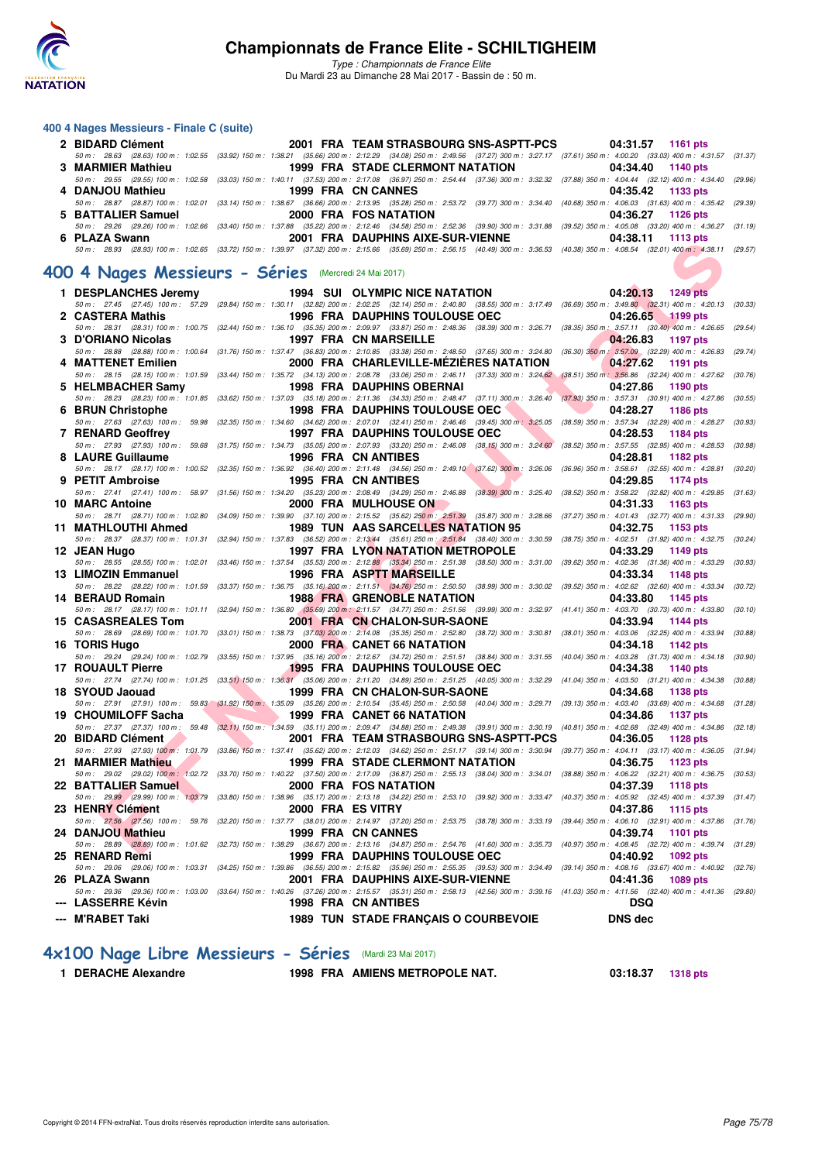

*Type : Championnats de France Elite* Du Mardi 23 au Dimanche 28 Mai 2017 - Bassin de : 50 m.

#### **400 4 Nages Messieurs - Finale C (suite)**

| 2 BIDARD Clément   | 2001 FRA TEAM STRASBOURG SNS-ASPTT-PCS | 04:31.57 1161 pts                                                                                                                                                                            |
|--------------------|----------------------------------------|----------------------------------------------------------------------------------------------------------------------------------------------------------------------------------------------|
|                    |                                        | 50 m: 28.63 (28.63) 100 m: 1:02.55 (33.92) 150 m: 1:38.21 (35.66) 200 m: 2:12.29 (34.08) 250 m: 2:49.56 (37.27) 300 m: 3:27.17 (37.61) 350 m: 4:00.20 (33.03) 400 m: 4:31.57 (31.37)         |
| 3 MARMIER Mathieu  | 1999 FRA STADE CLERMONT NATATION       | 04:34.40 1140 pts                                                                                                                                                                            |
|                    |                                        | 50 m : 29.55 (29.55) 100 m : 1:02.58 (33.03) 150 m : 1:40.11 (37.53) 200 m : 2:17.08 (36.97) 250 m : 2:54.44 (37.36) 300 m : 3:32.32 (37.88) 350 m : 4:04.44 (32.12) 400 m : 4:34.40 (29.96) |
| 4 DANJOU Mathieu   | 1999 FRA CN CANNES                     | 04:35.42 1133 pts                                                                                                                                                                            |
|                    |                                        | 50 m : 28.87 (28.87) 100 m : 1:02.01 (33.14) 150 m : 1:38.67 (36.66) 200 m : 2:13.95 (35.28) 250 m : 2:53.72 (39.77) 300 m : 3:34.40 (40.68) 350 m : 4:06.03 (31.63) 400 m : 4:35.42 (29.39) |
| 5 BATTALIER Samuel | 2000 FRA FOS NATATION                  | 04:36.27 1126 pts                                                                                                                                                                            |
|                    |                                        | 50 m: 29.26 (29.26) 100 m: 1:02.66 (33.40) 150 m: 1:37.88 (35.22) 200 m: 2:12.46 (34.58) 250 m: 2:52.36 (39.90) 300 m: 3:31.88 (39.52) 350 m: 4:05.08 (33.20) 400 m: 4:36.27 (31.19)         |
| 6 PLAZA Swann      | 2001 FRA DAUPHINS AIXE-SUR-VIENNE      | 04:38.11 1113 pts                                                                                                                                                                            |
|                    |                                        | 50 m: 28.93 (28.93) 100 m: 1:02.65 (33.72) 150 m: 1:39.97 (37.32) 200 m: 2:15.66 (35.69) 250 m: 2:56.15 (40.49) 300 m: 3:36.53 (40.38) 350 m: 4:08.54 (32.01) 400 m: 4:38.11 (29.57)         |

## **[400 4 Nages Messieurs - Séries](http://www.ffnatation.fr/webffn/resultats.php?idact=nat&go=epr&idcpt=45075&idepr=92)** (Mercredi 24 Mai 2017)

| <b>U FLALA JWAIII</b>                                | ZUUT FRA DAUFITING AIAE-GUR-VIENNE                                                                                                                                                   | <b>U4.JU.II</b><br>່ ເເປນ ມເວ                                                                                                                                                                |
|------------------------------------------------------|--------------------------------------------------------------------------------------------------------------------------------------------------------------------------------------|----------------------------------------------------------------------------------------------------------------------------------------------------------------------------------------------|
|                                                      |                                                                                                                                                                                      | 50 m : 28.93 (28.93) 100 m : 1:02.65 (33.72) 150 m : 1:39.97 (37.32) 200 m : 2:15.66 (35.69) 250 m : 2:56.15 (40.49) 300 m : 3:36.53 (40.38) 350 m : 4:08.54 (32.01) 400 m : 4:38.11 (29.57) |
|                                                      |                                                                                                                                                                                      |                                                                                                                                                                                              |
| 00 4 Nages Messieurs - Séries (Mercredi 24 Mai 2017) |                                                                                                                                                                                      |                                                                                                                                                                                              |
|                                                      |                                                                                                                                                                                      |                                                                                                                                                                                              |
| 1 DESPLANCHES Jeremy                                 | <b>1994 SUI OLYMPIC NICE NATATION</b>                                                                                                                                                | 04:20.13<br><b>1249 pts</b>                                                                                                                                                                  |
|                                                      |                                                                                                                                                                                      | 50 m: 27.45 (27.45) 100 m: 57.29 (29.84) 150 m: 1:30.11 (32.82) 200 m: 2:02.25 (32.14) 250 m: 2:40.80 (38.55) 300 m: 3:17.49 (36.69) 350 m: 3:49.80 (32.31) 400 m: 4:20.13 (30.33)           |
| 2 CASTERA Mathis                                     | <b>1996 FRA DAUPHINS TOULOUSE OEC</b>                                                                                                                                                | 04:26.65<br>1199 pts                                                                                                                                                                         |
|                                                      | 50 m: 28.31 (28.31) 100 m: 1:00.75 (32.44) 150 m: 1:36.10 (35.35) 200 m: 2:09.97 (33.87) 250 m: 2:48.36 (38.39) 300 m: 3:26.71 (38.35) 350 m: 3:57.11 (30.40) 400 m: 4:26.65         | (29.54)                                                                                                                                                                                      |
| 3 D'ORIANO Nicolas                                   | 1997 FRA CN MARSEILLE                                                                                                                                                                | 04:26.83<br><b>1197 pts</b>                                                                                                                                                                  |
|                                                      | 50 m: 28.88 (28.88) 100 m: 1:00.64 (31.76) 150 m: 1:37.47 (36.83) 200 m: 2:10.85 (33.38) 250 m: 2:48.50 (37.65) 300 m: 3:24.80 (36.30) 350 m; 3:57.09 (32.29) 400 m: 4:26.83         | (29.74)                                                                                                                                                                                      |
| 4 MATTENET Emilien                                   | 2000 FRA CHARLEVILLE-MÉZIÈRES NATATION                                                                                                                                               | 04:27.62<br>1191 pts                                                                                                                                                                         |
|                                                      | 50 m : 28.15 (28.15) 100 m : 1:01.59 (33.44) 150 m : 1:35.72 (34.13) 200 m : 2:08.78 (33.06) 250 m : 2:46.11 (37.33) 300 m : 3:24.62 (38.51) 350 m : 3:56.86 (32.24) 400 m : 4:27.62 | (30.76)                                                                                                                                                                                      |
| 5 HELMBACHER Samy                                    | <b>1998 FRA DAUPHINS OBERNAI</b>                                                                                                                                                     | 04:27.86<br>1190 pts                                                                                                                                                                         |
|                                                      |                                                                                                                                                                                      | 50 m : 28.23 (28.23) 100 m : 1:01.85 (33.62) 150 m : 1:37.03 (35.18) 200 m : 2:11.36 (34.33) 250 m : 2:48.47 (37.11) 300 m : 3:26.40 (37.93) 350 m : 3:57.31 (30.91) 400 m : 4:27.86 (30.55) |
| 6 BRUN Christophe                                    | <b>1998 FRA DAUPHINS TOULOUSE OEC</b>                                                                                                                                                | 04:28.27<br>1186 pts                                                                                                                                                                         |
|                                                      | 50 m : 27.63 (27.63) 100 m : 59.98 (32.35) 150 m : 1:34.60 (34.62) 200 m : 2:07.01 (32.41) 250 m : 2:46.46 (39.45) 300 m : 3:25.05 (38.59) 350 m : 3:57.34 (32.29) 400 m : 4:28.27   | (30.93)                                                                                                                                                                                      |
| 7 RENARD Geoffrey                                    | <b>1997 FRA DAUPHINS TOULOUSE OEC</b>                                                                                                                                                | 04:28.53<br><b>1184 pts</b>                                                                                                                                                                  |
|                                                      | 50 m: 27.93 (27.93) 100 m: 59.68 (31.75) 150 m: 1:34.73 (35.05) 200 m: 2:07.93 (33.20) 250 m: 2:46.08 (38.15) 300 m: 3:24.60 (38.52) 350 m: 3:57.55 (32.95) 400 m: 4:28.53           | (30.98)                                                                                                                                                                                      |
| 8 LAURE Guillaume                                    | 1996 FRA CN ANTIBES                                                                                                                                                                  | 04:28.81<br>1182 pts                                                                                                                                                                         |
|                                                      |                                                                                                                                                                                      | 50 m: 28.17 (28.17) 100 m: 1:00.52 (32.35) 150 m: 1:36.92 (36.40) 200 m: 2:11.48 (34.56) 250 m: 2:49.10 (37.62) 300 m: 3:26.06 (36.96) 350 m: 3:58.61 (32.55) 400 m: 4:28.81 (30.20)         |
| 9 PETIT Ambroise                                     | <b>1995 FRA CN ANTIBES</b>                                                                                                                                                           | 04:29.85<br>1174 pts                                                                                                                                                                         |
|                                                      |                                                                                                                                                                                      | 50 m: 27.41 (27.41) 100 m: 58.97 (31.56) 150 m: 1:34.20 (35.23) 200 m: 2:08.49 (34.29) 250 m: 2:46.88 (38.39) 300 m: 3:25.40 (38.52) 350 m: 3:58.22 (32.82) 400 m: 4:29.85 (31.63)           |
| 10 MARC Antoine                                      | 2000 FRA MULHOUSE ON                                                                                                                                                                 | 04:31.33<br>1163 pts                                                                                                                                                                         |
|                                                      |                                                                                                                                                                                      |                                                                                                                                                                                              |
|                                                      | 50 m: 28.71 (28.71) 100 m: 1:02.80 (34.09) 150 m: 1:39.90 (37.10) 200 m: 2:15.52 (35.62) 250 m: 2:51.39 (35.87) 300 m: 3:28.66 (37.27) 350 m: 4:01.43 (32.77) 400 m: 4:31.33         | (29.90)                                                                                                                                                                                      |
| 11 MATHLOUTHI Ahmed                                  | <b>1989 TUN AAS SARCELLES NATATION 95</b>                                                                                                                                            | 04:32.75<br>1153 pts                                                                                                                                                                         |
|                                                      |                                                                                                                                                                                      | 50 m: 28.37 (28.37) 100 m: 1:01.31 (32.94) 150 m: 1:37.83 (36.52) 200 m: 2:13.44 (35.61) 250 m: 2:51.84 (38.40) 300 m: 3:30.59 (38.75) 350 m: 4:02.51 (31.92) 400 m: 4:32.75 (30.24)         |
| 12 JEAN Hugo                                         | 1997 FRA LYON NATATION METROPOLE                                                                                                                                                     | 04:33.29<br>1149 pts                                                                                                                                                                         |
|                                                      |                                                                                                                                                                                      | 50 m: 28.55 (28.55) 100 m: 1:02.01 (33.46) 150 m: 1:37.54 (35.53) 200 m: 2:12.88 (35.34) 250 m: 2:51.38 (38.50) 300 m: 3:31.00 (39.62) 350 m: 4:02.36 (31.36) 400 m: 4:33.29 (30.93)         |
| 13 LIMOZIN Emmanuel                                  | 1996 FRA ASPTT MARSEILLE                                                                                                                                                             | 04:33.34<br>1148 pts                                                                                                                                                                         |
|                                                      | 50 m: 28.22 (28.22) 100 m: 1:01.59 (33.37) 150 m: 1:36.75 (35.16) 200 m: 2:11.51 (34.76) 250 m: 2:50.50 (38.99) 300 m: 3:30.02 (39.52) 350 m: 4:02.62 (32.60) 400 m: 4:33.34         | (30.72)                                                                                                                                                                                      |
| 14 BERAUD Romain                                     | <b>1988 FRA GRENOBLE NATATION</b>                                                                                                                                                    | 04:33.80<br>1145 pts                                                                                                                                                                         |
|                                                      | 50 m : 28.17 (28.17) 100 m : 1:01.11 (32.94) 150 m : 1:36.80 (35.69) 200 m : 2:11.57 (34.77) 250 m : 2:51.56 (39.99) 300 m : 3:32.97 (41.41) 350 m : 4:03.70 (30.73) 400 m : 4:33.80 | (30.10)                                                                                                                                                                                      |
| <b>15 CASASREALES Tom</b>                            | 2001 FRA CN CHALON-SUR-SAONE                                                                                                                                                         | 04:33.94<br>1144 pts                                                                                                                                                                         |
|                                                      | 50 m : 28.69 (28.69) 100 m : 1:01.70 (33.01) 150 m : 1:38.73 (37.03) 200 m : 2:14.08 (35.35) 250 m : 2:52.80 (38.72) 300 m : 3:30.81 (38.01) 350 m : 4:03.06 (32.25) 400 m : 4:33.94 | (30.88)                                                                                                                                                                                      |
| 16 TORIS Hugo                                        | 2000 FRA CANET 66 NATATION                                                                                                                                                           | 04:34.18<br>1142 pts                                                                                                                                                                         |
|                                                      |                                                                                                                                                                                      | 50 m: 29.24 (29.24) 100 m: 1:02.79 (33.55) 150 m: 1:37.95 (35.16) 200 m: 2:12.67 (34.72) 250 m: 2:51.51 (38.84) 300 m: 3:31.55 (40.04) 350 m: 4:03.28 (31.73) 400 m: 4:34.18 (30.90)         |
| 17 ROUAULT Pierre                                    | <b>1995 FRA DAUPHINS TOULOUSE OEC</b>                                                                                                                                                | 04:34.38<br>1140 pts                                                                                                                                                                         |
|                                                      | 50 m: 27.74 (27.74) 100 m: 1:01.25 (33.51) 150 m: 1:36.31 (35.06) 200 m: 2:11.20 (34.89) 250 m: 2:51.25 (40.05) 300 m: 3:32.29 (41.04) 350 m: 4:03.50 (31.21) 400 m: 4:34.38         | (30.88)                                                                                                                                                                                      |
| 18 SYOUD Jaouad                                      | 1999 FRA CN CHALON-SUR-SAONE                                                                                                                                                         | 04:34.68<br>1138 pts                                                                                                                                                                         |
|                                                      |                                                                                                                                                                                      | 50 m: 27.91 (27.91) 100 m: 59.83 (31.92) 150 m: 1:35.09 (35.26) 200 m: 2:10.54 (35.45) 250 m: 2:50.58 (40.04) 300 m: 3:29.71 (39.13) 350 m: 4:03.40 (33.69) 400 m: 4:34.68 (31.28)           |
| 19 CHOUMILOFF Sacha                                  | 1999 FRA CANET 66 NATATION                                                                                                                                                           | 04:34.86<br><b>1137 pts</b>                                                                                                                                                                  |
|                                                      |                                                                                                                                                                                      | 50 m : 27.37 (27.37) 100 m : 59.48 (32.11) 150 m : 1.34.59 (35.11) 200 m : 2:09.47 (34.88) 250 m : 2:49.38 (39.91) 300 m : 3:30.19 (40.81) 350 m : 4:02.68 (32.49) 400 m : 4:34.86 (32.18)   |
| 20 BIDARD Clément                                    | 2001 FRA TEAM STRASBOURG SNS-ASPTT-PCS                                                                                                                                               | 04:36.05<br>1128 pts                                                                                                                                                                         |
|                                                      | 50 m: 27.93 (27.93) 100 m: 1:01.79 (33.86) 150 m: 1:37.41 (35.62) 200 m: 2:12.03 (34.62) 250 m: 2:51.17 (39.14) 300 m: 3:30.94 (39.77) 350 m: 4:04.11 (33.17) 400 m: 4:36.05         | (31.94)                                                                                                                                                                                      |
| 21 MARMIER Mathieu                                   | <b>1999 FRA STADE CLERMONT NATATION</b>                                                                                                                                              | 04:36.75<br>1123 pts                                                                                                                                                                         |
|                                                      |                                                                                                                                                                                      |                                                                                                                                                                                              |
|                                                      |                                                                                                                                                                                      | 50 m : 29.02 (29.02) 100 m : 1:02.72 (33.70) 150 m : 1:40.22 (37.50) 200 m : 2:17.09 (36.87) 250 m : 2:55.13 (38.04) 300 m : 3:34.01 (38.88) 350 m : 4:06.22 (32.21) 400 m : 4:36.75 (30.53) |
| 22 BATTALIER Samuel                                  | 2000 FRA FOS NATATION                                                                                                                                                                | 04:37.39<br>1118 pts                                                                                                                                                                         |
|                                                      | 50 m: 29.99 (29.99) 100 m: 1:03.79 (33.80) 150 m: 1:38.96 (35.17) 200 m: 2:13.18 (34.22) 250 m: 2:53.10 (39.92) 300 m: 3:33.47 (40.37) 350 m: 4:05.92 (32.45) 400 m: 4:37.39         | (31.47)                                                                                                                                                                                      |
| 23 HENRY Clément                                     | 2000 FRA ES VITRY                                                                                                                                                                    | 04:37.86<br>1115 pts                                                                                                                                                                         |
|                                                      |                                                                                                                                                                                      | 50 m: 27.56 (27.56) 100 m: 59.76 (32.20) 150 m: 1:37.77 (38.01) 200 m: 2:14.97 (37.20) 250 m: 2:53.75 (38.78) 300 m: 3:33.19 (39.44) 350 m: 4:06.10 (32.91) 400 m: 4:37.86 (31.76)           |
| 24 DANJOU Mathieu                                    | 1999 FRA CN CANNES                                                                                                                                                                   | 04:39.74<br>1101 pts                                                                                                                                                                         |
|                                                      |                                                                                                                                                                                      | 50 m: 28.89 (28.89) 100 m: 1:01.62 (32.73) 150 m: 1:38.29 (36.67) 200 m: 2:13.16 (34.87) 250 m: 2:54.76 (41.60) 300 m: 3:35.73 (40.97) 350 m: 4:08.45 (32.72) 400 m: 4:39.74 (31.29)         |
| 25 RENARD Remi                                       | <b>1999 FRA DAUPHINS TOULOUSE OEC</b>                                                                                                                                                | 04:40.92<br>1092 pts                                                                                                                                                                         |
|                                                      |                                                                                                                                                                                      | 50 m : 29.06 (29.06) 100 m : 1:03.31 (34.25) 150 m : 1:39.86 (36.55) 200 m : 2:15.82 (35.56) 250 m : 2:55.35 (39.53) 300 m : 3:34.49 (39.14) 350 m : 4:08.16 (33.67) 400 m : 4:40.92 (32.76) |
| 26 PLAZA Swann                                       | 2001 FRA DAUPHINS AIXE-SUR-VIENNE                                                                                                                                                    | 04:41.36<br>1089 pts                                                                                                                                                                         |
|                                                      |                                                                                                                                                                                      | 50 m : 29.36 (29.36) 100 m : 1:03.00 (33.64) 150 m : 1:40.26 (37.26) 200 m : 2:15.57 (35.31) 250 m : 2:58.13 (42.56) 300 m : 3:39.16 (41.03) 350 m : 4:11.56 (32.40) 400 m : 4:41.36 (29.80) |
| --- LASSERRE Kévin                                   | <b>1998 FRA CN ANTIBES</b>                                                                                                                                                           | <b>DSQ</b>                                                                                                                                                                                   |
| --- M'RABET Taki                                     | <b>1989 TUN STADE FRANCAIS O COURBEVOIE</b>                                                                                                                                          | <b>DNS dec</b>                                                                                                                                                                               |
|                                                      |                                                                                                                                                                                      |                                                                                                                                                                                              |

### **[4x100 Nage Libre Messieurs - Séries](http://www.ffnatation.fr/webffn/resultats.php?idact=nat&go=epr&idcpt=45075&idepr=93)** (Mardi 23 Mai 2017)

**1 DERACHE Alexandre 1998 FRA AMIENS METROPOLE NAT. 03:18.37 1318 pts**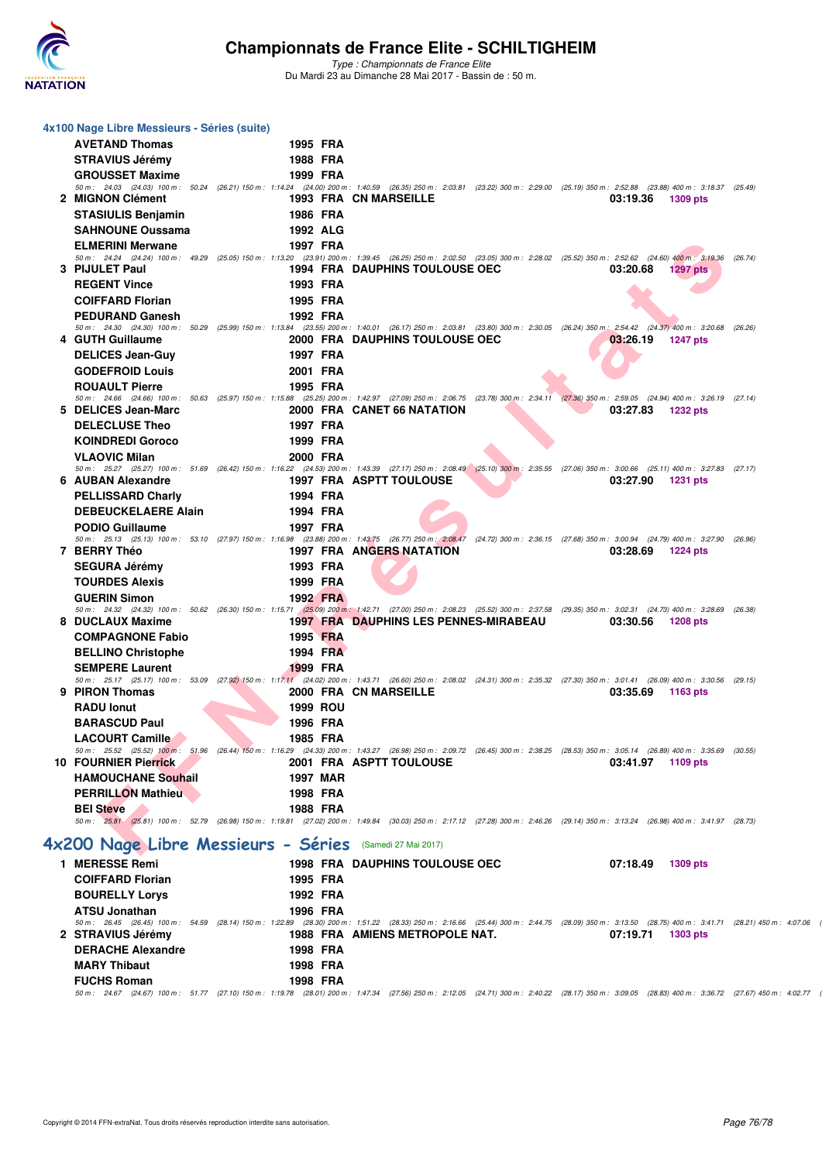

*Type : Championnats de France Elite* Du Mardi 23 au Dimanche 28 Mai 2017 - Bassin de : 50 m.

| 4x100 Nage Libre Messieurs - Séries (suite)   |                                                          |                                       |                                                                                                                                                                                                         |  |
|-----------------------------------------------|----------------------------------------------------------|---------------------------------------|---------------------------------------------------------------------------------------------------------------------------------------------------------------------------------------------------------|--|
| <b>AVETAND Thomas</b>                         | 1995 FRA                                                 |                                       |                                                                                                                                                                                                         |  |
| <b>STRAVIUS Jérémy</b>                        | <b>1988 FRA</b>                                          |                                       |                                                                                                                                                                                                         |  |
| <b>GROUSSET Maxime</b>                        | 1999 FRA                                                 |                                       |                                                                                                                                                                                                         |  |
|                                               |                                                          |                                       | 50 m: 24.03 (24.03) 100 m: 50.24 (26.21) 150 m: 1:14.24 (24.00) 200 m: 1:40.59 (26.35) 250 m: 2:03.81 (23.22) 300 m: 2:29.00 (25.19) 350 m: 2:52.88 (23.88) 400 m: 3:18.37 (25.49)                      |  |
| 2 MIGNON Clément                              |                                                          | <b>1993 FRA CN MARSEILLE</b>          | 03:19.36<br>1309 pts                                                                                                                                                                                    |  |
| <b>STASIULIS Benjamin</b>                     | <b>1986 FRA</b>                                          |                                       |                                                                                                                                                                                                         |  |
| <b>SAHNOUNE Oussama</b>                       | 1992 ALG                                                 |                                       |                                                                                                                                                                                                         |  |
| <b>ELMERINI Merwane</b>                       | 1997 FRA                                                 |                                       |                                                                                                                                                                                                         |  |
|                                               |                                                          |                                       | 50 m: 24.24 (24.24) 100 m: 49.29 (25.05) 150 m: 1:13.20 (23.91) 200 m: 1:39.45 (26.25) 250 m: 2:02.50 (23.05) 300 m: 2:28.02 (25.52) 350 m: 2:52.62 (24.60) 400 m: 3:19.36 (26.74)                      |  |
| 3 PIJULET Paul<br><b>REGENT Vince</b>         |                                                          | <b>1994 FRA DAUPHINS TOULOUSE OEC</b> | 03:20.68<br><b>1297 pts</b>                                                                                                                                                                             |  |
|                                               | 1993 FRA                                                 |                                       |                                                                                                                                                                                                         |  |
| <b>COIFFARD Florian</b>                       | 1995 FRA                                                 |                                       |                                                                                                                                                                                                         |  |
| <b>PEDURAND Ganesh</b>                        | 1992 FRA                                                 |                                       | 50 m: 24.30 (24.30) 100 m: 50.29 (25.99) 150 m: 1:13.84 (23.55) 200 m: 1:40.01 (26.17) 250 m: 2:03.81 (23.80) 300 m: 2:30.05 (26.24) 350 m: 2:54.42 (24.37) 400 m: 3:20.68 (26.26)                      |  |
| 4 GUTH Guillaume                              |                                                          | 2000 FRA DAUPHINS TOULOUSE OEC        | 03:26.19<br><b>1247 pts</b>                                                                                                                                                                             |  |
| <b>DELICES Jean-Guy</b>                       | 1997 FRA                                                 |                                       |                                                                                                                                                                                                         |  |
| <b>GODEFROID Louis</b>                        | 2001 FRA                                                 |                                       |                                                                                                                                                                                                         |  |
| <b>ROUAULT Pierre</b>                         | 1995 FRA                                                 |                                       |                                                                                                                                                                                                         |  |
|                                               |                                                          |                                       | 50 m: 24.66 (24.66) 100 m: 50.63 (25.97) 150 m: 1:15.88 (25.25) 200 m: 1:42.97 (27.09) 250 m: 2:06.75 (23.78) 300 m: 2:34.11 (27.36) 350 m: 2:59.05 (24.94) 400 m: 3:26.19 (27.14)                      |  |
| 5 DELICES Jean-Marc                           |                                                          | 2000 FRA CANET 66 NATATION            | 03:27.83 1232 pts                                                                                                                                                                                       |  |
| <b>DELECLUSE Theo</b>                         | 1997 FRA                                                 |                                       |                                                                                                                                                                                                         |  |
| <b>KOINDREDI Goroco</b>                       | 1999 FRA                                                 |                                       |                                                                                                                                                                                                         |  |
| <b>VLAOVIC Milan</b>                          | 2000 FRA                                                 |                                       | 50 m: 25.27 (25.27) 100 m: 51.69 (26.42) 150 m: 1:16.22 (24.53) 200 m: 1:43.39 (27.17) 250 m: 2:08.49 (25.10) 300 m: 2:35.55 (27.06) 350 m: 3:00.66 (25.11) 400 m: 3:27.83 (27.17)                      |  |
| 6 AUBAN Alexandre                             |                                                          | <b>1997 FRA ASPTT TOULOUSE</b>        | 03:27.90<br>1231 pts                                                                                                                                                                                    |  |
| <b>PELLISSARD Charly</b>                      | 1994 FRA                                                 |                                       |                                                                                                                                                                                                         |  |
| <b>DEBEUCKELAERE Alain</b>                    | 1994 FRA                                                 |                                       |                                                                                                                                                                                                         |  |
| <b>PODIO Guillaume</b>                        | 1997 FRA                                                 |                                       |                                                                                                                                                                                                         |  |
|                                               |                                                          |                                       | 50 m: 25.13 (25.13) 100 m: 53.10 (27.97) 150 m: 1:16.98 (23.88) 200 m: 1:43.75 (26.77) 250 m: 2:08.47 (24.72) 300 m: 2:36.15 (27.68) 350 m: 3:00.94 (24.79) 400 m: 3:27.90 (26.96)                      |  |
| 7 BERRY Théo                                  |                                                          | 1997 FRA ANGERS NATATION              | 03:28.69 1224 pts                                                                                                                                                                                       |  |
| <b>SEGURA Jérémy</b><br><b>TOURDES Alexis</b> | 1993 FRA<br>1999 FRA                                     |                                       |                                                                                                                                                                                                         |  |
| <b>GUERIN Simon</b>                           | 1992 FRA                                                 |                                       |                                                                                                                                                                                                         |  |
|                                               |                                                          |                                       | 50 m: 24.32 (24.32) 100 m: 50.62 (26.30) 150 m: 1:15.71 (25.09) 200 m: 1:42.71 (27.00) 250 m: 2:08.23 (25.52) 300 m: 2:37.58 (29.35) 350 m: 3:02.31 (24.73) 400 m: 3:28.69 (26.38)                      |  |
| 8 DUCLAUX Maxime                              |                                                          | 1997 FRA DAUPHINS LES PENNES-MIRABEAU | 03:30.56<br>1208 pts                                                                                                                                                                                    |  |
| <b>COMPAGNONE Fabio</b>                       | 1995 FRA                                                 |                                       |                                                                                                                                                                                                         |  |
| <b>BELLINO Christophe</b>                     | 1994 FRA                                                 |                                       |                                                                                                                                                                                                         |  |
| <b>SEMPERE Laurent</b>                        | 1999 FRA                                                 |                                       |                                                                                                                                                                                                         |  |
| 9 PIRON Thomas                                |                                                          | 2000 FRA CN MARSEILLE                 | 50 m: 25.17 (25.17) 100 m: 53.09 (27.92) 150 m: 1:17.11 (24.02) 200 m: 1:43.71 (26.60) 250 m: 2:08.02 (24.31) 300 m: 2:35.32 (27.30) 350 m: 3:01.41 (26.09) 400 m: 3:30.56 (29.15)<br>03:35.69 1163 pts |  |
| <b>RADU lonut</b>                             | <b>1999 ROU</b>                                          |                                       |                                                                                                                                                                                                         |  |
| <b>BARASCUD Paul</b>                          | 1996 FRA                                                 |                                       |                                                                                                                                                                                                         |  |
| <b>LACOURT Camille</b>                        | 1985 FRA                                                 |                                       |                                                                                                                                                                                                         |  |
|                                               |                                                          |                                       | 50 m: 25.52 (25.52) 100 m: 51.96 (26.44) 150 m: 1:16.29 (24.33) 200 m: 1:43.27 (26.98) 250 m: 2:09.72 (26.45) 300 m: 2:38.25 (28.53) 350 m: 3:05.14 (26.89) 400 m: 3:35.69 (30.55)                      |  |
| <b>10 FOURNIER Pierrick</b>                   |                                                          | 2001 FRA ASPTT TOULOUSE               | 03:41.97 1109 pts                                                                                                                                                                                       |  |
| <b>HAMOUCHANE Souhail</b>                     | 1997 MAR                                                 |                                       |                                                                                                                                                                                                         |  |
| <b>PERRILLON Mathieu</b>                      | 1998 FRA                                                 |                                       |                                                                                                                                                                                                         |  |
| <b>BEI Steve</b>                              | 1988 FRA                                                 |                                       | 50 m: 25.81 (25.81) 100 m: 52.79 (26.98) 150 m: 1:19.81 (27.02) 200 m: 1:49.84 (30.03) 250 m: 2:17.12 (27.28) 300 m: 2:46.26 (29.14) 350 m: 3:13.24 (26.98) 400 m: 3:41.97 (28.73)                      |  |
|                                               |                                                          |                                       |                                                                                                                                                                                                         |  |
|                                               | 4x200 Nage Libre Messieurs - Séries (Samedi 27 Mai 2017) |                                       |                                                                                                                                                                                                         |  |
| 1 MERESSE Remi                                |                                                          | <b>1998 FRA DAUPHINS TOULOUSE OEC</b> | 07:18.49<br>1309 pts                                                                                                                                                                                    |  |
| <b>COIFFARD Florian</b>                       | 1995 FRA                                                 |                                       |                                                                                                                                                                                                         |  |
| <b>BOURELLY Lorys</b>                         | 1992 FRA                                                 |                                       |                                                                                                                                                                                                         |  |
| <b>ATSU Jonathan</b>                          | 1996 FRA                                                 |                                       |                                                                                                                                                                                                         |  |
|                                               |                                                          |                                       | 50 m: 26.45 (26.45) 100 m: 54.59 (28.14) 150 m: 1:22.89 (28.30) 200 m: 1:51.22 (28.33) 250 m: 2:16.66 (25.44) 300 m: 2:44.75 (28.09) 350 m: 3:13.50 (28.75) 400 m: 3:41.71 (28.21) 450 m: 4:07.06       |  |
| 2 STRAVIUS Jérémy                             |                                                          | 1988 FRA AMIENS METROPOLE NAT.        | 07:19.71<br>1303 pts                                                                                                                                                                                    |  |
| <b>DERACHE Alexandre</b>                      | 1998 FRA                                                 |                                       |                                                                                                                                                                                                         |  |
| <b>MARY Thibaut</b>                           | 1998 FRA                                                 |                                       |                                                                                                                                                                                                         |  |
| <b>FUCHS Roman</b>                            | 1998 FRA                                                 |                                       | 50 m: 24.67 (24.67) 100 m: 51.77 (27.10) 150 m: 1:19.78 (28.01) 200 m: 1:47.34 (27.56) 250 m: 2:12.05 (24.71) 300 m: 2:40.22 (28.17) 350 m: 3:09.05 (28.83) 400 m: 3:36.72 (27.67) 450 m: 4:02.77       |  |
|                                               |                                                          |                                       |                                                                                                                                                                                                         |  |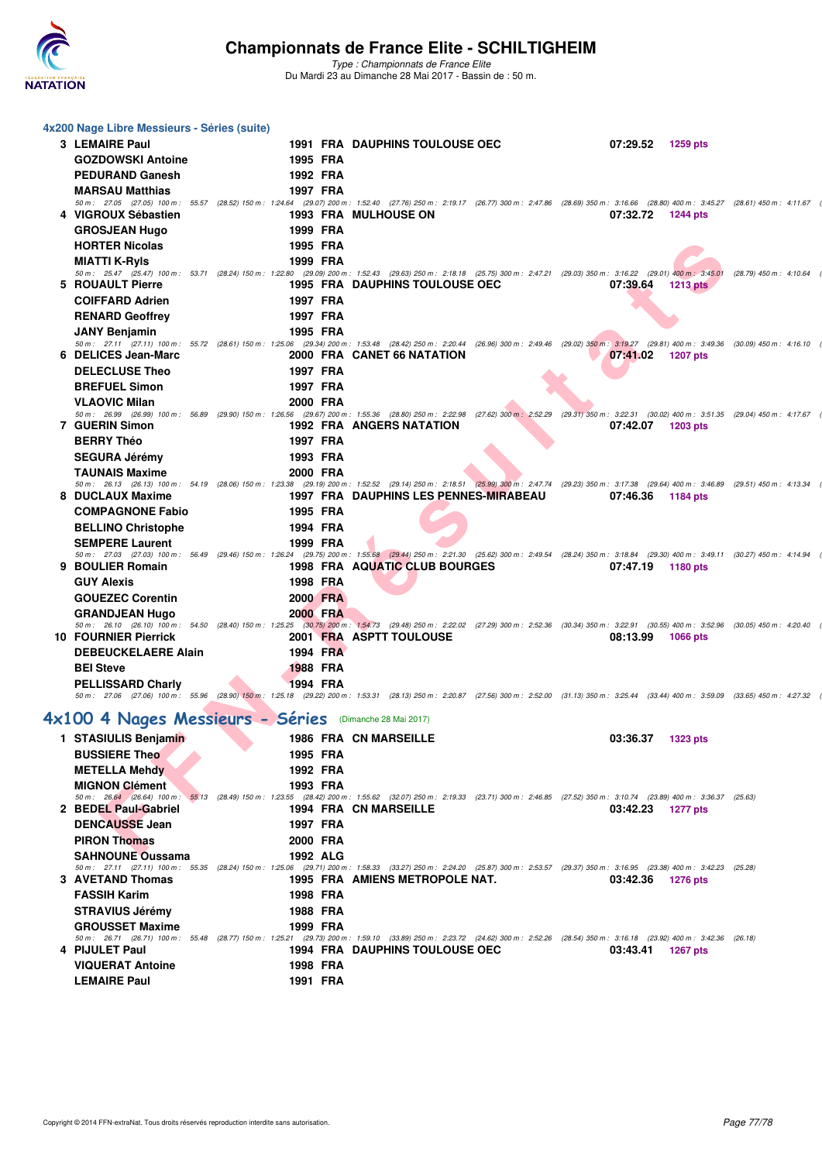

*Type : Championnats de France Elite* Du Mardi 23 au Dimanche 28 Mai 2017 - Bassin de : 50 m.

| 4x200 Nage Libre Messieurs - Séries (suite)             |  |                 |                                                                                                                                                                                                                                    |                   |            |                         |  |
|---------------------------------------------------------|--|-----------------|------------------------------------------------------------------------------------------------------------------------------------------------------------------------------------------------------------------------------------|-------------------|------------|-------------------------|--|
| 3 LEMAIRE Paul                                          |  |                 | <b>1991 FRA DAUPHINS TOULOUSE OEC</b>                                                                                                                                                                                              | 07:29.52          | 1259 pts   |                         |  |
| <b>GOZDOWSKI Antoine</b>                                |  | 1995 FRA        |                                                                                                                                                                                                                                    |                   |            |                         |  |
| <b>PEDURAND Ganesh</b>                                  |  | 1992 FRA        |                                                                                                                                                                                                                                    |                   |            |                         |  |
| <b>MARSAU Matthias</b>                                  |  | 1997 FRA        |                                                                                                                                                                                                                                    |                   |            |                         |  |
|                                                         |  |                 | 50 m: 27.05 (27.05) 100 m: 55.57 (28.52) 150 m: 1:24.64 (29.07) 200 m: 1:52.40 (27.76) 250 m: 2:19.17 (26.77) 300 m: 2:47.86 (28.69) 350 m: 3:16.66 (28.80) 400 m: 3:45.27 (28.61) 450 m: 4:11.67                                  |                   |            |                         |  |
| 4 VIGROUX Sébastien                                     |  |                 | <b>1993 FRA MULHOUSE ON</b>                                                                                                                                                                                                        | 07:32.72          | 1244 pts   |                         |  |
| <b>GROSJEAN Hugo</b>                                    |  | 1999 FRA        |                                                                                                                                                                                                                                    |                   |            |                         |  |
| <b>HORTER Nicolas</b>                                   |  | 1995 FRA        |                                                                                                                                                                                                                                    |                   |            |                         |  |
|                                                         |  |                 |                                                                                                                                                                                                                                    |                   |            |                         |  |
| <b>MIATTI K-RyIs</b>                                    |  | 1999 FRA        | 50 m: 25.47 (25.47) 100 m: 53.71 (28.24) 150 m: 1:22.80 (29.09) 200 m: 1:52.43 (29.63) 250 m: 2:18.18 (25.75) 300 m: 2:47.21 (29.03) 350 m: 3:16.22 (29.01) 400 m: 3:45.01                                                         |                   |            | (28.79) 450 m : 4:10.64 |  |
| 5 ROUAULT Pierre                                        |  |                 | <b>1995 FRA DAUPHINS TOULOUSE OEC</b>                                                                                                                                                                                              | 07:39.64          | 1213 $pts$ |                         |  |
| <b>COIFFARD Adrien</b>                                  |  | 1997 FRA        |                                                                                                                                                                                                                                    |                   |            |                         |  |
| <b>RENARD Geoffrey</b>                                  |  | 1997 FRA        |                                                                                                                                                                                                                                    |                   |            |                         |  |
|                                                         |  |                 |                                                                                                                                                                                                                                    |                   |            |                         |  |
| <b>JANY Benjamin</b>                                    |  | 1995 FRA        | 50 m: 27.11 (27.11) 100 m: 55.72 (28.61) 150 m: 1:25.06 (29.34) 200 m: 1:53.48 (28.42) 250 m: 2:20.44 (26.96) 300 m: 2:49.46 (29.02) 350 m: 3:19.27 (29.81) 400 m: 3:49.36 (30.09) 450 m: 4:16.10                                  |                   |            |                         |  |
| 6 DELICES Jean-Marc                                     |  |                 | 2000 FRA CANET 66 NATATION                                                                                                                                                                                                         | 07:41.02          | 1207 pts   |                         |  |
| <b>DELECLUSE Theo</b>                                   |  | 1997 FRA        |                                                                                                                                                                                                                                    |                   |            |                         |  |
|                                                         |  | 1997 FRA        |                                                                                                                                                                                                                                    |                   |            |                         |  |
| <b>BREFUEL Simon</b>                                    |  |                 |                                                                                                                                                                                                                                    |                   |            |                         |  |
| <b>VLAOVIC Milan</b>                                    |  | 2000 FRA        | 50 m: 26.99 (26.99) 100 m: 56.89 (29.90) 150 m: 1:26.56 (29.67) 200 m: 1:55.36 (28.80) 250 m: 2:22.98 (27.62) 300 m: 2:52.29 (29.31) 350 m: 3:22.31 (30.02) 400 m: 3:51.35 (29.04) 450 m: 4:17.67                                  |                   |            |                         |  |
| 7 GUERIN Simon                                          |  |                 | <b>1992 FRA ANGERS NATATION</b>                                                                                                                                                                                                    | 07:42.07          | 1203 pts   |                         |  |
| <b>BERRY Théo</b>                                       |  | 1997 FRA        |                                                                                                                                                                                                                                    |                   |            |                         |  |
|                                                         |  | 1993 FRA        |                                                                                                                                                                                                                                    |                   |            |                         |  |
| <b>SEGURA Jérémy</b>                                    |  |                 |                                                                                                                                                                                                                                    |                   |            |                         |  |
| <b>TAUNAIS Maxime</b>                                   |  | 2000 FRA        | 50 m: 26.13 (26.13) 100 m: 54.19 (28.06) 150 m: 1:23.38 (29.19) 200 m: 1:52.52 (29.14) 250 m: 2:18.51 (25.99) 300 m: 2:47.74 (29.23) 350 m: 3:17.38 (29.64) 400 m: 3:46.89 (29.51) 450 m: 4:13.34                                  |                   |            |                         |  |
| 8 DUCLAUX Maxime                                        |  |                 | 1997 FRA DAUPHINS LES PENNES-MIRABEAU                                                                                                                                                                                              | 07:46.36          | 1184 pts   |                         |  |
| <b>COMPAGNONE Fabio</b>                                 |  | 1995 FRA        |                                                                                                                                                                                                                                    |                   |            |                         |  |
|                                                         |  |                 |                                                                                                                                                                                                                                    |                   |            |                         |  |
| <b>BELLINO Christophe</b>                               |  | 1994 FRA        |                                                                                                                                                                                                                                    |                   |            |                         |  |
| <b>SEMPERE Laurent</b>                                  |  | 1999 FRA        |                                                                                                                                                                                                                                    |                   |            |                         |  |
| 9 BOULIER Romain                                        |  |                 | 50 m: 27.03 (27.03) 100 m: 56.49 (29.46) 150 m: 1:26.24 (29.75) 200 m: 1:55.68 (29.44) 250 m: 2:21.30 (25.62) 300 m: 2:49.54 (28.24) 350 m: 3:18.84 (29.30) 400 m: 3:49.11 (30.27) 450 m: 4:14.94<br>1998 FRA AQUATIC CLUB BOURGES | 07:47.19          | 1180 pts   |                         |  |
| <b>GUY Alexis</b>                                       |  | 1998 FRA        |                                                                                                                                                                                                                                    |                   |            |                         |  |
|                                                         |  |                 |                                                                                                                                                                                                                                    |                   |            |                         |  |
| <b>GOUEZEC Corentin</b>                                 |  | 2000 FRA        |                                                                                                                                                                                                                                    |                   |            |                         |  |
| <b>GRANDJEAN Hugo</b>                                   |  | <b>2000 FRA</b> |                                                                                                                                                                                                                                    |                   |            |                         |  |
| <b>10 FOURNIER Pierrick</b>                             |  |                 | 50 m: 26.10 (26.10) 100 m: 54.50 (28.40) 150 m: 1:25.25 (30.75) 200 m: 1:54.73 (29.48) 250 m: 2:22.02 (27.29) 300 m: 2:52.36 (30.34) 350 m: 3:22.91 (30.55) 400 m: 3:52.96 (30.05) 450 m: 4:20.40<br>2001 FRA ASPTT TOULOUSE       | 08:13.99          | 1066 pts   |                         |  |
| <b>DEBEUCKELAERE Alain</b>                              |  | 1994 FRA        |                                                                                                                                                                                                                                    |                   |            |                         |  |
|                                                         |  |                 |                                                                                                                                                                                                                                    |                   |            |                         |  |
| <b>BEI Steve</b>                                        |  | 1988 FRA        |                                                                                                                                                                                                                                    |                   |            |                         |  |
| <b>PELLISSARD Charly</b>                                |  | 1994 FRA        |                                                                                                                                                                                                                                    |                   |            |                         |  |
|                                                         |  |                 | 50 m: 27.06 (27.06) 100 m: 55.96 (28.90) 150 m: 1:25.18 (29.22) 200 m: 1:53.31 (28.13) 250 m: 2:20.87 (27.56) 300 m: 2:52.00 (31.13) 350 m: 3:25.44 (33.44) 400 m: 3:59.09 (33.65) 450 m: 4:27.32                                  |                   |            |                         |  |
| 4x100 4 Nages Messieurs - Séries (Dimanche 28 Mai 2017) |  |                 |                                                                                                                                                                                                                                    |                   |            |                         |  |
|                                                         |  |                 |                                                                                                                                                                                                                                    |                   |            |                         |  |
| 1 STASIULIS Benjamin                                    |  |                 | 1986 FRA CN MARSEILLE                                                                                                                                                                                                              | 03:36.37          | 1323 pts   |                         |  |
| <b>BUSSIERE Theo</b>                                    |  | 1995 FRA        |                                                                                                                                                                                                                                    |                   |            |                         |  |
| <b>METELLA Mehdy</b>                                    |  | 1992 FRA        |                                                                                                                                                                                                                                    |                   |            |                         |  |
| <b>MIGNON Clément</b>                                   |  | 1993 FRA        |                                                                                                                                                                                                                                    |                   |            |                         |  |
|                                                         |  |                 | 50 m: 26.64 (26.64) 100 m: 55.13 (28.49) 150 m: 1:23.55 (28.42) 200 m: 1:55.62 (32.07) 250 m: 2:19.33 (23.71) 300 m: 2:46.85 (27.52) 350 m: 3:10.74 (23.89) 400 m: 3:36.37 (25.63)                                                 |                   |            |                         |  |
| 2 BEDEL Paul-Gabriel                                    |  |                 | 1994 FRA CN MARSEILLE                                                                                                                                                                                                              | 03:42.23 1277 pts |            |                         |  |
| <b>DENCAUSSE Jean</b>                                   |  | 1997 FRA        |                                                                                                                                                                                                                                    |                   |            |                         |  |
| <b>PIRON Thomas</b>                                     |  | 2000 FRA        |                                                                                                                                                                                                                                    |                   |            |                         |  |
| <b>SAHNOUNE Oussama</b>                                 |  | 1992 ALG        |                                                                                                                                                                                                                                    |                   |            |                         |  |
|                                                         |  |                 | 50 m: 27.11 (27.11) 100 m: 55.35 (28.24) 150 m: 1:25.06 (29.71) 200 m: 1:58.33 (33.27) 250 m: 2:24.20 (25.87) 300 m: 2:53.57 (29.37) 350 m: 3:16.95 (23.38) 400 m: 3:42.23 (25.28)                                                 |                   |            |                         |  |
| <b>3 AVETAND Thomas</b>                                 |  |                 | 1995 FRA AMIENS METROPOLE NAT.                                                                                                                                                                                                     | 03:42.36          | 1276 pts   |                         |  |
| <b>FASSIH Karim</b>                                     |  | 1998 FRA        |                                                                                                                                                                                                                                    |                   |            |                         |  |
| <b>STRAVIUS Jérémy</b>                                  |  | 1988 FRA        |                                                                                                                                                                                                                                    |                   |            |                         |  |
| <b>GROUSSET Maxime</b>                                  |  | 1999 FRA        |                                                                                                                                                                                                                                    |                   |            |                         |  |
|                                                         |  |                 | 50 m: 26.71 (26.71) 100 m: 55.48 (28.77) 150 m: 1:25.21 (29.73) 200 m: 1:59.10 (33.89) 250 m: 2:23.72 (24.62) 300 m: 2:52.26 (28.54) 350 m: 3:16.18 (23.92) 400 m: 3:42.36 (26.18)                                                 |                   |            |                         |  |
| 4 PIJULET Paul                                          |  |                 | <b>1994 FRA DAUPHINS TOULOUSE OEC</b>                                                                                                                                                                                              | 03:43.41 1267 pts |            |                         |  |
| <b>VIQUERAT Antoine</b>                                 |  | 1998 FRA        |                                                                                                                                                                                                                                    |                   |            |                         |  |
| <b>LEMAIRE Paul</b>                                     |  | 1991 FRA        |                                                                                                                                                                                                                                    |                   |            |                         |  |
|                                                         |  |                 |                                                                                                                                                                                                                                    |                   |            |                         |  |